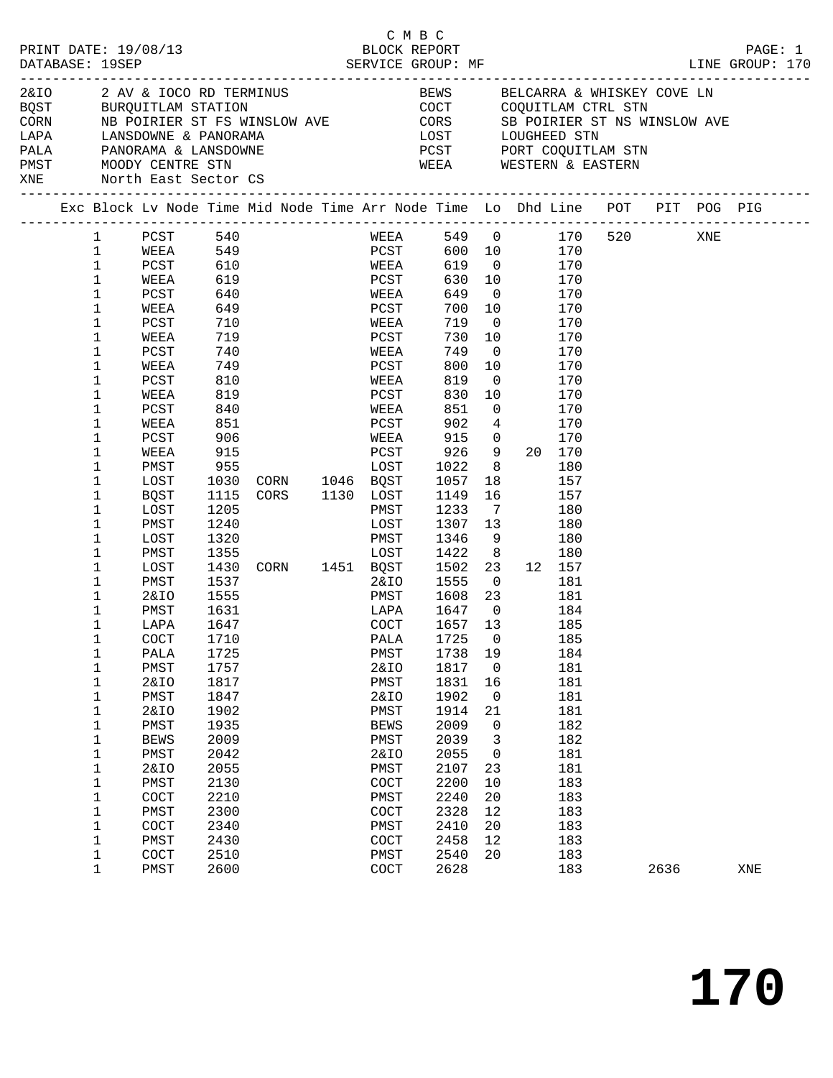|     |                  |                              |                   |                                                                                                                                                                                                                                | C M B C         |                                 |                |                |            |      |         |
|-----|------------------|------------------------------|-------------------|--------------------------------------------------------------------------------------------------------------------------------------------------------------------------------------------------------------------------------|-----------------|---------------------------------|----------------|----------------|------------|------|---------|
|     |                  | PRINT DATE: 19/08/13         |                   |                                                                                                                                                                                                                                |                 | BLOCK REPORT                    |                |                |            |      | PAGE: 1 |
|     |                  | 2&IO 2 AV & IOCO RD TERMINUS |                   |                                                                                                                                                                                                                                |                 | BEWS BELCARRA & WHISKEY COVE LN |                |                |            |      |         |
|     |                  |                              |                   | EXAMPLE AND TRINSPORT ON THE CONSULTER STATES ON THE STATE OF THE CORN AND RESERVED TO THE CORN AND THE CORN AND THE CORN AND THE CORN AND THE CORN AND THE CORN AND THE CORN AND THE CORN AND THE CORN AND THE CORN AND THE C |                 |                                 |                |                |            |      |         |
|     |                  |                              |                   |                                                                                                                                                                                                                                |                 |                                 |                |                |            |      |         |
|     |                  |                              |                   |                                                                                                                                                                                                                                |                 |                                 |                |                |            |      |         |
|     |                  |                              |                   |                                                                                                                                                                                                                                |                 |                                 |                |                |            |      |         |
|     |                  | PMST MOODY CENTRE STN        |                   |                                                                                                                                                                                                                                |                 | WEEA WESTERN & EASTERN          |                |                |            |      |         |
| XNE |                  | North East Sector CS         |                   |                                                                                                                                                                                                                                |                 |                                 |                |                |            |      |         |
|     |                  |                              |                   | Exc Block Lv Node Time Mid Node Time Arr Node Time Lo Dhd Line POT PIT POG PIG                                                                                                                                                 |                 |                                 |                |                |            |      |         |
|     | 1                | PCST 540                     |                   |                                                                                                                                                                                                                                |                 | WEEA 549 0 170 520 XNE          |                |                |            |      |         |
|     | $\mathbf{1}$     | WEEA                         |                   |                                                                                                                                                                                                                                |                 |                                 |                | 600 10 170     |            |      |         |
|     | $\mathbf 1$      | PCST                         | 549<br>610<br>619 |                                                                                                                                                                                                                                | PCST<br>WEEA    | 619 0                           |                |                | 170        |      |         |
|     | $\mathbf 1$      | WEEA                         | 619               |                                                                                                                                                                                                                                | PCST            | 630 10                          |                |                | 170        |      |         |
|     | 1                | PCST                         | 640               |                                                                                                                                                                                                                                | WEEA            | 649 0                           |                |                | 170        |      |         |
|     | 1                | WEEA                         | 649<br>710        |                                                                                                                                                                                                                                | PCST<br>WEEA    | 700 10                          |                |                | 170        |      |         |
|     | $\mathbf 1$      | PCST                         |                   |                                                                                                                                                                                                                                | WEEA            | 719                             | $\overline{0}$ |                | 170        |      |         |
|     | 1                | WEEA                         | 719               |                                                                                                                                                                                                                                | PCST            | 730 10                          |                |                | 170        |      |         |
|     | 1                | PCST                         | 740               |                                                                                                                                                                                                                                | WEEA            | 749                             | $\overline{0}$ |                | 170        |      |         |
|     | 1                | WEEA                         | 749               |                                                                                                                                                                                                                                | PCST            | 800                             | 10             |                | 170        |      |         |
|     | 1                | PCST                         | 810               |                                                                                                                                                                                                                                | WEEA            | 819                             | $\overline{0}$ |                | 170        |      |         |
|     | 1                | WEEA                         | 819               |                                                                                                                                                                                                                                | PCST            | 830                             | 10             |                | 170        |      |         |
|     | 1                | PCST                         | 840               |                                                                                                                                                                                                                                | WEEA            | 851                             | $\overline{0}$ |                | 170        |      |         |
|     | 1                | WEEA                         | 851               |                                                                                                                                                                                                                                | PCST            | 902                             | $\overline{4}$ |                | 170        |      |         |
|     | 1                | PCST                         | 906<br>915        |                                                                                                                                                                                                                                | WEEA            | 915 0<br>PCST 926 9 20 170      |                |                | 170        |      |         |
|     | 1<br>1           | WEEA<br>PMST                 | 955               |                                                                                                                                                                                                                                |                 | LOST 1022                       |                | 8 <sup>8</sup> | 180        |      |         |
|     | 1                | LOST                         | 1030              | CORN 1046 BQST                                                                                                                                                                                                                 |                 | 1057                            | 18             |                | 157        |      |         |
|     | 1                | BQST                         | 1115              |                                                                                                                                                                                                                                |                 | 1149                            | 16             |                | 157        |      |         |
|     | 1                | LOST                         | 1205              | CORS 1130 LOST                                                                                                                                                                                                                 | PMST            | 1233                            | $\overline{7}$ |                | 180        |      |         |
|     | 1                | PMST                         | 1240              |                                                                                                                                                                                                                                | LOST            | 1307 13                         |                |                | 180        |      |         |
|     | 1                | LOST                         | 1320              |                                                                                                                                                                                                                                | PMST            | 1346                            | 9              |                | 180        |      |         |
|     | 1                | PMST                         | 1355              |                                                                                                                                                                                                                                | LOST            | 1422                            |                | 8 <sup>8</sup> | 180        |      |         |
|     | 1                | LOST                         |                   | $1430$ CORN $1451$ BQST $1502$ 23                                                                                                                                                                                              |                 |                                 |                |                | 12 157     |      |         |
|     | 1                | PMST                         | 1537              |                                                                                                                                                                                                                                |                 | 2&IO 1555                       | $\overline{0}$ |                | 181        |      |         |
|     | 1                | 2&IO                         | 1555              |                                                                                                                                                                                                                                |                 | PMST 1608 23                    |                |                | 181        |      |         |
|     | 1                | PMST                         | 1631              |                                                                                                                                                                                                                                | LAPA            | 1647 0                          |                |                | 184        |      |         |
|     | 1                | LAPA                         | 1647              |                                                                                                                                                                                                                                | COCT            | 1657 13                         |                |                | 185        |      |         |
|     | 1                | COCT                         | 1710              |                                                                                                                                                                                                                                |                 | PALA 1725 0 185                 |                |                |            |      |         |
|     | 1                | PALA                         | 1725              |                                                                                                                                                                                                                                | PMST            | 1738                            | 19             |                | 184        |      |         |
|     | 1                | PMST                         | 1757              |                                                                                                                                                                                                                                | 2&IO            | 1817                            | $\mathbf 0$    |                | 181        |      |         |
|     | 1                | <b>2&amp;IO</b>              | 1817              |                                                                                                                                                                                                                                | PMST            | 1831                            | 16             |                | 181        |      |         |
|     | 1                | PMST                         | 1847              |                                                                                                                                                                                                                                | <b>2&amp;IO</b> | 1902                            | 0              |                | 181        |      |         |
|     | 1                | <b>2&amp;IO</b>              | 1902              |                                                                                                                                                                                                                                | PMST            | 1914                            | 21             |                | 181        |      |         |
|     | 1                | PMST                         | 1935              |                                                                                                                                                                                                                                | <b>BEWS</b>     | 2009                            | 0              |                | 182        |      |         |
|     | 1                | <b>BEWS</b>                  | 2009              |                                                                                                                                                                                                                                | PMST            | 2039                            | 3              |                | 182        |      |         |
|     | 1                | ${\tt PMST}$                 | 2042              |                                                                                                                                                                                                                                | <b>2&amp;IO</b> | 2055                            | 0              |                | 181        |      |         |
|     | 1                | <b>2&amp;IO</b>              | 2055              |                                                                                                                                                                                                                                | PMST            | 2107                            | 23             |                | 181        |      |         |
|     | 1                | PMST                         | 2130              |                                                                                                                                                                                                                                | COCT            | 2200                            | 10             |                | 183        |      |         |
|     | 1                | COCT                         | 2210              |                                                                                                                                                                                                                                | PMST            | 2240                            | 20             |                | 183        |      |         |
|     | 1                | PMST                         | 2300              |                                                                                                                                                                                                                                | COCT            | 2328                            | 12             |                | 183        |      |         |
|     | 1                | COCT<br>PMST                 | 2340<br>2430      |                                                                                                                                                                                                                                | PMST<br>COCT    | 2410<br>2458                    | 20<br>12       |                | 183<br>183 |      |         |
|     | 1                | COCT                         | 2510              |                                                                                                                                                                                                                                | PMST            | 2540                            | 20             |                | 183        |      |         |
|     | 1<br>$\mathbf 1$ | PMST                         | 2600              |                                                                                                                                                                                                                                | COCT            | 2628                            |                |                | 183        | 2636 | XNE     |
|     |                  |                              |                   |                                                                                                                                                                                                                                |                 |                                 |                |                |            |      |         |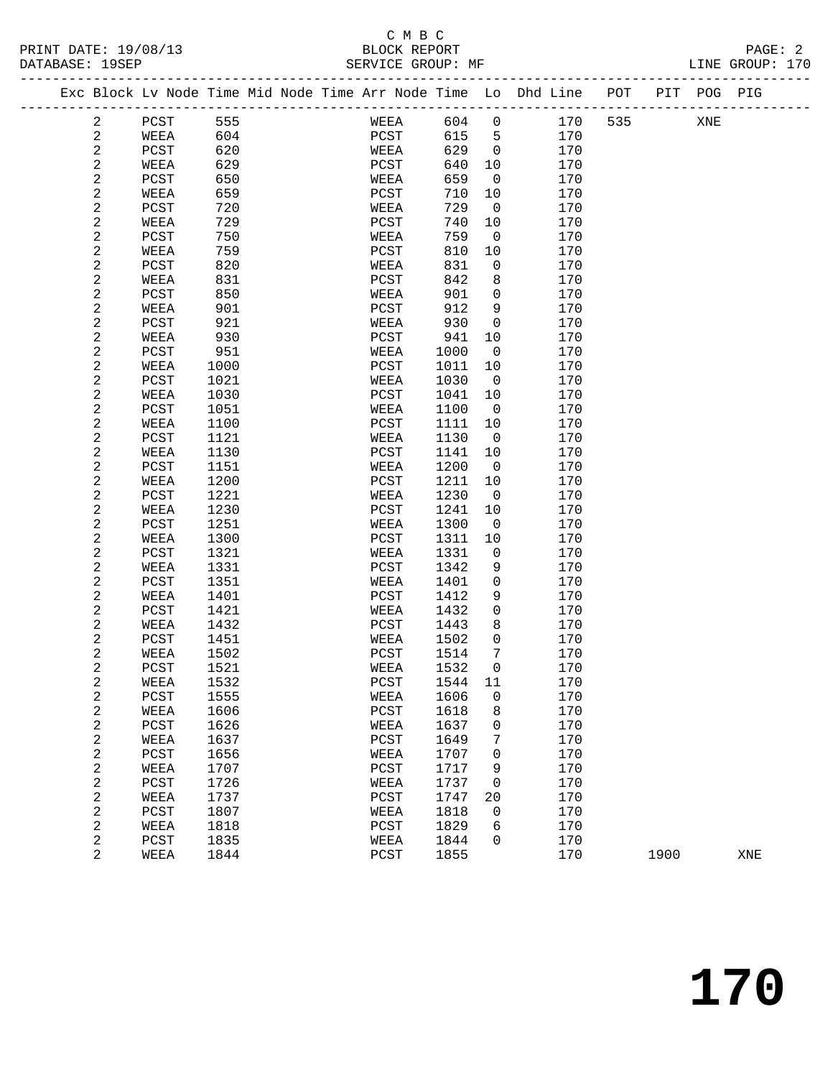### C M B C<br>BLOCK REPORT

| PRINT DATE: 19/08/13<br>DATARASE: 19SEP |                                                                                         | RLOCK REPORT<br>SERVICE GROUP: MF |  | PAGE: 2<br>LINE GROUP: 170 |
|-----------------------------------------|-----------------------------------------------------------------------------------------|-----------------------------------|--|----------------------------|
|                                         | Exc Block Ly Node Time Mid Node Time Arr Node Time. Lo Dhd Line – POT – PIT – POG – PIG |                                   |  |                            |

|  |                       | Exc Block Lv Node Time Mid Node Time Arr Node Time Lo Dhd Line |              |  |              |              |         |            | POT | PIT  | POG PIG |     |
|--|-----------------------|----------------------------------------------------------------|--------------|--|--------------|--------------|---------|------------|-----|------|---------|-----|
|  | 2                     | PCST                                                           | 555          |  | WEEA         | 604          | 0       | 170        | 535 |      | XNE     |     |
|  | 2                     | WEEA                                                           | 604          |  | PCST         | 615          | 5       | 170        |     |      |         |     |
|  | $\mathbf{2}$          | PCST                                                           | 620          |  | WEEA         | 629          | 0       | 170        |     |      |         |     |
|  | $\mathbf{2}$          | WEEA                                                           | 629          |  | PCST         | 640          | 10      | 170        |     |      |         |     |
|  | 2                     | PCST                                                           | 650          |  | WEEA         | 659          | 0       | 170        |     |      |         |     |
|  | 2                     | WEEA                                                           | 659          |  | PCST         | 710          | 10      | 170        |     |      |         |     |
|  | $\boldsymbol{2}$      | $_{\rm PCST}$                                                  | 720          |  | WEEA         | 729          | 0       | 170        |     |      |         |     |
|  | 2                     | WEEA                                                           | 729          |  | PCST         | 740          | 10      | 170        |     |      |         |     |
|  | 2                     | PCST                                                           | 750          |  | WEEA         | 759          | 0       | 170        |     |      |         |     |
|  | 2                     | WEEA                                                           | 759          |  | PCST         | 810          | 10      | 170        |     |      |         |     |
|  | $\boldsymbol{2}$      | $_{\rm PCST}$                                                  | 820          |  | WEEA         | 831          | 0       | 170        |     |      |         |     |
|  | 2                     | WEEA                                                           | 831          |  | PCST         | 842          | 8       | 170        |     |      |         |     |
|  | 2                     | PCST                                                           | 850          |  | WEEA         | 901          | 0       | 170        |     |      |         |     |
|  | 2                     | WEEA                                                           | 901          |  | PCST         | 912          | 9       | 170        |     |      |         |     |
|  | 2                     | PCST                                                           | 921          |  | WEEA         | 930          | 0       | 170        |     |      |         |     |
|  | 2                     | WEEA                                                           | 930          |  | PCST         | 941          | 10      | 170        |     |      |         |     |
|  | 2                     | PCST                                                           | 951          |  | WEEA         | 1000         | 0       | 170        |     |      |         |     |
|  | 2                     | WEEA                                                           | 1000         |  | PCST         | 1011         | 10      | 170        |     |      |         |     |
|  | 2                     | $_{\rm PCST}$                                                  | 1021         |  | WEEA         | 1030         | 0       | 170        |     |      |         |     |
|  | 2                     | WEEA                                                           | 1030         |  | PCST         | 1041         | 10      | 170        |     |      |         |     |
|  | 2                     | PCST                                                           | 1051         |  | WEEA         | 1100         | 0       | 170        |     |      |         |     |
|  | 2                     | WEEA                                                           | 1100         |  | PCST         | 1111         | 10      | 170        |     |      |         |     |
|  | 2                     | PCST                                                           | 1121         |  | WEEA         | 1130         | 0       | 170        |     |      |         |     |
|  | 2                     | WEEA                                                           | 1130         |  | PCST         | 1141         | 10      | 170        |     |      |         |     |
|  | 2                     | PCST                                                           | 1151         |  | WEEA         | 1200         | 0       | 170        |     |      |         |     |
|  | 2                     | WEEA                                                           | 1200         |  | PCST         | 1211         | 10      | 170        |     |      |         |     |
|  | 2                     | PCST                                                           | 1221         |  | WEEA         | 1230         | 0       | 170        |     |      |         |     |
|  | $\overline{c}$        | WEEA                                                           | 1230         |  | PCST         | 1241         | 10      | 170        |     |      |         |     |
|  | 2                     | PCST                                                           | 1251         |  | WEEA         | 1300         | 0       | 170        |     |      |         |     |
|  | 2                     | WEEA                                                           | 1300         |  | PCST         | 1311         | 10      | 170        |     |      |         |     |
|  | 2                     | PCST                                                           | 1321         |  | WEEA         | 1331         | 0       | 170        |     |      |         |     |
|  | $\overline{c}$        | WEEA                                                           | 1331         |  | PCST         | 1342         | 9       | 170        |     |      |         |     |
|  | 2                     | $_{\rm PCST}$                                                  | 1351         |  | WEEA         | 1401         | 0       | 170        |     |      |         |     |
|  | $\boldsymbol{2}$      | WEEA                                                           | 1401         |  | PCST         | 1412         | 9       | 170        |     |      |         |     |
|  | 2                     | PCST                                                           | 1421         |  | WEEA         | 1432         | 0       | 170        |     |      |         |     |
|  | $\boldsymbol{2}$      | WEEA                                                           | 1432         |  | PCST         | 1443         | 8       | 170        |     |      |         |     |
|  | 2                     | PCST                                                           | 1451         |  | WEEA         | 1502         | 0       | 170        |     |      |         |     |
|  | 2                     | WEEA                                                           | 1502         |  | PCST         | 1514         | 7       | 170        |     |      |         |     |
|  | 2                     | PCST                                                           | 1521         |  | WEEA         | 1532         | 0       | 170        |     |      |         |     |
|  | 2                     | WEEA                                                           | 1532         |  | PCST         | 1544         | 11      | 170        |     |      |         |     |
|  | 2                     | $_{\rm PCST}$                                                  | 1555         |  | WEEA         | 1606 0       |         | 170        |     |      |         |     |
|  | 2                     | WEEA                                                           | 1606         |  | PCST         | 1618         | 8       | 170        |     |      |         |     |
|  | 2                     | PCST                                                           | 1626         |  | WEEA         | 1637         | 0       | 170        |     |      |         |     |
|  | 2                     | WEEA                                                           | 1637         |  | PCST         | 1649         | 7       | 170        |     |      |         |     |
|  | 2                     | PCST                                                           | 1656         |  | WEEA         | 1707         | 0       | 170        |     |      |         |     |
|  | 2                     | WEEA                                                           | 1707         |  | PCST         | 1717         | 9       | 170        |     |      |         |     |
|  | 2                     | PCST                                                           | 1726<br>1737 |  | WEEA         | 1737         | 0       | 170<br>170 |     |      |         |     |
|  | 2<br>$\boldsymbol{2}$ | WEEA<br>PCST                                                   | 1807         |  | PCST<br>WEEA | 1747<br>1818 | 20<br>0 | 170        |     |      |         |     |
|  | 2                     | WEEA                                                           | 1818         |  | PCST         | 1829         | 6       | 170        |     |      |         |     |
|  | 2                     | PCST                                                           | 1835         |  | WEEA         | 1844         | 0       | 170        |     |      |         |     |
|  | 2                     | WEEA                                                           | 1844         |  | PCST         | 1855         |         | 170        |     | 1900 |         | XNE |
|  |                       |                                                                |              |  |              |              |         |            |     |      |         |     |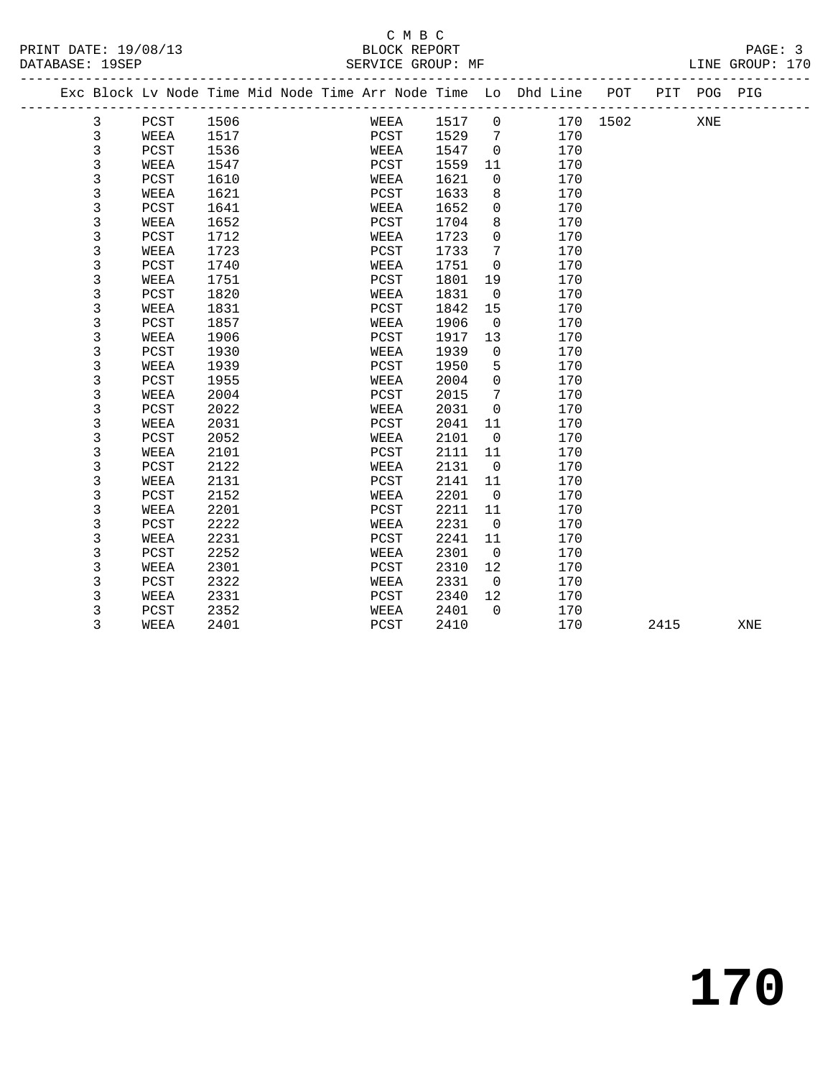#### C M B C<br>BLOCK REPORT SERVICE GROUP: MF

| Exc Block Lv Node Time Mid Node Time Arr Node Time Lo Dhd Line POT<br>PIT<br>POG PIG<br>3<br>1506<br>1517<br>$\overline{0}$<br>170 1502<br>PCST<br>WEEA<br>XNE<br>3<br>1517<br>PCST<br>1529<br>170<br>WEEA<br>7<br>3<br>PCST<br>1536<br>1547<br>$\mathbf 0$<br>170<br>WEEA<br>3<br>1547<br>1559<br>WEEA<br>PCST<br>170<br>11<br>3<br>PCST<br>1610<br>1621<br>0<br>170<br>WEEA<br>3<br>1621<br>1633<br>170<br>WEEA<br>PCST<br>8<br>$\mathsf 3$<br>PCST<br>1641<br>WEEA<br>1652<br>$\mathbf 0$<br>170<br>3<br>1652<br>8<br>170<br>WEEA<br>PCST<br>1704<br>3<br>1712<br>$\Omega$<br>PCST<br>1723<br>170<br>WEEA<br>3<br>1723<br>PCST<br>1733<br>7<br>170<br>WEEA<br>3<br>1740<br>PCST<br>1751<br>$\mathbf 0$<br>170<br>WEEA<br>3<br>1751<br>PCST<br>1801<br>170<br>WEEA<br>19<br>3<br>1820<br>PCST<br>1831<br>$\mathbf 0$<br>170<br>WEEA<br>3<br>1831<br>WEEA<br>PCST<br>1842<br>15<br>170<br>3<br>1857<br>1906<br>PCST<br>$\mathbf 0$<br>170<br>WEEA<br>3<br>1906<br>PCST<br>1917<br>13<br>170<br>WEEA<br>3<br>1930<br>1939<br>170<br>PCST<br>WEEA<br>$\mathsf{O}$<br>3<br>1939<br>1950<br>170<br>WEEA<br>5<br>PCST<br>$\mathsf 3$<br>1955<br>2004<br>$\mathbf 0$<br>170<br>PCST<br>WEEA<br>3<br>170<br>WEEA<br>2004<br>2015<br>7<br>PCST<br>3<br>2022<br>2031<br>170<br>PCST<br>WEEA<br>$\mathbf 0$<br>3<br>2031<br>PCST<br>2041<br>11<br>170<br>WEEA<br>3<br>2052<br>2101<br>170<br>PCST<br>WEEA<br>$\mathbf 0$<br>3<br>2101<br>2111<br>170<br>WEEA<br>PCST<br>11<br>3<br>2122<br>PCST<br>WEEA<br>2131<br>$\mathbf 0$<br>170<br>3<br>2131<br>2141<br>11<br>170<br>WEEA<br>PCST<br>3<br>2152<br>2201<br>170<br>PCST<br>WEEA<br>$\mathbf 0$<br>3<br>2201<br>PCST<br>2211<br>11<br>170<br>WEEA<br>3<br>2222<br>2231<br>170<br>PCST<br>$\mathbf 0$<br>WEEA |  |
|--------------------------------------------------------------------------------------------------------------------------------------------------------------------------------------------------------------------------------------------------------------------------------------------------------------------------------------------------------------------------------------------------------------------------------------------------------------------------------------------------------------------------------------------------------------------------------------------------------------------------------------------------------------------------------------------------------------------------------------------------------------------------------------------------------------------------------------------------------------------------------------------------------------------------------------------------------------------------------------------------------------------------------------------------------------------------------------------------------------------------------------------------------------------------------------------------------------------------------------------------------------------------------------------------------------------------------------------------------------------------------------------------------------------------------------------------------------------------------------------------------------------------------------------------------------------------------------------------------------------------------------------------------------------------------------------------------------------------------------------------------|--|
|                                                                                                                                                                                                                                                                                                                                                                                                                                                                                                                                                                                                                                                                                                                                                                                                                                                                                                                                                                                                                                                                                                                                                                                                                                                                                                                                                                                                                                                                                                                                                                                                                                                                                                                                                        |  |
|                                                                                                                                                                                                                                                                                                                                                                                                                                                                                                                                                                                                                                                                                                                                                                                                                                                                                                                                                                                                                                                                                                                                                                                                                                                                                                                                                                                                                                                                                                                                                                                                                                                                                                                                                        |  |
|                                                                                                                                                                                                                                                                                                                                                                                                                                                                                                                                                                                                                                                                                                                                                                                                                                                                                                                                                                                                                                                                                                                                                                                                                                                                                                                                                                                                                                                                                                                                                                                                                                                                                                                                                        |  |
|                                                                                                                                                                                                                                                                                                                                                                                                                                                                                                                                                                                                                                                                                                                                                                                                                                                                                                                                                                                                                                                                                                                                                                                                                                                                                                                                                                                                                                                                                                                                                                                                                                                                                                                                                        |  |
|                                                                                                                                                                                                                                                                                                                                                                                                                                                                                                                                                                                                                                                                                                                                                                                                                                                                                                                                                                                                                                                                                                                                                                                                                                                                                                                                                                                                                                                                                                                                                                                                                                                                                                                                                        |  |
|                                                                                                                                                                                                                                                                                                                                                                                                                                                                                                                                                                                                                                                                                                                                                                                                                                                                                                                                                                                                                                                                                                                                                                                                                                                                                                                                                                                                                                                                                                                                                                                                                                                                                                                                                        |  |
|                                                                                                                                                                                                                                                                                                                                                                                                                                                                                                                                                                                                                                                                                                                                                                                                                                                                                                                                                                                                                                                                                                                                                                                                                                                                                                                                                                                                                                                                                                                                                                                                                                                                                                                                                        |  |
|                                                                                                                                                                                                                                                                                                                                                                                                                                                                                                                                                                                                                                                                                                                                                                                                                                                                                                                                                                                                                                                                                                                                                                                                                                                                                                                                                                                                                                                                                                                                                                                                                                                                                                                                                        |  |
|                                                                                                                                                                                                                                                                                                                                                                                                                                                                                                                                                                                                                                                                                                                                                                                                                                                                                                                                                                                                                                                                                                                                                                                                                                                                                                                                                                                                                                                                                                                                                                                                                                                                                                                                                        |  |
|                                                                                                                                                                                                                                                                                                                                                                                                                                                                                                                                                                                                                                                                                                                                                                                                                                                                                                                                                                                                                                                                                                                                                                                                                                                                                                                                                                                                                                                                                                                                                                                                                                                                                                                                                        |  |
|                                                                                                                                                                                                                                                                                                                                                                                                                                                                                                                                                                                                                                                                                                                                                                                                                                                                                                                                                                                                                                                                                                                                                                                                                                                                                                                                                                                                                                                                                                                                                                                                                                                                                                                                                        |  |
|                                                                                                                                                                                                                                                                                                                                                                                                                                                                                                                                                                                                                                                                                                                                                                                                                                                                                                                                                                                                                                                                                                                                                                                                                                                                                                                                                                                                                                                                                                                                                                                                                                                                                                                                                        |  |
|                                                                                                                                                                                                                                                                                                                                                                                                                                                                                                                                                                                                                                                                                                                                                                                                                                                                                                                                                                                                                                                                                                                                                                                                                                                                                                                                                                                                                                                                                                                                                                                                                                                                                                                                                        |  |
|                                                                                                                                                                                                                                                                                                                                                                                                                                                                                                                                                                                                                                                                                                                                                                                                                                                                                                                                                                                                                                                                                                                                                                                                                                                                                                                                                                                                                                                                                                                                                                                                                                                                                                                                                        |  |
|                                                                                                                                                                                                                                                                                                                                                                                                                                                                                                                                                                                                                                                                                                                                                                                                                                                                                                                                                                                                                                                                                                                                                                                                                                                                                                                                                                                                                                                                                                                                                                                                                                                                                                                                                        |  |
|                                                                                                                                                                                                                                                                                                                                                                                                                                                                                                                                                                                                                                                                                                                                                                                                                                                                                                                                                                                                                                                                                                                                                                                                                                                                                                                                                                                                                                                                                                                                                                                                                                                                                                                                                        |  |
|                                                                                                                                                                                                                                                                                                                                                                                                                                                                                                                                                                                                                                                                                                                                                                                                                                                                                                                                                                                                                                                                                                                                                                                                                                                                                                                                                                                                                                                                                                                                                                                                                                                                                                                                                        |  |
|                                                                                                                                                                                                                                                                                                                                                                                                                                                                                                                                                                                                                                                                                                                                                                                                                                                                                                                                                                                                                                                                                                                                                                                                                                                                                                                                                                                                                                                                                                                                                                                                                                                                                                                                                        |  |
|                                                                                                                                                                                                                                                                                                                                                                                                                                                                                                                                                                                                                                                                                                                                                                                                                                                                                                                                                                                                                                                                                                                                                                                                                                                                                                                                                                                                                                                                                                                                                                                                                                                                                                                                                        |  |
|                                                                                                                                                                                                                                                                                                                                                                                                                                                                                                                                                                                                                                                                                                                                                                                                                                                                                                                                                                                                                                                                                                                                                                                                                                                                                                                                                                                                                                                                                                                                                                                                                                                                                                                                                        |  |
|                                                                                                                                                                                                                                                                                                                                                                                                                                                                                                                                                                                                                                                                                                                                                                                                                                                                                                                                                                                                                                                                                                                                                                                                                                                                                                                                                                                                                                                                                                                                                                                                                                                                                                                                                        |  |
|                                                                                                                                                                                                                                                                                                                                                                                                                                                                                                                                                                                                                                                                                                                                                                                                                                                                                                                                                                                                                                                                                                                                                                                                                                                                                                                                                                                                                                                                                                                                                                                                                                                                                                                                                        |  |
|                                                                                                                                                                                                                                                                                                                                                                                                                                                                                                                                                                                                                                                                                                                                                                                                                                                                                                                                                                                                                                                                                                                                                                                                                                                                                                                                                                                                                                                                                                                                                                                                                                                                                                                                                        |  |
|                                                                                                                                                                                                                                                                                                                                                                                                                                                                                                                                                                                                                                                                                                                                                                                                                                                                                                                                                                                                                                                                                                                                                                                                                                                                                                                                                                                                                                                                                                                                                                                                                                                                                                                                                        |  |
|                                                                                                                                                                                                                                                                                                                                                                                                                                                                                                                                                                                                                                                                                                                                                                                                                                                                                                                                                                                                                                                                                                                                                                                                                                                                                                                                                                                                                                                                                                                                                                                                                                                                                                                                                        |  |
|                                                                                                                                                                                                                                                                                                                                                                                                                                                                                                                                                                                                                                                                                                                                                                                                                                                                                                                                                                                                                                                                                                                                                                                                                                                                                                                                                                                                                                                                                                                                                                                                                                                                                                                                                        |  |
|                                                                                                                                                                                                                                                                                                                                                                                                                                                                                                                                                                                                                                                                                                                                                                                                                                                                                                                                                                                                                                                                                                                                                                                                                                                                                                                                                                                                                                                                                                                                                                                                                                                                                                                                                        |  |
|                                                                                                                                                                                                                                                                                                                                                                                                                                                                                                                                                                                                                                                                                                                                                                                                                                                                                                                                                                                                                                                                                                                                                                                                                                                                                                                                                                                                                                                                                                                                                                                                                                                                                                                                                        |  |
|                                                                                                                                                                                                                                                                                                                                                                                                                                                                                                                                                                                                                                                                                                                                                                                                                                                                                                                                                                                                                                                                                                                                                                                                                                                                                                                                                                                                                                                                                                                                                                                                                                                                                                                                                        |  |
|                                                                                                                                                                                                                                                                                                                                                                                                                                                                                                                                                                                                                                                                                                                                                                                                                                                                                                                                                                                                                                                                                                                                                                                                                                                                                                                                                                                                                                                                                                                                                                                                                                                                                                                                                        |  |
| 3<br>2241<br>2231<br>PCST<br>170<br>WEEA<br>11                                                                                                                                                                                                                                                                                                                                                                                                                                                                                                                                                                                                                                                                                                                                                                                                                                                                                                                                                                                                                                                                                                                                                                                                                                                                                                                                                                                                                                                                                                                                                                                                                                                                                                         |  |
| 3<br>2252<br>2301<br>$\overline{0}$<br>170<br>PCST<br>WEEA                                                                                                                                                                                                                                                                                                                                                                                                                                                                                                                                                                                                                                                                                                                                                                                                                                                                                                                                                                                                                                                                                                                                                                                                                                                                                                                                                                                                                                                                                                                                                                                                                                                                                             |  |
| 3<br>2301<br>PCST<br>2310<br>12<br>170<br>WEEA                                                                                                                                                                                                                                                                                                                                                                                                                                                                                                                                                                                                                                                                                                                                                                                                                                                                                                                                                                                                                                                                                                                                                                                                                                                                                                                                                                                                                                                                                                                                                                                                                                                                                                         |  |
| 3<br>PCST<br>2322<br>2331<br>$\overline{0}$<br>170<br>WEEA                                                                                                                                                                                                                                                                                                                                                                                                                                                                                                                                                                                                                                                                                                                                                                                                                                                                                                                                                                                                                                                                                                                                                                                                                                                                                                                                                                                                                                                                                                                                                                                                                                                                                             |  |
| 3<br>2340<br>2331<br>PCST<br>12<br>170<br>WEEA                                                                                                                                                                                                                                                                                                                                                                                                                                                                                                                                                                                                                                                                                                                                                                                                                                                                                                                                                                                                                                                                                                                                                                                                                                                                                                                                                                                                                                                                                                                                                                                                                                                                                                         |  |
| 3<br>2352<br>2401<br>$\Omega$<br>170<br>PCST<br>WEEA                                                                                                                                                                                                                                                                                                                                                                                                                                                                                                                                                                                                                                                                                                                                                                                                                                                                                                                                                                                                                                                                                                                                                                                                                                                                                                                                                                                                                                                                                                                                                                                                                                                                                                   |  |
| 3<br>2410<br>170<br>WEEA<br>2401<br>PCST<br>2415<br>XNE                                                                                                                                                                                                                                                                                                                                                                                                                                                                                                                                                                                                                                                                                                                                                                                                                                                                                                                                                                                                                                                                                                                                                                                                                                                                                                                                                                                                                                                                                                                                                                                                                                                                                                |  |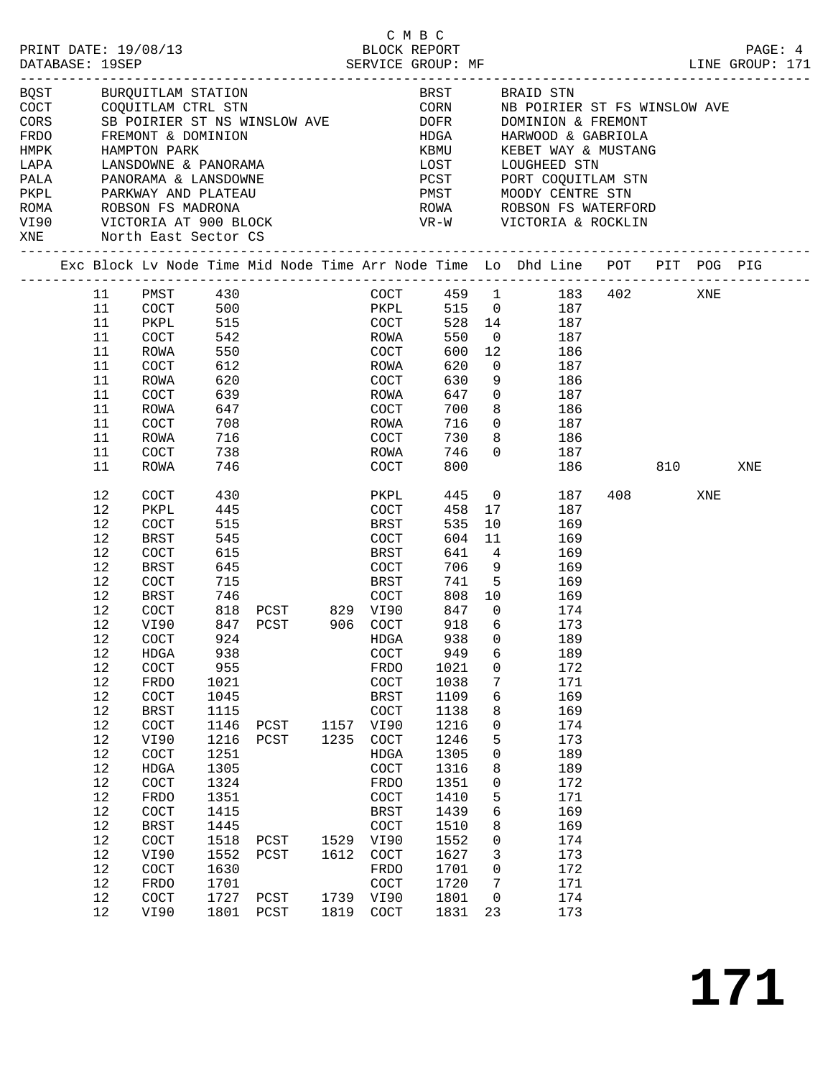| PRINT DATE: 19/08/13<br>DATABASE: 19SEP |          |                                      |                 |                                                                                                                                               |              | C M B C<br>BLOCK REPORT<br>SERVICE GROUP: MF |              |                     |                                                                                                             |           |         | PAGE: 4<br>LINE GROUP: 171 |
|-----------------------------------------|----------|--------------------------------------|-----------------|-----------------------------------------------------------------------------------------------------------------------------------------------|--------------|----------------------------------------------|--------------|---------------------|-------------------------------------------------------------------------------------------------------------|-----------|---------|----------------------------|
| FRDO                                    |          | FREMONT & DOMINION                   |                 | BQST         BURQUITLAM STATION<br>COCT        COQUITLAM CTRL STN<br>CORS        SB POIRIER ST NS WINSLOW AVE<br>SB POIRIER ST NS WINSLOW AVE |              |                                              |              |                     | BRST        BRAID STN<br>CORN         NB POIRIEF<br>NB POIRIER ST FS WINSLOW AVE<br>DOFR DOMINION & FREMONT |           |         |                            |
| HMPK                                    |          | HAMPTON PARK<br>LANSDOWNE & PANORAMA |                 |                                                                                                                                               |              |                                              | HDGA<br>KBMU |                     | HARWOOD & GABRIOLA<br>KEBET WAY & MUSTANG                                                                   |           |         |                            |
| LAPA<br>PALA                            |          | PANORAMA & LANSDOWNE                 |                 |                                                                                                                                               |              |                                              | LOST<br>PCST |                     | LOUGHEED STN<br>PORT COQUITLAM STN                                                                          |           |         |                            |
| PKPL                                    |          |                                      |                 | PARKWAY AND PLATEAU                                                                                                                           |              |                                              |              |                     | PMST MOODY CENTRE STN                                                                                       |           |         |                            |
|                                         |          |                                      |                 | ROMA            ROBSON  FS  MADRONA<br>VI90           VICTORIA  AT  900  BLOCK<br>XNE            North  East  Sector  CS                      |              |                                              |              |                     | ROWA      ROBSON FS WATERFORD<br>VR-W      VICTORIA & ROCKLIN                                               |           |         |                            |
|                                         |          |                                      |                 |                                                                                                                                               |              |                                              |              |                     | Exc Block Lv Node Time Mid Node Time Arr Node Time Lo Dhd Line POT PIT POG PIG                              |           |         |                            |
|                                         | 11       | PMST                                 | 430             |                                                                                                                                               |              | COCT                                         |              |                     | 459 1 183 402                                                                                               |           | XNE     |                            |
|                                         | 11       | COCT                                 | 500             |                                                                                                                                               |              | PKPL                                         |              |                     | 515 0 187                                                                                                   |           |         |                            |
|                                         | 11       | PKPL                                 | 515             |                                                                                                                                               |              | COCT                                         |              |                     | 528 14<br>187                                                                                               |           |         |                            |
|                                         | 11       | COCT                                 | 15<br>542<br>די |                                                                                                                                               |              | ROWA<br>COCT                                 | 550          | $\overline{0}$      | 187                                                                                                         |           |         |                            |
|                                         | 11       | ROWA                                 |                 |                                                                                                                                               |              |                                              | 600          | 12                  | 186                                                                                                         |           |         |                            |
|                                         | 11       | COCT                                 | 612             |                                                                                                                                               |              | ROWA                                         | 620          | $\overline{0}$      | 187                                                                                                         |           |         |                            |
|                                         | 11<br>11 | ROWA                                 | 620<br>639      |                                                                                                                                               |              | COCT                                         | 630<br>647   | 9<br>$\overline{0}$ | 186<br>187                                                                                                  |           |         |                            |
|                                         | 11       | COCT                                 | 647             |                                                                                                                                               |              | ROWA                                         | 700          | 8                   | 186                                                                                                         |           |         |                            |
|                                         | 11       | ROWA<br>COCT                         | 708             |                                                                                                                                               |              | COCT<br>ROWA                                 | 716          | $\overline{0}$      | 187                                                                                                         |           |         |                            |
|                                         | 11       | ROWA                                 | 716             |                                                                                                                                               |              | COCT                                         | 730          | 8                   | 186                                                                                                         |           |         |                            |
|                                         | 11       | COCT                                 | 738             |                                                                                                                                               |              | ROWA                                         | 746          | $\Omega$            | 187                                                                                                         |           |         |                            |
|                                         | 11       | ROWA                                 | 746             |                                                                                                                                               |              | COCT                                         | 800          |                     | 186                                                                                                         |           | 810 310 | XNE                        |
|                                         | 12       | COCT                                 | 430             |                                                                                                                                               |              | PKPL                                         | 445          |                     | $\overline{0}$<br>187                                                                                       | 408 — 108 | XNE     |                            |
|                                         | 12       | PKPL                                 | 445             |                                                                                                                                               |              | COCT                                         | 458          | 17                  | 187                                                                                                         |           |         |                            |
|                                         | 12       | COCT                                 | 515             |                                                                                                                                               |              | BRST                                         | 535          | 10                  | 169                                                                                                         |           |         |                            |
|                                         | 12       | BRST                                 | 545             |                                                                                                                                               |              | COCT                                         | 604          | 11                  | 169                                                                                                         |           |         |                            |
|                                         | 12       | COCT                                 | 615             |                                                                                                                                               |              | BRST                                         | 641          | $\overline{4}$      | 169                                                                                                         |           |         |                            |
|                                         | 12<br>12 | BRST                                 | 645             |                                                                                                                                               |              | COCT<br>BRST                                 | 706<br>741   | 9<br>5 <sub>5</sub> | 169                                                                                                         |           |         |                            |
|                                         | 12       | COCT                                 | 715<br>746      |                                                                                                                                               |              | COCT                                         |              |                     | 169<br>808 10                                                                                               |           |         |                            |
|                                         | 12       | BRST<br>COCT                         |                 | 818 PCST 829 VI90                                                                                                                             |              |                                              | 847          | $\overline{0}$      | 169<br>174                                                                                                  |           |         |                            |
|                                         | 12       | VI90                                 |                 | 847 PCST 906 COCT                                                                                                                             |              |                                              | 918          | 6                   | 173                                                                                                         |           |         |                            |
|                                         | 12       | COCT                                 | 924             |                                                                                                                                               |              | HDGA                                         | 938 0        |                     | 189                                                                                                         |           |         |                            |
|                                         | 12       | HDGA                                 | 938             |                                                                                                                                               |              | COCT                                         | 949          | 6                   | 189                                                                                                         |           |         |                            |
|                                         | 12       | $\operatorname{COT}$                 | 955             |                                                                                                                                               |              | <b>FRDO</b>                                  | 1021         | 0                   | 172                                                                                                         |           |         |                            |
|                                         | 12       | FRDO                                 | 1021            |                                                                                                                                               |              | COCT                                         | 1038         | 7                   | 171                                                                                                         |           |         |                            |
|                                         | 12       | COCT                                 | 1045            |                                                                                                                                               |              | <b>BRST</b>                                  | 1109         | 6                   | 169                                                                                                         |           |         |                            |
|                                         | 12       | <b>BRST</b>                          | 1115            |                                                                                                                                               |              | $\operatorname{COT}$                         | 1138         | 8                   | 169                                                                                                         |           |         |                            |
|                                         | 12       | $\operatorname{COT}$                 | 1146            | PCST                                                                                                                                          | 1157         | VI90                                         | 1216         | 0                   | 174                                                                                                         |           |         |                            |
|                                         | 12       | VI90                                 | 1216            | PCST                                                                                                                                          | 1235         | COCT                                         | 1246         | 5                   | 173                                                                                                         |           |         |                            |
|                                         | $12$     | $\operatorname{COT}$                 | 1251            |                                                                                                                                               |              | HDGA                                         | 1305         | 0                   | 189                                                                                                         |           |         |                            |
|                                         | 12       | ${\tt HDGA}$                         | 1305            |                                                                                                                                               |              | $\operatorname{COT}$                         | 1316         | 8                   | 189                                                                                                         |           |         |                            |
|                                         | 12       | $\operatorname{COT}$                 | 1324            |                                                                                                                                               |              | FRDO                                         | 1351         | 0                   | 172                                                                                                         |           |         |                            |
|                                         | 12       | FRDO                                 | 1351            |                                                                                                                                               |              | COCT                                         | 1410         | 5                   | 171                                                                                                         |           |         |                            |
|                                         | $12$     | COCT                                 | 1415            |                                                                                                                                               |              | <b>BRST</b>                                  | 1439         | б                   | 169                                                                                                         |           |         |                            |
|                                         | 12       | <b>BRST</b>                          | 1445            |                                                                                                                                               |              | $\operatorname{COT}$                         | 1510         | 8                   | 169                                                                                                         |           |         |                            |
|                                         | $12$     | $\operatorname{COT}$                 | 1518            | PCST                                                                                                                                          | 1529         | VI90                                         | 1552         | 0                   | 174                                                                                                         |           |         |                            |
|                                         | 12       | VI90                                 | 1552            | ${\tt PCST}$                                                                                                                                  | 1612         | $\operatorname{COT}$                         | 1627         | 3                   | 173                                                                                                         |           |         |                            |
|                                         | 12       | $\operatorname{COCT}$                | 1630            |                                                                                                                                               |              | FRDO                                         | 1701         | 0                   | 172                                                                                                         |           |         |                            |
|                                         | 12       | FRDO                                 | 1701            |                                                                                                                                               |              | $\operatorname{COT}$                         | 1720         | 7                   | 171                                                                                                         |           |         |                            |
|                                         | 12<br>12 | COCT<br>VI90                         | 1727<br>1801    | PCST                                                                                                                                          | 1739<br>1819 | VI90<br>$\operatorname{COT}$                 | 1801<br>1831 | 0<br>23             | 174<br>173                                                                                                  |           |         |                            |
|                                         |          |                                      |                 | PCST                                                                                                                                          |              |                                              |              |                     |                                                                                                             |           |         |                            |

**171**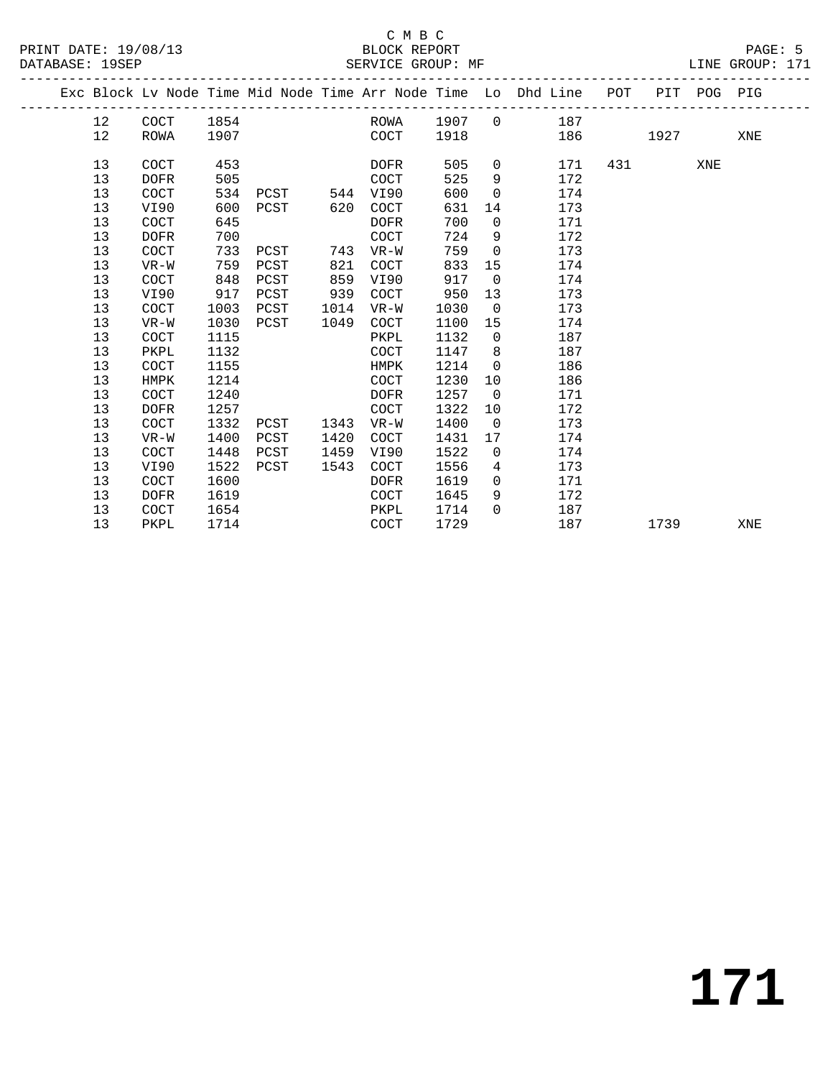### C M B C

|  | DATABASE: 19SEP |             |      | SERVICE GROUP: MF |      |             |      |                |                                                                                |           |             |     | LINE GROUP: 171 |  |
|--|-----------------|-------------|------|-------------------|------|-------------|------|----------------|--------------------------------------------------------------------------------|-----------|-------------|-----|-----------------|--|
|  |                 |             |      |                   |      |             |      |                | Exc Block Lv Node Time Mid Node Time Arr Node Time Lo Dhd Line POT PIT POG PIG |           |             |     |                 |  |
|  | 12              | COCT        | 1854 |                   |      |             |      |                | ROWA 1907 0 187                                                                |           |             |     |                 |  |
|  | 12              | ROWA        | 1907 |                   |      | COCT        | 1918 |                |                                                                                | 186 — 186 | 1927 - 1927 |     | XNE             |  |
|  | 13              | COCT        | 453  |                   |      | DOFR        | 505  | $\overline{0}$ | 171                                                                            | 431       |             | XNE |                 |  |
|  | 13              | <b>DOFR</b> | 505  |                   |      | COCT        | 525  | 9              | 172                                                                            |           |             |     |                 |  |
|  | 13              | <b>COCT</b> | 534  | PCST              |      | 544 VI90    | 600  | $\Omega$       | 174                                                                            |           |             |     |                 |  |
|  | 13              | VI90        | 600  | PCST              | 620  | COCT        | 631  | 14             | 173                                                                            |           |             |     |                 |  |
|  | 13              | COCT        | 645  |                   |      | DOFR        | 700  | $\overline{0}$ | 171                                                                            |           |             |     |                 |  |
|  | 13              | <b>DOFR</b> | 700  |                   |      | <b>COCT</b> | 724  | 9              | 172                                                                            |           |             |     |                 |  |
|  | 13              | <b>COCT</b> | 733  | PCST              | 743  | $VR-W$      | 759  | $\Omega$       | 173                                                                            |           |             |     |                 |  |
|  | 13              | $VR-W$      | 759  | PCST              | 821  | COCT        | 833  | 15             | 174                                                                            |           |             |     |                 |  |
|  | 13              | <b>COCT</b> | 848  | PCST              | 859  | VI90        | 917  | $\overline{0}$ | 174                                                                            |           |             |     |                 |  |
|  | 13              | VI90        | 917  | PCST              | 939  | COCT        | 950  | 13             | 173                                                                            |           |             |     |                 |  |
|  | 13              | <b>COCT</b> | 1003 | PCST              | 1014 | VR-W        | 1030 | $\overline{0}$ | 173                                                                            |           |             |     |                 |  |
|  | 13              | $VR-W$      | 1030 | PCST              | 1049 | COCT        | 1100 | 15             | 174                                                                            |           |             |     |                 |  |
|  | 13              | <b>COCT</b> | 1115 |                   |      | PKPL        | 1132 | $\overline{0}$ | 187                                                                            |           |             |     |                 |  |
|  | 13              | PKPL        | 1132 |                   |      | <b>COCT</b> | 1147 | 8              | 187                                                                            |           |             |     |                 |  |
|  | 13              | <b>COCT</b> | 1155 |                   |      | HMPK        | 1214 | $\overline{0}$ | 186                                                                            |           |             |     |                 |  |
|  | 13              | HMPK        | 1214 |                   |      | COCT        | 1230 | 10             | 186                                                                            |           |             |     |                 |  |
|  | 13              | COCT        | 1240 |                   |      | DOFR        | 1257 | $\overline{0}$ | 171                                                                            |           |             |     |                 |  |
|  | 13              | <b>DOFR</b> | 1257 |                   |      | <b>COCT</b> | 1322 | 10             | 172                                                                            |           |             |     |                 |  |
|  | 13              | COCT        | 1332 | PCST              | 1343 | VR-W        | 1400 | $\overline{0}$ | 173                                                                            |           |             |     |                 |  |
|  | 13              | $VR-W$      | 1400 | PCST              | 1420 | COCT        | 1431 | 17             | 174                                                                            |           |             |     |                 |  |
|  | 13              | COCT        | 1448 | PCST              | 1459 | VI90        | 1522 | $\overline{0}$ | 174                                                                            |           |             |     |                 |  |
|  | 13              | VI90        | 1522 | PCST              | 1543 | <b>COCT</b> | 1556 | 4              | 173                                                                            |           |             |     |                 |  |
|  | 13              | <b>COCT</b> | 1600 |                   |      | <b>DOFR</b> | 1619 | $\overline{0}$ | 171                                                                            |           |             |     |                 |  |
|  | 13              | <b>DOFR</b> | 1619 |                   |      | COCT        | 1645 | 9              | 172                                                                            |           |             |     |                 |  |
|  | 13              | <b>COCT</b> | 1654 |                   |      | PKPL        | 1714 | $\Omega$       | 187                                                                            |           |             |     |                 |  |
|  | 13              | PKPL        | 1714 |                   |      | COCT        | 1729 |                | 187                                                                            |           | 1739        |     | XNE             |  |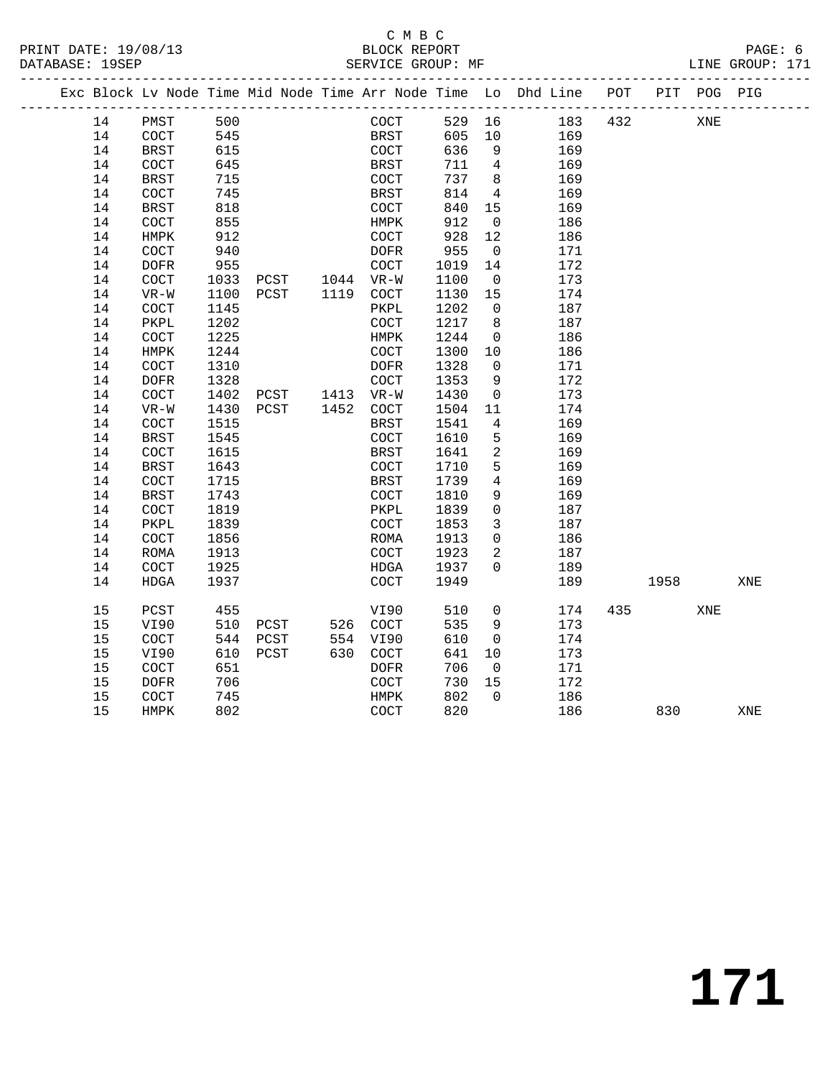#### C M B C<br>BLOCK REPORT SERVICE GROUP: MF

|  |    |             |      |                |             |      |                 | Exc Block Lv Node Time Mid Node Time Arr Node Time Lo Dhd Line POT |     |      | PIT POG PIG |     |
|--|----|-------------|------|----------------|-------------|------|-----------------|--------------------------------------------------------------------|-----|------|-------------|-----|
|  | 14 | PMST        | 500  |                | COCT        |      |                 | 529 16 183                                                         | 432 |      | XNE         |     |
|  | 14 | COCT        | 545  |                | BRST        | 605  | 10              | 169                                                                |     |      |             |     |
|  | 14 | <b>BRST</b> | 615  |                | COCT        | 636  | 9               | 169                                                                |     |      |             |     |
|  | 14 | COCT        | 645  |                | BRST        | 711  | $4\overline{ }$ | 169                                                                |     |      |             |     |
|  | 14 | <b>BRST</b> | 715  |                | COCT        | 737  | 8               | 169                                                                |     |      |             |     |
|  | 14 | COCT        | 745  |                | BRST        | 814  | $\overline{4}$  | 169                                                                |     |      |             |     |
|  | 14 | BRST        | 818  |                | COCT        | 840  | 15              | 169                                                                |     |      |             |     |
|  | 14 | <b>COCT</b> | 855  |                | HMPK        | 912  | $\overline{0}$  | 186                                                                |     |      |             |     |
|  | 14 | HMPK        | 912  |                | COCT        | 928  | 12              | 186                                                                |     |      |             |     |
|  | 14 | <b>COCT</b> | 940  |                | DOFR        | 955  | $\overline{0}$  | 171                                                                |     |      |             |     |
|  | 14 | <b>DOFR</b> | 955  |                | COCT        | 1019 | 14              | 172                                                                |     |      |             |     |
|  | 14 | <b>COCT</b> | 1033 | PCST 1044 VR-W |             | 1100 | $\overline{0}$  | 173                                                                |     |      |             |     |
|  | 14 | VR-W        | 1100 | PCST 1119      | COCT        | 1130 | 15              | 174                                                                |     |      |             |     |
|  | 14 | <b>COCT</b> | 1145 |                | PKPL        | 1202 | $\Omega$        | 187                                                                |     |      |             |     |
|  | 14 | PKPL        | 1202 |                | COCT        | 1217 | 8               | 187                                                                |     |      |             |     |
|  | 14 | COCT        | 1225 |                | HMPK        | 1244 | $\overline{0}$  | 186                                                                |     |      |             |     |
|  | 14 | HMPK        | 1244 |                | COCT        | 1300 | 10              | 186                                                                |     |      |             |     |
|  | 14 | COCT        | 1310 |                | DOFR        | 1328 | $\overline{0}$  | 171                                                                |     |      |             |     |
|  | 14 | <b>DOFR</b> | 1328 |                | COCT        | 1353 | 9               | 172                                                                |     |      |             |     |
|  | 14 | COCT        | 1402 | PCST 1413 VR-W |             | 1430 | $\overline{0}$  | 173                                                                |     |      |             |     |
|  | 14 | $VR-W$      | 1430 | PCST           | 1452 COCT   | 1504 | 11              | 174                                                                |     |      |             |     |
|  | 14 | COCT        | 1515 |                | <b>BRST</b> | 1541 | $\overline{4}$  | 169                                                                |     |      |             |     |
|  | 14 | <b>BRST</b> | 1545 |                | COCT        | 1610 | 5               | 169                                                                |     |      |             |     |
|  | 14 | <b>COCT</b> | 1615 |                | BRST        | 1641 | 2               | 169                                                                |     |      |             |     |
|  | 14 | BRST        | 1643 |                | COCT        | 1710 | 5               | 169                                                                |     |      |             |     |
|  | 14 | COCT        | 1715 |                | BRST        | 1739 | $\overline{4}$  | 169                                                                |     |      |             |     |
|  | 14 | <b>BRST</b> | 1743 |                | COCT        | 1810 | 9               | 169                                                                |     |      |             |     |
|  | 14 | COCT        | 1819 |                | PKPL        | 1839 | $\overline{0}$  | 187                                                                |     |      |             |     |
|  | 14 | PKPL        | 1839 |                | COCT        | 1853 | $\mathbf{3}$    | 187                                                                |     |      |             |     |
|  | 14 | <b>COCT</b> | 1856 |                | ROMA        | 1913 | $\Omega$        | 186                                                                |     |      |             |     |
|  | 14 | <b>ROMA</b> | 1913 |                | COCT        | 1923 | 2               | 187                                                                |     |      |             |     |
|  | 14 | <b>COCT</b> | 1925 |                | HDGA        | 1937 | $\Omega$        | 189                                                                |     |      |             |     |
|  | 14 | <b>HDGA</b> | 1937 |                | COCT        | 1949 |                 | 189                                                                |     | 1958 |             | XNE |
|  | 15 | PCST        | 455  |                | VI90        | 510  | $\overline{0}$  | 174                                                                | 435 |      | XNE         |     |
|  | 15 | VI90        | 510  | PCST           | 526 COCT    | 535  | 9               | 173                                                                |     |      |             |     |
|  | 15 | COCT        | 544  | PCST           | 554 VI90    | 610  | $\overline{0}$  | 174                                                                |     |      |             |     |
|  | 15 | VI90        | 610  | PCST           | 630 COCT    | 641  | 10              | 173                                                                |     |      |             |     |

 15 COCT 651 DOFR 706 0 171 15 DOFR 706 COCT 730 15 172 15 COCT 745 HMPK 802 0 186

15 HMPK 802 COCT 820 186 830 XNE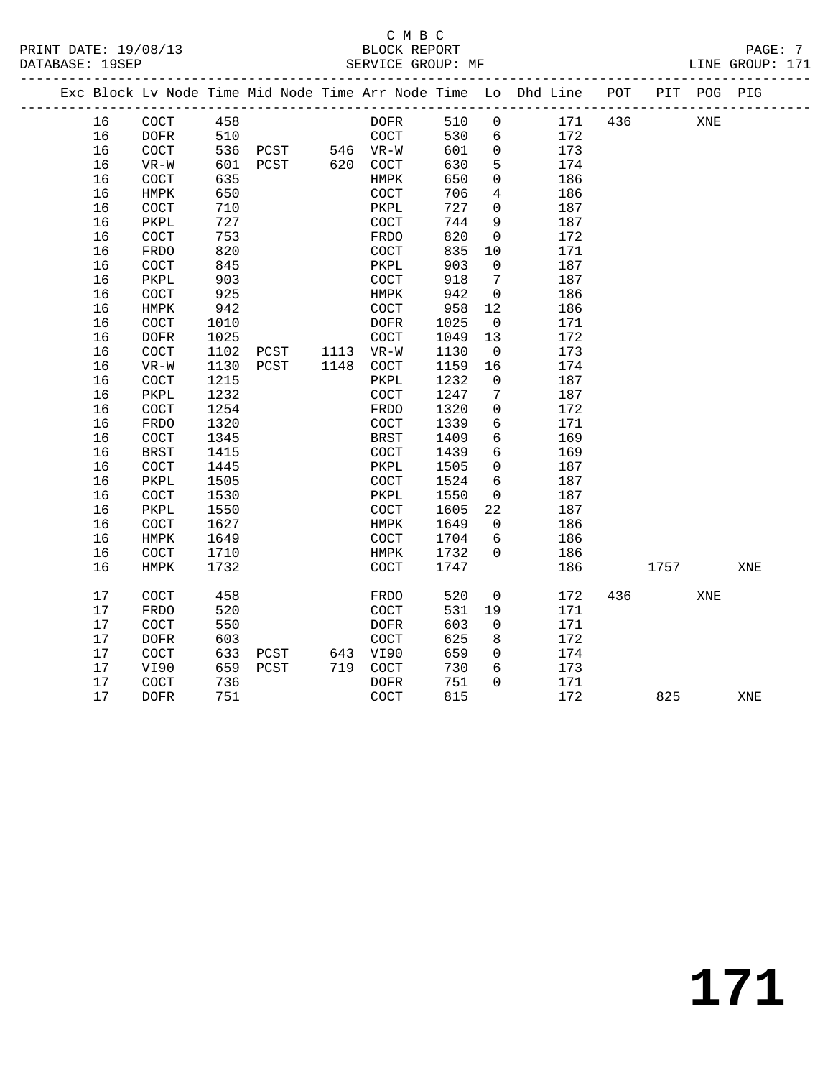## C M B C<br>BLOCK REPORT

PRINT DATE: 19/08/13 BLOCK REPORT PAGE: 7 LINE GROUP: 171 ------------------------------------------------------------------------------------------------- Exc Block Lv Node Time Mid Node Time Arr Node Time Lo Dhd Line POT PIT POG PIG

|    |                       |      |      |      | MONE TTIME           |      | ⊥∪           | pria ntile |     |      |     |     |  |
|----|-----------------------|------|------|------|----------------------|------|--------------|------------|-----|------|-----|-----|--|
| 16 | COCT                  | 458  |      |      | DOFR                 | 510  | 0            | 171        | 436 |      | XNE |     |  |
| 16 | <b>DOFR</b>           | 510  |      |      | $\operatorname{COT}$ | 530  | 6            | 172        |     |      |     |     |  |
| 16 | $\operatorname{COT}$  | 536  | PCST |      | 546 VR-W             | 601  | 0            | 173        |     |      |     |     |  |
| 16 | $VR-W$                | 601  | PCST | 620  | COCT                 | 630  | 5            | 174        |     |      |     |     |  |
| 16 | $\operatorname{COT}$  | 635  |      |      | HMPK                 | 650  | 0            | 186        |     |      |     |     |  |
| 16 | HMPK                  | 650  |      |      | $\operatorname{COT}$ | 706  | 4            | 186        |     |      |     |     |  |
| 16 | COCT                  | 710  |      |      | PKPL                 | 727  | $\mathbf 0$  | 187        |     |      |     |     |  |
| 16 | PKPL                  | 727  |      |      | $\operatorname{COT}$ | 744  | 9            | 187        |     |      |     |     |  |
| 16 | $\operatorname{COT}$  | 753  |      |      | FRDO                 | 820  | $\mathsf{O}$ | 172        |     |      |     |     |  |
| 16 | FRDO                  | 820  |      |      | $\operatorname{COT}$ | 835  | 10           | 171        |     |      |     |     |  |
| 16 | COCT                  | 845  |      |      | ${\tt PKPL}$         | 903  | $\mathbf 0$  | 187        |     |      |     |     |  |
| 16 | PKPL                  | 903  |      |      | COCT                 | 918  | 7            | 187        |     |      |     |     |  |
| 16 | COCT                  | 925  |      |      | HMPK                 | 942  | $\mathsf{O}$ | 186        |     |      |     |     |  |
| 16 | HMPK                  | 942  |      |      | $\operatorname{COT}$ | 958  | 12           | 186        |     |      |     |     |  |
| 16 | $\operatorname{COT}$  | 1010 |      |      | <b>DOFR</b>          | 1025 | $\mathbf 0$  | 171        |     |      |     |     |  |
| 16 | <b>DOFR</b>           | 1025 |      |      | COCT                 | 1049 | 13           | 172        |     |      |     |     |  |
| 16 | COCT                  | 1102 | PCST | 1113 | $VR-W$               | 1130 | $\mathsf{O}$ | 173        |     |      |     |     |  |
| 16 | $VR-W$                | 1130 | PCST | 1148 | COCT                 | 1159 | 16           | 174        |     |      |     |     |  |
| 16 | $\operatorname{COT}$  | 1215 |      |      | PKPL                 | 1232 | $\mathsf{O}$ | 187        |     |      |     |     |  |
| 16 | PKPL                  | 1232 |      |      | $\operatorname{COT}$ | 1247 | 7            | 187        |     |      |     |     |  |
| 16 | $\operatorname{COT}$  | 1254 |      |      | FRDO                 | 1320 | 0            | 172        |     |      |     |     |  |
| 16 | FRDO                  | 1320 |      |      | COCT                 | 1339 | 6            | 171        |     |      |     |     |  |
| 16 | COCT                  | 1345 |      |      | <b>BRST</b>          | 1409 | 6            | 169        |     |      |     |     |  |
| 16 | <b>BRST</b>           | 1415 |      |      | COCT                 | 1439 | 6            | 169        |     |      |     |     |  |
| 16 | COCT                  | 1445 |      |      | PKPL                 | 1505 | 0            | 187        |     |      |     |     |  |
| 16 | PKPL                  | 1505 |      |      | $\operatorname{COT}$ | 1524 | 6            | 187        |     |      |     |     |  |
| 16 | $\operatorname{COT}$  | 1530 |      |      | PKPL                 | 1550 | $\mathbf 0$  | 187        |     |      |     |     |  |
| 16 | PKPL                  | 1550 |      |      | COCT                 | 1605 | 22           | 187        |     |      |     |     |  |
| 16 | COCT                  | 1627 |      |      | HMPK                 | 1649 | $\mathbf 0$  | 186        |     |      |     |     |  |
| 16 | ${\tt HMPK}$          | 1649 |      |      | $\operatorname{COT}$ | 1704 | 6            | 186        |     |      |     |     |  |
| 16 | $\operatorname{COCT}$ | 1710 |      |      | HMPK                 | 1732 | $\mathbf 0$  | 186        |     |      |     |     |  |
| 16 | HMPK                  | 1732 |      |      | COCT                 | 1747 |              | 186        |     | 1757 |     | XNE |  |
| 17 | <b>COCT</b>           | 458  |      |      | <b>FRDO</b>          | 520  | $\mathbf 0$  | 172        | 436 |      | XNE |     |  |
| 17 | FRDO                  | 520  |      |      | COCT                 | 531  | 19           | 171        |     |      |     |     |  |
| 17 | COCT                  | 550  |      |      | <b>DOFR</b>          | 603  | $\mathbf 0$  | 171        |     |      |     |     |  |
| 17 | <b>DOFR</b>           | 603  |      |      | COCT                 | 625  | 8            | 172        |     |      |     |     |  |
| 17 | COCT                  | 633  | PCST | 643  | VI90                 | 659  | $\mathbf 0$  | 174        |     |      |     |     |  |
| 17 | VI90                  | 659  | PCST | 719  | $\operatorname{COT}$ | 730  | 6            | 173        |     |      |     |     |  |
| 17 | COCT                  | 736  |      |      | <b>DOFR</b>          | 751  | $\Omega$     | 171        |     |      |     |     |  |
| 17 | <b>DOFR</b>           | 751  |      |      | COCT                 | 815  |              | 172        |     | 825  |     | XNE |  |
|    |                       |      |      |      |                      |      |              |            |     |      |     |     |  |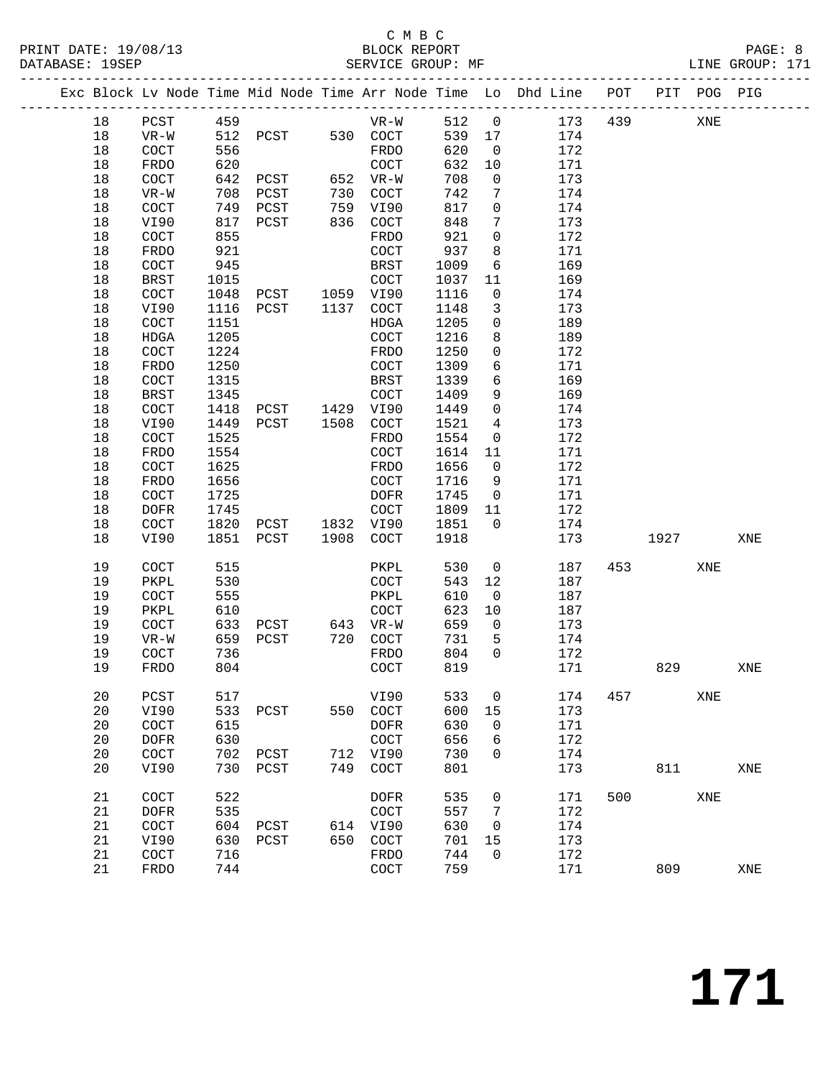#### C M B C<br>BLOCK REPORT PRINT DATE: 19/08/13 BLOCK REPORT PAGE: 8 SERVICE GROUP: MF

|  |          |                       |              |                |      |                       |              |                      | Exc Block Lv Node Time Mid Node Time Arr Node Time Lo Dhd Line POT |     |      | PIT POG PIG |     |
|--|----------|-----------------------|--------------|----------------|------|-----------------------|--------------|----------------------|--------------------------------------------------------------------|-----|------|-------------|-----|
|  | 18       | PCST                  | 459          |                |      | $VR-W$                | 512          | $\overline{0}$       | 173                                                                | 439 |      | XNE         |     |
|  | 18       | $VR-W$                | 512          | PCST           |      | 530 COCT              | 539          | 17                   | 174                                                                |     |      |             |     |
|  | 18       | COCT                  | 556          |                |      | FRDO                  | 620          | $\overline{0}$       | 172                                                                |     |      |             |     |
|  | 18       | FRDO                  | 620          |                |      | COCT                  | 632          | 10                   | 171                                                                |     |      |             |     |
|  | 18       | COCT                  | 642          | PCST           |      | 652 VR-W              | 708          | $\mathsf{O}$         | 173                                                                |     |      |             |     |
|  | 18       | $VR-W$                | 708          | PCST           | 730  | COCT                  | 742          | 7                    | 174                                                                |     |      |             |     |
|  | 18       | COCT                  | 749          | PCST           | 759  | VI90                  | 817          | $\mathbf 0$          | 174                                                                |     |      |             |     |
|  | 18       | VI90                  | 817          | PCST           | 836  | COCT                  | 848          | 7                    | 173                                                                |     |      |             |     |
|  | 18       | COCT                  | 855          |                |      | FRDO                  | 921          | $\mathbf 0$          | 172                                                                |     |      |             |     |
|  | 18       | FRDO                  | 921          |                |      | COCT                  | 937          | 8                    | 171                                                                |     |      |             |     |
|  | 18       | COCT                  | 945          |                |      | BRST                  | 1009         | 6                    | 169                                                                |     |      |             |     |
|  | 18       | BRST                  | 1015         |                |      | COCT                  | 1037         | 11                   | 169                                                                |     |      |             |     |
|  | 18       | COCT                  | 1048         | PCST 1059 VI90 |      |                       | 1116         | 0                    | 174                                                                |     |      |             |     |
|  | 18       | VI90                  | 1116         | PCST           | 1137 | COCT                  | 1148         | 3                    | 173                                                                |     |      |             |     |
|  | 18       | COCT                  | 1151         |                |      | HDGA                  | 1205         | $\mathbf 0$          | 189                                                                |     |      |             |     |
|  | 18       | HDGA                  | 1205         |                |      | COCT                  | 1216         | 8                    | 189                                                                |     |      |             |     |
|  | 18       | COCT                  | 1224         |                |      | FRDO                  | 1250         | $\mathbf 0$          | 172                                                                |     |      |             |     |
|  | 18       | FRDO                  | 1250         |                |      | COCT                  | 1309         | 6                    | 171                                                                |     |      |             |     |
|  | 18       | COCT                  | 1315         |                |      | BRST                  | 1339         | 6                    | 169                                                                |     |      |             |     |
|  | 18       | <b>BRST</b>           | 1345         |                |      | COCT                  | 1409         | 9                    | 169                                                                |     |      |             |     |
|  | 18       | COCT                  | 1418         | PCST 1429      |      | VI90                  | 1449         | $\mathbf 0$          | 174                                                                |     |      |             |     |
|  | 18       | VI90                  | 1449         | PCST           | 1508 | COCT                  | 1521         | $\overline{4}$       | 173                                                                |     |      |             |     |
|  | 18       | COCT                  | 1525         |                |      | FRDO                  | 1554         | $\mathsf{O}$         | 172                                                                |     |      |             |     |
|  | 18       | FRDO                  | 1554<br>1625 |                |      | COCT                  | 1614         | 11<br>$\overline{0}$ | 171<br>172                                                         |     |      |             |     |
|  | 18<br>18 | COCT<br>FRDO          | 1656         |                |      | FRDO<br>COCT          | 1656<br>1716 | 9                    | 171                                                                |     |      |             |     |
|  | 18       | COCT                  | 1725         |                |      | <b>DOFR</b>           | 1745         | $\overline{0}$       | 171                                                                |     |      |             |     |
|  | 18       | <b>DOFR</b>           | 1745         |                |      | $\operatorname{COT}$  | 1809         | 11                   | 172                                                                |     |      |             |     |
|  | 18       | COCT                  | 1820         | PCST 1832 VI90 |      |                       | 1851         | $\overline{0}$       | 174                                                                |     |      |             |     |
|  | 18       | VI90                  | 1851         | PCST           | 1908 | COCT                  | 1918         |                      | 173                                                                |     | 1927 |             | XNE |
|  |          |                       |              |                |      |                       |              |                      |                                                                    |     |      |             |     |
|  | 19       | COCT                  | 515          |                |      | PKPL                  | 530          | $\mathsf{O}$         | 187                                                                | 453 |      | XNE         |     |
|  | 19       | PKPL                  | 530          |                |      | COCT                  | 543          | 12                   | 187                                                                |     |      |             |     |
|  | 19       | COCT                  | 555          |                |      | PKPL                  | 610          | $\overline{0}$       | 187                                                                |     |      |             |     |
|  | 19       | PKPL                  | 610          |                |      | COCT                  | 623          | 10                   | 187                                                                |     |      |             |     |
|  | 19       | COCT                  | 633          | PCST           |      | 643 VR-W              | 659          | $\overline{0}$       | 173                                                                |     |      |             |     |
|  | 19       | VR-W                  | 659          | PCST           | 720  | COCT                  | 731          | 5                    | 174                                                                |     |      |             |     |
|  | 19       | $\operatorname{COCT}$ | 736          |                |      | FRDO                  | 804          | $\Omega$             | 172                                                                |     |      |             |     |
|  | 19       | FRDO                  | 804          |                |      | COCT                  | 819          |                      | 171                                                                |     | 829  |             | XNE |
|  | 20       | PCST                  | 517          |                |      | VI90                  | 533          | 0                    | 174                                                                | 457 |      | XNE         |     |
|  | 20       | VI90                  | 533          | PCST           | 550  | COCT                  | 600          | 15                   | 173                                                                |     |      |             |     |
|  | 20       | COCT                  | 615          |                |      | <b>DOFR</b>           | 630          | 0                    | 171                                                                |     |      |             |     |
|  | 20       | <b>DOFR</b>           | 630          |                |      | COCT                  | 656          | 6                    | 172                                                                |     |      |             |     |
|  | 20       | COCT                  | 702          | PCST           | 712  | VI90                  | 730          | 0                    | 174                                                                |     |      |             |     |
|  | 20       | VI90                  | 730          | PCST           | 749  | $\operatorname{COT}$  | 801          |                      | 173                                                                |     | 811  |             | XNE |
|  | 21       | COCT                  | 522          |                |      | <b>DOFR</b>           | 535          | 0                    | 171                                                                | 500 |      | XNE         |     |
|  | 21       | <b>DOFR</b>           | 535          |                |      | COCT                  | 557          | 7                    | 172                                                                |     |      |             |     |
|  | 21       | COCT                  | 604          | PCST           | 614  | VI90                  | 630          | 0                    | 174                                                                |     |      |             |     |
|  | 21       | VI90                  | 630          | PCST           | 650  | $\operatorname{COCT}$ | 701          | 15                   | 173                                                                |     |      |             |     |
|  | 21       | COCT                  | 716          |                |      | FRDO                  | 744          | 0                    | 172                                                                |     |      |             |     |
|  | 21       | FRDO                  | 744          |                |      | COCT                  | 759          |                      | 171                                                                |     | 809  |             | XNE |
|  |          |                       |              |                |      |                       |              |                      |                                                                    |     |      |             |     |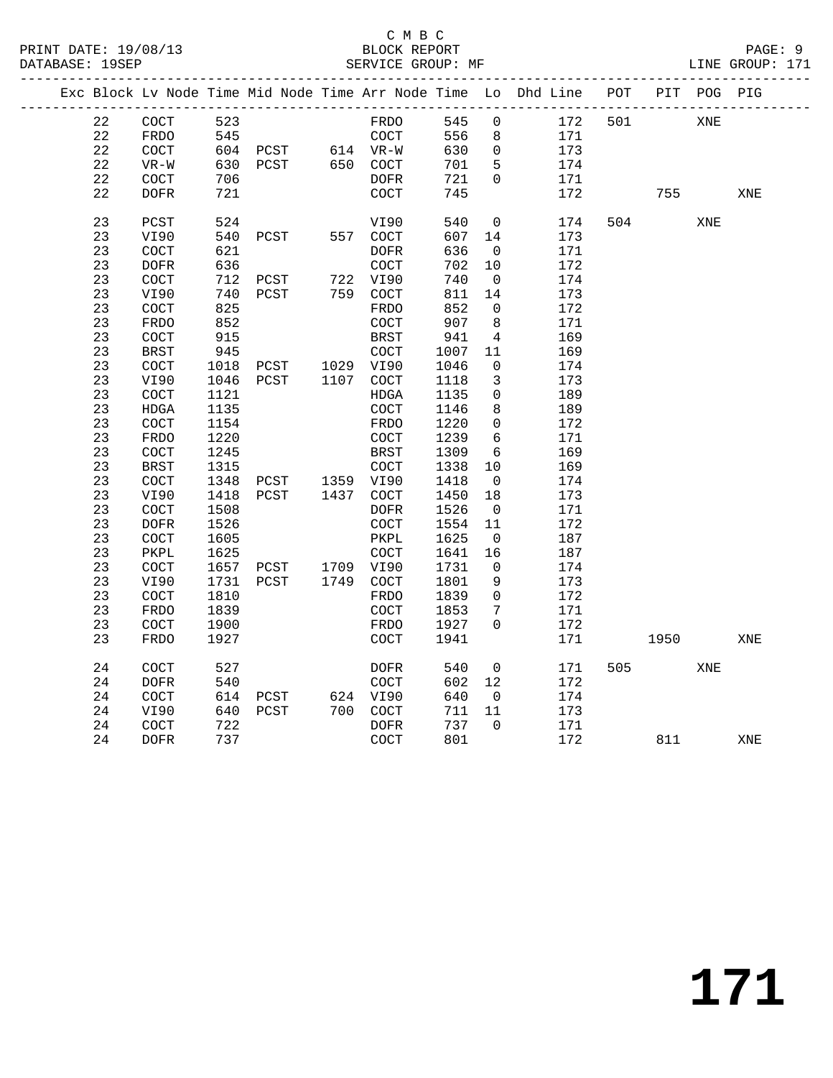#### C M B C<br>BLOCK REPORT SERVICE GROUP: MF

|  |          |             |      |          |      |                       |            |                | Exc Block Lv Node Time Mid Node Time Arr Node Time Lo Dhd Line | POT |      | PIT POG PIG |     |
|--|----------|-------------|------|----------|------|-----------------------|------------|----------------|----------------------------------------------------------------|-----|------|-------------|-----|
|  | 22       | COCT        | 523  |          |      | FRDO                  | 545        | 0              | 172                                                            | 501 |      | XNE         |     |
|  | 22       | FRDO        | 545  |          |      | COCT                  | 556        | 8              | 171                                                            |     |      |             |     |
|  | 22       | <b>COCT</b> |      | 604 PCST |      | 614 VR-W              | 630        | 0              | 173                                                            |     |      |             |     |
|  | 22       | $VR-W$      | 630  | PCST     |      | 650 COCT              | 701        | 5              | 174                                                            |     |      |             |     |
|  | 22       | COCT        | 706  |          |      | <b>DOFR</b>           | 721        | $\Omega$       | 171                                                            |     |      |             |     |
|  | 22       | <b>DOFR</b> | 721  |          |      | COCT                  | 745        |                | 172                                                            |     | 755  |             | XNE |
|  |          |             |      |          |      |                       |            |                |                                                                |     |      |             |     |
|  | 23       | PCST        | 524  |          |      | VI90                  | 540        | 0              | 174                                                            | 504 |      | XNE         |     |
|  | 23       | VI90        | 540  | PCST     |      | 557 COCT              | 607        | 14             | 173                                                            |     |      |             |     |
|  | 23       | COCT        | 621  |          |      | <b>DOFR</b>           | 636        | 0              | 171                                                            |     |      |             |     |
|  | 23       | <b>DOFR</b> | 636  |          |      | COCT                  | 702        | 10             | 172                                                            |     |      |             |     |
|  | 23       | COCT        | 712  | PCST     |      | 722 VI90              | 740        | $\mathbf 0$    | 174                                                            |     |      |             |     |
|  | 23       | VI90        | 740  | PCST     |      | 759 COCT              | 811        | 14             | 173                                                            |     |      |             |     |
|  | 23       | COCT        | 825  |          |      | FRDO                  | 852        | $\mathbf 0$    | 172                                                            |     |      |             |     |
|  | 23       | <b>FRDO</b> | 852  |          |      | COCT                  | 907        | 8              | 171                                                            |     |      |             |     |
|  | 23       | COCT        | 915  |          |      | <b>BRST</b>           | 941        | 4              | 169                                                            |     |      |             |     |
|  | 23       | <b>BRST</b> | 945  |          |      | COCT                  | 1007       | 11             | 169                                                            |     |      |             |     |
|  | 23       | COCT        | 1018 | PCST     |      | 1029 VI90             | 1046       | $\mathbf 0$    | 174                                                            |     |      |             |     |
|  | 23       | VI90        | 1046 | PCST     | 1107 | COCT                  | 1118       | 3              | 173                                                            |     |      |             |     |
|  | 23       | COCT        | 1121 |          |      | HDGA                  | 1135       | $\mathbf 0$    | 189                                                            |     |      |             |     |
|  | 23       | <b>HDGA</b> | 1135 |          |      | COCT                  | 1146       | 8              | 189                                                            |     |      |             |     |
|  | 23       | COCT        | 1154 |          |      | FRDO                  | 1220       | 0              | 172                                                            |     |      |             |     |
|  | 23       | <b>FRDO</b> | 1220 |          |      | COCT                  | 1239       | 6              | 171                                                            |     |      |             |     |
|  | 23       | COCT        | 1245 |          |      | <b>BRST</b>           | 1309       | 6              | 169                                                            |     |      |             |     |
|  | 23       | <b>BRST</b> | 1315 |          |      | COCT                  | 1338       | 10             | 169                                                            |     |      |             |     |
|  | 23       | COCT        | 1348 | PCST     |      | 1359 VI90             | 1418       | $\mathbf 0$    | 174                                                            |     |      |             |     |
|  | 23       | VI90        | 1418 | PCST     | 1437 | COCT                  | 1450       | 18             | 173                                                            |     |      |             |     |
|  | 23       | COCT        | 1508 |          |      | DOFR                  | 1526       | $\overline{0}$ | 171                                                            |     |      |             |     |
|  | 23       | <b>DOFR</b> | 1526 |          |      | $\operatorname{COCT}$ | 1554       | 11             | 172                                                            |     |      |             |     |
|  | 23       | COCT        | 1605 |          |      | PKPL                  | 1625       | $\overline{0}$ | 187                                                            |     |      |             |     |
|  | 23       | PKPL        | 1625 |          |      | COCT                  | 1641       | 16             | 187                                                            |     |      |             |     |
|  | 23       | COCT        | 1657 | PCST     |      | 1709 VI90             | 1731       | $\mathbf 0$    | 174                                                            |     |      |             |     |
|  | 23       | VI90        | 1731 | PCST     |      | 1749 COCT             | 1801       | 9              | 173                                                            |     |      |             |     |
|  | 23       | COCT        | 1810 |          |      | FRDO                  | 1839       | $\mathbf 0$    | 172                                                            |     |      |             |     |
|  | 23       | <b>FRDO</b> | 1839 |          |      | COCT                  | 1853       | 7              | 171                                                            |     |      |             |     |
|  | 23       | COCT        | 1900 |          |      | FRDO                  | 1927       | $\Omega$       | 172                                                            |     |      |             |     |
|  | 23       | <b>FRDO</b> | 1927 |          |      | COCT                  | 1941       |                | 171                                                            |     | 1950 |             | XNE |
|  |          |             |      |          |      |                       |            |                |                                                                |     |      |             |     |
|  | 24       | COCT        | 527  |          |      | DOFR                  | 540        | 0              | 171                                                            | 505 |      | XNE         |     |
|  | 24<br>24 | <b>DOFR</b> | 540  |          |      | COCT                  | 602<br>640 | 12             | 172                                                            |     |      |             |     |
|  |          | COCT        | 614  | PCST     |      | 624 VI90              |            | $\mathbf 0$    | 174                                                            |     |      |             |     |
|  | 24       | VI90        | 640  | PCST     | 700  | COCT                  | 711        | 11             | 173                                                            |     |      |             |     |
|  | 24       | COCT        | 722  |          |      | <b>DOFR</b>           | 737        | $\Omega$       | 171                                                            |     |      |             |     |
|  | 24       | <b>DOFR</b> | 737  |          |      | $\operatorname{COT}$  | 801        |                | 172                                                            |     | 811  |             | XNE |
|  |          |             |      |          |      |                       |            |                |                                                                |     |      |             |     |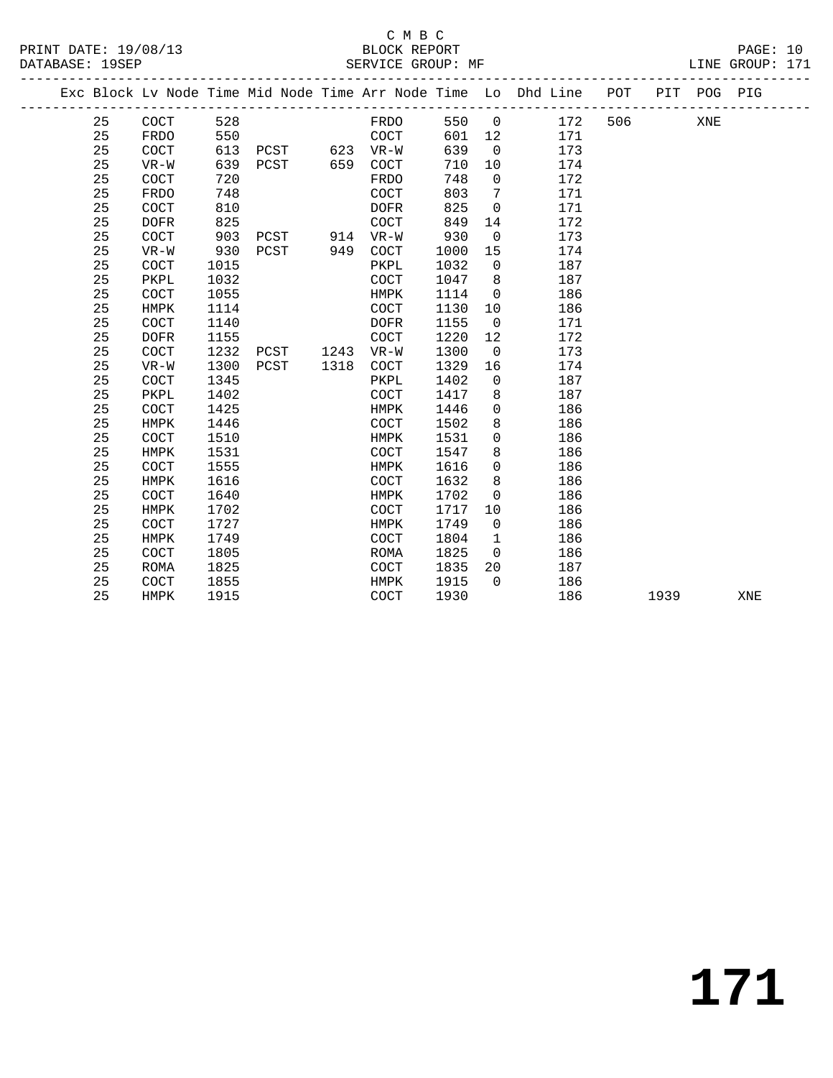### C M B C<br>BLOCK REPORT

PAGE: 10<br>LINE GROUP: 171

|  |    |                      |      |               |      |                      |      |                | Exc Block Lv Node Time Mid Node Time Arr Node Time Lo Dhd Line POT<br>------------------------------------ |     |      | PIT POG PIG |     |
|--|----|----------------------|------|---------------|------|----------------------|------|----------------|------------------------------------------------------------------------------------------------------------|-----|------|-------------|-----|
|  | 25 | COCT                 | 528  |               |      | FRDO                 | 550  | $\overline{0}$ | 172                                                                                                        | 506 |      | XNE         |     |
|  | 25 | FRDO                 | 550  |               |      | COCT                 | 601  | 12             | 171                                                                                                        |     |      |             |     |
|  | 25 | COCT                 | 613  | PCST 623 VR-W |      |                      | 639  | $\overline{0}$ | 173                                                                                                        |     |      |             |     |
|  | 25 | $VR-W$               | 639  | PCST 659 COCT |      |                      | 710  | 10             | 174                                                                                                        |     |      |             |     |
|  | 25 | <b>COCT</b>          | 720  |               |      | FRDO                 | 748  | $\overline{0}$ | 172                                                                                                        |     |      |             |     |
|  | 25 | <b>FRDO</b>          | 748  |               |      | <b>COCT</b>          | 803  | 7              | 171                                                                                                        |     |      |             |     |
|  | 25 | <b>COCT</b>          | 810  |               |      | <b>DOFR</b>          | 825  | $\overline{0}$ | 171                                                                                                        |     |      |             |     |
|  | 25 | <b>DOFR</b>          | 825  |               |      | <b>COCT</b>          | 849  | 14             | 172                                                                                                        |     |      |             |     |
|  | 25 | <b>COCT</b>          | 903  | PCST          |      | 914 VR-W             | 930  | $\overline{0}$ | 173                                                                                                        |     |      |             |     |
|  | 25 | $VR-W$               | 930  | PCST          | 949  | COCT                 | 1000 | 15             | 174                                                                                                        |     |      |             |     |
|  | 25 | <b>COCT</b>          | 1015 |               |      | PKPL                 | 1032 | $\mathbf 0$    | 187                                                                                                        |     |      |             |     |
|  | 25 | PKPL                 | 1032 |               |      | $\operatorname{COT}$ | 1047 | 8              | 187                                                                                                        |     |      |             |     |
|  | 25 | COCT                 | 1055 |               |      | HMPK                 | 1114 | $\overline{0}$ | 186                                                                                                        |     |      |             |     |
|  | 25 | HMPK                 | 1114 |               |      | COCT                 | 1130 | 10             | 186                                                                                                        |     |      |             |     |
|  | 25 | COCT                 | 1140 |               |      | <b>DOFR</b>          | 1155 | $\overline{0}$ | 171                                                                                                        |     |      |             |     |
|  | 25 | <b>DOFR</b>          | 1155 |               |      | COCT                 | 1220 | 12             | 172                                                                                                        |     |      |             |     |
|  | 25 | COCT                 | 1232 | PCST          |      | 1243 VR-W            | 1300 | $\overline{0}$ | 173                                                                                                        |     |      |             |     |
|  | 25 | $VR-W$               | 1300 | PCST          | 1318 | COCT                 | 1329 | 16             | 174                                                                                                        |     |      |             |     |
|  | 25 | COCT                 | 1345 |               |      | PKPL                 | 1402 | $\mathbf 0$    | 187                                                                                                        |     |      |             |     |
|  | 25 | PKPL                 | 1402 |               |      | COCT                 | 1417 | 8              | 187                                                                                                        |     |      |             |     |
|  | 25 | COCT                 | 1425 |               |      | HMPK                 | 1446 | $\mathbf 0$    | 186                                                                                                        |     |      |             |     |
|  | 25 | <b>HMPK</b>          | 1446 |               |      | COCT                 | 1502 | 8              | 186                                                                                                        |     |      |             |     |
|  | 25 | COCT                 | 1510 |               |      | HMPK                 | 1531 | $\mathbf 0$    | 186                                                                                                        |     |      |             |     |
|  | 25 | HMPK                 | 1531 |               |      | COCT                 | 1547 | 8              | 186                                                                                                        |     |      |             |     |
|  | 25 | COCT                 | 1555 |               |      | HMPK                 | 1616 | $\mathbf 0$    | 186                                                                                                        |     |      |             |     |
|  | 25 | HMPK                 | 1616 |               |      | COCT                 | 1632 | 8              | 186                                                                                                        |     |      |             |     |
|  | 25 | COCT                 | 1640 |               |      | HMPK                 | 1702 | $\mathbf 0$    | 186                                                                                                        |     |      |             |     |
|  | 25 | HMPK                 | 1702 |               |      | COCT                 | 1717 | 10             | 186                                                                                                        |     |      |             |     |
|  | 25 | COCT                 | 1727 |               |      | HMPK                 | 1749 | $\mathbf 0$    | 186                                                                                                        |     |      |             |     |
|  | 25 | <b>HMPK</b>          | 1749 |               |      | COCT                 | 1804 | $\mathbf{1}$   | 186                                                                                                        |     |      |             |     |
|  | 25 | COCT                 | 1805 |               |      | ROMA                 | 1825 | $\overline{0}$ | 186                                                                                                        |     |      |             |     |
|  | 25 | <b>ROMA</b>          | 1825 |               |      | $\operatorname{COT}$ | 1835 | 20             | 187                                                                                                        |     |      |             |     |
|  | 25 | $\operatorname{COT}$ | 1855 |               |      | HMPK                 | 1915 | $\Omega$       | 186                                                                                                        |     |      |             |     |
|  | 25 | HMPK                 | 1915 |               |      | COCT                 | 1930 |                | 186                                                                                                        |     | 1939 |             | XNE |
|  |    |                      |      |               |      |                      |      |                |                                                                                                            |     |      |             |     |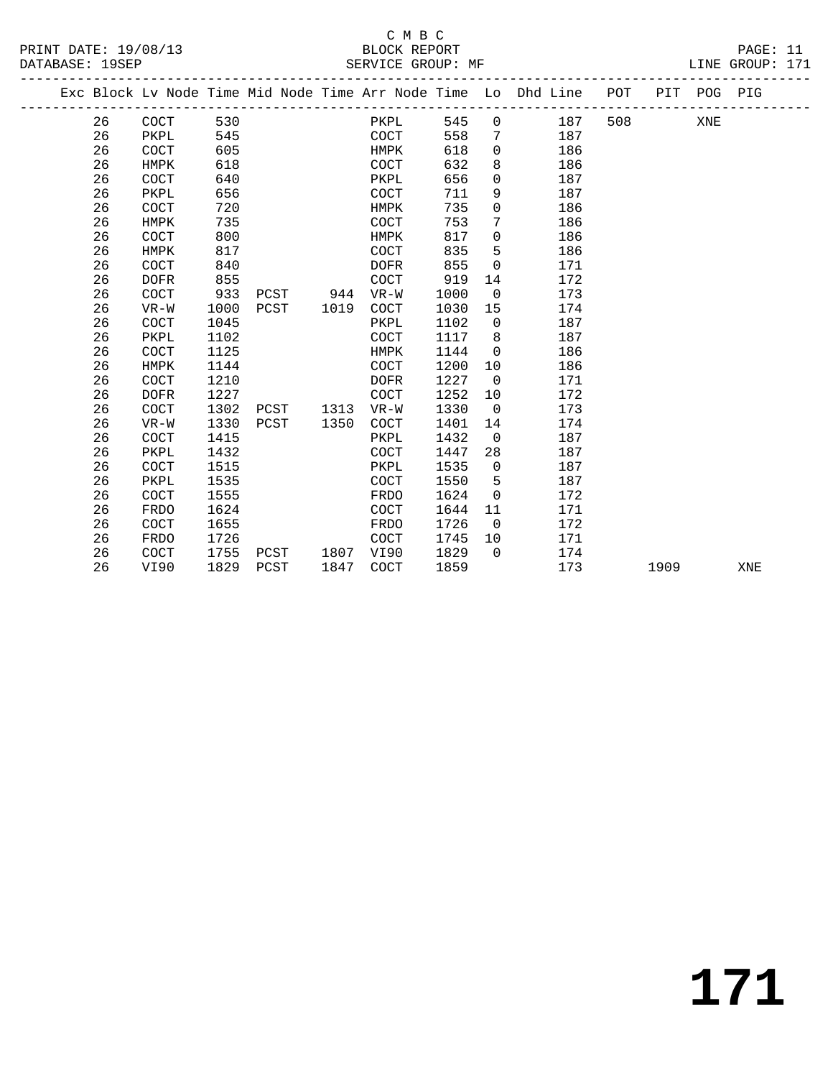PRINT DATE: 19/08/13 BLOCK REPORT PAGE: 11 DATABASE: 19SEP

### C M B C<br>BLOCK REPORT

| DAIADAOE: 170EE |    |                                                                                |      |      |      |          |             |      | DEIVATOR GIVOOL, ML |                          |     |        |     | <b>TIME GIVOOL.</b> |
|-----------------|----|--------------------------------------------------------------------------------|------|------|------|----------|-------------|------|---------------------|--------------------------|-----|--------|-----|---------------------|
|                 |    | Exc Block Lv Node Time Mid Node Time Arr Node Time Lo Dhd Line POT PIT POG PIG |      |      |      |          |             |      |                     |                          |     |        |     |                     |
|                 | 26 | COCT                                                                           | 530  |      |      |          |             | PKPL | 545                 | $\overline{0}$           | 187 | 508 70 | XNE |                     |
|                 | 26 | PKPL                                                                           | 545  |      |      |          | COCT        |      | 558                 | 7                        | 187 |        |     |                     |
|                 | 26 | COCT                                                                           | 605  |      |      |          | HMPK        |      | 618                 | $\Omega$                 | 186 |        |     |                     |
|                 | 26 | HMPK                                                                           | 618  |      |      |          | COCT        |      | 632                 | 8                        | 186 |        |     |                     |
|                 | 26 | COCT                                                                           | 640  |      |      |          | PKPL        |      | 656                 | $\Omega$                 | 187 |        |     |                     |
|                 | 26 | PKPL                                                                           | 656  |      |      |          | COCT        |      | 711                 | 9                        | 187 |        |     |                     |
|                 | 26 | COCT                                                                           | 720  |      |      |          | HMPK        |      | 735                 | $\Omega$                 | 186 |        |     |                     |
|                 | 26 | HMPK                                                                           | 735  |      |      |          | COCT        |      | 753                 | 7                        | 186 |        |     |                     |
|                 | 26 | COCT                                                                           | 800  |      |      |          | HMPK        |      | 817                 | $\mathbf 0$              | 186 |        |     |                     |
|                 | 26 | HMPK                                                                           | 817  |      |      |          | COCT        |      | 835                 | 5                        | 186 |        |     |                     |
|                 | 26 | COCT                                                                           | 840  |      |      |          | DOFR        |      | 855                 | $\Omega$                 | 171 |        |     |                     |
|                 | 26 | <b>DOFR</b>                                                                    | 855  |      |      |          | COCT        |      | 919                 | 14                       | 172 |        |     |                     |
|                 | 26 | <b>COCT</b>                                                                    | 933  |      |      | PCST 944 | VR-W        |      | 1000                | $\Omega$                 | 173 |        |     |                     |
|                 | 26 | $VR-W$                                                                         | 1000 |      | PCST | 1019     | COCT        |      | 1030                | 15                       | 174 |        |     |                     |
|                 | 26 | <b>COCT</b>                                                                    | 1045 |      |      |          | PKPL        |      | 1102                | $\overline{0}$           | 187 |        |     |                     |
|                 | 26 | PKPL                                                                           | 1102 |      |      |          | COCT        |      | 1117                | 8                        | 187 |        |     |                     |
|                 | 26 | COCT                                                                           | 1125 |      |      |          | HMPK        |      | 1144                | $\Omega$                 | 186 |        |     |                     |
|                 | 26 | HMPK                                                                           | 1144 |      |      |          | COCT        |      | 1200                | 10                       | 186 |        |     |                     |
|                 | 26 | COCT                                                                           | 1210 |      |      |          | DOFR        |      | 1227                | $\overline{\phantom{0}}$ | 171 |        |     |                     |
|                 | 26 | <b>DOFR</b>                                                                    | 1227 |      |      |          | <b>COCT</b> |      | 1252                | 10                       | 172 |        |     |                     |
|                 | 26 | <b>COCT</b>                                                                    | 1302 | PCST |      | 1313     | $VR-W$      |      | 1330                | $\overline{0}$           | 173 |        |     |                     |
|                 | 26 | $VR-W$                                                                         | 1330 | PCST |      | 1350     | COCT        |      | 1401                | 14                       | 174 |        |     |                     |
|                 | 26 | COCT                                                                           | 1415 |      |      |          | PKPL        |      | 1432                | $\Omega$                 | 187 |        |     |                     |
|                 | 26 | PKPL                                                                           | 1432 |      |      |          | COCT        |      | 1447                | 28                       | 187 |        |     |                     |
|                 | 26 | COCT                                                                           | 1515 |      |      |          | PKPL        |      | 1535                | $\overline{0}$           | 187 |        |     |                     |
|                 | 26 | PKPL                                                                           | 1535 |      |      |          | <b>COCT</b> |      | 1550                | 5                        | 187 |        |     |                     |

26 COCT 1555 FRDO 1624 0 172

 26 COCT 1655 FRDO 1726 0 172 26 FRDO 1726 COCT 1745 10 171 26 COCT 1755 PCST 1807 VI90 1829 0 174

26 FRDO 1624 COCT 1644 11 171

26 VI90 1829 PCST 1847 COCT 1859 173 1909 XNE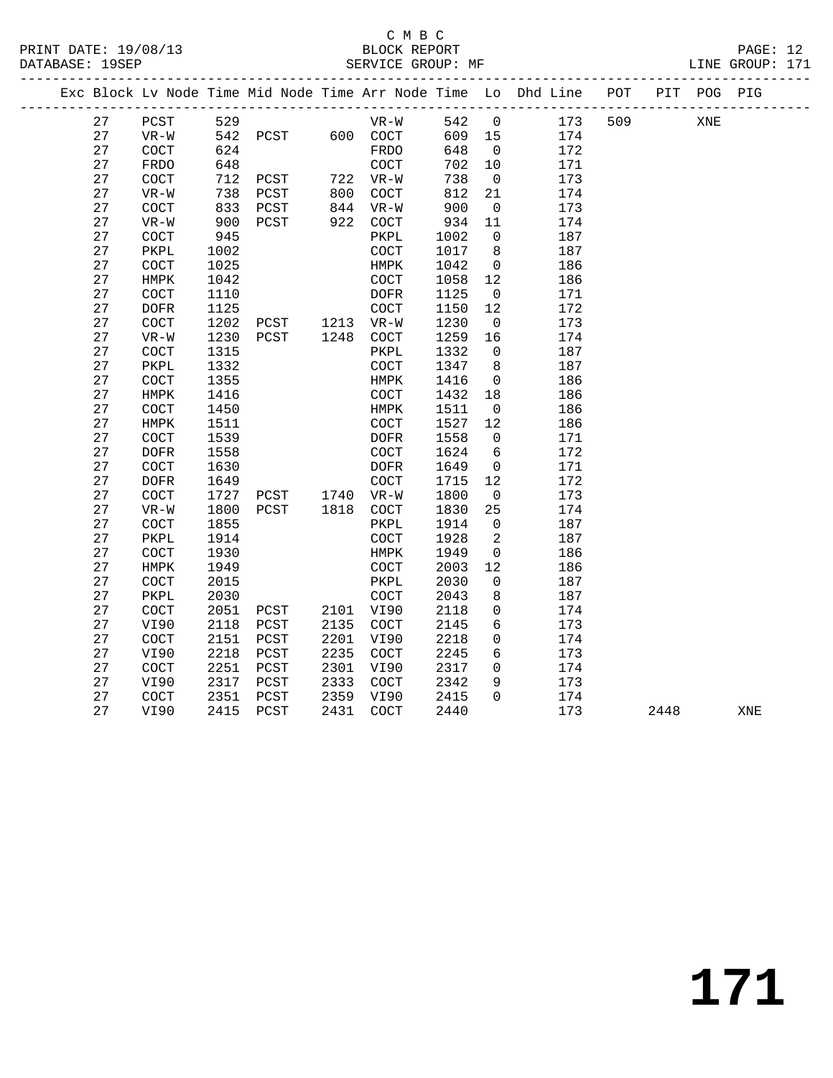#### C M B C<br>BLOCK REPORT SERVICE GROUP: MF

|    |                      |      |                |            |                      |        |                          | Exc Block Lv Node Time Mid Node Time Arr Node Time Lo Dhd Line POT |     |      | PIT POG PIG |            |
|----|----------------------|------|----------------|------------|----------------------|--------|--------------------------|--------------------------------------------------------------------|-----|------|-------------|------------|
| 27 | PCST                 | 529  |                |            | VR-W                 | 542    | $\overline{0}$           | 173                                                                | 509 |      | XNE         |            |
| 27 | $VR-W$               | 542  | PCST           |            | 600 COCT             | 609 15 |                          | 174                                                                |     |      |             |            |
| 27 | $\operatorname{COT}$ | 624  |                |            | FRDO                 | 648    | $\overline{0}$           | 172                                                                |     |      |             |            |
| 27 | FRDO                 | 648  |                |            | COCT                 | 702    | 10                       | 171                                                                |     |      |             |            |
| 27 | $\operatorname{COT}$ | 712  | PCST           | 722<br>800 | 722 VR-W             | 738    | $\overline{0}$           | 173                                                                |     |      |             |            |
| 27 | $VR-W$               | 738  | PCST           |            | COCT                 | 812    | 21                       | 174                                                                |     |      |             |            |
| 27 | <b>COCT</b>          | 833  | PCST           |            | 844 VR-W             | 900    | $\overline{0}$           | 173                                                                |     |      |             |            |
| 27 | $VR-W$               | 900  | PCST           | 922        | COCT                 | 934    | 11                       | 174                                                                |     |      |             |            |
| 27 | COCT                 | 945  |                |            | PKPL                 | 1002   | $\overline{0}$           | 187                                                                |     |      |             |            |
| 27 | PKPL                 | 1002 |                |            | COCT                 | 1017   | 8                        | 187                                                                |     |      |             |            |
| 27 | $\operatorname{COT}$ | 1025 |                |            | HMPK                 | 1042   | $\overline{0}$           | 186                                                                |     |      |             |            |
| 27 | HMPK                 | 1042 |                |            | $\operatorname{COT}$ | 1058   | 12                       | 186                                                                |     |      |             |            |
| 27 | $\operatorname{COT}$ | 1110 |                |            | DOFR                 | 1125   | $\overline{0}$           | 171                                                                |     |      |             |            |
| 27 | <b>DOFR</b>          | 1125 |                |            | COCT                 | 1150   | 12                       | 172                                                                |     |      |             |            |
| 27 | COCT                 | 1202 | PCST 1213 VR-W |            |                      | 1230   | $\overline{0}$           | 173                                                                |     |      |             |            |
| 27 | $VR-W$               | 1230 | PCST           |            | 1248 COCT            | 1259   | 16                       | 174                                                                |     |      |             |            |
| 27 | COCT                 | 1315 |                |            | PKPL                 | 1332   | $\overline{0}$           | 187                                                                |     |      |             |            |
| 27 | PKPL                 | 1332 |                |            | COCT                 | 1347   | 8                        | 187                                                                |     |      |             |            |
| 27 | COCT                 | 1355 |                |            | HMPK                 | 1416   | $\overline{0}$           | 186                                                                |     |      |             |            |
| 27 | HMPK                 | 1416 |                |            | COCT                 | 1432   | 18                       | 186                                                                |     |      |             |            |
| 27 | $\operatorname{COT}$ | 1450 |                |            | HMPK                 | 1511   | $\overline{0}$           | 186                                                                |     |      |             |            |
| 27 | ${\tt HMPK}$         | 1511 |                |            | $\operatorname{COT}$ | 1527   | 12                       | 186                                                                |     |      |             |            |
| 27 | <b>COCT</b>          | 1539 |                |            | DOFR                 | 1558   | $\overline{0}$           | 171                                                                |     |      |             |            |
| 27 | <b>DOFR</b>          | 1558 |                |            | COCT                 | 1624   | 6                        | 172                                                                |     |      |             |            |
| 27 | COCT                 | 1630 |                |            | DOFR                 | 1649   | $\overline{0}$           | 171                                                                |     |      |             |            |
| 27 | <b>DOFR</b>          | 1649 |                |            | COCT                 | 1715   | 12                       | 172                                                                |     |      |             |            |
| 27 | COCT                 | 1727 | PCST 1740 VR-W |            |                      | 1800   | $\overline{0}$           | 173                                                                |     |      |             |            |
| 27 | $VR-W$               | 1800 | PCST           |            | 1818 COCT            | 1830   | 25                       | 174                                                                |     |      |             |            |
| 27 | COCT                 | 1855 |                |            | PKPL                 | 1914   | $\overline{0}$           | 187                                                                |     |      |             |            |
| 27 | PKPL                 | 1914 |                |            | <b>COCT</b>          | 1928   | 2                        | 187                                                                |     |      |             |            |
| 27 | COCT                 | 1930 |                |            | HMPK                 | 1949   | $\overline{\phantom{0}}$ | 186                                                                |     |      |             |            |
| 27 | ${\tt HMPK}$         | 1949 |                |            | $\operatorname{COT}$ | 2003   | 12                       | 186                                                                |     |      |             |            |
| 27 | <b>COCT</b>          | 2015 |                |            | PKPL                 | 2030   | $\overline{0}$           | 187                                                                |     |      |             |            |
| 27 | PKPL                 | 2030 |                |            | COCT                 | 2043   | 8                        | 187                                                                |     |      |             |            |
| 27 | $\operatorname{COT}$ | 2051 | PCST           |            | 2101 VI90            | 2118   | 0                        | 174                                                                |     |      |             |            |
| 27 | VI90                 | 2118 | PCST           | 2135       | COCT                 | 2145   | 6                        | 173                                                                |     |      |             |            |
| 27 | $\operatorname{COT}$ | 2151 | PCST           | 2201       | VI90                 | 2218   | 0                        | 174                                                                |     |      |             |            |
| 27 | VI90                 | 2218 | PCST           | 2235       | COCT                 | 2245   | $6\overline{6}$          | 173                                                                |     |      |             |            |
| 27 | $\operatorname{COT}$ | 2251 | PCST           | 2301       | VI90                 | 2317   | $\mathbf 0$              | 174                                                                |     |      |             |            |
| 27 | VI90                 | 2317 | PCST           | 2333       | COCT                 | 2342   | 9                        | 173                                                                |     |      |             |            |
| 27 | COCT                 | 2351 | PCST           | 2359       | VI90                 | 2415   | $\Omega$                 | 174                                                                |     |      |             |            |
| 27 | VI90                 | 2415 | PCST           | 2431       | COCT                 | 2440   |                          | 173                                                                |     | 2448 |             | <b>XNE</b> |
|    |                      |      |                |            |                      |        |                          |                                                                    |     |      |             |            |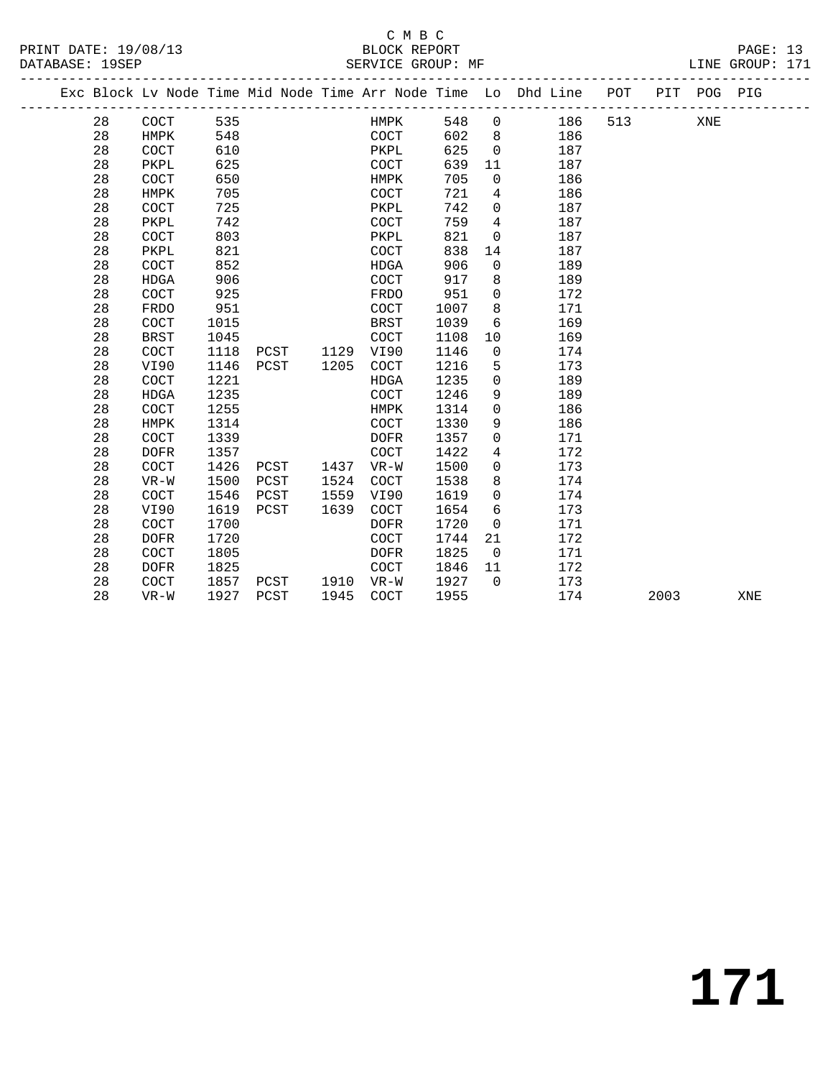#### C M B C SERVICE GROUP: MF

|  | BLOCK REPORT |
|--|--------------|
|  |              |

|  |    |             |      |      |      |             |      |                | Exc Block Lv Node Time Mid Node Time Arr Node Time Lo Dhd Line POT |     |      | PIT POG PIG |     |
|--|----|-------------|------|------|------|-------------|------|----------------|--------------------------------------------------------------------|-----|------|-------------|-----|
|  | 28 | COCT        | 535  |      |      | HMPK        | 548  | $\overline{0}$ | 186                                                                | 513 |      | XNE         |     |
|  | 28 | HMPK        | 548  |      |      | COCT        | 602  | 8 <sup>8</sup> | 186                                                                |     |      |             |     |
|  | 28 | COCT        | 610  |      |      | PKPL        | 625  | $\mathbf 0$    | 187                                                                |     |      |             |     |
|  | 28 | PKPL        | 625  |      |      | COCT        | 639  | 11             | 187                                                                |     |      |             |     |
|  | 28 | COCT        | 650  |      |      | HMPK        | 705  | $\mathbf 0$    | 186                                                                |     |      |             |     |
|  | 28 | HMPK        | 705  |      |      | <b>COCT</b> | 721  | $\overline{4}$ | 186                                                                |     |      |             |     |
|  | 28 | COCT        | 725  |      |      | PKPL        | 742  | $\mathbf 0$    | 187                                                                |     |      |             |     |
|  | 28 | PKPL        | 742  |      |      | <b>COCT</b> | 759  | $\overline{4}$ | 187                                                                |     |      |             |     |
|  | 28 | COCT        | 803  |      |      | PKPL        | 821  | $\mathbf 0$    | 187                                                                |     |      |             |     |
|  | 28 | PKPL        | 821  |      |      | COCT        | 838  | 14             | 187                                                                |     |      |             |     |
|  | 28 | COCT        | 852  |      |      | <b>HDGA</b> | 906  | $\mathbf 0$    | 189                                                                |     |      |             |     |
|  | 28 | <b>HDGA</b> | 906  |      |      | COCT        | 917  | 8              | 189                                                                |     |      |             |     |
|  | 28 | COCT        | 925  |      |      | FRDO        | 951  | 0              | 172                                                                |     |      |             |     |
|  | 28 | FRDO        | 951  |      |      | COCT        | 1007 | 8              | 171                                                                |     |      |             |     |
|  | 28 | COCT        | 1015 |      |      | <b>BRST</b> | 1039 | 6              | 169                                                                |     |      |             |     |
|  | 28 | <b>BRST</b> | 1045 |      |      | COCT        | 1108 | 10             | 169                                                                |     |      |             |     |
|  | 28 | COCT        | 1118 | PCST | 1129 | VI90        | 1146 | $\mathbf 0$    | 174                                                                |     |      |             |     |
|  | 28 | VI90        | 1146 | PCST | 1205 | COCT        | 1216 | 5              | 173                                                                |     |      |             |     |
|  | 28 | COCT        | 1221 |      |      | HDGA        | 1235 | $\mathbf 0$    | 189                                                                |     |      |             |     |
|  | 28 | HDGA        | 1235 |      |      | COCT        | 1246 | 9              | 189                                                                |     |      |             |     |
|  | 28 | COCT        | 1255 |      |      | HMPK        | 1314 | $\mathbf 0$    | 186                                                                |     |      |             |     |
|  | 28 | HMPK        | 1314 |      |      | COCT        | 1330 | 9              | 186                                                                |     |      |             |     |
|  | 28 | COCT        | 1339 |      |      | <b>DOFR</b> | 1357 | 0              | 171                                                                |     |      |             |     |
|  | 28 | <b>DOFR</b> | 1357 |      |      | COCT        | 1422 | $\overline{4}$ | 172                                                                |     |      |             |     |
|  | 28 | COCT        | 1426 | PCST | 1437 | $VR-W$      | 1500 | 0              | 173                                                                |     |      |             |     |
|  | 28 | $VR-W$      | 1500 | PCST | 1524 | <b>COCT</b> | 1538 | 8              | 174                                                                |     |      |             |     |
|  | 28 | COCT        | 1546 | PCST | 1559 | VI90        | 1619 | $\Omega$       | 174                                                                |     |      |             |     |
|  | 28 | VI90        | 1619 | PCST | 1639 | <b>COCT</b> | 1654 | 6              | 173                                                                |     |      |             |     |
|  | 28 | COCT        | 1700 |      |      | <b>DOFR</b> | 1720 | $\mathbf 0$    | 171                                                                |     |      |             |     |
|  | 28 | <b>DOFR</b> | 1720 |      |      | <b>COCT</b> | 1744 | 21             | 172                                                                |     |      |             |     |
|  | 28 | COCT        | 1805 |      |      | <b>DOFR</b> | 1825 | $\mathbf 0$    | 171                                                                |     |      |             |     |
|  | 28 | <b>DOFR</b> | 1825 |      |      | <b>COCT</b> | 1846 | 11             | 172                                                                |     |      |             |     |
|  | 28 | COCT        | 1857 | PCST | 1910 | VR-W        | 1927 | $\Omega$       | 173                                                                |     |      |             |     |
|  | 28 | $VR-W$      | 1927 | PCST | 1945 | COCT        | 1955 |                | 174                                                                |     | 2003 |             | XNE |
|  |    |             |      |      |      |             |      |                |                                                                    |     |      |             |     |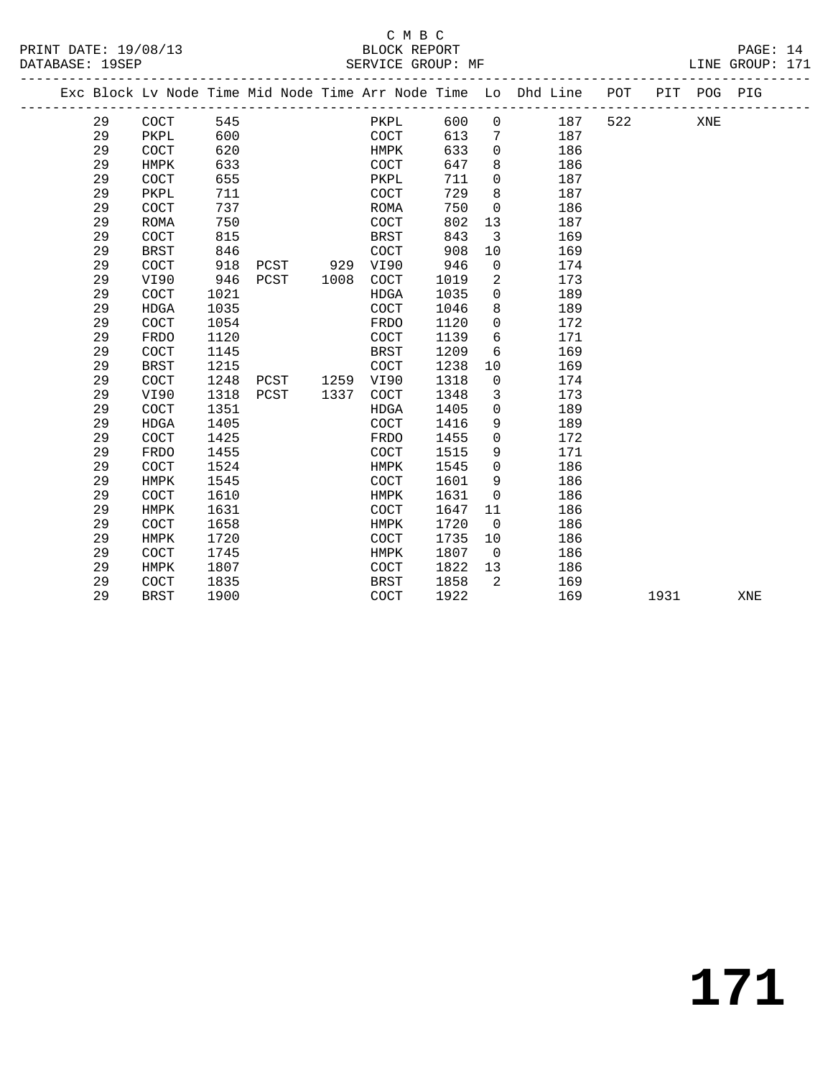#### C M B C<br>BLOCK REPOI PRINT DATE: 19/08/13 BLOCK REPORT PAGE: 14 SERVICE GROUP: MF

| REPORT |  |  |
|--------|--|--|
|        |  |  |

|  |    |             |      |      |      |             |      |                | Exc Block Lv Node Time Mid Node Time Arr Node Time Lo Dhd Line POT |     |      | PIT POG PIG |     |
|--|----|-------------|------|------|------|-------------|------|----------------|--------------------------------------------------------------------|-----|------|-------------|-----|
|  | 29 | COCT        | 545  |      |      | PKPL        | 600  | $\overline{0}$ | 187                                                                | 522 |      | XNE         |     |
|  | 29 | PKPL        | 600  |      |      | COCT        | 613  | 7              | 187                                                                |     |      |             |     |
|  | 29 | COCT        | 620  |      |      | HMPK        | 633  | $\mathbf 0$    | 186                                                                |     |      |             |     |
|  | 29 | <b>HMPK</b> | 633  |      |      | COCT        | 647  | 8              | 186                                                                |     |      |             |     |
|  | 29 | COCT        | 655  |      |      | PKPL        | 711  | $\mathbf 0$    | 187                                                                |     |      |             |     |
|  | 29 | PKPL        | 711  |      |      | COCT        | 729  | 8              | 187                                                                |     |      |             |     |
|  | 29 | COCT        | 737  |      |      | <b>ROMA</b> | 750  | $\overline{0}$ | 186                                                                |     |      |             |     |
|  | 29 | <b>ROMA</b> | 750  |      |      | COCT        | 802  | 13             | 187                                                                |     |      |             |     |
|  | 29 | COCT        | 815  |      |      | BRST        | 843  | $\overline{3}$ | 169                                                                |     |      |             |     |
|  | 29 | <b>BRST</b> | 846  |      |      | COCT        | 908  | 10             | 169                                                                |     |      |             |     |
|  | 29 | COCT        | 918  | PCST | 929  | VI90        | 946  | $\mathbf 0$    | 174                                                                |     |      |             |     |
|  | 29 | VI90        | 946  | PCST | 1008 | COCT        | 1019 | 2              | 173                                                                |     |      |             |     |
|  | 29 | COCT        | 1021 |      |      | HDGA        | 1035 | $\mathbf 0$    | 189                                                                |     |      |             |     |
|  | 29 | <b>HDGA</b> | 1035 |      |      | COCT        | 1046 | 8              | 189                                                                |     |      |             |     |
|  | 29 | COCT        | 1054 |      |      | FRDO        | 1120 | $\Omega$       | 172                                                                |     |      |             |     |
|  | 29 | <b>FRDO</b> | 1120 |      |      | COCT        | 1139 | 6              | 171                                                                |     |      |             |     |
|  | 29 | COCT        | 1145 |      |      | <b>BRST</b> | 1209 | 6              | 169                                                                |     |      |             |     |
|  | 29 | <b>BRST</b> | 1215 |      |      | COCT        | 1238 | 10             | 169                                                                |     |      |             |     |
|  | 29 | COCT        | 1248 | PCST | 1259 | VI90        | 1318 | $\mathbf 0$    | 174                                                                |     |      |             |     |
|  | 29 | VI90        | 1318 | PCST | 1337 | COCT        | 1348 | 3              | 173                                                                |     |      |             |     |
|  | 29 | COCT        | 1351 |      |      | HDGA        | 1405 | $\Omega$       | 189                                                                |     |      |             |     |
|  | 29 | <b>HDGA</b> | 1405 |      |      | COCT        | 1416 | 9              | 189                                                                |     |      |             |     |
|  | 29 | COCT        | 1425 |      |      | FRDO        | 1455 | $\mathbf 0$    | 172                                                                |     |      |             |     |
|  | 29 | <b>FRDO</b> | 1455 |      |      | COCT        | 1515 | 9              | 171                                                                |     |      |             |     |
|  | 29 | COCT        | 1524 |      |      | HMPK        | 1545 | $\Omega$       | 186                                                                |     |      |             |     |
|  | 29 | <b>HMPK</b> | 1545 |      |      | COCT        | 1601 | 9              | 186                                                                |     |      |             |     |
|  | 29 | COCT        | 1610 |      |      | HMPK        | 1631 | $\mathbf 0$    | 186                                                                |     |      |             |     |
|  | 29 | HMPK        | 1631 |      |      | COCT        | 1647 | 11             | 186                                                                |     |      |             |     |
|  | 29 | COCT        | 1658 |      |      | HMPK        | 1720 | $\overline{0}$ | 186                                                                |     |      |             |     |
|  | 29 | <b>HMPK</b> | 1720 |      |      | COCT        | 1735 | 10             | 186                                                                |     |      |             |     |
|  | 29 | COCT        | 1745 |      |      | HMPK        | 1807 | $\overline{0}$ | 186                                                                |     |      |             |     |
|  | 29 | HMPK        | 1807 |      |      | COCT        | 1822 | 13             | 186                                                                |     |      |             |     |
|  | 29 | <b>COCT</b> | 1835 |      |      | BRST        | 1858 | 2              | 169                                                                |     |      |             |     |
|  | 29 | <b>BRST</b> | 1900 |      |      | COCT        | 1922 |                | 169                                                                |     | 1931 |             | XNE |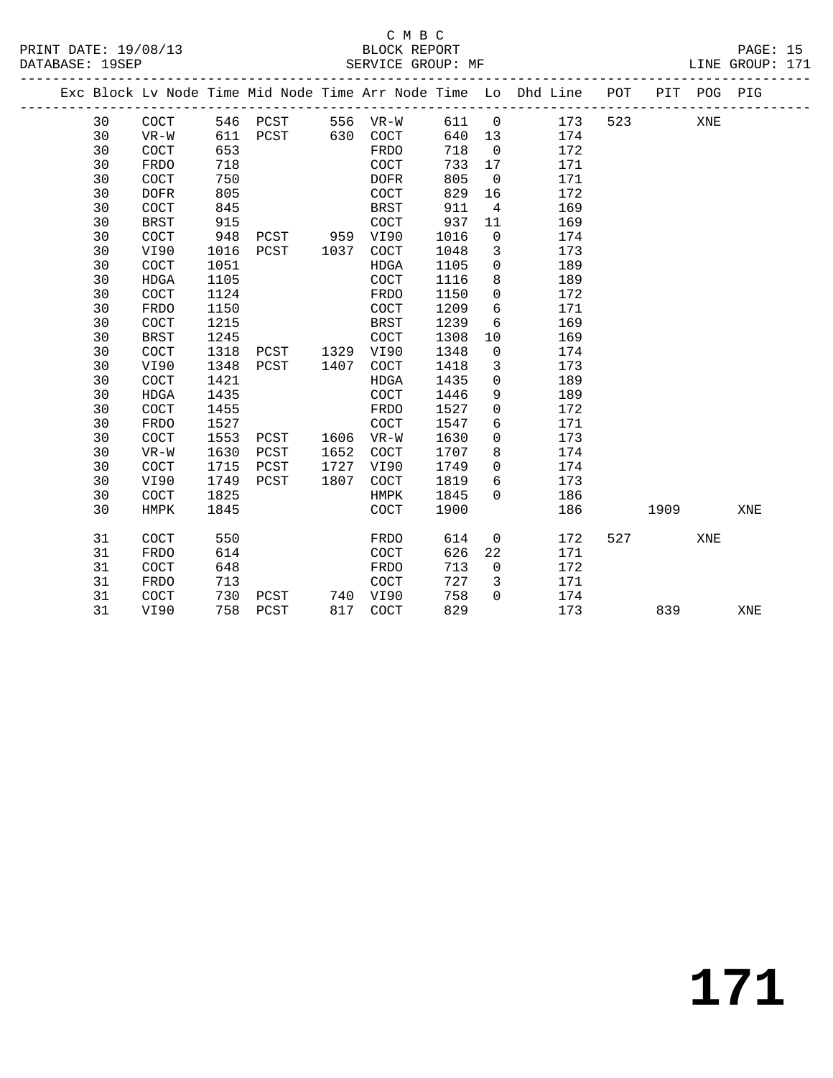#### C M B C<br>BLOCK REPORT SERVICE GROUP: MF **EXAMPLE SERVICE GROUP: MF**

| Exc Block Ly Node Time Mid Node Time Arr Node Time Lo Dhd Line<br>POT<br>PIT<br>PIG<br>POG<br>30<br>523<br>173<br>546<br>COCT<br>PCST<br>VR-W<br>611<br>XNE<br>556<br>$\overline{0}$<br>30<br>174<br>611<br>630<br>PCST<br>COCT<br>640<br>VR-W<br>13<br>30<br>172<br>653<br>718<br>COCT<br>FRDO<br>- 0<br>30<br>718<br>171<br>COCT<br>733<br>FRDO<br>17<br>30<br>750<br>171<br>805<br>COCT<br><b>DOFR</b><br>- 0<br>30<br>805<br>172<br>829<br>COCT<br>DOFR<br>16<br>30<br>169<br>845<br>BRST<br>COCT<br>911<br>4<br>30<br>169<br>915<br>937<br>COCT<br>BRST |  |  |  |  |  |  |  |  |
|--------------------------------------------------------------------------------------------------------------------------------------------------------------------------------------------------------------------------------------------------------------------------------------------------------------------------------------------------------------------------------------------------------------------------------------------------------------------------------------------------------------------------------------------------------------|--|--|--|--|--|--|--|--|
|                                                                                                                                                                                                                                                                                                                                                                                                                                                                                                                                                              |  |  |  |  |  |  |  |  |
|                                                                                                                                                                                                                                                                                                                                                                                                                                                                                                                                                              |  |  |  |  |  |  |  |  |
|                                                                                                                                                                                                                                                                                                                                                                                                                                                                                                                                                              |  |  |  |  |  |  |  |  |
|                                                                                                                                                                                                                                                                                                                                                                                                                                                                                                                                                              |  |  |  |  |  |  |  |  |
|                                                                                                                                                                                                                                                                                                                                                                                                                                                                                                                                                              |  |  |  |  |  |  |  |  |
|                                                                                                                                                                                                                                                                                                                                                                                                                                                                                                                                                              |  |  |  |  |  |  |  |  |
|                                                                                                                                                                                                                                                                                                                                                                                                                                                                                                                                                              |  |  |  |  |  |  |  |  |
|                                                                                                                                                                                                                                                                                                                                                                                                                                                                                                                                                              |  |  |  |  |  |  |  |  |
|                                                                                                                                                                                                                                                                                                                                                                                                                                                                                                                                                              |  |  |  |  |  |  |  |  |

 30 BRST 915 COCT 937 11 169 30 COCT 948 PCST 959 VI90 1016 0 174 30 VI90 1016 PCST 1037 COCT 1048 3 173 30 COCT 1051 HDGA 1105 0 189 30 HDGA 1105 COCT 1116 8 189

| 30 | COCT        | 1124 |      |      | FRDO        | 1150 | 0              | 172 |     |      |     |     |
|----|-------------|------|------|------|-------------|------|----------------|-----|-----|------|-----|-----|
| 30 | FRDO        | 1150 |      |      | <b>COCT</b> | 1209 | 6              | 171 |     |      |     |     |
| 30 | <b>COCT</b> | 1215 |      |      | BRST        | 1239 | 6              | 169 |     |      |     |     |
| 30 | BRST        | 1245 |      |      | <b>COCT</b> | 1308 | 10             | 169 |     |      |     |     |
| 30 | <b>COCT</b> | 1318 | PCST | 1329 | VI90        | 1348 | $\mathbf 0$    | 174 |     |      |     |     |
| 30 | VI90        | 1348 | PCST | 1407 | COCT        | 1418 | 3              | 173 |     |      |     |     |
| 30 | <b>COCT</b> | 1421 |      |      | <b>HDGA</b> | 1435 | $\mathbf 0$    | 189 |     |      |     |     |
| 30 | <b>HDGA</b> | 1435 |      |      | <b>COCT</b> | 1446 | 9              | 189 |     |      |     |     |
| 30 | <b>COCT</b> | 1455 |      |      | FRDO        | 1527 | $\mathbf 0$    | 172 |     |      |     |     |
| 30 | FRDO        | 1527 |      |      | <b>COCT</b> | 1547 | 6              | 171 |     |      |     |     |
| 30 | <b>COCT</b> | 1553 | PCST | 1606 | $VR-W$      | 1630 | 0              | 173 |     |      |     |     |
| 30 | $VR-W$      | 1630 | PCST | 1652 | <b>COCT</b> | 1707 | 8              | 174 |     |      |     |     |
| 30 | <b>COCT</b> | 1715 | PCST | 1727 | VI90        | 1749 | 0              | 174 |     |      |     |     |
| 30 | VI90        | 1749 | PCST | 1807 | <b>COCT</b> | 1819 | 6              | 173 |     |      |     |     |
| 30 | <b>COCT</b> | 1825 |      |      | HMPK        | 1845 | $\mathbf 0$    | 186 |     |      |     |     |
| 30 | HMPK        | 1845 |      |      | <b>COCT</b> | 1900 |                | 186 |     | 1909 |     | XNE |
| 31 | COCT        | 550  |      |      | FRDO        | 614  | $\overline{0}$ | 172 | 527 |      | XNE |     |
| 31 | FRDO        | 614  |      |      | <b>COCT</b> | 626  | 22             | 171 |     |      |     |     |
| 31 | COCT        | 648  |      |      | FRDO        | 713  | $\mathbf 0$    | 172 |     |      |     |     |
| 31 | FRDO        | 713  |      |      | <b>COCT</b> | 727  | 3              | 171 |     |      |     |     |
| 31 | COCT        | 730  | PCST | 740  | VI90        | 758  | $\mathbf 0$    | 174 |     |      |     |     |
|    |             |      |      |      |             |      |                |     |     |      |     |     |

31 VI90 758 PCST 817 COCT 829 173 839 XNE

# **171**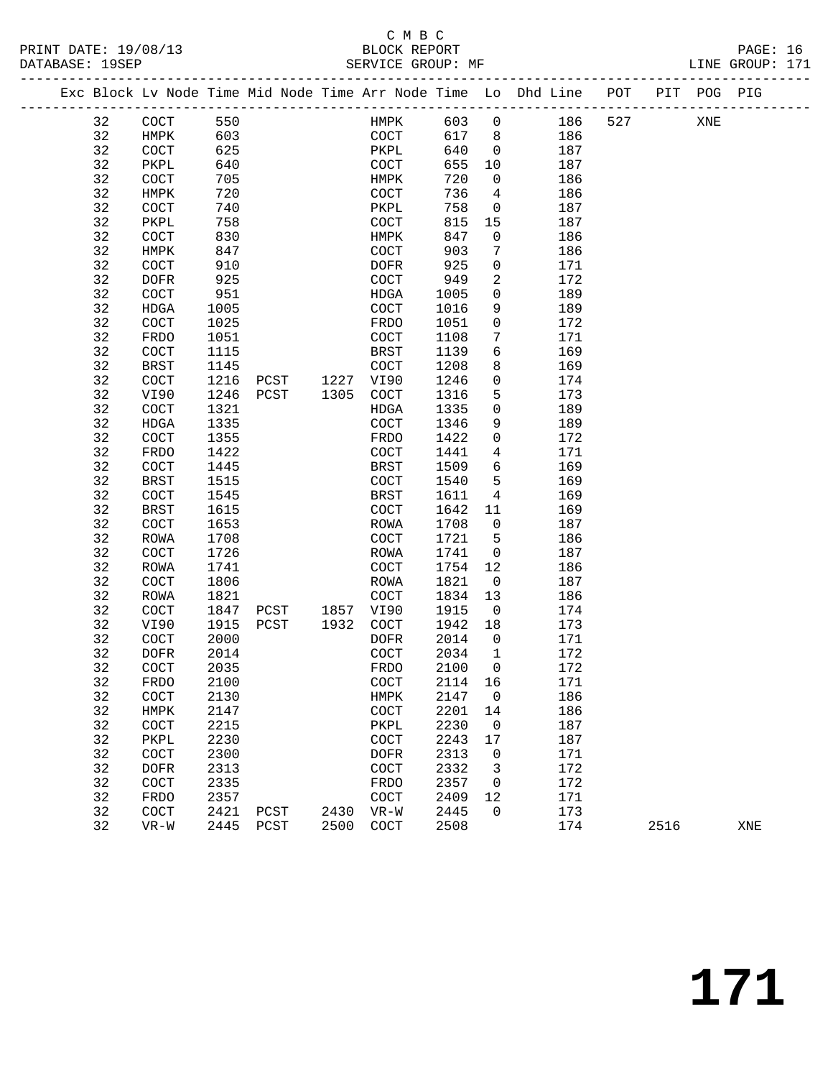### C M B C<br>BLOCK REPORT

| PAGE: 16        |  |
|-----------------|--|
| LINE GROUP: 171 |  |

|  |    | Exc Block Lv Node Time Mid Node Time Arr Node Time Lo Dhd Line POT |      |      |      |                      |         |                          |     |     |      | PIT POG PIG |     |
|--|----|--------------------------------------------------------------------|------|------|------|----------------------|---------|--------------------------|-----|-----|------|-------------|-----|
|  | 32 | $\operatorname{COT}$                                               | 550  |      |      | HMPK                 | 603     | $\mathsf{O}$             | 186 | 527 |      | XNE         |     |
|  | 32 | HMPK                                                               | 603  |      |      | COCT                 | 617     | 8                        | 186 |     |      |             |     |
|  | 32 | COCT                                                               | 625  |      |      | PKPL                 | 640     | $\overline{0}$           | 187 |     |      |             |     |
|  | 32 | PKPL                                                               | 640  |      |      | COCT                 | 655     | 10                       | 187 |     |      |             |     |
|  | 32 | COCT                                                               | 705  |      |      | HMPK                 | 720     | 0                        | 186 |     |      |             |     |
|  | 32 | HMPK                                                               | 720  |      |      | COCT                 | 736     | 4                        | 186 |     |      |             |     |
|  | 32 | $\operatorname{COCT}$                                              | 740  |      |      | PKPL                 | 758     | $\overline{0}$           | 187 |     |      |             |     |
|  | 32 | PKPL                                                               | 758  |      |      | COCT                 | 815     | 15                       | 187 |     |      |             |     |
|  | 32 | COCT                                                               | 830  |      |      | HMPK                 | 847     | 0                        | 186 |     |      |             |     |
|  | 32 | HMPK                                                               | 847  |      |      | COCT                 | 903     | 7                        | 186 |     |      |             |     |
|  | 32 | COCT                                                               | 910  |      |      | DOFR                 | 925     | $\mathbf 0$              | 171 |     |      |             |     |
|  | 32 | DOFR                                                               | 925  |      |      | <b>COCT</b>          | 949     | 2                        | 172 |     |      |             |     |
|  | 32 |                                                                    |      |      |      |                      | 1005    | 0                        | 189 |     |      |             |     |
|  | 32 | COCT                                                               | 951  |      |      | HDGA                 |         |                          |     |     |      |             |     |
|  |    | HDGA                                                               | 1005 |      |      | COCT                 | 1016    | 9                        | 189 |     |      |             |     |
|  | 32 | COCT                                                               | 1025 |      |      | FRDO                 | 1051    | $\mathsf{O}$             | 172 |     |      |             |     |
|  | 32 | FRDO                                                               | 1051 |      |      | COCT                 | 1108    | 7                        | 171 |     |      |             |     |
|  | 32 | COCT                                                               | 1115 |      |      | BRST                 | 1139    | 6                        | 169 |     |      |             |     |
|  | 32 | <b>BRST</b>                                                        | 1145 |      |      | COCT                 | 1208    | 8                        | 169 |     |      |             |     |
|  | 32 | COCT                                                               | 1216 | PCST | 1227 | VI90                 | 1246    | $\mathbf 0$              | 174 |     |      |             |     |
|  | 32 | VI90                                                               | 1246 | PCST | 1305 | COCT                 | 1316    | 5                        | 173 |     |      |             |     |
|  | 32 | COCT                                                               | 1321 |      |      | HDGA                 | 1335    | 0                        | 189 |     |      |             |     |
|  | 32 | HDGA                                                               | 1335 |      |      | COCT                 | 1346    | 9                        | 189 |     |      |             |     |
|  | 32 | COCT                                                               | 1355 |      |      | FRDO                 | 1422    | $\mathsf{O}$             | 172 |     |      |             |     |
|  | 32 | FRDO                                                               | 1422 |      |      | COCT                 | 1441    | 4                        | 171 |     |      |             |     |
|  | 32 | COCT                                                               | 1445 |      |      | <b>BRST</b>          | 1509    | 6                        | 169 |     |      |             |     |
|  | 32 | <b>BRST</b>                                                        | 1515 |      |      | COCT                 | 1540    | 5                        | 169 |     |      |             |     |
|  | 32 | COCT                                                               | 1545 |      |      | <b>BRST</b>          | 1611    | $\overline{4}$           | 169 |     |      |             |     |
|  | 32 | <b>BRST</b>                                                        | 1615 |      |      | COCT                 | 1642    | 11                       | 169 |     |      |             |     |
|  | 32 | COCT                                                               | 1653 |      |      | ROWA                 | 1708    | $\mathsf{O}$             | 187 |     |      |             |     |
|  | 32 | ROWA                                                               | 1708 |      |      | COCT                 | 1721    | 5                        | 186 |     |      |             |     |
|  | 32 | COCT                                                               | 1726 |      |      | <b>ROWA</b>          | 1741    | $\mathsf{O}$             | 187 |     |      |             |     |
|  | 32 | ROWA                                                               | 1741 |      |      | COCT                 | 1754    | 12                       | 186 |     |      |             |     |
|  | 32 | COCT                                                               | 1806 |      |      | ROWA                 | 1821    | $\mathsf{O}$             | 187 |     |      |             |     |
|  | 32 | ROWA                                                               | 1821 |      |      | COCT                 | 1834    | 13                       | 186 |     |      |             |     |
|  | 32 | COCT                                                               | 1847 | PCST | 1857 | VI90                 | 1915    | $\overline{\phantom{0}}$ | 174 |     |      |             |     |
|  | 32 | VI90                                                               | 1915 | PCST | 1932 | COCT                 | 1942    | 18                       | 173 |     |      |             |     |
|  | 32 | COCT                                                               | 2000 |      |      | DOFR                 | 2014    | $\overline{\mathbf{0}}$  | 171 |     |      |             |     |
|  | 32 | <b>DOFR</b>                                                        | 2014 |      |      | COCT                 | 2034    | $\mathbf{1}$             | 172 |     |      |             |     |
|  | 32 | COCT                                                               | 2035 |      |      | FRDO                 | 2100    | $\overline{0}$           | 172 |     |      |             |     |
|  | 32 | FRDO                                                               | 2100 |      |      | $\operatorname{COT}$ | 2114 16 |                          | 171 |     |      |             |     |
|  | 32 | COCT                                                               | 2130 |      |      | HMPK                 | 2147    | 0                        | 186 |     |      |             |     |
|  | 32 | HMPK                                                               | 2147 |      |      | COCT                 | 2201    | 14                       | 186 |     |      |             |     |
|  | 32 | COCT                                                               | 2215 |      |      | PKPL                 | 2230    | 0                        | 187 |     |      |             |     |
|  | 32 | PKPL                                                               | 2230 |      |      | COCT                 | 2243    | 17                       | 187 |     |      |             |     |
|  | 32 | COCT                                                               | 2300 |      |      | <b>DOFR</b>          | 2313    | 0                        | 171 |     |      |             |     |
|  | 32 | <b>DOFR</b>                                                        | 2313 |      |      | COCT                 | 2332    | 3                        | 172 |     |      |             |     |
|  | 32 | COCT                                                               | 2335 |      |      | FRDO                 | 2357    | 0                        | 172 |     |      |             |     |
|  | 32 | FRDO                                                               | 2357 |      |      | COCT                 | 2409    | 12                       | 171 |     |      |             |     |
|  | 32 | COCT                                                               | 2421 | PCST | 2430 | $VR-W$               | 2445    | 0                        | 173 |     | 2516 |             |     |
|  | 32 | $VR-W$                                                             | 2445 | PCST | 2500 | $\operatorname{COT}$ | 2508    |                          | 174 |     |      |             | XNE |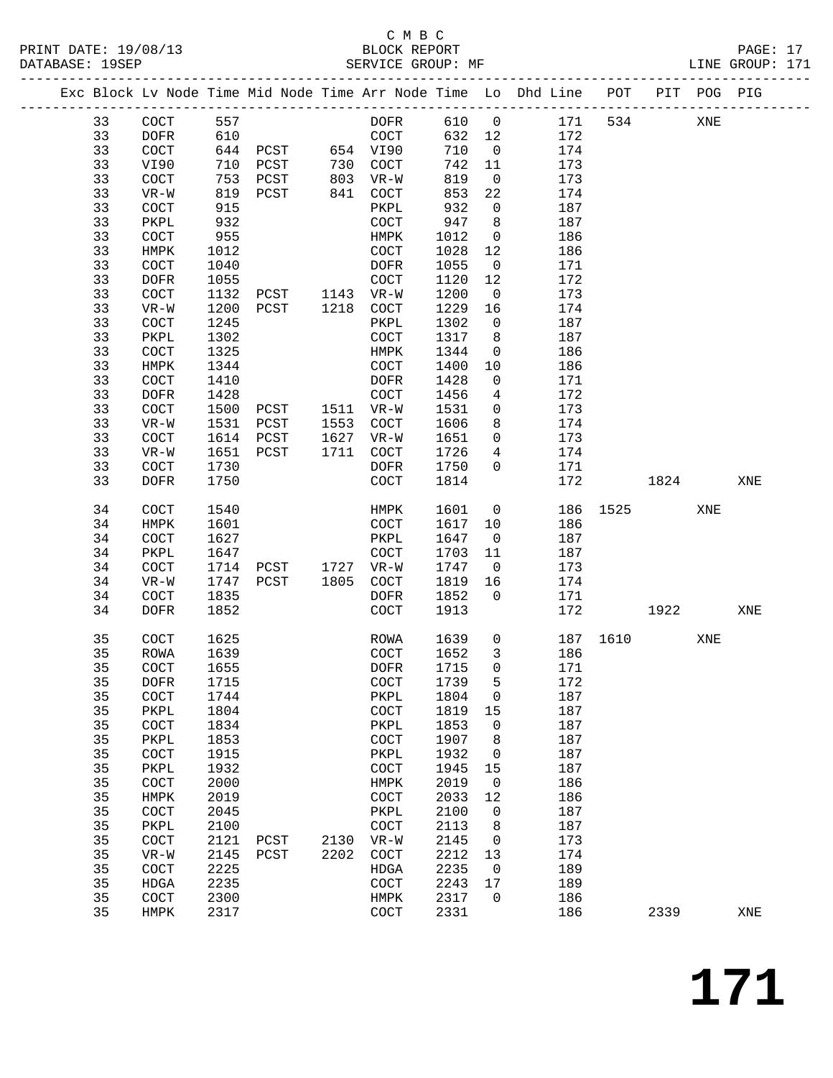### C M B C<br>BLOCK REPORT

| PRINT DATE: 19/08/13 | BLOCK REPORT      | PAGE: 17        |  |
|----------------------|-------------------|-----------------|--|
| DATABASE: 19SEP      | SERVICE GROUP: MF | LINE GROUP: 171 |  |

|          |              |              |                     |      |                              |              |                         | Exc Block Lv Node Time Mid Node Time Arr Node Time Lo Dhd Line POT PIT POG PIG |          |      |     |     |
|----------|--------------|--------------|---------------------|------|------------------------------|--------------|-------------------------|--------------------------------------------------------------------------------|----------|------|-----|-----|
| 33       | COCT         | 557          |                     |      | DOFR                         | 610 0        |                         | 171                                                                            | 534      |      | XNE |     |
| 33       | DOFR         | 610          |                     |      | COCT                         | 632 12       |                         | 172                                                                            |          |      |     |     |
| 33       | COCT         |              | 644 PCST 654 VI90   |      |                              | 710          | $\overline{0}$          | 174                                                                            |          |      |     |     |
| 33       | VI90         | 710          |                     |      |                              | 742          | 11                      | 173                                                                            |          |      |     |     |
| 33       | COCT         |              |                     |      |                              | 819          | $\overline{0}$          | 173                                                                            |          |      |     |     |
| 33       | $VR-W$       |              | 819 PCST            |      | 841 COCT                     | 853          | 22                      | 174                                                                            |          |      |     |     |
| 33       | COCT         | 915          |                     |      | PKPL                         | 932          | $\overline{0}$          | 187                                                                            |          |      |     |     |
| 33       | PKPL         | 932          |                     |      | COCT                         | 947          | 8                       | 187                                                                            |          |      |     |     |
| 33       | COCT         | 955          |                     |      | HMPK                         | 1012         | $\overline{0}$          | 186                                                                            |          |      |     |     |
| 33       | HMPK         | 1012         |                     |      | COCT                         | 1028         | 12                      | 186                                                                            |          |      |     |     |
| 33       | COCT         | 1040         |                     |      | DOFR                         | 1055         | $\overline{0}$          | 171                                                                            |          |      |     |     |
| 33       | DOFR         | 1055         |                     |      | COCT                         | 1120         | 12                      | 172                                                                            |          |      |     |     |
| 33       | COCT         | 1132         | PCST 1143 VR-W      |      |                              | 1200         | $\overline{0}$          | 173                                                                            |          |      |     |     |
| 33       | $VR-W$       | 1200         | PCST 1218 COCT      |      |                              | 1229         | 16                      | 174                                                                            |          |      |     |     |
| 33       | COCT         | 1245         |                     |      | PKPL                         | 1302         | $\overline{0}$          | 187                                                                            |          |      |     |     |
| 33       | PKPL         | 1302         |                     |      | COCT                         | 1317         | 8                       | 187                                                                            |          |      |     |     |
| 33       | COCT         | 1325         |                     |      | HMPK                         | 1344         | $\overline{\mathbf{0}}$ | 186                                                                            |          |      |     |     |
| 33       | HMPK         | 1344         |                     |      | COCT                         | 1400         | 10                      | 186                                                                            |          |      |     |     |
| 33       | COCT         | 1410         |                     |      | DOFR                         | 1428         | $\mathbf 0$             | 171                                                                            |          |      |     |     |
| 33       | DOFR         | 1428         |                     |      | COCT                         | 1456         | $\overline{4}$          | 172                                                                            |          |      |     |     |
| 33       | COCT         | 1500         | PCST 1511 VR-W      |      |                              | 1531         | $\overline{0}$          | 173                                                                            |          |      |     |     |
| 33       | $VR-W$       |              | 1531 PCST           |      | 1553 COCT                    | 1606         | 8                       | 174                                                                            |          |      |     |     |
| 33       | COCT         |              | 1614 PCST           |      | 1627 VR-W                    | 1651         | $\overline{0}$          | 173                                                                            |          |      |     |     |
| 33       | $VR-W$       |              | 1651 PCST           |      | 1711 COCT                    | 1726         | $4\overline{ }$         | 174                                                                            |          |      |     |     |
| 33       | COCT         | 1730         |                     |      | DOFR                         | 1750         | $\overline{0}$          | 171                                                                            |          |      |     |     |
| 33       | DOFR         | 1750         |                     |      | COCT                         | 1814         |                         | 172                                                                            |          | 1824 |     | XNE |
| 34       | COCT         | 1540         |                     |      | HMPK                         | 1601         | $\overline{0}$          |                                                                                | 186 1525 |      | XNE |     |
| 34       | HMPK         | 1601         |                     |      | COCT                         | 1617         | 10                      | 186                                                                            |          |      |     |     |
| 34       | COCT         | 1627         |                     |      | PKPL                         | 1647         | $\overline{0}$          | 187                                                                            |          |      |     |     |
| 34       | PKPL         | 1647         |                     |      | COCT                         | 1703         | 11                      | 187                                                                            |          |      |     |     |
| 34       | COCT         |              | 1714 PCST 1727 VR-W |      |                              | 1747         | $\overline{0}$          | 173                                                                            |          |      |     |     |
| 34       | $VR-W$       |              | 1747 PCST           |      | 1805 COCT                    | 1819         | 16                      | 174                                                                            |          |      |     |     |
| 34       | COCT         | 1835         |                     |      | DOFR                         | 1852         | $\overline{0}$          | 171                                                                            |          |      |     |     |
| 34       | DOFR         | 1852         |                     |      | COCT                         | 1913         |                         | 172                                                                            |          | 1922 |     | XNE |
| 35       | COCT         | 1625         |                     |      | ROWA                         | 1639         | $\overline{0}$          |                                                                                | 187 1610 |      | XNE |     |
| 35       | ROWA         | 1639         |                     |      | COCT                         | 1652         | $\overline{\mathbf{3}}$ | 186                                                                            |          |      |     |     |
| 35       | COCT         | 1655         |                     |      | DOFR                         | 1715         | $\overline{0}$          | 171                                                                            |          |      |     |     |
| 35 DOFR  |              | 1715         |                     |      | COCT                         | 1739         | 5                       | 172                                                                            |          |      |     |     |
| 35       | <b>COCT</b>  | 1744         |                     |      | PKPL                         | 1804         | 0                       | 187                                                                            |          |      |     |     |
| 35       | PKPL         | 1804         |                     |      | $\operatorname{COT}$         | 1819         | 15                      | 187                                                                            |          |      |     |     |
| 35       | COCT         | 1834         |                     |      | PKPL                         | 1853         | $\mathbf 0$             | 187                                                                            |          |      |     |     |
| 35       | PKPL         | 1853         |                     |      | COCT                         | 1907         | 8                       | 187                                                                            |          |      |     |     |
| 35       | COCT         | 1915         |                     |      | PKPL                         | 1932         | 0                       | 187                                                                            |          |      |     |     |
| 35       | PKPL         | 1932         |                     |      | $\operatorname{COT}$         | 1945         | 15                      | 187                                                                            |          |      |     |     |
| 35       | COCT         | 2000         |                     |      | HMPK                         | 2019         | $\overline{0}$          | 186                                                                            |          |      |     |     |
| 35<br>35 | HMPK<br>COCT | 2019<br>2045 |                     |      | $\operatorname{COT}$<br>PKPL | 2033<br>2100 | 12<br>0                 | 186<br>187                                                                     |          |      |     |     |
| 35       | PKPL         | 2100         |                     |      | COCT                         | 2113         | 8                       | 187                                                                            |          |      |     |     |
| 35       | COCT         | 2121         | PCST                | 2130 | $VR-W$                       | 2145         | 0                       | 173                                                                            |          |      |     |     |
| 35       | $VR-W$       | 2145         | PCST                | 2202 | COCT                         | 2212         | 13                      | 174                                                                            |          |      |     |     |
| 35       | COCT         | 2225         |                     |      | HDGA                         | 2235         | $\overline{\mathbf{0}}$ | 189                                                                            |          |      |     |     |
| 35       | HDGA         | 2235         |                     |      | COCT                         | 2243         | 17                      | 189                                                                            |          |      |     |     |
| 35       | COCT         | 2300         |                     |      | HMPK                         | 2317         | $\mathbf{0}$            | 186                                                                            |          |      |     |     |
| 35       | HMPK         | 2317         |                     |      | $\operatorname{COT}$         | 2331         |                         | 186                                                                            |          | 2339 |     | XNE |
|          |              |              |                     |      |                              |              |                         |                                                                                |          |      |     |     |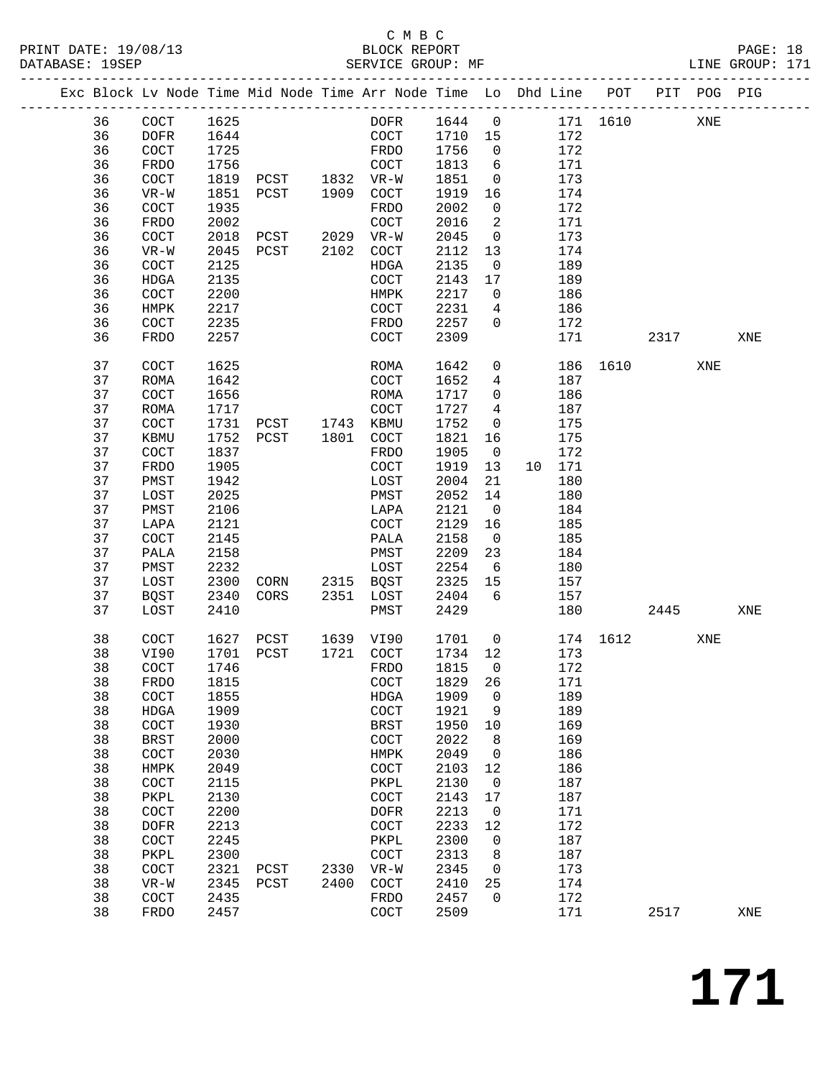#### C M B C<br>BLOCK REPORT PRINT DATE: 19/08/13 BLOCK REPORT BATABASE: 19SEP

PAGE: 18<br>LINE GROUP: 171

|  |          |                      |              | Exc Block Lv Node Time Mid Node Time Arr Node Time Lo Dhd Line POT |      | ------------------------ |              |                |    |            |          |      | PIT POG PIG |     |
|--|----------|----------------------|--------------|--------------------------------------------------------------------|------|--------------------------|--------------|----------------|----|------------|----------|------|-------------|-----|
|  | 36       | $\operatorname{COT}$ | 1625         |                                                                    |      | DOFR                     | 1644         | $\mathsf{O}$   |    | 171        | 1610     |      | XNE         |     |
|  | 36       | <b>DOFR</b>          | 1644         |                                                                    |      | $\operatorname{COT}$     | 1710         | 15             |    | 172        |          |      |             |     |
|  | 36       | COCT                 | 1725         |                                                                    |      | FRDO                     | 1756         | $\mathsf{O}$   |    | 172        |          |      |             |     |
|  | 36       | FRDO                 | 1756         |                                                                    |      | COCT                     | 1813         | 6              |    | 171        |          |      |             |     |
|  | 36       | COCT                 | 1819         | PCST                                                               | 1832 | $VR-W$                   | 1851         | $\mathsf{O}$   |    | 173        |          |      |             |     |
|  | 36       | $VR-W$               | 1851         | PCST                                                               | 1909 | COCT                     | 1919         | 16             |    | 174        |          |      |             |     |
|  | 36       | COCT                 | 1935         |                                                                    |      | FRDO                     | 2002         | $\mathbf 0$    |    | 172        |          |      |             |     |
|  | 36       | FRDO                 | 2002         |                                                                    |      | COCT                     | 2016         | 2              |    | 171        |          |      |             |     |
|  | 36       | COCT                 | 2018         | PCST                                                               | 2029 | $VR-W$                   | 2045         | $\mathsf{O}$   |    | 173        |          |      |             |     |
|  | 36       | $VR-W$               | 2045         | PCST                                                               | 2102 | COCT                     | 2112         | 13             |    | 174        |          |      |             |     |
|  | 36       | COCT                 | 2125         |                                                                    |      | HDGA                     | 2135         | $\overline{0}$ |    | 189        |          |      |             |     |
|  | 36       | HDGA                 | 2135         |                                                                    |      | COCT                     | 2143         | 17             |    | 189        |          |      |             |     |
|  | 36       | COCT                 | 2200         |                                                                    |      | HMPK                     | 2217         | 0              |    | 186        |          |      |             |     |
|  | 36       | HMPK                 | 2217         |                                                                    |      | COCT                     | 2231         | 4              |    | 186        |          |      |             |     |
|  | 36       | COCT                 | 2235         |                                                                    |      | FRDO                     | 2257         | 0              |    | 172        |          |      |             |     |
|  | 36       | FRDO                 | 2257         |                                                                    |      | COCT                     | 2309         |                |    | 171        |          | 2317 |             | XNE |
|  | 37       | COCT                 | 1625         |                                                                    |      | ROMA                     | 1642         | 0              |    | 186        | 1610     |      | XNE         |     |
|  | 37       | <b>ROMA</b>          | 1642         |                                                                    |      | COCT                     | 1652         | 4              |    | 187        |          |      |             |     |
|  | 37       | COCT                 | 1656         |                                                                    |      | ROMA                     | 1717         | $\mathbf 0$    |    | 186        |          |      |             |     |
|  | 37       | <b>ROMA</b>          | 1717         |                                                                    |      | COCT                     | 1727         | 4              |    | 187        |          |      |             |     |
|  | 37       | COCT                 | 1731         | PCST                                                               | 1743 | KBMU                     | 1752         | $\mathsf{O}$   |    | 175        |          |      |             |     |
|  | 37       | KBMU                 | 1752         | PCST                                                               | 1801 | COCT                     | 1821         | 16             |    | 175        |          |      |             |     |
|  | 37       | COCT                 | 1837         |                                                                    |      | FRDO                     | 1905         | $\overline{0}$ |    | 172        |          |      |             |     |
|  | 37       | FRDO                 | 1905         |                                                                    |      | COCT                     | 1919         | 13             | 10 | 171        |          |      |             |     |
|  | 37<br>37 | PMST                 | 1942<br>2025 |                                                                    |      | LOST                     | 2004<br>2052 | 21<br>14       |    | 180        |          |      |             |     |
|  | 37       | LOST<br>PMST         | 2106         |                                                                    |      | PMST<br>LAPA             | 2121         | $\overline{0}$ |    | 180<br>184 |          |      |             |     |
|  | 37       | LAPA                 | 2121         |                                                                    |      | COCT                     | 2129         | 16             |    | 185        |          |      |             |     |
|  | 37       | COCT                 | 2145         |                                                                    |      | PALA                     | 2158         | $\mathbf 0$    |    | 185        |          |      |             |     |
|  | 37       | PALA                 | 2158         |                                                                    |      | PMST                     | 2209         | 23             |    | 184        |          |      |             |     |
|  | 37       | PMST                 | 2232         |                                                                    |      | LOST                     | 2254         | - 6            |    | 180        |          |      |             |     |
|  | 37       | LOST                 | 2300         | CORN                                                               | 2315 | BQST                     | 2325         | 15             |    | 157        |          |      |             |     |
|  | 37       | <b>BQST</b>          | 2340         | CORS                                                               | 2351 | LOST                     | 2404         | 6              |    | 157        |          |      |             |     |
|  | 37       | LOST                 | 2410         |                                                                    |      | PMST                     | 2429         |                |    | 180        |          | 2445 |             | XNE |
|  | 38       | COCT                 | 1627         | PCST                                                               | 1639 | VI90                     | 1701         | $\mathbf 0$    |    |            | 174 1612 |      | XNE         |     |
|  | 38       | VI90                 | 1701         | PCST                                                               | 1721 | COCT                     | 1734         | 12             |    | 173        |          |      |             |     |
|  | 38       | COCT                 | 1746         |                                                                    |      | <b>FRDO</b>              | 1815         | $\overline{0}$ |    | 172        |          |      |             |     |
|  | 38       | FRDO                 | 1815         |                                                                    |      | COCT                     | 1829 26      |                |    | 171        |          |      |             |     |
|  | 38       | COCT                 | 1855         |                                                                    |      | <b>HDGA</b>              | 1909         | 0              |    | 189        |          |      |             |     |
|  | 38       | <b>HDGA</b>          | 1909         |                                                                    |      | COCT                     | 1921         | 9              |    | 189        |          |      |             |     |
|  | 38<br>38 | COCT<br><b>BRST</b>  | 1930<br>2000 |                                                                    |      | <b>BRST</b><br>COCT      | 1950<br>2022 | 10<br>8        |    | 169<br>169 |          |      |             |     |
|  | 38       | COCT                 | 2030         |                                                                    |      | HMPK                     | 2049         | 0              |    | 186        |          |      |             |     |
|  | 38       | HMPK                 | 2049         |                                                                    |      | COCT                     | 2103         | 12             |    | 186        |          |      |             |     |
|  | 38       | COCT                 | 2115         |                                                                    |      | PKPL                     | 2130         | 0              |    | 187        |          |      |             |     |
|  | 38       | PKPL                 | 2130         |                                                                    |      | COCT                     | 2143         | 17             |    | 187        |          |      |             |     |
|  | 38       | COCT                 | 2200         |                                                                    |      | <b>DOFR</b>              | 2213         | 0              |    | 171        |          |      |             |     |
|  | 38       | <b>DOFR</b>          | 2213         |                                                                    |      | COCT                     | 2233         | 12             |    | 172        |          |      |             |     |
|  | 38       | COCT                 | 2245         |                                                                    |      | PKPL                     | 2300         | 0              |    | 187        |          |      |             |     |
|  | 38       | PKPL                 | 2300         |                                                                    |      | COCT                     | 2313         | 8              |    | 187        |          |      |             |     |
|  | 38       | COCT                 | 2321         | PCST                                                               | 2330 | $VR-W$                   | 2345         | 0              |    | 173        |          |      |             |     |
|  | 38       | $VR-W$               | 2345         | PCST                                                               | 2400 | $\operatorname{COCT}$    | 2410         | 25             |    | 174        |          |      |             |     |
|  | 38       | COCT                 | 2435         |                                                                    |      | <b>FRDO</b>              | 2457         | 0              |    | 172        |          |      |             |     |
|  | 38       | FRDO                 | 2457         |                                                                    |      | COCT                     | 2509         |                |    | 171        |          | 2517 |             | XNE |
|  |          |                      |              |                                                                    |      |                          |              |                |    |            |          |      |             |     |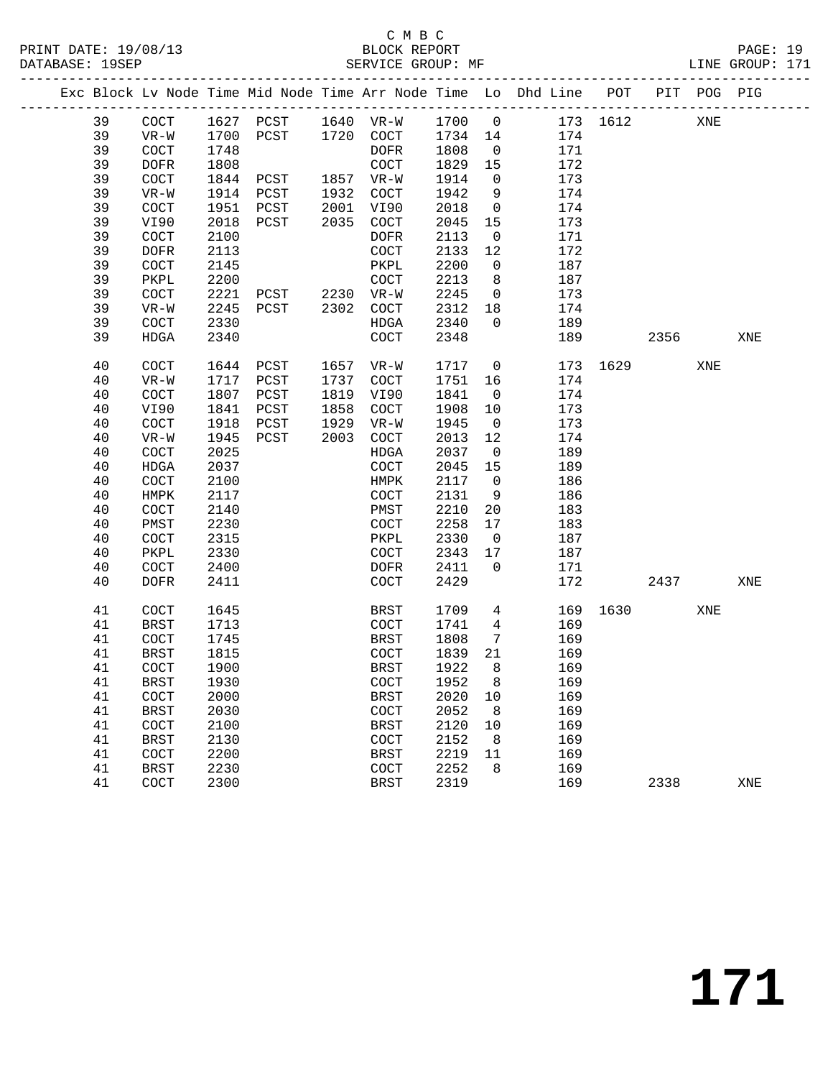### C M B C<br>BLOCK REPORT

PAGE: 19<br>LINE GROUP: 171

|  |    |                       |      |                     |      |                       |         |                 | Exc Block Lv Node Time Mid Node Time Arr Node Time Lo Dhd Line POT |          |      | PIT POG PIG |     |
|--|----|-----------------------|------|---------------------|------|-----------------------|---------|-----------------|--------------------------------------------------------------------|----------|------|-------------|-----|
|  | 39 | COCT                  |      | 1627 PCST 1640 VR-W |      |                       | 1700 0  |                 |                                                                    | 173 1612 |      | XNE         |     |
|  | 39 | $VR-W$                | 1700 | PCST 1720 COCT      |      |                       | 1734 14 |                 | 174                                                                |          |      |             |     |
|  | 39 | COCT                  | 1748 |                     |      | DOFR                  | 1808    | $\overline{0}$  | 171                                                                |          |      |             |     |
|  | 39 | <b>DOFR</b>           | 1808 |                     |      | COCT                  | 1829    | 15              | 172                                                                |          |      |             |     |
|  | 39 | $\operatorname{COT}$  | 1844 | PCST 1857 VR-W      |      |                       | 1914    | $\overline{0}$  | 173                                                                |          |      |             |     |
|  | 39 | $VR-W$                | 1914 | PCST                |      | 1932 COCT             | 1942    | 9               | 174                                                                |          |      |             |     |
|  | 39 | COCT                  | 1951 | PCST                |      | 2001 VI90             | 2018    | $\overline{0}$  | 174                                                                |          |      |             |     |
|  | 39 | VI90                  | 2018 | PCST                |      | 2035 COCT             | 2045    | 15              | 173                                                                |          |      |             |     |
|  | 39 | COCT                  | 2100 |                     |      | DOFR                  | 2113    | $\overline{0}$  | 171                                                                |          |      |             |     |
|  | 39 | <b>DOFR</b>           | 2113 |                     |      | COCT                  | 2133    | 12              | 172                                                                |          |      |             |     |
|  | 39 | COCT                  | 2145 |                     |      | PKPL                  | 2200    | $\overline{0}$  | 187                                                                |          |      |             |     |
|  | 39 | PKPL                  | 2200 |                     |      | $\operatorname{COT}$  | 2213    | 8               | 187                                                                |          |      |             |     |
|  | 39 | $\operatorname{COCT}$ | 2221 |                     |      |                       | 2245    | $\overline{0}$  | 173                                                                |          |      |             |     |
|  | 39 | $VR-W$                | 2245 |                     |      |                       | 2312    | 18              | 174                                                                |          |      |             |     |
|  | 39 | COCT                  | 2330 |                     |      | HDGA                  | 2340    | $\overline{0}$  | 189                                                                |          |      |             |     |
|  | 39 | HDGA                  | 2340 |                     |      | COCT                  | 2348    |                 | 189                                                                |          | 2356 |             | XNE |
|  | 40 | COCT                  | 1644 | PCST                |      | 1657 VR-W             | 1717    | $\overline{0}$  |                                                                    | 173 1629 |      | XNE         |     |
|  | 40 | $VR-W$                | 1717 | PCST                | 1737 | COCT                  | 1751    | 16              | 174                                                                |          |      |             |     |
|  | 40 | COCT                  | 1807 | PCST                | 1819 | VI90                  | 1841    | $\overline{0}$  | 174                                                                |          |      |             |     |
|  | 40 | VI90                  | 1841 | PCST                | 1858 | COCT                  | 1908    | 10              | 173                                                                |          |      |             |     |
|  | 40 | $\operatorname{COT}$  | 1918 | PCST                | 1929 | $VR-W$                | 1945    | $\overline{0}$  | 173                                                                |          |      |             |     |
|  | 40 | $VR-W$                | 1945 | PCST                | 2003 | COCT                  | 2013    | 12              | 174                                                                |          |      |             |     |
|  | 40 | COCT                  | 2025 |                     |      | HDGA                  | 2037    | $\overline{0}$  | 189                                                                |          |      |             |     |
|  | 40 | HDGA                  | 2037 |                     |      | $\operatorname{COCT}$ | 2045    | 15              | 189                                                                |          |      |             |     |
|  | 40 | $\operatorname{COCT}$ | 2100 |                     |      | HMPK                  | 2117    | $\overline{0}$  | 186                                                                |          |      |             |     |
|  | 40 | HMPK                  | 2117 |                     |      | COCT                  | 2131    | 9               | 186                                                                |          |      |             |     |
|  | 40 | $\operatorname{COT}$  | 2140 |                     |      | PMST                  | 2210    | 20              | 183                                                                |          |      |             |     |
|  | 40 | PMST                  | 2230 |                     |      | COCT                  | 2258    | 17              | 183                                                                |          |      |             |     |
|  | 40 | $\operatorname{COT}$  | 2315 |                     |      | PKPL                  | 2330    | $\overline{0}$  | 187                                                                |          |      |             |     |
|  | 40 | PKPL                  | 2330 |                     |      | COCT                  | 2343    | 17              | 187                                                                |          |      |             |     |
|  | 40 | COCT                  | 2400 |                     |      | DOFR                  | 2411    | $\overline{0}$  | 171                                                                |          |      |             |     |
|  | 40 | <b>DOFR</b>           | 2411 |                     |      | COCT                  | 2429    |                 | 172                                                                |          | 2437 |             | XNE |
|  | 41 | COCT                  | 1645 |                     |      | BRST                  | 1709    | 4               |                                                                    | 169 1630 |      | XNE         |     |
|  | 41 | <b>BRST</b>           | 1713 |                     |      | COCT                  | 1741    | $4\overline{4}$ | 169                                                                |          |      |             |     |
|  | 41 | COCT                  | 1745 |                     |      | BRST                  | 1808    | $7\overline{ }$ | 169                                                                |          |      |             |     |
|  | 41 | BRST                  | 1815 |                     |      | COCT                  | 1839    | 21              | 169                                                                |          |      |             |     |
|  | 41 | COCT                  | 1900 |                     |      | BRST                  | 1922    | 8               | 169                                                                |          |      |             |     |
|  | 41 | BRST                  | 1930 |                     |      | COCT                  | 1952 8  |                 | 169                                                                |          |      |             |     |
|  | 41 | COCT                  | 2000 |                     |      | BRST                  | 2020    | 10              | 169                                                                |          |      |             |     |
|  | 41 | <b>BRST</b>           | 2030 |                     |      | COCT                  | 2052    | - 8             | 169                                                                |          |      |             |     |
|  | 41 | COCT                  | 2100 |                     |      | <b>BRST</b>           | 2120    | 10              | 169                                                                |          |      |             |     |
|  | 41 | <b>BRST</b>           | 2130 |                     |      | COCT                  | 2152    | 8               | 169                                                                |          |      |             |     |
|  | 41 | COCT                  | 2200 |                     |      | <b>BRST</b>           | 2219    | 11              | 169                                                                |          |      |             |     |
|  | 41 | <b>BRST</b>           | 2230 |                     |      | COCT                  | 2252    | 8               | 169                                                                |          |      |             |     |
|  | 41 | COCT                  | 2300 |                     |      | <b>BRST</b>           | 2319    |                 | 169                                                                |          | 2338 |             | XNE |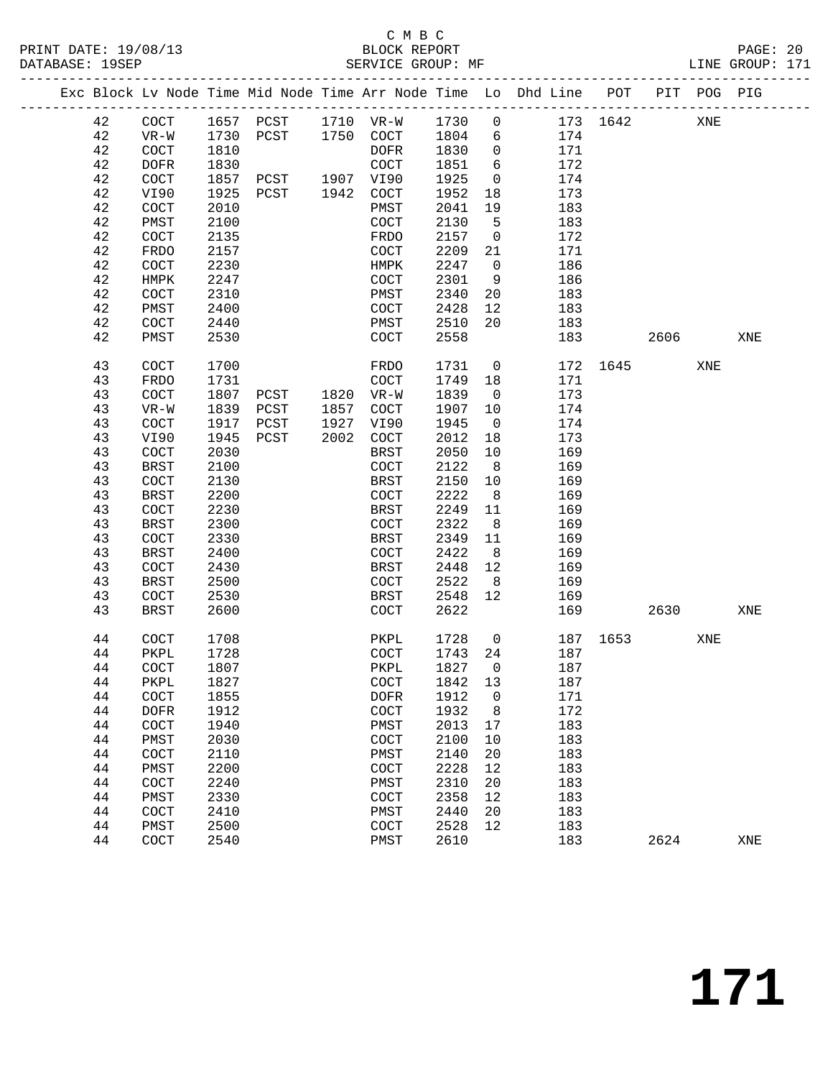### C M B C<br>BLOCK REPORT

PAGE: 20<br>LINE GROUP: 171

|  |          |              |              |                          |      |                      |              |                | Exc Block Lv Node Time Mid Node Time Arr Node Time Lo Dhd Line POT |          |      | PIT POG PIG |     |
|--|----------|--------------|--------------|--------------------------|------|----------------------|--------------|----------------|--------------------------------------------------------------------|----------|------|-------------|-----|
|  | 42       | COCT         |              | 1657 PCST 1710 VR-W 1730 |      |                      |              | $\mathbf 0$    |                                                                    | 173 1642 |      | XNE         |     |
|  | 42       | $VR-W$       | 1730         | PCST                     |      | 1750 COCT 1804       |              | 6              | 174                                                                |          |      |             |     |
|  | 42       | COCT         | 1810         |                          |      | DOFR                 | 1830         | $\overline{0}$ | 171                                                                |          |      |             |     |
|  | 42       | <b>DOFR</b>  | 1830         |                          |      | COCT                 | 1851         | 6              | 172                                                                |          |      |             |     |
|  | 42       | COCT         | 1857         | PCST                     |      | 1907 VI90            | 1925         | $\overline{0}$ | 174                                                                |          |      |             |     |
|  | 42       | VI90         | 1925         | PCST                     | 1942 | COCT                 | 1952         | 18             | 173                                                                |          |      |             |     |
|  | 42       | COCT         | 2010         |                          |      | PMST                 | 2041         | 19             | 183                                                                |          |      |             |     |
|  | 42       | PMST         | 2100         |                          |      | COCT                 | 2130         | 5              | 183                                                                |          |      |             |     |
|  | 42       | COCT         | 2135         |                          |      | FRDO                 | 2157         | $\overline{0}$ | 172                                                                |          |      |             |     |
|  | 42       | FRDO         | 2157         |                          |      | COCT                 | 2209         | 21             | 171                                                                |          |      |             |     |
|  | 42       | COCT         | 2230         |                          |      | HMPK                 | 2247         | $\overline{0}$ | 186                                                                |          |      |             |     |
|  | 42       | HMPK         | 2247         |                          |      | COCT                 | 2301         | 9              | 186                                                                |          |      |             |     |
|  | 42       | COCT         | 2310         |                          |      | PMST                 | 2340         | 20             | 183                                                                |          |      |             |     |
|  | 42       | PMST         | 2400         |                          |      | COCT                 | 2428         | 12             | 183                                                                |          |      |             |     |
|  | 42       | COCT         | 2440         |                          |      | PMST                 | 2510         | 20             | 183                                                                |          |      |             |     |
|  | 42       | PMST         | 2530         |                          |      | COCT                 | 2558         |                | 183                                                                |          | 2606 |             | XNE |
|  | 43       | COCT         | 1700         |                          |      | FRDO                 | 1731         | $\overline{0}$ |                                                                    | 172 1645 |      | XNE         |     |
|  | 43       | FRDO         | 1731         |                          |      | COCT                 | 1749         | 18             | 171                                                                |          |      |             |     |
|  | 43       | COCT         | 1807         | PCST                     | 1820 | $VR-W$               | 1839         | $\overline{0}$ | 173                                                                |          |      |             |     |
|  | 43       | $VR-W$       | 1839         | PCST                     | 1857 | $\operatorname{COT}$ | 1907         | 10             | 174                                                                |          |      |             |     |
|  | 43       | COCT         | 1917         | PCST                     | 1927 | VI90                 | 1945         | $\overline{0}$ | 174                                                                |          |      |             |     |
|  | 43       | VI90         | 1945         | PCST                     | 2002 | COCT                 | 2012         | 18             | 173                                                                |          |      |             |     |
|  | 43       | COCT         | 2030         |                          |      | BRST                 | 2050         | 10             | 169                                                                |          |      |             |     |
|  | 43       | BRST         | 2100         |                          |      | COCT                 | 2122         | 8 <sup>8</sup> | 169                                                                |          |      |             |     |
|  | 43       | COCT         | 2130         |                          |      | BRST                 | 2150         | 10             | 169                                                                |          |      |             |     |
|  | 43       | BRST         | 2200         |                          |      | COCT                 | 2222         | 8 <sup>8</sup> | 169                                                                |          |      |             |     |
|  | 43       | COCT         | 2230         |                          |      | <b>BRST</b>          | 2249         | 11             | 169                                                                |          |      |             |     |
|  | 43       | BRST         | 2300         |                          |      | COCT                 | 2322         | 8              | 169                                                                |          |      |             |     |
|  | 43       | COCT         | 2330         |                          |      | BRST                 | 2349         | 11             | 169                                                                |          |      |             |     |
|  | 43       | BRST         | 2400         |                          |      | COCT                 | 2422         | 8 <sup>8</sup> | 169                                                                |          |      |             |     |
|  | 43       | COCT         | 2430         |                          |      | BRST                 | 2448         | 12             | 169                                                                |          |      |             |     |
|  | 43       | BRST         | 2500         |                          |      | COCT                 | 2522         | 8              | 169                                                                |          |      |             |     |
|  | 43       | COCT         | 2530         |                          |      | BRST                 | 2548         | 12             | 169                                                                |          |      |             |     |
|  | 43       | BRST         | 2600         |                          |      | COCT                 | 2622         |                | 169                                                                |          | 2630 |             | XNE |
|  | 44       | COCT         | 1708         |                          |      | PKPL                 | 1728         | $\overline{0}$ | 187                                                                | 1653     |      | XNE         |     |
|  | 44       | PKPL         | 1728         |                          |      | COCT                 | 1743         | 24             | 187                                                                |          |      |             |     |
|  | 44       | COCT         | 1807         |                          |      | PKPL                 | 1827         | $\overline{0}$ | 187                                                                |          |      |             |     |
|  | 44       | PKPL         | 1827         |                          |      | COCT                 | 1842 13      |                | 187                                                                |          |      |             |     |
|  | 44       | COCT         | 1855         |                          |      | <b>DOFR</b>          | 1912         | $\mathbf 0$    | 171                                                                |          |      |             |     |
|  | 44       | <b>DOFR</b>  | 1912         |                          |      | COCT                 | 1932         | 8              | 172                                                                |          |      |             |     |
|  | 44       | COCT         | 1940         |                          |      | PMST                 | 2013         | 17             | 183                                                                |          |      |             |     |
|  | 44       | PMST         | 2030         |                          |      | COCT                 | 2100         | 10             | 183                                                                |          |      |             |     |
|  | 44       | COCT         | 2110         |                          |      | PMST                 | 2140         | 20             | 183                                                                |          |      |             |     |
|  | 44       | PMST         | 2200         |                          |      | COCT                 | 2228         | 12             | 183<br>183                                                         |          |      |             |     |
|  | 44<br>44 | COCT<br>PMST | 2240<br>2330 |                          |      | PMST<br>COCT         | 2310<br>2358 | 20<br>12       | 183                                                                |          |      |             |     |
|  | 44       | COCT         | 2410         |                          |      | PMST                 | 2440         | 20             | 183                                                                |          |      |             |     |
|  | 44       | PMST         | 2500         |                          |      | COCT                 | 2528         | 12             | 183                                                                |          |      |             |     |
|  | 44       | COCT         | 2540         |                          |      | PMST                 | 2610         |                | 183                                                                |          | 2624 |             | XNE |
|  |          |              |              |                          |      |                      |              |                |                                                                    |          |      |             |     |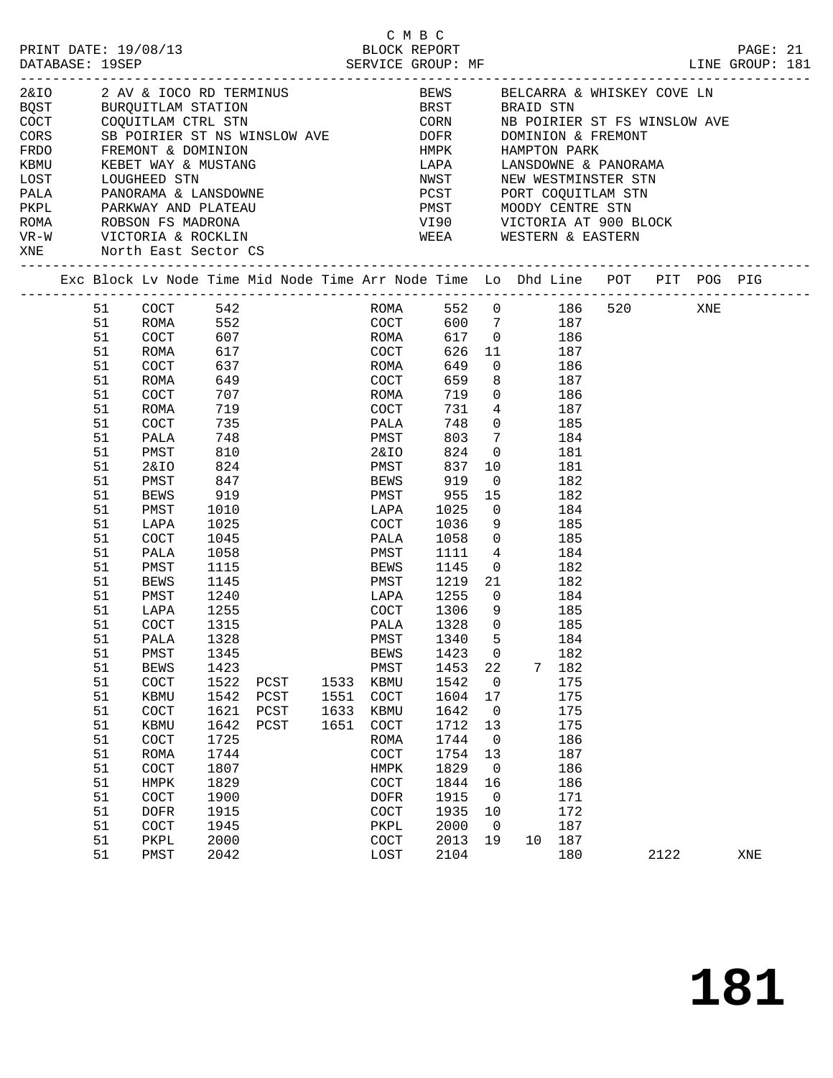| PRINT DATE: 19/08/13<br>DATABASE: 19SEP                                                                                                   |                                                                                                                                                                                                          | BLOCK REPORT<br>SERVICE GROUP: MF                                                                                                                                                                                                                                                   |                                                                                                                                                                                                                                                          |                              |                                      | BLOCK REPORT                                                                                                                                                                                                                                                             | C M B C |                                                                                                                                                                                                                            |                                                                                                                  |                                                                          |                                                                                                                                                                                                                                                                                                                                                                                                                                         |                                                                                                                                                                                                                      |      |     | PAGE: 21<br>LINE GROUP: 181 |  |
|-------------------------------------------------------------------------------------------------------------------------------------------|----------------------------------------------------------------------------------------------------------------------------------------------------------------------------------------------------------|-------------------------------------------------------------------------------------------------------------------------------------------------------------------------------------------------------------------------------------------------------------------------------------|----------------------------------------------------------------------------------------------------------------------------------------------------------------------------------------------------------------------------------------------------------|------------------------------|--------------------------------------|--------------------------------------------------------------------------------------------------------------------------------------------------------------------------------------------------------------------------------------------------------------------------|---------|----------------------------------------------------------------------------------------------------------------------------------------------------------------------------------------------------------------------------|------------------------------------------------------------------------------------------------------------------|--------------------------------------------------------------------------|-----------------------------------------------------------------------------------------------------------------------------------------------------------------------------------------------------------------------------------------------------------------------------------------------------------------------------------------------------------------------------------------------------------------------------------------|----------------------------------------------------------------------------------------------------------------------------------------------------------------------------------------------------------------------|------|-----|-----------------------------|--|
| CORS<br>FRDO FREMONT & DOMINION<br>KBMU KEBET WAY & MUSTANO<br>LOST LOUGHEED STN<br>PALA PANORAMA & LANSDOWNE<br>XNE North East Sector CS |                                                                                                                                                                                                          | SB POIRIER ST NS WINSLOW AVE DOFR DOFR<br>KEBET WAY & MUSTANG                                                                                                                                                                                                                       |                                                                                                                                                                                                                                                          |                              |                                      |                                                                                                                                                                                                                                                                          |         |                                                                                                                                                                                                                            |                                                                                                                  | ________________                                                         |                                                                                                                                                                                                                                                                                                                                                                                                                                         | DOMINION & FREMONT<br>HMPK HAMPTON PARK<br>LAPA     LANSDOWNE & PANORAMA<br>NWST     NEW WESTMINSTER STN<br>PCST PORT COQUITLAM STN<br>PMST MOODY CENTRE STN<br>VI90 VICTORIA AT 900 BLOCK<br>WEEA WESTERN & EASTERN |      |     |                             |  |
|                                                                                                                                           |                                                                                                                                                                                                          | Exc Block Lv Node Time Mid Node Time Arr Node Time Lo Dhd Line POT PIT POG PIG                                                                                                                                                                                                      |                                                                                                                                                                                                                                                          |                              |                                      |                                                                                                                                                                                                                                                                          |         |                                                                                                                                                                                                                            |                                                                                                                  |                                                                          |                                                                                                                                                                                                                                                                                                                                                                                                                                         |                                                                                                                                                                                                                      |      |     |                             |  |
|                                                                                                                                           | 51<br>51<br>51<br>51<br>51<br>51<br>51<br>51<br>51<br>51<br>51<br>51<br>51<br>51<br>51<br>51<br>51<br>51<br>51<br>51<br>51<br>51<br>51<br>51<br>51<br>51<br>51<br>51<br>51<br>51<br>51<br>51<br>51<br>51 | ROMA<br>COCT<br>ROMA<br>COCT<br>ROMA<br>COCT<br>ROMA<br>COCT<br>PALA<br>PMST<br>2&IO<br>PMST<br>BEWS<br>PMST<br>LAPA<br>COCT<br>PALA<br>PMST<br>BEWS<br>PMST<br>LAPA<br>COCT<br>PALA<br>PMST<br><b>BEWS</b><br>COCT<br>KBMU<br>COCT<br>KBMU<br>COCT<br>ROMA<br>COCT<br>HMPK<br>COCT | 607<br>617<br>637<br>649<br>707<br>719<br>735<br>748<br>810<br>824<br>847<br>919<br>1010<br>1025<br>1045<br>1058<br>1115<br>1145<br>1240<br>1255<br>1315<br>1328<br>1345<br>1423<br>1522<br>1542<br>1621<br>1642<br>1725<br>1744<br>1807<br>1829<br>1900 | PCST<br>PCST<br>PCST<br>PCST | ROMA<br>1533<br>1551<br>1633<br>1651 | COCT<br>ROMA<br>COCT<br>PALA<br>PMST<br>2&IO<br>PMST<br>BEWS<br>PMST<br>LAPA<br>COCT<br>PALA<br>PMST<br>BEWS<br>PMST<br>LAPA<br>COCT 1306 9<br>PALA<br>PMST 1340 5<br><b>BEWS</b><br>PMST<br>KBMU<br>COCT<br>KBMU<br>COCT<br>ROMA<br>COCT<br>HMPK<br>COCT<br><b>DOFR</b> |         | 649<br>659<br>719<br>731<br>748<br>803<br>824<br>837<br>919<br>955<br>1025<br>1036<br>1058<br>1111<br>1145<br>1219<br>1255<br>1328<br>1423<br>1453<br>1542<br>1604<br>1642<br>1712<br>1744<br>1754<br>1829<br>1844<br>1915 | $4\overline{4}$<br>$7\overline{ }$<br>$\overline{0}$<br>0<br>22<br>0<br>17<br>0<br>13<br>0<br>13<br>0<br>16<br>0 | $\overline{0}$<br>10<br>$\overline{0}$<br>9<br>$\overline{0}$<br>21<br>7 | 552 COCT 600 7 187<br>ROMA 617 0 186<br>COCT 626 11 187<br>$0$ 186<br>8 187<br>$\begin{array}{ccc} 0 & 186 \\ 4 & 187 \end{array}$<br>187<br>$\begin{matrix}0&&&&185\end{matrix}$<br>184<br>181<br>181<br>$\begin{matrix}0&\phantom{0}182\end{matrix}$<br>15 182<br>184<br>185<br>$0$ 185<br>4 184<br>182<br>182<br>$\frac{1}{0}$ 184<br>185<br>185<br>184<br>182<br>182<br>175<br>175<br>175<br>175<br>186<br>187<br>186<br>186<br>171 | ROMA 552 0 186 520                                                                                                                                                                                                   |      | XNE |                             |  |
|                                                                                                                                           | 51<br>51<br>51<br>51                                                                                                                                                                                     | <b>DOFR</b><br>COCT<br>${\tt PKPL}$<br>PMST                                                                                                                                                                                                                                         | 1915<br>1945<br>2000<br>2042                                                                                                                                                                                                                             |                              |                                      | COCT<br>PKPL<br>COCT<br>LOST                                                                                                                                                                                                                                             |         | 1935<br>2000<br>2013<br>2104                                                                                                                                                                                               | 10<br>0<br>19                                                                                                    | 10                                                                       | 172<br>187<br>187<br>180                                                                                                                                                                                                                                                                                                                                                                                                                |                                                                                                                                                                                                                      | 2122 |     | XNE                         |  |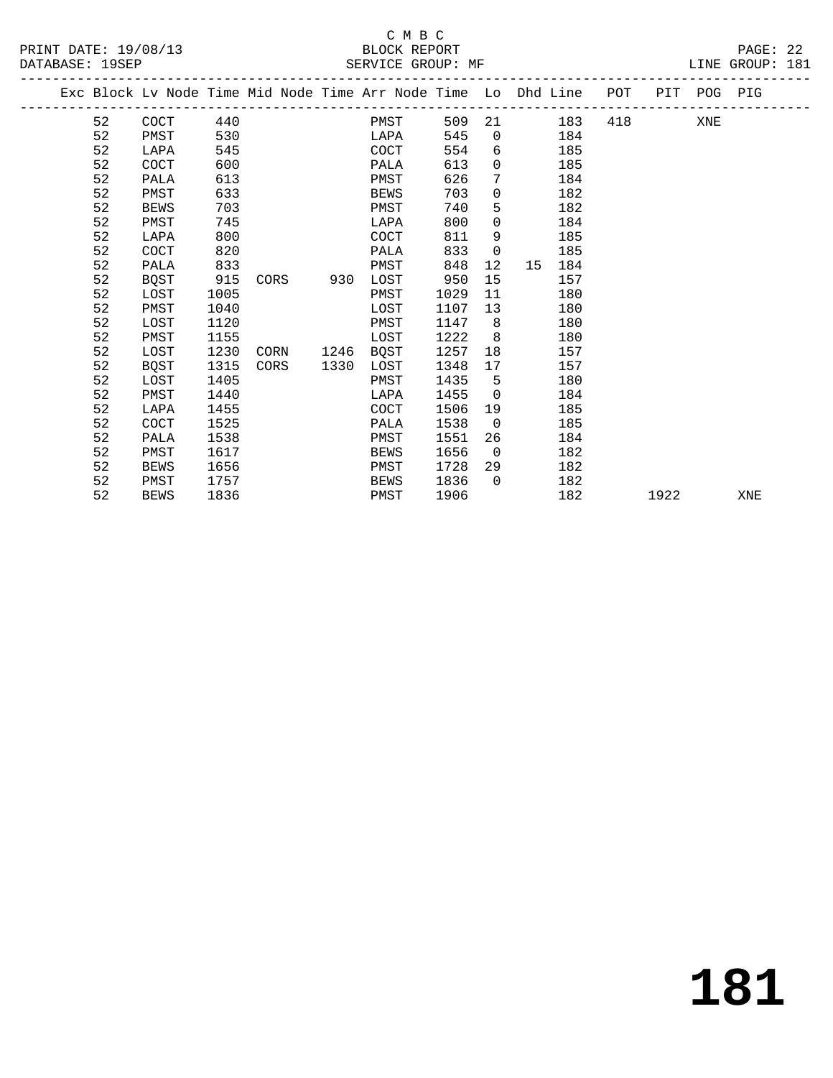### C M B C<br>BLOCK REPORT

| PRINT DATE: 19/08/13<br>DATABASE: 19SEP |    |      |     | BLOCK REPORT<br>SERVICE GROUP: MF                              |     |          |     |     |     |     | PAGE: 22<br>LINE GROUP: 181 |  |
|-----------------------------------------|----|------|-----|----------------------------------------------------------------|-----|----------|-----|-----|-----|-----|-----------------------------|--|
|                                         |    |      |     | Exc Block Ly Node Time Mid Node Time Arr Node Time Lo Dhd Line |     |          |     | POT | PIT | POG | PIG                         |  |
|                                         | 52 | COCT | 440 | PMST                                                           | 509 | -21      | 183 | 418 |     | XNE |                             |  |
|                                         | 52 | PMST | 530 | LAPA                                                           | 545 | $\Omega$ | 184 |     |     |     |                             |  |
|                                         | 52 | LAPA | 545 | COCT                                                           | 554 | 6        | 185 |     |     |     |                             |  |
|                                         | 52 | COCT | 600 | PALA                                                           | 613 | $\Omega$ | 185 |     |     |     |                             |  |
|                                         | 52 | PALA | 613 | PMST                                                           | 626 |          | 184 |     |     |     |                             |  |
|                                         | 52 | PMST | 633 | BEWS                                                           | 703 | $\Omega$ | 182 |     |     |     |                             |  |
|                                         | 52 | BEWS | 703 | PMST                                                           | 740 |          | 182 |     |     |     |                             |  |

 52 PMST 745 LAPA 800 0 184 52 LAPA 800 COCT 811 9 185

| 52 | COCT        | 820  |      |      | PALA        | 833  | $\Omega$ |    | 185 |      |     |
|----|-------------|------|------|------|-------------|------|----------|----|-----|------|-----|
| 52 | PALA        | 833  |      |      | PMST        | 848  | 12       | 15 | 184 |      |     |
| 52 | <b>BOST</b> | 915  | CORS | 930  | LOST        | 950  | 15       |    | 157 |      |     |
| 52 | LOST        | 1005 |      |      | PMST        | 1029 | 11       |    | 180 |      |     |
| 52 | PMST        | 1040 |      |      | LOST        | 1107 | 13       |    | 180 |      |     |
| 52 | LOST        | 1120 |      |      | PMST        | 1147 | 8        |    | 180 |      |     |
| 52 | PMST        | 1155 |      |      | LOST        | 1222 | 8        |    | 180 |      |     |
| 52 | LOST        | 1230 | CORN | 1246 | BQST        | 1257 | 18       |    | 157 |      |     |
| 52 | <b>BOST</b> | 1315 | CORS | 1330 | LOST        | 1348 | 17       |    | 157 |      |     |
| 52 | LOST        | 1405 |      |      | PMST        | 1435 | 5        |    | 180 |      |     |
| 52 | PMST        | 1440 |      |      | LAPA        | 1455 | 0        |    | 184 |      |     |
| 52 | LAPA        | 1455 |      |      | COCT        | 1506 | 19       |    | 185 |      |     |
| 52 | <b>COCT</b> | 1525 |      |      | PALA        | 1538 | 0        |    | 185 |      |     |
| 52 | PALA        | 1538 |      |      | PMST        | 1551 | 26       |    | 184 |      |     |
| 52 | PMST        | 1617 |      |      | <b>BEWS</b> | 1656 | 0        |    | 182 |      |     |
| 52 | BEWS        | 1656 |      |      | PMST        | 1728 | 29       |    | 182 |      |     |
| 52 | PMST        | 1757 |      |      | <b>BEWS</b> | 1836 | $\Omega$ |    | 182 |      |     |
| 52 | <b>BEWS</b> | 1836 |      |      | PMST        | 1906 |          |    | 182 | 1922 | XNE |
|    |             |      |      |      |             |      |          |    |     |      |     |

**181**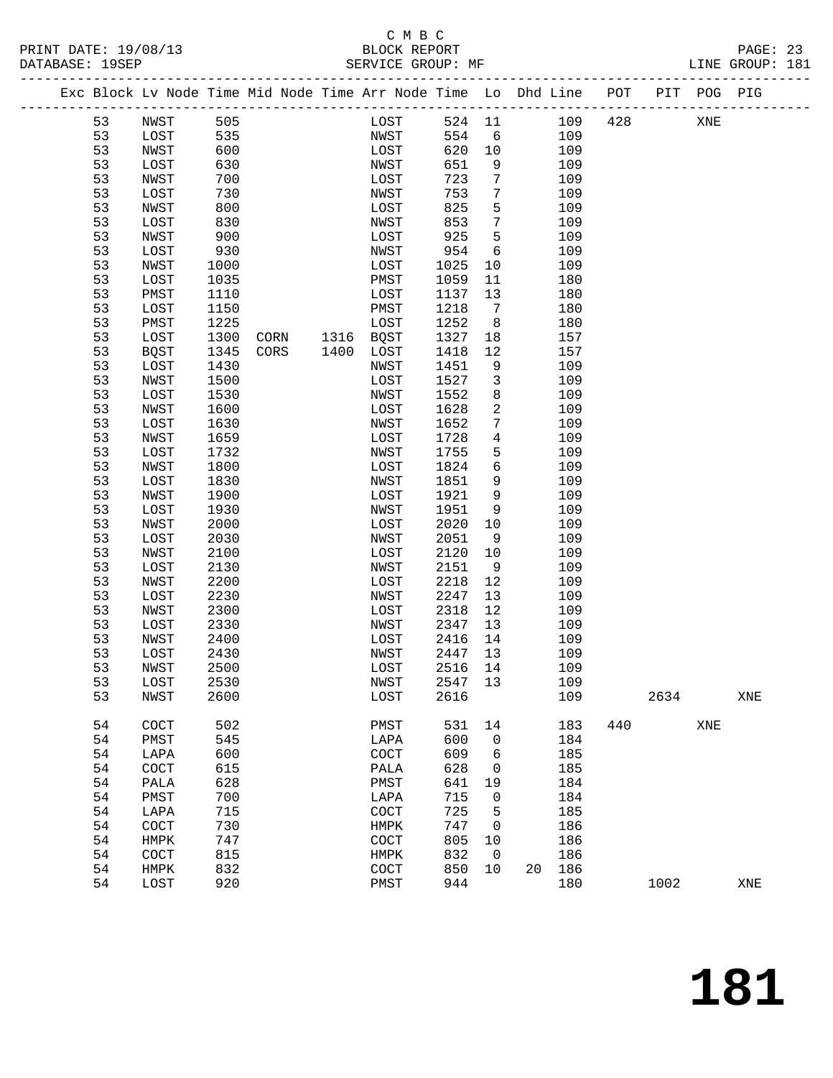#### C M B C<br>BLOCK REPORT PRINT DATE: 19/08/13 BLOCK REPORT<br>DATABASE: 19SEP SERVICE GROUP: MF

PAGE: 23<br>LINE GROUP: 181

|  |    | Exc Block Lv Node Time Mid Node Time Arr Node Time Lo Dhd Line POT |      |      |      |             |         |                 |        |     |      | PIT POG PIG |     |
|--|----|--------------------------------------------------------------------|------|------|------|-------------|---------|-----------------|--------|-----|------|-------------|-----|
|  | 53 | NWST                                                               | 505  |      |      | LOST        | 524 11  |                 | 109    | 428 |      | XNE         |     |
|  | 53 | LOST                                                               | 535  |      |      | NWST        | 554     | 6               | 109    |     |      |             |     |
|  | 53 | NWST                                                               | 600  |      |      | LOST        | 620     | 10              | 109    |     |      |             |     |
|  | 53 | LOST                                                               | 630  |      |      | NWST        | 651     | 9               | 109    |     |      |             |     |
|  | 53 | NWST                                                               | 700  |      |      | LOST        | 723     | $7\phantom{.0}$ | 109    |     |      |             |     |
|  | 53 | LOST                                                               | 730  |      |      | NWST        | 753     | $7\phantom{.0}$ | 109    |     |      |             |     |
|  | 53 | NWST                                                               | 800  |      |      | LOST        | 825     | 5               | 109    |     |      |             |     |
|  | 53 | LOST                                                               | 830  |      |      | NWST        | 853     | 7               | 109    |     |      |             |     |
|  | 53 | NWST                                                               | 900  |      |      | LOST        | 925     | 5               | 109    |     |      |             |     |
|  | 53 | LOST                                                               | 930  |      |      | NWST        | 954     | 6               | 109    |     |      |             |     |
|  | 53 | NWST                                                               | 1000 |      |      | LOST        | 1025    | 10              | 109    |     |      |             |     |
|  | 53 | LOST                                                               | 1035 |      |      | PMST        | 1059    | 11              | 180    |     |      |             |     |
|  | 53 | PMST                                                               | 1110 |      |      | LOST        | 1137    | 13              | 180    |     |      |             |     |
|  | 53 | LOST                                                               | 1150 |      |      | PMST        | 1218    | $7\overline{ }$ | 180    |     |      |             |     |
|  | 53 | PMST                                                               | 1225 |      |      | LOST        | 1252    | 8               | 180    |     |      |             |     |
|  | 53 | LOST                                                               | 1300 | CORN |      | 1316 BQST   | 1327    | 18              | 157    |     |      |             |     |
|  | 53 | <b>BQST</b>                                                        | 1345 | CORS | 1400 | LOST        | 1418    | 12              | 157    |     |      |             |     |
|  | 53 | LOST                                                               | 1430 |      |      | NWST        | 1451    | 9               | 109    |     |      |             |     |
|  | 53 | NWST                                                               | 1500 |      |      | LOST        | 1527    | $\mathbf{3}$    | 109    |     |      |             |     |
|  | 53 | LOST                                                               | 1530 |      |      | NWST        | 1552    | 8               | 109    |     |      |             |     |
|  | 53 | NWST                                                               | 1600 |      |      | LOST        | 1628    | $\overline{a}$  | 109    |     |      |             |     |
|  | 53 | LOST                                                               | 1630 |      |      | NWST        | 1652    | $7\phantom{.}$  | 109    |     |      |             |     |
|  | 53 | NWST                                                               | 1659 |      |      | LOST        | 1728    | $\overline{4}$  | 109    |     |      |             |     |
|  | 53 | LOST                                                               | 1732 |      |      | NWST        | 1755    | 5               | 109    |     |      |             |     |
|  | 53 | NWST                                                               | 1800 |      |      | LOST        | 1824    | 6               | 109    |     |      |             |     |
|  | 53 | LOST                                                               | 1830 |      |      | NWST        | 1851    | 9               | 109    |     |      |             |     |
|  | 53 | NWST                                                               | 1900 |      |      | LOST        | 1921    | 9               | 109    |     |      |             |     |
|  | 53 | LOST                                                               | 1930 |      |      | NWST        | 1951    | 9               | 109    |     |      |             |     |
|  | 53 | NWST                                                               | 2000 |      |      | LOST        | 2020    | 10              | 109    |     |      |             |     |
|  | 53 | LOST                                                               | 2030 |      |      | NWST        | 2051    | 9               | 109    |     |      |             |     |
|  | 53 | NWST                                                               | 2100 |      |      | LOST        | 2120    | 10              | 109    |     |      |             |     |
|  | 53 | LOST                                                               | 2130 |      |      | NWST        | 2151    | 9               | 109    |     |      |             |     |
|  | 53 | NWST                                                               | 2200 |      |      | LOST        | 2218    | 12              | 109    |     |      |             |     |
|  | 53 | LOST                                                               | 2230 |      |      | NWST        | 2247    | 13              | 109    |     |      |             |     |
|  | 53 | NWST                                                               | 2300 |      |      | LOST        | 2318    | 12              | 109    |     |      |             |     |
|  | 53 | LOST                                                               | 2330 |      |      | NWST        | 2347    | 13              | 109    |     |      |             |     |
|  | 53 | NWST                                                               | 2400 |      |      | LOST        | 2416    | 14              | 109    |     |      |             |     |
|  | 53 | LOST                                                               | 2430 |      |      | NWST        | 2447    | 13              | 109    |     |      |             |     |
|  | 53 | NWST                                                               | 2500 |      |      | LOST        | 2516    | 14              | 109    |     |      |             |     |
|  | 53 | LOST                                                               | 2530 |      |      | NWST        | 2547 13 |                 | 109    |     |      |             |     |
|  | 53 | NWST                                                               | 2600 |      |      | LOST        | 2616    |                 | 109    |     | 2634 |             | XNE |
|  |    |                                                                    |      |      |      |             |         |                 |        |     |      |             |     |
|  | 54 | COCT                                                               | 502  |      |      | PMST        | 531     | 14              | 183    | 440 |      | XNE         |     |
|  | 54 | PMST                                                               | 545  |      |      | LAPA        | 600     | 0               | 184    |     |      |             |     |
|  | 54 | LAPA                                                               | 600  |      |      | COCT        | 609     | 6               | 185    |     |      |             |     |
|  | 54 | COCT                                                               | 615  |      |      | PALA        | 628     | 0               | 185    |     |      |             |     |
|  | 54 | PALA                                                               | 628  |      |      | PMST        | 641     | 19              | 184    |     |      |             |     |
|  | 54 | PMST                                                               | 700  |      |      | LAPA        | 715     | 0               | 184    |     |      |             |     |
|  | 54 | LAPA                                                               | 715  |      |      | COCT        | 725     | 5               | 185    |     |      |             |     |
|  | 54 | COCT                                                               | 730  |      |      | HMPK        | 747     | 0               | 186    |     |      |             |     |
|  | 54 | HMPK                                                               | 747  |      |      | COCT        | 805     | 10              | 186    |     |      |             |     |
|  | 54 | COCT                                                               | 815  |      |      | HMPK        | 832     | $\overline{0}$  | 186    |     |      |             |     |
|  | 54 | HMPK                                                               | 832  |      |      | <b>COCT</b> | 850     | 10              | 20 186 |     |      |             |     |
|  | 54 | LOST                                                               | 920  |      |      | PMST        | 944     |                 | 180    |     | 1002 |             | XNE |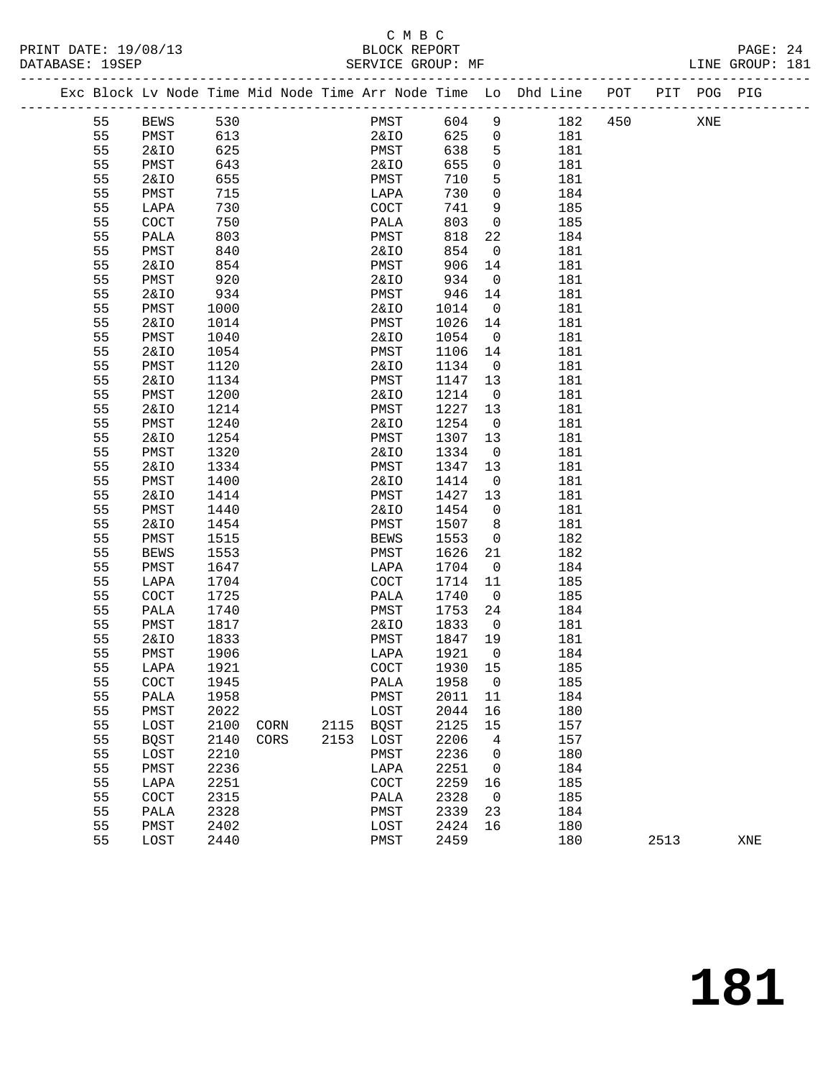#### C M B C<br>BLOCK REPORT PRINT DATE: 19/08/13 BLOCK REPORT PAGE: 24

| PAGE: 24        |  |
|-----------------|--|
| LINE GROUP: 181 |  |

|    |                 |      |      |      |             |        |                         | Exc Block Lv Node Time Mid Node Time Arr Node Time Lo Dhd Line POT |     |      | PIT POG PIG |     |
|----|-----------------|------|------|------|-------------|--------|-------------------------|--------------------------------------------------------------------|-----|------|-------------|-----|
| 55 | <b>BEWS</b>     | 530  |      |      | PMST        | 604    | 9                       | 182                                                                | 450 |      | XNE         |     |
| 55 | PMST            | 613  |      |      | 2&IO        | 625    | $\overline{0}$          | 181                                                                |     |      |             |     |
| 55 | 2&IO            | 625  |      |      | PMST        | 638    | 5                       | 181                                                                |     |      |             |     |
| 55 | PMST            | 643  |      |      | 2&IO        | 655    | 0                       | 181                                                                |     |      |             |     |
| 55 | 2&IO            | 655  |      |      | PMST        | 710    | 5                       | 181                                                                |     |      |             |     |
| 55 | PMST            | 715  |      |      | LAPA        | 730    | $\mathbf{0}$            | 184                                                                |     |      |             |     |
| 55 | LAPA            | 730  |      |      | COCT        | 741    | 9                       | 185                                                                |     |      |             |     |
| 55 | COCT            | 750  |      |      | PALA        | 803    | $\mathsf{O}$            | 185                                                                |     |      |             |     |
| 55 | PALA            | 803  |      |      | PMST        | 818    | 22                      | 184                                                                |     |      |             |     |
| 55 | PMST            | 840  |      |      | 2&IO        | 854    | $\overline{0}$          | 181                                                                |     |      |             |     |
| 55 | 2&IO            | 854  |      |      | PMST        | 906    | 14                      | 181                                                                |     |      |             |     |
| 55 | PMST            | 920  |      |      | 2&IO        | 934    | $\overline{0}$          | 181                                                                |     |      |             |     |
| 55 | 2&IO            | 934  |      |      | PMST        | 946    | 14                      | 181                                                                |     |      |             |     |
| 55 | PMST            | 1000 |      |      | 2&IO        | 1014   | $\overline{0}$          | 181                                                                |     |      |             |     |
|    |                 |      |      |      |             |        |                         |                                                                    |     |      |             |     |
| 55 | 2&IO            | 1014 |      |      | PMST        | 1026   | 14                      | 181                                                                |     |      |             |     |
| 55 | PMST            | 1040 |      |      | 2&IO        | 1054   | $\overline{0}$          | 181                                                                |     |      |             |     |
| 55 | 2&IO            | 1054 |      |      | PMST        | 1106   | 14                      | 181                                                                |     |      |             |     |
| 55 | PMST            | 1120 |      |      | 2&IO        | 1134   | $\overline{0}$          | 181                                                                |     |      |             |     |
| 55 | 2&IO            | 1134 |      |      | PMST        | 1147   | 13                      | 181                                                                |     |      |             |     |
| 55 | PMST            | 1200 |      |      | 2&IO        | 1214   | $\overline{0}$          | 181                                                                |     |      |             |     |
| 55 | 2&IO            | 1214 |      |      | PMST        | 1227   | 13                      | 181                                                                |     |      |             |     |
| 55 | PMST            | 1240 |      |      | 2&IO        | 1254   | $\overline{0}$          | 181                                                                |     |      |             |     |
| 55 | 2&IO            | 1254 |      |      | PMST        | 1307   | 13                      | 181                                                                |     |      |             |     |
| 55 | PMST            | 1320 |      |      | 2&IO        | 1334   | $\overline{\mathbf{0}}$ | 181                                                                |     |      |             |     |
| 55 | 2&IO            | 1334 |      |      | PMST        | 1347   | 13                      | 181                                                                |     |      |             |     |
| 55 | PMST            | 1400 |      |      | 2&IO        | 1414   | $\overline{0}$          | 181                                                                |     |      |             |     |
| 55 | 2&IO            | 1414 |      |      | PMST        | 1427   | 13                      | 181                                                                |     |      |             |     |
| 55 | PMST            | 1440 |      |      | 2&IO        | 1454   | $\overline{0}$          | 181                                                                |     |      |             |     |
| 55 | <b>2&amp;IO</b> | 1454 |      |      | PMST        | 1507   | 8                       | 181                                                                |     |      |             |     |
| 55 | PMST            | 1515 |      |      | BEWS        | 1553   | $\overline{0}$          | 182                                                                |     |      |             |     |
| 55 | BEWS            | 1553 |      |      | PMST        | 1626   | 21                      | 182                                                                |     |      |             |     |
| 55 | PMST            | 1647 |      |      | LAPA        | 1704   | $\overline{\mathbf{0}}$ | 184                                                                |     |      |             |     |
| 55 | LAPA            | 1704 |      |      | COCT        | 1714   | 11                      | 185                                                                |     |      |             |     |
| 55 | COCT            | 1725 |      |      | PALA        | 1740   | $\overline{0}$          | 185                                                                |     |      |             |     |
| 55 | PALA            | 1740 |      |      | PMST        | 1753   | 24                      | 184                                                                |     |      |             |     |
| 55 | PMST            | 1817 |      |      | 2&10        | 1833   | $\overline{0}$          | 181                                                                |     |      |             |     |
| 55 | 2&IO            | 1833 |      |      | PMST        | 1847   | 19                      | 181                                                                |     |      |             |     |
| 55 | PMST            | 1906 |      |      | LAPA        | 1921   | $\overline{0}$          | 184                                                                |     |      |             |     |
| 55 | LAPA            | 1921 |      |      | COCT        | 1930   | 15                      | 185                                                                |     |      |             |     |
| 55 | COCT            | 1945 |      |      | PALA        | 1958 0 |                         | 185                                                                |     |      |             |     |
| 55 | PALA            | 1958 |      |      | PMST        | 2011   | 11                      | 184                                                                |     |      |             |     |
| 55 | PMST            | 2022 |      |      | LOST        | 2044   | 16                      | 180                                                                |     |      |             |     |
| 55 | LOST            | 2100 | CORN | 2115 | <b>BQST</b> | 2125   | 15                      | 157                                                                |     |      |             |     |
| 55 | <b>BQST</b>     | 2140 | CORS | 2153 | LOST        | 2206   | 4                       | 157                                                                |     |      |             |     |
| 55 | LOST            | 2210 |      |      | PMST        | 2236   | 0                       | 180                                                                |     |      |             |     |
| 55 | PMST            | 2236 |      |      | LAPA        | 2251   | 0                       | 184                                                                |     |      |             |     |
| 55 |                 | 2251 |      |      |             | 2259   |                         | 185                                                                |     |      |             |     |
| 55 | LAPA            | 2315 |      |      | COCT        | 2328   | 16<br>$\mathbf 0$       | 185                                                                |     |      |             |     |
|    | COCT            |      |      |      | PALA        |        |                         |                                                                    |     |      |             |     |
| 55 | PALA            | 2328 |      |      | PMST        | 2339   | 23                      | 184                                                                |     |      |             |     |
| 55 | PMST            | 2402 |      |      | LOST        | 2424   | 16                      | 180                                                                |     |      |             |     |
| 55 | LOST            | 2440 |      |      | PMST        | 2459   |                         | 180                                                                |     | 2513 |             | XNE |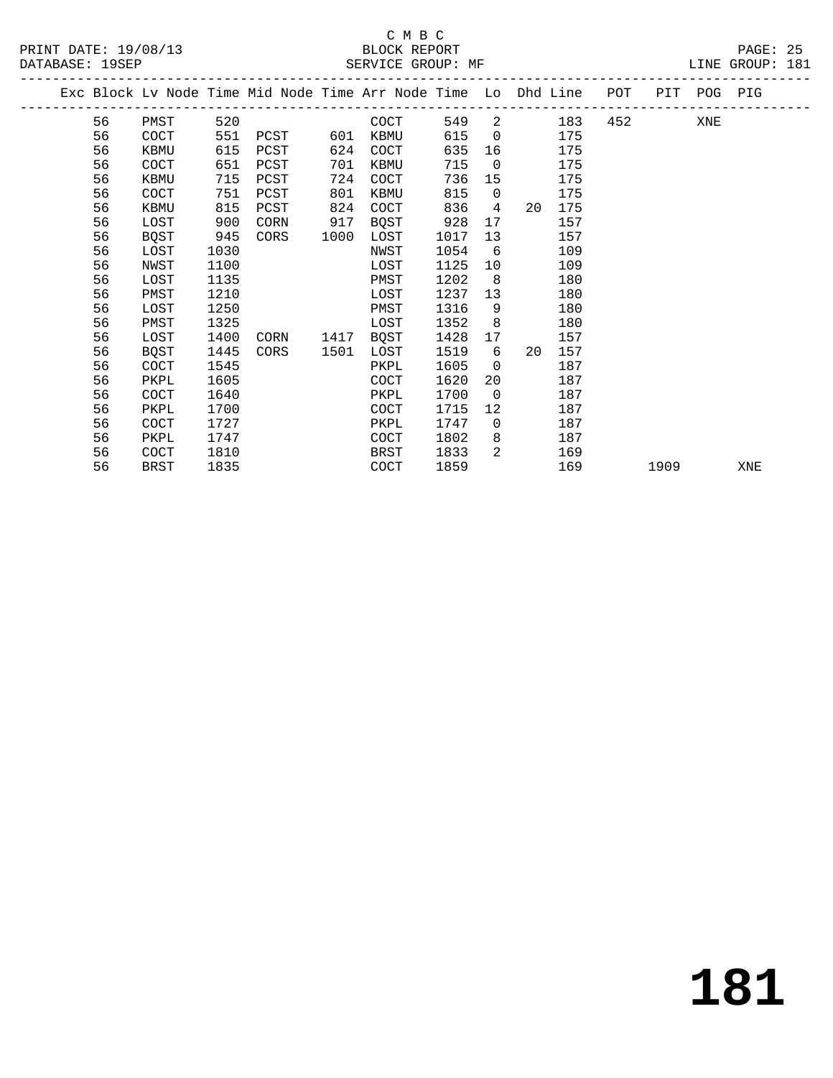### C M B C<br>BLOCK REPORT

PAGE: 25<br>LINE GROUP: 181

|  |    |             |      |      |      | Exc Block Lv Node Time Mid Node Time Arr Node Time Lo Dhd Line |      |                 |                                |     | POT |      | PIT POG PIG |     |
|--|----|-------------|------|------|------|----------------------------------------------------------------|------|-----------------|--------------------------------|-----|-----|------|-------------|-----|
|  | 56 | PMST        | 520  |      |      | COCT                                                           | 549  |                 | $2 \left( \frac{1}{2} \right)$ | 183 | 452 |      | XNE         |     |
|  | 56 | COCT        | 551  | PCST | 601  | KBMU                                                           | 615  | $\overline{0}$  |                                | 175 |     |      |             |     |
|  | 56 | KBMU        | 615  | PCST | 624  | COCT                                                           | 635  | 16              |                                | 175 |     |      |             |     |
|  | 56 | COCT        | 651  | PCST | 701  | KBMU                                                           | 715  | $\overline{0}$  |                                | 175 |     |      |             |     |
|  | 56 | KBMU        | 715  | PCST | 724  | COCT                                                           | 736  | 15              |                                | 175 |     |      |             |     |
|  | 56 | COCT        | 751  | PCST | 801  | KBMU                                                           | 815  | $\overline{0}$  |                                | 175 |     |      |             |     |
|  | 56 | KBMU        | 815  | PCST | 824  | COCT                                                           | 836  | 4               | 20                             | 175 |     |      |             |     |
|  | 56 | LOST        | 900  | CORN | 917  | BQST                                                           | 928  | 17              |                                | 157 |     |      |             |     |
|  | 56 | BQST        | 945  | CORS | 1000 | LOST                                                           | 1017 | 13              |                                | 157 |     |      |             |     |
|  | 56 | LOST        | 1030 |      |      | NWST                                                           | 1054 | 6               |                                | 109 |     |      |             |     |
|  | 56 | NWST        | 1100 |      |      | LOST                                                           | 1125 | 10              |                                | 109 |     |      |             |     |
|  | 56 | LOST        | 1135 |      |      | PMST                                                           | 1202 | 8               |                                | 180 |     |      |             |     |
|  | 56 | PMST        | 1210 |      |      | LOST                                                           | 1237 | 13 <sup>°</sup> |                                | 180 |     |      |             |     |
|  | 56 | LOST        | 1250 |      |      | PMST                                                           | 1316 | 9               |                                | 180 |     |      |             |     |
|  | 56 | PMST        | 1325 |      |      | LOST                                                           | 1352 | 8               |                                | 180 |     |      |             |     |
|  | 56 | LOST        | 1400 | CORN | 1417 | BOST                                                           | 1428 | 17              |                                | 157 |     |      |             |     |
|  | 56 | BQST        | 1445 | CORS | 1501 | LOST                                                           | 1519 | 6               | 20                             | 157 |     |      |             |     |
|  | 56 | COCT        | 1545 |      |      | PKPL                                                           | 1605 | $\overline{0}$  |                                | 187 |     |      |             |     |
|  | 56 | PKPL        | 1605 |      |      | COCT                                                           | 1620 | 20              |                                | 187 |     |      |             |     |
|  | 56 | <b>COCT</b> | 1640 |      |      | PKPL                                                           | 1700 | $\overline{0}$  |                                | 187 |     |      |             |     |
|  | 56 | PKPL        | 1700 |      |      | COCT                                                           | 1715 | $12 \,$         |                                | 187 |     |      |             |     |
|  | 56 | COCT        | 1727 |      |      | PKPL                                                           | 1747 | $\mathbf 0$     |                                | 187 |     |      |             |     |
|  | 56 | PKPL        | 1747 |      |      | COCT                                                           | 1802 | 8               |                                | 187 |     |      |             |     |
|  | 56 | COCT        | 1810 |      |      | BRST                                                           | 1833 | 2               |                                | 169 |     |      |             |     |
|  | 56 | <b>BRST</b> | 1835 |      |      | COCT                                                           | 1859 |                 |                                | 169 |     | 1909 |             | XNE |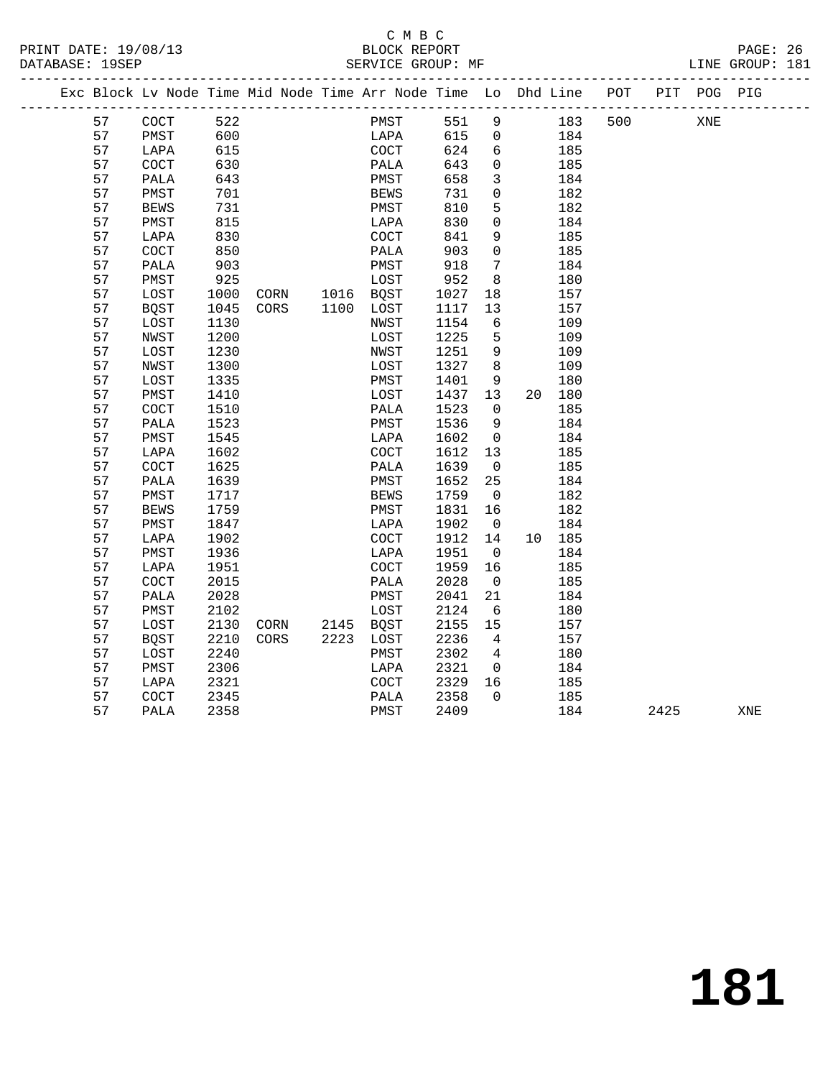### C M B C<br>BLOCK REPORT

PRINT DATE: 19/08/13 BLOCK REPORT PAGE: 26

LINE GROUP: 181

|  |    | Exc Block Lv Node Time Mid Node Time Arr Node Time Lo Dhd Line POT |      |      |                |             |      |      |                         |        |     |      | PIT POG PIG | .com/accommodation/accommodation/accommodation/accommodation/accommodation/accom |
|--|----|--------------------------------------------------------------------|------|------|----------------|-------------|------|------|-------------------------|--------|-----|------|-------------|----------------------------------------------------------------------------------|
|  | 57 | COCT                                                               | 522  |      |                |             | PMST | 551  | 9                       | 183    | 500 |      | XNE         |                                                                                  |
|  | 57 | PMST                                                               | 600  |      |                |             | LAPA | 615  | $\overline{0}$          | 184    |     |      |             |                                                                                  |
|  | 57 | LAPA                                                               | 615  |      |                | COCT        |      | 624  | 6                       | 185    |     |      |             |                                                                                  |
|  | 57 | COCT                                                               | 630  |      |                | PALA        |      | 643  | $\overline{0}$          | 185    |     |      |             |                                                                                  |
|  | 57 | PALA                                                               | 643  |      |                | PMST        |      | 658  | $\mathbf{3}$            | 184    |     |      |             |                                                                                  |
|  | 57 | PMST                                                               | 701  |      |                | BEWS        |      | 731  | $\mathsf{O}$            | 182    |     |      |             |                                                                                  |
|  | 57 | <b>BEWS</b>                                                        | 731  |      |                | PMST        |      | 810  | 5                       | 182    |     |      |             |                                                                                  |
|  | 57 | PMST                                                               | 815  |      |                | LAPA        |      | 830  | $\mathbf 0$             | 184    |     |      |             |                                                                                  |
|  | 57 | LAPA                                                               | 830  |      |                | COCT        |      | 841  | 9                       | 185    |     |      |             |                                                                                  |
|  | 57 | COCT                                                               | 850  |      |                | PALA        |      | 903  | $\Omega$                | 185    |     |      |             |                                                                                  |
|  | 57 | PALA                                                               | 903  |      |                | PMST        |      | 918  | $\overline{7}$          | 184    |     |      |             |                                                                                  |
|  | 57 | PMST                                                               | 925  |      |                | LOST        |      | 952  | 8                       | 180    |     |      |             |                                                                                  |
|  | 57 | LOST                                                               | 1000 |      | CORN 1016 BQST |             |      | 1027 | 18                      | 157    |     |      |             |                                                                                  |
|  | 57 | BQST                                                               | 1045 | CORS | 1100 LOST      |             |      | 1117 | 13                      | 157    |     |      |             |                                                                                  |
|  | 57 | LOST                                                               | 1130 |      |                | NWST        |      | 1154 | 6                       | 109    |     |      |             |                                                                                  |
|  | 57 | NWST                                                               | 1200 |      |                | LOST        |      | 1225 | 5                       | 109    |     |      |             |                                                                                  |
|  | 57 | LOST                                                               | 1230 |      |                | NWST        |      | 1251 | 9                       | 109    |     |      |             |                                                                                  |
|  | 57 | NWST                                                               | 1300 |      |                | LOST        |      | 1327 | 8 <sup>8</sup>          | 109    |     |      |             |                                                                                  |
|  | 57 | LOST                                                               | 1335 |      |                | PMST        |      | 1401 | 9                       | 180    |     |      |             |                                                                                  |
|  | 57 | PMST                                                               | 1410 |      |                | LOST        |      | 1437 | 13                      | 20 180 |     |      |             |                                                                                  |
|  | 57 | COCT                                                               | 1510 |      |                | PALA        |      | 1523 | $\overline{0}$          | 185    |     |      |             |                                                                                  |
|  | 57 | PALA                                                               | 1523 |      |                | PMST        |      | 1536 | 9                       | 184    |     |      |             |                                                                                  |
|  | 57 | PMST                                                               | 1545 |      |                | LAPA        |      | 1602 | $\overline{\mathbf{0}}$ | 184    |     |      |             |                                                                                  |
|  | 57 | LAPA                                                               | 1602 |      |                | <b>COCT</b> |      | 1612 | 13                      | 185    |     |      |             |                                                                                  |
|  | 57 | COCT                                                               | 1625 |      |                | PALA        |      | 1639 | $\overline{0}$          | 185    |     |      |             |                                                                                  |
|  | 57 | PALA                                                               | 1639 |      |                | PMST        |      | 1652 | 25                      | 184    |     |      |             |                                                                                  |
|  | 57 | PMST                                                               | 1717 |      |                | <b>BEWS</b> |      | 1759 | $\overline{0}$          | 182    |     |      |             |                                                                                  |
|  | 57 | BEWS                                                               | 1759 |      |                | PMST        |      | 1831 | 16                      | 182    |     |      |             |                                                                                  |
|  | 57 | PMST                                                               | 1847 |      |                | LAPA        |      | 1902 | $\overline{0}$          | 184    |     |      |             |                                                                                  |
|  | 57 | LAPA                                                               | 1902 |      |                | COCT        |      | 1912 | 14                      | 10 185 |     |      |             |                                                                                  |
|  | 57 | PMST                                                               | 1936 |      |                | LAPA        |      | 1951 | $\overline{0}$          | 184    |     |      |             |                                                                                  |
|  | 57 | LAPA                                                               | 1951 |      |                | COCT        |      | 1959 | 16                      | 185    |     |      |             |                                                                                  |
|  | 57 | COCT                                                               | 2015 |      |                | PALA        |      | 2028 | $\overline{0}$          | 185    |     |      |             |                                                                                  |
|  | 57 | PALA                                                               | 2028 |      |                | PMST        |      | 2041 | 21                      | 184    |     |      |             |                                                                                  |
|  | 57 | PMST                                                               | 2102 |      |                | LOST        |      | 2124 | 6                       | 180    |     |      |             |                                                                                  |
|  | 57 | LOST                                                               | 2130 |      | CORN 2145 BQST |             |      | 2155 | 15                      | 157    |     |      |             |                                                                                  |
|  | 57 | <b>BQST</b>                                                        | 2210 | CORS | 2223 LOST      |             |      | 2236 | $4\overline{4}$         | 157    |     |      |             |                                                                                  |
|  | 57 | LOST                                                               | 2240 |      |                | PMST        |      | 2302 | $\overline{4}$          | 180    |     |      |             |                                                                                  |
|  | 57 | PMST                                                               | 2306 |      |                | LAPA        |      | 2321 | $\overline{\mathbf{0}}$ | 184    |     |      |             |                                                                                  |
|  | 57 | LAPA                                                               | 2321 |      |                | COCT        |      | 2329 | 16                      | 185    |     |      |             |                                                                                  |
|  | 57 | COCT                                                               | 2345 |      |                | PALA        |      | 2358 | $\overline{0}$          | 185    |     |      |             |                                                                                  |
|  | 57 | PALA                                                               | 2358 |      |                | PMST        |      | 2409 |                         | 184    |     | 2425 |             | XNE                                                                              |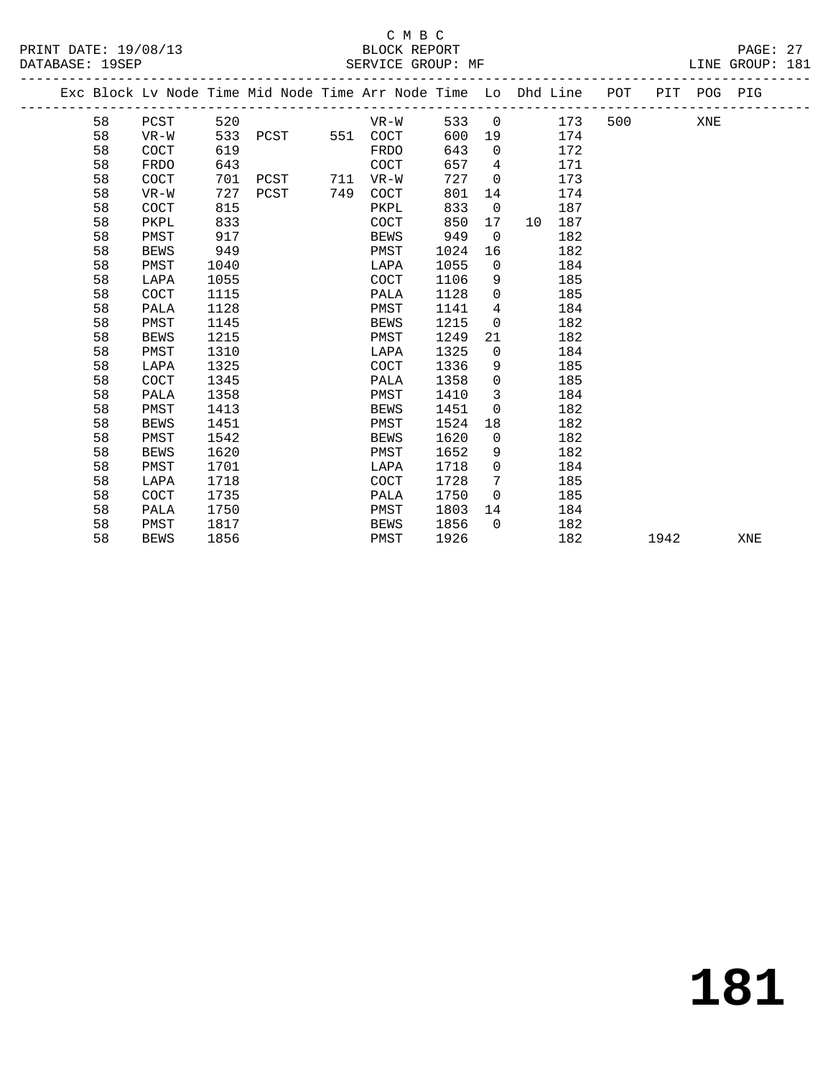#### C M B C<br>BLOCK REPORT PRINT DATE: 19/08/13 BLOCK REPORT<br>DATABASE: 19SEP SERVICE GROUP: MF

PAGE: 27<br>LINE GROUP: 181

|  |    |             |      | Exc Block Lv Node Time Mid Node Time Arr Node Time Lo Dhd Line POT |     |             |      |                 |    |     |     |      | PIT POG PIG |     |
|--|----|-------------|------|--------------------------------------------------------------------|-----|-------------|------|-----------------|----|-----|-----|------|-------------|-----|
|  | 58 | PCST        | 520  |                                                                    |     | VR-W        | 533  | $\overline{0}$  |    | 173 | 500 |      | XNE         |     |
|  | 58 | $VR-W$      | 533  | PCST                                                               |     | 551 COCT    | 600  | 19              |    | 174 |     |      |             |     |
|  | 58 | <b>COCT</b> | 619  |                                                                    |     | FRDO        | 643  | $\Omega$        |    | 172 |     |      |             |     |
|  | 58 | FRDO        | 643  |                                                                    |     | <b>COCT</b> | 657  | $\overline{4}$  |    | 171 |     |      |             |     |
|  | 58 | COCT        | 701  | PCST                                                               | 711 | VR-W        | 727  | $\mathbf 0$     |    | 173 |     |      |             |     |
|  | 58 | $VR-W$      | 727  | PCST                                                               | 749 | COCT        | 801  | 14              |    | 174 |     |      |             |     |
|  | 58 | <b>COCT</b> | 815  |                                                                    |     | PKPL        | 833  | $\mathbf 0$     |    | 187 |     |      |             |     |
|  | 58 | PKPL        | 833  |                                                                    |     | COCT        | 850  | 17              | 10 | 187 |     |      |             |     |
|  | 58 | PMST        | 917  |                                                                    |     | <b>BEWS</b> | 949  | $\overline{0}$  |    | 182 |     |      |             |     |
|  | 58 | <b>BEWS</b> | 949  |                                                                    |     | PMST        | 1024 | 16              |    | 182 |     |      |             |     |
|  | 58 | PMST        | 1040 |                                                                    |     | LAPA        | 1055 | $\mathbf 0$     |    | 184 |     |      |             |     |
|  | 58 | LAPA        | 1055 |                                                                    |     | <b>COCT</b> | 1106 | 9               |    | 185 |     |      |             |     |
|  | 58 | COCT        | 1115 |                                                                    |     | PALA        | 1128 | $\mathbf 0$     |    | 185 |     |      |             |     |
|  | 58 | PALA        | 1128 |                                                                    |     | PMST        | 1141 | $4\overline{ }$ |    | 184 |     |      |             |     |
|  | 58 | PMST        | 1145 |                                                                    |     | <b>BEWS</b> | 1215 | $\mathbf 0$     |    | 182 |     |      |             |     |
|  | 58 | <b>BEWS</b> | 1215 |                                                                    |     | PMST        | 1249 | 21              |    | 182 |     |      |             |     |
|  | 58 | PMST        | 1310 |                                                                    |     | LAPA        | 1325 | $\overline{0}$  |    | 184 |     |      |             |     |
|  | 58 | LAPA        | 1325 |                                                                    |     | <b>COCT</b> | 1336 | 9               |    | 185 |     |      |             |     |
|  | 58 | <b>COCT</b> | 1345 |                                                                    |     | PALA        | 1358 | $\Omega$        |    | 185 |     |      |             |     |
|  | 58 | PALA        | 1358 |                                                                    |     | PMST        | 1410 | 3               |    | 184 |     |      |             |     |
|  | 58 | PMST        | 1413 |                                                                    |     | BEWS        | 1451 | $\overline{0}$  |    | 182 |     |      |             |     |
|  | 58 | <b>BEWS</b> | 1451 |                                                                    |     | PMST        | 1524 | 18              |    | 182 |     |      |             |     |
|  | 58 | PMST        | 1542 |                                                                    |     | BEWS        | 1620 | $\Omega$        |    | 182 |     |      |             |     |
|  | 58 | <b>BEWS</b> | 1620 |                                                                    |     | PMST        | 1652 | 9               |    | 182 |     |      |             |     |
|  | 58 | PMST        | 1701 |                                                                    |     | LAPA        | 1718 | $\mathbf 0$     |    | 184 |     |      |             |     |
|  | 58 | LAPA        | 1718 |                                                                    |     | <b>COCT</b> | 1728 | 7               |    | 185 |     |      |             |     |
|  | 58 | <b>COCT</b> | 1735 |                                                                    |     | PALA        | 1750 | $\Omega$        |    | 185 |     |      |             |     |
|  | 58 | PALA        | 1750 |                                                                    |     | PMST        | 1803 | 14              |    | 184 |     |      |             |     |
|  | 58 | PMST        | 1817 |                                                                    |     | BEWS        | 1856 | $\Omega$        |    | 182 |     |      |             |     |
|  | 58 | <b>BEWS</b> | 1856 |                                                                    |     | PMST        | 1926 |                 |    | 182 |     | 1942 |             | XNE |
|  |    |             |      |                                                                    |     |             |      |                 |    |     |     |      |             |     |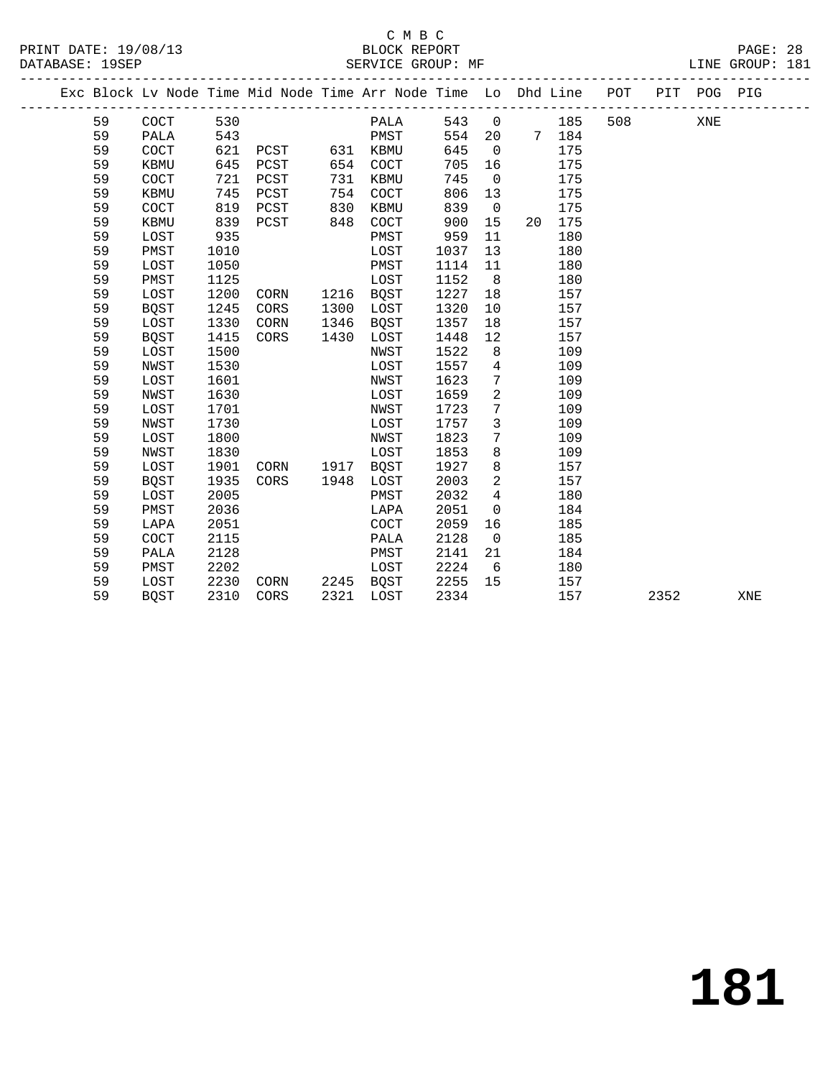### C M B C<br>BLOCK REPORT

PRINT DATE: 19/08/13 BLOCK REPORT BATABASE: 19SEP

PAGE: 28<br>LINE GROUP: 181

|  |    |             |      |      |      | Exc Block Lv Node Time Mid Node Time Arr Node Time Lo Dhd Line POT |      |                 |    |       |     |      | PIT POG PIG |     |
|--|----|-------------|------|------|------|--------------------------------------------------------------------|------|-----------------|----|-------|-----|------|-------------|-----|
|  | 59 | COCT        | 530  |      |      | PALA                                                               | 543  | $\overline{0}$  |    | 185   | 508 |      | XNE         |     |
|  | 59 | PALA        | 543  |      |      | PMST                                                               | 554  | 20              |    | 7 184 |     |      |             |     |
|  | 59 | COCT        | 621  | PCST |      | 631 KBMU                                                           | 645  | $\overline{0}$  |    | 175   |     |      |             |     |
|  | 59 | KBMU        | 645  | PCST | 654  | COCT                                                               | 705  | 16              |    | 175   |     |      |             |     |
|  | 59 | COCT        | 721  | PCST | 731  | KBMU                                                               | 745  | $\overline{0}$  |    | 175   |     |      |             |     |
|  | 59 | KBMU        | 745  | PCST | 754  | <b>COCT</b>                                                        | 806  | 13              |    | 175   |     |      |             |     |
|  | 59 | COCT        | 819  | PCST | 830  | KBMU                                                               | 839  | $\overline{0}$  |    | 175   |     |      |             |     |
|  | 59 | KBMU        | 839  | PCST | 848  | COCT                                                               | 900  | 15              | 20 | 175   |     |      |             |     |
|  | 59 | LOST        | 935  |      |      | PMST                                                               | 959  | 11              |    | 180   |     |      |             |     |
|  | 59 | PMST        | 1010 |      |      | LOST                                                               | 1037 | 13              |    | 180   |     |      |             |     |
|  | 59 | LOST        | 1050 |      |      | PMST                                                               | 1114 | 11              |    | 180   |     |      |             |     |
|  | 59 | PMST        | 1125 |      |      | LOST                                                               | 1152 | 8               |    | 180   |     |      |             |     |
|  | 59 | LOST        | 1200 | CORN |      | 1216 BQST                                                          | 1227 | 18              |    | 157   |     |      |             |     |
|  | 59 | BQST        | 1245 | CORS | 1300 | LOST                                                               | 1320 | 10              |    | 157   |     |      |             |     |
|  | 59 | LOST        | 1330 | CORN | 1346 | BQST                                                               | 1357 | 18              |    | 157   |     |      |             |     |
|  | 59 | BQST        | 1415 | CORS | 1430 | LOST                                                               | 1448 | 12              |    | 157   |     |      |             |     |
|  | 59 | LOST        | 1500 |      |      | NWST                                                               | 1522 | 8               |    | 109   |     |      |             |     |
|  | 59 | <b>NWST</b> | 1530 |      |      | LOST                                                               | 1557 | $\overline{4}$  |    | 109   |     |      |             |     |
|  | 59 | LOST        | 1601 |      |      | NWST                                                               | 1623 | 7               |    | 109   |     |      |             |     |
|  | 59 | <b>NWST</b> | 1630 |      |      | LOST                                                               | 1659 | $\overline{a}$  |    | 109   |     |      |             |     |
|  | 59 | LOST        | 1701 |      |      | NWST                                                               | 1723 | 7               |    | 109   |     |      |             |     |
|  | 59 | NWST        | 1730 |      |      | LOST                                                               | 1757 | 3               |    | 109   |     |      |             |     |
|  | 59 | LOST        | 1800 |      |      | NWST                                                               | 1823 | $7\phantom{.0}$ |    | 109   |     |      |             |     |
|  | 59 | NWST        | 1830 |      |      | LOST                                                               | 1853 | 8               |    | 109   |     |      |             |     |
|  | 59 | LOST        | 1901 | CORN | 1917 | BOST                                                               | 1927 | 8               |    | 157   |     |      |             |     |
|  | 59 | <b>BQST</b> | 1935 | CORS | 1948 | LOST                                                               | 2003 | $\overline{2}$  |    | 157   |     |      |             |     |
|  | 59 | LOST        | 2005 |      |      | PMST                                                               | 2032 | $\overline{4}$  |    | 180   |     |      |             |     |
|  | 59 | PMST        | 2036 |      |      | LAPA                                                               | 2051 | $\overline{0}$  |    | 184   |     |      |             |     |
|  | 59 | LAPA        | 2051 |      |      | COCT                                                               | 2059 | 16              |    | 185   |     |      |             |     |
|  | 59 | COCT        | 2115 |      |      | PALA                                                               | 2128 | $\overline{0}$  |    | 185   |     |      |             |     |
|  | 59 | PALA        | 2128 |      |      | PMST                                                               | 2141 | 21              |    | 184   |     |      |             |     |
|  | 59 | PMST        | 2202 |      |      | LOST                                                               | 2224 | 6               |    | 180   |     |      |             |     |
|  | 59 | LOST        | 2230 | CORN |      | 2245 BQST                                                          | 2255 | 15              |    | 157   |     |      |             |     |
|  | 59 | <b>BOST</b> | 2310 | CORS | 2321 | LOST                                                               | 2334 |                 |    | 157   |     | 2352 |             | XNE |
|  |    |             |      |      |      |                                                                    |      |                 |    |       |     |      |             |     |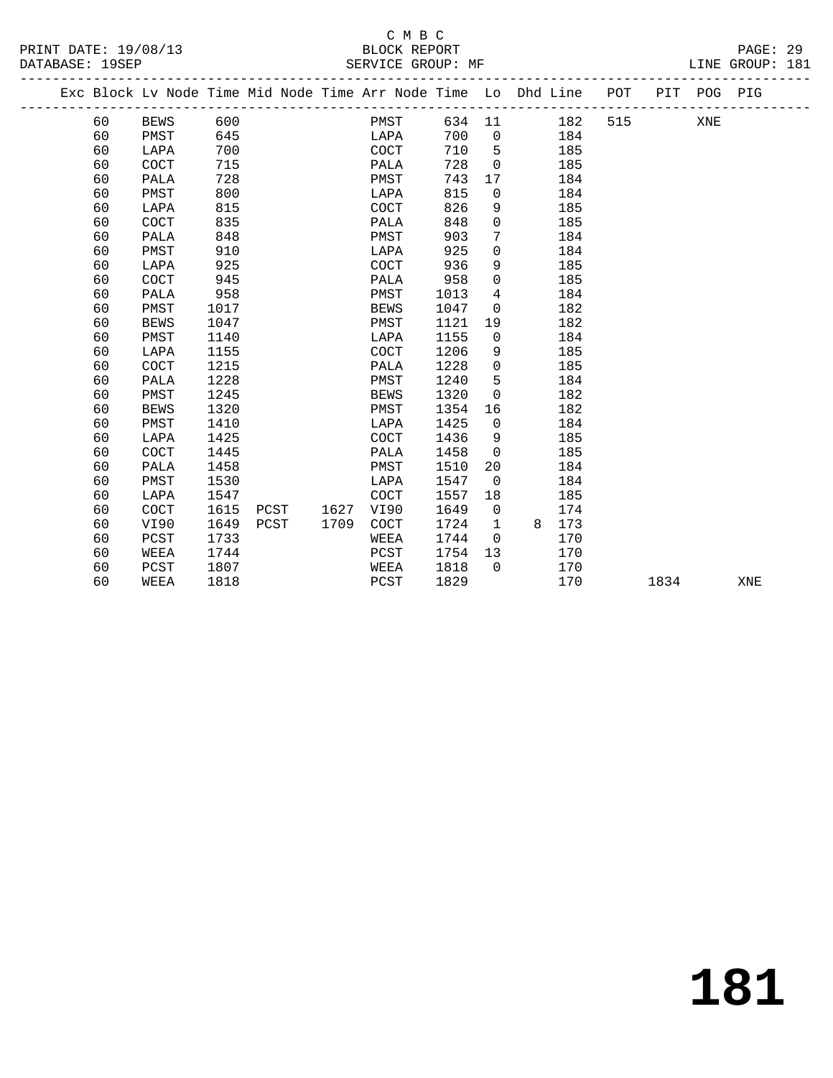### C M B C<br>BLOCK REPORT

PAGE: 29<br>LINE GROUP: 181

|  |    |                      |      |      |      | Exc Block Lv Node Time Mid Node Time Arr Node Time Lo Dhd Line POT |        |                |   |     |     |      | PIT POG PIG |     |
|--|----|----------------------|------|------|------|--------------------------------------------------------------------|--------|----------------|---|-----|-----|------|-------------|-----|
|  | 60 | <b>BEWS</b>          | 600  |      |      | PMST                                                               | 634 11 |                |   | 182 | 515 |      | XNE         |     |
|  | 60 | PMST                 | 645  |      |      | LAPA                                                               | 700    | $\overline{0}$ |   | 184 |     |      |             |     |
|  | 60 | LAPA                 | 700  |      |      | <b>COCT</b>                                                        | 710    | $-5$           |   | 185 |     |      |             |     |
|  | 60 | COCT                 | 715  |      |      | PALA                                                               | 728    | $\mathbf 0$    |   | 185 |     |      |             |     |
|  | 60 | PALA                 | 728  |      |      | PMST                                                               | 743    | 17             |   | 184 |     |      |             |     |
|  | 60 | PMST                 | 800  |      |      | LAPA                                                               | 815    | $\mathbf 0$    |   | 184 |     |      |             |     |
|  | 60 | LAPA                 | 815  |      |      | <b>COCT</b>                                                        | 826    | 9              |   | 185 |     |      |             |     |
|  | 60 | COCT                 | 835  |      |      | PALA                                                               | 848    | 0              |   | 185 |     |      |             |     |
|  | 60 | PALA                 | 848  |      |      | PMST                                                               | 903    | 7              |   | 184 |     |      |             |     |
|  | 60 | PMST                 | 910  |      |      | LAPA                                                               | 925    | 0              |   | 184 |     |      |             |     |
|  | 60 | LAPA                 | 925  |      |      | COCT                                                               | 936    | 9              |   | 185 |     |      |             |     |
|  | 60 | COCT                 | 945  |      |      | PALA                                                               | 958    | 0              |   | 185 |     |      |             |     |
|  | 60 | PALA                 | 958  |      |      | PMST                                                               | 1013   | 4              |   | 184 |     |      |             |     |
|  | 60 | PMST                 | 1017 |      |      | <b>BEWS</b>                                                        | 1047   | $\mathbf 0$    |   | 182 |     |      |             |     |
|  | 60 | <b>BEWS</b>          | 1047 |      |      | PMST                                                               | 1121   | 19             |   | 182 |     |      |             |     |
|  | 60 | PMST                 | 1140 |      |      | LAPA                                                               | 1155   | $\mathbf 0$    |   | 184 |     |      |             |     |
|  | 60 | LAPA                 | 1155 |      |      | <b>COCT</b>                                                        | 1206   | 9              |   | 185 |     |      |             |     |
|  | 60 | COCT                 | 1215 |      |      | PALA                                                               | 1228   | $\mathbf 0$    |   | 185 |     |      |             |     |
|  | 60 | PALA                 | 1228 |      |      | PMST                                                               | 1240   | 5              |   | 184 |     |      |             |     |
|  | 60 | PMST                 | 1245 |      |      | BEWS                                                               | 1320   | $\mathsf{O}$   |   | 182 |     |      |             |     |
|  | 60 | <b>BEWS</b>          | 1320 |      |      | PMST                                                               | 1354   | 16             |   | 182 |     |      |             |     |
|  | 60 | PMST                 | 1410 |      |      | LAPA                                                               | 1425   | 0              |   | 184 |     |      |             |     |
|  | 60 | LAPA                 | 1425 |      |      | COCT                                                               | 1436   | 9              |   | 185 |     |      |             |     |
|  | 60 | COCT                 | 1445 |      |      | PALA                                                               | 1458   | $\mathbf 0$    |   | 185 |     |      |             |     |
|  | 60 | PALA                 | 1458 |      |      | PMST                                                               | 1510   | 20             |   | 184 |     |      |             |     |
|  | 60 | PMST                 | 1530 |      |      | LAPA                                                               | 1547   | $\mathbf 0$    |   | 184 |     |      |             |     |
|  | 60 | LAPA                 | 1547 |      |      | <b>COCT</b>                                                        | 1557   | 18             |   | 185 |     |      |             |     |
|  | 60 | $\operatorname{COT}$ | 1615 | PCST | 1627 | VI90                                                               | 1649   | $\mathbf 0$    |   | 174 |     |      |             |     |
|  | 60 | VI90                 | 1649 | PCST | 1709 | COCT                                                               | 1724   | $\mathbf{1}$   | 8 | 173 |     |      |             |     |
|  | 60 | PCST                 | 1733 |      |      | WEEA                                                               | 1744   | $\Omega$       |   | 170 |     |      |             |     |
|  | 60 | WEEA                 | 1744 |      |      | PCST                                                               | 1754   | 13             |   | 170 |     |      |             |     |
|  | 60 | PCST                 | 1807 |      |      | WEEA                                                               | 1818   | $\Omega$       |   | 170 |     |      |             |     |
|  | 60 | WEEA                 | 1818 |      |      | PCST                                                               | 1829   |                |   | 170 |     | 1834 |             | XNE |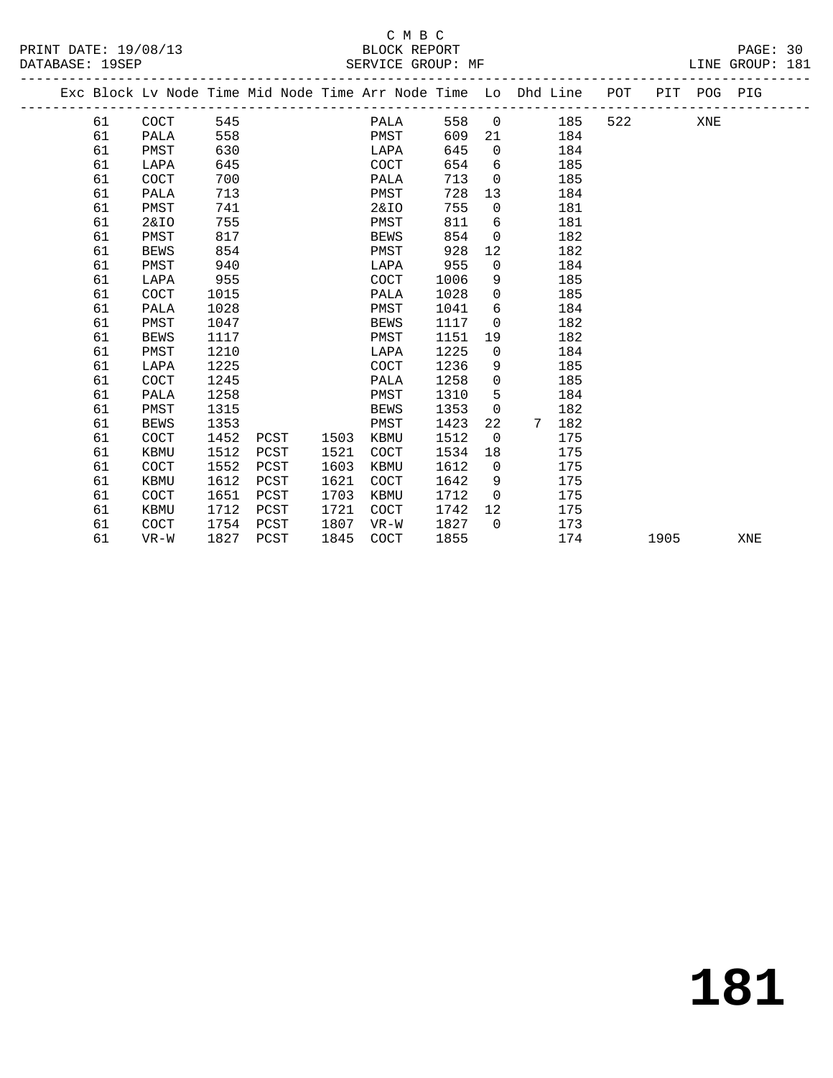### C M B C

| PRINT DATE: 19/08/13  | BLOCK REPORT      | PAGE:                 |
|-----------------------|-------------------|-----------------------|
| DATABASE:<br>$19$ SFD | SERVICE GROUP: MF | 181<br>GROUP:<br>LINE |

|  |    |             |      |      |      | Exc Block Lv Node Time Mid Node Time Arr Node Time Lo Dhd Line POT |      |                   |                        |     |      | PIT POG PIG |     |
|--|----|-------------|------|------|------|--------------------------------------------------------------------|------|-------------------|------------------------|-----|------|-------------|-----|
|  | 61 | COCT        | 545  |      |      | PALA                                                               | 558  | $\overline{0}$    | 185                    | 522 |      | XNE         |     |
|  | 61 | PALA        | 558  |      |      | PMST                                                               | 609  | 21                | 184                    |     |      |             |     |
|  | 61 | PMST        | 630  |      |      | LAPA                                                               | 645  | $\Omega$          | 184                    |     |      |             |     |
|  | 61 | LAPA        | 645  |      |      | COCT                                                               | 654  | 6                 | 185                    |     |      |             |     |
|  | 61 | <b>COCT</b> | 700  |      |      | PALA                                                               | 713  | $\Omega$          | 185                    |     |      |             |     |
|  | 61 | PALA        | 713  |      |      | PMST                                                               | 728  | 13                | 184                    |     |      |             |     |
|  | 61 | PMST        | 741  |      |      | <b>2&amp;IO</b>                                                    | 755  | $\mathbf 0$       | 181                    |     |      |             |     |
|  | 61 | 2&IO        | 755  |      |      | PMST                                                               | 811  | 6                 | 181                    |     |      |             |     |
|  | 61 | PMST        | 817  |      |      | <b>BEWS</b>                                                        | 854  | $\Omega$          | 182                    |     |      |             |     |
|  | 61 | <b>BEWS</b> | 854  |      |      | PMST                                                               | 928  | 12                | 182                    |     |      |             |     |
|  | 61 | PMST        | 940  |      |      | LAPA                                                               | 955  | $\mathbf 0$       | 184                    |     |      |             |     |
|  | 61 | LAPA        | 955  |      |      | COCT                                                               | 1006 | 9                 | 185                    |     |      |             |     |
|  | 61 | COCT        | 1015 |      |      | PALA                                                               | 1028 | $\mathbf{0}$      | 185                    |     |      |             |     |
|  | 61 | PALA        | 1028 |      |      | PMST                                                               | 1041 | 6                 | 184                    |     |      |             |     |
|  | 61 | PMST        | 1047 |      |      | BEWS                                                               | 1117 | $\mathbf{0}$      | 182                    |     |      |             |     |
|  | 61 | <b>BEWS</b> | 1117 |      |      | PMST                                                               | 1151 | 19                | 182                    |     |      |             |     |
|  | 61 | PMST        | 1210 |      |      | LAPA                                                               | 1225 | $\overline{0}$    | 184                    |     |      |             |     |
|  | 61 | LAPA        | 1225 |      |      | COCT                                                               | 1236 | 9                 | 185                    |     |      |             |     |
|  | 61 | COCT        | 1245 |      |      | PALA                                                               | 1258 | $\mathbf 0$       | 185                    |     |      |             |     |
|  | 61 | PALA        | 1258 |      |      | PMST                                                               | 1310 | 5                 | 184                    |     |      |             |     |
|  | 61 | PMST        | 1315 |      |      | <b>BEWS</b>                                                        | 1353 | $\overline{0}$    | 182                    |     |      |             |     |
|  | 61 | <b>BEWS</b> | 1353 |      |      | PMST                                                               | 1423 | 22                | 182<br>$7\overline{ }$ |     |      |             |     |
|  | 61 | COCT        | 1452 | PCST | 1503 | KBMU                                                               | 1512 | $\Omega$          | 175                    |     |      |             |     |
|  | 61 | KBMU        | 1512 | PCST | 1521 | <b>COCT</b>                                                        | 1534 | 18                | 175                    |     |      |             |     |
|  | 61 | COCT        | 1552 | PCST | 1603 | KBMU                                                               | 1612 | $\overline{0}$    | 175                    |     |      |             |     |
|  | 61 | <b>KBMU</b> | 1612 | PCST | 1621 | COCT                                                               | 1642 | 9                 | 175                    |     |      |             |     |
|  | 61 | COCT        | 1651 | PCST | 1703 | KBMU                                                               | 1712 | $\Omega$          | 175                    |     |      |             |     |
|  | 61 | <b>KBMU</b> | 1712 | PCST | 1721 | <b>COCT</b>                                                        | 1742 | $12 \overline{ }$ | 175                    |     |      |             |     |
|  | 61 | <b>COCT</b> | 1754 | PCST | 1807 | $VR-W$                                                             | 1827 | $\Omega$          | 173                    |     |      |             |     |
|  | 61 | $VR-W$      | 1827 | PCST | 1845 | <b>COCT</b>                                                        | 1855 |                   | 174                    |     | 1905 |             | XNE |
|  |    |             |      |      |      |                                                                    |      |                   |                        |     |      |             |     |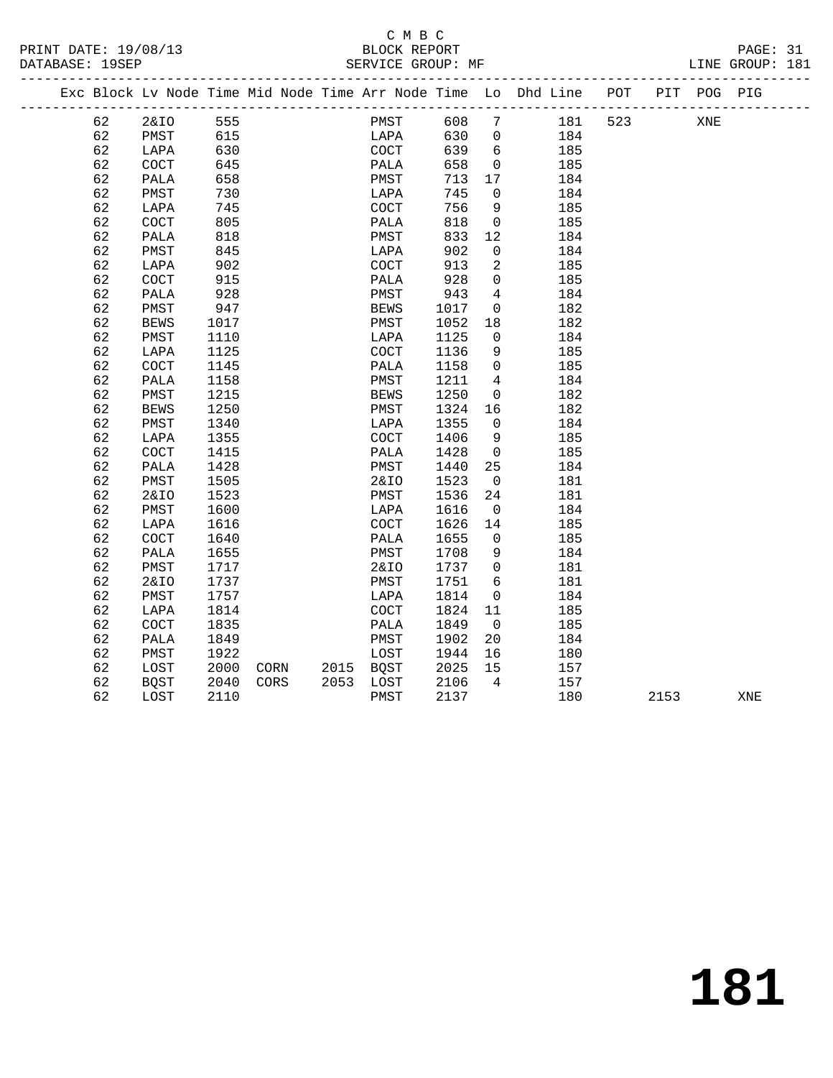## C M B C<br>BLOCK REPORT

PRINT DATE: 19/08/13 BLOCK REPORT<br>DATABASE: 19SEP SERVICE GROUP: MF

PAGE: 31<br>LINE GROUP: 181

|  |    | Exc Block Lv Node Time Mid Node Time Arr Node Time Lo Dhd Line |      |      |           |                      |      |                          |     | POT |      | PIT POG PIG |     |  |
|--|----|----------------------------------------------------------------|------|------|-----------|----------------------|------|--------------------------|-----|-----|------|-------------|-----|--|
|  | 62 | <b>2&amp;IO</b>                                                | 555  |      |           | PMST                 | 608  | 7                        | 181 | 523 |      | XNE         |     |  |
|  | 62 | PMST                                                           | 615  |      |           | LAPA                 | 630  | $\overline{0}$           | 184 |     |      |             |     |  |
|  | 62 | LAPA                                                           | 630  |      |           | COCT                 | 639  | 6                        | 185 |     |      |             |     |  |
|  | 62 | COCT                                                           | 645  |      |           | PALA                 | 658  | $\overline{0}$           | 185 |     |      |             |     |  |
|  | 62 | PALA                                                           | 658  |      |           | PMST                 | 713  | 17                       | 184 |     |      |             |     |  |
|  | 62 | PMST                                                           | 730  |      |           | LAPA                 | 745  | $\mathbf 0$              | 184 |     |      |             |     |  |
|  | 62 | LAPA                                                           | 745  |      |           | $\operatorname{COT}$ | 756  | 9                        | 185 |     |      |             |     |  |
|  | 62 | COCT                                                           | 805  |      |           | PALA                 | 818  | 0                        | 185 |     |      |             |     |  |
|  | 62 | PALA                                                           | 818  |      |           | PMST                 | 833  | 12                       | 184 |     |      |             |     |  |
|  | 62 | PMST                                                           | 845  |      |           | LAPA                 | 902  | $\mathbf{0}$             | 184 |     |      |             |     |  |
|  | 62 | LAPA                                                           | 902  |      |           | COCT                 | 913  | 2                        | 185 |     |      |             |     |  |
|  | 62 | COCT                                                           | 915  |      |           | PALA                 | 928  | $\mathbf{0}$             | 185 |     |      |             |     |  |
|  | 62 | PALA                                                           | 928  |      |           | PMST                 | 943  | $\overline{4}$           | 184 |     |      |             |     |  |
|  | 62 | PMST                                                           | 947  |      |           | BEWS                 | 1017 | $\mathbf 0$              | 182 |     |      |             |     |  |
|  | 62 | <b>BEWS</b>                                                    | 1017 |      |           | PMST                 | 1052 | 18                       | 182 |     |      |             |     |  |
|  | 62 | PMST                                                           | 1110 |      |           | LAPA                 | 1125 | $\mathbf 0$              | 184 |     |      |             |     |  |
|  | 62 | LAPA                                                           | 1125 |      |           | COCT                 | 1136 | 9                        | 185 |     |      |             |     |  |
|  | 62 | COCT                                                           | 1145 |      |           | PALA                 | 1158 | $\mathbf 0$              | 185 |     |      |             |     |  |
|  | 62 | PALA                                                           | 1158 |      |           | PMST                 | 1211 | $\overline{4}$           | 184 |     |      |             |     |  |
|  | 62 | PMST                                                           | 1215 |      |           | <b>BEWS</b>          | 1250 | $\overline{0}$           | 182 |     |      |             |     |  |
|  | 62 | <b>BEWS</b>                                                    | 1250 |      |           | PMST                 | 1324 | 16                       | 182 |     |      |             |     |  |
|  | 62 | PMST                                                           | 1340 |      |           | LAPA                 | 1355 | $\overline{0}$           | 184 |     |      |             |     |  |
|  | 62 | LAPA                                                           | 1355 |      |           | <b>COCT</b>          | 1406 | 9                        | 185 |     |      |             |     |  |
|  | 62 | COCT                                                           | 1415 |      |           | PALA                 | 1428 | $\overline{0}$           | 185 |     |      |             |     |  |
|  | 62 | PALA                                                           | 1428 |      |           | PMST                 | 1440 | 25                       | 184 |     |      |             |     |  |
|  | 62 | PMST                                                           | 1505 |      |           | <b>2&amp;IO</b>      | 1523 | $\overline{\phantom{0}}$ | 181 |     |      |             |     |  |
|  | 62 | <b>2&amp;IO</b>                                                | 1523 |      |           | PMST                 | 1536 | 24                       | 181 |     |      |             |     |  |
|  | 62 | PMST                                                           | 1600 |      |           | LAPA                 | 1616 | $\overline{0}$           | 184 |     |      |             |     |  |
|  | 62 | LAPA                                                           | 1616 |      |           | <b>COCT</b>          | 1626 | 14                       | 185 |     |      |             |     |  |
|  | 62 | COCT                                                           | 1640 |      |           | PALA                 | 1655 | $\overline{0}$           | 185 |     |      |             |     |  |
|  | 62 | PALA                                                           | 1655 |      |           | PMST                 | 1708 | 9                        | 184 |     |      |             |     |  |
|  | 62 | PMST                                                           | 1717 |      |           | 2&IO                 | 1737 | $\overline{0}$           | 181 |     |      |             |     |  |
|  | 62 | <b>2&amp;IO</b>                                                | 1737 |      |           | PMST                 | 1751 | $6\overline{6}$          | 181 |     |      |             |     |  |
|  | 62 | PMST                                                           | 1757 |      |           | LAPA                 | 1814 | $\overline{0}$           | 184 |     |      |             |     |  |
|  | 62 | LAPA                                                           | 1814 |      |           | <b>COCT</b>          | 1824 | 11                       | 185 |     |      |             |     |  |
|  | 62 | COCT                                                           | 1835 |      |           | PALA                 | 1849 | $\overline{0}$           | 185 |     |      |             |     |  |
|  | 62 | PALA                                                           | 1849 |      |           | PMST                 | 1902 | 20                       | 184 |     |      |             |     |  |
|  | 62 | PMST                                                           | 1922 |      |           | LOST                 | 1944 | 16                       | 180 |     |      |             |     |  |
|  | 62 | LOST                                                           | 2000 | CORN | 2015 BQST |                      | 2025 | 15                       | 157 |     |      |             |     |  |
|  | 62 | BQST                                                           | 2040 | CORS | 2053 LOST |                      | 2106 | $\overline{4}$           | 157 |     |      |             |     |  |
|  | 62 | LOST                                                           | 2110 |      |           | PMST                 | 2137 |                          | 180 |     | 2153 |             | XNE |  |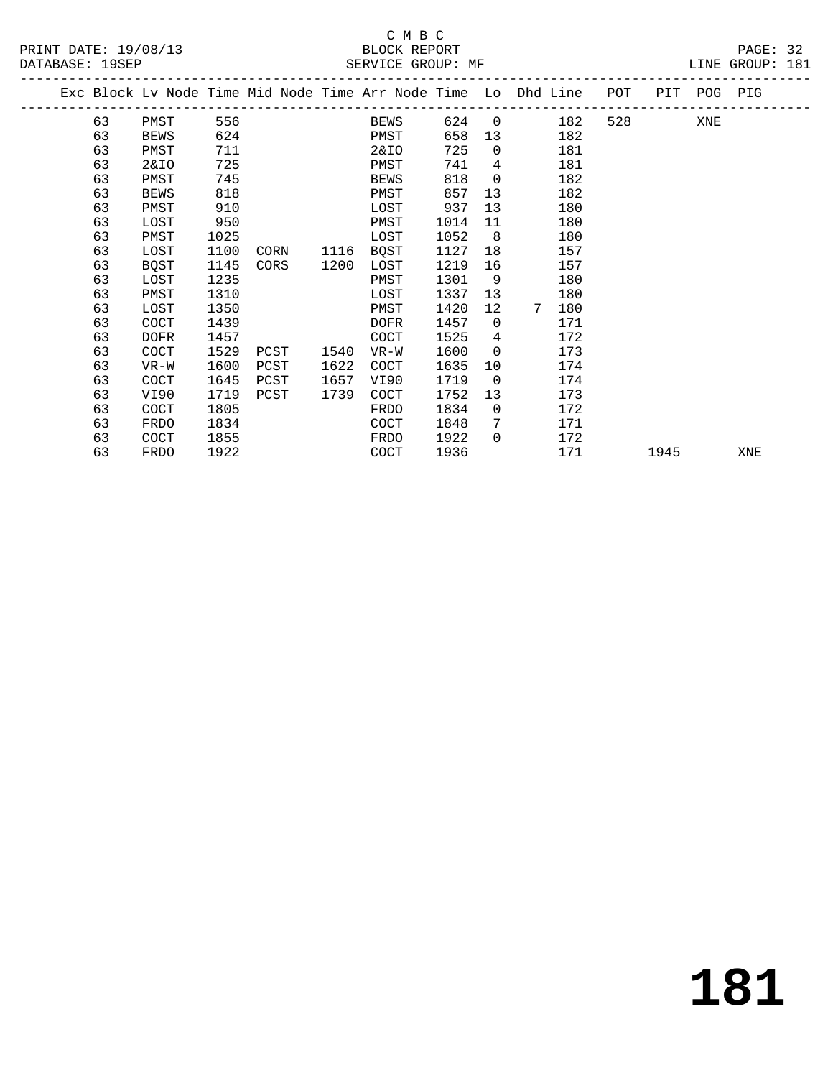#### C M B C<br>BLOCK REPORT SERVICE GROUP: MF

|  |    |             |      |      |      | Exc Block Lv Node Time Mid Node Time Arr Node Time Lo Dhd Line |      |                 |   |     | POT | PIT POG PIG |     |     |  |
|--|----|-------------|------|------|------|----------------------------------------------------------------|------|-----------------|---|-----|-----|-------------|-----|-----|--|
|  | 63 | PMST        | 556  |      |      | BEWS                                                           | 624  | $\Omega$        |   | 182 | 528 |             | XNE |     |  |
|  | 63 | BEWS        | 624  |      |      | PMST                                                           | 658  | 13 <sup>°</sup> |   | 182 |     |             |     |     |  |
|  | 63 | PMST        | 711  |      |      | 2&IO                                                           | 725  | $\Omega$        |   | 181 |     |             |     |     |  |
|  | 63 | 2&IO        | 725  |      |      | PMST                                                           | 741  | 4               |   | 181 |     |             |     |     |  |
|  | 63 | PMST        | 745  |      |      | <b>BEWS</b>                                                    | 818  | $\Omega$        |   | 182 |     |             |     |     |  |
|  | 63 | BEWS        | 818  |      |      | PMST                                                           | 857  | 13              |   | 182 |     |             |     |     |  |
|  | 63 | PMST        | 910  |      |      | LOST                                                           | 937  | 13              |   | 180 |     |             |     |     |  |
|  | 63 | LOST        | 950  |      |      | PMST                                                           | 1014 | 11              |   | 180 |     |             |     |     |  |
|  | 63 | PMST        | 1025 |      |      | LOST                                                           | 1052 | 8               |   | 180 |     |             |     |     |  |
|  | 63 | LOST        | 1100 | CORN | 1116 | BQST                                                           | 1127 | 18              |   | 157 |     |             |     |     |  |
|  | 63 | BOST        | 1145 | CORS | 1200 | LOST                                                           | 1219 | 16              |   | 157 |     |             |     |     |  |
|  | 63 | LOST        | 1235 |      |      | PMST                                                           | 1301 | 9               |   | 180 |     |             |     |     |  |
|  | 63 | PMST        | 1310 |      |      | LOST                                                           | 1337 | 13              |   | 180 |     |             |     |     |  |
|  | 63 | LOST        | 1350 |      |      | PMST                                                           | 1420 | 12              | 7 | 180 |     |             |     |     |  |
|  | 63 | COCT        | 1439 |      |      | <b>DOFR</b>                                                    | 1457 | $\Omega$        |   | 171 |     |             |     |     |  |
|  | 63 | DOFR        | 1457 |      |      | COCT                                                           | 1525 | 4               |   | 172 |     |             |     |     |  |
|  | 63 | <b>COCT</b> | 1529 | PCST | 1540 | $VR-W$                                                         | 1600 | $\Omega$        |   | 173 |     |             |     |     |  |
|  | 63 | VR-W        | 1600 | PCST | 1622 | COCT                                                           | 1635 | 10              |   | 174 |     |             |     |     |  |
|  | 63 | COCT        | 1645 | PCST | 1657 | VI90                                                           | 1719 | $\overline{0}$  |   | 174 |     |             |     |     |  |
|  | 63 | VI90        | 1719 | PCST | 1739 | COCT                                                           | 1752 | 13              |   | 173 |     |             |     |     |  |
|  | 63 | COCT        | 1805 |      |      | FRDO                                                           | 1834 | $\Omega$        |   | 172 |     |             |     |     |  |
|  | 63 | FRDO        | 1834 |      |      | COCT                                                           | 1848 | 7               |   | 171 |     |             |     |     |  |
|  | 63 | COCT        | 1855 |      |      | FRDO                                                           | 1922 | $\Omega$        |   | 172 |     |             |     |     |  |
|  | 63 | FRDO        | 1922 |      |      | COCT                                                           | 1936 |                 |   | 171 |     | 1945        |     | XNE |  |
|  |    |             |      |      |      |                                                                |      |                 |   |     |     |             |     |     |  |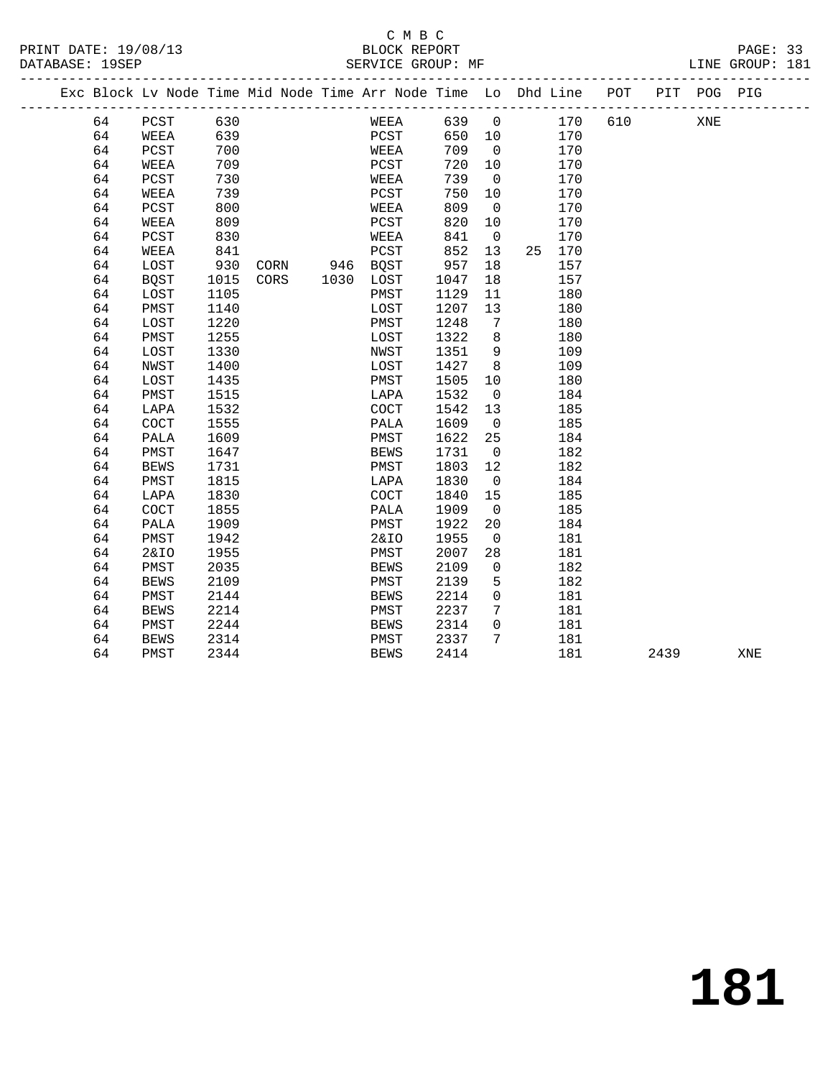#### C M B C<br>BLOCK REPORT SERVICE GROUP: MF

| Exc Block Lv Node Time Mid Node Time Arr Node Time Lo Dhd Line POT |                 |      |           |      |      |                |                |        |     | PIT POG PIG |  |
|--------------------------------------------------------------------|-----------------|------|-----------|------|------|----------------|----------------|--------|-----|-------------|--|
| 64                                                                 | PCST            | 630  |           | WEEA |      |                | 639 0 170      |        | 610 | XNE         |  |
| 64                                                                 | WEEA            | 639  |           | PCST |      |                | 650 10 170     |        |     |             |  |
| 64                                                                 | PCST            | 700  |           | WEEA |      | 709 0          |                | 170    |     |             |  |
| 64                                                                 | WEEA            | 709  |           | PCST | 720  | 10             |                | 170    |     |             |  |
| 64                                                                 | PCST            | 730  |           | WEEA | 739  | $\overline{0}$ |                | 170    |     |             |  |
| 64                                                                 | WEEA            | 739  |           | PCST | 750  | 10             |                | 170    |     |             |  |
| 64                                                                 | PCST            | 800  |           | WEEA | 809  | $\overline{0}$ |                | 170    |     |             |  |
| 64                                                                 | WEEA            | 809  |           | PCST | 820  | 10             |                | 170    |     |             |  |
| 64                                                                 | PCST            | 830  |           | WEEA | 841  |                | $\overline{0}$ | 170    |     |             |  |
| 64                                                                 | WEEA            | 841  |           | PCST | 852  | 13             |                | 25 170 |     |             |  |
| 64                                                                 | LOST            | 930  | CORN 946  | BQST | 957  | 18             |                | 157    |     |             |  |
| 64                                                                 | BQST            | 1015 | CORS 1030 | LOST | 1047 | 18             |                | 157    |     |             |  |
| 64                                                                 | LOST            | 1105 |           | PMST | 1129 | 11             |                | 180    |     |             |  |
| 64                                                                 | PMST            | 1140 |           | LOST | 1207 | 13             |                | 180    |     |             |  |
| 64                                                                 | LOST            | 1220 |           | PMST | 1248 | $\overline{7}$ |                | 180    |     |             |  |
| 64                                                                 | PMST            | 1255 |           | LOST | 1322 | 8              |                | 180    |     |             |  |
| 64                                                                 | LOST            | 1330 |           | NWST | 1351 | 9              |                | 109    |     |             |  |
| 64                                                                 | NWST            | 1400 |           | LOST | 1427 | 8              |                | 109    |     |             |  |
| 64                                                                 | LOST            | 1435 |           | PMST | 1505 |                | 10             | 180    |     |             |  |
| 64                                                                 | PMST            | 1515 |           | LAPA | 1532 | $\overline{0}$ |                | 184    |     |             |  |
| 64                                                                 | LAPA            | 1532 |           | COCT | 1542 | 13             |                | 185    |     |             |  |
| 64                                                                 | COCT            | 1555 |           | PALA | 1609 | $\overline{0}$ |                | 185    |     |             |  |
| 64                                                                 | PALA            | 1609 |           | PMST | 1622 | 25             |                | 184    |     |             |  |
| 64                                                                 | PMST            | 1647 |           | BEWS | 1731 | $\overline{0}$ |                | 182    |     |             |  |
| 64                                                                 | <b>BEWS</b>     | 1731 |           | PMST | 1803 | 12             |                | 182    |     |             |  |
| 64                                                                 | PMST            | 1815 |           | LAPA | 1830 | $\overline{0}$ |                | 184    |     |             |  |
| 64                                                                 | LAPA            | 1830 |           | COCT | 1840 | 15             |                | 185    |     |             |  |
| 64                                                                 | COCT            | 1855 |           | PALA | 1909 | $\overline{0}$ |                | 185    |     |             |  |
| 64                                                                 | PALA            | 1909 |           | PMST | 1922 |                | 20             | 184    |     |             |  |
| 64                                                                 | PMST            | 1942 |           | 2&IO | 1955 | $\overline{0}$ |                | 181    |     |             |  |
| 64                                                                 | <b>2&amp;IO</b> | 1955 |           | PMST | 2007 | 28             |                | 181    |     |             |  |

64 PMST 2344 BEWS 2414 181 2439 XNE

 64 PMST 2035 BEWS 2109 0 182 64 BEWS 2109 PMST 2139 5 182 64 PMST 2144 BEWS 2214 0 181 64 BEWS 2214 PMST 2237 7 181 64 PMST 2244 BEWS 2314 0 181 64 BEWS 2314 PMST 2337 7 181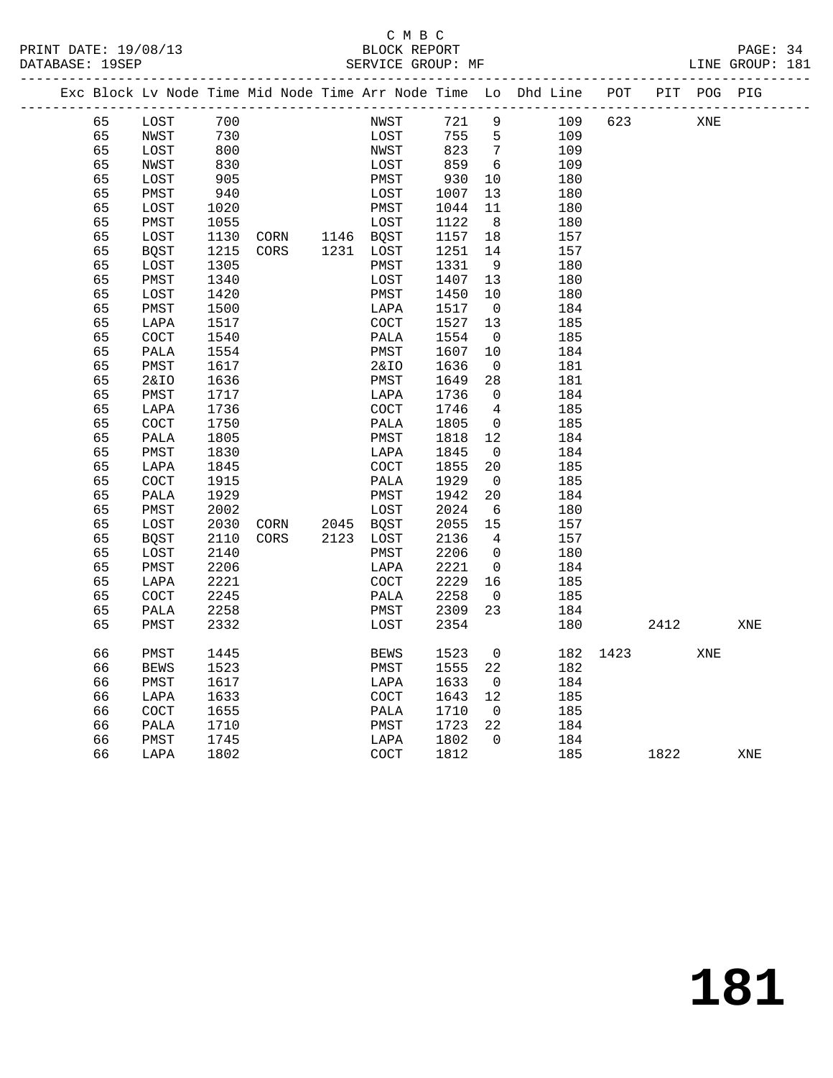PRINT DATE: 19/08/13 BLOCK REPORT PAGE: 34 DATABASE: 19SEP

### C M B C<br>BLOCK REPORT

|  | DAIADAUB , IJUUL |             |      |      |      | DERVICE GROOT PH |      |                |                                                                |     |     |     | ALIAN OILOUL |
|--|------------------|-------------|------|------|------|------------------|------|----------------|----------------------------------------------------------------|-----|-----|-----|--------------|
|  |                  |             |      |      |      |                  |      |                | Exc Block Lv Node Time Mid Node Time Arr Node Time Lo Dhd Line | POT | PIT |     | POG PIG      |
|  | 65               | LOST        | 700  |      |      | NWST             | 721  | 9              | 109                                                            | 623 |     | XNE |              |
|  | 65               | NWST        | 730  |      |      | LOST             | 755  | 5              | 109                                                            |     |     |     |              |
|  | 65               | LOST        | 800  |      |      | NWST             | 823  | 7              | 109                                                            |     |     |     |              |
|  | 65               | NWST        | 830  |      |      | LOST             | 859  | 6              | 109                                                            |     |     |     |              |
|  | 65               | LOST        | 905  |      |      | PMST             | 930  | 10             | 180                                                            |     |     |     |              |
|  | 65               | PMST        | 940  |      |      | LOST             | 1007 | 13             | 180                                                            |     |     |     |              |
|  | 65               | LOST        | 1020 |      |      | PMST             | 1044 | 11             | 180                                                            |     |     |     |              |
|  | 65               | PMST        | 1055 |      |      | LOST             | 1122 | 8              | 180                                                            |     |     |     |              |
|  | 65               | LOST        | 1130 | CORN | 1146 | <b>BOST</b>      | 1157 | 18             | 157                                                            |     |     |     |              |
|  | 65               | BQST        | 1215 | CORS | 1231 | LOST             | 1251 | 14             | 157                                                            |     |     |     |              |
|  | 65               | LOST        | 1305 |      |      | PMST             | 1331 | -9             | 180                                                            |     |     |     |              |
|  | 65               | PMST        | 1340 |      |      | LOST             | 1407 | 13             | 180                                                            |     |     |     |              |
|  | 65               | LOST        | 1420 |      |      | PMST             | 1450 | 10             | 180                                                            |     |     |     |              |
|  | 65               | PMST        | 1500 |      |      | LAPA             | 1517 | $\overline{0}$ | 184                                                            |     |     |     |              |
|  | 65               | LAPA        | 1517 |      |      | COCT             | 1527 | 13             | 185                                                            |     |     |     |              |
|  | 65               | <b>COCT</b> | 1540 |      |      | PALA             | 1554 | $\overline{0}$ | 185                                                            |     |     |     |              |
|  | 65               | PALA        | 1554 |      |      | PMST             | 1607 | 10             | 184                                                            |     |     |     |              |
|  |                  |             |      |      |      |                  |      |                |                                                                |     |     |     |              |

| 65 | PMST        | 1617 |      |      | 2&IO        | 1636 | $\overline{0}$           | 181 |          |      |     |     |
|----|-------------|------|------|------|-------------|------|--------------------------|-----|----------|------|-----|-----|
| 65 | 2&10        | 1636 |      |      | PMST        | 1649 | 28                       | 181 |          |      |     |     |
| 65 | PMST        | 1717 |      |      | LAPA        | 1736 | $\overline{0}$           | 184 |          |      |     |     |
| 65 | LAPA        | 1736 |      |      | <b>COCT</b> | 1746 | 4                        | 185 |          |      |     |     |
| 65 | <b>COCT</b> | 1750 |      |      | PALA        | 1805 | $\Omega$                 | 185 |          |      |     |     |
| 65 | PALA        | 1805 |      |      | PMST        | 1818 | $12 \overline{ }$        | 184 |          |      |     |     |
| 65 | PMST        | 1830 |      |      | LAPA        | 1845 | $\overline{0}$           | 184 |          |      |     |     |
| 65 | LAPA        | 1845 |      |      | <b>COCT</b> | 1855 | 20                       | 185 |          |      |     |     |
| 65 | COCT        | 1915 |      |      | PALA        | 1929 | $\overline{0}$           | 185 |          |      |     |     |
| 65 | PALA        | 1929 |      |      | PMST        | 1942 | 20                       | 184 |          |      |     |     |
| 65 | PMST        | 2002 |      |      | LOST        | 2024 | 6                        | 180 |          |      |     |     |
| 65 | LOST        | 2030 | CORN |      | 2045 BQST   | 2055 | 15                       | 157 |          |      |     |     |
| 65 | BQST        | 2110 | CORS | 2123 | LOST        | 2136 | $\overline{4}$           | 157 |          |      |     |     |
| 65 | LOST        | 2140 |      |      | PMST        | 2206 | $\overline{0}$           | 180 |          |      |     |     |
| 65 | PMST        | 2206 |      |      | LAPA        | 2221 | $\Omega$                 | 184 |          |      |     |     |
| 65 | LAPA        | 2221 |      |      | COCT        | 2229 | 16                       | 185 |          |      |     |     |
| 65 | COCT        | 2245 |      |      | PALA        | 2258 | $\overline{0}$           | 185 |          |      |     |     |
| 65 | PALA        | 2258 |      |      | PMST        | 2309 | 23                       | 184 |          |      |     |     |
| 65 | PMST        | 2332 |      |      | LOST        | 2354 |                          | 180 |          | 2412 |     | XNE |
|    |             |      |      |      |             |      |                          |     |          |      |     |     |
| 66 | PMST        | 1445 |      |      | BEWS        | 1523 | $\overline{\phantom{0}}$ |     | 182 1423 |      | XNE |     |
| 66 | <b>BEWS</b> | 1523 |      |      | PMST        | 1555 | 22                       | 182 |          |      |     |     |
| 66 | PMST        | 1617 |      |      | LAPA        | 1633 | $\overline{0}$           | 184 |          |      |     |     |
| 66 | LAPA        | 1633 |      |      | COCT        | 1643 | 12                       | 185 |          |      |     |     |
| 66 | <b>COCT</b> | 1655 |      |      | PALA        | 1710 | $\overline{0}$           | 185 |          |      |     |     |
| 66 | PALA        | 1710 |      |      | PMST        | 1723 | 22                       | 184 |          |      |     |     |
| 66 | PMST        | 1745 |      |      | LAPA        | 1802 | $\overline{0}$           | 184 |          |      |     |     |
| 66 | LAPA        | 1802 |      |      | COCT        | 1812 |                          | 185 |          | 1822 |     | XNE |
|    |             |      |      |      |             |      |                          |     |          |      |     |     |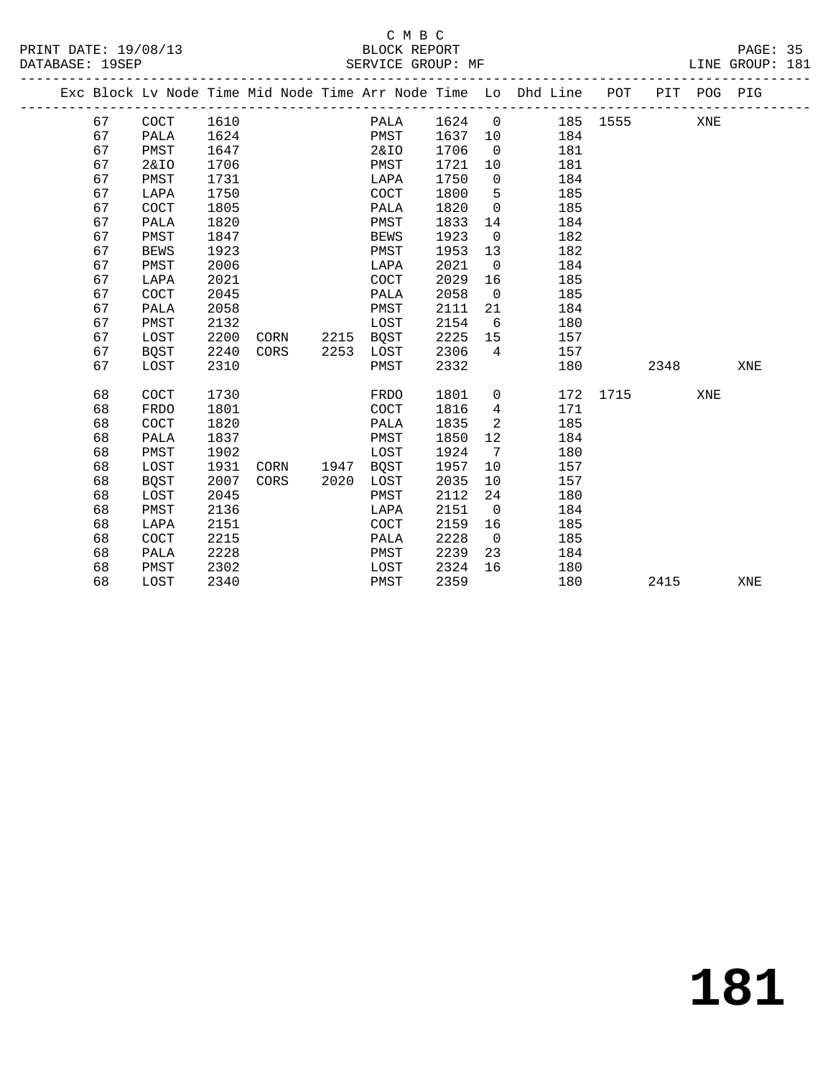### C M B C<br>BLOCK REPORT

PAGE: 35<br>LINE GROUP: 181

| Exc Block Lv Node Time Mid Node Time Arr Node Time Lo Dhd Line POT<br>67<br>COCT<br>1610<br>1624<br>$\mathsf{O}$<br>185 1555<br>PALA<br>67<br>1624<br>1637<br>PALA<br>PMST<br>184<br>10<br>67<br>PMST<br>1647<br>2&IO<br>1706<br>181<br>$\mathbf 0$<br>1706<br>67<br><b>2&amp;IO</b><br>1721<br>181<br>PMST<br>10<br>67<br>1731<br>1750<br>PMST<br>$\mathbf 0$<br>184<br>LAPA<br>67<br>1750<br>1800<br>185<br><b>COCT</b><br>5<br>LAPA<br>67<br>COCT<br>1805<br>1820<br>185<br>PALA<br>$\Omega$<br>67<br>1833<br>PALA<br>1820<br>PMST<br>184<br>14<br>67<br>PMST<br>1847<br>1923<br>$\mathbf 0$<br>182<br><b>BEWS</b><br>67<br>1923<br>1953<br>182<br><b>BEWS</b><br>PMST<br>13<br>67<br>2021<br>PMST<br>2006<br>$\mathbf 0$<br>184<br>LAPA<br>67<br>2021<br>2029<br>COCT<br>16<br>185<br>LAPA<br>67<br>2045<br>2058<br>185<br>COCT<br>PALA<br>0<br>67<br>2058<br>184<br>2111<br>PALA<br>PMST<br>21<br>67<br>PMST<br>2132<br>2154<br>LOST<br>6<br>180<br>67<br>2200<br>2225<br>LOST<br>2215<br>BQST<br>15<br>157<br>CORN<br>67<br>2240<br>2253<br>2306<br>BQST<br>CORS<br>4<br>157<br>LOST<br>67<br>2310<br>2332<br>LOST<br>PMST<br>180<br>68<br>COCT<br>1730<br>1801<br>172<br>1715<br><b>FRDO</b><br>$\mathbf{0}$<br>68<br><b>FRDO</b><br>1801<br><b>COCT</b><br>1816<br>171<br>4<br>68<br>185<br>COCT<br>1820<br>1835<br>2<br>PALA<br>68<br>1837<br>1850<br>12<br>PALA<br>184<br>PMST<br>68<br>1924<br>7<br>PMST<br>1902<br>LOST<br>180<br>68<br>1931<br>1957<br>157<br>LOST<br>1947<br>BQST<br>10<br>CORN<br>68<br>2007<br>2035<br>157<br><b>BQST</b><br>CORS<br>2020<br>LOST<br>10<br>68<br>2045<br>2112<br>24<br>180<br>LOST<br>PMST<br>68<br>PMST<br>2136<br>2151<br>$\mathbf 0$<br>184<br>LAPA<br>68<br>2151<br>2159<br>16<br>LAPA<br>COCT<br>185<br>68<br>2228<br>COCT<br>2215<br>185<br>PALA<br>$\mathbf 0$<br>68<br>2228<br>2239<br>23<br>PALA<br>PMST<br>184<br>68<br>2302<br>2324<br>16<br>PMST<br>LOST<br>180 |  |  |  |  |  |  |      |             |     |
|-----------------------------------------------------------------------------------------------------------------------------------------------------------------------------------------------------------------------------------------------------------------------------------------------------------------------------------------------------------------------------------------------------------------------------------------------------------------------------------------------------------------------------------------------------------------------------------------------------------------------------------------------------------------------------------------------------------------------------------------------------------------------------------------------------------------------------------------------------------------------------------------------------------------------------------------------------------------------------------------------------------------------------------------------------------------------------------------------------------------------------------------------------------------------------------------------------------------------------------------------------------------------------------------------------------------------------------------------------------------------------------------------------------------------------------------------------------------------------------------------------------------------------------------------------------------------------------------------------------------------------------------------------------------------------------------------------------------------------------------------------------------------------------------------------------------------------------------------------------------------------------------------------------------------------|--|--|--|--|--|--|------|-------------|-----|
|                                                                                                                                                                                                                                                                                                                                                                                                                                                                                                                                                                                                                                                                                                                                                                                                                                                                                                                                                                                                                                                                                                                                                                                                                                                                                                                                                                                                                                                                                                                                                                                                                                                                                                                                                                                                                                                                                                                             |  |  |  |  |  |  |      | PIT POG PIG |     |
|                                                                                                                                                                                                                                                                                                                                                                                                                                                                                                                                                                                                                                                                                                                                                                                                                                                                                                                                                                                                                                                                                                                                                                                                                                                                                                                                                                                                                                                                                                                                                                                                                                                                                                                                                                                                                                                                                                                             |  |  |  |  |  |  |      | XNE         |     |
|                                                                                                                                                                                                                                                                                                                                                                                                                                                                                                                                                                                                                                                                                                                                                                                                                                                                                                                                                                                                                                                                                                                                                                                                                                                                                                                                                                                                                                                                                                                                                                                                                                                                                                                                                                                                                                                                                                                             |  |  |  |  |  |  |      |             |     |
|                                                                                                                                                                                                                                                                                                                                                                                                                                                                                                                                                                                                                                                                                                                                                                                                                                                                                                                                                                                                                                                                                                                                                                                                                                                                                                                                                                                                                                                                                                                                                                                                                                                                                                                                                                                                                                                                                                                             |  |  |  |  |  |  |      |             |     |
|                                                                                                                                                                                                                                                                                                                                                                                                                                                                                                                                                                                                                                                                                                                                                                                                                                                                                                                                                                                                                                                                                                                                                                                                                                                                                                                                                                                                                                                                                                                                                                                                                                                                                                                                                                                                                                                                                                                             |  |  |  |  |  |  |      |             |     |
|                                                                                                                                                                                                                                                                                                                                                                                                                                                                                                                                                                                                                                                                                                                                                                                                                                                                                                                                                                                                                                                                                                                                                                                                                                                                                                                                                                                                                                                                                                                                                                                                                                                                                                                                                                                                                                                                                                                             |  |  |  |  |  |  |      |             |     |
|                                                                                                                                                                                                                                                                                                                                                                                                                                                                                                                                                                                                                                                                                                                                                                                                                                                                                                                                                                                                                                                                                                                                                                                                                                                                                                                                                                                                                                                                                                                                                                                                                                                                                                                                                                                                                                                                                                                             |  |  |  |  |  |  |      |             |     |
|                                                                                                                                                                                                                                                                                                                                                                                                                                                                                                                                                                                                                                                                                                                                                                                                                                                                                                                                                                                                                                                                                                                                                                                                                                                                                                                                                                                                                                                                                                                                                                                                                                                                                                                                                                                                                                                                                                                             |  |  |  |  |  |  |      |             |     |
|                                                                                                                                                                                                                                                                                                                                                                                                                                                                                                                                                                                                                                                                                                                                                                                                                                                                                                                                                                                                                                                                                                                                                                                                                                                                                                                                                                                                                                                                                                                                                                                                                                                                                                                                                                                                                                                                                                                             |  |  |  |  |  |  |      |             |     |
|                                                                                                                                                                                                                                                                                                                                                                                                                                                                                                                                                                                                                                                                                                                                                                                                                                                                                                                                                                                                                                                                                                                                                                                                                                                                                                                                                                                                                                                                                                                                                                                                                                                                                                                                                                                                                                                                                                                             |  |  |  |  |  |  |      |             |     |
|                                                                                                                                                                                                                                                                                                                                                                                                                                                                                                                                                                                                                                                                                                                                                                                                                                                                                                                                                                                                                                                                                                                                                                                                                                                                                                                                                                                                                                                                                                                                                                                                                                                                                                                                                                                                                                                                                                                             |  |  |  |  |  |  |      |             |     |
|                                                                                                                                                                                                                                                                                                                                                                                                                                                                                                                                                                                                                                                                                                                                                                                                                                                                                                                                                                                                                                                                                                                                                                                                                                                                                                                                                                                                                                                                                                                                                                                                                                                                                                                                                                                                                                                                                                                             |  |  |  |  |  |  |      |             |     |
|                                                                                                                                                                                                                                                                                                                                                                                                                                                                                                                                                                                                                                                                                                                                                                                                                                                                                                                                                                                                                                                                                                                                                                                                                                                                                                                                                                                                                                                                                                                                                                                                                                                                                                                                                                                                                                                                                                                             |  |  |  |  |  |  |      |             |     |
|                                                                                                                                                                                                                                                                                                                                                                                                                                                                                                                                                                                                                                                                                                                                                                                                                                                                                                                                                                                                                                                                                                                                                                                                                                                                                                                                                                                                                                                                                                                                                                                                                                                                                                                                                                                                                                                                                                                             |  |  |  |  |  |  |      |             |     |
|                                                                                                                                                                                                                                                                                                                                                                                                                                                                                                                                                                                                                                                                                                                                                                                                                                                                                                                                                                                                                                                                                                                                                                                                                                                                                                                                                                                                                                                                                                                                                                                                                                                                                                                                                                                                                                                                                                                             |  |  |  |  |  |  |      |             |     |
|                                                                                                                                                                                                                                                                                                                                                                                                                                                                                                                                                                                                                                                                                                                                                                                                                                                                                                                                                                                                                                                                                                                                                                                                                                                                                                                                                                                                                                                                                                                                                                                                                                                                                                                                                                                                                                                                                                                             |  |  |  |  |  |  |      |             |     |
|                                                                                                                                                                                                                                                                                                                                                                                                                                                                                                                                                                                                                                                                                                                                                                                                                                                                                                                                                                                                                                                                                                                                                                                                                                                                                                                                                                                                                                                                                                                                                                                                                                                                                                                                                                                                                                                                                                                             |  |  |  |  |  |  |      |             |     |
|                                                                                                                                                                                                                                                                                                                                                                                                                                                                                                                                                                                                                                                                                                                                                                                                                                                                                                                                                                                                                                                                                                                                                                                                                                                                                                                                                                                                                                                                                                                                                                                                                                                                                                                                                                                                                                                                                                                             |  |  |  |  |  |  |      |             |     |
|                                                                                                                                                                                                                                                                                                                                                                                                                                                                                                                                                                                                                                                                                                                                                                                                                                                                                                                                                                                                                                                                                                                                                                                                                                                                                                                                                                                                                                                                                                                                                                                                                                                                                                                                                                                                                                                                                                                             |  |  |  |  |  |  | 2348 |             | XNE |
|                                                                                                                                                                                                                                                                                                                                                                                                                                                                                                                                                                                                                                                                                                                                                                                                                                                                                                                                                                                                                                                                                                                                                                                                                                                                                                                                                                                                                                                                                                                                                                                                                                                                                                                                                                                                                                                                                                                             |  |  |  |  |  |  |      | XNE         |     |
|                                                                                                                                                                                                                                                                                                                                                                                                                                                                                                                                                                                                                                                                                                                                                                                                                                                                                                                                                                                                                                                                                                                                                                                                                                                                                                                                                                                                                                                                                                                                                                                                                                                                                                                                                                                                                                                                                                                             |  |  |  |  |  |  |      |             |     |
|                                                                                                                                                                                                                                                                                                                                                                                                                                                                                                                                                                                                                                                                                                                                                                                                                                                                                                                                                                                                                                                                                                                                                                                                                                                                                                                                                                                                                                                                                                                                                                                                                                                                                                                                                                                                                                                                                                                             |  |  |  |  |  |  |      |             |     |
|                                                                                                                                                                                                                                                                                                                                                                                                                                                                                                                                                                                                                                                                                                                                                                                                                                                                                                                                                                                                                                                                                                                                                                                                                                                                                                                                                                                                                                                                                                                                                                                                                                                                                                                                                                                                                                                                                                                             |  |  |  |  |  |  |      |             |     |
|                                                                                                                                                                                                                                                                                                                                                                                                                                                                                                                                                                                                                                                                                                                                                                                                                                                                                                                                                                                                                                                                                                                                                                                                                                                                                                                                                                                                                                                                                                                                                                                                                                                                                                                                                                                                                                                                                                                             |  |  |  |  |  |  |      |             |     |
|                                                                                                                                                                                                                                                                                                                                                                                                                                                                                                                                                                                                                                                                                                                                                                                                                                                                                                                                                                                                                                                                                                                                                                                                                                                                                                                                                                                                                                                                                                                                                                                                                                                                                                                                                                                                                                                                                                                             |  |  |  |  |  |  |      |             |     |
|                                                                                                                                                                                                                                                                                                                                                                                                                                                                                                                                                                                                                                                                                                                                                                                                                                                                                                                                                                                                                                                                                                                                                                                                                                                                                                                                                                                                                                                                                                                                                                                                                                                                                                                                                                                                                                                                                                                             |  |  |  |  |  |  |      |             |     |
|                                                                                                                                                                                                                                                                                                                                                                                                                                                                                                                                                                                                                                                                                                                                                                                                                                                                                                                                                                                                                                                                                                                                                                                                                                                                                                                                                                                                                                                                                                                                                                                                                                                                                                                                                                                                                                                                                                                             |  |  |  |  |  |  |      |             |     |
|                                                                                                                                                                                                                                                                                                                                                                                                                                                                                                                                                                                                                                                                                                                                                                                                                                                                                                                                                                                                                                                                                                                                                                                                                                                                                                                                                                                                                                                                                                                                                                                                                                                                                                                                                                                                                                                                                                                             |  |  |  |  |  |  |      |             |     |
|                                                                                                                                                                                                                                                                                                                                                                                                                                                                                                                                                                                                                                                                                                                                                                                                                                                                                                                                                                                                                                                                                                                                                                                                                                                                                                                                                                                                                                                                                                                                                                                                                                                                                                                                                                                                                                                                                                                             |  |  |  |  |  |  |      |             |     |
|                                                                                                                                                                                                                                                                                                                                                                                                                                                                                                                                                                                                                                                                                                                                                                                                                                                                                                                                                                                                                                                                                                                                                                                                                                                                                                                                                                                                                                                                                                                                                                                                                                                                                                                                                                                                                                                                                                                             |  |  |  |  |  |  |      |             |     |
|                                                                                                                                                                                                                                                                                                                                                                                                                                                                                                                                                                                                                                                                                                                                                                                                                                                                                                                                                                                                                                                                                                                                                                                                                                                                                                                                                                                                                                                                                                                                                                                                                                                                                                                                                                                                                                                                                                                             |  |  |  |  |  |  |      |             |     |
|                                                                                                                                                                                                                                                                                                                                                                                                                                                                                                                                                                                                                                                                                                                                                                                                                                                                                                                                                                                                                                                                                                                                                                                                                                                                                                                                                                                                                                                                                                                                                                                                                                                                                                                                                                                                                                                                                                                             |  |  |  |  |  |  |      |             |     |
| 68<br>2340<br>2359<br>180<br>LOST<br>PMST                                                                                                                                                                                                                                                                                                                                                                                                                                                                                                                                                                                                                                                                                                                                                                                                                                                                                                                                                                                                                                                                                                                                                                                                                                                                                                                                                                                                                                                                                                                                                                                                                                                                                                                                                                                                                                                                                   |  |  |  |  |  |  | 2415 |             | XNE |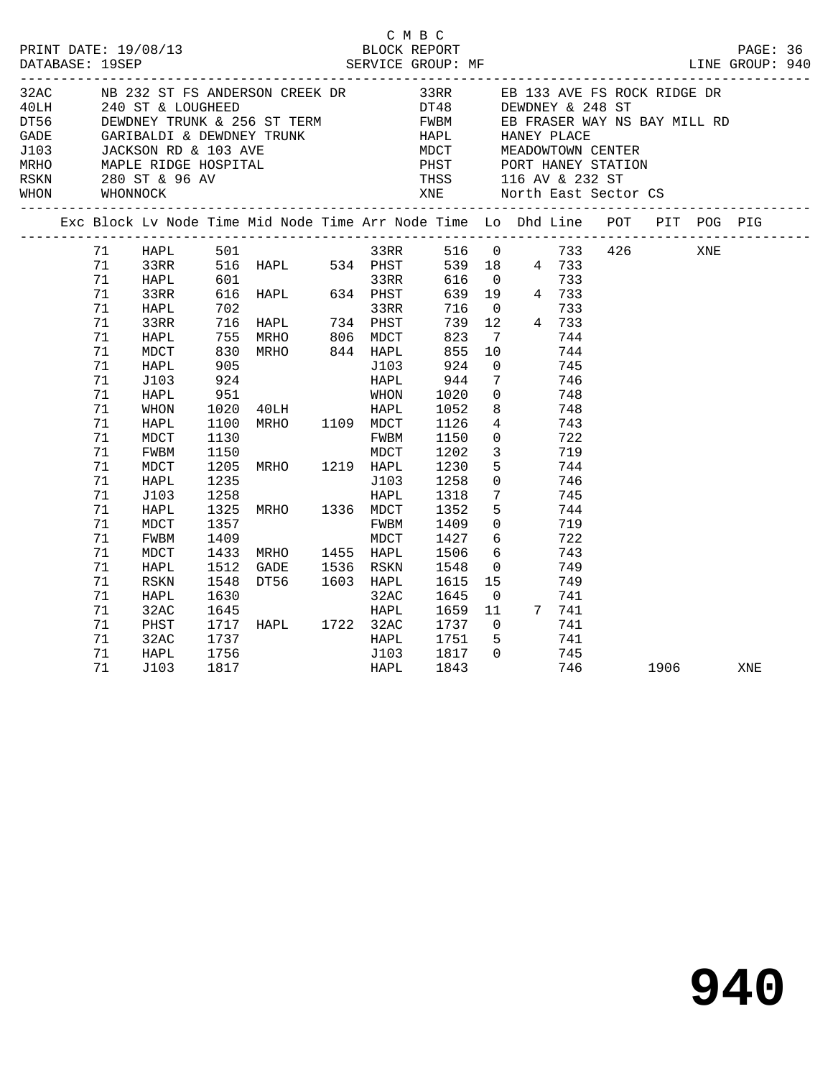| PRINT DATE: 19/08/13<br>DATABASE: 19SEP |                |                          |                      |                                                                                                                                                                                                            |                             | C M B C<br>BLOCK REPORT      |                                        |                          |                              |                          |          | PAGE: 36 |  |
|-----------------------------------------|----------------|--------------------------|----------------------|------------------------------------------------------------------------------------------------------------------------------------------------------------------------------------------------------------|-----------------------------|------------------------------|----------------------------------------|--------------------------|------------------------------|--------------------------|----------|----------|--|
|                                         | WHON WHONNOCK  | RSKN 280 ST & 96 AV      |                      | CADE GARIBALDI & DEWDNEY TRUNK THE HAPL HANEY PLACE<br>JADE GARIBALDI & DEWDNEY TRUNK HAPL HANEY PLACE<br>JACKSON RD & 103 AVE MDCT MEADOWTOWN CENTER<br>MRHO MAPLE RIDGE HOSPITAL PHST PORT HANEY STATION |                             |                              |                                        |                          | THSS 116 AV & 232 ST         | XNE North East Sector CS |          |          |  |
|                                         |                |                          |                      | Exc Block Lv Node Time Mid Node Time Arr Node Time Lo Dhd Line POT PIT POG PIG                                                                                                                             |                             |                              |                                        |                          |                              |                          |          |          |  |
|                                         | 71<br>71<br>71 | HAPL 501<br>33RR<br>HAPL |                      | 516 HAPL 534 PHST<br>601 33RR<br>616 HAPL 634 PHST                                                                                                                                                         |                             | 33RR 516 0 733 426 XNE       | 616 0                                  |                          | 539 18 4 733<br>733          |                          |          |          |  |
|                                         | 71<br>71<br>71 | 33RR<br>HAPL<br>33RR     |                      |                                                                                                                                                                                                            |                             | 716<br>739                   | $\overline{0}$<br>12                   |                          | 639 19 4 733<br>733<br>4 733 |                          |          |          |  |
|                                         | 71<br>71<br>71 | HAPL<br>MDCT<br>HAPL     |                      | 702<br>716 HAPL 734 PHST<br>755 MRHO 806 MDCT<br>830 MRHO 844 HAPL<br>905 J103                                                                                                                             |                             | 823<br>855<br>924            | $\overline{7}$<br>10<br>$\overline{0}$ |                          | 744<br>744<br>745            |                          |          |          |  |
|                                         | 71<br>71<br>71 | J103<br>HAPL<br>WHON     | 924<br>951           |                                                                                                                                                                                                            | HAPL                        | 944                          | $\overline{7}$<br>8                    | $\overline{0}$           | 746<br>748<br>748            |                          |          |          |  |
|                                         | 71<br>71<br>71 | HAPL<br>MDCT<br>FWBM     | 1130<br>1150         |                                                                                                                                                                                                            | FWBM<br>MDCT                | 1150<br>1202                 | 4<br>$\overline{3}$                    | $\overline{0}$           | 743<br>722<br>719            |                          |          |          |  |
|                                         | 71<br>71<br>71 | MDCT<br>HAPL<br>J103     |                      | 1205 MRHO 1219 HAPL<br>1235 J103<br>1258 HAPL<br>1325 MRHO 1336 MDCT                                                                                                                                       |                             | 1230<br>1258<br>1318         | $7\overline{ }$                        | 5<br>$\overline{0}$      | 744<br>746<br>745            |                          |          |          |  |
|                                         | 71<br>71<br>71 | HAPL<br>MDCT<br>FWBM     | 1357<br>1409         |                                                                                                                                                                                                            | FWBM<br>MDCT                | 1352<br>1409<br>1427         |                                        | 5<br>$\overline{0}$<br>6 | 744<br>719<br>722            |                          |          |          |  |
|                                         | 71<br>71<br>71 | MDCT<br>HAPL<br>RSKN     | 1512<br>1548         | 1433 MRHO 1455 HAPL<br>GADE 1536 RSKN<br>DT56 1603 HAPL<br>32AC                                                                                                                                            |                             | 1506<br>1548<br>1615<br>1615 | $6\overline{6}$<br>$\overline{0}$      | 15                       | 743<br>749<br>749            |                          |          |          |  |
|                                         | 71<br>71<br>71 | HAPL<br>32AC<br>PHST     | 1630<br>1645         | 1717 HAPL 1722 32AC                                                                                                                                                                                        | HAPL                        | 1645<br>1659<br>1737         | $\overline{0}$<br>11<br>$\overline{0}$ |                          | 741<br>$7 \t 741$<br>741     |                          |          |          |  |
|                                         | 71<br>71<br>71 | 32AC<br>HAPL<br>J103     | 1737<br>1756<br>1817 |                                                                                                                                                                                                            | <b>HAPL</b><br>J103<br>HAPL | 1751<br>1817<br>1843         | $5^{\circ}$<br>$\overline{0}$          |                          | 741<br>745<br>746            |                          | 1906 190 | XNE      |  |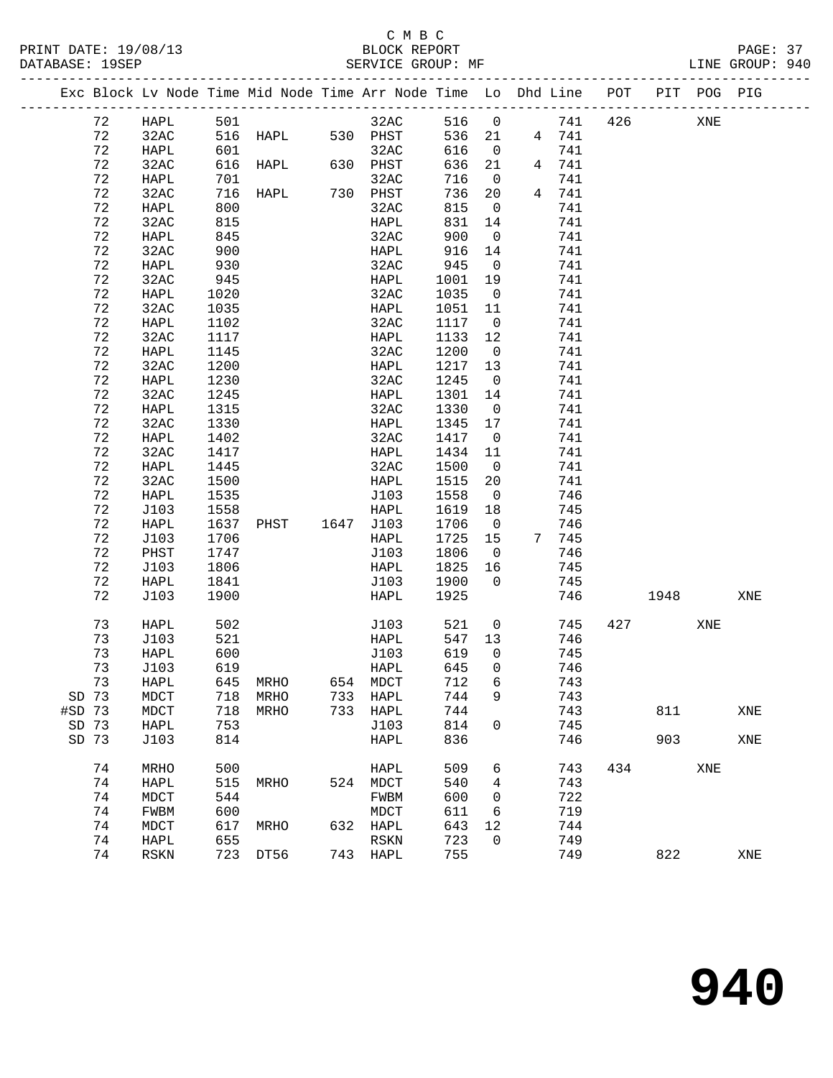# C M B C

DATABASE: 19SEP SERVICE GROUP: MF LINE GROUP: 940 ------------------------------------------------------------------------------------------------- Exc Block Lv Node Time Mid Node Time Arr Node Time Lo Dhd Line POT PIT POG PIG ------------------------------------------------------------------------------------------------- 72 HAPL 501 32AC 516 0 741 426 XNE 72 32AC 516 HAPL 530 PHST 536 21 4 741 72 HAPL 601 32AC 616 0 741

| 72          | 32AC        | 616  | HAPL        | 630  | PHST         | 636        | 21                    | 4 | 741   |     |      |     |     |
|-------------|-------------|------|-------------|------|--------------|------------|-----------------------|---|-------|-----|------|-----|-----|
| 72          | HAPL        | 701  |             |      | 32AC         | 716        | 0                     |   | 741   |     |      |     |     |
| 72          | 32AC        | 716  | <b>HAPL</b> | 730  | PHST         | 736        | 20                    | 4 | 741   |     |      |     |     |
| 72          | HAPL        | 800  |             |      | 32AC         | 815        | 0                     |   | 741   |     |      |     |     |
| 72          | 32AC        | 815  |             |      | ${\tt HAPL}$ | 831        | 14                    |   | 741   |     |      |     |     |
| 72          | HAPL        | 845  |             |      | 32AC         | 900        | $\mathbf 0$           |   | 741   |     |      |     |     |
| 72          | 32AC        | 900  |             |      | HAPL         | 916        | 14                    |   | 741   |     |      |     |     |
| $7\sqrt{2}$ | HAPL        | 930  |             |      | 32AC         | 945        | $\mathbf 0$           |   | 741   |     |      |     |     |
| 72          | 32AC        | 945  |             |      | ${\tt HAPL}$ | 1001       | 19                    |   | 741   |     |      |     |     |
| 72          | HAPL        | 1020 |             |      | 32AC         | 1035       | 0                     |   | 741   |     |      |     |     |
| 72          | 32AC        | 1035 |             |      | ${\tt HAPL}$ | 1051       | 11                    |   | 741   |     |      |     |     |
| 72          | HAPL        | 1102 |             |      | 32AC         | 1117       | $\mathsf 0$           |   | 741   |     |      |     |     |
| 72          | 32AC        | 1117 |             |      | ${\tt HAPL}$ | 1133       | 12                    |   | 741   |     |      |     |     |
| 72          | HAPL        | 1145 |             |      | 32AC         | 1200       | $\mathbf 0$           |   | 741   |     |      |     |     |
| 72          | 32AC        | 1200 |             |      | HAPL         | 1217       | 13                    |   | 741   |     |      |     |     |
| 72          | HAPL        | 1230 |             |      | 32AC         | 1245       | $\mathbf 0$           |   | 741   |     |      |     |     |
| 72          | 32AC        | 1245 |             |      | ${\tt HAPI}$ | 1301       | 14                    |   | 741   |     |      |     |     |
| $7\sqrt{2}$ | HAPL        | 1315 |             |      | 32AC         | 1330       | 0                     |   | 741   |     |      |     |     |
| 72          | 32AC        | 1330 |             |      | HAPL         | 1345       | $17$                  |   | 741   |     |      |     |     |
| $7\sqrt{2}$ | HAPL        | 1402 |             |      | 32AC         | 1417       | 0                     |   | 741   |     |      |     |     |
| 72          | 32AC        | 1417 |             |      | ${\tt HAPL}$ | 1434       | $11\,$                |   | 741   |     |      |     |     |
| 72          | HAPL        | 1445 |             |      | 32AC         | 1500       | $\mathsf 0$           |   | 741   |     |      |     |     |
| $7\sqrt{2}$ | 32AC        | 1500 |             |      | HAPL         | 1515       | $20$                  |   | 741   |     |      |     |     |
| 72          | <b>HAPL</b> | 1535 |             |      | J103         | 1558       | $\mathsf 0$           |   | 746   |     |      |     |     |
| 72          | J103        | 1558 |             |      | ${\tt HAPL}$ | 1619       | 18                    |   | 745   |     |      |     |     |
| 72          | HAPL        | 1637 | PHST        | 1647 | J103         | 1706       | $\mathbf 0$           |   | 746   |     |      |     |     |
| 72          | J103        | 1706 |             |      | HAPL         | 1725       | 15                    |   | 7 745 |     |      |     |     |
| 72          | PHST        | 1747 |             |      | J103         | 1806       | $\mathbf 0$           |   | 746   |     |      |     |     |
| $7\sqrt{2}$ | J103        | 1806 |             |      | HAPL         | 1825       | 16                    |   | 745   |     |      |     |     |
| 72          | HAPL        | 1841 |             |      | J103         | 1900       | $\mathbf 0$           |   | 745   |     |      |     |     |
| 72          | J103        | 1900 |             |      | <b>HAPL</b>  | 1925       |                       |   | 746   |     | 1948 |     | XNE |
| 73          | HAPL        | 502  |             |      | J103         | 521        | $\mathsf{O}\xspace$   |   | 745   | 427 |      | XNE |     |
| 73          | J103        | 521  |             |      | ${\tt HAPL}$ | 547        | 13                    |   | 746   |     |      |     |     |
| 73          | HAPL        | 600  |             |      | J103         | 619        | 0                     |   | 745   |     |      |     |     |
| 73          | J103        | 619  |             |      | HAPL         | 645        | 0                     |   | 746   |     |      |     |     |
| 73          | HAPL        | 645  | MRHO        | 654  | $\tt{MDCT}$  | 712        | 6                     |   | 743   |     |      |     |     |
| SD 73       | MDCT        | 718  | MRHO        | 733  | ${\tt HAPL}$ | 744        | 9                     |   | 743   |     |      |     |     |
| #SD 73      | MDCT        | 718  | MRHO        | 733  | HAPL         | 744        |                       |   | 743   |     | 811  |     | XNE |
| SD 73       | HAPL        | 753  |             |      | J103         | 814        | $\mathsf{O}\xspace$   |   | 745   |     |      |     |     |
| SD 73       | J103        | 814  |             |      | ${\tt HAPL}$ | 836        |                       |   | 746   |     | 903  |     | XNE |
|             |             |      |             |      |              |            |                       |   |       |     |      |     |     |
| 74          | <b>MRHO</b> | 500  |             |      | <b>HAPL</b>  | 509        | 6                     |   | 743   | 434 |      | XNE |     |
| 74          | HAPL        | 515  | MRHO        | 524  | MDCT         | 540        | 4                     |   | 743   |     |      |     |     |
| 74          | MDCT        | 544  |             |      | FWBM         | 600        | 0                     |   | 722   |     |      |     |     |
| 74          | FWBM        | 600  |             |      | $\tt{MDCT}$  | 611        | 6                     |   | 719   |     |      |     |     |
| 74<br>74    | MDCT        | 617  | MRHO        | 632  | ${\tt HAPL}$ | 643<br>723 | $1\,2$<br>$\mathbf 0$ |   | 744   |     |      |     |     |
|             | HAPL        | 655  |             |      | RSKN         |            |                       |   | 749   |     |      |     |     |
| 74          | RSKN        | 723  | DT56        | 743  | HAPL         | 755        |                       |   | 749   |     | 822  |     | XNE |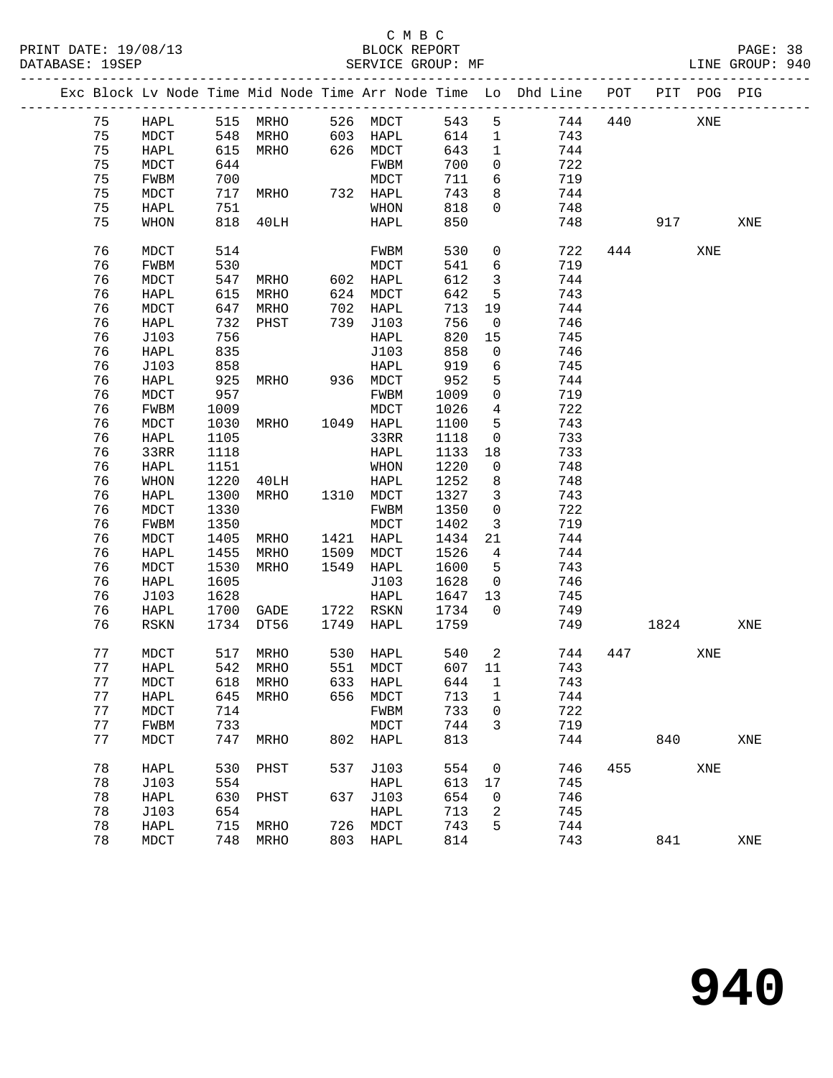|    | ----------------------------------- |      |                   |      |           |        |                            | Exc Block Lv Node Time Mid Node Time Arr Node Time Lo Dhd Line POT |     |      | PIT POG PIG |     |
|----|-------------------------------------|------|-------------------|------|-----------|--------|----------------------------|--------------------------------------------------------------------|-----|------|-------------|-----|
| 75 | HAPL                                |      | 515 MRHO          |      | 526 MDCT  | 543    | 5                          | 744                                                                | 440 |      | XNE         |     |
| 75 | MDCT                                |      | 548 MRHO          |      | 603 HAPL  | 614    | $\mathbf{1}$               | 743                                                                |     |      |             |     |
| 75 | HAPL                                |      | 615 MRHO          |      | 626 MDCT  | 643    | $\mathbf{1}$               | 744                                                                |     |      |             |     |
| 75 | MDCT                                | 644  |                   |      | FWBM      | 700    | $\overline{0}$             | 722                                                                |     |      |             |     |
| 75 | FWBM                                | 700  |                   |      | MDCT      | 711    | 6                          | 719                                                                |     |      |             |     |
| 75 | MDCT                                | 717  | MRHO              |      | 732 HAPL  | 743    | 8                          | 744                                                                |     |      |             |     |
| 75 | HAPL                                | 751  |                   |      | WHON      | 818    | $\overline{0}$             | 748                                                                |     |      |             |     |
| 75 | WHON                                | 818  | 40LH              |      | HAPL      | 850    |                            | 748                                                                |     | 917  |             | XNE |
| 76 | MDCT                                | 514  |                   |      | FWBM      | 530    | $\overline{0}$             | 722                                                                |     | 444  | XNE         |     |
| 76 | FWBM                                | 530  |                   |      | MDCT      | 541    | 6                          | 719                                                                |     |      |             |     |
| 76 | MDCT                                | 547  | MRHO              |      | 602 HAPL  | 612    | $\mathbf{3}$               | 744                                                                |     |      |             |     |
| 76 | HAPL                                | 615  | MRHO              | 624  | MDCT      | 642    | 5                          | 743                                                                |     |      |             |     |
| 76 | MDCT                                | 647  | MRHO              |      | 702 HAPL  | 713    | 19                         | 744                                                                |     |      |             |     |
| 76 | HAPL                                | 732  | PHST              |      | 739 J103  | 756    | $\overline{0}$             | 746                                                                |     |      |             |     |
| 76 | J103                                | 756  |                   |      | HAPL      | 820    | 15                         | 745                                                                |     |      |             |     |
| 76 | HAPL                                | 835  |                   |      | J103      | 858    | $\mathbf 0$                | 746                                                                |     |      |             |     |
| 76 | J103                                | 858  |                   |      | HAPL      | 919    | 6                          | 745                                                                |     |      |             |     |
| 76 | HAPL                                | 925  | <b>MRHO</b>       |      | 936 MDCT  | 952    | 5                          | 744                                                                |     |      |             |     |
| 76 | MDCT                                | 957  |                   |      | FWBM      | 1009   | $\mathsf{O}$               | 719                                                                |     |      |             |     |
| 76 | FWBM                                | 1009 |                   |      | MDCT      | 1026   | $\overline{4}$             | 722                                                                |     |      |             |     |
| 76 | MDCT                                | 1030 | MRHO              |      | 1049 HAPL | 1100   | 5                          | 743                                                                |     |      |             |     |
| 76 | HAPL                                | 1105 |                   |      | 33RR      | 1118   | $\mathsf{O}$               | 733                                                                |     |      |             |     |
| 76 | 33RR                                | 1118 |                   |      | HAPL      | 1133   | 18                         | 733                                                                |     |      |             |     |
| 76 | HAPL                                | 1151 |                   |      | WHON      | 1220   | 0                          | 748                                                                |     |      |             |     |
| 76 | WHON                                | 1220 | 40LH              |      | HAPL      | 1252   | 8                          | 748                                                                |     |      |             |     |
| 76 | HAPL                                | 1300 | MRHO              |      | 1310 MDCT | 1327   | $\mathbf{3}$               | 743                                                                |     |      |             |     |
| 76 | MDCT                                | 1330 |                   |      | FWBM      | 1350   | $\mathsf{O}$               | 722                                                                |     |      |             |     |
| 76 | FWBM                                | 1350 |                   |      | MDCT      | 1402   | $\mathbf{3}$               | 719                                                                |     |      |             |     |
| 76 | MDCT                                | 1405 | MRHO              |      | 1421 HAPL | 1434   | 21                         | 744                                                                |     |      |             |     |
| 76 | HAPL                                | 1455 | MRHO              | 1509 | MDCT      | 1526   | $\overline{4}$             | 744                                                                |     |      |             |     |
| 76 | MDCT                                | 1530 | MRHO              |      | 1549 HAPL | 1600   | 5                          | 743                                                                |     |      |             |     |
| 76 | HAPL                                | 1605 |                   |      | J103      | 1628   | $\overline{0}$             | 746                                                                |     |      |             |     |
| 76 | J103                                | 1628 |                   |      | HAPL      | 1647   | 13                         | 745                                                                |     |      |             |     |
| 76 | HAPL                                |      | 1700 GADE         |      | 1722 RSKN | 1734   | $\overline{0}$             | 749                                                                |     |      |             |     |
| 76 | RSKN                                |      | 1734 DT56         |      | 1749 HAPL | 1759   |                            | 749                                                                |     | 1824 |             | XNE |
| 77 | MDCT                                | 517  | MRHO              |      | 530 HAPL  | 540    | $\overline{\phantom{a}}^2$ | 744                                                                |     | 447  | XNE         |     |
| 77 | HAPL                                |      | 542 MRHO          |      | 551 MDCT  | 607 11 |                            | 743                                                                |     |      |             |     |
| 77 | MDCT                                |      | 618 MRHO 633 HAPL |      |           | 644 1  |                            | 743                                                                |     |      |             |     |
| 77 | HAPL                                | 645  | MRHO              | 656  | MDCT      | 713    | $\mathbf{1}$               | 744                                                                |     |      |             |     |
| 77 | MDCT                                | 714  |                   |      | FWBM      | 733    | 0                          | 722                                                                |     |      |             |     |
| 77 | FWBM                                | 733  |                   |      | MDCT      | 744    | 3                          | 719                                                                |     |      |             |     |
| 77 | MDCT                                | 747  | MRHO              |      | 802 HAPL  | 813    |                            | 744                                                                |     | 840  |             | XNE |
| 78 | HAPL                                | 530  | PHST              | 537  | J103      | 554    | 0                          | 746                                                                | 455 |      | XNE         |     |
| 78 | J103                                | 554  |                   |      | HAPL      | 613    | 17                         | 745                                                                |     |      |             |     |
| 78 | HAPL                                | 630  | PHST              |      | 637 J103  | 654    | $\mathsf{O}$               | 746                                                                |     |      |             |     |
| 78 | J103                                | 654  |                   |      | HAPL      | 713    | 2                          | 745                                                                |     |      |             |     |
| 78 | HAPL                                | 715  | MRHO              | 726  | MDCT      | 743    | 5                          | 744                                                                |     |      |             |     |
| 78 | MDCT                                | 748  | MRHO              | 803  | HAPL      | 814    |                            | 743                                                                |     | 841  |             | XNE |
|    |                                     |      |                   |      |           |        |                            |                                                                    |     |      |             |     |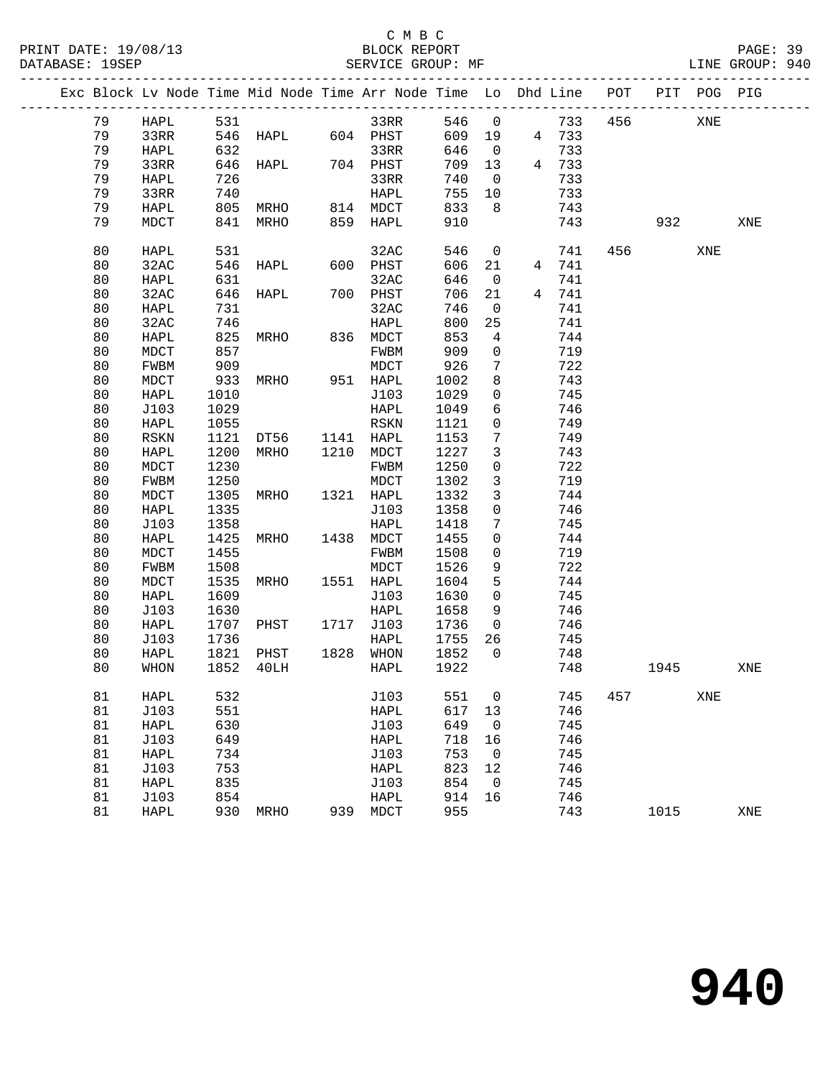|  |    |             |      | Exc Block Lv Node Time Mid Node Time Arr Node Time Lo Dhd Line POT |     |           |       |                |       |     |      | PIT POG PIG |     |
|--|----|-------------|------|--------------------------------------------------------------------|-----|-----------|-------|----------------|-------|-----|------|-------------|-----|
|  | 79 | HAPL        | 531  |                                                                    |     | 33RR      | 546 0 |                | 733   | 456 |      | XNE         |     |
|  | 79 | 33RR        | 546  | HAPL 604 PHST                                                      |     |           | 609   | 19             | 4 733 |     |      |             |     |
|  | 79 | HAPL        | 632  |                                                                    |     | 33RR      | 646   | $\overline{0}$ | 733   |     |      |             |     |
|  | 79 | 33RR        |      | 646 HAPL                                                           |     | 704 PHST  | 709   | 13             | 4 733 |     |      |             |     |
|  | 79 | HAPL        | 726  |                                                                    |     | 33RR      | 740   | $\overline{0}$ | 733   |     |      |             |     |
|  | 79 | 33RR        | 740  |                                                                    |     | HAPL      | 755   | 10             | 733   |     |      |             |     |
|  | 79 | HAPL        | 805  | MRHO                                                               |     | 814 MDCT  | 833   | 8              | 743   |     |      |             |     |
|  | 79 | MDCT        | 841  | MRHO                                                               |     | 859 HAPL  | 910   |                | 743   |     | 932  |             | XNE |
|  | 80 | HAPL        | 531  |                                                                    |     | 32AC      | 546   | $\mathbf 0$    | 741   | 456 |      | XNE         |     |
|  | 80 | 32AC        | 546  | HAPL                                                               |     | 600 PHST  | 606   | 21             | 4 741 |     |      |             |     |
|  | 80 | HAPL        | 631  |                                                                    |     | 32AC      | 646   | $\overline{0}$ | 741   |     |      |             |     |
|  | 80 | 32AC        | 646  | HAPL                                                               |     | 700 PHST  | 706   | 21             | 4 741 |     |      |             |     |
|  | 80 | HAPL        | 731  |                                                                    |     | 32AC      | 746   | 0              | 741   |     |      |             |     |
|  | 80 | 32AC        | 746  |                                                                    |     | HAPL      | 800   | 25             | 741   |     |      |             |     |
|  | 80 | HAPL        | 825  | MRHO                                                               |     | 836 MDCT  | 853   | 4              | 744   |     |      |             |     |
|  | 80 | MDCT        | 857  |                                                                    |     | FWBM      | 909   | $\mathsf{O}$   | 719   |     |      |             |     |
|  | 80 | FWBM        | 909  |                                                                    |     | MDCT      | 926   | 7              | 722   |     |      |             |     |
|  | 80 | MDCT        | 933  | MRHO                                                               |     | 951 HAPL  | 1002  | 8              | 743   |     |      |             |     |
|  | 80 | HAPL        | 1010 |                                                                    |     | J103      | 1029  | $\mathbf 0$    | 745   |     |      |             |     |
|  | 80 | J103        | 1029 |                                                                    |     | HAPL      | 1049  | 6              | 746   |     |      |             |     |
|  | 80 | HAPL        | 1055 |                                                                    |     | RSKN      | 1121  | $\mathsf{O}$   | 749   |     |      |             |     |
|  | 80 | <b>RSKN</b> | 1121 | DT56 1141 HAPL                                                     |     |           | 1153  | 7              | 749   |     |      |             |     |
|  | 80 | HAPL        | 1200 | MRHO                                                               |     | 1210 MDCT | 1227  | 3              | 743   |     |      |             |     |
|  | 80 | $\tt{MDCT}$ | 1230 |                                                                    |     | FWBM      | 1250  | $\mathbf 0$    | 722   |     |      |             |     |
|  | 80 | FWBM        | 1250 |                                                                    |     | MDCT      | 1302  | 3              | 719   |     |      |             |     |
|  | 80 | MDCT        | 1305 | MRHO                                                               |     | 1321 HAPL | 1332  | $\mathbf{3}$   | 744   |     |      |             |     |
|  | 80 | HAPL        | 1335 |                                                                    |     | J103      | 1358  | $\mathbf 0$    | 746   |     |      |             |     |
|  | 80 | J103        | 1358 |                                                                    |     | HAPL      | 1418  | 7              | 745   |     |      |             |     |
|  | 80 | HAPL        | 1425 | MRHO                                                               |     | 1438 MDCT | 1455  | $\mathbf 0$    | 744   |     |      |             |     |
|  | 80 | MDCT        | 1455 |                                                                    |     | FWBM      | 1508  | 0              | 719   |     |      |             |     |
|  | 80 | FWBM        | 1508 |                                                                    |     | MDCT      | 1526  | 9              | 722   |     |      |             |     |
|  | 80 | $\tt{MDCT}$ | 1535 | MRHO                                                               |     | 1551 HAPL | 1604  | 5              | 744   |     |      |             |     |
|  | 80 | HAPL        | 1609 |                                                                    |     | J103      | 1630  | $\mathbf{0}$   | 745   |     |      |             |     |
|  | 80 | J103        | 1630 |                                                                    |     | HAPL      | 1658  | 9              | 746   |     |      |             |     |
|  | 80 | HAPL        | 1707 | PHST                                                               |     | 1717 J103 | 1736  | $\overline{0}$ | 746   |     |      |             |     |
|  | 80 | J103        | 1736 |                                                                    |     | HAPL      | 1755  | 26             | 745   |     |      |             |     |
|  | 80 | HAPL        | 1821 | PHST                                                               |     | 1828 WHON | 1852  | $\overline{0}$ | 748   |     |      |             |     |
|  | 80 | WHON        | 1852 | 40LH                                                               |     | HAPL      | 1922  |                | 748   |     | 1945 |             | XNE |
|  | 81 | HAPL        | 532  |                                                                    |     | J103      | 551   | 0              | 745   | 457 |      | XNE         |     |
|  | 81 | J103        | 551  |                                                                    |     | HAPL      | 617   | 13             | 746   |     |      |             |     |
|  | 81 | HAPL        | 630  |                                                                    |     | J103      | 649   | 0              | 745   |     |      |             |     |
|  | 81 | J103        | 649  |                                                                    |     | HAPL      | 718   | 16             | 746   |     |      |             |     |
|  | 81 | HAPL        | 734  |                                                                    |     | J103      | 753   | 0              | 745   |     |      |             |     |
|  | 81 | J103        | 753  |                                                                    |     | HAPL      | 823   | 12             | 746   |     |      |             |     |
|  | 81 | HAPL        | 835  |                                                                    |     | J103      | 854   | 0              | 745   |     |      |             |     |
|  | 81 | J103        | 854  |                                                                    |     | HAPL      | 914   | 16             | 746   |     |      |             |     |
|  | 81 | HAPL        | 930  | <b>MRHO</b>                                                        | 939 | MDCT      | 955   |                | 743   |     | 1015 |             | XNE |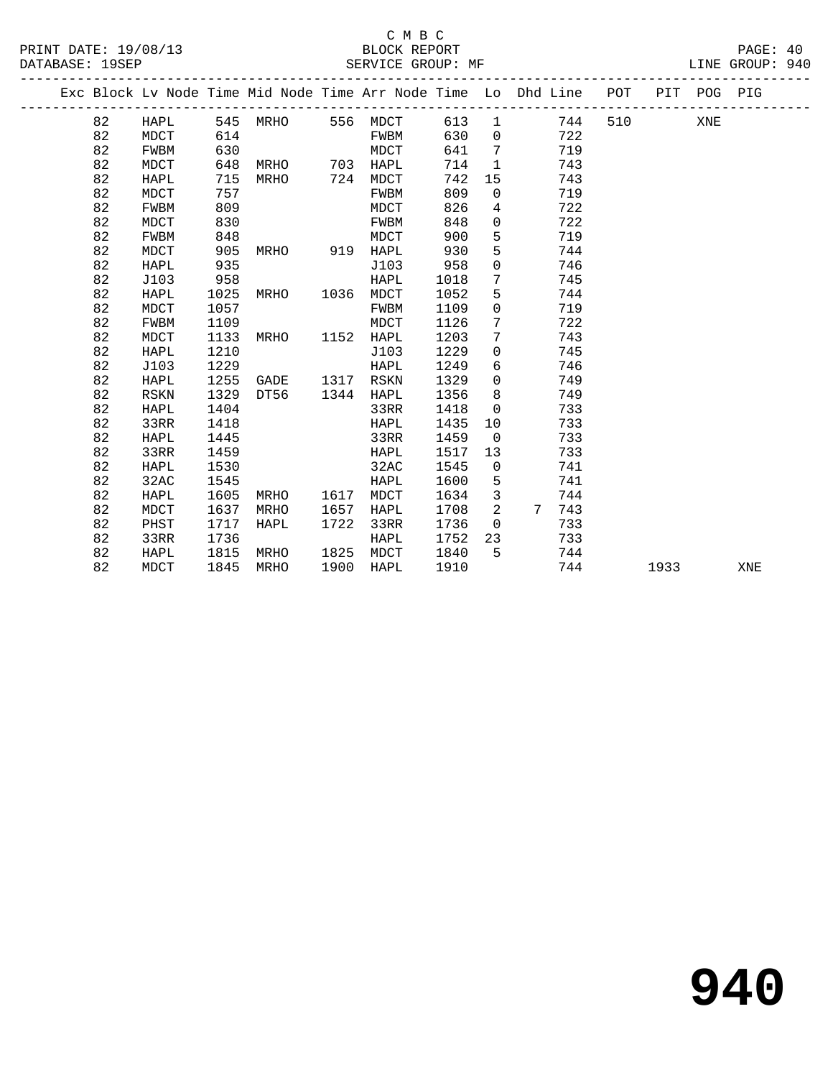#### C M B C<br>BLOCK REPORT PRINT DATE: 19/08/13 BLOCK REPORT PAGE: 40 SERVICE GROUP: MF

|  |    |             |      |      |      | Exc Block Lv Node Time Mid Node Time Arr Node Time Lo Dhd Line |      |                |                 |     | POT |      | PIT POG PIG |     |
|--|----|-------------|------|------|------|----------------------------------------------------------------|------|----------------|-----------------|-----|-----|------|-------------|-----|
|  | 82 | HAPL        | 545  | MRHO | 556  | MDCT                                                           | 613  | $\mathbf{1}$   |                 | 744 | 510 |      | XNE         |     |
|  | 82 | MDCT        | 614  |      |      | FWBM                                                           | 630  | $\overline{0}$ |                 | 722 |     |      |             |     |
|  | 82 | FWBM        | 630  |      |      | MDCT                                                           | 641  | $\overline{7}$ |                 | 719 |     |      |             |     |
|  | 82 | MDCT        | 648  | MRHO |      | 703 HAPL                                                       | 714  | 1              |                 | 743 |     |      |             |     |
|  | 82 | HAPL        | 715  | MRHO | 724  | MDCT                                                           | 742  | 15             |                 | 743 |     |      |             |     |
|  | 82 | MDCT        | 757  |      |      | FWBM                                                           | 809  | $\mathbf 0$    |                 | 719 |     |      |             |     |
|  | 82 | <b>FWBM</b> | 809  |      |      | MDCT                                                           | 826  | 4              |                 | 722 |     |      |             |     |
|  | 82 | <b>MDCT</b> | 830  |      |      | FWBM                                                           | 848  | $\mathbf{0}$   |                 | 722 |     |      |             |     |
|  | 82 | FWBM        | 848  |      |      | MDCT                                                           | 900  | 5              |                 | 719 |     |      |             |     |
|  | 82 | <b>MDCT</b> | 905  | MRHO |      | 919 HAPL                                                       | 930  | 5              |                 | 744 |     |      |             |     |
|  | 82 | HAPL        | 935  |      |      | J103                                                           | 958  | $\mathbf 0$    |                 | 746 |     |      |             |     |
|  | 82 | J103        | 958  |      |      | HAPL                                                           | 1018 | 7              |                 | 745 |     |      |             |     |
|  | 82 | HAPL        | 1025 | MRHO | 1036 | MDCT                                                           | 1052 | 5              |                 | 744 |     |      |             |     |
|  | 82 | MDCT        | 1057 |      |      | FWBM                                                           | 1109 | $\mathbf 0$    |                 | 719 |     |      |             |     |
|  | 82 | FWBM        | 1109 |      |      | MDCT                                                           | 1126 | 7              |                 | 722 |     |      |             |     |
|  | 82 | <b>MDCT</b> | 1133 | MRHO | 1152 | HAPL                                                           | 1203 | 7              |                 | 743 |     |      |             |     |
|  | 82 | HAPL        | 1210 |      |      | J103                                                           | 1229 | $\mathbf 0$    |                 | 745 |     |      |             |     |
|  | 82 | J103        | 1229 |      |      | HAPL                                                           | 1249 | 6              |                 | 746 |     |      |             |     |
|  | 82 | HAPL        | 1255 | GADE |      | 1317 RSKN                                                      | 1329 | $\mathbf 0$    |                 | 749 |     |      |             |     |
|  | 82 | <b>RSKN</b> | 1329 | DT56 | 1344 | HAPL                                                           | 1356 | 8              |                 | 749 |     |      |             |     |
|  | 82 | HAPL        | 1404 |      |      | 33RR                                                           | 1418 | $\mathbf 0$    |                 | 733 |     |      |             |     |
|  | 82 | 33RR        | 1418 |      |      | HAPL                                                           | 1435 | 10             |                 | 733 |     |      |             |     |
|  | 82 | HAPL        | 1445 |      |      | 33RR                                                           | 1459 | $\overline{0}$ |                 | 733 |     |      |             |     |
|  | 82 | 33RR        | 1459 |      |      | HAPL                                                           | 1517 | 13             |                 | 733 |     |      |             |     |
|  | 82 | HAPL        | 1530 |      |      | 32AC                                                           | 1545 | $\mathsf{O}$   |                 | 741 |     |      |             |     |
|  | 82 | 32AC        | 1545 |      |      | HAPL                                                           | 1600 | 5              |                 | 741 |     |      |             |     |
|  | 82 | HAPL        | 1605 | MRHO | 1617 | MDCT                                                           | 1634 | 3              |                 | 744 |     |      |             |     |
|  | 82 | <b>MDCT</b> | 1637 | MRHO | 1657 | HAPL                                                           | 1708 | 2              | $7\phantom{.0}$ | 743 |     |      |             |     |
|  | 82 | PHST        | 1717 | HAPL | 1722 | 33RR                                                           | 1736 | $\mathbf 0$    |                 | 733 |     |      |             |     |
|  | 82 | 33RR        | 1736 |      |      | HAPL                                                           | 1752 | 23             |                 | 733 |     |      |             |     |
|  | 82 | HAPL        | 1815 | MRHO | 1825 | MDCT                                                           | 1840 | 5              |                 | 744 |     |      |             |     |
|  | 82 | <b>MDCT</b> | 1845 | MRHO | 1900 | HAPL                                                           | 1910 |                |                 | 744 |     | 1933 |             | XNE |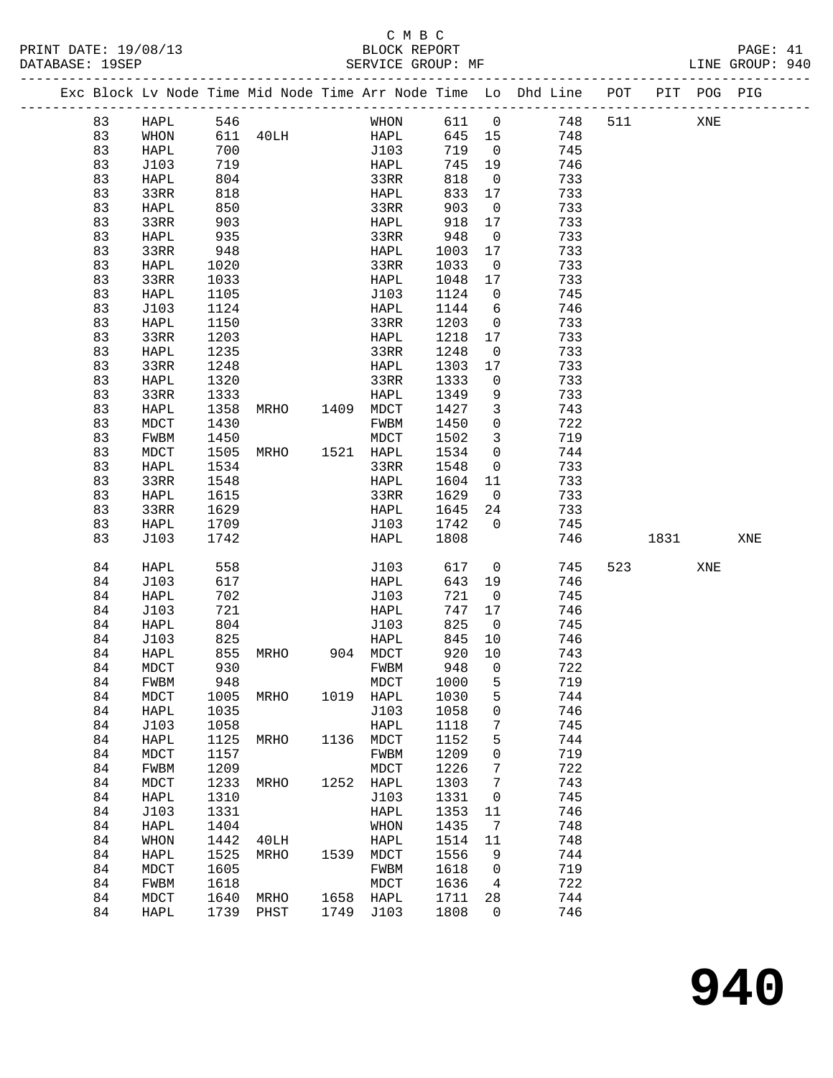|    |      |                   |                |             |        |                          | Exc Block Lv Node Time Mid Node Time Arr Node Time Lo Dhd Line POT PIT POG PIG |     |                          |     |     |
|----|------|-------------------|----------------|-------------|--------|--------------------------|--------------------------------------------------------------------------------|-----|--------------------------|-----|-----|
| 83 | HAPL | 546               |                | WHON        | 611 0  |                          | 748                                                                            | 511 |                          | XNE |     |
| 83 | WHON |                   | 611 40LH       | <b>HAPL</b> | 645 15 |                          | 748                                                                            |     |                          |     |     |
| 83 | HAPL | 700               |                | J103        | 719    | $\overline{0}$           | 745                                                                            |     |                          |     |     |
| 83 | J103 | 719               |                | HAPL        | 745    | 19                       | 746                                                                            |     |                          |     |     |
| 83 | HAPL | 804               |                | 33RR        | 818    | $\overline{0}$           | 733                                                                            |     |                          |     |     |
| 83 | 33RR | 818               |                | HAPL        | 833    | 17                       | 733                                                                            |     |                          |     |     |
| 83 | HAPL | 850               |                | 33RR        | 903    | $\overline{0}$           | 733                                                                            |     |                          |     |     |
| 83 | 33RR | 903               |                | HAPL        | 918    | 17                       | 733                                                                            |     |                          |     |     |
| 83 | HAPL | 935               |                | 33RR        | 948    | $\overline{0}$           | 733                                                                            |     |                          |     |     |
| 83 | 33RR | 948               |                | HAPL        | 1003   | 17                       | 733                                                                            |     |                          |     |     |
| 83 | HAPL | 1020              |                | 33RR        | 1033   | $\overline{\phantom{0}}$ | 733                                                                            |     |                          |     |     |
| 83 | 33RR | 1033              |                | HAPL        | 1048   | 17                       | 733                                                                            |     |                          |     |     |
| 83 | HAPL | 1105              |                | J103        | 1124   | $\overline{0}$           | 745                                                                            |     |                          |     |     |
| 83 | J103 | 1124              |                | HAPL        | 1144   | $6\overline{6}$          | 746                                                                            |     |                          |     |     |
| 83 | HAPL | 1150              |                | 33RR        | 1203   | $\overline{0}$           | 733                                                                            |     |                          |     |     |
| 83 | 33RR | 1203              |                | HAPL        | 1218   | 17                       | 733                                                                            |     |                          |     |     |
| 83 | HAPL | 1235              |                | 33RR        | 1248   | $\overline{\mathbf{0}}$  | 733                                                                            |     |                          |     |     |
| 83 | 33RR | 1248              |                | HAPL        | 1303   | 17                       | 733                                                                            |     |                          |     |     |
| 83 | HAPL | 1320              |                | 33RR        | 1333   | $\overline{\mathbf{0}}$  | 733                                                                            |     |                          |     |     |
|    |      |                   |                |             |        |                          | 733                                                                            |     |                          |     |     |
| 83 | 33RR | 1333              |                | HAPL        | 1349   | 9                        |                                                                                |     |                          |     |     |
| 83 | HAPL | 1358              | MRHO 1409 MDCT |             | 1427   | $\mathbf{3}$             | 743                                                                            |     |                          |     |     |
| 83 | MDCT | 1430              |                | FWBM        | 1450   | $\mathbf 0$              | 722                                                                            |     |                          |     |     |
| 83 | FWBM | 1450              |                | MDCT        | 1502   | $\overline{3}$           | 719                                                                            |     |                          |     |     |
| 83 | MDCT | 1505              | MRHO           | 1521 HAPL   | 1534   | $\overline{0}$           | 744                                                                            |     |                          |     |     |
| 83 | HAPL | 1534              |                | 33RR        | 1548   | $\overline{0}$           | 733                                                                            |     |                          |     |     |
| 83 | 33RR | 1548              |                | HAPL        | 1604   | 11                       | 733                                                                            |     |                          |     |     |
| 83 | HAPL | 1615              |                | 33RR        | 1629   | $\overline{0}$           | 733                                                                            |     |                          |     |     |
| 83 | 33RR | 1629              |                | HAPL        | 1645   | 24                       | 733                                                                            |     |                          |     |     |
| 83 | HAPL | 1709              |                | J103        | 1742   | $\Omega$                 | 745                                                                            |     |                          |     |     |
| 83 | J103 | 1742              |                | HAPL        | 1808   |                          | 746                                                                            |     | 1831                     |     | XNE |
| 84 | HAPL | 558               |                | J103        | 617    | $\overline{\mathbf{0}}$  | 745                                                                            |     | 523 and $\overline{523}$ | XNE |     |
| 84 | J103 | 617               |                | HAPL        | 643    | 19                       | 746                                                                            |     |                          |     |     |
| 84 | HAPL | 702               |                | J103        | 721    | $\overline{0}$           | 745                                                                            |     |                          |     |     |
| 84 | J103 | 721               |                | HAPL        | 747    | 17                       | 746                                                                            |     |                          |     |     |
| 84 | HAPL | 804               |                | J103        | 825    | $\overline{0}$           | 745                                                                            |     |                          |     |     |
| 84 | J103 | 825               |                | HAPL        | 845    | 10                       | 746                                                                            |     |                          |     |     |
| 84 | HAPL |                   | MRHO           | 904 MDCT    | 920    | 10                       | 743                                                                            |     |                          |     |     |
| 84 | MDCT | 855<br>930<br>930 |                | FWBM        | 948    | $\overline{0}$           | 722                                                                            |     |                          |     |     |
| 84 | FWBM | 948               |                | MDCT        | 1000   | 5                        | 719                                                                            |     |                          |     |     |
| 84 | MDCT | 1005              | MRHO           | 1019 HAPL   | 1030   | 5                        | 744                                                                            |     |                          |     |     |
| 84 | HAPL | 1035              |                | J103        | 1058   | 0                        | 746                                                                            |     |                          |     |     |
| 84 | J103 | 1058              |                | HAPL        | 1118   | 7                        | 745                                                                            |     |                          |     |     |
| 84 | HAPL | 1125              | MRHO           | 1136 MDCT   | 1152   | 5                        | 744                                                                            |     |                          |     |     |
| 84 | MDCT | 1157              |                | FWBM        | 1209   | 0                        | 719                                                                            |     |                          |     |     |
| 84 | FWBM | 1209              |                | $\tt{MDCT}$ | 1226   | 7                        | 722                                                                            |     |                          |     |     |
| 84 | MDCT | 1233              | MRHO 1252 HAPL |             | 1303   | 7                        | 743                                                                            |     |                          |     |     |
| 84 | HAPL | 1310              |                | J103        | 1331   | $\mathsf{O}$             | 745                                                                            |     |                          |     |     |
| 84 | J103 | 1331              |                | HAPL        | 1353   | 11                       | 746                                                                            |     |                          |     |     |
| 84 | HAPL | 1404              |                | WHON        | 1435   | $\overline{7}$           | 748                                                                            |     |                          |     |     |
| 84 | WHON | 1442              | 40LH           | HAPL        | 1514   | 11                       | 748                                                                            |     |                          |     |     |
| 84 | HAPL | 1525              | MRHO           | 1539 MDCT   | 1556   | 9                        | 744                                                                            |     |                          |     |     |
| 84 | MDCT | 1605              |                | FWBM        | 1618   | $\overline{0}$           | 719                                                                            |     |                          |     |     |
| 84 | FWBM | 1618              |                | MDCT        | 1636   | $\overline{4}$           | 722                                                                            |     |                          |     |     |
| 84 | MDCT | 1640              | MRHO           | 1658 HAPL   | 1711   | 28                       | 744                                                                            |     |                          |     |     |
| 84 | HAPL |                   | 1739 PHST      | 1749 J103   | 1808   | $\mathbf 0$              | 746                                                                            |     |                          |     |     |
|    |      |                   |                |             |        |                          |                                                                                |     |                          |     |     |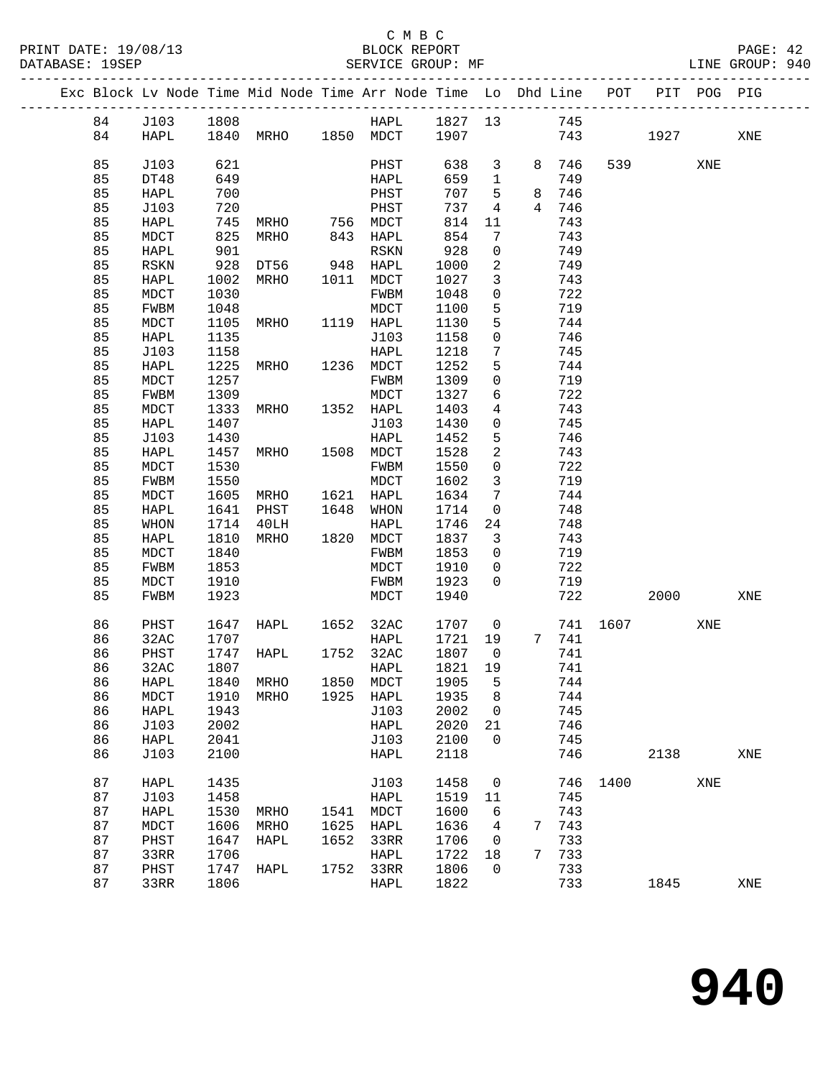|  |          |                |              | Exc Block Lv Node Time Mid Node Time Arr Node Time Lo Dhd Line POT |      |                   |              |                              |                 |            |          |        | PIT POG PIG |     |
|--|----------|----------------|--------------|--------------------------------------------------------------------|------|-------------------|--------------|------------------------------|-----------------|------------|----------|--------|-------------|-----|
|  | 84       | J103 1808      |              |                                                                    |      | HAPL 1827 13      |              |                              |                 | 745        |          |        |             |     |
|  | 84       | HAPL           |              | 1840 MRHO 1850 MDCT 1907                                           |      |                   |              |                              |                 |            | 743      | 1927   |             | XNE |
|  |          |                |              |                                                                    |      |                   |              |                              |                 |            |          |        |             |     |
|  | 85       | J103           | 621          |                                                                    |      | PHST              | 638          | $\mathbf{3}$                 |                 | 8 746      |          | 539 30 | XNE         |     |
|  | 85       | DT48           | 649          |                                                                    |      | HAPL              | 659          | $\overline{1}$               |                 | 749        |          |        |             |     |
|  | 85       | HAPL           | 700          |                                                                    |      | PHST              | 707          | 5                            | 8               | 746        |          |        |             |     |
|  | 85       | J103           | 720          |                                                                    |      | PHST              | 737          | 4                            | $4\overline{ }$ | 746        |          |        |             |     |
|  | 85       | HAPL           | 745          | MRHO                                                               |      | 756 MDCT          | 814          | 11                           |                 | 743        |          |        |             |     |
|  | 85<br>85 | MDCT           | 825<br>901   | MRHO                                                               |      | 843 HAPL          | 854<br>928   | 7<br>$\mathsf{O}$            |                 | 743<br>749 |          |        |             |     |
|  | 85       | HAPL<br>RSKN   | 928          | DT56 948 HAPL                                                      |      | RSKN              | 1000         | 2                            |                 | 749        |          |        |             |     |
|  | 85       | HAPL           | 1002         | MRHO                                                               |      | 1011 MDCT         | 1027         | 3                            |                 | 743        |          |        |             |     |
|  | 85       | MDCT           | 1030         |                                                                    |      | FWBM              | 1048         | $\mathbf 0$                  |                 | 722        |          |        |             |     |
|  | 85       | FWBM           | 1048         |                                                                    |      | MDCT              | 1100         | 5                            |                 | 719        |          |        |             |     |
|  | 85       | MDCT           | 1105         | MRHO                                                               |      | 1119 HAPL         | 1130         | 5                            |                 | 744        |          |        |             |     |
|  | 85       | HAPL           | 1135         |                                                                    |      | J103              | 1158         | $\mathsf{O}$                 |                 | 746        |          |        |             |     |
|  | 85       | J103           | 1158         |                                                                    |      | HAPL              | 1218         | $7\phantom{.0}$              |                 | 745        |          |        |             |     |
|  | 85       | HAPL           | 1225         | <b>MRHO</b>                                                        |      | 1236 MDCT         | 1252         | 5                            |                 | 744        |          |        |             |     |
|  | 85       | MDCT           | 1257         |                                                                    |      | FWBM              | 1309         | $\mathsf{O}$                 |                 | 719        |          |        |             |     |
|  | 85       | FWBM           | 1309         |                                                                    |      | MDCT              | 1327         | 6                            |                 | 722        |          |        |             |     |
|  | 85       | $\tt{MDCT}$    | 1333         | MRHO                                                               |      | 1352 HAPL         | 1403         | $\overline{4}$               |                 | 743        |          |        |             |     |
|  | 85       | HAPL           | 1407         |                                                                    |      | J103              | 1430         | $\mathsf{O}$                 |                 | 745        |          |        |             |     |
|  | 85       | J103           | 1430         |                                                                    |      | HAPL              | 1452         | 5                            |                 | 746        |          |        |             |     |
|  | 85       | HAPL           | 1457         | MRHO                                                               |      | 1508 MDCT         | 1528         | 2                            |                 | 743        |          |        |             |     |
|  | 85<br>85 | MDCT           | 1530<br>1550 |                                                                    |      | FWBM              | 1550         | $\mathsf{O}$<br>$\mathbf{3}$ |                 | 722<br>719 |          |        |             |     |
|  | 85       | FWBM<br>MDCT   | 1605         | MRHO                                                               |      | MDCT<br>1621 HAPL | 1602<br>1634 | $7\overline{ }$              |                 | 744        |          |        |             |     |
|  | 85       | HAPL           | 1641         | PHST                                                               |      | 1648 WHON         | 1714         | $\mathsf{O}$                 |                 | 748        |          |        |             |     |
|  | 85       | WHON           | 1714         | 40LH                                                               |      | HAPL              | 1746         | 24                           |                 | 748        |          |        |             |     |
|  | 85       | HAPL           | 1810         | MRHO                                                               |      | 1820 MDCT         | 1837         | $\overline{\mathbf{3}}$      |                 | 743        |          |        |             |     |
|  | 85       | MDCT           | 1840         |                                                                    |      | FWBM              | 1853         | $\overline{0}$               |                 | 719        |          |        |             |     |
|  | 85       | FWBM           | 1853         |                                                                    |      | MDCT              | 1910         | $\overline{0}$               |                 | 722        |          |        |             |     |
|  | 85       | MDCT           | 1910         |                                                                    |      | FWBM              | 1923         | $\Omega$                     |                 | 719        |          |        |             |     |
|  | 85       | FWBM           | 1923         |                                                                    |      | MDCT              | 1940         |                              |                 | 722        |          | 2000   |             | XNE |
|  |          |                |              |                                                                    |      |                   |              |                              |                 |            |          |        |             |     |
|  | 86       | PHST           |              | 1647 HAPL 1652 32AC                                                |      |                   | 1707         | $\overline{0}$               |                 |            | 741 1607 |        | XNE         |     |
|  | 86       | 32AC           | 1707         |                                                                    |      | HAPL              | 1721         | 19                           |                 | 7 741      |          |        |             |     |
|  | 86       | PHST           | 1747         | HAPL                                                               |      | 1752 32AC         | 1807         | $\overline{0}$               |                 | 741        |          |        |             |     |
|  | 86       | 32AC           | 1807         |                                                                    |      | HAPL              | 1821         | 19                           |                 | 741        |          |        |             |     |
|  | 86       | HAPL 1840 MRHO |              | MRHO                                                               |      | 1850 MDCT 1905 5  |              |                              |                 | 744        |          |        |             |     |
|  | 86<br>86 | MDCT<br>HAPL   | 1910<br>1943 |                                                                    |      | 1925 HAPL<br>J103 | 1935<br>2002 | 8<br>$\overline{0}$          |                 | 744<br>745 |          |        |             |     |
|  | 86       | J103           | 2002         |                                                                    |      | HAPL              | 2020         | 21                           |                 | 746        |          |        |             |     |
|  | 86       | HAPL           | 2041         |                                                                    |      | J103              | 2100         | $\mathbf 0$                  |                 | 745        |          |        |             |     |
|  | 86       | J103           | 2100         |                                                                    |      | HAPL              | 2118         |                              |                 | 746        |          | 2138   |             | XNE |
|  | 87       |                |              |                                                                    |      |                   | 1458         |                              |                 |            |          |        |             |     |
|  | 87       | HAPL<br>J103   | 1435<br>1458 |                                                                    |      | J103<br>HAPL      | 1519         | $\overline{0}$<br>11         |                 | 745        | 746 1400 |        | XNE         |     |
|  | 87       | HAPL           | 1530         | MRHO                                                               | 1541 | MDCT              | 1600         | 6                            |                 | 743        |          |        |             |     |
|  | 87       | $\tt{MDCT}$    | 1606         | MRHO                                                               | 1625 | HAPL              | 1636         | 4                            |                 | 7 743      |          |        |             |     |
|  | 87       | PHST           | 1647         | HAPL                                                               | 1652 | 33RR              | 1706         | $\overline{\phantom{0}}$     |                 | 733        |          |        |             |     |
|  | 87       | 33RR           | 1706         |                                                                    |      | HAPL              | 1722         | 18                           | 7               | 733        |          |        |             |     |
|  | 87       | PHST           | 1747         | HAPL                                                               | 1752 | 33RR              | 1806         | $\mathbf 0$                  |                 | 733        |          |        |             |     |
|  | 87       | 33RR           | 1806         |                                                                    |      | HAPL              | 1822         |                              |                 | 733        |          | 1845   |             | XNE |
|  |          |                |              |                                                                    |      |                   |              |                              |                 |            |          |        |             |     |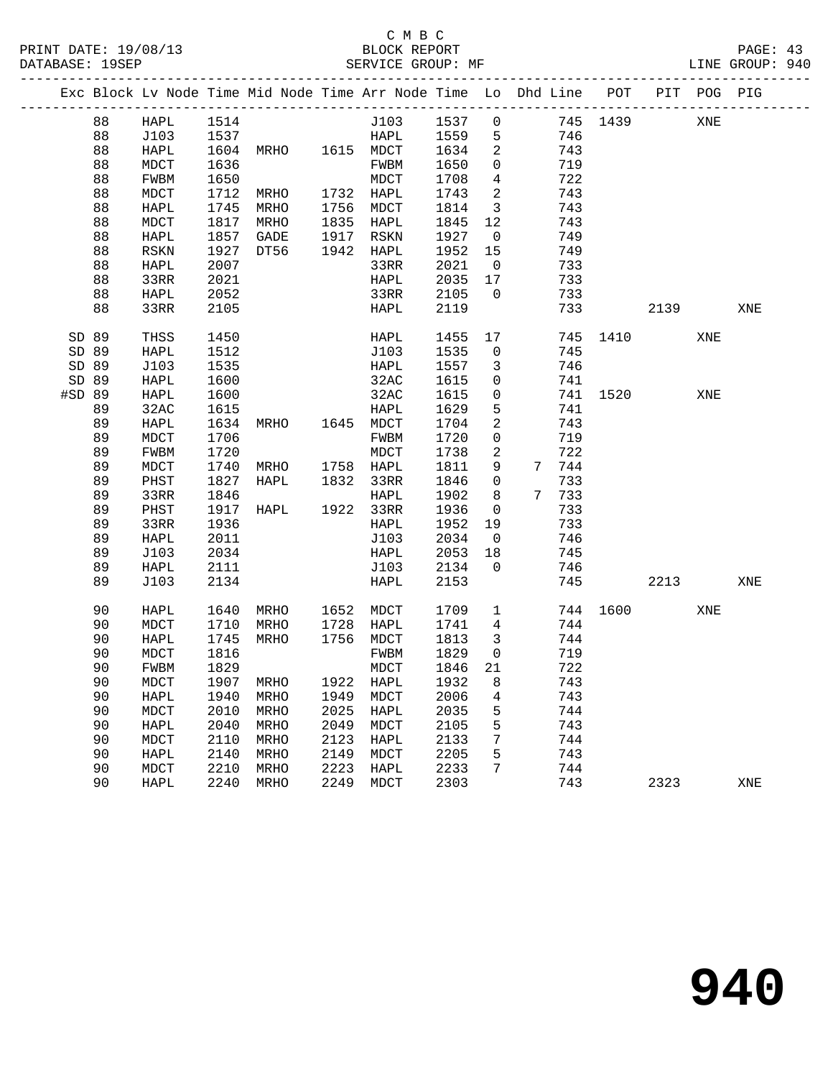|        |          |             |      | Exc Block Lv Node Time Mid Node Time Arr Node Time Lo Dhd Line POT |              |                  |              |                         |            |          |          | PIT POG PIG |     |
|--------|----------|-------------|------|--------------------------------------------------------------------|--------------|------------------|--------------|-------------------------|------------|----------|----------|-------------|-----|
|        | 88       | HAPL        | 1514 |                                                                    |              | J103             | 1537         | $\mathsf{O}$            |            | 745 1439 |          | XNE         |     |
|        | 88       | J103        |      |                                                                    |              | HAPL             | 1559         | $5\overline{)}$         | 746        |          |          |             |     |
|        | 88       | HAPL        |      | 1537 HAPL<br>1604 MRHO 1615 MDCT                                   |              |                  | 1634         | 2                       | 743        |          |          |             |     |
|        | 88       | MDCT        | 1636 |                                                                    |              | FWBM             | 1650         | $\overline{0}$          | 719        |          |          |             |     |
|        | 88       | FWBM        | 1650 |                                                                    |              | MDCT             | 1708         | $\overline{4}$          | 722        |          |          |             |     |
|        | 88       | MDCT        | 1712 | MRHO                                                               |              | 1732 HAPL        | 1743         | $\overline{a}$          | 743        |          |          |             |     |
|        | 88       | HAPL        | 1745 | MRHO                                                               |              | 1756 MDCT        | 1814         | $\overline{3}$          | 743        |          |          |             |     |
|        | 88       | MDCT        | 1817 | MRHO                                                               |              | 1835 HAPL        | 1845         | 12                      | 743        |          |          |             |     |
|        | 88       | HAPL        | 1857 | GADE                                                               |              | 1917 RSKN        | 1927         | $\overline{0}$          | 749        |          |          |             |     |
|        | 88       | <b>RSKN</b> | 1927 | DT56                                                               |              | 1942 HAPL        | 1952         | 15                      | 749        |          |          |             |     |
|        | 88       | HAPL        | 2007 |                                                                    |              | 33RR             | 2021         | $\overline{0}$          | 733        |          |          |             |     |
|        | 88       | 33RR        | 2021 |                                                                    |              | HAPL             | 2035         | 17                      | 733        |          |          |             |     |
|        | 88       | HAPL        | 2052 |                                                                    |              | 33RR             | 2105         | $\overline{0}$          | 733        |          |          |             |     |
|        | 88       | 33RR        | 2105 |                                                                    |              | HAPL             | 2119         |                         | 733        |          | 2139     |             | XNE |
| SD 89  |          | THSS        | 1450 |                                                                    |              | HAPL             | 1455         | 17                      |            | 745 1410 |          | XNE         |     |
| SD 89  |          | HAPL        | 1512 |                                                                    |              | J103             | 1535         | $\mathbf{0}$            | 745        |          |          |             |     |
| SD 89  |          | J103        | 1535 |                                                                    |              | HAPL             | 1557         | $\mathbf{3}$            | 746        |          |          |             |     |
| SD 89  |          | HAPL        | 1600 |                                                                    |              | 32AC             | 1615         | $\mathsf{O}$            | 741        |          |          |             |     |
| #SD 89 |          | HAPL        | 1600 |                                                                    |              | 32AC             | 1615         | $\mathsf{O}$            |            |          | 741 1520 | XNE         |     |
|        | 89       | 32AC        | 1615 |                                                                    |              | HAPL             | 1629         | 5                       | 741        |          |          |             |     |
|        | 89       | HAPL        | 1634 | MRHO 1645 MDCT                                                     |              |                  | 1704         | 2                       | 743        |          |          |             |     |
|        | 89       | MDCT        | 1706 |                                                                    |              | FWBM             | 1720         | $\mathbf 0$             | 719        |          |          |             |     |
|        | 89       | FWBM        | 1720 |                                                                    |              | MDCT             | 1738         | 2                       | 722        |          |          |             |     |
|        | 89       | MDCT        | 1740 | MRHO                                                               |              | 1758 HAPL        | 1811         | 9                       | 7 744      |          |          |             |     |
|        | 89       | PHST        | 1827 | HAPL                                                               |              | 1832 33RR        | 1846         | $\mathsf{O}$            | 733        |          |          |             |     |
|        | 89       | 33RR        | 1846 |                                                                    |              | HAPL             | 1902         | 8                       | 7 733      |          |          |             |     |
|        | 89       | PHST        | 1917 | $HAPL$ 1922 33RR                                                   |              |                  | 1936         | $\overline{0}$          | 733        |          |          |             |     |
|        | 89       | 33RR        | 1936 |                                                                    |              | HAPL             | 1952         | 19                      | 733        |          |          |             |     |
|        | 89       | HAPL        | 2011 |                                                                    |              | J103             | 2034         | $\overline{\mathbf{0}}$ | 746        |          |          |             |     |
|        | 89       | J103        | 2034 |                                                                    |              | HAPL             | 2053         | 18                      | 745        |          |          |             |     |
|        | 89       | HAPL        | 2111 |                                                                    |              | J103             | 2134         | $\Omega$                | 746        |          |          |             |     |
|        | 89       | J103        | 2134 |                                                                    |              | HAPL             | 2153         |                         | 745        |          | 2213     |             | XNE |
|        | 90       | HAPL        | 1640 | MRHO                                                               |              | 1652 MDCT        | 1709         | $\mathbf{1}$            |            | 744 1600 |          | XNE         |     |
|        | 90       | MDCT        | 1710 | MRHO                                                               |              | 1728 HAPL        | 1741         | $\overline{4}$          | 744        |          |          |             |     |
|        | 90       | HAPL        | 1745 | MRHO                                                               |              | 1756 MDCT        | 1813         | $\overline{\mathbf{3}}$ | 744        |          |          |             |     |
|        | 90       | MDCT        | 1816 |                                                                    |              | FWBM             | 1829         | $\overline{0}$          | 719        |          |          |             |     |
|        | 90       | FWBM        | 1829 |                                                                    |              | MDCT             | 1846         | 21                      | 722        |          |          |             |     |
|        | 90       | MDCT        |      | 1907 MRHO                                                          |              | 1922 HAPL 1932 8 |              |                         | 743        |          |          |             |     |
|        | 90       | HAPL        | 1940 | MRHO                                                               | 1949         | MDCT             | 2006         | 4                       | 743        |          |          |             |     |
|        | 90       | MDCT        | 2010 | MRHO                                                               | 2025         | HAPL             | 2035         | 5                       | 744        |          |          |             |     |
|        | 90       | HAPL        | 2040 | MRHO                                                               | 2049         | MDCT             | 2105         | 5                       | 743        |          |          |             |     |
|        | 90       | MDCT        | 2110 | MRHO                                                               | 2123         | HAPL             | 2133         | 7                       | 744        |          |          |             |     |
|        | 90       | HAPL        | 2140 | MRHO                                                               | 2149<br>2223 | MDCT             | 2205         | 5<br>7                  | 743        |          |          |             |     |
|        | 90<br>90 | MDCT        | 2210 | MRHO                                                               | 2249         | <b>HAPL</b>      | 2233<br>2303 |                         | 744<br>743 |          |          |             |     |
|        |          | HAPL        | 2240 | MRHO                                                               |              | MDCT             |              |                         |            |          | 2323     |             | XNE |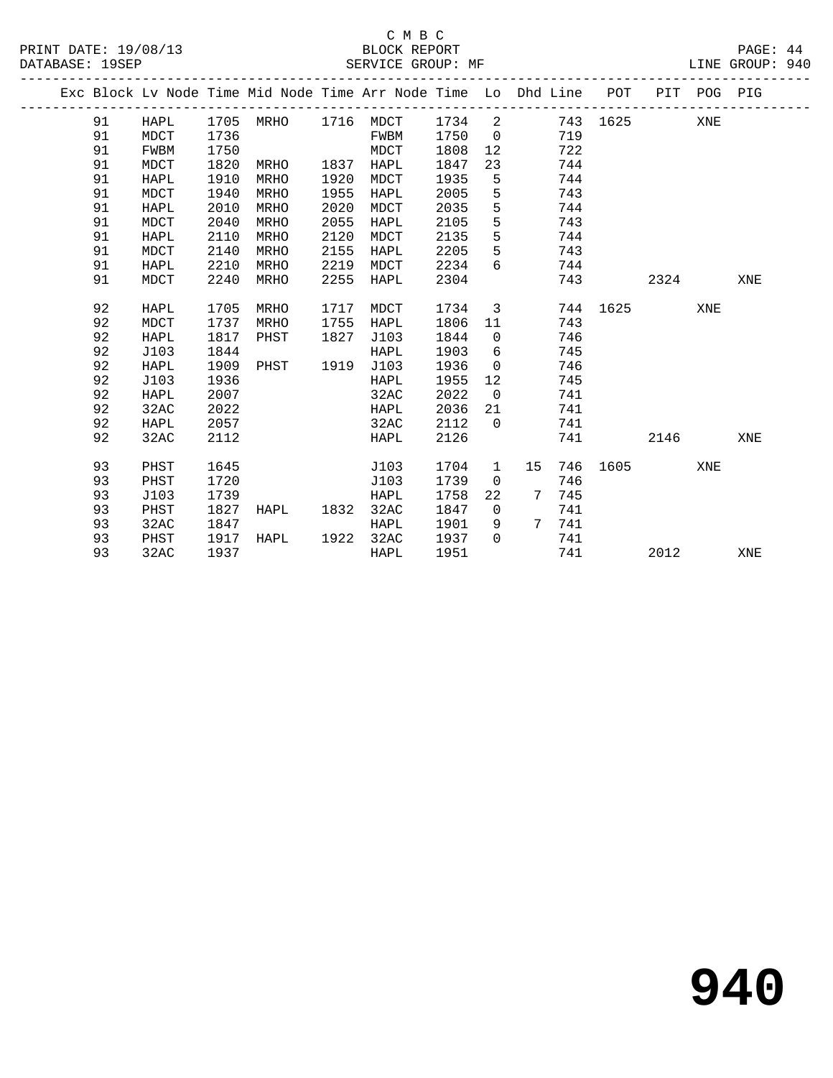#### C M B C<br>BLOCK REPORT SERVICE GROUP: MF

|  |    |             |      |      |      | Exc Block Lv Node Time Mid Node Time Arr Node Time Lo Dhd Line POT |      |                 |    |       |          |      | PIT POG PIG |     |
|--|----|-------------|------|------|------|--------------------------------------------------------------------|------|-----------------|----|-------|----------|------|-------------|-----|
|  | 91 | HAPL        | 1705 | MRHO |      | 1716 MDCT                                                          | 1734 | 2               |    |       | 743 1625 |      | XNE         |     |
|  | 91 | <b>MDCT</b> | 1736 |      |      | FWBM                                                               | 1750 | $\overline{0}$  |    | 719   |          |      |             |     |
|  | 91 | <b>FWBM</b> | 1750 |      |      | MDCT                                                               | 1808 | 12              |    | 722   |          |      |             |     |
|  | 91 | MDCT        | 1820 | MRHO | 1837 | HAPL                                                               | 1847 | 23              |    | 744   |          |      |             |     |
|  | 91 | HAPL        | 1910 | MRHO | 1920 | MDCT                                                               | 1935 | 5               |    | 744   |          |      |             |     |
|  | 91 | <b>MDCT</b> | 1940 | MRHO | 1955 | HAPL                                                               | 2005 | 5               |    | 743   |          |      |             |     |
|  | 91 | HAPL        | 2010 | MRHO | 2020 | MDCT                                                               | 2035 | $5\phantom{.0}$ |    | 744   |          |      |             |     |
|  | 91 | MDCT        | 2040 | MRHO | 2055 | HAPL                                                               | 2105 | 5               |    | 743   |          |      |             |     |
|  | 91 | HAPL        | 2110 | MRHO | 2120 | MDCT                                                               | 2135 | 5               |    | 744   |          |      |             |     |
|  | 91 | MDCT        | 2140 | MRHO | 2155 | HAPL                                                               | 2205 | 5               |    | 743   |          |      |             |     |
|  | 91 | HAPL        | 2210 | MRHO | 2219 | MDCT                                                               | 2234 | 6               |    | 744   |          |      |             |     |
|  | 91 | MDCT        | 2240 | MRHO | 2255 | HAPL                                                               | 2304 |                 |    | 743   |          | 2324 |             | XNE |
|  | 92 | HAPL        | 1705 | MRHO | 1717 | MDCT                                                               | 1734 | $\overline{3}$  |    |       | 744 1625 |      | XNE         |     |
|  | 92 | MDCT        | 1737 | MRHO | 1755 | HAPL                                                               | 1806 | 11              |    | 743   |          |      |             |     |
|  | 92 | <b>HAPL</b> | 1817 | PHST | 1827 | J103                                                               | 1844 | $\overline{0}$  |    | 746   |          |      |             |     |
|  | 92 | J103        | 1844 |      |      | HAPL                                                               | 1903 | 6               |    | 745   |          |      |             |     |
|  | 92 | HAPL        | 1909 | PHST | 1919 | J103                                                               | 1936 | $\overline{0}$  |    | 746   |          |      |             |     |
|  | 92 | J103        | 1936 |      |      | HAPL                                                               | 1955 | 12              |    | 745   |          |      |             |     |
|  | 92 | HAPL        | 2007 |      |      | 32AC                                                               | 2022 | $\overline{0}$  |    | 741   |          |      |             |     |
|  | 92 | 32AC        | 2022 |      |      | HAPL                                                               | 2036 | 21              |    | 741   |          |      |             |     |
|  | 92 | HAPL        | 2057 |      |      | 32AC                                                               | 2112 | $\Omega$        |    | 741   |          |      |             |     |
|  | 92 | 32AC        | 2112 |      |      | HAPL                                                               | 2126 |                 |    | 741   |          | 2146 |             | XNE |
|  | 93 | PHST        | 1645 |      |      | J103                                                               | 1704 | $\mathbf{1}$    | 15 | 746   | 1605     |      | XNE         |     |
|  | 93 | PHST        | 1720 |      |      | J103                                                               | 1739 | $\mathbf{0}$    |    | 746   |          |      |             |     |
|  | 93 | J103        | 1739 |      |      | HAPL                                                               | 1758 | 22              | 7  | 745   |          |      |             |     |
|  | 93 | PHST        | 1827 | HAPL | 1832 | 32AC                                                               | 1847 | $\overline{0}$  |    | 741   |          |      |             |     |
|  | 93 | 32AC        | 1847 |      |      | HAPL                                                               | 1901 | 9               |    | 7 741 |          |      |             |     |
|  | 93 | PHST        | 1917 | HAPL | 1922 | 32AC                                                               | 1937 | $\Omega$        |    | 741   |          |      |             |     |
|  | 93 | 32AC        | 1937 |      |      | HAPL                                                               | 1951 |                 |    | 741   |          | 2012 |             | XNE |
|  |    |             |      |      |      |                                                                    |      |                 |    |       |          |      |             |     |

**940**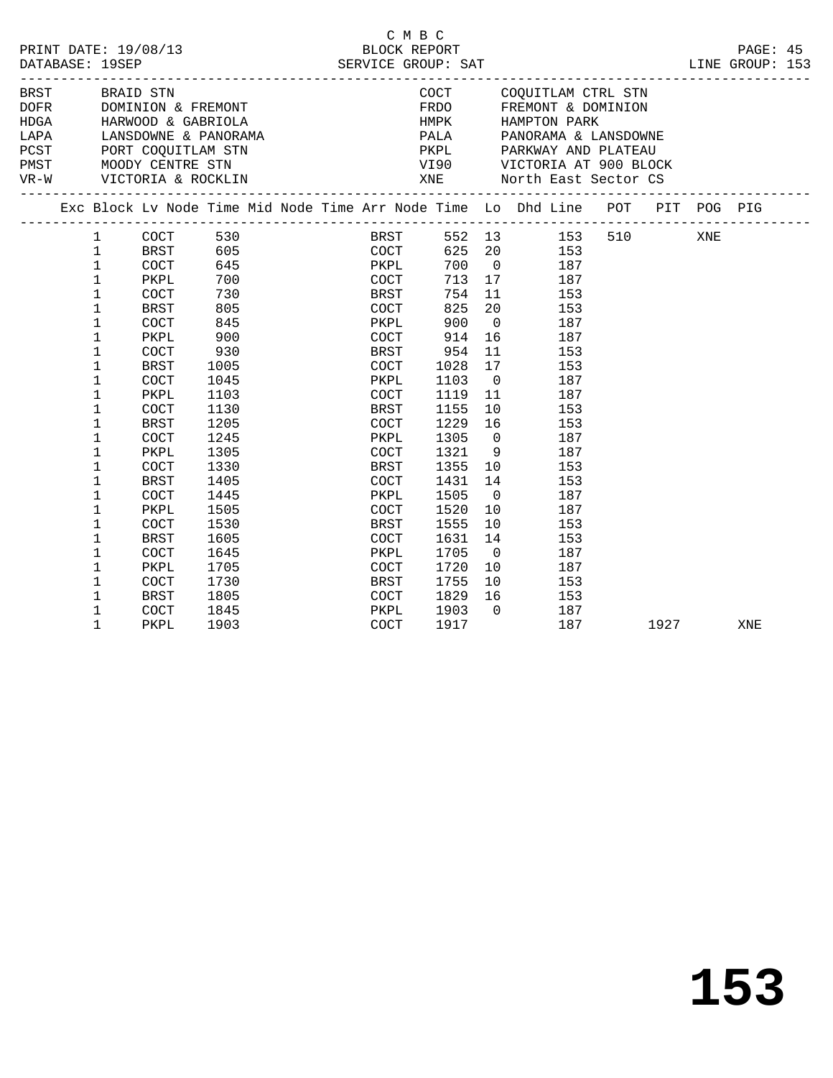|        |                                                                                                                                      | PRINT DATE: 19/08/13                                                                                                                                                                                                                                |                                                                                                                                                                               |  |                                                                                                                                                                      | C M B C<br>BLOCK REPORT |                                                                                                                                                                           |                                                                                                                                                                            |                                                                                                                                                                                                                                |      |     | PAGE: 45        |  |
|--------|--------------------------------------------------------------------------------------------------------------------------------------|-----------------------------------------------------------------------------------------------------------------------------------------------------------------------------------------------------------------------------------------------------|-------------------------------------------------------------------------------------------------------------------------------------------------------------------------------|--|----------------------------------------------------------------------------------------------------------------------------------------------------------------------|-------------------------|---------------------------------------------------------------------------------------------------------------------------------------------------------------------------|----------------------------------------------------------------------------------------------------------------------------------------------------------------------------|--------------------------------------------------------------------------------------------------------------------------------------------------------------------------------------------------------------------------------|------|-----|-----------------|--|
|        |                                                                                                                                      | DATABASE: 19SEP                                                                                                                                                                                                                                     |                                                                                                                                                                               |  |                                                                                                                                                                      |                         | SERVICE GROUP: SAT                                                                                                                                                        |                                                                                                                                                                            |                                                                                                                                                                                                                                |      |     | LINE GROUP: 153 |  |
| $VR-W$ | BRST BRAID STN                                                                                                                       | DOFR          DOMINION & FREMONT<br>HDGA          HARWOOD & GABRIOLA<br>LAPA         LANSDOWNE & PANORAMA<br>PCST PORT COQUITLAM STN<br>PMST MOODY CENTRE STN<br>VICTORIA & ROCKLIN                                                                 |                                                                                                                                                                               |  |                                                                                                                                                                      |                         |                                                                                                                                                                           |                                                                                                                                                                            | COCT COQUITLAM CTRL STN<br>FRDO FREMONT & DOMINION<br>HMPK        HAMPTON PARK<br>PALA        PANORAMA & LANSDOWNE<br>PKPL PARKWAY AND PLATEAU                                                                                 |      |     |                 |  |
|        |                                                                                                                                      |                                                                                                                                                                                                                                                     |                                                                                                                                                                               |  |                                                                                                                                                                      |                         |                                                                                                                                                                           |                                                                                                                                                                            | Exc Block Lv Node Time Mid Node Time Arr Node Time Lo Dhd Line POT PIT POG PIG                                                                                                                                                 |      |     |                 |  |
|        | $\mathbf{1}$<br>$\mathbf 1$<br>1<br>1<br>1<br>1<br>1<br>1<br>1<br>1<br>1<br>1<br>1<br>1<br>1<br>1<br>1<br>1<br>1<br>1<br>1<br>1<br>1 | COCT<br>PKPL<br>COCT<br><b>BRST</b><br><b>COCT</b><br>PKPL<br>COCT<br><b>BRST</b><br>COCT<br>PKPL<br>COCT<br><b>BRST</b><br><b>COCT</b><br>PKPL<br>COCT<br><b>BRST</b><br><b>COCT</b><br>PKPL<br>COCT<br><b>BRST</b><br>COCT<br>PKPL<br><b>COCT</b> | 645<br>700<br>730<br>805<br>845<br>900<br>930<br>1005<br>1045<br>1103<br>1130<br>1205<br>1245<br>1305<br>1330<br>1405<br>1445<br>1505<br>1530<br>1605<br>1645<br>1705<br>1730 |  | BRST<br>COCT<br>PKPL<br>COCT<br>BRST<br>COCT<br>PKPL<br>COCT<br>BRST<br>COCT<br>PKPL<br>COCT<br>BRST<br>COCT<br>PKPL<br>COCT<br>BRST<br>COCT<br>PKPL<br>COCT<br>BRST | PKPL<br>COCT            | 713 17<br>754<br>825<br>900<br>914<br>954<br>1028<br>1103<br>1119<br>1155<br>1229<br>1305<br>1321<br>1355<br>1431<br>1505<br>1520<br>1555<br>1631<br>1705<br>1720<br>1755 | 20<br>$\overline{0}$<br>16<br>11<br>17<br>$\overline{0}$<br>11<br>10<br>16<br>$\overline{0}$<br>10<br>14<br>$\overline{0}$<br>10<br>10<br>14<br>$\overline{0}$<br>10<br>16 | BRST 552 13 153 510<br>COCT 625 20 153<br>700 0 187<br>187<br>11 153<br>153<br>187<br>187<br>153<br>153<br>187<br>187<br>153<br>153<br>187<br>$9$ 187<br>153<br>153<br>187<br>187<br>153<br>153<br>187<br>187<br>10 153<br>153 |      | XNE |                 |  |
|        | 1<br>1<br>1                                                                                                                          | <b>BRST</b><br><b>COCT</b><br>PKPL                                                                                                                                                                                                                  | 1805<br>1845<br>1903                                                                                                                                                          |  | COCT<br>PKPL<br>COCT                                                                                                                                                 |                         | 1829<br>1903<br>1917                                                                                                                                                      | $\Omega$                                                                                                                                                                   | 187<br>187                                                                                                                                                                                                                     | 1927 |     | XNE             |  |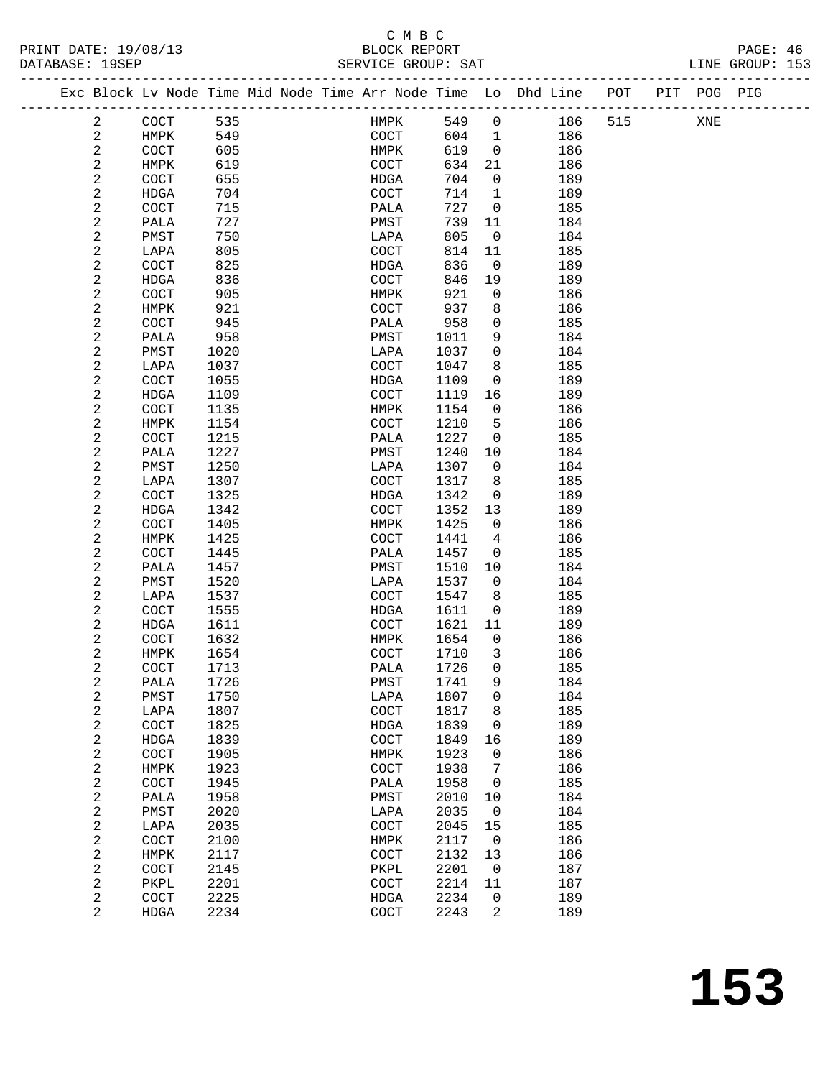#### C M B C<br>BLOCK REPORT SERVICE GROUP: SAT

PRINT DATE: 19/08/13 BLOCK REPORT PAGE: 46

|  |                          | Exc Block Lv Node Time Mid Node Time Arr Node Time Lo Dhd Line POT |              |  |              |              |                   |            |     | PIT POG PIG |  |
|--|--------------------------|--------------------------------------------------------------------|--------------|--|--------------|--------------|-------------------|------------|-----|-------------|--|
|  | $\overline{a}$           | COCT                                                               | 535          |  | HMPK         | 549          | $\overline{0}$    | 186        | 515 | XNE         |  |
|  | $\mathbf{2}$             | HMPK                                                               | 549          |  | COCT         | 604          | $\overline{1}$    | 186        |     |             |  |
|  | 2                        | COCT                                                               | 605          |  | HMPK         | 619          | $\overline{0}$    | 186        |     |             |  |
|  | 2                        | HMPK                                                               | 619          |  | COCT         | 634          | 21                | 186        |     |             |  |
|  | 2                        | COCT                                                               | 655          |  | HDGA         | 704          | $\mathbf 0$       | 189        |     |             |  |
|  | $\overline{c}$           | HDGA                                                               | 704          |  | COCT         | 714          | $\mathbf{1}$      | 189        |     |             |  |
|  | 2                        | COCT                                                               | 715          |  | PALA         | 727          | $\mathbf{0}$      | 185        |     |             |  |
|  | $\sqrt{2}$               | PALA                                                               | 727          |  | PMST         | 739          | 11                | 184        |     |             |  |
|  | 2                        | PMST                                                               | 750          |  | LAPA         | 805          | $\mathbf 0$       | 184        |     |             |  |
|  | $\sqrt{2}$               | LAPA                                                               | 805          |  | COCT         | 814          | 11                | 185        |     |             |  |
|  | $\sqrt{2}$               | COCT                                                               | 825          |  | HDGA         | 836          | $\mathsf{O}$      | 189        |     |             |  |
|  | $\sqrt{2}$               | HDGA                                                               | 836          |  | COCT         | 846          | 19                | 189        |     |             |  |
|  | $\sqrt{2}$               | COCT                                                               | 905          |  | HMPK         | 921          | $\mathbf 0$       | 186        |     |             |  |
|  | $\sqrt{2}$<br>$\sqrt{2}$ | HMPK                                                               | 921<br>945   |  | COCT         | 937<br>958   | 8<br>$\mathbf 0$  | 186<br>185 |     |             |  |
|  | $\sqrt{2}$               | COCT<br>PALA                                                       | 958          |  | PALA<br>PMST | 1011         | 9                 | 184        |     |             |  |
|  | $\mathbf{2}$             | PMST                                                               | 1020         |  | LAPA         | 1037         | $\mathbf 0$       | 184        |     |             |  |
|  | $\sqrt{2}$               | LAPA                                                               | 1037         |  | COCT         | 1047         | 8                 | 185        |     |             |  |
|  | $\sqrt{2}$               | COCT                                                               | 1055         |  | HDGA         | 1109         | $\mathsf{O}$      | 189        |     |             |  |
|  | 2                        | HDGA                                                               | 1109         |  | COCT         | 1119         | 16                | 189        |     |             |  |
|  | $\sqrt{2}$               | COCT                                                               | 1135         |  | HMPK         | 1154         | $\mathsf{O}$      | 186        |     |             |  |
|  | 2                        | HMPK                                                               | 1154         |  | COCT         | 1210         | 5                 | 186        |     |             |  |
|  | $\sqrt{2}$               | COCT                                                               | 1215         |  | PALA         | 1227         | $\mathsf{O}$      | 185        |     |             |  |
|  | $\sqrt{2}$               | PALA                                                               | 1227         |  | PMST         | 1240         | 10                | 184        |     |             |  |
|  | $\sqrt{2}$               | PMST                                                               | 1250         |  | LAPA         | 1307         | $\overline{0}$    | 184        |     |             |  |
|  | $\sqrt{2}$               | LAPA                                                               | 1307         |  | COCT         | 1317         | 8                 | 185        |     |             |  |
|  | $\sqrt{2}$               | COCT                                                               | 1325         |  | HDGA         | 1342         | $\mathsf{O}$      | 189        |     |             |  |
|  | $\sqrt{2}$               | HDGA                                                               | 1342         |  | COCT         | 1352         | 13                | 189        |     |             |  |
|  | $\sqrt{2}$               | COCT                                                               | 1405         |  | HMPK         | 1425         | $\overline{0}$    | 186        |     |             |  |
|  | 2                        | HMPK                                                               | 1425         |  | COCT         | 1441         | 4                 | 186        |     |             |  |
|  | $\sqrt{2}$               | COCT                                                               | 1445         |  | PALA         | 1457         | $\overline{0}$    | 185        |     |             |  |
|  | $\sqrt{2}$               | PALA                                                               | 1457         |  | PMST         | 1510         | 10                | 184        |     |             |  |
|  | 2                        | PMST                                                               | 1520         |  | LAPA         | 1537         | $\overline{0}$    | 184        |     |             |  |
|  | $\mathbf{2}$<br>2        | LAPA                                                               | 1537         |  | <b>COCT</b>  | 1547         | 8<br>$\mathsf{O}$ | 185        |     |             |  |
|  | $\sqrt{2}$               | COCT<br>HDGA                                                       | 1555<br>1611 |  | HDGA<br>COCT | 1611<br>1621 | 11                | 189<br>189 |     |             |  |
|  | $\sqrt{2}$               | COCT                                                               | 1632         |  | HMPK         | 1654         | $\overline{0}$    | 186        |     |             |  |
|  | $\sqrt{2}$               | HMPK                                                               | 1654         |  | COCT         | 1710         | 3                 | 186        |     |             |  |
|  | $\sqrt{2}$               | COCT                                                               | 1713         |  | PALA         | 1726         | $\mathbf 0$       | 185        |     |             |  |
|  | $\sqrt{2}$               | PALA                                                               | 1726         |  | ${\tt PMST}$ | 1741 9       |                   | 184        |     |             |  |
|  | 2                        | PMST                                                               | 1750         |  | LAPA         | 1807         | 0                 | 184        |     |             |  |
|  | $\sqrt{2}$               | LAPA                                                               | 1807         |  | COCT         | 1817         | 8                 | 185        |     |             |  |
|  | $\sqrt{2}$               | COCT                                                               | 1825         |  | HDGA         | 1839         | 0                 | 189        |     |             |  |
|  | $\sqrt{2}$               | HDGA                                                               | 1839         |  | COCT         | 1849         | 16                | 189        |     |             |  |
|  | $\sqrt{2}$               | COCT                                                               | 1905         |  | HMPK         | 1923         | 0                 | 186        |     |             |  |
|  | $\sqrt{2}$               | <b>HMPK</b>                                                        | 1923         |  | COCT         | 1938         | 7                 | 186        |     |             |  |
|  | $\sqrt{2}$               | COCT                                                               | 1945         |  | PALA         | 1958         | 0                 | 185        |     |             |  |
|  | $\sqrt{2}$               | PALA                                                               | 1958         |  | PMST         | 2010         | 10                | 184        |     |             |  |
|  | $\sqrt{2}$               | PMST                                                               | 2020         |  | LAPA         | 2035         | 0                 | 184        |     |             |  |
|  | $\sqrt{2}$               | LAPA                                                               | 2035         |  | COCT         | 2045         | 15                | 185        |     |             |  |
|  | 2                        | COCT                                                               | 2100         |  | HMPK         | 2117         | 0                 | 186        |     |             |  |
|  | $\sqrt{2}$<br>$\sqrt{2}$ | <b>HMPK</b>                                                        | 2117<br>2145 |  | COCT         | 2132<br>2201 | 13<br>$\mathbf 0$ | 186<br>187 |     |             |  |
|  | $\sqrt{2}$               | COCT<br>PKPL                                                       | 2201         |  | PKPL<br>COCT | 2214         | 11                | 187        |     |             |  |
|  | 2                        | COCT                                                               | 2225         |  | HDGA         | 2234         | 0                 | 189        |     |             |  |
|  | $\overline{a}$           | HDGA                                                               | 2234         |  | COCT         | 2243         | 2                 | 189        |     |             |  |
|  |                          |                                                                    |              |  |              |              |                   |            |     |             |  |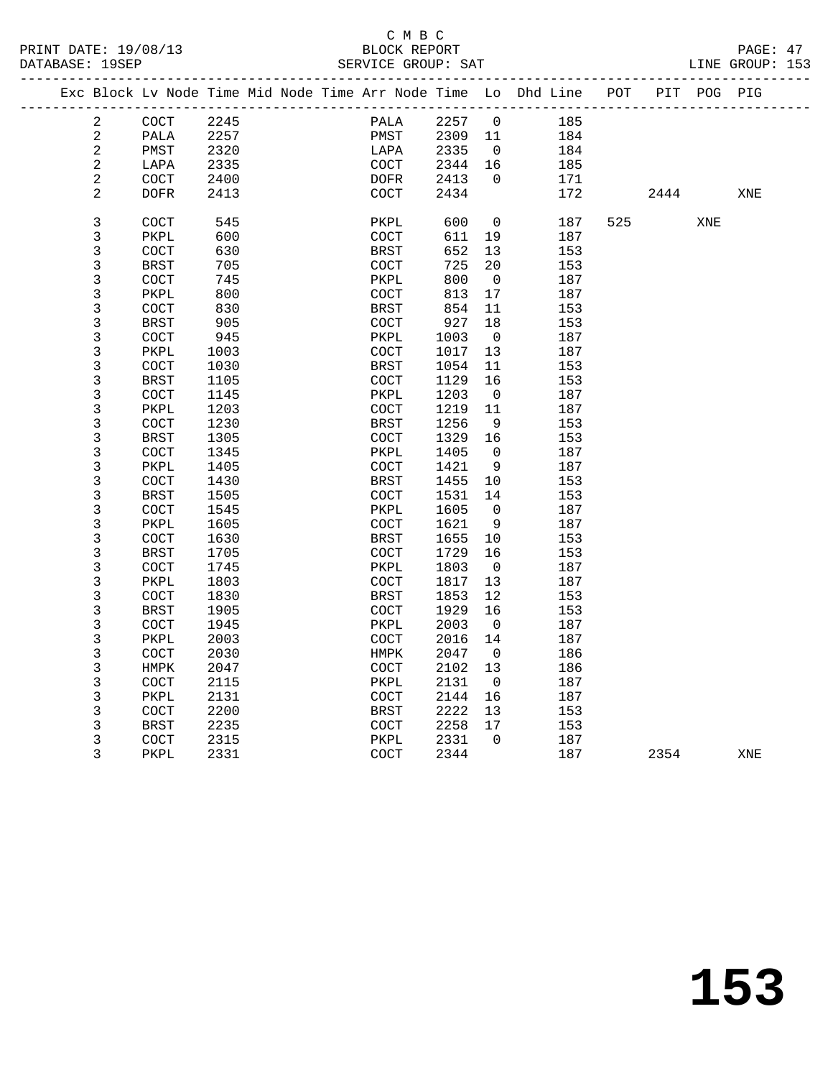|                | Exc Block Lv Node Time Mid Node Time Arr Node Time Lo Dhd Line |      |  |                      |      |                          |     | POT |      | PIT POG PIG |     |
|----------------|----------------------------------------------------------------|------|--|----------------------|------|--------------------------|-----|-----|------|-------------|-----|
| $\mathbf{2}$   | COCT                                                           | 2245 |  | PALA                 | 2257 | $\overline{0}$           | 185 |     |      |             |     |
| $\overline{a}$ | PALA                                                           | 2257 |  | PMST                 | 2309 | 11                       | 184 |     |      |             |     |
| $\sqrt{2}$     | PMST                                                           | 2320 |  | LAPA                 | 2335 | $\overline{0}$           | 184 |     |      |             |     |
| $\sqrt{2}$     | LAPA                                                           | 2335 |  | COCT                 | 2344 | 16                       | 185 |     |      |             |     |
| $\sqrt{2}$     | COCT                                                           | 2400 |  | <b>DOFR</b>          | 2413 | $\overline{0}$           | 171 |     |      |             |     |
| 2              | <b>DOFR</b>                                                    | 2413 |  | COCT                 | 2434 |                          | 172 |     | 2444 |             | XNE |
|                |                                                                |      |  |                      |      |                          |     |     |      |             |     |
| 3              | COCT                                                           | 545  |  | PKPL                 | 600  | 0                        | 187 | 525 |      | XNE         |     |
| $\mathsf 3$    | PKPL                                                           | 600  |  | COCT                 | 611  | 19                       | 187 |     |      |             |     |
| $\mathsf 3$    | COCT                                                           | 630  |  | BRST                 | 652  | 13                       | 153 |     |      |             |     |
| $\mathsf 3$    | <b>BRST</b>                                                    | 705  |  | COCT                 | 725  | 20                       | 153 |     |      |             |     |
| $\mathsf 3$    | COCT                                                           | 745  |  | PKPL                 | 800  | $\overline{0}$           | 187 |     |      |             |     |
| $\overline{3}$ | PKPL                                                           | 800  |  | COCT                 | 813  | 17                       | 187 |     |      |             |     |
| $\mathbf{3}$   | COCT                                                           | 830  |  | <b>BRST</b>          | 854  | 11                       | 153 |     |      |             |     |
| $\mathsf 3$    | BRST                                                           | 905  |  | COCT                 | 927  | 18                       | 153 |     |      |             |     |
| $\mathbf{3}$   | COCT                                                           | 945  |  | PKPL                 | 1003 | $\overline{0}$           | 187 |     |      |             |     |
| $\mathsf 3$    | PKPL                                                           | 1003 |  | COCT                 | 1017 | 13                       | 187 |     |      |             |     |
| $\mathbf{3}$   | COCT                                                           | 1030 |  | <b>BRST</b>          | 1054 | 11                       | 153 |     |      |             |     |
| $\mathsf 3$    | <b>BRST</b>                                                    | 1105 |  | COCT                 | 1129 | 16                       | 153 |     |      |             |     |
| $\mathbf{3}$   | COCT                                                           | 1145 |  | PKPL                 | 1203 | $\overline{0}$           | 187 |     |      |             |     |
| 3              | PKPL                                                           | 1203 |  | COCT                 | 1219 | 11                       | 187 |     |      |             |     |
| $\overline{3}$ | COCT                                                           | 1230 |  | <b>BRST</b>          | 1256 | 9                        | 153 |     |      |             |     |
| $\mathbf{3}$   | <b>BRST</b>                                                    | 1305 |  | COCT                 | 1329 | 16                       | 153 |     |      |             |     |
| $\mathbf{3}$   | COCT                                                           | 1345 |  |                      | 1405 | $\overline{0}$           | 187 |     |      |             |     |
| $\mathbf{3}$   | PKPL                                                           | 1405 |  | PKPL<br>COCT         | 1421 | 9                        | 187 |     |      |             |     |
| $\mathsf 3$    | COCT                                                           | 1430 |  |                      | 1455 | 10                       | 153 |     |      |             |     |
| $\mathbf{3}$   |                                                                |      |  | BRST                 |      |                          |     |     |      |             |     |
|                | <b>BRST</b>                                                    | 1505 |  | COCT                 | 1531 | 14                       | 153 |     |      |             |     |
| $\mathbf{3}$   | COCT                                                           | 1545 |  | PKPL                 | 1605 | $\mathbf 0$              | 187 |     |      |             |     |
| $\mathbf{3}$   | PKPL                                                           | 1605 |  | COCT                 | 1621 | 9                        | 187 |     |      |             |     |
| 3              | COCT                                                           | 1630 |  | BRST                 | 1655 | 10                       | 153 |     |      |             |     |
| $\overline{3}$ | <b>BRST</b>                                                    | 1705 |  | COCT                 | 1729 | 16                       | 153 |     |      |             |     |
| $\mathbf{3}$   | COCT                                                           | 1745 |  | ${\tt PKPL}$         | 1803 | $\overline{\phantom{0}}$ | 187 |     |      |             |     |
| $\mathbf{3}$   | PKPL                                                           | 1803 |  | COCT                 | 1817 | 13                       | 187 |     |      |             |     |
| $\mathsf 3$    | COCT                                                           | 1830 |  | <b>BRST</b>          | 1853 | 12                       | 153 |     |      |             |     |
| $\mathbf{3}$   | BRST                                                           | 1905 |  | COCT                 | 1929 | 16                       | 153 |     |      |             |     |
| $\mathbf{3}$   | COCT                                                           | 1945 |  | PKPL                 | 2003 | $\overline{0}$           | 187 |     |      |             |     |
| $\mathsf 3$    | PKPL                                                           | 2003 |  | COCT                 | 2016 | 14                       | 187 |     |      |             |     |
| $\mathbf{3}$   | COCT                                                           | 2030 |  | HMPK                 | 2047 | $\overline{0}$           | 186 |     |      |             |     |
| $\mathsf 3$    | HMPK                                                           | 2047 |  | COCT                 | 2102 | 13                       | 186 |     |      |             |     |
| 3              | COCT                                                           | 2115 |  | PKPL                 | 2131 | $\overline{0}$           | 187 |     |      |             |     |
| 3              | PKPL                                                           | 2131 |  | COCT                 | 2144 | 16                       | 187 |     |      |             |     |
| 3              | COCT                                                           | 2200 |  | <b>BRST</b>          | 2222 | 13                       | 153 |     |      |             |     |
| $\mathsf 3$    | <b>BRST</b>                                                    | 2235 |  | $\operatorname{COT}$ | 2258 | 17                       | 153 |     |      |             |     |
| $\mathsf 3$    | COCT                                                           | 2315 |  | PKPL                 | 2331 | $\Omega$                 | 187 |     |      |             |     |
| 3              | PKPL                                                           | 2331 |  | COCT                 | 2344 |                          | 187 |     | 2354 |             | XNE |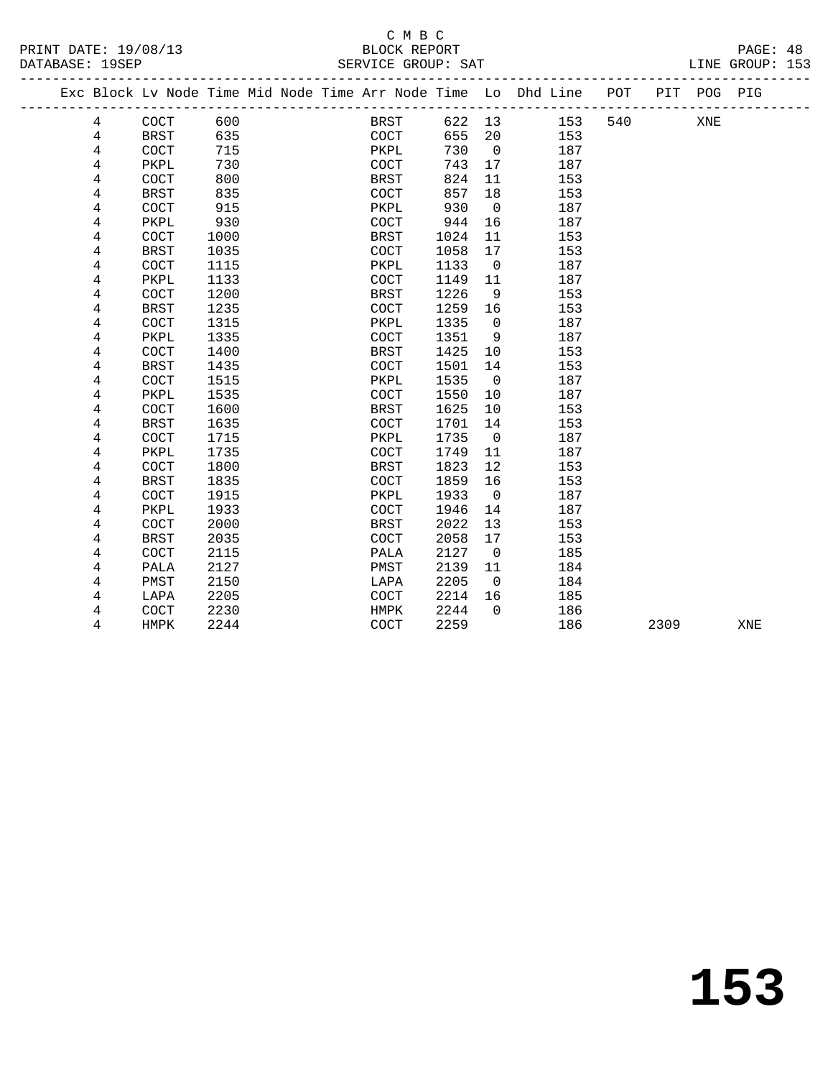| —      | $\tilde{\phantom{a}}$<br>$-$ |  |  |  |  |  |  |  |  |  |
|--------|------------------------------|--|--|--|--|--|--|--|--|--|
|        |                              |  |  |  |  |  |  |  |  |  |
| ------ |                              |  |  |  |  |  |  |  |  |  |

|  |                |             |      |  |             |        |                          | Exc Block Lv Node Time Mid Node Time Arr Node Time Lo Dhd Line<br>_______________________________ | POT |      | PIT POG PIG |     |
|--|----------------|-------------|------|--|-------------|--------|--------------------------|---------------------------------------------------------------------------------------------------|-----|------|-------------|-----|
|  | 4              | COCT        | 600  |  | BRST        | 622 13 |                          | 153                                                                                               | 540 |      | XNE         |     |
|  | 4              | <b>BRST</b> | 635  |  | COCT        | 655    | 20                       | 153                                                                                               |     |      |             |     |
|  | 4              | COCT        | 715  |  | PKPL        | 730    | $\overline{\phantom{0}}$ | 187                                                                                               |     |      |             |     |
|  | 4              | PKPL        | 730  |  | COCT        | 743    | 17                       | 187                                                                                               |     |      |             |     |
|  | 4              | COCT        | 800  |  | <b>BRST</b> | 824    | 11                       | 153                                                                                               |     |      |             |     |
|  | $\overline{4}$ | <b>BRST</b> | 835  |  | COCT        | 857    | 18                       | 153                                                                                               |     |      |             |     |
|  | 4              | COCT        | 915  |  | PKPL        | 930    | $\overline{0}$           | 187                                                                                               |     |      |             |     |
|  | 4              | PKPL        | 930  |  | COCT        | 944    | 16                       | 187                                                                                               |     |      |             |     |
|  | 4              | COCT        | 1000 |  | <b>BRST</b> | 1024   | 11                       | 153                                                                                               |     |      |             |     |
|  | 4              | <b>BRST</b> | 1035 |  | COCT        | 1058   | 17                       | 153                                                                                               |     |      |             |     |
|  | 4              | COCT        | 1115 |  | PKPL        | 1133   | $\overline{\phantom{0}}$ | 187                                                                                               |     |      |             |     |
|  | 4              | PKPL        | 1133 |  | COCT        | 1149   | 11                       | 187                                                                                               |     |      |             |     |
|  | 4              | COCT        | 1200 |  | BRST        | 1226   | 9                        | 153                                                                                               |     |      |             |     |
|  | 4              | <b>BRST</b> | 1235 |  | COCT        | 1259   | 16                       | 153                                                                                               |     |      |             |     |
|  | 4              | COCT        | 1315 |  | PKPL        | 1335   | $\Omega$                 | 187                                                                                               |     |      |             |     |
|  | 4              | PKPL        | 1335 |  | <b>COCT</b> | 1351   | 9                        | 187                                                                                               |     |      |             |     |
|  | 4              | COCT        | 1400 |  | BRST        | 1425   | 10                       | 153                                                                                               |     |      |             |     |
|  | 4              | <b>BRST</b> | 1435 |  | <b>COCT</b> | 1501   | 14                       | 153                                                                                               |     |      |             |     |
|  | 4              | COCT        | 1515 |  | PKPL        | 1535   | $\overline{0}$           | 187                                                                                               |     |      |             |     |
|  | 4              | PKPL        | 1535 |  | COCT        | 1550   | 10                       | 187                                                                                               |     |      |             |     |
|  | 4              | COCT        | 1600 |  | <b>BRST</b> | 1625   | 10                       | 153                                                                                               |     |      |             |     |
|  | 4              | <b>BRST</b> | 1635 |  | <b>COCT</b> | 1701   | 14                       | 153                                                                                               |     |      |             |     |
|  | 4              | COCT        | 1715 |  | PKPL        | 1735   | $\overline{0}$           | 187                                                                                               |     |      |             |     |
|  | 4              | PKPL        | 1735 |  | COCT        | 1749   | 11                       | 187                                                                                               |     |      |             |     |
|  | 4              | COCT        | 1800 |  | <b>BRST</b> | 1823   | 12                       | 153                                                                                               |     |      |             |     |
|  | 4              | <b>BRST</b> | 1835 |  | <b>COCT</b> | 1859   | 16                       | 153                                                                                               |     |      |             |     |
|  | 4              | COCT        | 1915 |  | PKPL        | 1933   | $\overline{0}$           | 187                                                                                               |     |      |             |     |
|  | 4              | PKPL        | 1933 |  | <b>COCT</b> | 1946   | 14                       | 187                                                                                               |     |      |             |     |
|  | 4              | COCT        | 2000 |  | BRST        | 2022   | 13                       | 153                                                                                               |     |      |             |     |
|  | 4              | <b>BRST</b> | 2035 |  | COCT        | 2058   | 17                       | 153                                                                                               |     |      |             |     |
|  | 4              | COCT        | 2115 |  | PALA        | 2127   | $\overline{\phantom{0}}$ | 185                                                                                               |     |      |             |     |
|  | 4              | PALA        | 2127 |  | PMST        | 2139   | 11                       | 184                                                                                               |     |      |             |     |
|  | 4              | PMST        | 2150 |  | LAPA        | 2205   | $\overline{0}$           | 184                                                                                               |     |      |             |     |
|  | 4              | LAPA        | 2205 |  | <b>COCT</b> | 2214   | 16                       | 185                                                                                               |     |      |             |     |
|  | 4              | COCT        | 2230 |  | HMPK        | 2244   | $\Omega$                 | 186                                                                                               |     |      |             |     |
|  | 4              | HMPK        | 2244 |  | COCT        | 2259   |                          | 186                                                                                               |     | 2309 |             | XNE |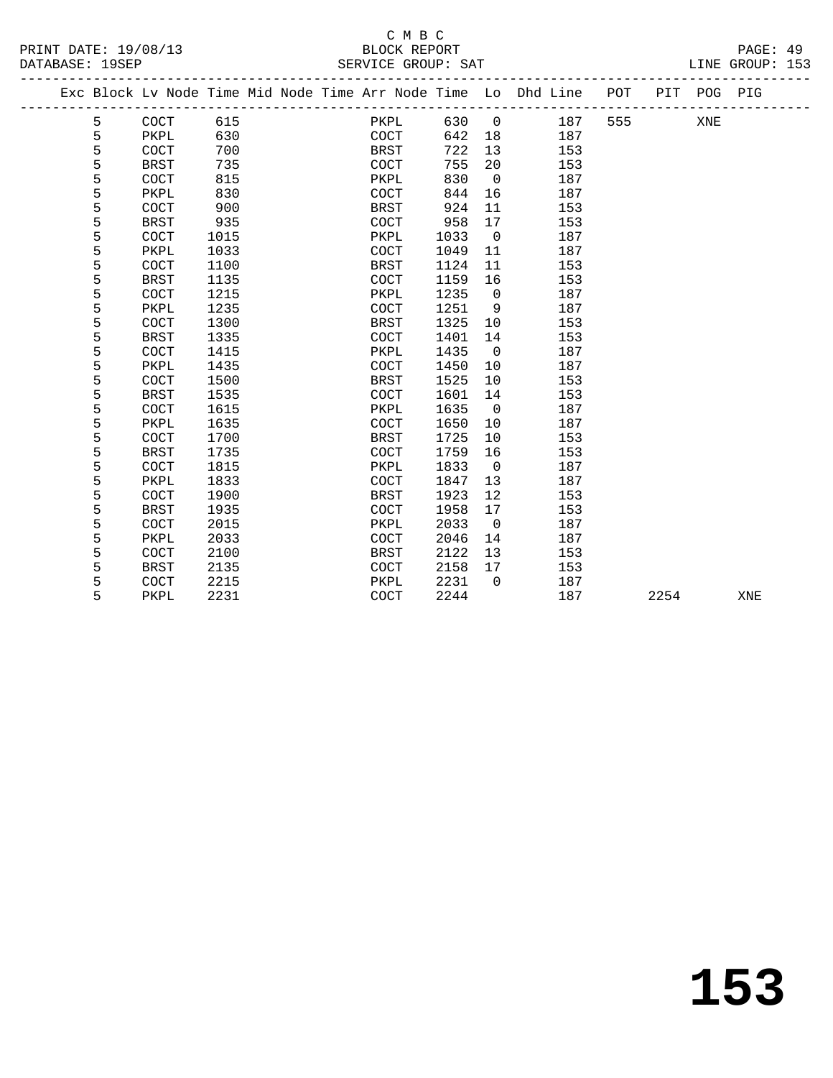#### C M B C SERVICE GROUP: SAT

| PRINT DATE: 19/08/13 | BLOCK REPORT       | PAGE: 49        |
|----------------------|--------------------|-----------------|
| DATABASE: 19SEP      | SERVICE GROUP: SAT | LINE GROUP: 153 |

|   |             |      |  | Exc Block Lv Node Time Mid Node Time Arr Node Time Lo Dhd Line POT<br>__________________________ |      |                |     | ----------- |      | PIT POG PIG |     |
|---|-------------|------|--|--------------------------------------------------------------------------------------------------|------|----------------|-----|-------------|------|-------------|-----|
| 5 | COCT        | 615  |  | PKPL                                                                                             | 630  | $\overline{0}$ | 187 | 555         |      | XNE         |     |
| 5 | PKPL        | 630  |  | COCT                                                                                             | 642  | 18             | 187 |             |      |             |     |
| 5 | <b>COCT</b> | 700  |  | BRST                                                                                             | 722  | 13             | 153 |             |      |             |     |
| 5 | <b>BRST</b> | 735  |  | <b>COCT</b>                                                                                      | 755  | 20             | 153 |             |      |             |     |
| 5 | <b>COCT</b> | 815  |  | PKPL                                                                                             | 830  | $\overline{0}$ | 187 |             |      |             |     |
| 5 | PKPL        | 830  |  | <b>COCT</b>                                                                                      | 844  | 16             | 187 |             |      |             |     |
| 5 | COCT        | 900  |  | <b>BRST</b>                                                                                      | 924  | 11             | 153 |             |      |             |     |
| 5 | <b>BRST</b> | 935  |  | COCT                                                                                             | 958  | 17             | 153 |             |      |             |     |
| 5 | COCT        | 1015 |  | PKPL                                                                                             | 1033 | $\overline{0}$ | 187 |             |      |             |     |
| 5 | PKPL        | 1033 |  | COCT                                                                                             | 1049 | 11             | 187 |             |      |             |     |
| 5 | COCT        | 1100 |  | <b>BRST</b>                                                                                      | 1124 | 11             | 153 |             |      |             |     |
| 5 | <b>BRST</b> | 1135 |  | <b>COCT</b>                                                                                      | 1159 | 16             | 153 |             |      |             |     |
| 5 | COCT        | 1215 |  | PKPL                                                                                             | 1235 | $\overline{0}$ | 187 |             |      |             |     |
| 5 | PKPL        | 1235 |  | <b>COCT</b>                                                                                      | 1251 | 9              | 187 |             |      |             |     |
| 5 | COCT        | 1300 |  | BRST                                                                                             | 1325 | 10             | 153 |             |      |             |     |
| 5 | <b>BRST</b> | 1335 |  | COCT                                                                                             | 1401 | 14             | 153 |             |      |             |     |
| 5 | COCT        | 1415 |  | PKPL                                                                                             | 1435 | $\overline{0}$ | 187 |             |      |             |     |
| 5 | PKPL        | 1435 |  | COCT                                                                                             | 1450 | 10             | 187 |             |      |             |     |
| 5 | COCT        | 1500 |  | BRST                                                                                             | 1525 | 10             | 153 |             |      |             |     |
| 5 | <b>BRST</b> | 1535 |  | COCT                                                                                             | 1601 | 14             | 153 |             |      |             |     |
| 5 | COCT        | 1615 |  | PKPL                                                                                             | 1635 | $\overline{0}$ | 187 |             |      |             |     |
| 5 | PKPL        | 1635 |  | <b>COCT</b>                                                                                      | 1650 | 10             | 187 |             |      |             |     |
| 5 | COCT        | 1700 |  | <b>BRST</b>                                                                                      | 1725 | 10             | 153 |             |      |             |     |
| 5 | <b>BRST</b> | 1735 |  | COCT                                                                                             | 1759 | 16             | 153 |             |      |             |     |
| 5 | COCT        | 1815 |  | PKPL                                                                                             | 1833 | $\overline{0}$ | 187 |             |      |             |     |
| 5 | PKPL        | 1833 |  | <b>COCT</b>                                                                                      | 1847 | 13             | 187 |             |      |             |     |
| 5 | COCT        | 1900 |  | <b>BRST</b>                                                                                      | 1923 | 12             | 153 |             |      |             |     |
| 5 | <b>BRST</b> | 1935 |  | COCT                                                                                             | 1958 | 17             | 153 |             |      |             |     |
| 5 | COCT        | 2015 |  | PKPL                                                                                             | 2033 | $\overline{0}$ | 187 |             |      |             |     |
| 5 | PKPL        | 2033 |  | <b>COCT</b>                                                                                      | 2046 | 14             | 187 |             |      |             |     |
| 5 | COCT        | 2100 |  | <b>BRST</b>                                                                                      | 2122 | 13             | 153 |             |      |             |     |
| 5 | <b>BRST</b> | 2135 |  | COCT                                                                                             | 2158 | 17             | 153 |             |      |             |     |
| 5 | COCT        | 2215 |  | PKPL                                                                                             | 2231 | $\Omega$       | 187 |             |      |             |     |
| 5 | PKPL        | 2231 |  | COCT                                                                                             | 2244 |                | 187 |             | 2254 |             | XNE |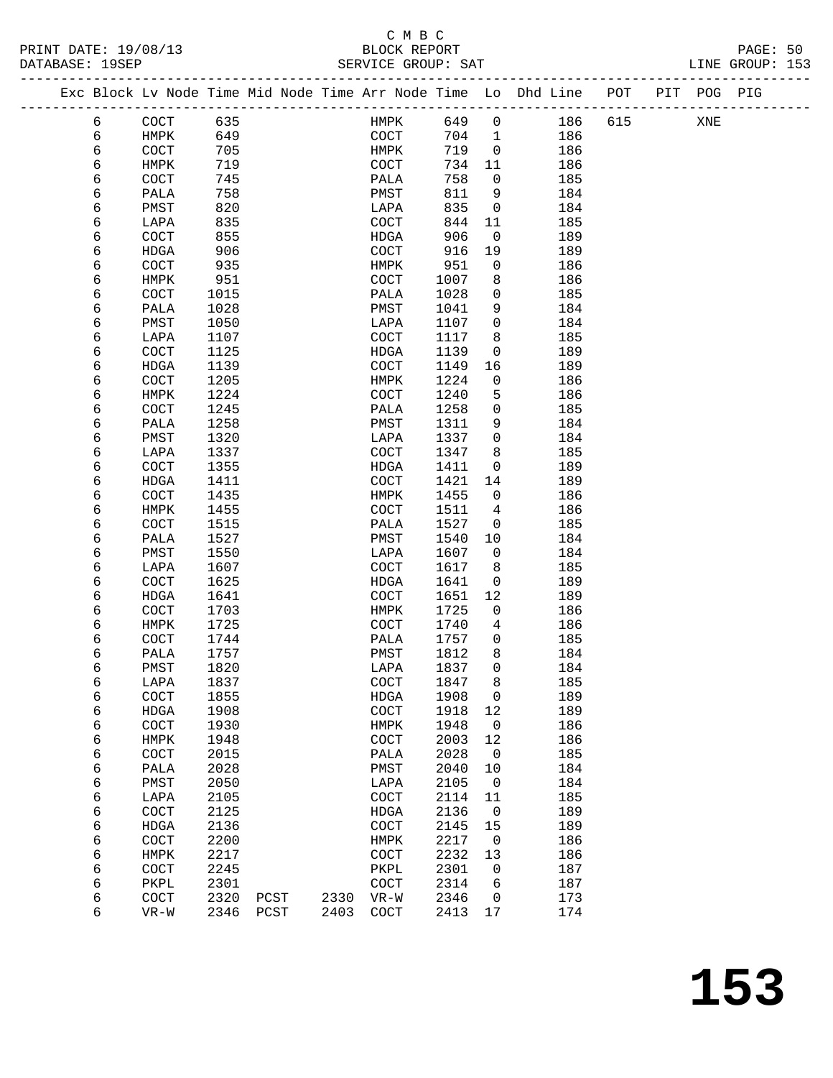|  |        | Exc Block Lv Node Time Mid Node Time Arr Node Time Lo Dhd Line POT |              |              |              |                       |              |                          |            |     | PIT POG PIG |  |
|--|--------|--------------------------------------------------------------------|--------------|--------------|--------------|-----------------------|--------------|--------------------------|------------|-----|-------------|--|
|  | 6      | COCT                                                               | 635          |              |              | HMPK                  | 649          | $\overline{0}$           | 186        | 615 | XNE         |  |
|  | 6      | HMPK                                                               | 649          |              |              | COCT                  | 704 1        |                          | 186        |     |             |  |
|  | 6      | COCT                                                               | 705          |              |              | HMPK                  | 719          | $\overline{0}$           | 186        |     |             |  |
|  | 6      | HMPK                                                               | 719          |              |              | COCT                  | 734          | 11                       | 186        |     |             |  |
|  | 6      | COCT                                                               | 745          |              |              | PALA                  | 758          | $\overline{0}$           | 185        |     |             |  |
|  | 6      | PALA                                                               | 758          |              |              | PMST                  | 811          | 9                        | 184        |     |             |  |
|  | 6      | PMST                                                               | 820          |              |              | LAPA                  | 835          | $\overline{\mathbf{0}}$  | 184        |     |             |  |
|  | 6      | LAPA                                                               | 835          |              |              | COCT                  | 844          | 11                       | 185        |     |             |  |
|  | 6      | COCT                                                               | 855          |              |              | HDGA                  | 906          | $\overline{0}$           | 189        |     |             |  |
|  | 6      | HDGA                                                               | 906          |              |              | COCT                  | 916          | 19                       | 189        |     |             |  |
|  | 6      | COCT                                                               | 935          |              |              | HMPK                  | 951          | $\overline{0}$           | 186        |     |             |  |
|  | 6      | HMPK                                                               | 951          |              |              | COCT                  | 1007         | 8                        | 186        |     |             |  |
|  | 6<br>6 | COCT<br>PALA                                                       | 1015<br>1028 |              |              | PALA<br>PMST          | 1028<br>1041 | 0<br>9                   | 185<br>184 |     |             |  |
|  | 6      | PMST                                                               | 1050         |              |              | LAPA                  | 1107         | $\overline{0}$           | 184        |     |             |  |
|  | 6      | LAPA                                                               | 1107         |              |              | COCT                  | 1117         | 8                        | 185        |     |             |  |
|  | 6      | COCT                                                               | 1125         |              |              | HDGA                  | 1139         | $\overline{0}$           | 189        |     |             |  |
|  | 6      | HDGA                                                               | 1139         |              |              | COCT                  | 1149         | 16                       | 189        |     |             |  |
|  | 6      | COCT                                                               | 1205         |              |              | HMPK                  | 1224         | $\overline{0}$           | 186        |     |             |  |
|  | 6      | HMPK                                                               | 1224         |              |              | COCT                  | 1240         | 5                        | 186        |     |             |  |
|  | 6      | COCT                                                               | 1245         |              |              | PALA                  | 1258         | $\mathbf{0}$             | 185        |     |             |  |
|  | 6      | PALA                                                               | 1258         |              |              | PMST                  | 1311         | 9                        | 184        |     |             |  |
|  | 6      | PMST                                                               | 1320         |              |              | LAPA                  | 1337         | $\overline{0}$           | 184        |     |             |  |
|  | 6      | LAPA                                                               | 1337         |              |              | COCT                  | 1347         | 8                        | 185        |     |             |  |
|  | 6      | COCT                                                               | 1355         |              |              | HDGA                  | 1411         | $\mathbf{0}$             | 189        |     |             |  |
|  | 6      | HDGA                                                               | 1411         |              |              | COCT                  | 1421         | 14                       | 189        |     |             |  |
|  | 6      | COCT                                                               | 1435         |              |              | HMPK                  | 1455         | $\overline{0}$           | 186        |     |             |  |
|  | 6      | HMPK                                                               | 1455         |              |              | COCT                  | 1511         | 4                        | 186        |     |             |  |
|  | 6      | COCT                                                               | 1515         |              |              | PALA                  | 1527         | 0                        | 185        |     |             |  |
|  | 6      | PALA                                                               | 1527         |              |              | PMST                  | 1540         | 10                       | 184        |     |             |  |
|  | 6      | PMST                                                               | 1550         |              |              | LAPA                  | 1607         | $\overline{0}$           | 184        |     |             |  |
|  | 6      | LAPA                                                               | 1607         |              |              | COCT                  | 1617         | 8 <sup>8</sup>           | 185        |     |             |  |
|  | 6      | COCT                                                               | 1625         |              |              | HDGA                  | 1641         | $\mathbf{0}$             | 189        |     |             |  |
|  | 6      | HDGA                                                               | 1641         |              |              | COCT                  | 1651         | 12                       | 189        |     |             |  |
|  | 6      | COCT                                                               | 1703         |              |              | HMPK                  | 1725         | $\mathsf{O}$             | 186        |     |             |  |
|  | 6<br>6 | HMPK<br>COCT                                                       | 1725<br>1744 |              |              | COCT<br>PALA          | 1740<br>1757 | 4<br>$\mathbf{0}$        | 186<br>185 |     |             |  |
|  | 6      | PALA                                                               | 1757         |              |              | PMST                  | 1812         | 8                        | 184        |     |             |  |
|  | 6      | PMST                                                               | 1820         |              |              | LAPA                  | 1837         | $\mathbf 0$              | 184        |     |             |  |
|  | 6      | LAPA                                                               | 1837         |              |              | $\operatorname{COCT}$ | 1847         | $\,8\,$                  | 185        |     |             |  |
|  | 6      | COCT                                                               | 1855         |              |              | HDGA                  | 1908         | $\overline{\phantom{0}}$ | 189        |     |             |  |
|  | 6      | HDGA                                                               | 1908         |              |              | COCT                  | 1918         | 12                       | 189        |     |             |  |
|  | 6      | COCT                                                               | 1930         |              |              | HMPK                  | 1948         | $\overline{0}$           | 186        |     |             |  |
|  | 6      | HMPK                                                               | 1948         |              |              | COCT                  | 2003         | 12                       | 186        |     |             |  |
|  | 6      | COCT                                                               | 2015         |              |              | PALA                  | 2028         | $\overline{0}$           | 185        |     |             |  |
|  | 6      | PALA                                                               | 2028         |              |              | PMST                  | 2040         | 10                       | 184        |     |             |  |
|  | 6      | PMST                                                               | 2050         |              |              | LAPA                  | 2105         | $\overline{0}$           | 184        |     |             |  |
|  | 6      | LAPA                                                               | 2105         |              |              | $\operatorname{COT}$  | 2114         | 11                       | 185        |     |             |  |
|  | 6      | COCT                                                               | 2125         |              |              | HDGA                  | 2136         | $\overline{0}$           | 189        |     |             |  |
|  | 6      | <b>HDGA</b>                                                        | 2136         |              |              | COCT                  | 2145         | 15                       | 189        |     |             |  |
|  | 6      | COCT                                                               | 2200         |              |              | HMPK                  | 2217         | $\overline{0}$           | 186        |     |             |  |
|  | 6      | HMPK                                                               | 2217         |              |              | COCT                  | 2232         | 13                       | 186        |     |             |  |
|  | 6      | COCT                                                               | 2245         |              |              | PKPL                  | 2301         | $\overline{0}$           | 187        |     |             |  |
|  | 6      | PKPL                                                               | 2301<br>2320 |              |              | $\operatorname{COT}$  | 2314<br>2346 | 6                        | 187<br>173 |     |             |  |
|  | 6<br>6 | COCT<br>$VR-W$                                                     | 2346         | PCST<br>PCST | 2330<br>2403 | $VR-W$<br>COCT        | 2413         | $\overline{0}$<br>17     | 174        |     |             |  |
|  |        |                                                                    |              |              |              |                       |              |                          |            |     |             |  |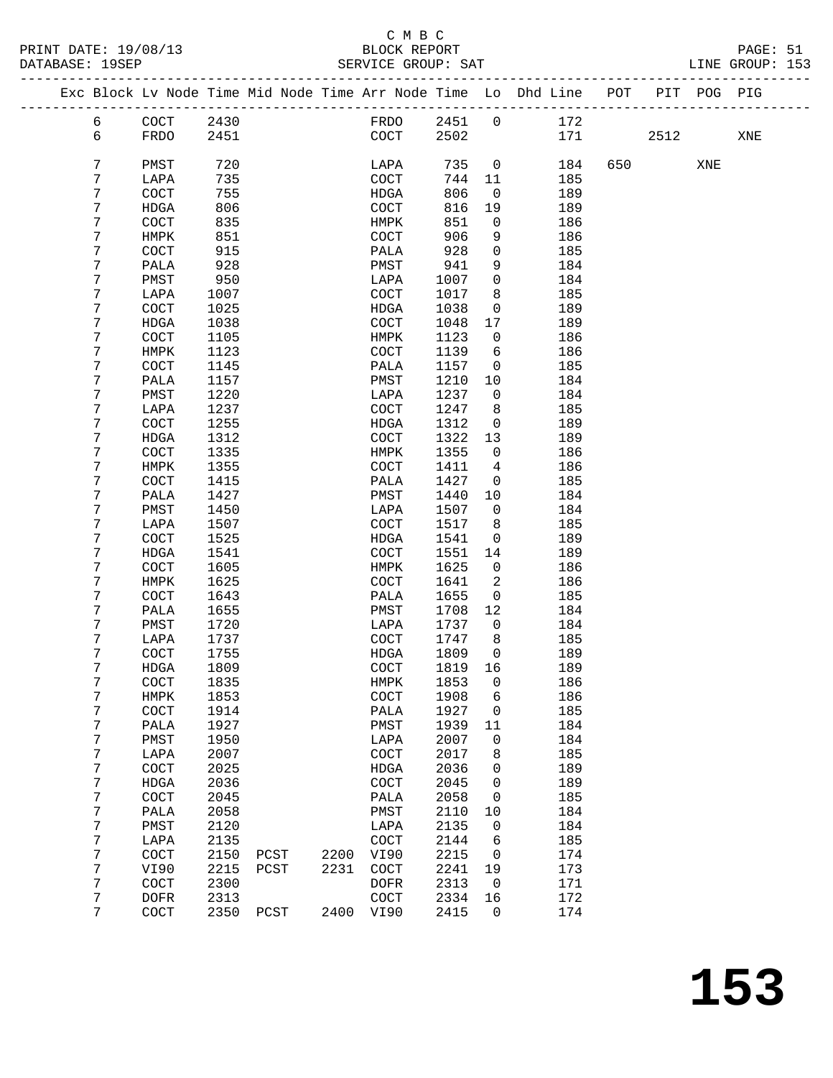|   |                       |      |      |      |                       |        |                | Exc Block Lv Node Time Mid Node Time Arr Node Time Lo Dhd Line | POT |      | PIT POG PIG |     |
|---|-----------------------|------|------|------|-----------------------|--------|----------------|----------------------------------------------------------------|-----|------|-------------|-----|
| 6 | COCT                  | 2430 |      |      | FRDO                  | 2451   | $\mathbf 0$    | 172                                                            |     |      |             |     |
| 6 | FRDO                  | 2451 |      |      | COCT                  | 2502   |                | 171                                                            |     | 2512 |             | XNE |
| 7 | PMST                  | 720  |      |      | LAPA                  | 735    | $\mathsf{O}$   | 184                                                            | 650 |      | XNE         |     |
| 7 | LAPA                  | 735  |      |      | COCT                  | 744    | 11             | 185                                                            |     |      |             |     |
| 7 | COCT                  | 755  |      |      | HDGA                  | 806    | $\mathbf{0}$   | 189                                                            |     |      |             |     |
| 7 | HDGA                  | 806  |      |      | COCT                  | 816    | 19             | 189                                                            |     |      |             |     |
| 7 | COCT                  | 835  |      |      | HMPK                  | 851    | 0              | 186                                                            |     |      |             |     |
| 7 | HMPK                  | 851  |      |      | COCT                  | 906    | 9              | 186                                                            |     |      |             |     |
| 7 | COCT                  | 915  |      |      | PALA                  | 928    | $\mathbf 0$    | 185                                                            |     |      |             |     |
| 7 | PALA                  | 928  |      |      | PMST                  | 941    | 9              | 184                                                            |     |      |             |     |
| 7 | PMST                  | 950  |      |      | LAPA                  | 1007   | 0              | 184                                                            |     |      |             |     |
| 7 | LAPA                  | 1007 |      |      | COCT                  | 1017   | 8              | 185                                                            |     |      |             |     |
| 7 | COCT                  | 1025 |      |      | HDGA                  | 1038   | 0              | 189                                                            |     |      |             |     |
| 7 |                       |      |      |      |                       |        | 17             |                                                                |     |      |             |     |
|   | HDGA                  | 1038 |      |      | COCT                  | 1048   |                | 189                                                            |     |      |             |     |
| 7 | COCT                  | 1105 |      |      | HMPK                  | 1123   | 0              | 186                                                            |     |      |             |     |
| 7 | HMPK                  | 1123 |      |      | COCT                  | 1139   | 6              | 186                                                            |     |      |             |     |
| 7 | COCT                  | 1145 |      |      | PALA                  | 1157   | $\mathbf 0$    | 185                                                            |     |      |             |     |
| 7 | PALA                  | 1157 |      |      | PMST                  | 1210   | 10             | 184                                                            |     |      |             |     |
| 7 | PMST                  | 1220 |      |      | LAPA                  | 1237   | 0              | 184                                                            |     |      |             |     |
| 7 | LAPA                  | 1237 |      |      | COCT                  | 1247   | 8              | 185                                                            |     |      |             |     |
| 7 | COCT                  | 1255 |      |      | HDGA                  | 1312   | $\mathbf 0$    | 189                                                            |     |      |             |     |
| 7 | HDGA                  | 1312 |      |      | $\operatorname{COCT}$ | 1322   | 13             | 189                                                            |     |      |             |     |
| 7 | COCT                  | 1335 |      |      | HMPK                  | 1355   | 0              | 186                                                            |     |      |             |     |
| 7 | HMPK                  | 1355 |      |      | COCT                  | 1411   | 4              | 186                                                            |     |      |             |     |
| 7 | COCT                  | 1415 |      |      | PALA                  | 1427   | $\mathsf{O}$   | 185                                                            |     |      |             |     |
| 7 | PALA                  | 1427 |      |      | PMST                  | 1440   | 10             | 184                                                            |     |      |             |     |
| 7 | PMST                  | 1450 |      |      | LAPA                  | 1507   | $\mathbf{0}$   | 184                                                            |     |      |             |     |
| 7 | LAPA                  | 1507 |      |      | COCT                  | 1517   | 8              | 185                                                            |     |      |             |     |
| 7 | COCT                  | 1525 |      |      | <b>HDGA</b>           | 1541   | 0              | 189                                                            |     |      |             |     |
| 7 | HDGA                  | 1541 |      |      | COCT                  | 1551   | 14             | 189                                                            |     |      |             |     |
| 7 | COCT                  | 1605 |      |      | HMPK                  | 1625   | $\mathbf{0}$   | 186                                                            |     |      |             |     |
| 7 | HMPK                  | 1625 |      |      | COCT                  | 1641   | 2              | 186                                                            |     |      |             |     |
| 7 | COCT                  | 1643 |      |      | PALA                  | 1655   | $\mathsf{O}$   | 185                                                            |     |      |             |     |
| 7 | PALA                  | 1655 |      |      | PMST                  | 1708   | 12             | 184                                                            |     |      |             |     |
| 7 |                       | 1720 |      |      |                       |        |                |                                                                |     |      |             |     |
|   | PMST                  |      |      |      | LAPA                  | 1737   | $\mathbf{0}$   | 184                                                            |     |      |             |     |
| 7 | LAPA                  | 1737 |      |      | COCT                  | 1747   | 8              | 185                                                            |     |      |             |     |
| 7 | COCT                  | 1755 |      |      | HDGA                  | 1809   | $\overline{0}$ | 189                                                            |     |      |             |     |
| 7 | HDGA                  | 1809 |      |      | COCT                  | 1819   | 16             | 189                                                            |     |      |             |     |
| 7 | COCT                  | 1835 |      |      | HMPK                  | 1853 0 |                | 186                                                            |     |      |             |     |
| 7 | HMPK                  | 1853 |      |      | COCT                  | 1908   | 6              | 186                                                            |     |      |             |     |
| 7 | COCT                  | 1914 |      |      | PALA                  | 1927   | 0              | 185                                                            |     |      |             |     |
| 7 | PALA                  | 1927 |      |      | PMST                  | 1939   | 11             | 184                                                            |     |      |             |     |
| 7 | PMST                  | 1950 |      |      | LAPA                  | 2007   | 0              | 184                                                            |     |      |             |     |
| 7 | LAPA                  | 2007 |      |      | COCT                  | 2017   | 8              | 185                                                            |     |      |             |     |
| 7 | $\operatorname{COCT}$ | 2025 |      |      | HDGA                  | 2036   | 0              | 189                                                            |     |      |             |     |
| 7 | HDGA                  | 2036 |      |      | COCT                  | 2045   | 0              | 189                                                            |     |      |             |     |
| 7 | $\operatorname{COT}$  | 2045 |      |      | PALA                  | 2058   | 0              | 185                                                            |     |      |             |     |
| 7 | PALA                  | 2058 |      |      | PMST                  | 2110   | 10             | 184                                                            |     |      |             |     |
| 7 | PMST                  | 2120 |      |      | LAPA                  | 2135   | 0              | 184                                                            |     |      |             |     |
| 7 | LAPA                  | 2135 |      |      | COCT                  | 2144   | 6              | 185                                                            |     |      |             |     |
| 7 | $\operatorname{COT}$  | 2150 | PCST | 2200 | VI90                  | 2215   | 0              | 174                                                            |     |      |             |     |
| 7 | VI90                  | 2215 | PCST | 2231 | COCT                  | 2241   | 19             | 173                                                            |     |      |             |     |
| 7 | COCT                  | 2300 |      |      | <b>DOFR</b>           | 2313   | 0              | 171                                                            |     |      |             |     |
| 7 |                       | 2313 |      |      |                       | 2334   | 16             | 172                                                            |     |      |             |     |
| 7 | <b>DOFR</b><br>COCT   | 2350 | PCST |      | COCT<br>2400 VI90     | 2415   | 0              | 174                                                            |     |      |             |     |
|   |                       |      |      |      |                       |        |                |                                                                |     |      |             |     |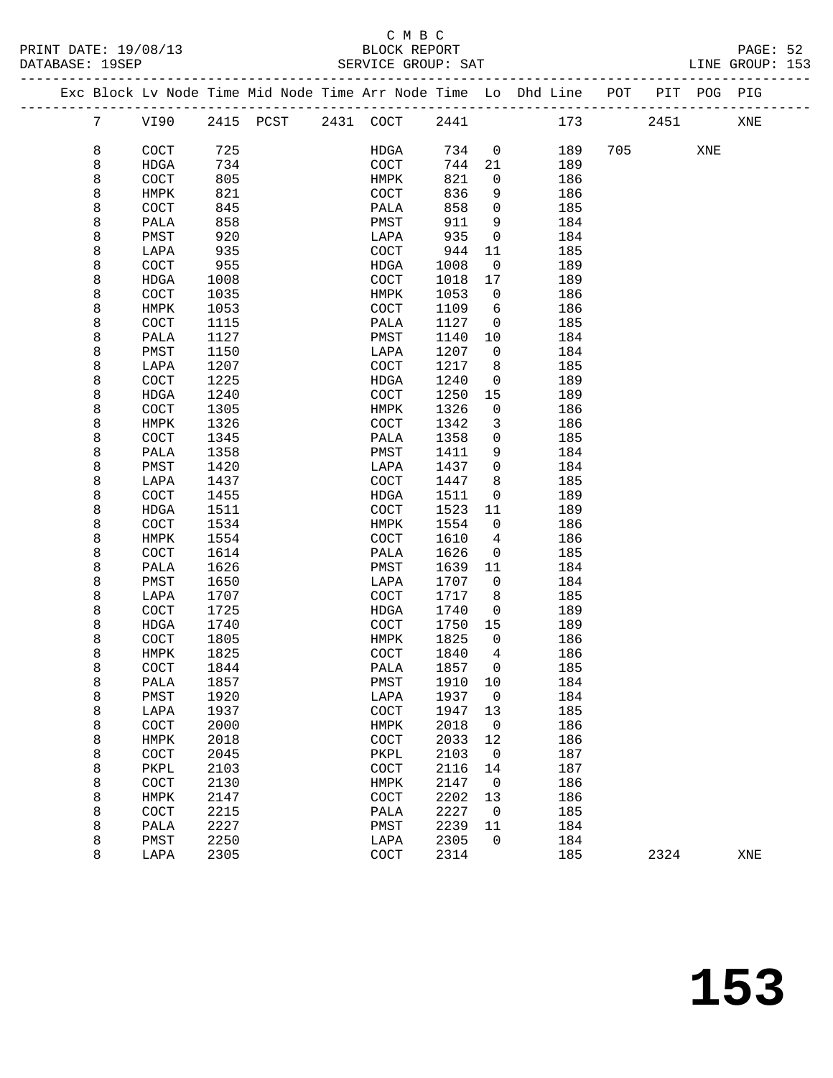|  |                 |                       |      | Exc Block Lv Node Time Mid Node Time Arr Node Time Lo Dhd Line POT PIT POG PIG |             |         |                |     |     |      |     |     |  |
|--|-----------------|-----------------------|------|--------------------------------------------------------------------------------|-------------|---------|----------------|-----|-----|------|-----|-----|--|
|  | $7\phantom{.0}$ | VI90                  |      | 2415 PCST 2431 COCT                                                            |             | 2441    |                |     | 173 | 2451 |     | XNE |  |
|  | 8               | COCT                  | 725  |                                                                                | HDGA        | 734     | $\overline{0}$ | 189 | 705 |      | XNE |     |  |
|  | 8               | HDGA                  | 734  |                                                                                | COCT        | 744     | 21             | 189 |     |      |     |     |  |
|  | 8               | COCT                  | 805  |                                                                                | HMPK        | 821     | $\mathbf 0$    | 186 |     |      |     |     |  |
|  | 8               | HMPK                  | 821  |                                                                                | COCT        | 836     | 9              | 186 |     |      |     |     |  |
|  | 8               | COCT                  | 845  |                                                                                | PALA        | 858     | $\mathsf{O}$   | 185 |     |      |     |     |  |
|  | 8               | PALA                  | 858  |                                                                                | PMST        | 911     | 9              | 184 |     |      |     |     |  |
|  | 8               | PMST                  | 920  |                                                                                | LAPA        | 935     | $\mathsf{O}$   | 184 |     |      |     |     |  |
|  | 8               | LAPA                  | 935  |                                                                                | COCT        | 944     | 11             | 185 |     |      |     |     |  |
|  | 8               | COCT                  | 955  |                                                                                | HDGA        | 1008    | $\overline{0}$ | 189 |     |      |     |     |  |
|  | 8               | HDGA                  | 1008 |                                                                                | COCT        | 1018    | 17             | 189 |     |      |     |     |  |
|  | 8               | COCT                  | 1035 |                                                                                | HMPK        | 1053    | $\overline{0}$ | 186 |     |      |     |     |  |
|  | 8               | HMPK                  | 1053 |                                                                                | COCT        | 1109    | 6              | 186 |     |      |     |     |  |
|  | 8               | COCT                  | 1115 |                                                                                | PALA        | 1127    | $\overline{0}$ | 185 |     |      |     |     |  |
|  | 8               | PALA                  | 1127 |                                                                                | PMST        | 1140    | 10             | 184 |     |      |     |     |  |
|  | 8               | PMST                  | 1150 |                                                                                | LAPA        | 1207    | $\overline{0}$ | 184 |     |      |     |     |  |
|  | 8               | LAPA                  | 1207 |                                                                                | COCT        | 1217    | 8              | 185 |     |      |     |     |  |
|  | 8               | COCT                  | 1225 |                                                                                | HDGA        | 1240    | $\overline{0}$ | 189 |     |      |     |     |  |
|  | 8               | HDGA                  | 1240 |                                                                                | COCT        | 1250    | 15             | 189 |     |      |     |     |  |
|  | 8               | COCT                  | 1305 |                                                                                | HMPK        | 1326    | $\overline{0}$ | 186 |     |      |     |     |  |
|  | 8               | HMPK                  | 1326 |                                                                                | COCT        | 1342    | 3              | 186 |     |      |     |     |  |
|  | 8               | COCT                  | 1345 |                                                                                | PALA        | 1358    | $\mathbf 0$    | 185 |     |      |     |     |  |
|  | 8               | PALA                  | 1358 |                                                                                | PMST        | 1411    | 9              | 184 |     |      |     |     |  |
|  | 8               | PMST                  | 1420 |                                                                                | LAPA        | 1437    | $\overline{0}$ | 184 |     |      |     |     |  |
|  | 8               | LAPA                  | 1437 |                                                                                | COCT        | 1447    | 8              | 185 |     |      |     |     |  |
|  | 8               | COCT                  | 1455 |                                                                                | HDGA        | 1511    | 0              | 189 |     |      |     |     |  |
|  | 8               | HDGA                  | 1511 |                                                                                | COCT        | 1523    | 11             | 189 |     |      |     |     |  |
|  | 8               | COCT                  | 1534 |                                                                                | HMPK        | 1554    | $\overline{0}$ | 186 |     |      |     |     |  |
|  | 8               | HMPK                  | 1554 |                                                                                | <b>COCT</b> | 1610    | 4              | 186 |     |      |     |     |  |
|  | 8               | COCT                  | 1614 |                                                                                | PALA        | 1626    | $\overline{0}$ | 185 |     |      |     |     |  |
|  | 8               | PALA                  | 1626 |                                                                                | PMST        | 1639    | 11             | 184 |     |      |     |     |  |
|  | 8               | PMST                  | 1650 |                                                                                | LAPA        | 1707    | $\overline{0}$ | 184 |     |      |     |     |  |
|  | 8               | LAPA                  | 1707 |                                                                                | <b>COCT</b> | 1717    | 8              | 185 |     |      |     |     |  |
|  | 8               | COCT                  | 1725 |                                                                                | HDGA        | 1740    | $\overline{0}$ | 189 |     |      |     |     |  |
|  | 8               | HDGA                  | 1740 |                                                                                | COCT        | 1750    | 15             | 189 |     |      |     |     |  |
|  | 8               | $\operatorname{COCT}$ | 1805 |                                                                                | HMPK        | 1825    | $\overline{0}$ | 186 |     |      |     |     |  |
|  | 8               | HMPK                  | 1825 |                                                                                | COCT        | 1840    | 4              | 186 |     |      |     |     |  |
|  | 8               | COCT                  | 1844 |                                                                                | PALA        | 1857    | $\overline{0}$ | 185 |     |      |     |     |  |
|  | 8               | PALA                  | 1857 |                                                                                | PMST        | 1910 10 |                | 184 |     |      |     |     |  |
|  | 8               | PMST                  | 1920 |                                                                                | LAPA        | 1937    | 0              | 184 |     |      |     |     |  |
|  | 8               | LAPA                  | 1937 |                                                                                | COCT        | 1947    | 13             | 185 |     |      |     |     |  |
|  | 8               | COCT                  | 2000 |                                                                                | HMPK        | 2018    | 0              | 186 |     |      |     |     |  |
|  | 8               | HMPK                  | 2018 |                                                                                | COCT        | 2033    | 12             | 186 |     |      |     |     |  |
|  | 8               | COCT                  | 2045 |                                                                                | PKPL        | 2103    | 0              | 187 |     |      |     |     |  |
|  | 8               | PKPL                  | 2103 |                                                                                | COCT        | 2116    | 14             | 187 |     |      |     |     |  |
|  | 8               | COCT                  | 2130 |                                                                                | HMPK        | 2147    | 0              | 186 |     |      |     |     |  |
|  | 8               | HMPK                  | 2147 |                                                                                | COCT        | 2202    | 13             | 186 |     |      |     |     |  |
|  | 8               | COCT                  | 2215 |                                                                                | PALA        | 2227    | 0              | 185 |     |      |     |     |  |
|  | 8               | PALA                  | 2227 |                                                                                | PMST        | 2239    | 11             | 184 |     |      |     |     |  |
|  | 8               | PMST                  | 2250 |                                                                                | LAPA        | 2305    | 0              | 184 |     |      |     |     |  |
|  | 8               | LAPA                  | 2305 |                                                                                | COCT        | 2314    |                | 185 |     | 2324 |     | XNE |  |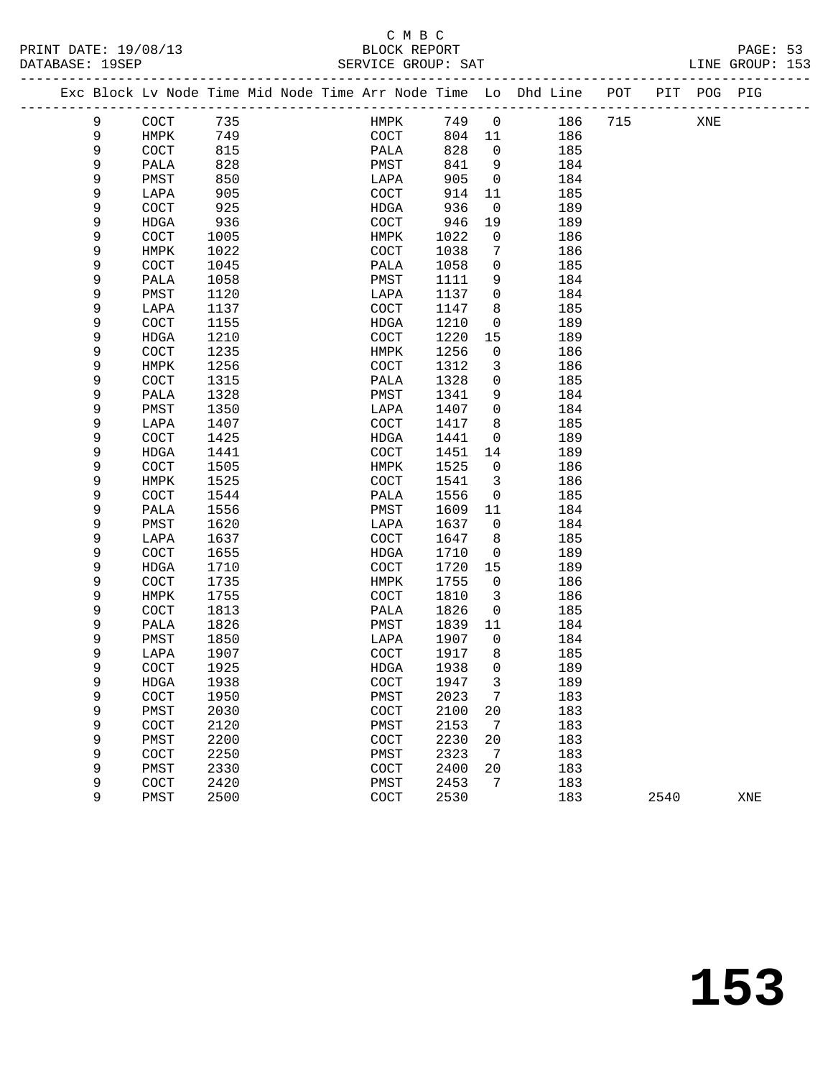# C M B C<br>BLOCK REPORT

-------------------------------------------------------------------------------------------------

LINE GROUP: 153

|  |        | Exc Block Lv Node Time Mid Node Time Arr Node Time Lo |      |  |              |      |    | Dhd Line | POT | PIT  | POG | PIG |
|--|--------|-------------------------------------------------------|------|--|--------------|------|----|----------|-----|------|-----|-----|
|  | 9      | COCT                                                  | 735  |  | HMPK         | 749  | 0  | 186      | 715 |      | XNE |     |
|  | 9      | HMPK                                                  | 749  |  | COCT         | 804  | 11 | 186      |     |      |     |     |
|  | 9      | $\operatorname{COT}$                                  | 815  |  | PALA         | 828  | 0  | 185      |     |      |     |     |
|  | 9      | PALA                                                  | 828  |  | ${\tt PMST}$ | 841  | 9  | 184      |     |      |     |     |
|  | 9      | PMST                                                  | 850  |  | LAPA         | 905  | 0  | 184      |     |      |     |     |
|  | 9      | LAPA                                                  | 905  |  | COCT         | 914  | 11 | 185      |     |      |     |     |
|  | 9      | COCT                                                  | 925  |  | <b>HDGA</b>  | 936  | 0  | 189      |     |      |     |     |
|  | 9      | HDGA                                                  | 936  |  | COCT         | 946  | 19 | 189      |     |      |     |     |
|  | 9      | COCT                                                  | 1005 |  | HMPK         | 1022 | 0  | 186      |     |      |     |     |
|  | 9      | HMPK                                                  | 1022 |  | COCT         | 1038 | 7  | 186      |     |      |     |     |
|  | 9      | COCT                                                  | 1045 |  | PALA         | 1058 | 0  | 185      |     |      |     |     |
|  | 9      | PALA                                                  | 1058 |  | PMST         | 1111 | 9  | 184      |     |      |     |     |
|  | 9      | PMST                                                  | 1120 |  | LAPA         | 1137 | 0  | 184      |     |      |     |     |
|  | 9      | LAPA                                                  | 1137 |  | COCT         | 1147 | 8  | 185      |     |      |     |     |
|  | 9      | COCT                                                  | 1155 |  | <b>HDGA</b>  | 1210 | 0  | 189      |     |      |     |     |
|  | 9      | HDGA                                                  | 1210 |  | COCT         | 1220 | 15 | 189      |     |      |     |     |
|  | 9      | COCT                                                  | 1235 |  | HMPK         | 1256 | 0  | 186      |     |      |     |     |
|  | 9      | HMPK                                                  | 1256 |  | COCT         | 1312 | 3  | 186      |     |      |     |     |
|  | 9      | COCT                                                  | 1315 |  | PALA         | 1328 | 0  | 185      |     |      |     |     |
|  | 9      | PALA                                                  | 1328 |  | PMST         | 1341 | 9  | 184      |     |      |     |     |
|  | 9      | PMST                                                  | 1350 |  | LAPA         | 1407 | 0  | 184      |     |      |     |     |
|  | 9      | LAPA                                                  | 1407 |  | COCT         | 1417 | 8  | 185      |     |      |     |     |
|  | 9      | COCT                                                  | 1425 |  | <b>HDGA</b>  | 1441 | 0  | 189      |     |      |     |     |
|  | 9      | HDGA                                                  | 1441 |  | COCT         | 1451 | 14 | 189      |     |      |     |     |
|  | 9      | COCT                                                  | 1505 |  | HMPK         | 1525 | 0  | 186      |     |      |     |     |
|  | 9      | HMPK                                                  | 1525 |  | COCT         | 1541 | 3  | 186      |     |      |     |     |
|  | 9      | COCT                                                  | 1544 |  | PALA         | 1556 | 0  | 185      |     |      |     |     |
|  | 9      | PALA                                                  | 1556 |  | PMST         | 1609 | 11 | 184      |     |      |     |     |
|  | 9      | PMST                                                  | 1620 |  | LAPA         | 1637 | 0  | 184      |     |      |     |     |
|  | 9      | LAPA                                                  | 1637 |  | COCT         | 1647 | 8  | 185      |     |      |     |     |
|  | 9      | COCT                                                  | 1655 |  | <b>HDGA</b>  | 1710 | 0  | 189      |     |      |     |     |
|  | 9      | HDGA                                                  | 1710 |  | COCT         | 1720 | 15 | 189      |     |      |     |     |
|  | 9      | COCT                                                  | 1735 |  | HMPK         | 1755 | 0  | 186      |     |      |     |     |
|  | 9      | HMPK                                                  | 1755 |  | COCT         | 1810 | 3  | 186      |     |      |     |     |
|  | 9      | COCT                                                  | 1813 |  | PALA         | 1826 | 0  | 185      |     |      |     |     |
|  | 9      | PALA                                                  | 1826 |  | PMST         | 1839 | 11 | 184      |     |      |     |     |
|  | 9      | PMST                                                  | 1850 |  | LAPA         | 1907 | 0  | 184      |     |      |     |     |
|  | 9      | LAPA                                                  | 1907 |  | COCT         | 1917 | 8  | 185      |     |      |     |     |
|  | 9      | COCT                                                  | 1925 |  | <b>HDGA</b>  | 1938 | 0  | 189      |     |      |     |     |
|  | 9      | <b>HDGA</b>                                           | 1938 |  | COCT         | 1947 | 3  | 189      |     |      |     |     |
|  | 9      | COCT                                                  | 1950 |  | PMST         | 2023 | 7  | 183      |     |      |     |     |
|  | 9      | PMST                                                  | 2030 |  | COCT         | 2100 | 20 | 183      |     |      |     |     |
|  | 9      | COCT                                                  | 2120 |  | PMST         | 2153 | 7  | 183      |     |      |     |     |
|  | 9      | PMST                                                  | 2200 |  | COCT         | 2230 | 20 | 183      |     |      |     |     |
|  | 9      | COCT                                                  | 2250 |  | PMST         | 2323 | 7  | 183      |     |      |     |     |
|  | 9      | PMST                                                  | 2330 |  | COCT         | 2400 | 20 | 183      |     |      |     |     |
|  | 9<br>9 | COCT                                                  | 2420 |  | PMST         | 2453 | 7  | 183      |     |      |     |     |
|  |        | PMST                                                  | 2500 |  | COCT         | 2530 |    | 183      |     | 2540 |     | XNE |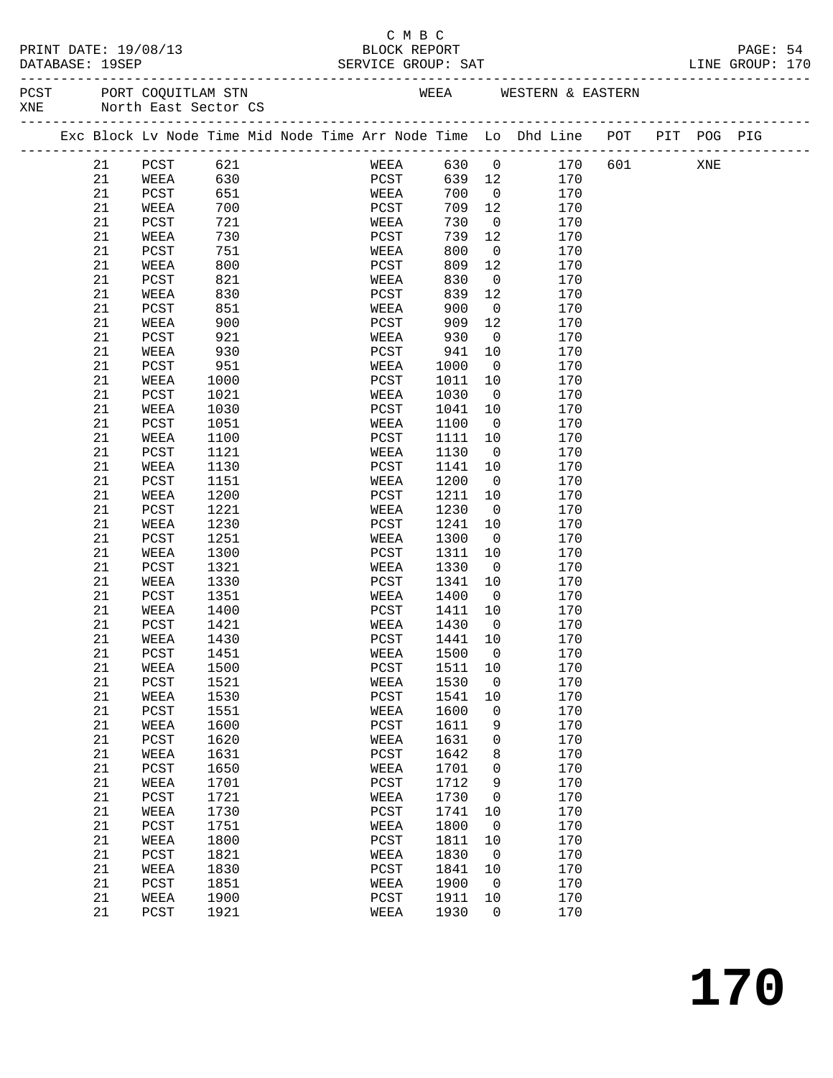#### C M B C<br>BLOCK REPORT PRINT DATE: 19/08/13 BLOCK REPORT PAGE: 54 SERVICE GROUP: SAT

-------------------------------------------------------------------------------------------------

| PCST<br>PORT COOUITLAM STN<br>WESTERN & EASTERN<br>WEEA |  |
|---------------------------------------------------------|--|
| North East Sector CS<br>XNE                             |  |

|  |    | -------------------- |      |  |               |      |                | Exc Block Lv Node Time Mid Node Time Arr Node Time Lo Dhd Line | POT | PIT | POG PIG |  |
|--|----|----------------------|------|--|---------------|------|----------------|----------------------------------------------------------------|-----|-----|---------|--|
|  | 21 | $_{\rm PCST}$        | 621  |  | WEEA          | 630  | $\mathsf{O}$   | 170                                                            | 601 |     | XNE     |  |
|  | 21 | WEEA                 | 630  |  | PCST          | 639  | 12             | 170                                                            |     |     |         |  |
|  | 21 | PCST                 | 651  |  | WEEA          | 700  | $\mathbf 0$    | 170                                                            |     |     |         |  |
|  | 21 | WEEA                 | 700  |  | PCST          | 709  | 12             | 170                                                            |     |     |         |  |
|  | 21 | PCST                 | 721  |  | WEEA          | 730  | 0              | 170                                                            |     |     |         |  |
|  | 21 | WEEA                 | 730  |  | PCST          | 739  | 12             | 170                                                            |     |     |         |  |
|  | 21 | PCST                 | 751  |  | WEEA          | 800  | $\mathbf 0$    | 170                                                            |     |     |         |  |
|  | 21 | WEEA                 | 800  |  | PCST          | 809  | 12             | 170                                                            |     |     |         |  |
|  | 21 | PCST                 | 821  |  | WEEA          | 830  | $\mathsf{O}$   | 170                                                            |     |     |         |  |
|  | 21 | WEEA                 | 830  |  | PCST          | 839  | 12             | 170                                                            |     |     |         |  |
|  | 21 | PCST                 | 851  |  | WEEA          | 900  | $\mathsf{O}$   | 170                                                            |     |     |         |  |
|  | 21 | WEEA                 | 900  |  | PCST          | 909  | 12             | 170                                                            |     |     |         |  |
|  | 21 | PCST                 | 921  |  | WEEA          | 930  | $\mathsf{O}$   | 170                                                            |     |     |         |  |
|  | 21 | WEEA                 | 930  |  | PCST          | 941  | 10             | 170                                                            |     |     |         |  |
|  | 21 | PCST                 | 951  |  | WEEA          | 1000 | $\mathbf 0$    | 170                                                            |     |     |         |  |
|  | 21 | WEEA                 | 1000 |  | PCST          | 1011 | 10             | 170                                                            |     |     |         |  |
|  | 21 | PCST                 | 1021 |  | WEEA          | 1030 | 0              | 170                                                            |     |     |         |  |
|  | 21 |                      | 1030 |  |               |      | 10             |                                                                |     |     |         |  |
|  | 21 | WEEA                 |      |  | PCST          | 1041 | $\mathbf 0$    | 170                                                            |     |     |         |  |
|  |    | PCST                 | 1051 |  | WEEA          | 1100 |                | 170                                                            |     |     |         |  |
|  | 21 | WEEA                 | 1100 |  | PCST          | 1111 | 10             | 170                                                            |     |     |         |  |
|  | 21 | PCST                 | 1121 |  | WEEA          | 1130 | 0              | 170                                                            |     |     |         |  |
|  | 21 | WEEA                 | 1130 |  | PCST          | 1141 | 10             | 170                                                            |     |     |         |  |
|  | 21 | PCST                 | 1151 |  | WEEA          | 1200 | $\mathbf 0$    | 170                                                            |     |     |         |  |
|  | 21 | WEEA                 | 1200 |  | PCST          | 1211 | 10             | 170                                                            |     |     |         |  |
|  | 21 | PCST                 | 1221 |  | WEEA          | 1230 | $\mathsf{O}$   | 170                                                            |     |     |         |  |
|  | 21 | WEEA                 | 1230 |  | PCST          | 1241 | 10             | 170                                                            |     |     |         |  |
|  | 21 | PCST                 | 1251 |  | WEEA          | 1300 | $\mathbf 0$    | 170                                                            |     |     |         |  |
|  | 21 | WEEA                 | 1300 |  | PCST          | 1311 | 10             | 170                                                            |     |     |         |  |
|  | 21 | PCST                 | 1321 |  | WEEA          | 1330 | 0              | 170                                                            |     |     |         |  |
|  | 21 | WEEA                 | 1330 |  | PCST          | 1341 | 10             | 170                                                            |     |     |         |  |
|  | 21 | PCST                 | 1351 |  | WEEA          | 1400 | $\mathbf 0$    | 170                                                            |     |     |         |  |
|  | 21 | WEEA                 | 1400 |  | PCST          | 1411 | 10             | 170                                                            |     |     |         |  |
|  | 21 | PCST                 | 1421 |  | WEEA          | 1430 | $\mathsf{O}$   | 170                                                            |     |     |         |  |
|  | 21 | WEEA                 | 1430 |  | PCST          | 1441 | 10             | 170                                                            |     |     |         |  |
|  | 21 | PCST                 | 1451 |  | WEEA          | 1500 | 0              | 170                                                            |     |     |         |  |
|  | 21 | WEEA                 | 1500 |  | PCST          | 1511 | 10             | 170                                                            |     |     |         |  |
|  | 21 | PCST                 | 1521 |  | WEEA          | 1530 | $\mathsf{O}$   | 170                                                            |     |     |         |  |
|  | 21 | WEEA                 | 1530 |  | PCST          | 1541 | 10             | 170                                                            |     |     |         |  |
|  | 21 | PCST                 | 1551 |  | WEEA          | 1600 | $\mathbf 0$    | 170                                                            |     |     |         |  |
|  | 21 | WEEA                 | 1600 |  | PCST          | 1611 | 9              | 170                                                            |     |     |         |  |
|  | 21 | $_{\rm PCST}$        | 1620 |  | WEEA          | 1631 | $\mathbf 0$    | 170                                                            |     |     |         |  |
|  | 21 | WEEA                 | 1631 |  | PCST          | 1642 | 8              | 170                                                            |     |     |         |  |
|  | 21 | PCST                 | 1650 |  | WEEA          | 1701 | $\mathsf{O}$   | 170                                                            |     |     |         |  |
|  | 21 | WEEA                 | 1701 |  | $_{\rm PCST}$ | 1712 | 9              | 170                                                            |     |     |         |  |
|  | 21 | PCST                 | 1721 |  | WEEA          | 1730 | 0              | 170                                                            |     |     |         |  |
|  | 21 | WEEA                 | 1730 |  | PCST          | 1741 | 10             | 170                                                            |     |     |         |  |
|  | 21 | PCST                 | 1751 |  | WEEA          | 1800 | 0              | 170                                                            |     |     |         |  |
|  | 21 | WEEA                 | 1800 |  | PCST          | 1811 | 10             | 170                                                            |     |     |         |  |
|  | 21 | PCST                 | 1821 |  | WEEA          | 1830 | $\overline{0}$ | 170                                                            |     |     |         |  |
|  | 21 | WEEA                 | 1830 |  | PCST          | 1841 | 10             | 170                                                            |     |     |         |  |
|  | 21 | PCST                 | 1851 |  | WEEA          | 1900 | $\overline{0}$ | 170                                                            |     |     |         |  |
|  | 21 | WEEA                 | 1900 |  | PCST          | 1911 | 10             | 170                                                            |     |     |         |  |
|  | 21 | PCST                 | 1921 |  | WEEA          | 1930 | $\overline{0}$ | 170                                                            |     |     |         |  |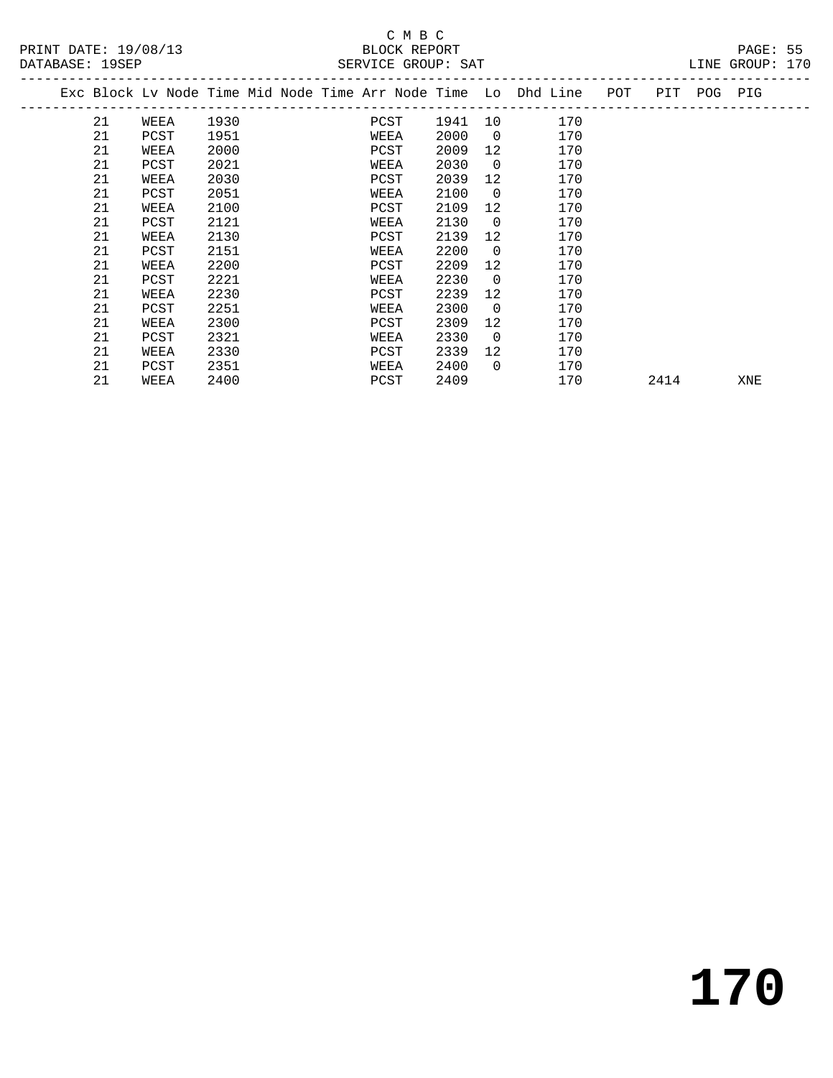| PRINT DATE: 19/08/13<br>DATABASE: 19SEP                                        |      | BLOCK REPORT<br>SERVICE GROUP: SAT |      |                 |                       |      | PAGE: 55<br>LINE GROUP: 170 |  |
|--------------------------------------------------------------------------------|------|------------------------------------|------|-----------------|-----------------------|------|-----------------------------|--|
| Exc Block Lv Node Time Mid Node Time Arr Node Time Lo Dhd Line POT PIT POG PIG |      |                                    |      |                 |                       |      |                             |  |
| 21<br>WEEA                                                                     | 1930 | PCST                               |      |                 | 1941 10 170           |      |                             |  |
| 21<br>PCST                                                                     | 1951 | WEEA                               | 2000 |                 | $\overline{0}$<br>170 |      |                             |  |
| 21<br>WEEA                                                                     | 2000 | PCST                               | 2009 |                 | 12<br>170             |      |                             |  |
| 21<br>PCST                                                                     | 2021 | WEEA                               | 2030 | $\overline{0}$  | 170                   |      |                             |  |
| 21<br>WEEA                                                                     | 2030 | PCST                               | 2039 |                 | 12 —<br>170           |      |                             |  |
| 21<br>PCST                                                                     | 2051 | WEEA                               | 2100 | $\overline{0}$  | 170                   |      |                             |  |
| 21<br>WEEA                                                                     | 2100 | PCST                               | 2109 | 12              | 170                   |      |                             |  |
| 21<br>PCST                                                                     | 2121 | WEEA                               | 2130 | $\overline{0}$  | 170                   |      |                             |  |
| 21<br>WEEA                                                                     | 2130 | PCST                               | 2139 | 12 <sup>°</sup> | 170                   |      |                             |  |
| 21<br>PCST                                                                     | 2151 | WEEA                               | 2200 | $\overline{0}$  | 170                   |      |                             |  |
| 21<br>WEEA                                                                     | 2200 | PCST                               | 2209 | 12              | 170                   |      |                             |  |
| 21<br>PCST                                                                     | 2221 | WEEA                               | 2230 | $\overline{0}$  | 170                   |      |                             |  |
| 21<br>WEEA                                                                     | 2230 | PCST                               | 2239 | 12 <sup>°</sup> | 170                   |      |                             |  |
| 21<br>PCST                                                                     | 2251 | WEEA                               | 2300 | $\overline{0}$  | 170                   |      |                             |  |
| 21<br>WEEA                                                                     | 2300 | PCST                               | 2309 | 12              | 170                   |      |                             |  |
| 21<br>PCST                                                                     | 2321 | WEEA                               | 2330 | $\overline{0}$  | 170                   |      |                             |  |
| 21<br>WEEA                                                                     | 2330 | PCST                               | 2339 |                 | 12<br>170             |      |                             |  |
| 21<br>PCST                                                                     | 2351 | WEEA                               | 2400 | $\overline{0}$  | 170                   |      |                             |  |
| 21<br>WEEA                                                                     | 2400 | PCST                               | 2409 |                 | 170                   | 2414 | XNE                         |  |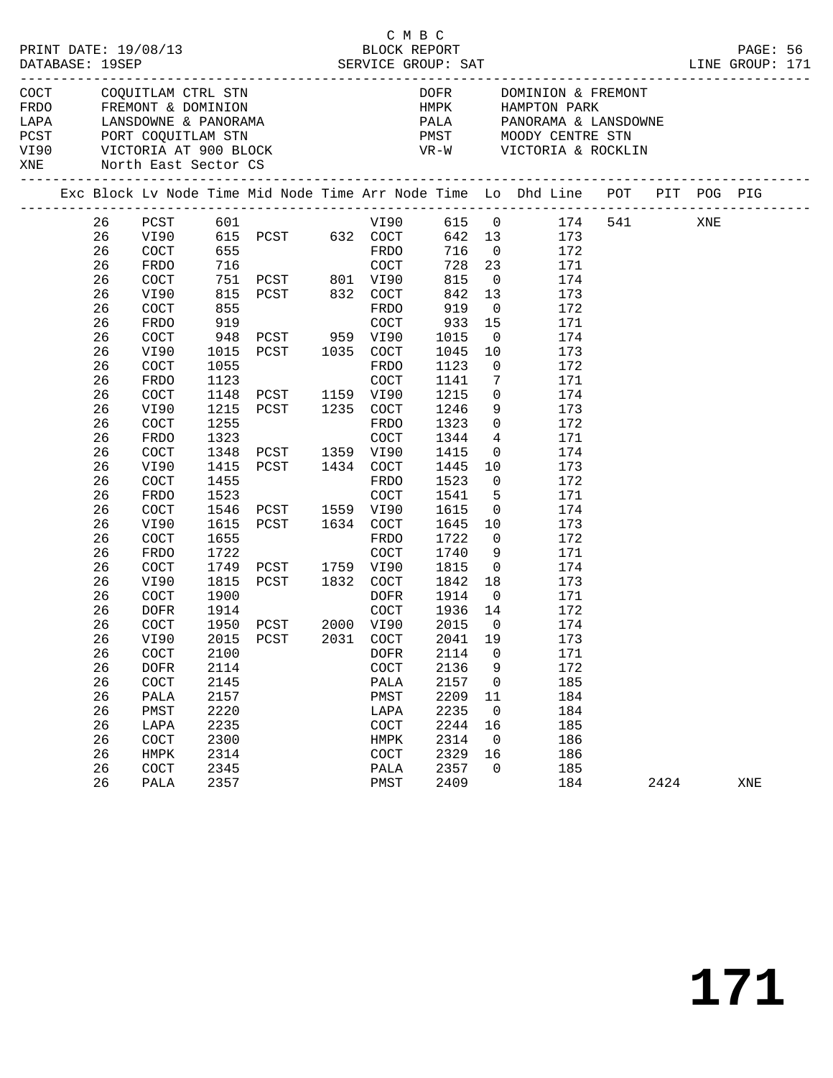| PRINT DATE: 19/08/13<br>DATABASE: 19SEP |          |                                            |              | 8/13                                     | СМВС<br>BLOCK REPORT<br>SERVICE GROUP: SAT |                                 |                         |                                                                                                                                                                                                                                                                                                                                                                                                                                                                                                                                                                                                                                     |      | PAGE: 56<br>LINE GROUP: 171 |  |
|-----------------------------------------|----------|--------------------------------------------|--------------|------------------------------------------|--------------------------------------------|---------------------------------|-------------------------|-------------------------------------------------------------------------------------------------------------------------------------------------------------------------------------------------------------------------------------------------------------------------------------------------------------------------------------------------------------------------------------------------------------------------------------------------------------------------------------------------------------------------------------------------------------------------------------------------------------------------------------|------|-----------------------------|--|
| COCT<br>XNE                             |          | COQUITLAM CTRL STN<br>North East Sector CS |              |                                          |                                            | <b>DOFR</b><br>________________ |                         | DOMINION & FREMONT<br>$\begin{tabular}{lllllll} \bf{HMPK} & \tt{HAMPTON} & \tt{PARK} \\ \bf{PALA} & \tt{PANORAMA} & \tt{LANSDOWNE} \end{tabular}$<br>$\begin{tabular}{lllllllllllllllllllll} \multicolumn{3}{c}{\textbf{F}\textbf{RDO}} & \multicolumn{3}{c}{\textbf{F}\textbf{REMONT}} & \multicolumn{3}{c}{\textbf{B}\textbf{RDO}} & \multicolumn{3}{c}{\textbf{H}\textbf{MPR}} & \multicolumn{3}{c}{\textbf{H}\textbf{AMPTON} \textbf{PARK}} \\ \multicolumn{3}{c}{\textbf{LAPA}} & \multicolumn{3}{c}{\textbf{LANSDOWNE}} & \textbf{\&} \textbf{PANORAMA} & \multicolumn{3}{c}{\textbf{PANORAMA}} & \multicolumn{3}{c}{\textbf$ |      |                             |  |
|                                         |          |                                            |              |                                          |                                            |                                 |                         | Exc Block Lv Node Time Mid Node Time Arr Node Time Lo Dhd Line POT PIT POG PIG                                                                                                                                                                                                                                                                                                                                                                                                                                                                                                                                                      |      |                             |  |
|                                         | 26       |                                            |              |                                          |                                            |                                 |                         |                                                                                                                                                                                                                                                                                                                                                                                                                                                                                                                                                                                                                                     |      |                             |  |
|                                         | 26       |                                            |              |                                          |                                            |                                 |                         |                                                                                                                                                                                                                                                                                                                                                                                                                                                                                                                                                                                                                                     |      |                             |  |
|                                         | 26       | COCT                                       | 655          |                                          | FRDO                                       | 716                             | $\overline{0}$          | 172                                                                                                                                                                                                                                                                                                                                                                                                                                                                                                                                                                                                                                 |      |                             |  |
|                                         | 26       | FRDO                                       | 716          |                                          | COCT                                       | 728 23                          |                         | 171                                                                                                                                                                                                                                                                                                                                                                                                                                                                                                                                                                                                                                 |      |                             |  |
|                                         | 26       | COCT                                       |              | 751 PCST 801 VI90<br>815 PCST 832 COCT   |                                            | 815                             | $\overline{0}$          | 174                                                                                                                                                                                                                                                                                                                                                                                                                                                                                                                                                                                                                                 |      |                             |  |
|                                         | 26       | VI90                                       |              |                                          |                                            | 842                             | 13                      | 173                                                                                                                                                                                                                                                                                                                                                                                                                                                                                                                                                                                                                                 |      |                             |  |
|                                         | 26       | COCT                                       | 855          |                                          | FRDO                                       | 919                             | $\overline{0}$          | 172                                                                                                                                                                                                                                                                                                                                                                                                                                                                                                                                                                                                                                 |      |                             |  |
|                                         | 26       | FRDO                                       | 919          |                                          | COCT                                       | 933                             | 15                      | 171                                                                                                                                                                                                                                                                                                                                                                                                                                                                                                                                                                                                                                 |      |                             |  |
|                                         | 26       | COCT                                       |              | 948 PCST 959 VI90<br>1015 PCST 1035 COCT |                                            | 1015                            | $\overline{0}$          | 174                                                                                                                                                                                                                                                                                                                                                                                                                                                                                                                                                                                                                                 |      |                             |  |
|                                         | 26       | VI90                                       |              |                                          |                                            | 1045                            | 10                      | 173                                                                                                                                                                                                                                                                                                                                                                                                                                                                                                                                                                                                                                 |      |                             |  |
|                                         | 26       | COCT                                       | 1055         |                                          | FRDO                                       | 1123                            | $\overline{0}$          | 172                                                                                                                                                                                                                                                                                                                                                                                                                                                                                                                                                                                                                                 |      |                             |  |
|                                         | 26       | FRDO                                       | 1123         |                                          | COCT                                       | 1141                            | $7\phantom{.0}$         | 171                                                                                                                                                                                                                                                                                                                                                                                                                                                                                                                                                                                                                                 |      |                             |  |
|                                         | 26       | COCT                                       | 1148         | PCST 1159 VI90                           |                                            | 1215                            | $\overline{0}$          | 174                                                                                                                                                                                                                                                                                                                                                                                                                                                                                                                                                                                                                                 |      |                             |  |
|                                         | 26       | VI90                                       | 1215         | PCST 1235 COCT                           |                                            | 1246                            |                         | 9<br>173                                                                                                                                                                                                                                                                                                                                                                                                                                                                                                                                                                                                                            |      |                             |  |
|                                         | 26       | COCT                                       | 1255         |                                          | FRDO                                       | 1323                            | $\overline{0}$          | 172                                                                                                                                                                                                                                                                                                                                                                                                                                                                                                                                                                                                                                 |      |                             |  |
|                                         | 26       | FRDO                                       | 1323         |                                          | COCT                                       | 1344                            | $\overline{4}$          | 171                                                                                                                                                                                                                                                                                                                                                                                                                                                                                                                                                                                                                                 |      |                             |  |
|                                         | 26       | COCT                                       | 1348         | PCST 1359 VI90                           |                                            | 1415                            | $\overline{0}$          | 174                                                                                                                                                                                                                                                                                                                                                                                                                                                                                                                                                                                                                                 |      |                             |  |
|                                         | 26       | VI90                                       |              | 1415 PCST 1434 COCT                      |                                            | 1445                            | 10                      | 173                                                                                                                                                                                                                                                                                                                                                                                                                                                                                                                                                                                                                                 |      |                             |  |
|                                         | 26       | COCT                                       | 1455         |                                          | FRDO                                       | 1523                            | $\overline{0}$          | 172                                                                                                                                                                                                                                                                                                                                                                                                                                                                                                                                                                                                                                 |      |                             |  |
|                                         | 26       | FRDO                                       | 1523         |                                          | COCT                                       | 1541                            | $5^{\circ}$             | 171                                                                                                                                                                                                                                                                                                                                                                                                                                                                                                                                                                                                                                 |      |                             |  |
|                                         | 26       | COCT                                       | 1546         | PCST 1559 VI90                           |                                            | 1615                            | $\overline{0}$          | 174                                                                                                                                                                                                                                                                                                                                                                                                                                                                                                                                                                                                                                 |      |                             |  |
|                                         | 26       | VI90                                       | 1615         | PCST 1634 COCT                           |                                            | 1645                            | 10                      | 173                                                                                                                                                                                                                                                                                                                                                                                                                                                                                                                                                                                                                                 |      |                             |  |
|                                         | 26       | COCT                                       | 1655         |                                          | FRDO                                       | 1722                            | $\overline{0}$          | 172                                                                                                                                                                                                                                                                                                                                                                                                                                                                                                                                                                                                                                 |      |                             |  |
|                                         | 26       | FRDO                                       | 1722         |                                          | COCT                                       | 1740                            | - 9                     | 171                                                                                                                                                                                                                                                                                                                                                                                                                                                                                                                                                                                                                                 |      |                             |  |
|                                         | 26       | COCT                                       | 1749         | PCST 1759 VI90                           |                                            | 1815                            | $\overline{\mathbf{0}}$ | 174                                                                                                                                                                                                                                                                                                                                                                                                                                                                                                                                                                                                                                 |      |                             |  |
|                                         | 26       | VI90                                       | 1815         | PCST 1832 COCT                           |                                            | 1842                            |                         | 18<br>173                                                                                                                                                                                                                                                                                                                                                                                                                                                                                                                                                                                                                           |      |                             |  |
|                                         | 26       | COCT                                       | 1900         |                                          | DOFR                                       | 1914                            | $\overline{0}$          | 171                                                                                                                                                                                                                                                                                                                                                                                                                                                                                                                                                                                                                                 |      |                             |  |
|                                         | 26       | DOFR                                       | 1914         |                                          | COCT                                       | 1936                            | 14                      | 172                                                                                                                                                                                                                                                                                                                                                                                                                                                                                                                                                                                                                                 |      |                             |  |
|                                         | 26       | COCT                                       |              | 1950 PCST 2000 VI90                      |                                            | 2015                            | $\overline{0}$          | 174                                                                                                                                                                                                                                                                                                                                                                                                                                                                                                                                                                                                                                 |      |                             |  |
|                                         | 26 VI90  |                                            |              | 2015 PCST                                | 2031 COCT 2041 19                          |                                 |                         | 173                                                                                                                                                                                                                                                                                                                                                                                                                                                                                                                                                                                                                                 |      |                             |  |
|                                         | 26       | COCT                                       | 2100         |                                          | <b>DOFR</b>                                | 2114                            | 0                       | 171                                                                                                                                                                                                                                                                                                                                                                                                                                                                                                                                                                                                                                 |      |                             |  |
|                                         | 26       | <b>DOFR</b>                                | 2114         |                                          | COCT                                       | 2136                            | 9                       | 172                                                                                                                                                                                                                                                                                                                                                                                                                                                                                                                                                                                                                                 |      |                             |  |
|                                         | 26       | COCT                                       | 2145         |                                          | PALA                                       | 2157                            | 0                       | 185                                                                                                                                                                                                                                                                                                                                                                                                                                                                                                                                                                                                                                 |      |                             |  |
|                                         | 26       | PALA                                       | 2157         |                                          | PMST                                       | 2209                            | 11                      | 184                                                                                                                                                                                                                                                                                                                                                                                                                                                                                                                                                                                                                                 |      |                             |  |
|                                         | 26       | PMST                                       | 2220         |                                          | LAPA                                       | 2235                            | $\mathbf 0$             | 184                                                                                                                                                                                                                                                                                                                                                                                                                                                                                                                                                                                                                                 |      |                             |  |
|                                         | 26       | LAPA                                       | 2235         |                                          | $\operatorname{COT}$                       | 2244                            | 16                      | 185                                                                                                                                                                                                                                                                                                                                                                                                                                                                                                                                                                                                                                 |      |                             |  |
|                                         | 26<br>26 | COCT                                       | 2300<br>2314 |                                          | HMPK                                       | 2314<br>2329                    | 0                       | 186                                                                                                                                                                                                                                                                                                                                                                                                                                                                                                                                                                                                                                 |      |                             |  |
|                                         | 26       | HMPK<br>COCT                               | 2345         |                                          | COCT<br>PALA                               | 2357                            | 16<br>0                 | 186<br>185                                                                                                                                                                                                                                                                                                                                                                                                                                                                                                                                                                                                                          |      |                             |  |
|                                         | 26       | PALA                                       | 2357         |                                          | PMST                                       | 2409                            |                         | 184                                                                                                                                                                                                                                                                                                                                                                                                                                                                                                                                                                                                                                 | 2424 | XNE                         |  |
|                                         |          |                                            |              |                                          |                                            |                                 |                         |                                                                                                                                                                                                                                                                                                                                                                                                                                                                                                                                                                                                                                     |      |                             |  |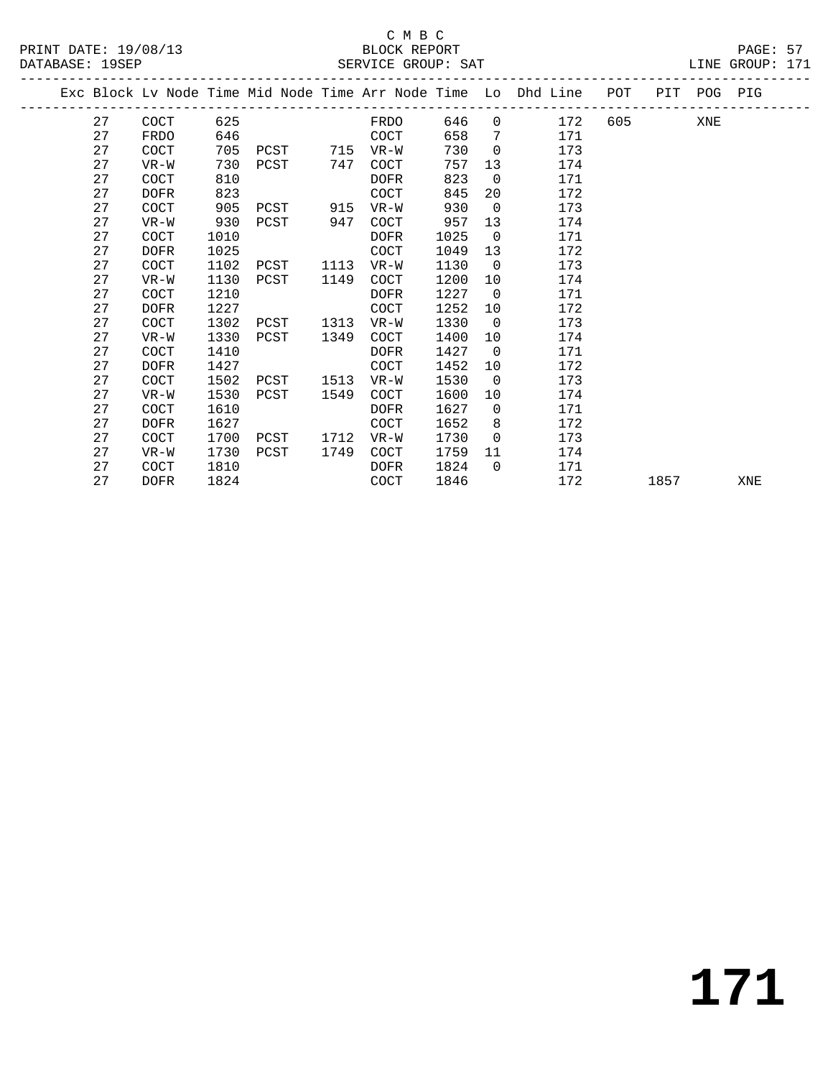|  |    |             |      |      |      |             |      |                | Exc Block Lv Node Time Mid Node Time Arr Node Time Lo Dhd Line | POT |      | PIT POG PIG |     |
|--|----|-------------|------|------|------|-------------|------|----------------|----------------------------------------------------------------|-----|------|-------------|-----|
|  | 27 | COCT        | 625  |      |      | FRDO        | 646  | $\Omega$       | 172                                                            | 605 |      | XNE         |     |
|  | 27 | <b>FRDO</b> | 646  |      |      | COCT        | 658  | 7              | 171                                                            |     |      |             |     |
|  | 27 | COCT        | 705  | PCST | 715  | VR-W        | 730  | $\overline{0}$ | 173                                                            |     |      |             |     |
|  | 27 | $VR-W$      | 730  | PCST | 747  | <b>COCT</b> | 757  | 13             | 174                                                            |     |      |             |     |
|  | 27 | <b>COCT</b> | 810  |      |      | <b>DOFR</b> | 823  | $\overline{0}$ | 171                                                            |     |      |             |     |
|  | 27 | <b>DOFR</b> | 823  |      |      | <b>COCT</b> | 845  | 20             | 172                                                            |     |      |             |     |
|  | 27 | COCT        | 905  | PCST | 915  | $VR-W$      | 930  | $\mathbf 0$    | 173                                                            |     |      |             |     |
|  | 27 | $VR-W$      | 930  | PCST | 947  | COCT        | 957  | 13             | 174                                                            |     |      |             |     |
|  | 27 | COCT        | 1010 |      |      | <b>DOFR</b> | 1025 | $\Omega$       | 171                                                            |     |      |             |     |
|  | 27 | <b>DOFR</b> | 1025 |      |      | <b>COCT</b> | 1049 | 13             | 172                                                            |     |      |             |     |
|  | 27 | COCT        | 1102 | PCST | 1113 | VR-W        | 1130 | $\overline{0}$ | 173                                                            |     |      |             |     |
|  | 27 | $VR-W$      | 1130 | PCST | 1149 | COCT        | 1200 | 10             | 174                                                            |     |      |             |     |
|  | 27 | <b>COCT</b> | 1210 |      |      | <b>DOFR</b> | 1227 | $\overline{0}$ | 171                                                            |     |      |             |     |
|  | 27 | <b>DOFR</b> | 1227 |      |      | COCT        | 1252 | 10             | 172                                                            |     |      |             |     |
|  | 27 | <b>COCT</b> | 1302 | PCST | 1313 | $VR-W$      | 1330 | $\overline{0}$ | 173                                                            |     |      |             |     |
|  | 27 | $VR-W$      | 1330 | PCST | 1349 | COCT        | 1400 | 10             | 174                                                            |     |      |             |     |
|  | 27 | COCT        | 1410 |      |      | <b>DOFR</b> | 1427 | $\overline{0}$ | 171                                                            |     |      |             |     |
|  | 27 | <b>DOFR</b> | 1427 |      |      | <b>COCT</b> | 1452 | 10             | 172                                                            |     |      |             |     |
|  | 27 | COCT        | 1502 | PCST | 1513 | VR-W        | 1530 | $\overline{0}$ | 173                                                            |     |      |             |     |
|  | 27 | $VR-W$      | 1530 | PCST | 1549 | <b>COCT</b> | 1600 | 10             | 174                                                            |     |      |             |     |
|  | 27 | COCT        | 1610 |      |      | <b>DOFR</b> | 1627 | $\Omega$       | 171                                                            |     |      |             |     |
|  | 27 | <b>DOFR</b> | 1627 |      |      | COCT        | 1652 | 8              | 172                                                            |     |      |             |     |
|  | 27 | <b>COCT</b> | 1700 | PCST | 1712 | $VR-W$      | 1730 | $\Omega$       | 173                                                            |     |      |             |     |
|  | 27 | $VR-W$      | 1730 | PCST | 1749 | COCT        | 1759 | 11             | 174                                                            |     |      |             |     |
|  | 27 | <b>COCT</b> | 1810 |      |      | <b>DOFR</b> | 1824 | $\Omega$       | 171                                                            |     |      |             |     |
|  | 27 | <b>DOFR</b> | 1824 |      |      | <b>COCT</b> | 1846 |                | 172                                                            |     | 1857 |             | XNE |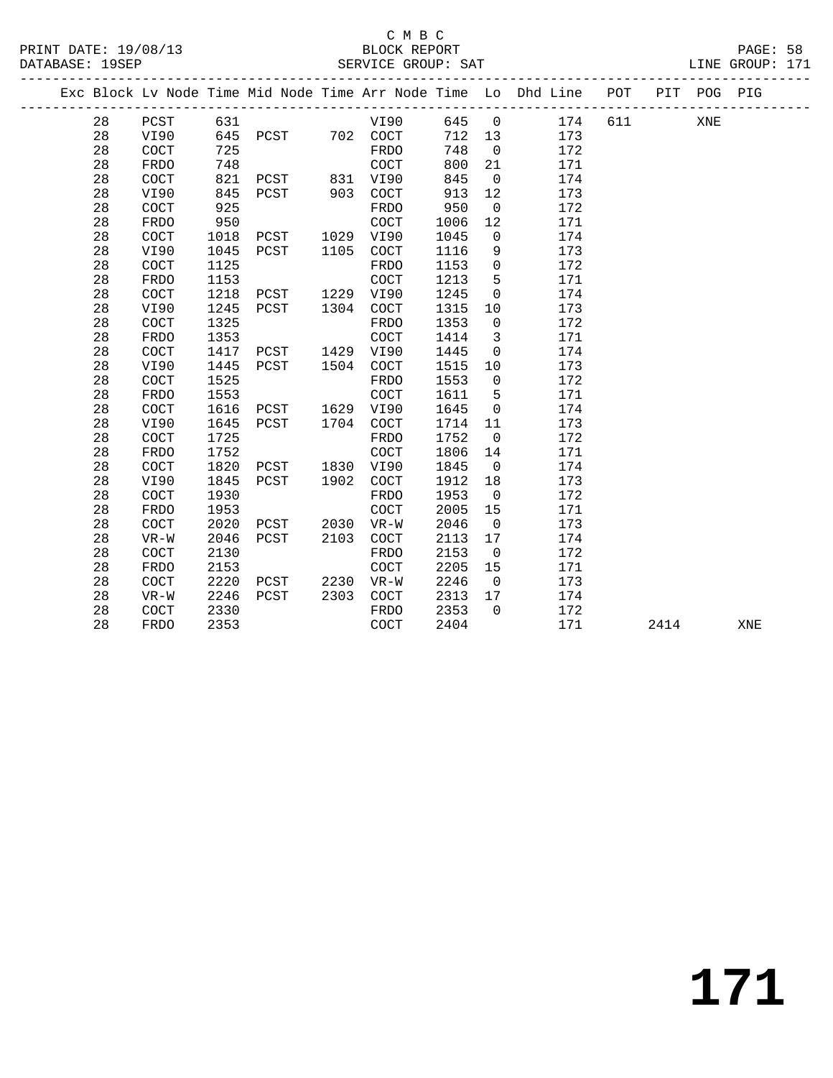|  |    |             |      |      |      | _______________________ |      |                | Exc Block Lv Node Time Mid Node Time Arr Node Time Lo Dhd Line POT | __________ |      | PIT POG PIG |     |
|--|----|-------------|------|------|------|-------------------------|------|----------------|--------------------------------------------------------------------|------------|------|-------------|-----|
|  | 28 | PCST        | 631  |      |      | VI90                    | 645  | $\overline{0}$ | 174                                                                | 611        |      | XNE         |     |
|  | 28 | VI90        | 645  | PCST |      | 702 COCT                | 712  | 13             | 173                                                                |            |      |             |     |
|  | 28 | COCT        | 725  |      |      | <b>FRDO</b>             | 748  | $\Omega$       | 172                                                                |            |      |             |     |
|  | 28 | <b>FRDO</b> | 748  |      |      | COCT                    | 800  | 21             | 171                                                                |            |      |             |     |
|  | 28 | COCT        | 821  | PCST | 831  | VI90                    | 845  | $\mathbf 0$    | 174                                                                |            |      |             |     |
|  | 28 | VI90        | 845  | PCST | 903  | COCT                    | 913  | 12             | 173                                                                |            |      |             |     |
|  | 28 | COCT        | 925  |      |      | FRDO                    | 950  | $\mathsf{O}$   | 172                                                                |            |      |             |     |
|  | 28 | <b>FRDO</b> | 950  |      |      | COCT                    | 1006 | 12             | 171                                                                |            |      |             |     |
|  | 28 | COCT        | 1018 | PCST |      | 1029 VI90               | 1045 | $\mathbf 0$    | 174                                                                |            |      |             |     |
|  | 28 | VI90        | 1045 | PCST | 1105 | COCT                    | 1116 | 9              | 173                                                                |            |      |             |     |
|  | 28 | COCT        | 1125 |      |      | <b>FRDO</b>             | 1153 | $\mathsf{O}$   | 172                                                                |            |      |             |     |
|  | 28 | <b>FRDO</b> | 1153 |      |      | COCT                    | 1213 | 5              | 171                                                                |            |      |             |     |
|  | 28 | <b>COCT</b> | 1218 | PCST | 1229 | VI90                    | 1245 | $\mathbf 0$    | 174                                                                |            |      |             |     |
|  | 28 | VI90        | 1245 | PCST | 1304 | COCT                    | 1315 | 10             | 173                                                                |            |      |             |     |
|  | 28 | COCT        | 1325 |      |      | FRDO                    | 1353 | $\mathbf 0$    | 172                                                                |            |      |             |     |
|  | 28 | <b>FRDO</b> | 1353 |      |      | COCT                    | 1414 | 3              | 171                                                                |            |      |             |     |
|  | 28 | <b>COCT</b> | 1417 | PCST | 1429 | VI90                    | 1445 | $\mathbf 0$    | 174                                                                |            |      |             |     |
|  | 28 | VI90        | 1445 | PCST | 1504 | COCT                    | 1515 | 10             | 173                                                                |            |      |             |     |
|  | 28 | COCT        | 1525 |      |      | FRDO                    | 1553 | $\mathbf 0$    | 172                                                                |            |      |             |     |
|  | 28 | <b>FRDO</b> | 1553 |      |      | COCT                    | 1611 | 5              | 171                                                                |            |      |             |     |
|  | 28 | COCT        | 1616 | PCST | 1629 | VI90                    | 1645 | $\mathbf 0$    | 174                                                                |            |      |             |     |
|  | 28 | VI90        | 1645 | PCST | 1704 | COCT                    | 1714 | 11             | 173                                                                |            |      |             |     |
|  | 28 | COCT        | 1725 |      |      | FRDO                    | 1752 | $\mathbf 0$    | 172                                                                |            |      |             |     |
|  | 28 | FRDO        | 1752 |      |      | COCT                    | 1806 | 14             | 171                                                                |            |      |             |     |
|  | 28 | COCT        | 1820 | PCST | 1830 | VI90                    | 1845 | $\overline{0}$ | 174                                                                |            |      |             |     |
|  | 28 | VI90        | 1845 | PCST | 1902 | COCT                    | 1912 | 18             | 173                                                                |            |      |             |     |
|  | 28 | COCT        | 1930 |      |      | FRDO                    | 1953 | $\mathbf 0$    | 172                                                                |            |      |             |     |
|  | 28 | FRDO        | 1953 |      |      | COCT                    | 2005 | 15             | 171                                                                |            |      |             |     |
|  | 28 | COCT        | 2020 | PCST | 2030 | $VR-W$                  | 2046 | $\overline{0}$ | 173                                                                |            |      |             |     |
|  | 28 | $VR-W$      | 2046 | PCST | 2103 | COCT                    | 2113 | 17             | 174                                                                |            |      |             |     |
|  | 28 | COCT        | 2130 |      |      | <b>FRDO</b>             | 2153 | $\overline{0}$ | 172                                                                |            |      |             |     |
|  | 28 | <b>FRDO</b> | 2153 |      |      | COCT                    | 2205 | 15             | 171                                                                |            |      |             |     |
|  | 28 | <b>COCT</b> | 2220 | PCST | 2230 | $VR-W$                  | 2246 | $\overline{0}$ | 173                                                                |            |      |             |     |
|  | 28 | $VR-W$      | 2246 | PCST | 2303 | <b>COCT</b>             | 2313 | 17             | 174                                                                |            |      |             |     |
|  | 28 | COCT        | 2330 |      |      | FRDO                    | 2353 | $\Omega$       | 172                                                                |            |      |             |     |
|  | 28 | <b>FRDO</b> | 2353 |      |      | COCT                    | 2404 |                | 171                                                                |            | 2414 |             | XNE |
|  |    |             |      |      |      |                         |      |                |                                                                    |            |      |             |     |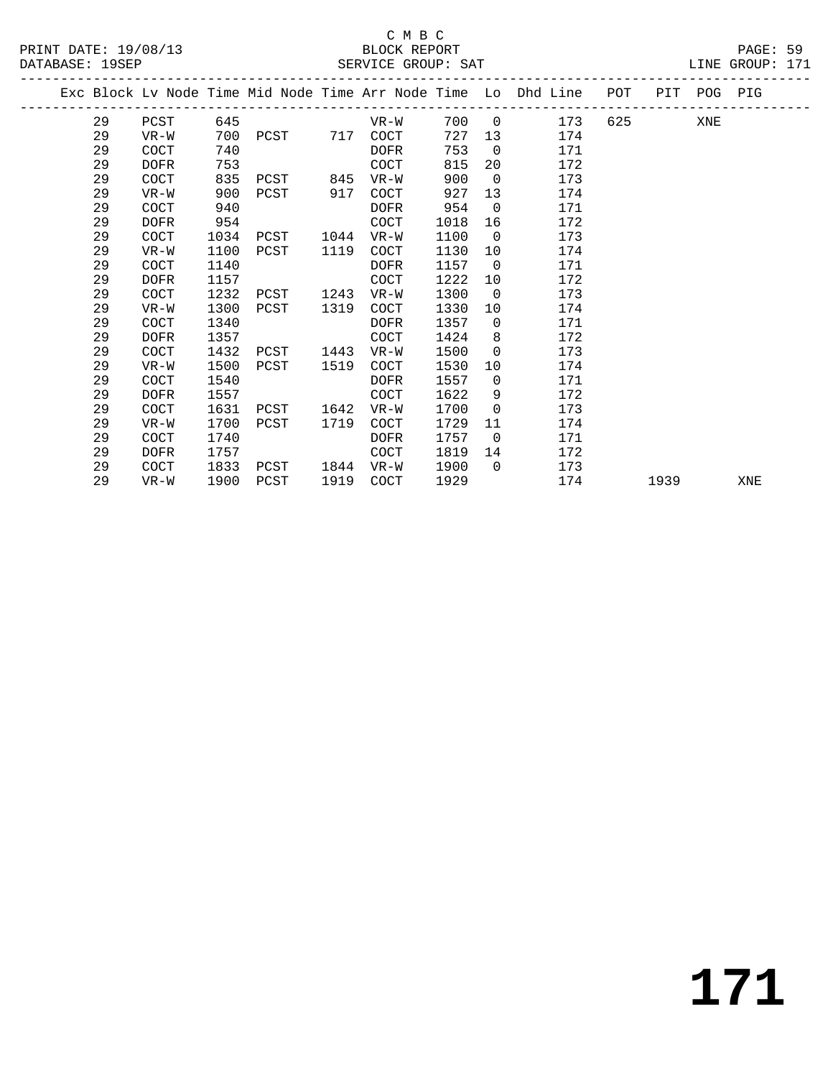### C M B C<br>BLOCK REPORT SERVICE GROUP: SAT

PRINT DATE: 19/08/13 BLOCK REPORT PAGE: 59

|  |    |             |      |           |      |             |      |                | Exc Block Lv Node Time Mid Node Time Arr Node Time Lo Dhd Line POT |           |      | PIT POG PIG |     |
|--|----|-------------|------|-----------|------|-------------|------|----------------|--------------------------------------------------------------------|-----------|------|-------------|-----|
|  | 29 | PCST        | 645  |           |      | $VR-W$      |      |                | 700 0<br>173                                                       | 625 — 100 |      | XNE         |     |
|  | 29 | VR-W        | 700  | PCST 717  |      | COCT        | 727  |                | 13<br>174                                                          |           |      |             |     |
|  | 29 | <b>COCT</b> | 740  |           |      | DOFR        | 753  | $\overline{0}$ | 171                                                                |           |      |             |     |
|  | 29 | <b>DOFR</b> | 753  |           |      | <b>COCT</b> | 815  | 20             | 172                                                                |           |      |             |     |
|  | 29 | COCT        | 835  | PCST      | 845  | VR-W        | 900  | $\overline{0}$ | 173                                                                |           |      |             |     |
|  | 29 | $VR-W$      | 900  | PCST      | 917  | COCT        | 927  | 13             | 174                                                                |           |      |             |     |
|  | 29 | COCT        | 940  |           |      | <b>DOFR</b> | 954  | $\overline{0}$ | 171                                                                |           |      |             |     |
|  | 29 | <b>DOFR</b> | 954  |           |      | <b>COCT</b> | 1018 | 16             | 172                                                                |           |      |             |     |
|  | 29 | <b>COCT</b> | 1034 | PCST      | 1044 | VR-W        | 1100 | $\overline{0}$ | 173                                                                |           |      |             |     |
|  | 29 | $VR-W$      | 1100 | PCST      | 1119 | COCT        | 1130 | 10             | 174                                                                |           |      |             |     |
|  | 29 | <b>COCT</b> | 1140 |           |      | <b>DOFR</b> | 1157 | $\overline{0}$ | 171                                                                |           |      |             |     |
|  | 29 | <b>DOFR</b> | 1157 |           |      | COCT        | 1222 | 10             | 172                                                                |           |      |             |     |
|  | 29 | COCT        | 1232 | PCST 1243 |      | VR-W        | 1300 | $\overline{0}$ | 173                                                                |           |      |             |     |
|  | 29 | $VR-W$      | 1300 | PCST      | 1319 | COCT        | 1330 | 10             | 174                                                                |           |      |             |     |
|  | 29 | COCT        | 1340 |           |      | <b>DOFR</b> | 1357 | $\overline{0}$ | 171                                                                |           |      |             |     |
|  | 29 | <b>DOFR</b> | 1357 |           |      | <b>COCT</b> | 1424 | 8              | 172                                                                |           |      |             |     |
|  | 29 | <b>COCT</b> | 1432 | PCST      | 1443 | $VR-W$      | 1500 | $\Omega$       | 173                                                                |           |      |             |     |
|  | 29 | $VR-W$      | 1500 | PCST      | 1519 | <b>COCT</b> | 1530 | 10             | 174                                                                |           |      |             |     |
|  | 29 | COCT        | 1540 |           |      | <b>DOFR</b> | 1557 | $\overline{0}$ | 171                                                                |           |      |             |     |
|  | 29 | <b>DOFR</b> | 1557 |           |      | COCT        | 1622 | 9              | 172                                                                |           |      |             |     |
|  | 29 | <b>COCT</b> | 1631 | PCST      | 1642 | $VR-W$      | 1700 | $\mathbf 0$    | 173                                                                |           |      |             |     |
|  | 29 | $VR-W$      | 1700 | PCST      | 1719 | COCT        | 1729 | 11             | 174                                                                |           |      |             |     |
|  | 29 | COCT        | 1740 |           |      | DOFR        | 1757 | $\overline{0}$ | 171                                                                |           |      |             |     |
|  | 29 | <b>DOFR</b> | 1757 |           |      | <b>COCT</b> | 1819 | 14             | 172                                                                |           |      |             |     |
|  | 29 | COCT        | 1833 | PCST      | 1844 | VR-W        | 1900 | $\overline{0}$ | 173                                                                |           |      |             |     |
|  | 29 | VR-W        | 1900 | PCST      | 1919 | COCT        | 1929 |                | 174                                                                |           | 1939 |             | XNE |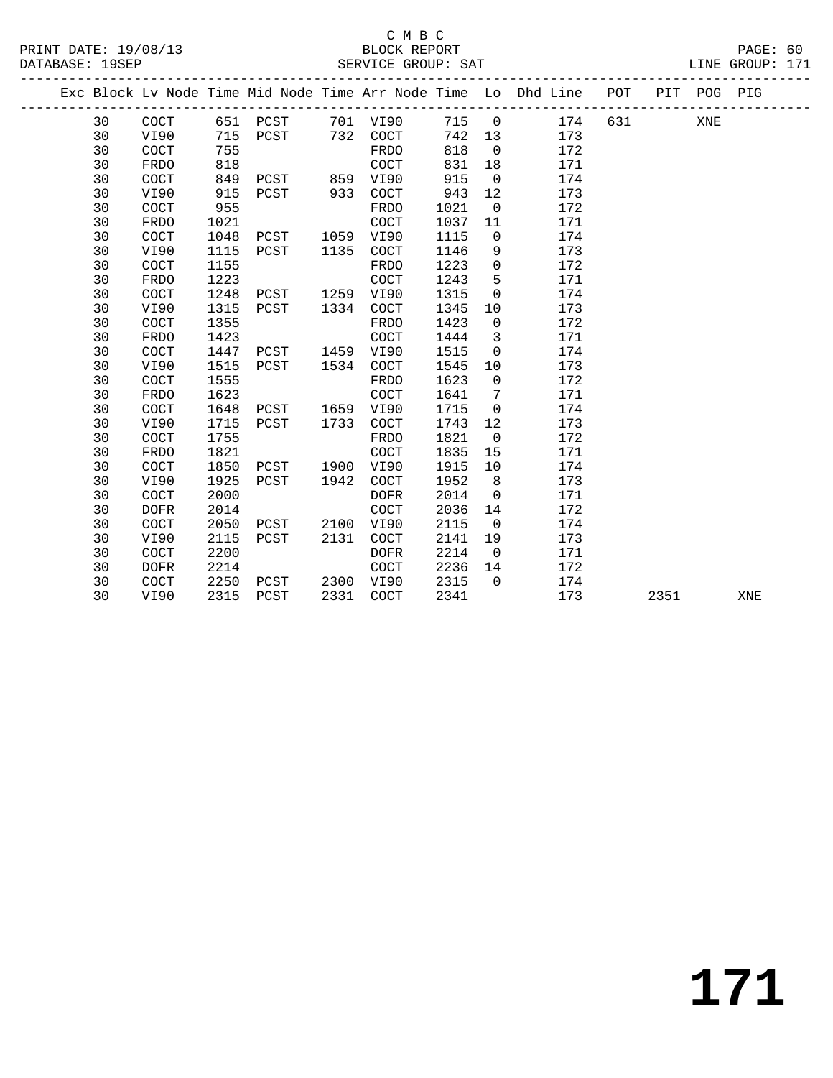#### C M B C DATABASE: 19SEP SERVICE GROUP: SAT LINE GROUP: 171

|  |    |             |      |      |      |             |      |          | Exc Block Lv Node Time Mid Node Time Arr Node Time Lo Dhd Line | POT | PIT | POG | PIG |  |
|--|----|-------------|------|------|------|-------------|------|----------|----------------------------------------------------------------|-----|-----|-----|-----|--|
|  | 30 | COCT        | 651  | PCST | 701  | VI90        | 715  | $\Omega$ | 174                                                            | 631 |     | XNE |     |  |
|  | 30 | VI90        | 715  | PCST | 732  | <b>COCT</b> | 742  | 13       | 173                                                            |     |     |     |     |  |
|  | 30 | COCT        | 755  |      |      | FRDO        | 818  | 0        | 172                                                            |     |     |     |     |  |
|  | 30 | FRDO        | 818  |      |      | COCT        | 831  | 18       | 171                                                            |     |     |     |     |  |
|  | 30 | COCT        | 849  | PCST | 859  | VI90        | 915  | $\Omega$ | 174                                                            |     |     |     |     |  |
|  | 30 | VI90        | 915  | PCST | 933  | COCT        | 943  | 12       | 173                                                            |     |     |     |     |  |
|  | 30 | COCT        | 955  |      |      | FRDO        | 1021 | $\Omega$ | 172                                                            |     |     |     |     |  |
|  | 30 | FRDO        | 1021 |      |      | COCT        | 1037 | 11       | 171                                                            |     |     |     |     |  |
|  | 30 | COCT        | 1048 | PCST | 1059 | VI90        | 1115 | $\Omega$ | 174                                                            |     |     |     |     |  |
|  | 30 | VI90        | 1115 | PCST | 1135 | <b>COCT</b> | 1146 | 9        | 173                                                            |     |     |     |     |  |
|  | 30 | COCT        | 1155 |      |      | FRDO        | 1223 | 0        | 172                                                            |     |     |     |     |  |
|  | 30 | FRDO        | 1223 |      |      | COCT        | 1243 | 5        | 171                                                            |     |     |     |     |  |
|  | 30 | COCT        | 1248 | PCST | 1259 | VI90        | 1315 | 0        | 174                                                            |     |     |     |     |  |
|  | 30 | VI90        | 1315 | PCST | 1334 | COCT        | 1345 | 10       | 173                                                            |     |     |     |     |  |
|  | 30 | COCT        | 1355 |      |      | FRDO        | 1423 | $\Omega$ | 172                                                            |     |     |     |     |  |
|  | 30 | FRDO        | 1423 |      |      | COCT        | 1444 | 3        | 171                                                            |     |     |     |     |  |
|  | 30 | <b>COCT</b> | 1447 | PCST | 1459 | VI90        | 1515 | $\Omega$ | 174                                                            |     |     |     |     |  |
|  |    |             |      |      |      |             |      |          |                                                                |     |     |     |     |  |

 30 VI90 1515 PCST 1534 COCT 1545 10 173 30 COCT 1555 FRDO 1623 0 172 30 FRDO 1623 COCT 1641 7 171 30 COCT 1648 PCST 1659 VI90 1715 0 174 30 VI90 1715 PCST 1733 COCT 1743 12 173 30 COCT 1755 FRDO 1821 0 172

 30 COCT 1850 PCST 1900 VI90 1915 10 174 30 VI90 1925 PCST 1942 COCT 1952 8 173 30 COCT 2000 DOFR 2014 0 171

 30 COCT 2050 PCST 2100 VI90 2115 0 174 30 VI90 2115 PCST 2131 COCT 2141 19 173 30 COCT 2200 DOFR 2214 0 171

30 COCT 2250 PCST 2300 VI90 2315 0 174

30 FRDO 1821 COCT 1835 15 171

30 DOFR 2014 COCT 2036 14 172

30 DOFR 2214 COCT 2236 14 172

30 VI90 2315 PCST 2331 COCT 2341 173 2351 XNE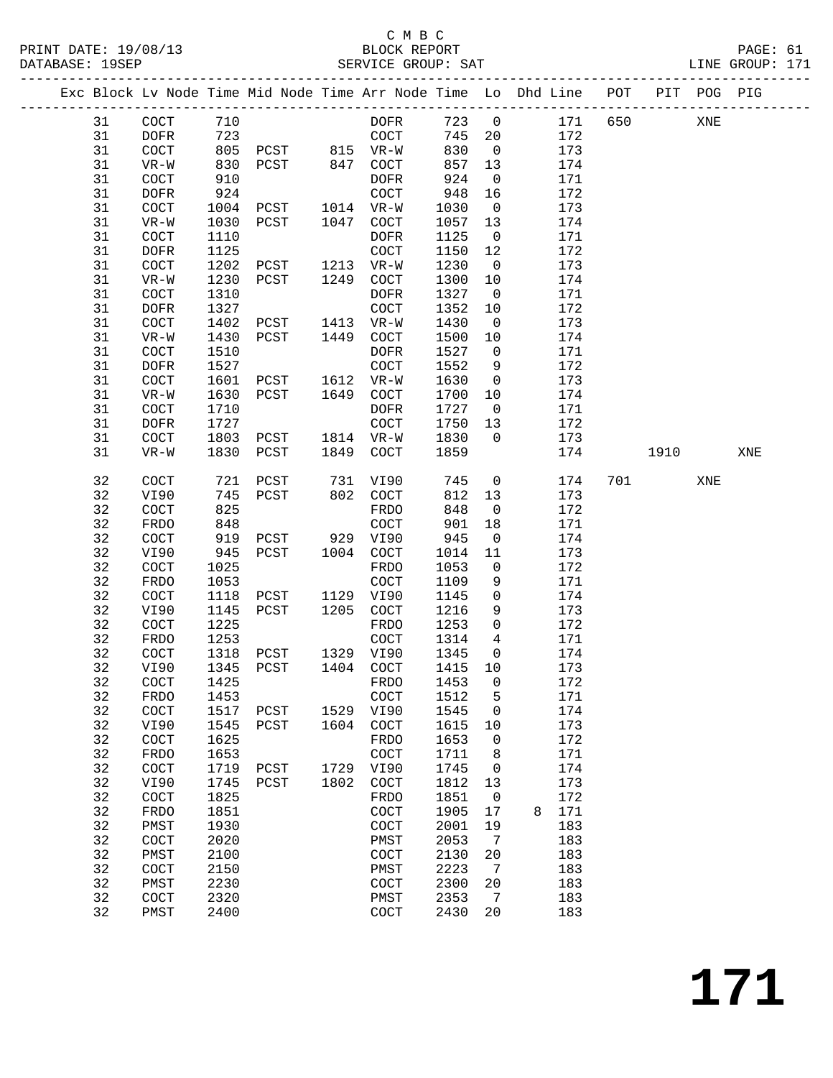|  |          |                      |              | Exc Block Lv Node Time Mid Node Time Arr Node Time Lo Dhd Line POT |      |                      |              |                       |   |            |     |      | PIT POG PIG |     |
|--|----------|----------------------|--------------|--------------------------------------------------------------------|------|----------------------|--------------|-----------------------|---|------------|-----|------|-------------|-----|
|  | 31       | $\operatorname{COT}$ | 710          |                                                                    |      | <b>DOFR</b>          | 723          | $\mathsf 0$           |   | 171        | 650 |      | XNE         |     |
|  | 31       | <b>DOFR</b>          | 723          |                                                                    |      | $\operatorname{COT}$ | 745          | 20                    |   | 172        |     |      |             |     |
|  | 31       | $\operatorname{COT}$ | 805          | PCST 815 VR-W                                                      |      |                      | 830          | $\overline{0}$        |   | 173        |     |      |             |     |
|  | 31       | $VR-W$               | 830          | PCST                                                               | 847  | $\operatorname{COT}$ | 857          | 13                    |   | 174        |     |      |             |     |
|  | 31       | COCT                 | 910          |                                                                    |      | <b>DOFR</b>          | 924          | $\mathbf 0$           |   | 171        |     |      |             |     |
|  | 31       | <b>DOFR</b>          | 924          |                                                                    |      | $\operatorname{COT}$ | 948          | 16                    |   | 172        |     |      |             |     |
|  | 31       | COCT                 | 1004         | PCST                                                               |      | 1014 VR-W            | 1030         | $\overline{0}$        |   | 173        |     |      |             |     |
|  | 31       | $VR-W$               | 1030         | PCST                                                               | 1047 | $\operatorname{COT}$ | 1057         | 13                    |   | 174        |     |      |             |     |
|  | 31       | COCT                 | 1110         |                                                                    |      | <b>DOFR</b>          | 1125         | $\mathbf 0$           |   | 171        |     |      |             |     |
|  | 31       | <b>DOFR</b>          | 1125         |                                                                    |      | COCT                 | 1150         | 12                    |   | 172        |     |      |             |     |
|  | 31       | COCT                 | 1202         | PCST                                                               | 1213 | $VR-W$               | 1230         | $\overline{0}$        |   | 173        |     |      |             |     |
|  | 31       | $VR-W$               | 1230         | PCST                                                               | 1249 | COCT                 | 1300         | 10                    |   | 174        |     |      |             |     |
|  | 31       | COCT                 | 1310         |                                                                    |      | DOFR                 | 1327         | $\mathbf 0$           |   | 171        |     |      |             |     |
|  | 31       | DOFR                 | 1327         |                                                                    |      | $\operatorname{COT}$ | 1352         | 10                    |   | 172        |     |      |             |     |
|  | 31       | COCT                 | 1402         | PCST                                                               | 1413 | $VR-W$               | 1430         | $\mathbf 0$           |   | 173        |     |      |             |     |
|  | 31<br>31 | $VR-W$<br>COCT       | 1430<br>1510 | PCST                                                               | 1449 | COCT<br><b>DOFR</b>  | 1500<br>1527 | 10<br>0               |   | 174<br>171 |     |      |             |     |
|  | 31       | <b>DOFR</b>          | 1527         |                                                                    |      | COCT                 | 1552         | 9                     |   | 172        |     |      |             |     |
|  | 31       | COCT                 | 1601         | PCST                                                               | 1612 | $VR-W$               | 1630         | $\mathbf 0$           |   | 173        |     |      |             |     |
|  | 31       | $VR-W$               | 1630         | PCST                                                               | 1649 | COCT                 | 1700         | 10                    |   | 174        |     |      |             |     |
|  | 31       | COCT                 | 1710         |                                                                    |      | <b>DOFR</b>          | 1727         | $\mathbf 0$           |   | 171        |     |      |             |     |
|  | 31       | <b>DOFR</b>          | 1727         |                                                                    |      | <b>COCT</b>          | 1750         | 13                    |   | 172        |     |      |             |     |
|  | 31       | COCT                 | 1803         | PCST                                                               | 1814 | $VR-W$               | 1830         | $\mathbf{0}$          |   | 173        |     |      |             |     |
|  | 31       | $VR-W$               | 1830         | PCST                                                               | 1849 | COCT                 | 1859         |                       |   | 174        |     | 1910 |             | XNE |
|  |          |                      |              |                                                                    |      |                      |              |                       |   |            |     |      |             |     |
|  | 32       | COCT                 | 721          | PCST                                                               | 731  | VI90                 | 745          | 0                     |   | 174        | 701 |      | XNE         |     |
|  | 32       | VI90                 | 745          | PCST                                                               | 802  | COCT                 | 812          | 13                    |   | 173        |     |      |             |     |
|  | 32       | COCT                 | 825          |                                                                    |      | FRDO                 | 848          | $\mathbf 0$           |   | 172        |     |      |             |     |
|  | 32       | FRDO                 | 848          |                                                                    |      | COCT                 | 901          | 18                    |   | 171        |     |      |             |     |
|  | 32       | COCT                 | 919          | PCST                                                               | 929  | VI90                 | 945          | $\mathsf{O}$          |   | 174        |     |      |             |     |
|  | 32<br>32 | VI90<br>COCT         | 945<br>1025  | PCST                                                               | 1004 | COCT                 | 1014         | 11                    |   | 173<br>172 |     |      |             |     |
|  | 32       | FRDO                 | 1053         |                                                                    |      | FRDO<br>COCT         | 1053<br>1109 | 0<br>9                |   | 171        |     |      |             |     |
|  | 32       | COCT                 | 1118         | PCST                                                               | 1129 | VI90                 | 1145         | 0                     |   | 174        |     |      |             |     |
|  | 32       | VI90                 | 1145         | PCST                                                               | 1205 | COCT                 | 1216         | 9                     |   | 173        |     |      |             |     |
|  | 32       | COCT                 | 1225         |                                                                    |      | FRDO                 | 1253         | $\mathsf{O}$          |   | 172        |     |      |             |     |
|  | 32       | FRDO                 | 1253         |                                                                    |      | COCT                 | 1314         | 4                     |   | 171        |     |      |             |     |
|  | 32       | COCT                 | 1318         | PCST                                                               | 1329 | VI90                 | 1345         | $\mathsf{O}$          |   | 174        |     |      |             |     |
|  | 32       | VI90                 | 1345         | PCST                                                               | 1404 | COCT                 | 1415         | 10                    |   | 173        |     |      |             |     |
|  | 32       | COCT                 | 1425         |                                                                    |      | FRDO                 | 1453 0       |                       |   | 172        |     |      |             |     |
|  | 32       | FRDO                 | 1453         |                                                                    |      | COCT                 | 1512         | 5                     |   | 171        |     |      |             |     |
|  | 32       | COCT                 | 1517         | PCST                                                               | 1529 | VI90                 | 1545         | 0                     |   | 174        |     |      |             |     |
|  | 32       | VI90                 | 1545         | PCST                                                               | 1604 | COCT                 | 1615         | 10                    |   | 173        |     |      |             |     |
|  | 32       | COCT                 | 1625         |                                                                    |      | FRDO                 | 1653         | 0                     |   | 172        |     |      |             |     |
|  | 32       | FRDO                 | 1653         |                                                                    |      | COCT                 | 1711         | 8                     |   | 171        |     |      |             |     |
|  | 32       | $\operatorname{COT}$ | 1719         | PCST                                                               | 1729 | VI90                 | 1745         | 0                     |   | 174        |     |      |             |     |
|  | 32       | VI90                 | 1745         | PCST                                                               | 1802 | COCT                 | 1812         | 13                    |   | 173        |     |      |             |     |
|  | 32       | COCT                 | 1825         |                                                                    |      | FRDO                 | 1851         | 0                     |   | 172        |     |      |             |     |
|  | 32       | FRDO                 | 1851         |                                                                    |      | COCT                 | 1905         | 17                    | 8 | 171        |     |      |             |     |
|  | 32       | PMST                 | 1930         |                                                                    |      | COCT                 | 2001         | 19                    |   | 183        |     |      |             |     |
|  | 32       | COCT                 | 2020         |                                                                    |      | PMST                 | 2053         | 7                     |   | 183        |     |      |             |     |
|  | 32<br>32 | PMST<br>COCT         | 2100<br>2150 |                                                                    |      | COCT                 | 2130<br>2223 | 20<br>$7\phantom{.0}$ |   | 183<br>183 |     |      |             |     |
|  | 32       | PMST                 | 2230         |                                                                    |      | PMST<br>COCT         | 2300         | 20                    |   | 183        |     |      |             |     |
|  | 32       | COCT                 | 2320         |                                                                    |      | PMST                 | 2353         | 7                     |   | 183        |     |      |             |     |
|  | 32       | PMST                 | 2400         |                                                                    |      | COCT                 | 2430         | 20                    |   | 183        |     |      |             |     |
|  |          |                      |              |                                                                    |      |                      |              |                       |   |            |     |      |             |     |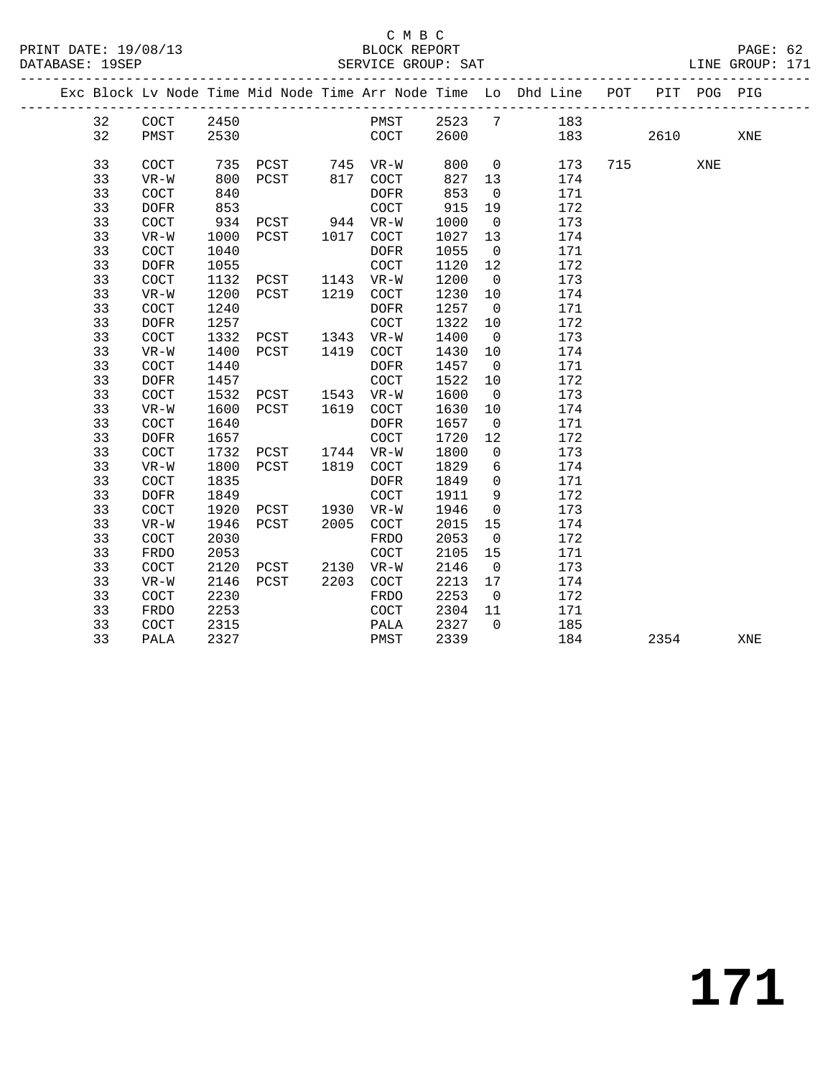### C M B C

| PRINT DATE: 19/08/13<br>DATABASE: 19SEP |    |                      |      | /13 BLOCK REPORT<br>SERVICE GROUP: SAT |      |                      |      |                |                                                                    |     |     |         | PAGE: 62<br>LINE GROUP: 171 |  |
|-----------------------------------------|----|----------------------|------|----------------------------------------|------|----------------------|------|----------------|--------------------------------------------------------------------|-----|-----|---------|-----------------------------|--|
|                                         |    |                      |      |                                        |      |                      |      |                | Exc Block Lv Node Time Mid Node Time Arr Node Time Lo Dhd Line POT |     | PIT | POG PIG |                             |  |
|                                         | 32 | COCT                 | 2450 |                                        |      | PMST                 |      |                | 2523 7 183                                                         |     |     |         |                             |  |
|                                         | 32 | PMST                 | 2530 |                                        |      | COCT                 | 2600 |                |                                                                    | 183 |     | 2610    | XNE                         |  |
|                                         | 33 | COCT                 |      | 735 PCST 745 VR-W                      |      |                      | 800  |                | $\overline{0}$<br>173                                              |     | 715 | XNE     |                             |  |
|                                         | 33 | $VR-W$               | 800  | PCST 817                               |      | COCT                 | 827  | 13             | 174                                                                |     |     |         |                             |  |
|                                         | 33 | COCT                 | 840  |                                        |      | <b>DOFR</b>          | 853  | $\overline{0}$ | 171                                                                |     |     |         |                             |  |
|                                         | 33 | <b>DOFR</b>          | 853  |                                        |      | $\operatorname{COT}$ | 915  | 19             | 172                                                                |     |     |         |                             |  |
|                                         | 33 | COCT                 | 934  | PCST 944 VR-W                          |      |                      | 1000 | $\overline{0}$ | 173                                                                |     |     |         |                             |  |
|                                         | 33 | $VR-W$               | 1000 | PCST                                   |      | 1017 COCT            | 1027 | 13             | 174                                                                |     |     |         |                             |  |
|                                         | 33 | $\operatorname{COT}$ | 1040 |                                        |      | <b>DOFR</b>          | 1055 | $\overline{0}$ | 171                                                                |     |     |         |                             |  |
|                                         | 33 | <b>DOFR</b>          | 1055 |                                        |      | COCT                 | 1120 | 12             | 172                                                                |     |     |         |                             |  |
|                                         | 33 | COCT                 | 1132 | PCST                                   | 1143 | $VR-W$               | 1200 | $\overline{0}$ | 173                                                                |     |     |         |                             |  |
|                                         | 33 | $VR-W$               | 1200 | PCST                                   | 1219 | COCT                 | 1230 | 10             | 174                                                                |     |     |         |                             |  |
|                                         | 33 | COCT                 | 1240 |                                        |      | DOFR                 | 1257 | $\overline{0}$ | 171                                                                |     |     |         |                             |  |
|                                         | 33 | <b>DOFR</b>          | 1257 |                                        |      | COCT                 | 1322 | 10             | 172                                                                |     |     |         |                             |  |
|                                         | 33 | $\operatorname{COT}$ | 1332 | PCST                                   |      | 1343 VR-W            | 1400 | $\overline{0}$ | 173                                                                |     |     |         |                             |  |
|                                         | 33 | $VR-W$               | 1400 | PCST                                   | 1419 | COCT                 | 1430 | 10             | 174                                                                |     |     |         |                             |  |
|                                         | 33 | COCT                 | 1440 |                                        |      | <b>DOFR</b>          | 1457 | $\overline{0}$ | 171                                                                |     |     |         |                             |  |
|                                         | 33 | <b>DOFR</b>          | 1457 |                                        |      | COCT                 | 1522 | 10             | 172                                                                |     |     |         |                             |  |
|                                         | 33 | COCT                 | 1532 | PCST                                   |      | 1543 VR-W            | 1600 | $\overline{0}$ | 173                                                                |     |     |         |                             |  |
|                                         | 33 | $VR-W$               | 1600 | PCST                                   |      | 1619 COCT            | 1630 | 10             | 174                                                                |     |     |         |                             |  |
|                                         | 33 | COCT                 | 1640 |                                        |      | <b>DOFR</b>          | 1657 | $\overline{0}$ | 171                                                                |     |     |         |                             |  |
|                                         | 33 | DOFR                 | 1657 |                                        |      | COCT                 | 1720 | 12             | 172                                                                |     |     |         |                             |  |
|                                         | 33 | COCT                 | 1732 | PCST                                   |      | 1744 VR-W            | 1800 | $\mathbf 0$    | 173                                                                |     |     |         |                             |  |
|                                         | 33 | $VR-W$               | 1800 | PCST                                   |      | 1819 COCT            | 1829 | 6              | 174                                                                |     |     |         |                             |  |
|                                         | 33 | COCT                 | 1835 |                                        |      | <b>DOFR</b>          | 1849 | $\overline{0}$ | 171                                                                |     |     |         |                             |  |
|                                         | 33 | <b>DOFR</b>          | 1849 |                                        |      | COCT                 | 1911 | 9              | 172                                                                |     |     |         |                             |  |
|                                         | 33 | COCT                 | 1920 | PCST                                   | 1930 | $VR-W$               | 1946 | $\mathbf 0$    | 173                                                                |     |     |         |                             |  |
|                                         | 33 | $VR-W$               | 1946 | PCST                                   | 2005 | $\operatorname{COT}$ | 2015 | 15             | 174                                                                |     |     |         |                             |  |
|                                         | 33 | COCT                 | 2030 |                                        |      | FRDO                 | 2053 | $\overline{0}$ | 172                                                                |     |     |         |                             |  |
|                                         | 33 | FRDO                 | 2053 |                                        |      | COCT                 | 2105 | 15             | 171                                                                |     |     |         |                             |  |
|                                         | 33 | COCT                 | 2120 | PCST                                   |      | 2130 VR-W            | 2146 | $\overline{0}$ | 173                                                                |     |     |         |                             |  |
|                                         | 33 | $VR-W$               | 2146 | PCST                                   | 2203 | COCT                 | 2213 | 17             | 174                                                                |     |     |         |                             |  |
|                                         | 33 | $\operatorname{COT}$ | 2230 |                                        |      | FRDO                 | 2253 | $\overline{0}$ | 172                                                                |     |     |         |                             |  |
|                                         | 33 | FRDO                 | 2253 |                                        |      | COCT                 | 2304 | 11             | 171                                                                |     |     |         |                             |  |
|                                         | 33 | COCT                 | 2315 |                                        |      | PALA                 | 2327 | $\Omega$       | 185                                                                |     |     |         |                             |  |

33 PALA 2327 PMST 2339 184 2354 XNE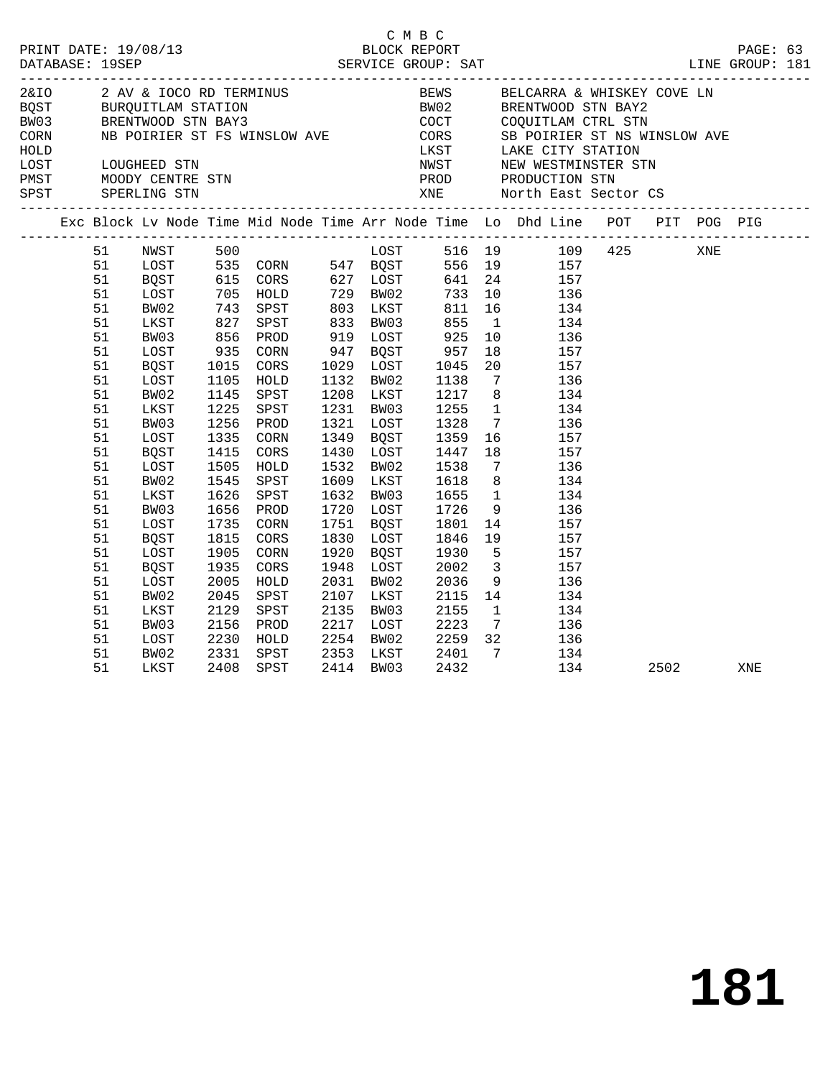| PRINT DATE: 19/08/13<br>DATABASE: 19SEP |                                                                                                                      |                                                                                                                                      |                                                                                                                     |                                                                                                                                                  |                      | C M B C                                                                                                                                                                           | BLOCK REPORT                                                                                                                                                                        |                                       |                                                                                                                                                                                                                                                                                                                                                                                                                                                                                                                                                |     |      | PAGE: 63 |  |
|-----------------------------------------|----------------------------------------------------------------------------------------------------------------------|--------------------------------------------------------------------------------------------------------------------------------------|---------------------------------------------------------------------------------------------------------------------|--------------------------------------------------------------------------------------------------------------------------------------------------|----------------------|-----------------------------------------------------------------------------------------------------------------------------------------------------------------------------------|-------------------------------------------------------------------------------------------------------------------------------------------------------------------------------------|---------------------------------------|------------------------------------------------------------------------------------------------------------------------------------------------------------------------------------------------------------------------------------------------------------------------------------------------------------------------------------------------------------------------------------------------------------------------------------------------------------------------------------------------------------------------------------------------|-----|------|----------|--|
|                                         |                                                                                                                      |                                                                                                                                      |                                                                                                                     |                                                                                                                                                  |                      |                                                                                                                                                                                   |                                                                                                                                                                                     |                                       |                                                                                                                                                                                                                                                                                                                                                                                                                                                                                                                                                |     |      |          |  |
|                                         |                                                                                                                      |                                                                                                                                      |                                                                                                                     |                                                                                                                                                  |                      |                                                                                                                                                                                   |                                                                                                                                                                                     |                                       | Exc Block Lv Node Time Mid Node Time Arr Node Time Lo Dhd Line POT PIT POG PIG                                                                                                                                                                                                                                                                                                                                                                                                                                                                 |     |      |          |  |
|                                         | 51<br>51<br>51<br>51<br>51<br>51<br>51<br>51<br>51<br>51<br>51<br>51<br>51<br>51<br>51<br>51<br>51<br>51<br>51<br>51 | BW02<br>LKST<br>BW03<br>LOST<br>BQST<br>LOST<br>BW02<br>LKST<br>BW03<br>LOST<br>BQST<br>LOST<br>BW02<br>LKST<br>BW03<br>LOST<br>BQST | 935<br>1015<br>1015<br>1105<br>1145<br>1225<br>1256<br>1335<br>1415<br>1505<br>1545<br>1626<br>1656<br>1735<br>1815 | 743 SPST<br>827 SPST<br>856 PROD<br>CORN<br>CORS<br>HOLD<br>SPST<br>SPST<br>PROD<br>CORN<br>CORS<br>HOLD<br>SPST<br>SPST<br>PROD<br>CORN<br>CORS |                      | 947 BOST<br>1029 LOST<br>1132 BW02<br>1208 LKST<br>1231 BW03<br>1321 LOST<br>1349 BQST<br>1430 LOST<br>1532 BW02<br>1609 LKST<br>1632 BW03<br>1720 LOST<br>1751 BQST<br>1830 LOST | 803  LKST       811<br>833   BW03        855<br>919 LOST 925<br>957<br>1045<br>1045<br>1138<br>1217<br>1255<br>1328<br>1359<br>1447<br>1538<br>1618<br>1655<br>1726<br>1801<br>1846 | 1<br>10<br>1<br>18<br>$7\overline{ }$ | NWST 500<br>LOST 535 CORN 547 BQST 516 19 109 425<br>ROST 535 CORN 547 BQST 556 19 157<br>ROST 615 CORS 627 LOST 641 24 157<br>LOST 705 HOLD 729 BW02 733 10 136<br>16 134<br>134<br>136<br>$\begin{array}{cc} 18 & \hspace{1.5cm} 157 \\ 20 & \hspace{1.5cm} 157 \end{array}$<br>7 136<br>8 <sup>1</sup><br>134<br>134<br>$7\overline{ }$<br>136<br>$\frac{16}{18}$ $\frac{157}{157}$<br>157<br>136<br>$\begin{array}{c} 8 \\ 1 \end{array}$<br>134<br>134<br>9<br>136<br>$\begin{array}{c} 14 \\ 19 \end{array}$<br>$\frac{157}{157}$<br>157 |     |      |          |  |
|                                         | 51<br>51<br>51<br>51<br>51<br>51<br>51<br>51<br>51                                                                   | LOST<br><b>BQST</b><br>LOST<br>BW02<br>LKST<br>BW03<br>LOST<br>BW02<br>LKST                                                          | 1905<br>1935<br>2005<br>2045<br>2129<br>2129<br>2156<br>2230                                                        | CORN<br>CORS<br>HOLD<br>SPST<br>SPST<br>PROD<br>HOLD<br>2331 SPST<br>2408 SPST<br>SPST                                                           | 2107<br>2135<br>2217 | 1920 BOST<br>1948 LOST<br>2031 BW02<br>LKST<br>BW03<br>LOST<br>2254 BW02                                                                                                          | 1930<br>2002<br>2036<br>2115<br>2155<br>2223<br>2353 LKST 2401<br>2414 BW03 2432                                                                                                    | $5^{\circ}$                           | 157<br>$\frac{3}{9}$<br>157<br>136<br>14<br>134<br>$\begin{array}{ccc} 1 & \hspace{1.5cm} & 134 \\ 7 & \hspace{1.5cm} & 136 \end{array}$<br>2259 32 136<br>$\overline{7}$<br>134                                                                                                                                                                                                                                                                                                                                                               | 134 | 2502 | XNE      |  |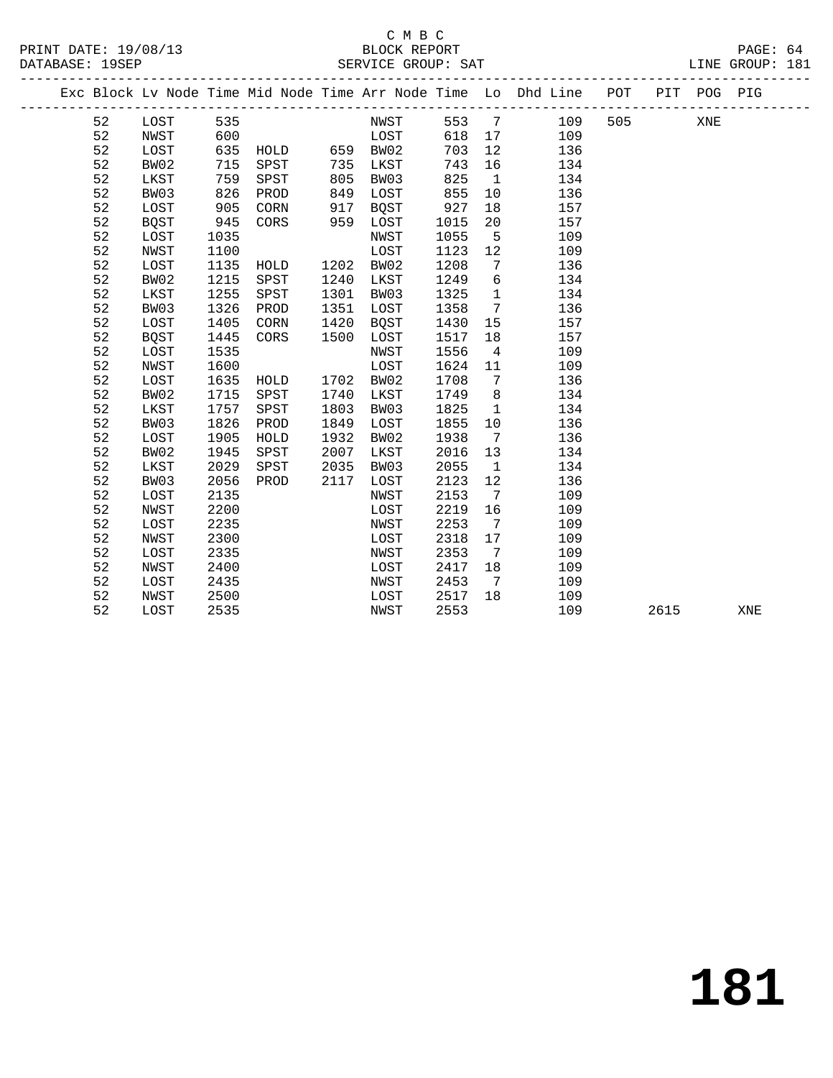#### C M B C<br>BLOCK REPORT PRINT DATE: 19/08/13 BLOCK REPORT PAGE: 64 SERVICE GROUP: SAT

|  |    |      |      |      |      |             |      |                 | Exc Block Lv Node Time Mid Node Time Arr Node Time Lo Dhd Line POT<br>____________________________________ |     |      | PIT POG PIG |     |
|--|----|------|------|------|------|-------------|------|-----------------|------------------------------------------------------------------------------------------------------------|-----|------|-------------|-----|
|  | 52 | LOST | 535  |      |      | NWST        | 553  | $\overline{7}$  | 109                                                                                                        | 505 |      | XNE         |     |
|  | 52 | NWST | 600  |      |      | LOST        | 618  | 17              | 109                                                                                                        |     |      |             |     |
|  | 52 | LOST | 635  | HOLD | 659  | BW02        | 703  | 12              | 136                                                                                                        |     |      |             |     |
|  | 52 | BW02 | 715  | SPST | 735  | LKST        | 743  | 16              | 134                                                                                                        |     |      |             |     |
|  | 52 | LKST | 759  | SPST | 805  | BW03        | 825  | $\mathbf{1}$    | 134                                                                                                        |     |      |             |     |
|  | 52 | BW03 | 826  | PROD | 849  | LOST        | 855  | 10              | 136                                                                                                        |     |      |             |     |
|  | 52 | LOST | 905  | CORN | 917  | <b>BQST</b> | 927  | 18              | 157                                                                                                        |     |      |             |     |
|  | 52 | BQST | 945  | CORS | 959  | LOST        | 1015 | 20              | 157                                                                                                        |     |      |             |     |
|  | 52 | LOST | 1035 |      |      | NWST        | 1055 | 5               | 109                                                                                                        |     |      |             |     |
|  | 52 | NWST | 1100 |      |      | LOST        | 1123 | 12              | 109                                                                                                        |     |      |             |     |
|  | 52 | LOST | 1135 | HOLD | 1202 | BW02        | 1208 | 7               | 136                                                                                                        |     |      |             |     |
|  | 52 | BW02 | 1215 | SPST | 1240 | LKST        | 1249 | 6               | 134                                                                                                        |     |      |             |     |
|  | 52 | LKST | 1255 | SPST | 1301 | BW03        | 1325 | $\mathbf 1$     | 134                                                                                                        |     |      |             |     |
|  | 52 | BW03 | 1326 | PROD | 1351 | LOST        | 1358 | $7\phantom{.0}$ | 136                                                                                                        |     |      |             |     |
|  | 52 | LOST | 1405 | CORN | 1420 | <b>BQST</b> | 1430 | 15              | 157                                                                                                        |     |      |             |     |
|  | 52 | BQST | 1445 | CORS | 1500 | LOST        | 1517 | 18              | 157                                                                                                        |     |      |             |     |
|  | 52 | LOST | 1535 |      |      | NWST        | 1556 | $\overline{4}$  | 109                                                                                                        |     |      |             |     |
|  | 52 | NWST | 1600 |      |      | LOST        | 1624 | 11              | 109                                                                                                        |     |      |             |     |
|  | 52 | LOST | 1635 | HOLD | 1702 | BW02        | 1708 | $7\phantom{.0}$ | 136                                                                                                        |     |      |             |     |
|  | 52 | BW02 | 1715 | SPST | 1740 | LKST        | 1749 | 8               | 134                                                                                                        |     |      |             |     |
|  | 52 | LKST | 1757 | SPST | 1803 | BW03        | 1825 | 1               | 134                                                                                                        |     |      |             |     |
|  | 52 | BW03 | 1826 | PROD | 1849 | LOST        | 1855 | 10              | 136                                                                                                        |     |      |             |     |
|  | 52 | LOST | 1905 | HOLD | 1932 | BW02        | 1938 | 7               | 136                                                                                                        |     |      |             |     |
|  | 52 | BW02 | 1945 | SPST | 2007 | LKST        | 2016 | 13              | 134                                                                                                        |     |      |             |     |
|  | 52 | LKST | 2029 | SPST | 2035 | BW03        | 2055 | $\mathbf{1}$    | 134                                                                                                        |     |      |             |     |
|  | 52 | BW03 | 2056 | PROD | 2117 | LOST        | 2123 | 12              | 136                                                                                                        |     |      |             |     |
|  | 52 | LOST | 2135 |      |      | NWST        | 2153 | 7               | 109                                                                                                        |     |      |             |     |
|  | 52 | NWST | 2200 |      |      | LOST        | 2219 | 16              | 109                                                                                                        |     |      |             |     |
|  | 52 | LOST | 2235 |      |      | NWST        | 2253 | 7               | 109                                                                                                        |     |      |             |     |
|  | 52 | NWST | 2300 |      |      | LOST        | 2318 | 17              | 109                                                                                                        |     |      |             |     |
|  | 52 | LOST | 2335 |      |      | NWST        | 2353 | 7               | 109                                                                                                        |     |      |             |     |
|  | 52 | NWST | 2400 |      |      | LOST        | 2417 | 18              | 109                                                                                                        |     |      |             |     |
|  | 52 | LOST | 2435 |      |      | NWST        | 2453 | 7               | 109                                                                                                        |     |      |             |     |
|  | 52 | NWST | 2500 |      |      | LOST        | 2517 | 18              | 109                                                                                                        |     |      |             |     |
|  | 52 | LOST | 2535 |      |      | NWST        | 2553 |                 | 109                                                                                                        |     | 2615 |             | XNE |
|  |    |      |      |      |      |             |      |                 |                                                                                                            |     |      |             |     |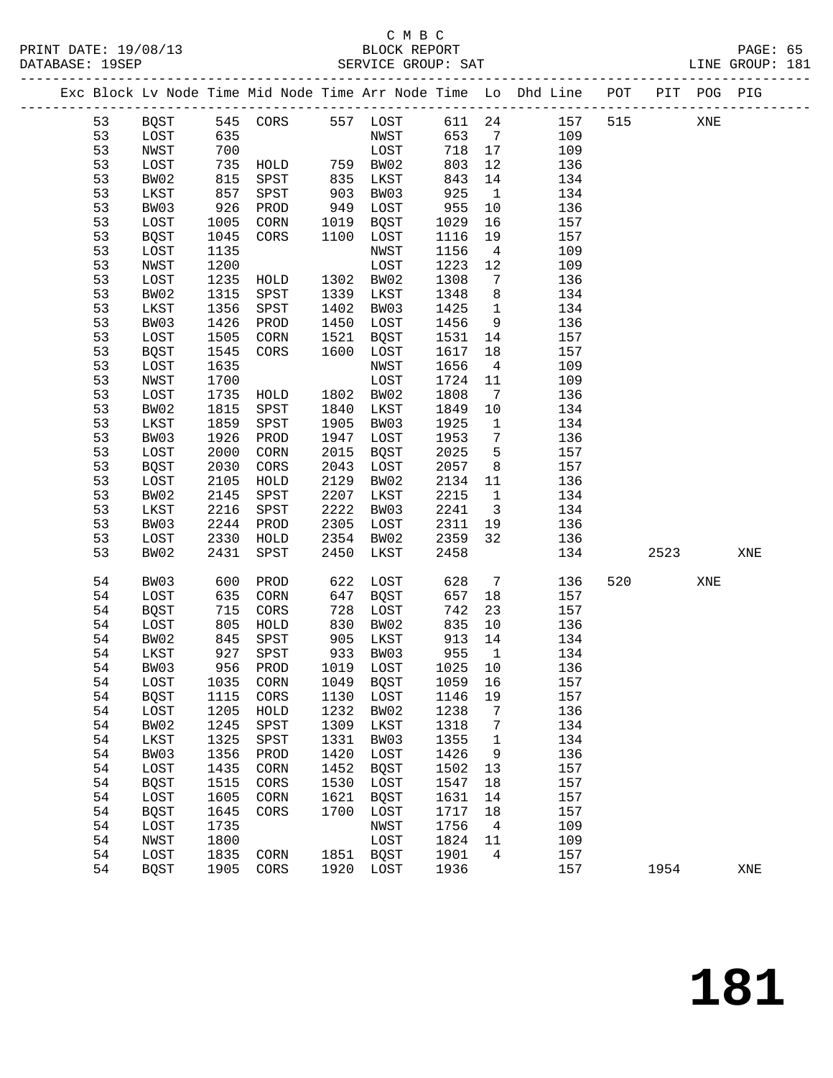### C M B C<br>BLOCK REPORT SERVICE GROUP: SAT

PRINT DATE: 19/08/13 BLOCK REPORT PAGE: 65

|          |             |              |                                                 |              |              |                     |                         | Exc Block Lv Node Time Mid Node Time Arr Node Time Lo Dhd Line POT PIT POG PIG |         |     |     |
|----------|-------------|--------------|-------------------------------------------------|--------------|--------------|---------------------|-------------------------|--------------------------------------------------------------------------------|---------|-----|-----|
| 53       | BQST        |              |                                                 |              |              |                     |                         | 545 CORS 557 LOST 611 24 157 515                                               |         | XNE |     |
| 53       | LOST        | 635          |                                                 |              | NWST         | 653                 |                         | $7\overline{ }$<br>109                                                         |         |     |     |
| 53       | NWST        | 700          |                                                 |              | LOST         | 718 17              |                         | 109                                                                            |         |     |     |
| 53       | LOST        | 735          |                                                 |              |              | 803                 | 12                      | 136                                                                            |         |     |     |
| 53       | BW02        | 815          | HOLD 759 BW02<br>SPST 835 LKST<br>SPST 903 BW03 |              |              | 843                 | 14                      | 134                                                                            |         |     |     |
| 53       | LKST        | 857          |                                                 |              |              | 925                 | $\overline{1}$          | 134                                                                            |         |     |     |
| 53       | BW03        | 926          | PROD                                            |              | 949 LOST     | 955                 | 10                      | 136                                                                            |         |     |     |
| 53       | LOST        | 1005         | CORN                                            |              | 1019 BQST    | 1029                | 16                      | 157                                                                            |         |     |     |
| 53       | <b>BQST</b> | 1045         | CORS                                            |              | 1100 LOST    | 1116                | 19                      | 157                                                                            |         |     |     |
| 53       | LOST        | 1135         |                                                 |              | NWST         | 1156                | $\overline{4}$          | 109                                                                            |         |     |     |
| 53       | NWST        | 1200         |                                                 |              | LOST         | 1223                | 12                      | 109                                                                            |         |     |     |
| 53       | LOST        | 1235         | HOLD 1302 BW02                                  |              |              | 1308                | 7                       | 136                                                                            |         |     |     |
| 53       | BW02        | 1315         | SPST                                            | 1339         | LKST         | 1348                | 8                       | 134                                                                            |         |     |     |
| 53       | LKST        | 1356         | SPST                                            | 1402         | BW03         | 1425                | $\overline{1}$          | 134                                                                            |         |     |     |
| 53       | BW03        | 1426         | PROD                                            | 1450         | LOST         | 1456                | 9                       | 136                                                                            |         |     |     |
| 53       |             | 1505         |                                                 |              |              |                     |                         |                                                                                |         |     |     |
| 53       | LOST        |              | CORN                                            | 1521         | BQST         | 1531                | 14                      | 157                                                                            |         |     |     |
| 53       | BQST        | 1545         | CORS                                            | 1600         | LOST<br>NWST | 1617<br>1656        | 18<br>$\overline{4}$    | 157                                                                            |         |     |     |
| 53       | LOST        | 1635<br>1700 |                                                 |              |              |                     |                         | 109                                                                            |         |     |     |
|          | NWST        |              | HOLD 1802 BW02                                  |              | LOST         | 1724                | 11                      | 109                                                                            |         |     |     |
| 53       | LOST        | 1735         |                                                 |              |              | 1808                | $\overline{7}$          | 136                                                                            |         |     |     |
| 53       | BW02        | 1815         | SPST                                            | 1840         | LKST         | 1849                | 10                      | 134                                                                            |         |     |     |
| 53       | LKST        | 1859         | SPST                                            | 1905         | BW03         | 1925                | $\mathbf{1}$            | 134                                                                            |         |     |     |
| 53       | BW03        | 1926         | PROD                                            | 1947         | LOST         | 1953                | $7\overline{ }$         | 136                                                                            |         |     |     |
| 53       | LOST        | 2000         | CORN                                            | 2015<br>2043 | BQST         | 2025                | 5                       | 157                                                                            |         |     |     |
| 53       | BQST        | 2030         | CORS                                            |              | LOST         | 2057                | 8 <sup>8</sup>          | 157                                                                            |         |     |     |
| 53       | LOST        | 2105         | HOLD                                            | 2129         | BW02         | 2134                | 11                      | 136                                                                            |         |     |     |
| 53       | BW02        | 2145         | SPST                                            | 2207         | LKST         | 2215                | $\mathbf{1}$            | 134                                                                            |         |     |     |
| 53       | LKST        | 2216         | SPST                                            | 2222         | BW03         | 2241                | $\overline{\mathbf{3}}$ | 134                                                                            |         |     |     |
| 53       | BW03        | 2244         | PROD                                            | 2305         | LOST         | 2311                | 19                      | 136                                                                            |         |     |     |
| 53<br>53 | LOST        | 2330<br>2431 | HOLD                                            | 2354<br>2450 | BW02         | 2359<br>2458        | 32                      | 136<br>134                                                                     | 2523    |     | XNE |
|          | BW02        |              | SPST                                            |              | LKST         |                     |                         |                                                                                |         |     |     |
| 54       | BW03        | 600          | PROD                                            | 622          | LOST         | 628                 | $\overline{7}$          | 136                                                                            | 520 320 | XNE |     |
| 54       | LOST        | 635          | CORN                                            | 647          | BQST         | 657                 | 18                      | 157                                                                            |         |     |     |
| 54       | BQST        | 715          | CORS                                            | 728          | LOST         | 742                 | 23                      | 157                                                                            |         |     |     |
| 54       | LOST        | 805          | HOLD                                            | 830          | BW02         | 835                 | 10                      | 136                                                                            |         |     |     |
| 54       | BW02        | 845          | SPST                                            | 905          | LKST         | 913                 | 14                      | 134                                                                            |         |     |     |
| 54       | LKST        | 927<br>956   | SPST                                            | 933          | BW03         | $-10$<br>955<br>100 | $\overline{1}$          | 134                                                                            |         |     |     |
| 54       | BW03        |              | 956 PROD                                        |              | 1019 LOST    | 1025                | 10                      | 136                                                                            |         |     |     |
| 54       | LOST        |              | 1035 CORN 1049 BQST                             |              |              | 1059 16             |                         | 157                                                                            |         |     |     |
| 54       | BQST        | 1115         | CORS                                            | 1130         | LOST         | 1146                | 19                      | 157                                                                            |         |     |     |
| 54       | LOST        | 1205         | HOLD                                            | 1232         | BW02         | 1238                | 7                       | 136                                                                            |         |     |     |
| 54       | BW02        | 1245         | SPST                                            | 1309         | LKST         | 1318                | 7                       | 134                                                                            |         |     |     |
| 54       | LKST        | 1325         | SPST                                            | 1331         | BW03         | 1355                | $\mathbf 1$             | 134                                                                            |         |     |     |
| 54       | BW03        | 1356         | PROD                                            | 1420         | LOST         | 1426                | 9                       | 136                                                                            |         |     |     |
| 54       | LOST        | 1435         | CORN                                            | 1452         | <b>BQST</b>  | 1502                | 13                      | 157                                                                            |         |     |     |
| 54       | <b>BQST</b> | 1515         | CORS                                            | 1530         | LOST         | 1547                | 18                      | 157                                                                            |         |     |     |
| 54       | LOST        | 1605         | CORN                                            | 1621         | <b>BQST</b>  | 1631                | 14                      | 157                                                                            |         |     |     |
| 54       | <b>BQST</b> | 1645         | CORS                                            | 1700         | LOST         | 1717                | 18                      | 157                                                                            |         |     |     |
| 54       | LOST        | 1735         |                                                 |              | NWST         | 1756                | $\overline{4}$          | 109                                                                            |         |     |     |
| 54       | NWST        | 1800         |                                                 |              | LOST         | 1824                | 11                      | 109                                                                            |         |     |     |
| 54       | LOST        | 1835         | CORN                                            | 1851         | BQST         | 1901                | $\overline{4}$          | 157                                                                            |         |     |     |
| 54       | BQST        | 1905         | CORS                                            | 1920         | LOST         | 1936                |                         | 157                                                                            | 1954    |     | XNE |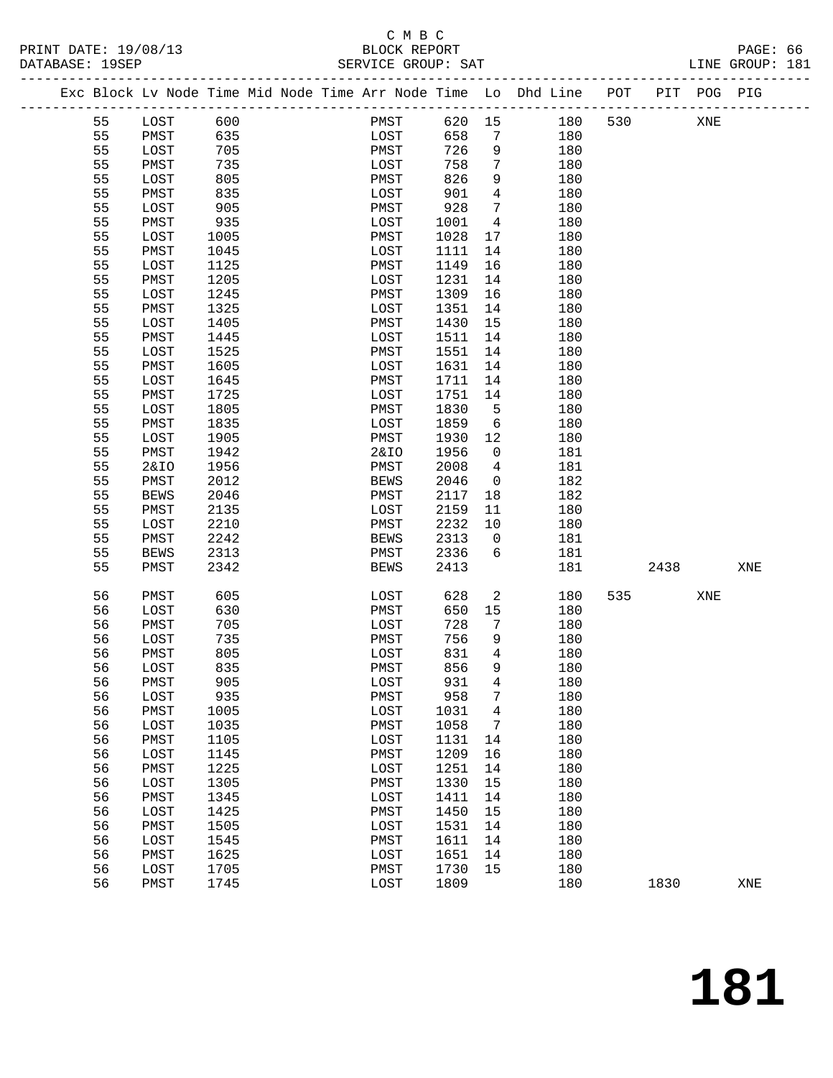#### C M B C<br>BLOCK REPORT PRINT DATE: 19/08/13 BLOCK REPORT PAGE: 66 SERVICE GROUP: SAT

|  |          |                 |              | Exc Block Lv Node Time Mid Node Time Arr Node Time Lo Dhd Line POT |              |      |              |                         |            |     |      | PIT POG PIG |     |
|--|----------|-----------------|--------------|--------------------------------------------------------------------|--------------|------|--------------|-------------------------|------------|-----|------|-------------|-----|
|  | 55       | LOST            | 600          |                                                                    |              | PMST | 620 15       |                         | 180        | 530 |      | XNE         |     |
|  | 55       | PMST            | 635          |                                                                    |              | LOST | 658          | $\overline{7}$          | 180        |     |      |             |     |
|  | 55       | LOST            | 705          |                                                                    | PMST         |      | 726          | 9                       | 180        |     |      |             |     |
|  | 55       | PMST            | 735          |                                                                    | LOST         |      | 758          | $7\overline{ }$         | 180        |     |      |             |     |
|  | 55       | LOST            | 805          |                                                                    | PMST         |      | 826          | 9                       | 180        |     |      |             |     |
|  | 55       | PMST            | 835          |                                                                    | LOST         |      | 901          | $\overline{4}$          | 180        |     |      |             |     |
|  | 55       | LOST            | 905          |                                                                    | PMST         |      | 928          | $7\phantom{.0}$         | 180        |     |      |             |     |
|  | 55       | PMST            | 935          |                                                                    | LOST         |      | 1001         | $\overline{4}$          | 180        |     |      |             |     |
|  | 55       | LOST            | 1005         |                                                                    | PMST         |      | 1028         | 17                      | 180        |     |      |             |     |
|  | 55       | PMST            | 1045         |                                                                    | LOST         |      | 1111         | 14                      | 180        |     |      |             |     |
|  | 55       | LOST            | 1125         |                                                                    | PMST         |      | 1149         | 16                      | 180        |     |      |             |     |
|  | 55       | PMST            | 1205         |                                                                    | LOST         |      | 1231         | 14                      | 180        |     |      |             |     |
|  | 55       | LOST            | 1245         |                                                                    | PMST         |      | 1309         | 16                      | 180        |     |      |             |     |
|  | 55       | PMST            | 1325         |                                                                    | LOST         |      | 1351         | 14                      | 180        |     |      |             |     |
|  | 55       | LOST            | 1405         |                                                                    | PMST         |      | 1430         | 15                      | 180        |     |      |             |     |
|  | 55       | PMST            | 1445         |                                                                    | LOST         |      | 1511         | 14                      | 180        |     |      |             |     |
|  | 55       | LOST            | 1525         |                                                                    | PMST         |      | 1551         | 14                      | 180        |     |      |             |     |
|  | 55       | PMST            | 1605         |                                                                    | LOST         |      | 1631         | 14                      | 180        |     |      |             |     |
|  | 55       | LOST            | 1645         |                                                                    | PMST         |      | 1711         | 14                      | 180        |     |      |             |     |
|  | 55       | PMST            | 1725         |                                                                    | LOST         |      | 1751         | 14                      | 180        |     |      |             |     |
|  | 55       | LOST            | 1805         |                                                                    | PMST         |      | 1830         | $-5$                    | 180        |     |      |             |     |
|  | 55       | PMST            | 1835         |                                                                    | LOST         |      | 1859         | $6\overline{6}$         | 180        |     |      |             |     |
|  | 55       | LOST            | 1905         |                                                                    | PMST         |      | 1930         | 12                      | 180        |     |      |             |     |
|  | 55       | PMST            | 1942         |                                                                    | 2&IO         |      | 1956         | $\overline{0}$          | 181        |     |      |             |     |
|  | 55       | <b>2&amp;IO</b> | 1956         |                                                                    | PMST         |      | 2008         | $4\overline{ }$         | 181        |     |      |             |     |
|  | 55       | PMST            | 2012         |                                                                    | <b>BEWS</b>  |      | 2046         | $\overline{0}$          | 182        |     |      |             |     |
|  | 55       | <b>BEWS</b>     | 2046         |                                                                    | PMST         |      | 2117         | 18                      | 182        |     |      |             |     |
|  | 55       | PMST            | 2135         |                                                                    | LOST         |      | 2159         | 11                      | 180        |     |      |             |     |
|  | 55       | LOST            | 2210         |                                                                    | PMST         |      | 2232         | 10                      | 180        |     |      |             |     |
|  | 55       | PMST            | 2242         |                                                                    | <b>BEWS</b>  |      | 2313         | $\overline{\mathbf{0}}$ | 181        |     |      |             |     |
|  | 55       | <b>BEWS</b>     | 2313         |                                                                    | PMST         |      | 2336         | 6                       | 181        |     |      |             |     |
|  | 55       | PMST            | 2342         |                                                                    | <b>BEWS</b>  |      | 2413         |                         | 181        |     | 2438 |             | XNE |
|  |          |                 |              |                                                                    |              |      |              |                         |            |     |      |             |     |
|  | 56       | PMST            | 605          |                                                                    | LOST         |      | 628          | $\overline{a}$          | 180        | 535 |      | XNE         |     |
|  | 56       | LOST            | 630          |                                                                    | PMST         |      | 650          | 15                      | 180        |     |      |             |     |
|  | 56       | PMST            | 705          |                                                                    | LOST         |      | 728          | 7                       | 180        |     |      |             |     |
|  | 56       | LOST            | 735          |                                                                    | PMST         |      | 756          | 9<br>$\overline{4}$     | 180        |     |      |             |     |
|  | 56<br>56 | PMST            | 805<br>835   |                                                                    | LOST<br>PMST |      | 831<br>856   | 9                       | 180<br>180 |     |      |             |     |
|  |          | LOST            |              |                                                                    |              |      |              |                         |            |     |      |             |     |
|  | 56       | PMST            | 905          |                                                                    | LOST         |      | 931          | $\overline{4}$          | 180        |     |      |             |     |
|  | 56       | LOST            | 935          |                                                                    | PMST         |      | 958          | 7                       | 180        |     |      |             |     |
|  | 56<br>56 | PMST            | 1005<br>1035 |                                                                    | LOST         |      | 1031<br>1058 | 4                       | 180<br>180 |     |      |             |     |
|  |          | LOST            |              |                                                                    | PMST         |      |              | 7                       |            |     |      |             |     |
|  | 56       | PMST            | 1105         |                                                                    | LOST         |      | 1131         | 14                      | 180        |     |      |             |     |
|  | 56<br>56 | LOST            | 1145         |                                                                    | PMST         |      | 1209         | 16                      | 180        |     |      |             |     |
|  |          | PMST            | 1225         |                                                                    | LOST         |      | 1251         | 14                      | 180        |     |      |             |     |
|  | 56<br>56 | LOST            | 1305         |                                                                    | PMST         |      | 1330         | 15                      | 180<br>180 |     |      |             |     |
|  | 56       | PMST<br>LOST    | 1345<br>1425 |                                                                    | LOST<br>PMST |      | 1411<br>1450 | 14<br>15                | 180        |     |      |             |     |
|  | 56       | PMST            | 1505         |                                                                    | LOST         |      | 1531         | 14                      | 180        |     |      |             |     |
|  | 56       | LOST            | 1545         |                                                                    | PMST         |      | 1611         | 14                      | 180        |     |      |             |     |
|  | 56       | PMST            | 1625         |                                                                    | LOST         |      | 1651         | 14                      | 180        |     |      |             |     |
|  | 56       | LOST            | 1705         |                                                                    | PMST         |      | 1730         | 15                      | 180        |     |      |             |     |
|  | 56       | PMST            | 1745         |                                                                    | LOST         |      | 1809         |                         | 180        |     | 1830 |             | XNE |
|  |          |                 |              |                                                                    |              |      |              |                         |            |     |      |             |     |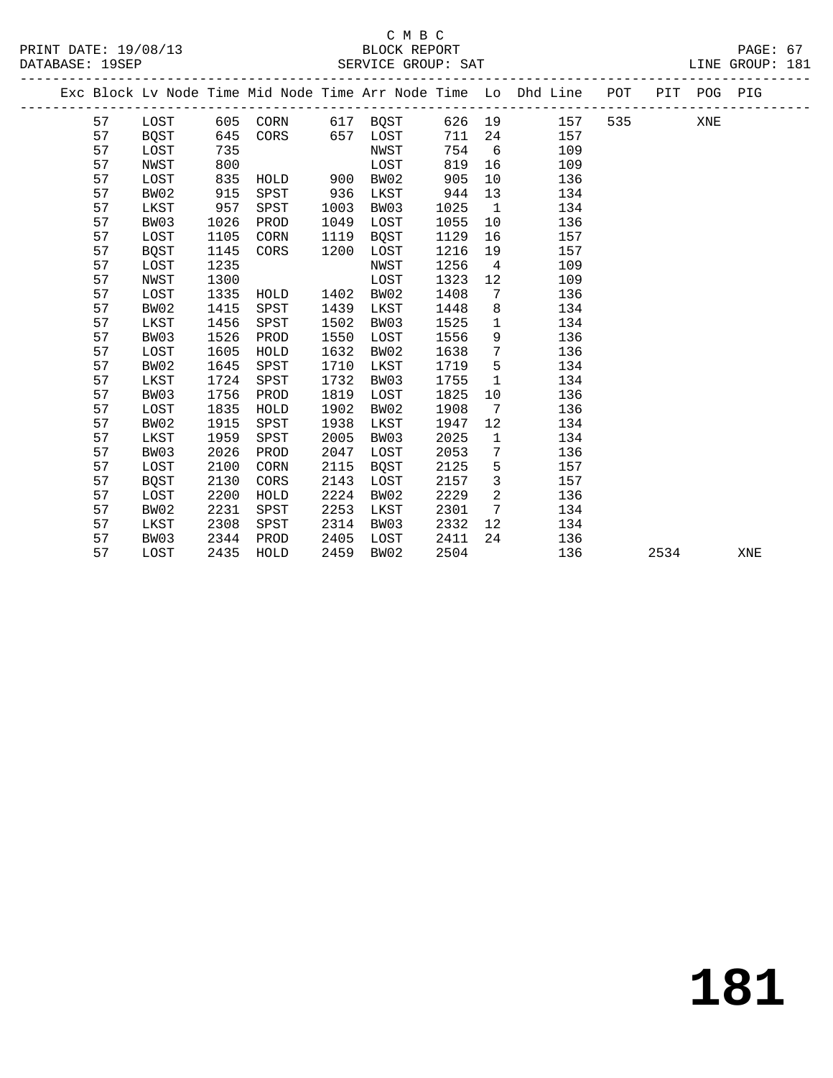|  |    |      |      |          |      |             |        |                 | Exc Block Lv Node Time Mid Node Time Arr Node Time Lo Dhd Line POT PIT POG PIG |     |      |     |     |
|--|----|------|------|----------|------|-------------|--------|-----------------|--------------------------------------------------------------------------------|-----|------|-----|-----|
|  | 57 | LOST |      | 605 CORN |      | 617 BQST    | 626 19 |                 | 157                                                                            | 535 |      | XNE |     |
|  | 57 | BQST | 645  | CORS     |      | 657 LOST    | 711    | 24              | 157                                                                            |     |      |     |     |
|  | 57 | LOST | 735  |          |      | NWST        | 754    | 6               | 109                                                                            |     |      |     |     |
|  | 57 | NWST | 800  |          |      | LOST        | 819    | 16              | 109                                                                            |     |      |     |     |
|  | 57 | LOST | 835  | HOLD     | 900  | BW02        | 905    | 10              | 136                                                                            |     |      |     |     |
|  | 57 | BW02 | 915  | SPST     | 936  | LKST        | 944    | 13              | 134                                                                            |     |      |     |     |
|  | 57 | LKST | 957  | SPST     | 1003 | BW03        | 1025   | $\mathbf{1}$    | 134                                                                            |     |      |     |     |
|  | 57 | BW03 | 1026 | PROD     | 1049 | LOST        | 1055   | 10              | 136                                                                            |     |      |     |     |
|  | 57 | LOST | 1105 | CORN     | 1119 | <b>BQST</b> | 1129   | 16              | 157                                                                            |     |      |     |     |
|  | 57 | BQST | 1145 | CORS     | 1200 | LOST        | 1216   | 19              | 157                                                                            |     |      |     |     |
|  | 57 | LOST | 1235 |          |      | NWST        | 1256   | $\overline{4}$  | 109                                                                            |     |      |     |     |
|  | 57 | NWST | 1300 |          |      | LOST        | 1323   | 12              | 109                                                                            |     |      |     |     |
|  | 57 | LOST | 1335 | HOLD     | 1402 | BW02        | 1408   | 7               | 136                                                                            |     |      |     |     |
|  | 57 | BW02 | 1415 | SPST     | 1439 | LKST        | 1448   | 8               | 134                                                                            |     |      |     |     |
|  | 57 | LKST | 1456 | SPST     | 1502 | BW03        | 1525   | $\mathbf{1}$    | 134                                                                            |     |      |     |     |
|  | 57 | BW03 | 1526 | PROD     | 1550 | LOST        | 1556   | 9               | 136                                                                            |     |      |     |     |
|  | 57 | LOST | 1605 | HOLD     | 1632 | BW02        | 1638   | $7\phantom{.0}$ | 136                                                                            |     |      |     |     |
|  | 57 | BW02 | 1645 | SPST     | 1710 | LKST        | 1719   | 5               | 134                                                                            |     |      |     |     |
|  | 57 | LKST | 1724 | SPST     | 1732 | BW03        | 1755   | $\mathbf{1}$    | 134                                                                            |     |      |     |     |
|  | 57 | BW03 | 1756 | PROD     | 1819 | LOST        | 1825   | 10              | 136                                                                            |     |      |     |     |
|  | 57 | LOST | 1835 | HOLD     | 1902 | BW02        | 1908   | 7               | 136                                                                            |     |      |     |     |
|  | 57 | BW02 | 1915 | SPST     | 1938 | LKST        | 1947   | 12              | 134                                                                            |     |      |     |     |
|  | 57 | LKST | 1959 | SPST     | 2005 | BW03        | 2025   | $\mathbf{1}$    | 134                                                                            |     |      |     |     |
|  | 57 | BW03 | 2026 | PROD     | 2047 | LOST        | 2053   | 7               | 136                                                                            |     |      |     |     |
|  | 57 | LOST | 2100 | CORN     | 2115 | BQST        | 2125   | 5               | 157                                                                            |     |      |     |     |
|  | 57 | BQST | 2130 | CORS     | 2143 | LOST        | 2157   | 3               | 157                                                                            |     |      |     |     |
|  | 57 | LOST | 2200 | HOLD     | 2224 | BW02        | 2229   | $\overline{2}$  | 136                                                                            |     |      |     |     |
|  | 57 | BW02 | 2231 | SPST     | 2253 | LKST        | 2301   | $7\overline{ }$ | 134                                                                            |     |      |     |     |
|  | 57 | LKST | 2308 | SPST     | 2314 | BW03        | 2332   | 12 <sup>°</sup> | 134                                                                            |     |      |     |     |
|  | 57 | BW03 | 2344 | PROD     | 2405 | LOST        | 2411   | 24              | 136                                                                            |     |      |     |     |
|  | 57 | LOST | 2435 | HOLD     | 2459 | BW02        | 2504   |                 | 136                                                                            |     | 2534 |     | XNE |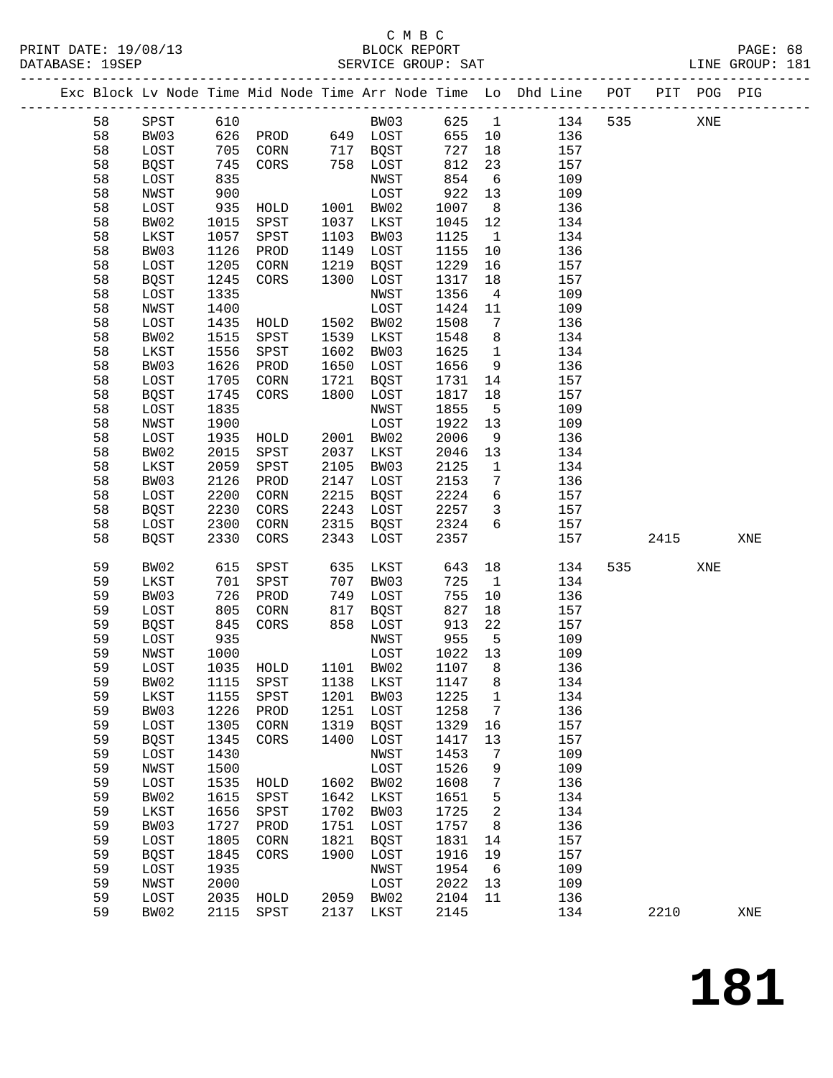# C M B C<br>BLOCK REPORT

|    |             |            | PRINT DATE: 19/08/13 BLOCK REPORT BATABASE: 19SEP |      |              |        |                 |                                                                                |       |     | PAGE: 68<br>LINE GROUP: 181 |  |
|----|-------------|------------|---------------------------------------------------|------|--------------|--------|-----------------|--------------------------------------------------------------------------------|-------|-----|-----------------------------|--|
|    |             |            |                                                   |      |              |        |                 | Exc Block Lv Node Time Mid Node Time Arr Node Time Lo Dhd Line POT PIT POG PIG |       |     |                             |  |
| 58 |             |            |                                                   |      |              |        |                 | SPST 610 BW03 625 1 134                                                        | 535   | XNE |                             |  |
| 58 | BW03        |            | 626 PROD 649 LOST                                 |      |              | 655 10 |                 | 136                                                                            |       |     |                             |  |
| 58 | LOST        |            | 705 CORN 717 BQST                                 |      |              | 727    | 18              | 157                                                                            |       |     |                             |  |
| 58 | BQST        |            | $745$ CORS $758$ LOST                             |      |              | 812    | 23              | 157                                                                            |       |     |                             |  |
| 58 | LOST        | 835        |                                                   |      | NWST         | 854    | 6               | 109                                                                            |       |     |                             |  |
| 58 | NWST        | 900        |                                                   |      | LOST         | 922    | 13              | 109                                                                            |       |     |                             |  |
| 58 | LOST        |            | 935 HOLD                                          |      | 1001 BW02    | 1007   | 8 <sup>8</sup>  | 136                                                                            |       |     |                             |  |
| 58 | BW02        | 1015       | SPST                                              | 1037 | LKST         | 1045   | 12              | 134                                                                            |       |     |                             |  |
| 58 | LKST        | 1057       | SPST                                              | 1103 | BW03         | 1125   | $\overline{1}$  | 134                                                                            |       |     |                             |  |
| 58 | BW03        | 1126       | PROD                                              | 1149 | LOST         | 1155   | 10              | 136                                                                            |       |     |                             |  |
| 58 | LOST        | 1205       | CORN                                              | 1219 | BQST         | 1229   | 16              | 157                                                                            |       |     |                             |  |
| 58 | BQST        | 1245       | CORS                                              | 1300 | LOST         | 1317   | 18              | 157                                                                            |       |     |                             |  |
| 58 | LOST        | 1335       |                                                   |      | NWST         | 1356   | $\overline{4}$  | 109                                                                            |       |     |                             |  |
| 58 | NWST        | 1400       |                                                   |      | LOST         | 1424   | 11              | 109                                                                            |       |     |                             |  |
| 58 | LOST        | 1435       | HOLD                                              |      | 1502 BW02    | 1508   | $\overline{7}$  | 136                                                                            |       |     |                             |  |
| 58 | BW02        | 1515       | SPST                                              | 1539 | LKST         | 1548   | 8               | 134                                                                            |       |     |                             |  |
| 58 | LKST        | 1556       | SPST                                              | 1602 | BW03         | 1625   | $\overline{1}$  | 134                                                                            |       |     |                             |  |
| 58 | BW03        | 1626       | PROD                                              | 1650 | LOST         | 1656   | 9               | 136                                                                            |       |     |                             |  |
| 58 | LOST        | 1705       | CORN                                              | 1721 | BOST         | 1731   | 14              | 157                                                                            |       |     |                             |  |
| 58 | BQST        | 1745       | CORS                                              | 1800 | LOST         | 1817   | 18              | 157                                                                            |       |     |                             |  |
| 58 | LOST        | 1835       |                                                   |      | NWST         | 1855   | $5^{\circ}$     | 109                                                                            |       |     |                             |  |
| 58 | NWST        | 1900       |                                                   |      | LOST         | 1922   | 13              | 109                                                                            |       |     |                             |  |
| 58 | LOST        | 1935       | HOLD                                              |      | 2001 BW02    | 2006   | 9               | 136                                                                            |       |     |                             |  |
| 58 | BW02        | 2015       | SPST                                              | 2037 | LKST         | 2046   | 13              | 134                                                                            |       |     |                             |  |
| 58 | LKST        | 2059       | SPST                                              | 2105 | BW03         | 2125   | $\mathbf{1}$    | 134                                                                            |       |     |                             |  |
| 58 | BW03        | 2126       | PROD                                              | 2147 | LOST         | 2153   | $7\overline{ }$ | 136                                                                            |       |     |                             |  |
| 58 | LOST        | 2200       | CORN                                              | 2215 | BQST         | 2224   | $6\overline{6}$ | 157                                                                            |       |     |                             |  |
| 58 | BQST        | 2230       | CORS                                              | 2243 | LOST         | 2257   | $\overline{3}$  | 157                                                                            |       |     |                             |  |
| 58 | LOST        | 2300       | CORN                                              | 2315 | BQST         | 2324   | 6               | 157                                                                            |       |     |                             |  |
| 58 | <b>BQST</b> | 2330       | CORS                                              | 2343 | LOST         | 2357   |                 | 157                                                                            | 2415  |     | XNE                         |  |
|    |             |            |                                                   |      |              |        |                 |                                                                                |       |     |                             |  |
| 59 | BW02        | 615        | SPST                                              | 635  | LKST         | 643    |                 | 134                                                                            | 535 7 | XNE |                             |  |
| 59 | LKST        | 701        | SPST                                              | 707  | BW03         | 725    | $\mathbf{1}$    | 134                                                                            |       |     |                             |  |
| 59 | BW03        | 726<br>805 | PROD                                              | 749  | LOST         | 755    | 10              | 136                                                                            |       |     |                             |  |
| 59 | LOST        |            | CORN                                              | 817  | BQST         | 827    | 18              | 157                                                                            |       |     |                             |  |
| 59 | BQST        |            | 845 CORS                                          |      | 858 LOST     | 913    | 22              | 157                                                                            |       |     |                             |  |
| 59 | LOST        | 935        |                                                   |      | NWST         | 955    | $5^{\circ}$     | 109                                                                            |       |     |                             |  |
| 59 | NWST        | 1000       |                                                   |      | LOST 1022 13 |        |                 | 109                                                                            |       |     |                             |  |
| 59 | LOST        | 1035       | HOLD                                              | 1101 | BW02         | 1107   | 8               | 136                                                                            |       |     |                             |  |
| 59 | BW02        | 1115       | SPST                                              | 1138 | LKST         | 1147   | 8               | 134                                                                            |       |     |                             |  |
| 59 | LKST        | 1155       | SPST                                              | 1201 | BW03         | 1225   | 1               | 134                                                                            |       |     |                             |  |
| 59 | BW03        | 1226       | PROD                                              | 1251 | LOST         | 1258   | 7               | 136                                                                            |       |     |                             |  |
| 59 | LOST        | 1305       | CORN                                              | 1319 | <b>BQST</b>  | 1329   | 16              | 157                                                                            |       |     |                             |  |
| 59 | <b>BQST</b> | 1345       | CORS                                              | 1400 | LOST         | 1417   | 13              | 157                                                                            |       |     |                             |  |
| 59 | LOST        | 1430       |                                                   |      | NWST         | 1453   | 7               | 109                                                                            |       |     |                             |  |
| 59 | NWST        | 1500       |                                                   |      | LOST         | 1526   | 9               | 109                                                                            |       |     |                             |  |
| 59 | LOST        | 1535       | HOLD                                              | 1602 | BW02         | 1608   | 7               | 136                                                                            |       |     |                             |  |
| 59 | BW02        | 1615       | SPST                                              | 1642 | LKST         | 1651   | 5               | 134                                                                            |       |     |                             |  |
| 59 | LKST        | 1656       | SPST                                              | 1702 | BW03         | 1725   | 2               | 134                                                                            |       |     |                             |  |
| 59 | BW03        | 1727       | PROD                                              | 1751 | LOST         | 1757   | 8               | 136                                                                            |       |     |                             |  |
| 59 | LOST        | 1805       | CORN                                              | 1821 | <b>BQST</b>  | 1831   | 14              | 157                                                                            |       |     |                             |  |
| 59 | <b>BQST</b> | 1845       | CORS                                              | 1900 | LOST         | 1916   | 19              | 157                                                                            |       |     |                             |  |
| 59 | LOST        | 1935       |                                                   |      | NWST         | 1954   | 6               | 109                                                                            |       |     |                             |  |
| 59 | NWST        | 2000       |                                                   |      | LOST         | 2022   | 13              | 109                                                                            |       |     |                             |  |
| 59 | LOST        | 2035       | HOLD                                              | 2059 | BW02         | 2104   | 11              | 136                                                                            |       |     |                             |  |

59 BW02 2115 SPST 2137 LKST 2145 134 2210 XNE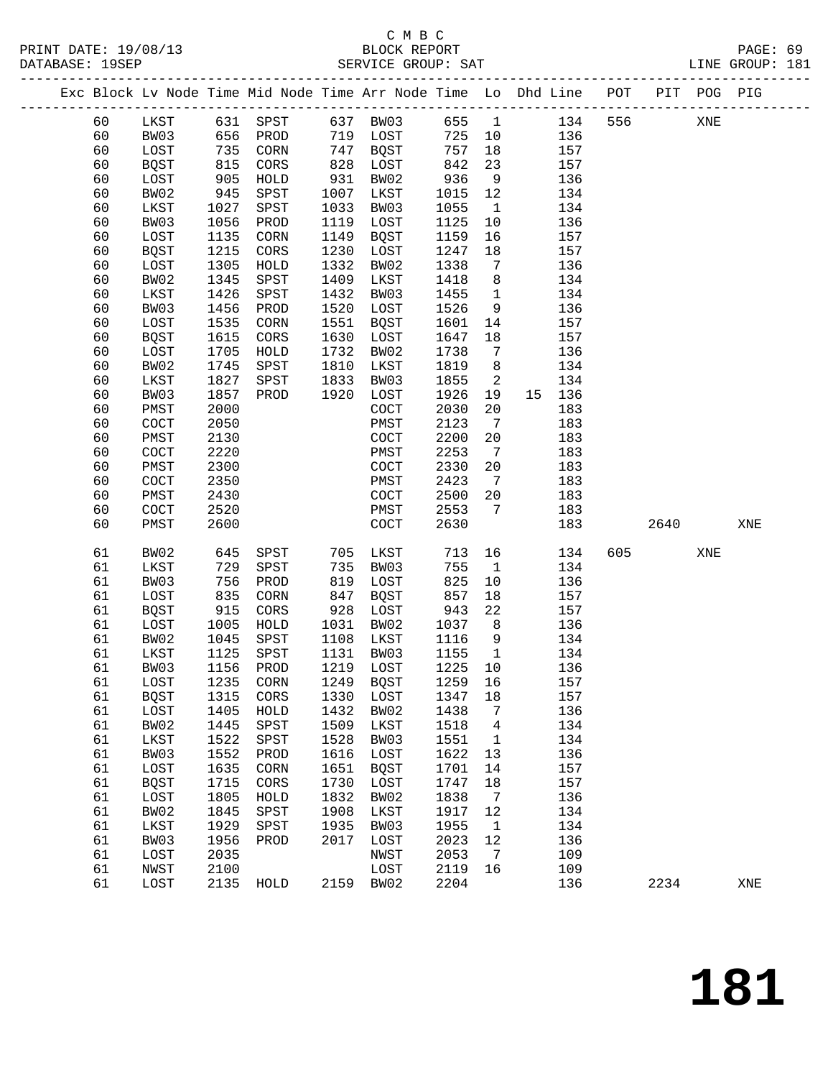PRINT DATE: 19/08/13 BLOCK REPORT BATABASE: 19SEP

# C M B C<br>BLOCK REPORT

PAGE: 69<br>LINE GROUP: 181

|  | DAIABASE · 195EP |              |              |                                                                                                |              | PEKATCE GKOOL. PHI |              |                              |    | ---------------------------- |      |             | TIME GKOOR . TOT |  |
|--|------------------|--------------|--------------|------------------------------------------------------------------------------------------------|--------------|--------------------|--------------|------------------------------|----|------------------------------|------|-------------|------------------|--|
|  |                  |              |              | ------------------------<br>Exc Block Lv Node Time Mid Node Time Arr Node Time Lo Dhd Line POT |              |                    |              |                              |    | ----------------             |      | PIT POG PIG |                  |  |
|  | 60               | LKST         | 631          | SPST                                                                                           | 637          | BW03               | 655          | $\overline{1}$               |    | 134<br>556                   |      | XNE         |                  |  |
|  | 60               | BW03         | 656          | PROD                                                                                           | 719          | LOST               | 725          | 10                           |    | 136                          |      |             |                  |  |
|  | 60               | LOST         | 735          | CORN                                                                                           | 747          | BQST               | 757          | 18                           |    | 157                          |      |             |                  |  |
|  | 60               | BQST         | 815          | CORS                                                                                           | 828          | LOST               | 842          | 23                           |    | 157                          |      |             |                  |  |
|  | 60               | LOST         | 905          | HOLD                                                                                           | 931          | BW02               | 936          | 9                            |    | 136                          |      |             |                  |  |
|  | 60               | BW02         | 945          | SPST                                                                                           | 1007         | LKST               | 1015         | 12                           |    | 134                          |      |             |                  |  |
|  | 60               | LKST         | 1027         | SPST                                                                                           | 1033         | BW03               | 1055         | $\mathbf{1}$                 |    | 134                          |      |             |                  |  |
|  | 60               | BW03         | 1056         | PROD                                                                                           | 1119         | LOST               | 1125         | 10                           |    | 136                          |      |             |                  |  |
|  | 60               | LOST         | 1135         | $\rm{CORN}$                                                                                    | 1149         | BQST               | 1159         | 16                           |    | 157                          |      |             |                  |  |
|  | 60               | <b>BQST</b>  | 1215         | CORS                                                                                           | 1230         | LOST               | 1247         | 18                           |    | 157                          |      |             |                  |  |
|  | 60               | LOST         | 1305         | HOLD                                                                                           | 1332         | BW02               | 1338         | 7                            |    | 136                          |      |             |                  |  |
|  | 60               | BW02         | 1345         | SPST                                                                                           | 1409         | LKST               | 1418         | 8                            |    | 134                          |      |             |                  |  |
|  | 60               | LKST         | 1426         | SPST                                                                                           | 1432         | BW03               | 1455         | $\overline{1}$               |    | 134                          |      |             |                  |  |
|  | 60               | BW03         | 1456         | PROD                                                                                           | 1520         | LOST               | 1526         | 9                            |    | 136                          |      |             |                  |  |
|  | 60               | LOST         | 1535         | CORN                                                                                           | 1551         | BQST               | 1601         | 14                           |    | 157                          |      |             |                  |  |
|  | 60               | <b>BQST</b>  | 1615         | CORS                                                                                           | 1630<br>1732 | LOST               | 1647         | 18                           |    | 157                          |      |             |                  |  |
|  | 60<br>60         | LOST<br>BW02 | 1705<br>1745 | HOLD                                                                                           | 1810         | BW02               | 1738<br>1819 | 7<br>8                       |    | 136                          |      |             |                  |  |
|  | 60               | LKST         | 1827         | SPST<br>SPST                                                                                   | 1833         | LKST<br>BW03       | 1855         | 2                            |    | 134<br>134                   |      |             |                  |  |
|  | 60               | BW03         | 1857         | PROD                                                                                           | 1920         | LOST               | 1926         | 19                           | 15 | 136                          |      |             |                  |  |
|  | 60               | PMST         | 2000         |                                                                                                |              | COCT               | 2030         | 20                           |    | 183                          |      |             |                  |  |
|  | 60               | COCT         | 2050         |                                                                                                |              | PMST               | 2123         | 7                            |    | 183                          |      |             |                  |  |
|  | 60               | PMST         | 2130         |                                                                                                |              | COCT               | 2200         | 20                           |    | 183                          |      |             |                  |  |
|  | 60               | COCT         | 2220         |                                                                                                |              | PMST               | 2253         | $7\phantom{.0}\phantom{.0}7$ |    | 183                          |      |             |                  |  |
|  | 60               | PMST         | 2300         |                                                                                                |              | COCT               | 2330         | 20                           |    | 183                          |      |             |                  |  |
|  | 60               | COCT         | 2350         |                                                                                                |              | PMST               | 2423         | $7\phantom{.0}\phantom{.0}7$ |    | 183                          |      |             |                  |  |
|  | 60               | PMST         | 2430         |                                                                                                |              | COCT               | 2500         | 20                           |    | 183                          |      |             |                  |  |
|  | 60               | COCT         | 2520         |                                                                                                |              | PMST               | 2553         | 7                            |    | 183                          |      |             |                  |  |
|  | 60               | PMST         | 2600         |                                                                                                |              | COCT               | 2630         |                              |    | 183                          | 2640 |             | XNE              |  |
|  | 61               | BW02         | 645          | SPST                                                                                           | 705          | LKST               | 713          | 16                           |    | 134<br>605                   |      | XNE         |                  |  |
|  | 61               | LKST         | 729          | SPST                                                                                           | 735          | BW03               | 755          | $\mathbf{1}$                 |    | 134                          |      |             |                  |  |
|  | 61               | BW03         | 756          | PROD                                                                                           | 819          | LOST               | 825          | 10                           |    | 136                          |      |             |                  |  |
|  | 61               | LOST         | 835          | CORN                                                                                           | 847          | BQST               | 857          | 18                           |    | 157                          |      |             |                  |  |
|  | 61               | <b>BQST</b>  | 915          | CORS                                                                                           | 928          | LOST               | 943          | 22                           |    | 157                          |      |             |                  |  |
|  | 61               | LOST         | 1005         | HOLD                                                                                           | 1031         | BW02               | 1037         | 8                            |    | 136                          |      |             |                  |  |
|  | 61               | BW02         | 1045         | SPST                                                                                           | 1108         | LKST               | 1116         | 9                            |    | 134                          |      |             |                  |  |
|  | 61               | LKST         | 1125         | SPST                                                                                           | 1131         | BW03               | 1155         | $\mathbf{1}$                 |    | 134                          |      |             |                  |  |
|  | 61               | BW03         | 1156         | PROD                                                                                           | 1219         | LOST               | 1225         | 10                           |    | 136                          |      |             |                  |  |
|  | 61               | LOST         | 1235         | CORN                                                                                           | 1249         | <b>BQST</b>        | 1259         | 16                           |    | 157                          |      |             |                  |  |
|  | 61               | <b>BQST</b>  | 1315         | CORS                                                                                           | 1330         | LOST               | 1347         | 18                           |    | 157                          |      |             |                  |  |
|  | 61               | LOST         | 1405         | HOLD                                                                                           | 1432         | BW02               | 1438         | 7                            |    | 136                          |      |             |                  |  |
|  | 61               | BW02         | 1445         | SPST                                                                                           | 1509         | LKST               | 1518         | 4                            |    | 134                          |      |             |                  |  |
|  | 61               | LKST         | 1522         | SPST                                                                                           | 1528         | BW03               | 1551         | $\mathbf 1$                  |    | 134                          |      |             |                  |  |
|  | 61               | BW03         | 1552         | PROD                                                                                           | 1616         | LOST               | 1622         | 13                           |    | 136                          |      |             |                  |  |
|  | 61               | LOST         | 1635         | CORN                                                                                           | 1651         | <b>BQST</b>        | 1701         | 14                           |    | 157                          |      |             |                  |  |
|  | 61               | <b>BQST</b>  | 1715         | CORS                                                                                           | 1730         | LOST               | 1747         | 18                           |    | 157                          |      |             |                  |  |
|  | 61               | LOST         | 1805         | HOLD                                                                                           | 1832         | BW02               | 1838         | 7                            |    | 136                          |      |             |                  |  |
|  | 61               | BW02         | 1845         | SPST                                                                                           | 1908         | LKST               | 1917         | 12                           |    | 134                          |      |             |                  |  |
|  | 61               | LKST         | 1929         | SPST                                                                                           | 1935         | BW03               | 1955         | 1                            |    | 134                          |      |             |                  |  |
|  | 61               | BW03         | 1956         | PROD                                                                                           | 2017         | LOST               | 2023         | 12                           |    | 136                          |      |             |                  |  |
|  | 61               | LOST         | 2035         |                                                                                                |              | NWST               | 2053         | 7                            |    | 109                          |      |             |                  |  |
|  | 61               | NWST         | 2100         |                                                                                                |              | LOST               | 2119         | 16                           |    | 109                          |      |             |                  |  |
|  | 61               | LOST         | 2135         | HOLD                                                                                           | 2159         | BW02               | 2204         |                              |    | 136                          | 2234 |             | XNE              |  |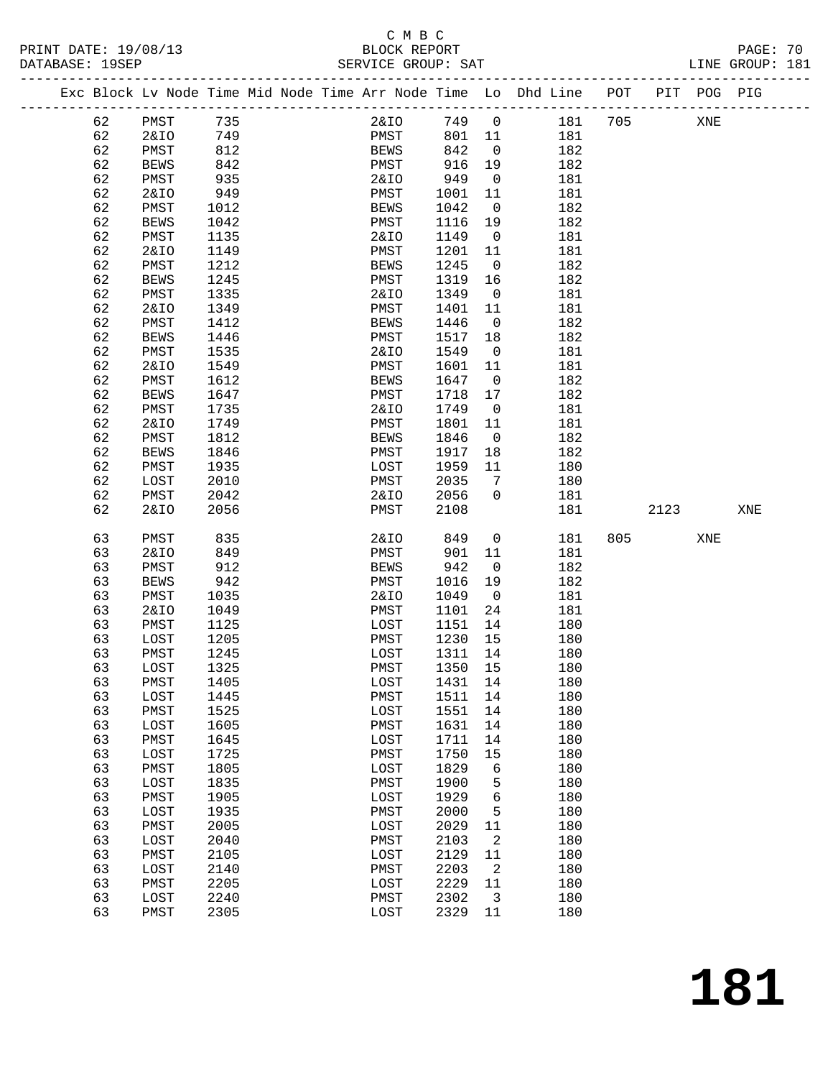# C M B C<br>BLOCK REPORT

| PRINT DATE: 19/08/13<br>DATABASE: 19SEP |    |                 |      | BLOCK REPORT<br>SERVICE GROUP: SAT |                 |                |                                                                                |     |      |     | PAGE: 70<br>LINE GROUP: 181 |  |
|-----------------------------------------|----|-----------------|------|------------------------------------|-----------------|----------------|--------------------------------------------------------------------------------|-----|------|-----|-----------------------------|--|
|                                         |    |                 |      |                                    |                 |                | Exc Block Lv Node Time Mid Node Time Arr Node Time Lo Dhd Line POT PIT POG PIG |     |      |     |                             |  |
|                                         | 62 | PMST            | 735  |                                    |                 |                | 2&IO 749 0 181 705                                                             |     |      | XNE |                             |  |
|                                         | 62 | 2&IO            | 749  | PMST                               | 801 11          |                | 181                                                                            |     |      |     |                             |  |
|                                         | 62 | PMST            | 812  | BEWS                               | 842             | $\overline{0}$ | 182                                                                            |     |      |     |                             |  |
|                                         | 62 | <b>BEWS</b>     | 842  | PMST                               |                 |                | 182                                                                            |     |      |     |                             |  |
|                                         | 62 | PMST            | 935  | 2&IO                               | 916 19<br>949 0 |                | 181                                                                            |     |      |     |                             |  |
|                                         | 62 | 2&IO            | 949  | PMST                               | 1001            | 11             | 181                                                                            |     |      |     |                             |  |
|                                         | 62 | PMST            | 1012 | BEWS                               | 1042            | $\overline{0}$ | 182                                                                            |     |      |     |                             |  |
|                                         | 62 | BEWS            | 1042 | PMST                               | 1116 19         |                | 182                                                                            |     |      |     |                             |  |
|                                         | 62 | PMST            | 1135 | 2&IO                               | 1149            | $\overline{0}$ | 181                                                                            |     |      |     |                             |  |
|                                         | 62 | 2&IO            | 1149 | PMST                               | 1201            | 11             | 181                                                                            |     |      |     |                             |  |
|                                         | 62 | PMST            | 1212 | <b>BEWS</b>                        | 1245            | $\overline{0}$ | 182                                                                            |     |      |     |                             |  |
|                                         | 62 | <b>BEWS</b>     | 1245 | PMST                               | 1319            | 16             | 182                                                                            |     |      |     |                             |  |
|                                         | 62 | PMST            | 1335 | 2&IO                               | 1349            | $\overline{0}$ | 181                                                                            |     |      |     |                             |  |
|                                         | 62 | <b>2&amp;IO</b> | 1349 | PMST                               | 1401            | 11             | 181                                                                            |     |      |     |                             |  |
|                                         |    |                 |      |                                    |                 |                |                                                                                |     |      |     |                             |  |
|                                         | 62 | PMST            | 1412 | <b>BEWS</b>                        | 1446            | $\overline{0}$ | 182                                                                            |     |      |     |                             |  |
|                                         | 62 | BEWS            | 1446 | PMST                               | 1517            | 18             | 182                                                                            |     |      |     |                             |  |
|                                         | 62 | PMST            | 1535 | 2&IO                               | 1549            | $\overline{0}$ | 181                                                                            |     |      |     |                             |  |
|                                         | 62 | <b>2&amp;IO</b> | 1549 | PMST                               | 1601            | 11             | 181                                                                            |     |      |     |                             |  |
|                                         | 62 | PMST            | 1612 | <b>BEWS</b>                        | 1647            | $\overline{0}$ | 182                                                                            |     |      |     |                             |  |
|                                         | 62 | BEWS            | 1647 | PMST                               | 1718            | 17             | 182                                                                            |     |      |     |                             |  |
|                                         | 62 | PMST            | 1735 | 2&IO                               | 1749            | $\overline{0}$ | 181                                                                            |     |      |     |                             |  |
|                                         | 62 | <b>2&amp;IO</b> | 1749 | PMST                               | 1801            | 11             | 181                                                                            |     |      |     |                             |  |
|                                         | 62 | PMST            | 1812 | <b>BEWS</b>                        | 1846            | $\overline{0}$ | 182                                                                            |     |      |     |                             |  |
|                                         | 62 | <b>BEWS</b>     | 1846 | PMST                               | 1917            | 18             | 182                                                                            |     |      |     |                             |  |
|                                         | 62 | PMST            | 1935 | LOST                               | 1959            | 11             | 180                                                                            |     |      |     |                             |  |
|                                         | 62 | LOST            | 2010 | PMST                               | 2035            | $\overline{7}$ | 180                                                                            |     |      |     |                             |  |
|                                         | 62 | PMST            | 2042 | 2&IO                               | 2056            | $\overline{0}$ | 181                                                                            |     |      |     |                             |  |
|                                         | 62 | 2&IO            | 2056 | PMST                               | 2108            |                | 181                                                                            |     | 2123 |     | XNE                         |  |
|                                         | 63 | PMST            | 835  | 2&IO                               | 849             | $\overline{0}$ | 181                                                                            | 805 |      | XNE |                             |  |
|                                         | 63 | 2&IO            | 849  | PMST                               | 901             | 11             | 181                                                                            |     |      |     |                             |  |
|                                         | 63 | PMST            | 912  | <b>BEWS</b>                        | 942             | $\overline{0}$ | 182                                                                            |     |      |     |                             |  |
|                                         | 63 | BEWS            | 942  | PMST                               | 1016            | 19             | 182                                                                            |     |      |     |                             |  |
|                                         | 63 | PMST            | 1035 | 2&IO                               | 1049            | $\overline{0}$ | 181                                                                            |     |      |     |                             |  |
|                                         | 63 | 2&IO            | 1049 | PMST                               | 1101 24         |                | 181                                                                            |     |      |     |                             |  |
|                                         | 63 | PMST            | 1125 | LOST                               | 1151 14         |                | 180                                                                            |     |      |     |                             |  |
|                                         | 63 | LOST            | 1205 | PMST                               | 1230 15         |                | 180                                                                            |     |      |     |                             |  |
|                                         | 63 | PMST            | 1245 | LOST 1311 14                       |                 |                | 180                                                                            |     |      |     |                             |  |
|                                         | 63 | LOST            | 1325 | PMST                               | 1350            | 15             | 180                                                                            |     |      |     |                             |  |
|                                         | 63 | PMST            | 1405 | LOST                               | 1431            | 14             | 180                                                                            |     |      |     |                             |  |
|                                         | 63 | LOST            | 1445 | PMST                               | 1511            | 14             | 180                                                                            |     |      |     |                             |  |
|                                         | 63 | PMST            | 1525 | LOST                               | 1551            | 14             | 180                                                                            |     |      |     |                             |  |
|                                         | 63 | LOST            | 1605 | PMST                               | 1631            | 14             | 180                                                                            |     |      |     |                             |  |
|                                         | 63 | PMST            | 1645 | LOST                               | 1711            | 14             | 180                                                                            |     |      |     |                             |  |
|                                         | 63 | LOST            | 1725 | PMST                               | 1750            | 15             | 180                                                                            |     |      |     |                             |  |
|                                         | 63 | PMST            | 1805 | LOST                               | 1829            |                | 180                                                                            |     |      |     |                             |  |
|                                         | 63 | LOST            | 1835 |                                    | 1900            | 6              | 180                                                                            |     |      |     |                             |  |
|                                         |    |                 |      | PMST                               |                 | 5              |                                                                                |     |      |     |                             |  |
|                                         | 63 | PMST            | 1905 | LOST                               | 1929            | 6              | 180                                                                            |     |      |     |                             |  |
|                                         | 63 | LOST            | 1935 | PMST                               | 2000            | 5              | 180                                                                            |     |      |     |                             |  |
|                                         | 63 | PMST            | 2005 | LOST                               | 2029            | 11             | 180                                                                            |     |      |     |                             |  |
|                                         | 63 | LOST            | 2040 | PMST                               | 2103            | 2              | 180                                                                            |     |      |     |                             |  |
|                                         | 63 | PMST            | 2105 | LOST                               | 2129            | 11             | 180                                                                            |     |      |     |                             |  |
|                                         | 63 | LOST            | 2140 | PMST                               | 2203            | 2              | 180                                                                            |     |      |     |                             |  |
|                                         | 63 | PMST            | 2205 | LOST                               | 2229            | 11             | 180                                                                            |     |      |     |                             |  |

 63 LOST 2240 PMST 2302 3 180 63 PMST 2305 LOST 2329 11 180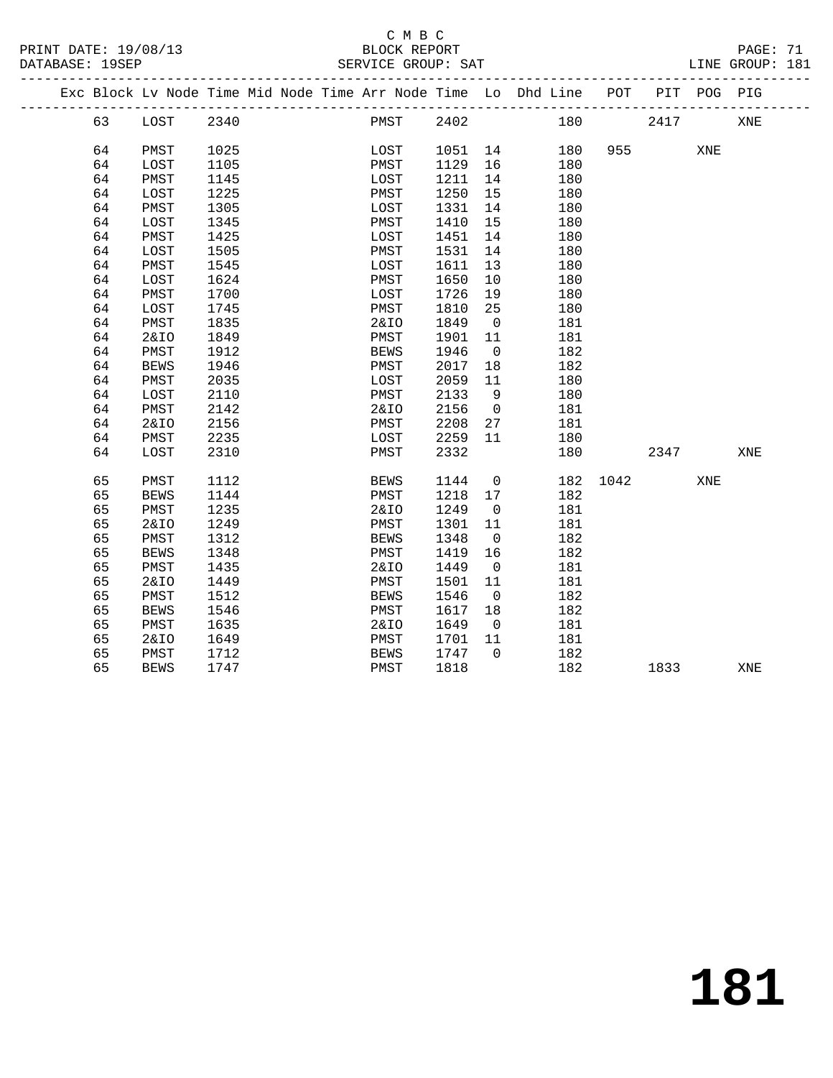#### C M B C<br>BLOCK REPORT SERVICE GROUP: SAT

|  |    |                 |      |  |                 |         |                | Exc Block Lv Node Time Mid Node Time Arr Node Time Lo Dhd Line POT |      |      | PIT POG PIG |     |  |
|--|----|-----------------|------|--|-----------------|---------|----------------|--------------------------------------------------------------------|------|------|-------------|-----|--|
|  | 63 | LOST            | 2340 |  | PMST            | 2402    |                | 180                                                                |      | 2417 |             | XNE |  |
|  | 64 | PMST            | 1025 |  | LOST            | 1051 14 |                | 180                                                                | 955  |      | XNE         |     |  |
|  | 64 | LOST            | 1105 |  | PMST            | 1129    | 16             | 180                                                                |      |      |             |     |  |
|  | 64 | PMST            | 1145 |  | LOST            | 1211    | 14             | 180                                                                |      |      |             |     |  |
|  | 64 | LOST            | 1225 |  | PMST            | 1250    | 15             | 180                                                                |      |      |             |     |  |
|  | 64 | PMST            | 1305 |  | LOST            | 1331    | 14             | 180                                                                |      |      |             |     |  |
|  | 64 | LOST            | 1345 |  | PMST            | 1410    | 15             | 180                                                                |      |      |             |     |  |
|  | 64 | PMST            | 1425 |  | LOST            | 1451    | 14             | 180                                                                |      |      |             |     |  |
|  | 64 | LOST            | 1505 |  | PMST            | 1531    | 14             | 180                                                                |      |      |             |     |  |
|  | 64 | PMST            | 1545 |  | LOST            | 1611    | 13             | 180                                                                |      |      |             |     |  |
|  | 64 | LOST            | 1624 |  | PMST            | 1650    | 10             | 180                                                                |      |      |             |     |  |
|  | 64 | PMST            | 1700 |  | LOST            | 1726    | 19             | 180                                                                |      |      |             |     |  |
|  | 64 | LOST            | 1745 |  | PMST            | 1810    | 25             | 180                                                                |      |      |             |     |  |
|  | 64 | PMST            | 1835 |  | 2&10            | 1849    | $\mathbf 0$    | 181                                                                |      |      |             |     |  |
|  | 64 | <b>2&amp;IO</b> | 1849 |  | PMST            | 1901    | 11             | 181                                                                |      |      |             |     |  |
|  | 64 | PMST            | 1912 |  | <b>BEWS</b>     | 1946    | $\overline{0}$ | 182                                                                |      |      |             |     |  |
|  | 64 | <b>BEWS</b>     | 1946 |  | PMST            | 2017    | 18             | 182                                                                |      |      |             |     |  |
|  | 64 | PMST            | 2035 |  | LOST            | 2059    | 11             | 180                                                                |      |      |             |     |  |
|  | 64 | LOST            | 2110 |  | PMST            | 2133    | 9              | 180                                                                |      |      |             |     |  |
|  | 64 | PMST            | 2142 |  | 2&IO            | 2156    | $\overline{0}$ | 181                                                                |      |      |             |     |  |
|  | 64 | <b>2&amp;IO</b> | 2156 |  | PMST            | 2208    | 27             | 181                                                                |      |      |             |     |  |
|  | 64 | PMST            | 2235 |  | LOST            | 2259    | 11             | 180                                                                |      |      |             |     |  |
|  | 64 | LOST            | 2310 |  | PMST            | 2332    |                | 180                                                                |      | 2347 |             | XNE |  |
|  | 65 | PMST            | 1112 |  | <b>BEWS</b>     | 1144    | $\mathsf{O}$   | 182                                                                | 1042 |      | XNE         |     |  |
|  | 65 | <b>BEWS</b>     | 1144 |  | PMST            | 1218    | 17             | 182                                                                |      |      |             |     |  |
|  | 65 | PMST            | 1235 |  | <b>2&amp;IO</b> | 1249    | $\mathbf 0$    | 181                                                                |      |      |             |     |  |
|  | 65 | <b>2&amp;IO</b> | 1249 |  | PMST            | 1301    | 11             | 181                                                                |      |      |             |     |  |
|  | 65 | PMST            | 1312 |  | <b>BEWS</b>     | 1348    | $\overline{0}$ | 182                                                                |      |      |             |     |  |
|  | 65 | <b>BEWS</b>     | 1348 |  | PMST            | 1419    | 16             | 182                                                                |      |      |             |     |  |
|  | 65 | PMST            | 1435 |  | <b>2&amp;IO</b> | 1449    | $\mathbf 0$    | 181                                                                |      |      |             |     |  |
|  | 65 | <b>2&amp;IO</b> | 1449 |  | PMST            | 1501    | 11             | 181                                                                |      |      |             |     |  |
|  | 65 | PMST            | 1512 |  | <b>BEWS</b>     | 1546    | $\overline{0}$ | 182                                                                |      |      |             |     |  |
|  | 65 | <b>BEWS</b>     | 1546 |  | PMST            | 1617    | 18             | 182                                                                |      |      |             |     |  |
|  | 65 | PMST            | 1635 |  | <b>2&amp;IO</b> | 1649    | $\overline{0}$ | 181                                                                |      |      |             |     |  |
|  | 65 | <b>2&amp;IO</b> | 1649 |  | PMST            | 1701    | 11             | 181                                                                |      |      |             |     |  |
|  | 65 | PMST            | 1712 |  | <b>BEWS</b>     | 1747    | $\Omega$       | 182                                                                |      |      |             |     |  |
|  | 65 | <b>BEWS</b>     | 1747 |  | PMST            | 1818    |                | 182                                                                |      | 1833 |             | XNE |  |

**181**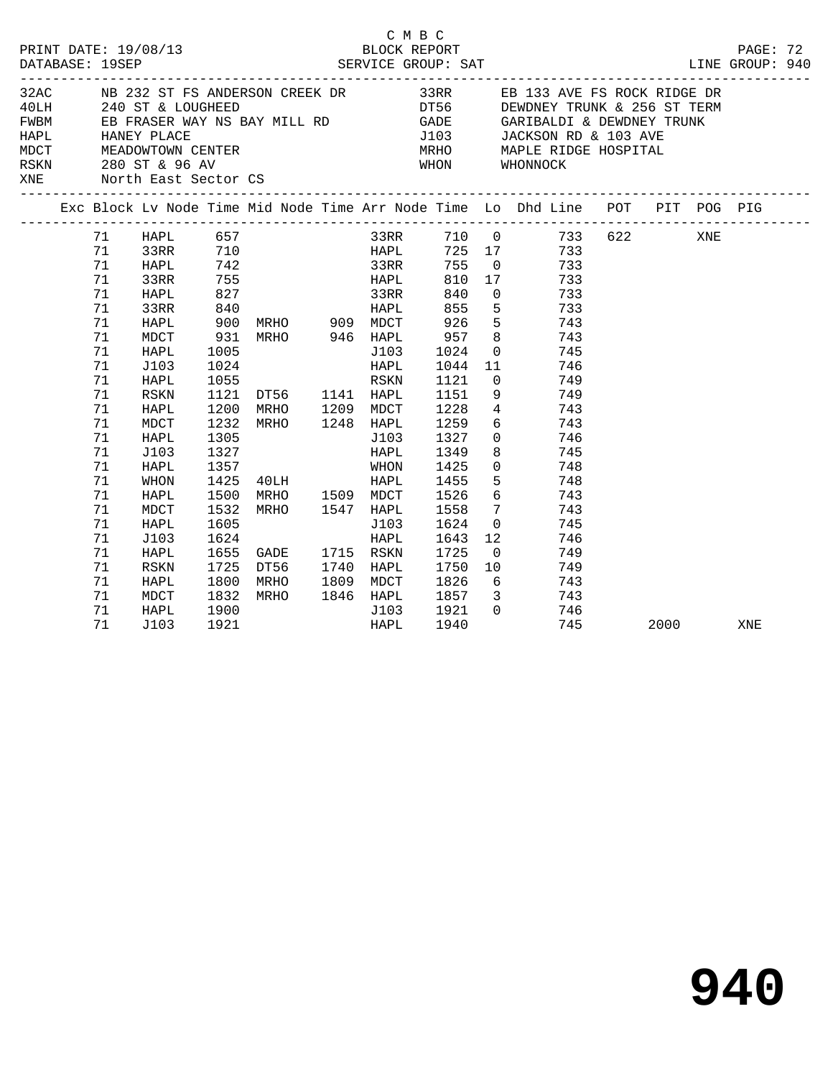| PRINT DATE: 19/08/13<br>$\frac{8}{13}$<br>DATABASE: 19SEP |  |                                                                                                          |                                                                                                                                                                          |                                              |                                                                                                                                                                                                                                                                 |  | BLOCK REPORT                                         | смвс | SERVICE GROUP: SAT                                                                                                                                                                                                                                                                                                                                                                                                                                                                                   |                                                                                                                                            |                                                                                                                                                                                                                                                                                         | PAGE: 72<br>LINE GROUP: 940 |  |     |  |
|-----------------------------------------------------------|--|----------------------------------------------------------------------------------------------------------|--------------------------------------------------------------------------------------------------------------------------------------------------------------------------|----------------------------------------------|-----------------------------------------------------------------------------------------------------------------------------------------------------------------------------------------------------------------------------------------------------------------|--|------------------------------------------------------|------|------------------------------------------------------------------------------------------------------------------------------------------------------------------------------------------------------------------------------------------------------------------------------------------------------------------------------------------------------------------------------------------------------------------------------------------------------------------------------------------------------|--------------------------------------------------------------------------------------------------------------------------------------------|-----------------------------------------------------------------------------------------------------------------------------------------------------------------------------------------------------------------------------------------------------------------------------------------|-----------------------------|--|-----|--|
| XNE                                                       |  |                                                                                                          | MDCT MEADOWTOWN CENTER<br>RSKN 280 ST & 96 AV<br>North East Sector CS                                                                                                    |                                              |                                                                                                                                                                                                                                                                 |  |                                                      |      | 32AC NB 232 ST FS ANDERSON CREEK DR 33RR EB 133 AVE FS ROCK RIDGE DR<br>$\begin{array}{lllllllllll} 40\text{LH} & 240\text{ ST} & \& \text{LOUGHEED} & & \text{DTS6} & & \text{DEWDNEY TRUNK} & 256\text{ ST TERM} \\ \text{FWBM} & \text{EB FRASER WAY NS BAY MILL RD & & & \text{GADE} & & \text{GARIBALDI} & \& \text{DEWDNEY TRUNK} \\ \text{HAPL} & \text{HANEY PLACE} & & & & \text{J103} & & \text{JACKSON RD} & \& \text{103 AVE} \end{array}$<br>MRHO MAPLE RIDGE HOSPITAL<br>WHON WHONNOCK |                                                                                                                                            |                                                                                                                                                                                                                                                                                         |                             |  |     |  |
|                                                           |  |                                                                                                          |                                                                                                                                                                          |                                              |                                                                                                                                                                                                                                                                 |  |                                                      |      |                                                                                                                                                                                                                                                                                                                                                                                                                                                                                                      |                                                                                                                                            | Exc Block Lv Node Time Mid Node Time Arr Node Time Lo Dhd Line POT PIT POG PIG                                                                                                                                                                                                          |                             |  |     |  |
|                                                           |  | 71<br>71<br>71<br>71<br>71<br>71<br>71<br>71<br>71<br>71<br>71<br>71<br>71<br>71<br>71<br>71<br>71<br>71 | 33RR<br><b>HAPL</b><br>33RR<br>HAPL<br>MDCT<br><b>HAPL</b><br>J103<br><b>HAPL</b><br><b>RSKN</b><br>HAPL<br>MDCT<br>HAPL<br>J103<br>HAPL<br>WHON<br>HAPL<br>MDCT<br>HAPL | 1005<br>1024<br>1200<br>1305<br>1327<br>1605 | --------<br>71 HAPL 657<br>71 33RR 710<br>71 HAPL 742<br>755 HAPL 810 17<br>931 MRHO 946 HAPL<br>1024 HAPL<br>1055 RSKN<br>1121 DT56 1141 HAPL<br>MRHO 1209 MDCT<br>1232 MRHO 1248 HAPL<br>1357 WHON<br>1425 40LH<br>1500 MRHO 1509 MDCT<br>1532 MRHO 1547 HAPL |  | 33RR<br>HAPL<br>J103<br>J103<br>HAPL<br>HAPL<br>J103 |      | 840<br>855<br>926<br>957<br>1024<br>1044<br>1121<br>1151<br>1228<br>1259<br>1327<br>1349<br>1425<br>1455<br>1526<br>1558<br>1624                                                                                                                                                                                                                                                                                                                                                                     | $\overline{0}$<br>$5^{\circ}$<br>11<br>$\overline{0}$<br>9<br>$4\overline{ }$<br>$\overline{0}$<br>5<br>$6\overline{6}$<br>$7\overline{ }$ | 33RR 710 0 733 622 XNE<br>HAPL 725 17 733<br>33RR 755 0 733<br>733<br>733<br>$\frac{1}{733}$<br>5 <sub>5</sub><br>743<br>8 743<br>0 745<br>746<br>749<br>749<br>743<br>743<br>$6\overline{6}$<br>$\overline{0}$<br>746<br>8<br>745<br>748<br>748<br>743<br>743<br>$\overline{0}$<br>745 |                             |  |     |  |
|                                                           |  | 71<br>71<br>71<br>71<br>71<br>71<br>71                                                                   | J103<br>HAPL<br>RSKN<br>HAPL<br>MDCT<br><b>HAPL</b><br>J103                                                                                                              | 1624<br>1900<br>1921                         | 1655 GADE 1715 RSKN<br>1725 DT56 1740 HAPL<br>1800 MRHO 1809 MDCT                                                                                                                                                                                               |  | HAPL<br>J103<br>HAPL                                 |      | 1643<br>1725<br>1750<br>1826<br>1921<br>1940                                                                                                                                                                                                                                                                                                                                                                                                                                                         | 12<br>10                                                                                                                                   | 746<br>749<br>$\overline{0}$<br>749<br>6 743<br>1832 MRHO 1846 HAPL 1857 3 743<br>0 746<br>745                                                                                                                                                                                          | 2000                        |  | XNE |  |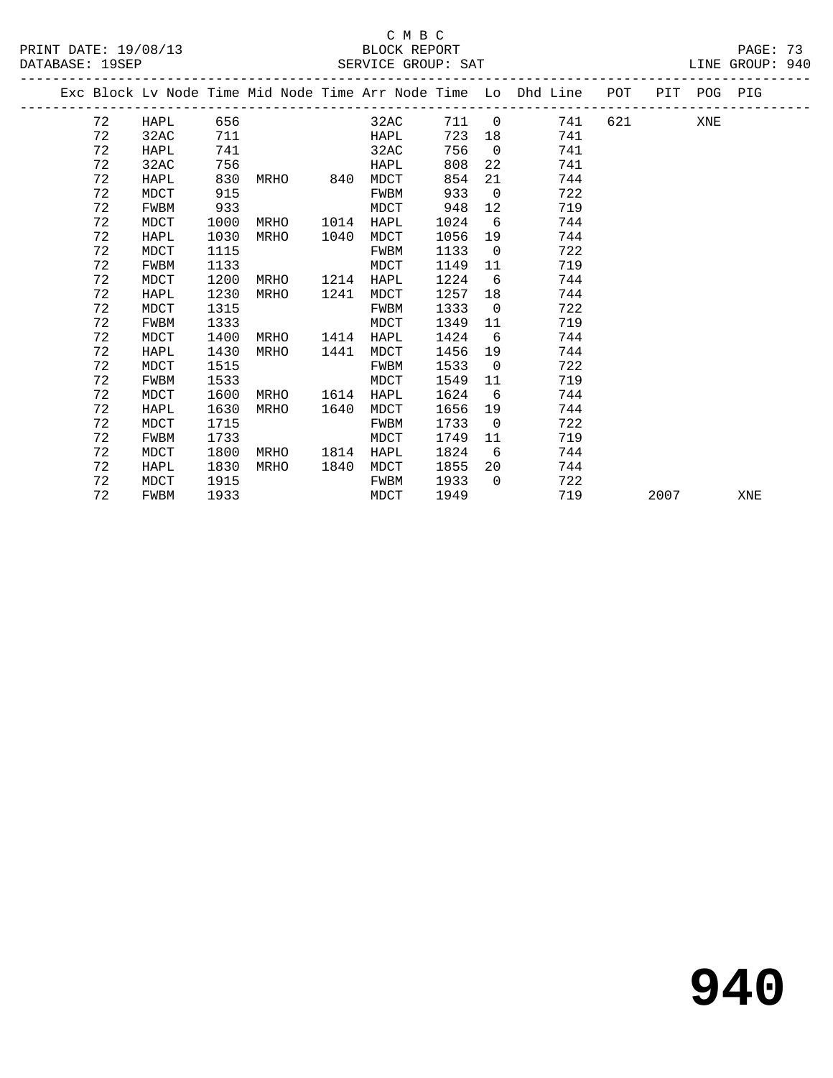### C M B C<br>BLOCK REPORT

| PRINT DATE: 19/08/13 | BLOCK REPORT       | PAGE: 73        |  |
|----------------------|--------------------|-----------------|--|
| DATABASE: 19SEP      | SERVICE GROUP: SAT | LINE GROUP: 940 |  |
|                      |                    |                 |  |

|  |    |             |      |           |      |      |      |                | Exc Block Lv Node Time Mid Node Time Arr Node Time Lo Dhd Line | POT   | PIT  | POG PIG |     |
|--|----|-------------|------|-----------|------|------|------|----------------|----------------------------------------------------------------|-------|------|---------|-----|
|  | 72 | HAPL        | 656  |           |      | 32AC | 711  | $\overline{0}$ | 741                                                            | 621 7 |      | XNE     |     |
|  | 72 | 32AC        | 711  |           |      | HAPL | 723  | 18             | 741                                                            |       |      |         |     |
|  | 72 | HAPL        | 741  |           |      | 32AC | 756  | $\overline{0}$ | 741                                                            |       |      |         |     |
|  | 72 | 32AC        | 756  |           |      | HAPL | 808  | 22             | 741                                                            |       |      |         |     |
|  | 72 | HAPL        | 830  | MRHO 840  |      | MDCT | 854  | 21             | 744                                                            |       |      |         |     |
|  | 72 | MDCT        | 915  |           |      | FWBM | 933  | $\overline{0}$ | 722                                                            |       |      |         |     |
|  | 72 | FWBM        | 933  |           |      | MDCT | 948  | 12             | 719                                                            |       |      |         |     |
|  | 72 | MDCT        | 1000 | MRHO      | 1014 | HAPL | 1024 | 6              | 744                                                            |       |      |         |     |
|  | 72 | HAPL        | 1030 | MRHO      | 1040 | MDCT | 1056 | 19             | 744                                                            |       |      |         |     |
|  | 72 | MDCT        | 1115 |           |      | FWBM | 1133 | $\overline{0}$ | 722                                                            |       |      |         |     |
|  | 72 | <b>FWBM</b> | 1133 |           |      | MDCT | 1149 | 11             | 719                                                            |       |      |         |     |
|  | 72 | MDCT        | 1200 | MRHO 1214 |      | HAPL | 1224 | 6              | 744                                                            |       |      |         |     |
|  | 72 | HAPL        | 1230 | MRHO      | 1241 | MDCT | 1257 | 18             | 744                                                            |       |      |         |     |
|  | 72 | MDCT        | 1315 |           |      | FWBM | 1333 | $\overline{0}$ | 722                                                            |       |      |         |     |
|  | 72 | FWBM        | 1333 |           |      | MDCT | 1349 | 11             | 719                                                            |       |      |         |     |
|  | 72 | MDCT        | 1400 | MRHO      | 1414 | HAPL | 1424 | 6              | 744                                                            |       |      |         |     |
|  | 72 | HAPL        | 1430 | MRHO      | 1441 | MDCT | 1456 | 19             | 744                                                            |       |      |         |     |
|  | 72 | MDCT        | 1515 |           |      | FWBM | 1533 | $\overline{0}$ | 722                                                            |       |      |         |     |
|  | 72 | FWBM        | 1533 |           |      | MDCT | 1549 | 11             | 719                                                            |       |      |         |     |
|  | 72 | MDCT        | 1600 | MRHO 1614 |      | HAPL | 1624 | 6              | 744                                                            |       |      |         |     |
|  | 72 | HAPL        | 1630 | MRHO      | 1640 | MDCT | 1656 | 19             | 744                                                            |       |      |         |     |
|  | 72 | MDCT        | 1715 |           |      | FWBM | 1733 | $\overline{0}$ | 722                                                            |       |      |         |     |
|  | 72 | FWBM        | 1733 |           |      | MDCT | 1749 | 11             | 719                                                            |       |      |         |     |
|  | 72 | MDCT        | 1800 | MRHO      | 1814 | HAPL | 1824 | 6              | 744                                                            |       |      |         |     |
|  | 72 | HAPL        | 1830 | MRHO      | 1840 | MDCT | 1855 | 20             | 744                                                            |       |      |         |     |
|  | 72 | MDCT        | 1915 |           |      | FWBM | 1933 | $\overline{0}$ | 722                                                            |       |      |         |     |
|  | 72 | FWBM        | 1933 |           |      | MDCT | 1949 |                | 719                                                            |       | 2007 |         | XNE |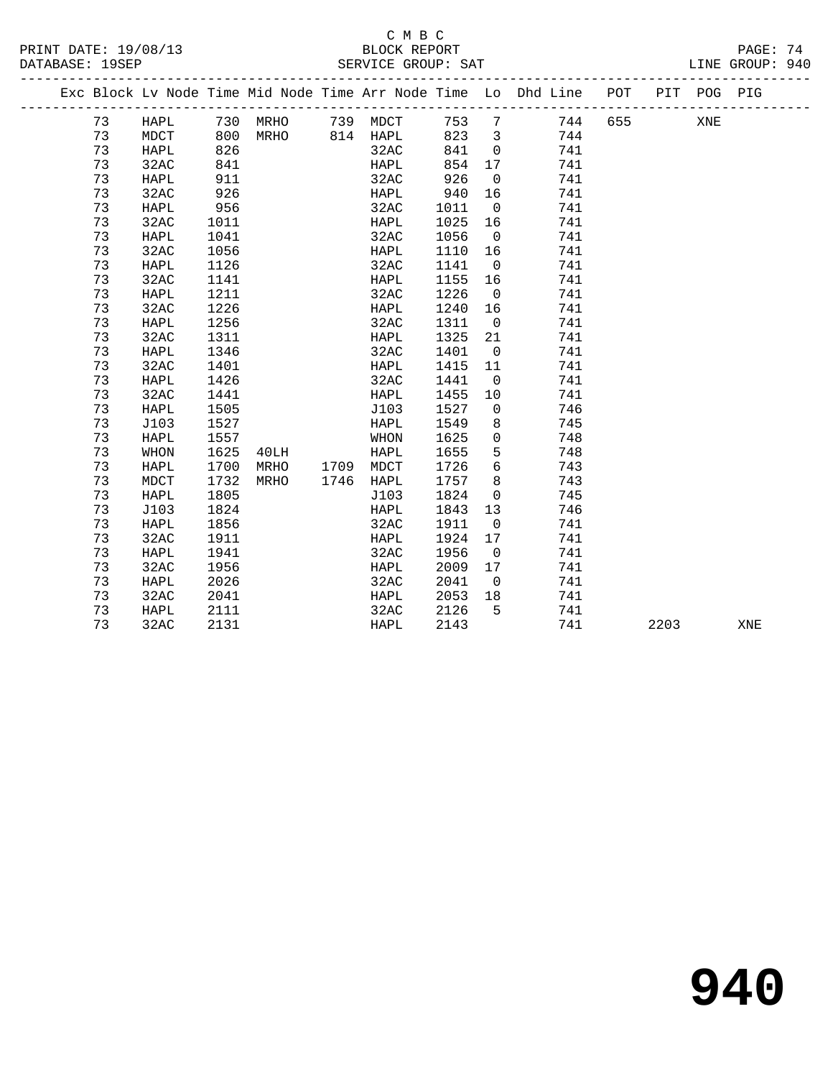# SERVICE GROUP: SAT

|  | ֊ | C M B C | $\sim$ |  |
|--|---|---------|--------|--|
|  |   |         |        |  |

|  |    |      |      |                |                         |       |                | Exc Block Lv Node Time Mid Node Time Arr Node Time Lo Dhd Line POT |     |      | PIT POG PIG |     |
|--|----|------|------|----------------|-------------------------|-------|----------------|--------------------------------------------------------------------|-----|------|-------------|-----|
|  | 73 | HAPL |      |                | 730 MRHO 739 MDCT 753 7 |       |                | 744                                                                | 655 |      | XNE         |     |
|  | 73 | MDCT |      |                | 800 MRHO 814 HAPL       | 823 3 |                | 744                                                                |     |      |             |     |
|  | 73 | HAPL | 826  |                | 32AC                    | 841   | $\overline{0}$ | 741                                                                |     |      |             |     |
|  | 73 | 32AC | 841  |                | HAPL                    | 854   | 17             | 741                                                                |     |      |             |     |
|  | 73 | HAPL | 911  |                | 32AC                    | 926   | $\overline{0}$ | 741                                                                |     |      |             |     |
|  | 73 | 32AC | 926  |                | HAPL                    | 940   | 16             | 741                                                                |     |      |             |     |
|  | 73 | HAPL | 956  |                | 32AC                    | 1011  | $\overline{0}$ | 741                                                                |     |      |             |     |
|  | 73 | 32AC | 1011 |                | HAPL                    | 1025  | 16             | 741                                                                |     |      |             |     |
|  | 73 | HAPL | 1041 |                | 32AC                    | 1056  | $\overline{0}$ | 741                                                                |     |      |             |     |
|  | 73 | 32AC | 1056 |                | HAPL                    | 1110  | 16             | 741                                                                |     |      |             |     |
|  | 73 | HAPL | 1126 |                | 32AC                    | 1141  | $\overline{0}$ | 741                                                                |     |      |             |     |
|  | 73 | 32AC | 1141 |                | HAPL                    | 1155  | 16             | 741                                                                |     |      |             |     |
|  | 73 | HAPL | 1211 |                | 32AC                    | 1226  | $\overline{0}$ | 741                                                                |     |      |             |     |
|  | 73 | 32AC | 1226 |                | HAPL                    | 1240  | 16             | 741                                                                |     |      |             |     |
|  | 73 | HAPL | 1256 |                | 32AC                    | 1311  | $\overline{0}$ | 741                                                                |     |      |             |     |
|  | 73 | 32AC | 1311 |                | HAPL                    | 1325  | 21             | 741                                                                |     |      |             |     |
|  | 73 | HAPL | 1346 |                | 32AC                    | 1401  | $\overline{0}$ | 741                                                                |     |      |             |     |
|  | 73 | 32AC | 1401 |                | HAPL                    | 1415  | 11             | 741                                                                |     |      |             |     |
|  | 73 | HAPL | 1426 |                | 32AC                    | 1441  | $\overline{0}$ | 741                                                                |     |      |             |     |
|  | 73 | 32AC | 1441 |                | HAPL                    | 1455  | 10             | 741                                                                |     |      |             |     |
|  | 73 | HAPL | 1505 |                | J103                    | 1527  | $\overline{0}$ | 746                                                                |     |      |             |     |
|  | 73 | J103 | 1527 |                | HAPL                    | 1549  | 8              | 745                                                                |     |      |             |     |
|  | 73 | HAPL | 1557 |                | WHON                    | 1625  | $\mathbf 0$    | 748                                                                |     |      |             |     |
|  | 73 | WHON | 1625 | 40LH           | HAPL                    | 1655  | 5              | 748                                                                |     |      |             |     |
|  | 73 | HAPL | 1700 | MRHO 1709 MDCT |                         | 1726  | 6              | 743                                                                |     |      |             |     |
|  | 73 | MDCT | 1732 | MRHO           | 1746 HAPL               | 1757  | 8              | 743                                                                |     |      |             |     |
|  | 73 | HAPL | 1805 |                | J103                    | 1824  | $\overline{0}$ | 745                                                                |     |      |             |     |
|  | 73 | J103 | 1824 |                | HAPL                    | 1843  | 13             | 746                                                                |     |      |             |     |
|  | 73 | HAPL | 1856 |                | 32AC                    | 1911  | $\overline{0}$ | 741                                                                |     |      |             |     |
|  | 73 | 32AC | 1911 |                | HAPL                    | 1924  | 17             | 741                                                                |     |      |             |     |
|  | 73 | HAPL | 1941 |                | 32AC                    | 1956  | $\overline{0}$ | 741                                                                |     |      |             |     |
|  | 73 | 32AC | 1956 |                | HAPL                    | 2009  | 17             | 741                                                                |     |      |             |     |
|  | 73 | HAPL | 2026 |                | 32AC                    | 2041  | $\overline{0}$ | 741                                                                |     |      |             |     |
|  | 73 | 32AC | 2041 |                | HAPL                    | 2053  | 18             | 741                                                                |     |      |             |     |
|  | 73 | HAPL | 2111 |                | 32AC                    | 2126  | 5              | 741                                                                |     |      |             |     |
|  | 73 | 32AC | 2131 |                | HAPL                    | 2143  |                | 741                                                                |     | 2203 |             | XNE |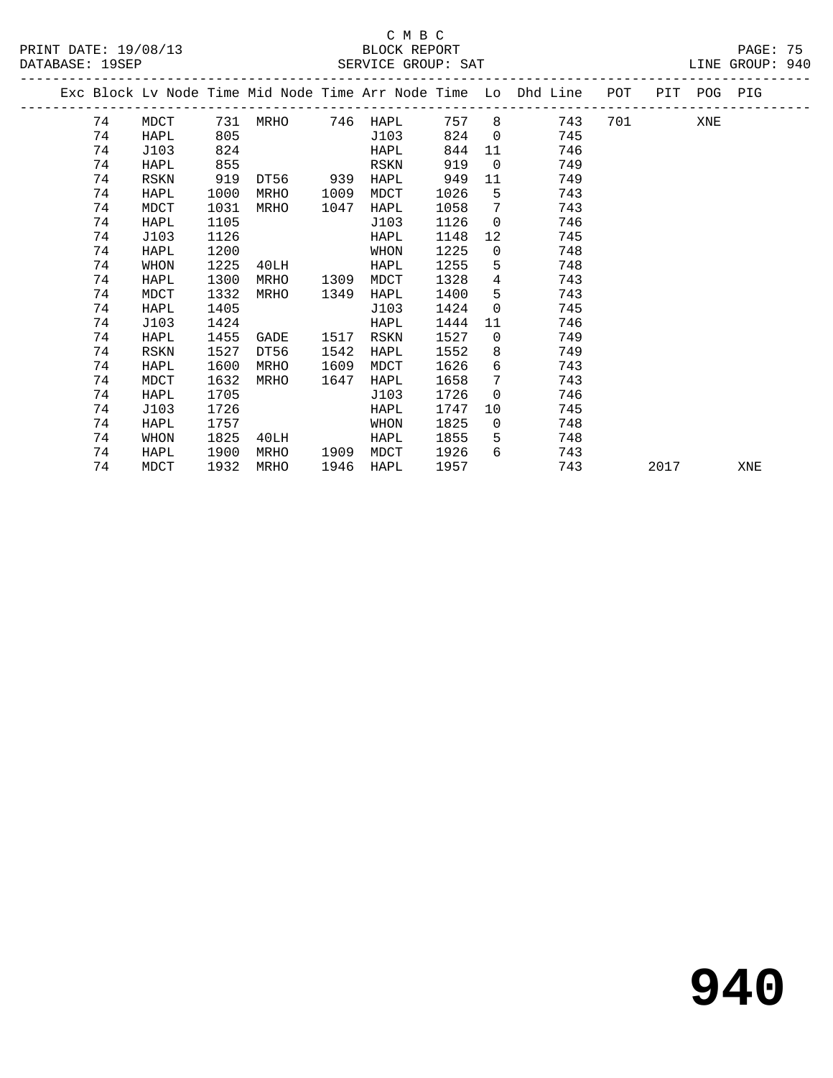### BLOCK REPORT PAGE: 75 DATABASE: 19SEP SERVICE GROUP: SAT LINE GROUP: 940

|                      | C M B C     |  |
|----------------------|-------------|--|
| PRINT DATE: 19/08/13 | BLOCK REPOP |  |

|  |    |      |      |                           |      |      |      |                 | Exc Block Lv Node Time Mid Node Time Arr Node Time Lo Dhd Line POT |           |      | PIT POG PIG |     |
|--|----|------|------|---------------------------|------|------|------|-----------------|--------------------------------------------------------------------|-----------|------|-------------|-----|
|  | 74 | MDCT |      | 731 MRHO       746   HAPL |      |      | 757  |                 | 743                                                                | 701 — 101 |      | <b>XNE</b>  |     |
|  | 74 | HAPL | 805  |                           |      | J103 | 824  | $\overline{0}$  | 745                                                                |           |      |             |     |
|  | 74 | J103 | 824  |                           |      | HAPL | 844  | 11              | 746                                                                |           |      |             |     |
|  | 74 | HAPL | 855  |                           |      | RSKN | 919  | $\Omega$        | 749                                                                |           |      |             |     |
|  | 74 | RSKN | 919  | DT56                      | 939  | HAPL | 949  | 11              | 749                                                                |           |      |             |     |
|  | 74 | HAPL | 1000 | MRHO                      | 1009 | MDCT | 1026 | 5               | 743                                                                |           |      |             |     |
|  | 74 | MDCT | 1031 | MRHO                      | 1047 | HAPL | 1058 | 7               | 743                                                                |           |      |             |     |
|  | 74 | HAPL | 1105 |                           |      | J103 | 1126 | $\overline{0}$  | 746                                                                |           |      |             |     |
|  | 74 | J103 | 1126 |                           |      | HAPL | 1148 | 12              | 745                                                                |           |      |             |     |
|  | 74 | HAPL | 1200 |                           |      | WHON | 1225 | $\overline{0}$  | 748                                                                |           |      |             |     |
|  | 74 | WHON | 1225 | 40LH                      |      | HAPL | 1255 | 5               | 748                                                                |           |      |             |     |
|  | 74 | HAPL | 1300 | MRHO                      | 1309 | MDCT | 1328 | $4\overline{ }$ | 743                                                                |           |      |             |     |
|  | 74 | MDCT | 1332 | MRHO                      | 1349 | HAPL | 1400 | 5               | 743                                                                |           |      |             |     |
|  | 74 | HAPL | 1405 |                           |      | J103 | 1424 | $\overline{0}$  | 745                                                                |           |      |             |     |
|  | 74 | J103 | 1424 |                           |      | HAPL | 1444 | 11              | 746                                                                |           |      |             |     |
|  | 74 | HAPL | 1455 | GADE                      | 1517 | RSKN | 1527 | $\overline{0}$  | 749                                                                |           |      |             |     |
|  | 74 | RSKN | 1527 | DT56                      | 1542 | HAPL | 1552 | 8               | 749                                                                |           |      |             |     |
|  | 74 | HAPL | 1600 | MRHO                      | 1609 | MDCT | 1626 | 6               | 743                                                                |           |      |             |     |
|  | 74 | MDCT | 1632 | MRHO                      | 1647 | HAPL | 1658 | $7\overline{ }$ | 743                                                                |           |      |             |     |
|  | 74 | HAPL | 1705 |                           |      | J103 | 1726 | $\overline{0}$  | 746                                                                |           |      |             |     |
|  | 74 | J103 | 1726 |                           |      | HAPL | 1747 | 10              | 745                                                                |           |      |             |     |
|  | 74 | HAPL | 1757 |                           |      | WHON | 1825 | $\overline{0}$  | 748                                                                |           |      |             |     |
|  | 74 | WHON | 1825 | 40LH                      |      | HAPL | 1855 | 5               | 748                                                                |           |      |             |     |
|  | 74 | HAPL | 1900 | MRHO                      | 1909 | MDCT | 1926 | 6               | 743                                                                |           |      |             |     |
|  | 74 | MDCT | 1932 | MRHO                      | 1946 | HAPL | 1957 |                 | 743                                                                |           | 2017 |             | XNE |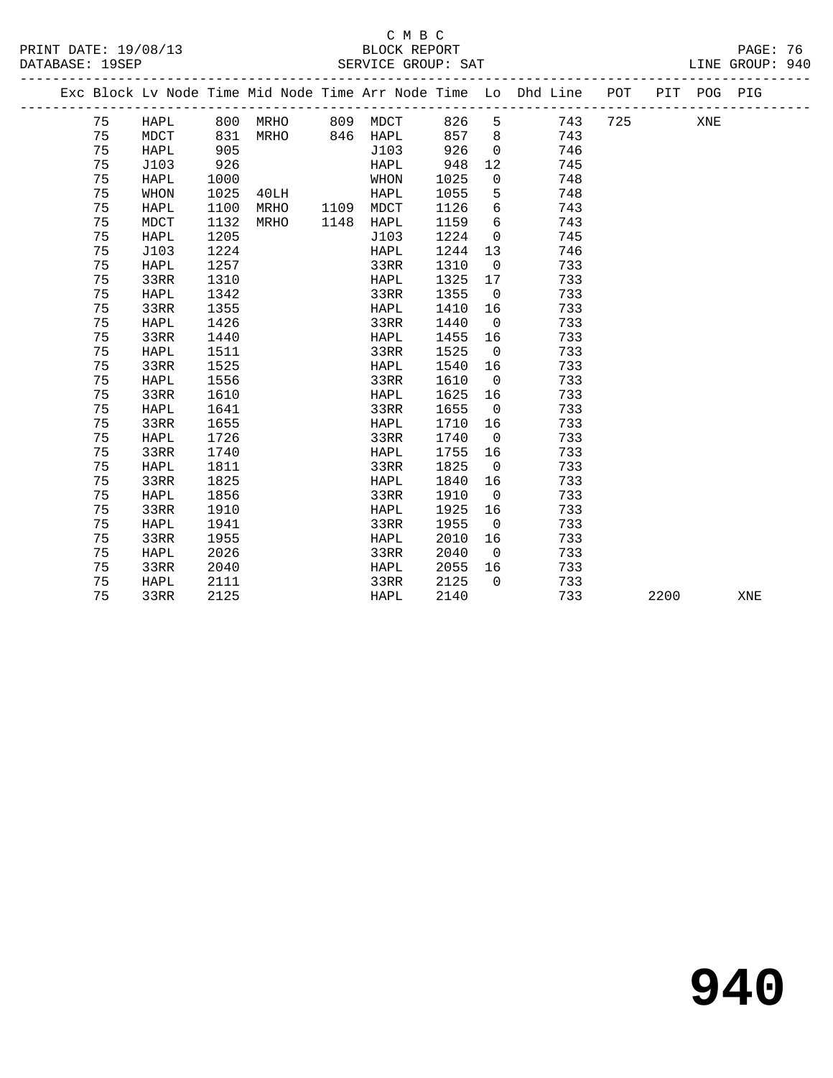### C M B C<br>BLOCK REPORT

| PRINT DATE: 19/08/13<br>DATABASE: 19SEP | BLOCK REPORT<br>SERVICE GROUP: SAT                                                | PAGE: 76<br>LINE GROUP: 940 |  |
|-----------------------------------------|-----------------------------------------------------------------------------------|-----------------------------|--|
|                                         | Fra Plogk Isr Node Time Mid Node Time Arr Node Time Is Dhd Iine. DOT LUTT DOC DIC |                             |  |

| Exc Block Lv Node Time Mid Node Time Arr Node Time Lo Dhd Line |             |      |      |      |             |      |                |     | POT | PIT  | POG | PIG |  |
|----------------------------------------------------------------|-------------|------|------|------|-------------|------|----------------|-----|-----|------|-----|-----|--|
| 75                                                             | HAPL        | 800  | MRHO | 809  | MDCT        | 826  | 5              | 743 | 725 |      | XNE |     |  |
| 75                                                             | <b>MDCT</b> | 831  | MRHO | 846  | HAPL        | 857  | 8              | 743 |     |      |     |     |  |
| 75                                                             | <b>HAPL</b> | 905  |      |      | J103        | 926  | 0              | 746 |     |      |     |     |  |
| 75                                                             | J103        | 926  |      |      | HAPL        | 948  | 12             | 745 |     |      |     |     |  |
| 75                                                             | HAPL        | 1000 |      |      | WHON        | 1025 | 0              | 748 |     |      |     |     |  |
| 75                                                             | WHON        | 1025 | 40LH |      | HAPL        | 1055 | 5              | 748 |     |      |     |     |  |
| 75                                                             | HAPL        | 1100 | MRHO | 1109 | MDCT        | 1126 | 6              | 743 |     |      |     |     |  |
| 75                                                             | MDCT        | 1132 | MRHO | 1148 | HAPL        | 1159 | 6              | 743 |     |      |     |     |  |
| 75                                                             | HAPL        | 1205 |      |      | J103        | 1224 | 0              | 745 |     |      |     |     |  |
| 75                                                             | J103        | 1224 |      |      | <b>HAPL</b> | 1244 | 13             | 746 |     |      |     |     |  |
| 75                                                             | HAPL        | 1257 |      |      | 33RR        | 1310 | $\mathbf 0$    | 733 |     |      |     |     |  |
| 75                                                             | 33RR        | 1310 |      |      | HAPL        | 1325 | 17             | 733 |     |      |     |     |  |
| 75                                                             | HAPL        | 1342 |      |      | 33RR        | 1355 | $\mathbf 0$    | 733 |     |      |     |     |  |
| 75                                                             | 33RR        | 1355 |      |      | HAPL        | 1410 | 16             | 733 |     |      |     |     |  |
| 75                                                             | <b>HAPL</b> | 1426 |      |      | 33RR        | 1440 | $\mathbf 0$    | 733 |     |      |     |     |  |
| 75                                                             | 33RR        | 1440 |      |      | HAPL        | 1455 | 16             | 733 |     |      |     |     |  |
| 75                                                             | HAPL        | 1511 |      |      | 33RR        | 1525 | 0              | 733 |     |      |     |     |  |
| 75                                                             | 33RR        | 1525 |      |      | HAPL        | 1540 | 16             | 733 |     |      |     |     |  |
| 75                                                             | HAPL        | 1556 |      |      | 33RR        | 1610 | $\mathbf 0$    | 733 |     |      |     |     |  |
| 75                                                             | 33RR        | 1610 |      |      | HAPL        | 1625 | 16             | 733 |     |      |     |     |  |
| 75                                                             | HAPL        | 1641 |      |      | 33RR        | 1655 | $\mathbf 0$    | 733 |     |      |     |     |  |
| 75                                                             | 33RR        | 1655 |      |      | HAPL        | 1710 | 16             | 733 |     |      |     |     |  |
| 75                                                             | HAPL        | 1726 |      |      | 33RR        | 1740 | $\mathbf 0$    | 733 |     |      |     |     |  |
| 75                                                             | 33RR        | 1740 |      |      | HAPL        | 1755 | 16             | 733 |     |      |     |     |  |
| 75                                                             | <b>HAPL</b> | 1811 |      |      | 33RR        | 1825 | $\mathbf 0$    | 733 |     |      |     |     |  |
| 75                                                             | 33RR        | 1825 |      |      | HAPL        | 1840 | 16             | 733 |     |      |     |     |  |
| 75                                                             | <b>HAPL</b> | 1856 |      |      | 33RR        | 1910 | $\mathbf 0$    | 733 |     |      |     |     |  |
| 75                                                             | 33RR        | 1910 |      |      | HAPL        | 1925 | 16             | 733 |     |      |     |     |  |
| 75                                                             | HAPL        | 1941 |      |      | 33RR        | 1955 | 0              | 733 |     |      |     |     |  |
| 75                                                             | 33RR        | 1955 |      |      | HAPL        | 2010 | 16             | 733 |     |      |     |     |  |
| 75                                                             | HAPL        | 2026 |      |      | 33RR        | 2040 | $\Omega$       | 733 |     |      |     |     |  |
| 75                                                             | 33RR        | 2040 |      |      | HAPL        | 2055 | 16<br>$\Omega$ | 733 |     |      |     |     |  |
| 75                                                             | HAPL        | 2111 |      |      | 33RR        | 2125 |                | 733 |     |      |     |     |  |
| 75                                                             | 33RR        | 2125 |      |      | HAPL        | 2140 |                | 733 |     | 2200 |     | XNE |  |

**940**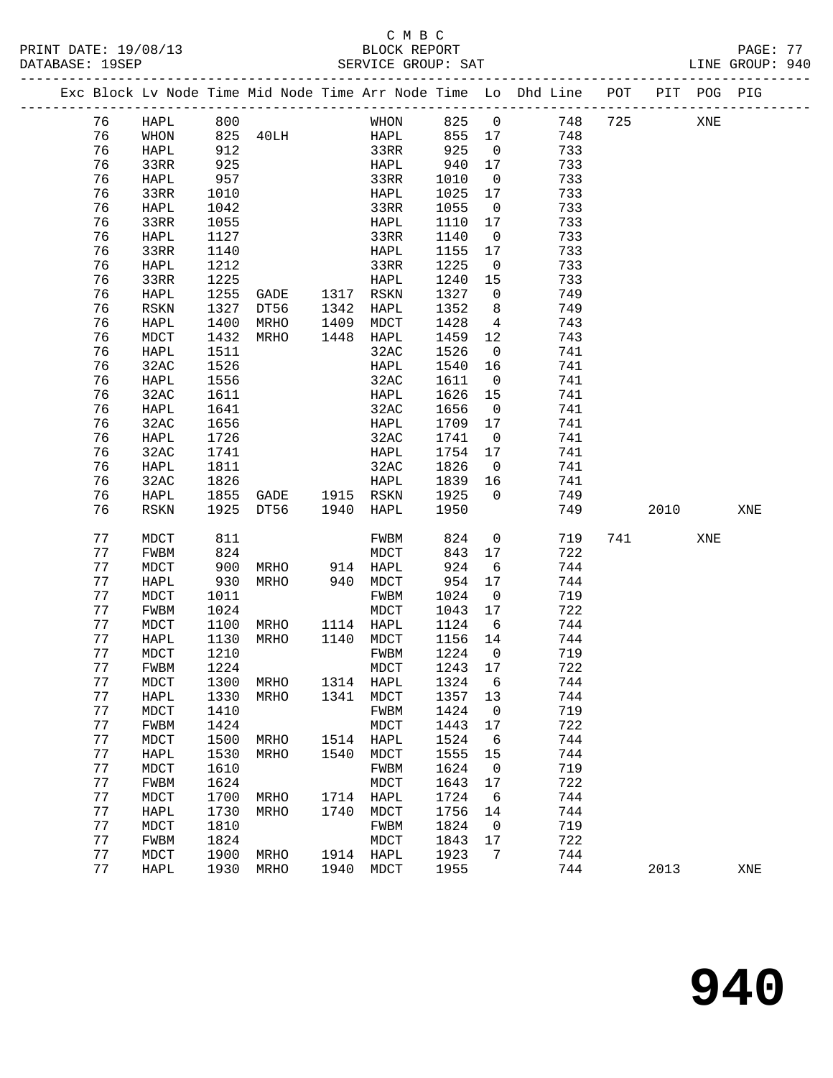### C M B C<br>BLOCK REPORT SERVICE GROUP: SAT

-------------------------------------------------------------------------------------------------

|          |             |      |           |      |           |              |                          | Exc Block Lv Node Time Mid Node Time Arr Node Time Lo Dhd Line | POT | PIT  | POG PIG |     |
|----------|-------------|------|-----------|------|-----------|--------------|--------------------------|----------------------------------------------------------------|-----|------|---------|-----|
| 76       | HAPL        | 800  |           |      | WHON      | 825          | $\overline{0}$           | 748                                                            | 725 |      | XNE     |     |
| 76       | WHON        | 825  | 40LH      |      | HAPL      | 855          | 17                       | 748                                                            |     |      |         |     |
| 76       | HAPL        | 912  |           |      | 33RR      | 925          | $\overline{0}$           | 733                                                            |     |      |         |     |
| 76       | 33RR        | 925  |           |      | HAPL      | 940          | 17                       | 733                                                            |     |      |         |     |
| 76       | HAPL        | 957  |           |      | 33RR      | 1010         | $\overline{0}$           | 733                                                            |     |      |         |     |
| 76       | 33RR        | 1010 |           |      | HAPL      | 1025         | 17                       | 733                                                            |     |      |         |     |
| 76       | HAPL        | 1042 |           |      | 33RR      | 1055         | $\overline{0}$           | 733                                                            |     |      |         |     |
| 76       | 33RR        | 1055 |           |      | HAPL      | 1110         | 17                       | 733                                                            |     |      |         |     |
| 76       | HAPL        | 1127 |           |      | 33RR      | 1140         | $\overline{0}$           | 733                                                            |     |      |         |     |
| 76       | 33RR        | 1140 |           |      | HAPL      | 1155         | 17                       | 733                                                            |     |      |         |     |
| 76       | HAPL        | 1212 |           |      | 33RR      | 1225         | $\overline{0}$           | 733                                                            |     |      |         |     |
| 76       | 33RR        | 1225 |           |      | HAPL      | 1240         | 15                       | 733                                                            |     |      |         |     |
| 76       | HAPL        | 1255 | GADE      | 1317 | RSKN      | 1327         | 0                        | 749                                                            |     |      |         |     |
| 76       | RSKN        | 1327 | DT56      | 1342 | HAPL      | 1352         | 8                        | 749                                                            |     |      |         |     |
| 76       | HAPL        | 1400 | MRHO      | 1409 | MDCT      | 1428         | $\overline{4}$           | 743                                                            |     |      |         |     |
| 76       | MDCT        | 1432 | MRHO      | 1448 | HAPL      | 1459         | 12                       | 743                                                            |     |      |         |     |
| 76       | HAPL        | 1511 |           |      | 32AC      | 1526         | 0                        | 741                                                            |     |      |         |     |
| 76       | 32AC        | 1526 |           |      | HAPL      | 1540         | 16                       | 741                                                            |     |      |         |     |
| 76       | HAPL        | 1556 |           |      | 32AC      | 1611         | $\overline{0}$           | 741                                                            |     |      |         |     |
| 76       | 32AC        | 1611 |           |      | HAPL      | 1626         | 15                       | 741                                                            |     |      |         |     |
| 76       | <b>HAPL</b> | 1641 |           |      | 32AC      | 1656         | $\overline{0}$           | 741                                                            |     |      |         |     |
| 76       | 32AC        | 1656 |           |      | HAPL      | 1709         | 17                       | 741                                                            |     |      |         |     |
| 76       | HAPL        | 1726 |           |      | 32AC      | 1741         | $\overline{0}$           | 741                                                            |     |      |         |     |
| 76       | 32AC        | 1741 |           |      | HAPL      | 1754         | 17                       | 741                                                            |     |      |         |     |
| 76       | HAPL        | 1811 |           |      | 32AC      | 1826         | $\overline{0}$           | 741                                                            |     |      |         |     |
| 76       | 32AC        | 1826 |           |      | HAPL      | 1839         | 16                       | 741                                                            |     |      |         |     |
| 76       | HAPL        | 1855 | GADE      |      | 1915 RSKN | 1925         | $\mathbf 0$              | 749                                                            |     |      |         |     |
| 76       | RSKN        | 1925 | DT56      | 1940 | HAPL      | 1950         |                          | 749                                                            |     | 2010 |         | XNE |
| 77       | MDCT        | 811  |           |      | FWBM      | 824          | $\mathbf 0$              | 719                                                            | 741 |      | XNE     |     |
| 77       | FWBM        | 824  |           |      | MDCT      | 843          | 17                       | 722                                                            |     |      |         |     |
| 77       | MDCT        | 900  | MRHO      | 914  | HAPL      | 924          | 6                        | 744                                                            |     |      |         |     |
| 77       | HAPL        | 930  | MRHO      | 940  | MDCT      | 954          | 17                       | 744                                                            |     |      |         |     |
| 77       | MDCT        | 1011 |           |      | FWBM      | 1024         | 0                        | 719                                                            |     |      |         |     |
| 77       | FWBM        | 1024 |           |      | MDCT      | 1043         | 17                       | 722                                                            |     |      |         |     |
| 77       | MDCT        | 1100 | MRHO      | 1114 | HAPL      | 1124         | 6                        | 744                                                            |     |      |         |     |
| 77       | HAPL        | 1130 | MRHO      | 1140 | MDCT      | 1156         | 14                       | 744                                                            |     |      |         |     |
| 77       | MDCT        | 1210 |           |      | FWBM      | 1224         | $\mathbf 0$              | 719                                                            |     |      |         |     |
| 77       | FWBM        | 1224 |           |      | MDCT      | 1243         | 17                       | 722                                                            |     |      |         |     |
| 77       | MDCT        | 1300 | MRHO      |      | 1314 HAPL | 1324         | 6                        | 744                                                            |     |      |         |     |
| 77       | HAPL        |      | 1330 MRHO |      | 1341 MDCT | 1357 13      |                          | 744                                                            |     |      |         |     |
| 77       | MDCT        | 1410 |           |      | FWBM      | 1424         | 0                        | 719                                                            |     |      |         |     |
| 77       | FWBM        | 1424 |           |      | MDCT      | 1443         | 17                       | 722                                                            |     |      |         |     |
| 77       | MDCT        | 1500 | MRHO      | 1514 | HAPL      | 1524         | - 6                      | 744                                                            |     |      |         |     |
| 77       | HAPL        | 1530 | MRHO      | 1540 | MDCT      | 1555         | 15                       | 744                                                            |     |      |         |     |
| 77       | MDCT        | 1610 |           |      | FWBM      | 1624         | $\overline{\phantom{0}}$ | 719                                                            |     |      |         |     |
| 77       | FWBM        | 1624 |           |      | MDCT      | 1643         | 17                       | 722                                                            |     |      |         |     |
| 77       | MDCT        | 1700 | MRHO      | 1714 | HAPL      | 1724         | 6                        | 744                                                            |     |      |         |     |
| 77       | HAPL        | 1730 | MRHO      | 1740 | MDCT      | 1756         | 14                       | 744                                                            |     |      |         |     |
| 77       | MDCT        | 1810 |           |      | FWBM      | 1824         | $\overline{\phantom{0}}$ | 719                                                            |     |      |         |     |
| 77       | FWBM        | 1824 |           |      | MDCT      | 1843         | 17                       | 722                                                            |     |      |         |     |
| 77<br>77 | <b>MDCT</b> | 1900 | MRHO      |      | 1914 HAPL | 1923<br>1955 | 7                        | 744                                                            |     |      |         |     |
|          | HAPL        | 1930 | MRHO      |      | 1940 MDCT |              |                          | 744                                                            |     | 2013 |         | XNE |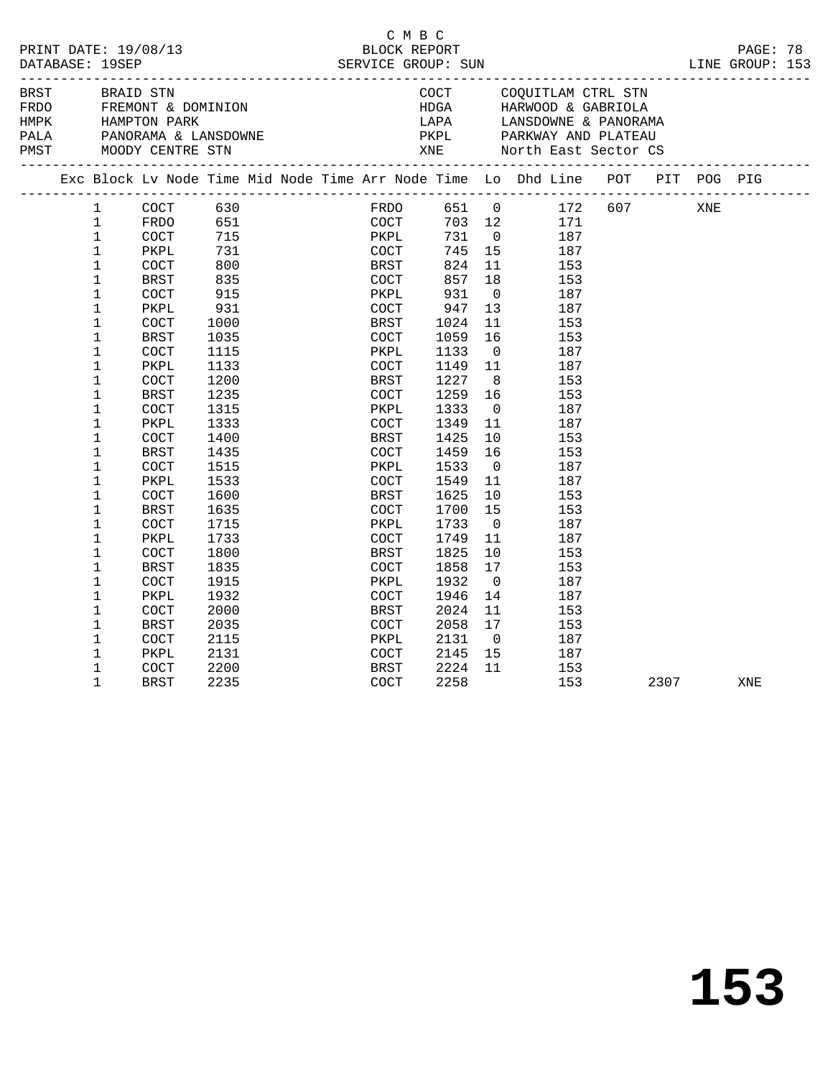| PRINT DATE: 19/08/13<br>DATABASE: 19SEP |              |                      |      | BLOCK REPORT                       | C M B C      |        |                |                                                                                |      |     | PAGE: 78 |  |
|-----------------------------------------|--------------|----------------------|------|------------------------------------|--------------|--------|----------------|--------------------------------------------------------------------------------|------|-----|----------|--|
|                                         |              |                      |      |                                    |              |        |                |                                                                                |      |     |          |  |
| BRST                                    |              | BRAID STN            |      |                                    |              |        |                | COCT COQUITLAM CTRL STN                                                        |      |     |          |  |
| FRDO                                    |              |                      |      | FREMONT & DOMINION<br>HAMPTON PARK |              |        |                |                                                                                |      |     |          |  |
| <b>HMPK</b>                             |              |                      |      |                                    |              |        |                |                                                                                |      |     |          |  |
| PALA                                    |              |                      |      | PANORAMA & LANSDOWNE               |              |        |                | PKPL PARKWAY AND PLATEAU                                                       |      |     |          |  |
|                                         |              |                      |      |                                    |              |        |                |                                                                                |      |     |          |  |
|                                         |              |                      |      |                                    |              |        |                | Exc Block Lv Node Time Mid Node Time Arr Node Time Lo Dhd Line POT PIT POG PIG |      |     |          |  |
|                                         | $\mathbf{1}$ | COCT                 | 630  |                                    |              |        |                | FRDO 651 0 172 607                                                             |      | XNE |          |  |
|                                         | $\mathbf{1}$ | FRDO                 |      |                                    |              | 703 12 |                | 171                                                                            |      |     |          |  |
|                                         | $\mathbf{1}$ | $\operatorname{COT}$ | 715  | 651<br>715                         | COCT<br>PKPL | 731    | $\overline{0}$ | 187                                                                            |      |     |          |  |
|                                         | $\mathbf 1$  | PKPL                 | 731  |                                    | COCT         | 745    | 15             | 187                                                                            |      |     |          |  |
|                                         | $\mathbf{1}$ | <b>COCT</b>          | 800  |                                    | BRST         | 824    | 11             | 153                                                                            |      |     |          |  |
|                                         | $\mathbf{1}$ | BRST                 | 835  |                                    | COCT         | 857    | 18             | 153                                                                            |      |     |          |  |
|                                         | $\mathbf 1$  | COCT                 | 915  |                                    | PKPL         | 931    | $\overline{0}$ | 187                                                                            |      |     |          |  |
|                                         | $\mathbf{1}$ | PKPL                 | 931  |                                    | COCT         | 947    | 13             | 187                                                                            |      |     |          |  |
|                                         | $\mathbf 1$  | COCT                 | 1000 |                                    | BRST         | 1024   | 11             | 153                                                                            |      |     |          |  |
|                                         | $\mathbf 1$  | BRST                 | 1035 |                                    | COCT         | 1059   | 16             | 153                                                                            |      |     |          |  |
|                                         | $\mathbf 1$  | COCT                 | 1115 |                                    | PKPL         | 1133   | $\overline{0}$ | 187                                                                            |      |     |          |  |
|                                         | 1            | PKPL                 | 1133 |                                    | COCT         | 1149   | 11             | 187                                                                            |      |     |          |  |
|                                         | $\mathbf 1$  | COCT                 | 1200 |                                    | BRST         | 1227   | 8 <sup>8</sup> | 153                                                                            |      |     |          |  |
|                                         | $\mathbf 1$  | BRST                 | 1235 |                                    | COCT         | 1259   | 16             | 153                                                                            |      |     |          |  |
|                                         | $\mathbf{1}$ | $\operatorname{COT}$ | 1315 |                                    | PKPL         | 1333   | $\overline{0}$ | 187                                                                            |      |     |          |  |
|                                         | $\mathbf 1$  | PKPL                 | 1333 |                                    | COCT         | 1349   | 11             | 187                                                                            |      |     |          |  |
|                                         | 1            | COCT                 | 1400 |                                    | BRST         | 1425   | 10             | 153                                                                            |      |     |          |  |
|                                         | 1            | BRST                 | 1435 |                                    | COCT         | 1459   | 16             | 153                                                                            |      |     |          |  |
|                                         | 1            | COCT                 | 1515 |                                    | PKPL         | 1533   | $\overline{0}$ | 187                                                                            |      |     |          |  |
|                                         | 1            | PKPL                 | 1533 |                                    | COCT         | 1549   | 11             | 187                                                                            |      |     |          |  |
|                                         | $\mathbf 1$  | <b>COCT</b>          | 1600 |                                    | BRST         | 1625   | 10             | 153                                                                            |      |     |          |  |
|                                         | $\mathbf 1$  |                      | 1635 |                                    |              | 1700   | 15             | 153                                                                            |      |     |          |  |
|                                         | $\mathbf{1}$ | BRST                 |      |                                    | COCT<br>PKPL |        | $\overline{0}$ | 187                                                                            |      |     |          |  |
|                                         |              | <b>COCT</b>          | 1715 |                                    |              | 1733   |                |                                                                                |      |     |          |  |
|                                         | 1            | PKPL                 | 1733 |                                    | COCT         | 1749   | 11             | 187                                                                            |      |     |          |  |
|                                         | $\mathbf 1$  | COCT                 | 1800 |                                    | <b>BRST</b>  | 1825   | 10             | 153                                                                            |      |     |          |  |
|                                         | $\mathbf 1$  | BRST                 | 1835 |                                    | COCT         | 1858   | 17             | 153                                                                            |      |     |          |  |
|                                         | 1            | <b>COCT</b>          | 1915 |                                    | PKPL         | 1932   | $\overline{0}$ | 187                                                                            |      |     |          |  |
|                                         | 1            | PKPL                 | 1932 |                                    | COCT         | 1946   | 14             | 187                                                                            |      |     |          |  |
|                                         | $\mathbf 1$  | COCT                 | 2000 |                                    | BRST         | 2024   | 11             | 153                                                                            |      |     |          |  |
|                                         | $\mathbf{1}$ | BRST                 | 2035 |                                    | COCT         | 2058   | 17             | 153                                                                            |      |     |          |  |
|                                         | 1            | <b>COCT</b>          | 2115 |                                    | PKPL         | 2131   | $\overline{0}$ | 187                                                                            |      |     |          |  |
|                                         | $\mathbf 1$  | PKPL                 | 2131 |                                    | <b>COCT</b>  | 2145   | 15             | 187                                                                            |      |     |          |  |
|                                         | 1            | COCT                 | 2200 |                                    | BRST         | 2224   | 11             | 153                                                                            |      |     |          |  |
|                                         | $\mathbf{1}$ | <b>BRST</b>          | 2235 |                                    | COCT         | 2258   |                | 153                                                                            | 2307 |     | XNE      |  |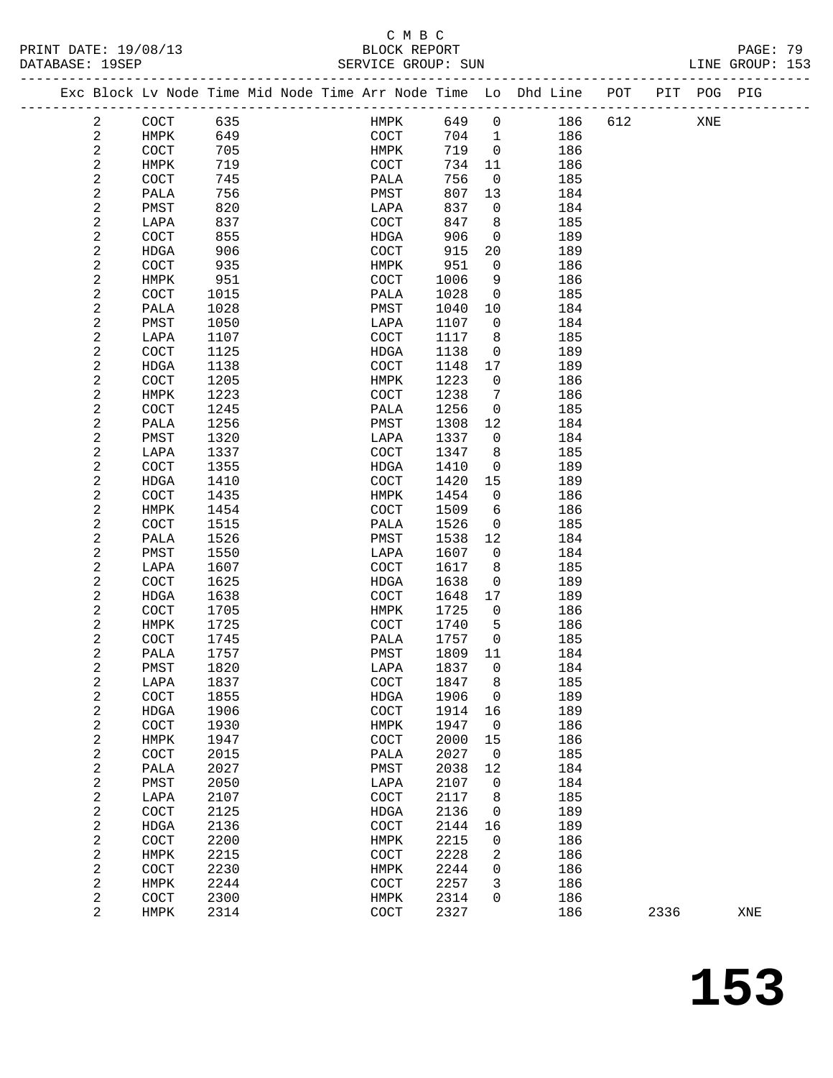## C M B C<br>BLOCK REPORT

**153**

| PRINT DATE: 19/08/13<br>DATABASE: 19SEP |                         |                              |      | BLOCK REPORT<br>SERVICE GROUP: SUN |       |                         |                                                                    |     |      |     | PAGE: 79<br>LINE GROUP: 153 |  |
|-----------------------------------------|-------------------------|------------------------------|------|------------------------------------|-------|-------------------------|--------------------------------------------------------------------|-----|------|-----|-----------------------------|--|
|                                         |                         |                              |      |                                    |       |                         | Exc Block Lv Node Time Mid Node Time Arr Node Time Lo Dhd Line POT |     |      |     | PIT POG PIG                 |  |
|                                         | 2                       | COCT                         | 635  | HMPK 649 0                         |       |                         | 186                                                                | 612 |      | XNE |                             |  |
|                                         | 2                       | HMPK                         | 649  | COCT                               | 704 1 |                         | 186                                                                |     |      |     |                             |  |
|                                         | $\overline{c}$          | COCT                         | 705  | <b>HMPK</b>                        | 719   | $\overline{0}$          | 186                                                                |     |      |     |                             |  |
|                                         | 2                       | HMPK                         | 719  | COCT                               | 734   | 11                      | 186                                                                |     |      |     |                             |  |
|                                         | 2                       | COCT                         | 745  | PALA                               | 756   | $\overline{0}$          | 185                                                                |     |      |     |                             |  |
|                                         | 2                       | PALA                         | 756  | PMST                               | 807   | 13                      | 184                                                                |     |      |     |                             |  |
|                                         | 2                       | PMST                         | 820  | LAPA                               | 837   | $\overline{0}$          | 184                                                                |     |      |     |                             |  |
|                                         | 2                       | LAPA                         | 837  | COCT                               | 847   | 8                       | 185                                                                |     |      |     |                             |  |
|                                         | 2                       | COCT                         | 855  | HDGA                               | 906   | $\overline{0}$          | 189                                                                |     |      |     |                             |  |
|                                         | 2                       | HDGA                         | 906  | COCT                               | 915   | 20                      | 189                                                                |     |      |     |                             |  |
|                                         | 2                       | <b>COCT</b>                  | 935  | HMPK                               | 951   | $\overline{0}$          | 186                                                                |     |      |     |                             |  |
|                                         | 2                       | HMPK                         | 951  | COCT                               | 1006  | 9                       | 186                                                                |     |      |     |                             |  |
|                                         | 2                       | COCT                         | 1015 | PALA                               | 1028  | $\overline{0}$          | 185                                                                |     |      |     |                             |  |
|                                         | 2                       | PALA                         | 1028 | PMST                               | 1040  | 10                      | 184                                                                |     |      |     |                             |  |
|                                         | 2                       | PMST                         | 1050 | LAPA                               | 1107  | $\overline{0}$          | 184                                                                |     |      |     |                             |  |
|                                         | 2                       | LAPA                         | 1107 | COCT                               | 1117  | 8 <sup>8</sup>          | 185                                                                |     |      |     |                             |  |
|                                         | 2                       | COCT                         | 1125 | HDGA                               | 1138  | $\overline{0}$          | 189                                                                |     |      |     |                             |  |
|                                         | 2                       | HDGA                         | 1138 | COCT                               | 1148  | 17                      | 189                                                                |     |      |     |                             |  |
|                                         | 2                       | <b>COCT</b>                  | 1205 |                                    | 1223  | $\overline{0}$          | 186                                                                |     |      |     |                             |  |
|                                         |                         |                              |      | HMPK                               |       |                         |                                                                    |     |      |     |                             |  |
|                                         | 2                       | HMPK                         | 1223 | COCT                               | 1238  | 7                       | 186                                                                |     |      |     |                             |  |
|                                         | 2                       | COCT                         | 1245 | PALA                               | 1256  | $\overline{0}$          | 185                                                                |     |      |     |                             |  |
|                                         | 2                       | PALA                         | 1256 | PMST                               | 1308  | 12                      | 184                                                                |     |      |     |                             |  |
|                                         | 2                       | PMST                         | 1320 | LAPA                               | 1337  | $\overline{0}$          | 184                                                                |     |      |     |                             |  |
|                                         | 2                       | LAPA                         | 1337 | COCT                               | 1347  | 8 <sup>8</sup>          | 185                                                                |     |      |     |                             |  |
|                                         | 2                       | COCT                         | 1355 | HDGA                               | 1410  | $\overline{\mathbf{0}}$ | 189                                                                |     |      |     |                             |  |
|                                         | 2                       | HDGA                         | 1410 | COCT                               | 1420  | 15                      | 189                                                                |     |      |     |                             |  |
|                                         | 2                       | COCT                         | 1435 | HMPK                               | 1454  | $\overline{0}$          | 186                                                                |     |      |     |                             |  |
|                                         | 2                       | HMPK                         | 1454 | COCT                               | 1509  | 6                       | 186                                                                |     |      |     |                             |  |
|                                         | 2                       | COCT                         | 1515 | PALA                               | 1526  | $\overline{0}$          | 185                                                                |     |      |     |                             |  |
|                                         | 2                       | PALA                         | 1526 | PMST                               | 1538  | 12                      | 184                                                                |     |      |     |                             |  |
|                                         | 2                       | PMST                         | 1550 | LAPA                               | 1607  | $\overline{0}$          | 184                                                                |     |      |     |                             |  |
|                                         | 2                       | LAPA                         | 1607 | COCT                               | 1617  | 8                       | 185                                                                |     |      |     |                             |  |
|                                         | 2                       | COCT                         | 1625 | HDGA                               | 1638  | $\overline{0}$          | 189                                                                |     |      |     |                             |  |
|                                         | 2                       | HDGA                         | 1638 | COCT                               | 1648  | 17                      | 189                                                                |     |      |     |                             |  |
|                                         | 2                       | COCT                         | 1705 | HMPK                               | 1725  | $\overline{0}$          | 186                                                                |     |      |     |                             |  |
|                                         | 2                       | HMPK                         | 1725 | COCT                               | 1740  | $5^{\circ}$             | 186                                                                |     |      |     |                             |  |
|                                         | 2                       | COCT                         | 1745 | PALA                               | 1757  | $\overline{0}$          | 185                                                                |     |      |     |                             |  |
|                                         | 2                       | $\ensuremath{\mathsf{PALA}}$ | 1757 | PMST 1809 11                       |       |                         | 184                                                                |     |      |     |                             |  |
|                                         | 2                       | PMST                         | 1820 | LAPA                               | 1837  | 0                       | 184                                                                |     |      |     |                             |  |
|                                         | 2                       | LAPA                         | 1837 | COCT                               | 1847  | 8                       | 185                                                                |     |      |     |                             |  |
|                                         | 2                       | COCT                         | 1855 | HDGA                               | 1906  | 0                       | 189                                                                |     |      |     |                             |  |
|                                         | $\overline{\mathbf{c}}$ | <b>HDGA</b>                  | 1906 | COCT                               | 1914  | 16                      | 189                                                                |     |      |     |                             |  |
|                                         | $\overline{\mathbf{c}}$ | COCT                         | 1930 | HMPK                               | 1947  | 0                       | 186                                                                |     |      |     |                             |  |
|                                         | 2                       | <b>HMPK</b>                  | 1947 | COCT                               | 2000  | 15                      | 186                                                                |     |      |     |                             |  |
|                                         | 2                       | COCT                         | 2015 | PALA                               | 2027  | 0                       | 185                                                                |     |      |     |                             |  |
|                                         | $\overline{\mathbf{c}}$ | PALA                         | 2027 | PMST                               | 2038  | 12                      | 184                                                                |     |      |     |                             |  |
|                                         | 2                       | PMST                         | 2050 | LAPA                               | 2107  | 0                       | 184                                                                |     |      |     |                             |  |
|                                         | 2                       | LAPA                         | 2107 | COCT                               | 2117  | 8                       | 185                                                                |     |      |     |                             |  |
|                                         | 2                       | COCT                         | 2125 | HDGA                               | 2136  | 0                       | 189                                                                |     |      |     |                             |  |
|                                         | 2                       | HDGA                         | 2136 | COCT                               | 2144  | 16                      | 189                                                                |     |      |     |                             |  |
|                                         | $\overline{\mathbf{c}}$ | COCT                         | 2200 | HMPK                               | 2215  | 0                       | 186                                                                |     |      |     |                             |  |
|                                         | 2                       | HMPK                         | 2215 | COCT                               | 2228  | 2                       | 186                                                                |     |      |     |                             |  |
|                                         | 2                       | COCT                         | 2230 | HMPK                               | 2244  | 0                       | 186                                                                |     |      |     |                             |  |
|                                         | 2                       | HMPK                         | 2244 | COCT                               | 2257  | 3                       | 186                                                                |     |      |     |                             |  |
|                                         | 2                       | COCT                         | 2300 | HMPK                               | 2314  | 0                       | 186                                                                |     |      |     |                             |  |
|                                         | 2                       | HMPK                         | 2314 | COCT                               | 2327  |                         | 186                                                                |     | 2336 |     | XNE                         |  |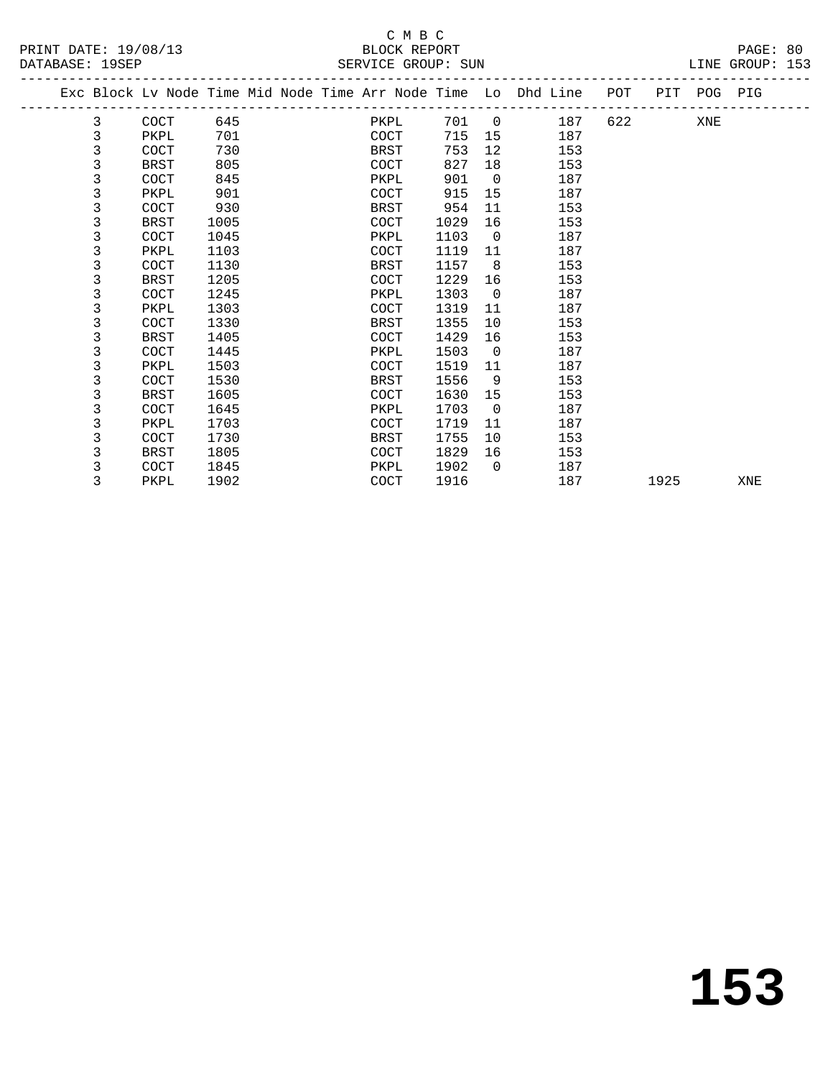# DATABASE: 19SEP SERVICE GROUP: SUN LINE GROUP: 153

|                      | СМВС         |       |    |
|----------------------|--------------|-------|----|
| PRINT DATE: 19/08/13 | BLOCK REPORT | PAGE: | 80 |

|  |   |             |      |  |             |      |                 | Exc Block Lv Node Time Mid Node Time Arr Node Time Lo Dhd Line POT PIT POG PIG |         |      |     |     |
|--|---|-------------|------|--|-------------|------|-----------------|--------------------------------------------------------------------------------|---------|------|-----|-----|
|  | 3 | COCT        | 645  |  | PKPL        |      |                 | 701 0<br>187                                                                   | 622 620 |      | XNE |     |
|  | 3 | PKPL        | 701  |  | COCT        | 715  |                 | 15<br>187                                                                      |         |      |     |     |
|  | 3 | COCT        | 730  |  | BRST        | 753  | 12 <sup>°</sup> | 153                                                                            |         |      |     |     |
|  | 3 | BRST        | 805  |  | COCT        | 827  | 18              | 153                                                                            |         |      |     |     |
|  | 3 | COCT        | 845  |  | PKPL        | 901  | $\overline{0}$  | 187                                                                            |         |      |     |     |
|  | 3 | PKPL        | 901  |  | COCT        | 915  | 15              | 187                                                                            |         |      |     |     |
|  | 3 | COCT        | 930  |  | BRST        | 954  | 11              | 153                                                                            |         |      |     |     |
|  | 3 | <b>BRST</b> | 1005 |  | <b>COCT</b> | 1029 | 16              | 153                                                                            |         |      |     |     |
|  | 3 | COCT        | 1045 |  | PKPL        | 1103 | $\overline{0}$  | 187                                                                            |         |      |     |     |
|  | 3 | PKPL        | 1103 |  | COCT        | 1119 | 11              | 187                                                                            |         |      |     |     |
|  | 3 | COCT        | 1130 |  | BRST        | 1157 | 8               | 153                                                                            |         |      |     |     |
|  | 3 | <b>BRST</b> | 1205 |  | COCT        | 1229 | 16              | 153                                                                            |         |      |     |     |
|  | 3 | COCT        | 1245 |  | PKPL        | 1303 | $\overline{0}$  | 187                                                                            |         |      |     |     |
|  | 3 | PKPL        | 1303 |  | COCT        | 1319 | 11              | 187                                                                            |         |      |     |     |
|  | 3 | <b>COCT</b> | 1330 |  | BRST        | 1355 | 10              | 153                                                                            |         |      |     |     |
|  | 3 | <b>BRST</b> | 1405 |  | COCT        | 1429 | 16              | 153                                                                            |         |      |     |     |
|  | 3 | COCT        | 1445 |  | PKPL        | 1503 | $\Omega$        | 187                                                                            |         |      |     |     |
|  | 3 | PKPL        | 1503 |  | <b>COCT</b> | 1519 | 11              | 187                                                                            |         |      |     |     |
|  | 3 | COCT        | 1530 |  | BRST        | 1556 | 9               | 153                                                                            |         |      |     |     |
|  | 3 | BRST        | 1605 |  | COCT        | 1630 | 15              | 153                                                                            |         |      |     |     |
|  | 3 | COCT        | 1645 |  | PKPL        | 1703 | $\mathbf 0$     | 187                                                                            |         |      |     |     |
|  | 3 | PKPL        | 1703 |  | COCT        | 1719 | 11              | 187                                                                            |         |      |     |     |
|  | 3 | COCT        | 1730 |  | BRST        | 1755 | 10              | 153                                                                            |         |      |     |     |
|  | 3 | BRST        | 1805 |  | <b>COCT</b> | 1829 | 16              | 153                                                                            |         |      |     |     |
|  | 3 | COCT        | 1845 |  | PKPL        | 1902 | $\Omega$        | 187                                                                            |         |      |     |     |
|  | 3 | PKPL        | 1902 |  | COCT        | 1916 |                 | 187                                                                            |         | 1925 |     | XNE |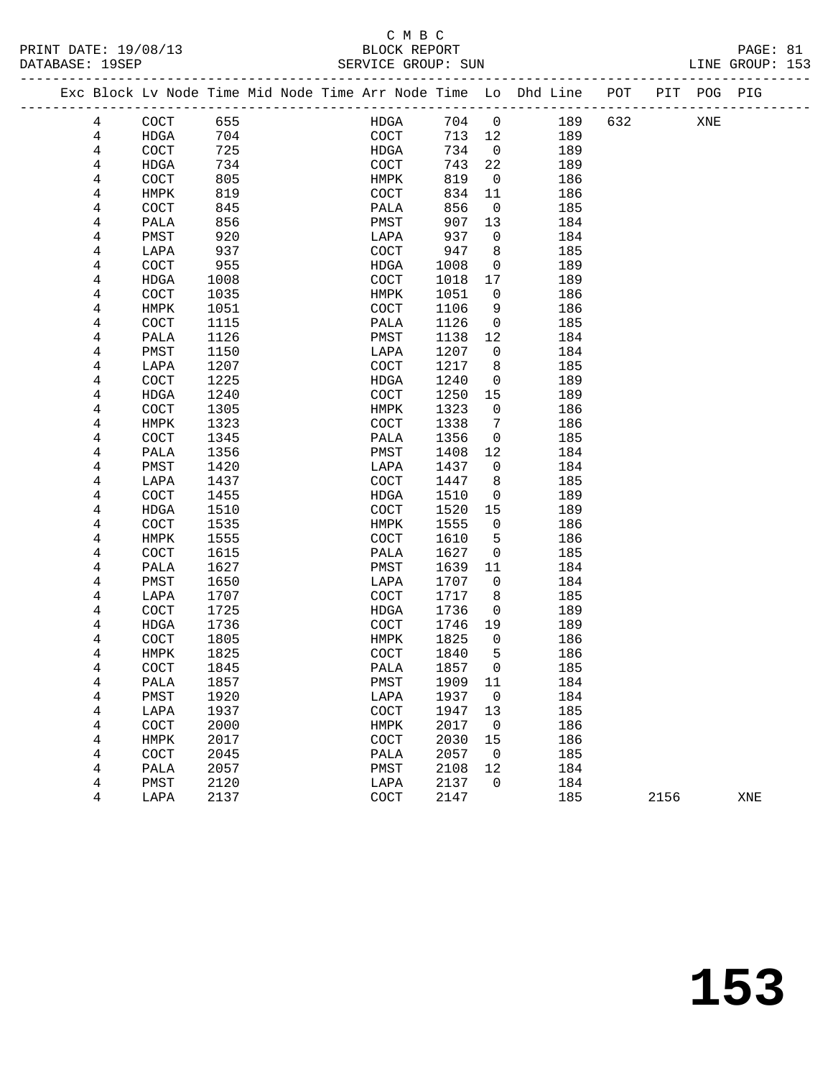#### C M B C<br>BLOCK REPORT PRINT DATE: 19/08/13 BLOCK REPORT PAGE: 81 SERVICE GROUP: SUN

|   | Exc Block Lv Node Time Mid Node Time Arr Node Time Lo Dhd Line |      |  |              |         |                |     | POT |      | PIT POG PIG |     |
|---|----------------------------------------------------------------|------|--|--------------|---------|----------------|-----|-----|------|-------------|-----|
| 4 | COCT                                                           | 655  |  | HDGA         | 704     | $\overline{0}$ | 189 | 632 |      | XNE         |     |
| 4 | HDGA                                                           | 704  |  | COCT         | 713     | 12             | 189 |     |      |             |     |
| 4 | COCT                                                           | 725  |  | HDGA         | 734     | $\overline{0}$ | 189 |     |      |             |     |
| 4 | HDGA                                                           | 734  |  | COCT         | 743     | 22             | 189 |     |      |             |     |
| 4 | COCT                                                           | 805  |  | HMPK         | 819     | $\overline{0}$ | 186 |     |      |             |     |
| 4 | HMPK                                                           | 819  |  | COCT         | 834     | 11             | 186 |     |      |             |     |
| 4 | COCT                                                           | 845  |  | PALA         | 856     | $\overline{0}$ | 185 |     |      |             |     |
| 4 | PALA                                                           | 856  |  | PMST         | 907     | 13             | 184 |     |      |             |     |
| 4 | PMST                                                           | 920  |  | LAPA         | 937     | $\overline{0}$ | 184 |     |      |             |     |
| 4 | LAPA                                                           | 937  |  | COCT         | 947     | 8              | 185 |     |      |             |     |
| 4 | COCT                                                           | 955  |  | HDGA         | 1008    | 0              | 189 |     |      |             |     |
| 4 | HDGA                                                           | 1008 |  | COCT         | 1018    | 17             | 189 |     |      |             |     |
| 4 | COCT                                                           | 1035 |  | HMPK         | 1051    | 0              | 186 |     |      |             |     |
| 4 | HMPK                                                           | 1051 |  | COCT         | 1106    | 9              | 186 |     |      |             |     |
| 4 | COCT                                                           | 1115 |  | PALA         | 1126    | 0              | 185 |     |      |             |     |
| 4 | PALA                                                           | 1126 |  | PMST         | 1138    | 12             | 184 |     |      |             |     |
| 4 | PMST                                                           | 1150 |  | LAPA         | 1207    | 0              | 184 |     |      |             |     |
| 4 | LAPA                                                           | 1207 |  | COCT         | 1217    | 8              | 185 |     |      |             |     |
| 4 | COCT                                                           | 1225 |  | HDGA         | 1240    | 0              | 189 |     |      |             |     |
| 4 | HDGA                                                           | 1240 |  | COCT         | 1250    | 15             | 189 |     |      |             |     |
| 4 | COCT                                                           | 1305 |  | HMPK         | 1323    | $\mathbf 0$    | 186 |     |      |             |     |
| 4 | HMPK                                                           | 1323 |  | COCT         | 1338    | 7              | 186 |     |      |             |     |
| 4 | COCT                                                           | 1345 |  | PALA         | 1356    | $\mathbf 0$    | 185 |     |      |             |     |
| 4 | PALA                                                           | 1356 |  | PMST         | 1408    | 12             | 184 |     |      |             |     |
| 4 | PMST                                                           | 1420 |  | LAPA         | 1437    | 0              | 184 |     |      |             |     |
| 4 | LAPA                                                           | 1437 |  | COCT         | 1447    | 8              | 185 |     |      |             |     |
| 4 | COCT                                                           | 1455 |  | HDGA         | 1510    | 0              | 189 |     |      |             |     |
| 4 | HDGA                                                           | 1510 |  | COCT         | 1520    | 15             | 189 |     |      |             |     |
| 4 | COCT                                                           | 1535 |  | HMPK         | 1555    | 0              | 186 |     |      |             |     |
| 4 | HMPK                                                           | 1555 |  | COCT         | 1610    | 5              | 186 |     |      |             |     |
| 4 | COCT                                                           | 1615 |  | PALA         | 1627    | 0              | 185 |     |      |             |     |
| 4 | PALA                                                           | 1627 |  | PMST         | 1639    | 11             | 184 |     |      |             |     |
| 4 | PMST                                                           | 1650 |  | LAPA         | 1707    | 0              | 184 |     |      |             |     |
| 4 | LAPA                                                           | 1707 |  | COCT         | 1717    | 8              | 185 |     |      |             |     |
| 4 | COCT                                                           | 1725 |  | HDGA         | 1736    | 0              | 189 |     |      |             |     |
| 4 | HDGA                                                           | 1736 |  | COCT         | 1746    | 19             | 189 |     |      |             |     |
| 4 | COCT                                                           | 1805 |  | HMPK         | 1825    | $\overline{0}$ | 186 |     |      |             |     |
| 4 | HMPK                                                           | 1825 |  | COCT         | 1840    | 5              | 186 |     |      |             |     |
| 4 | COCT                                                           | 1845 |  | PALA         | 1857    | $\mathbf 0$    | 185 |     |      |             |     |
| 4 | PALA                                                           | 1857 |  | ${\tt PMST}$ | 1909 11 |                | 184 |     |      |             |     |
| 4 | PMST                                                           | 1920 |  | LAPA         | 1937    | 0              | 184 |     |      |             |     |
| 4 | LAPA                                                           | 1937 |  | COCT         | 1947    | 13             | 185 |     |      |             |     |
| 4 | COCT                                                           | 2000 |  | HMPK         | 2017    | $\overline{0}$ | 186 |     |      |             |     |
| 4 | HMPK                                                           | 2017 |  | COCT         | 2030    | 15             | 186 |     |      |             |     |
| 4 | COCT                                                           | 2045 |  | PALA         | 2057    | 0              | 185 |     |      |             |     |
| 4 | PALA                                                           | 2057 |  | PMST         | 2108    | 12             | 184 |     |      |             |     |
| 4 | PMST                                                           | 2120 |  | LAPA         | 2137    | 0              | 184 |     |      |             |     |
| 4 | LAPA                                                           | 2137 |  | COCT         | 2147    |                | 185 |     | 2156 |             | XNE |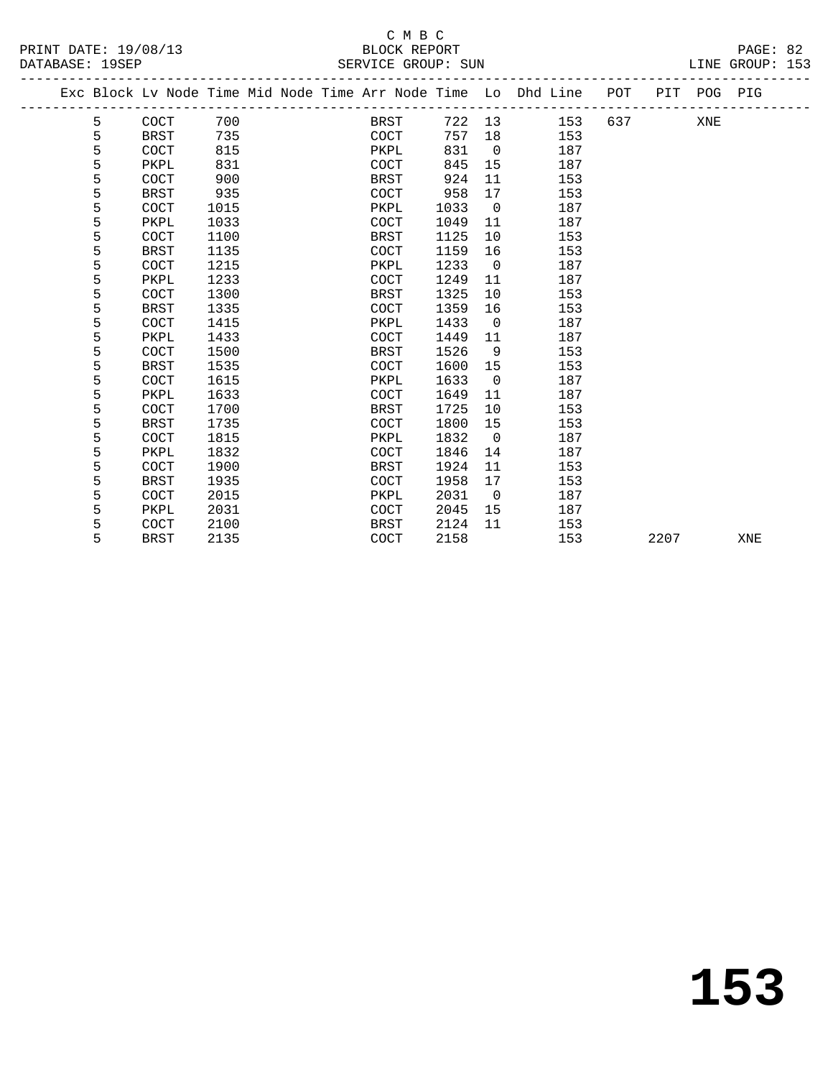|  |   |             |      |  |             |      |                | Exc Block Lv Node Time Mid Node Time Arr Node Time Lo Dhd Line | POT |      | PIT POG PIG |     |
|--|---|-------------|------|--|-------------|------|----------------|----------------------------------------------------------------|-----|------|-------------|-----|
|  | 5 | COCT        | 700  |  | BRST        | 722  | 13             | 153                                                            | 637 |      | XNE         |     |
|  | 5 | <b>BRST</b> | 735  |  | COCT        | 757  | 18             | 153                                                            |     |      |             |     |
|  | 5 | COCT        | 815  |  | PKPL        | 831  | $\overline{0}$ | 187                                                            |     |      |             |     |
|  | 5 | PKPL        | 831  |  | COCT        | 845  | 15             | 187                                                            |     |      |             |     |
|  | 5 | COCT        | 900  |  | <b>BRST</b> | 924  | 11             | 153                                                            |     |      |             |     |
|  | 5 | <b>BRST</b> | 935  |  | COCT        | 958  | 17             | 153                                                            |     |      |             |     |
|  | 5 | COCT        | 1015 |  | PKPL        | 1033 | $\overline{0}$ | 187                                                            |     |      |             |     |
|  | 5 | PKPL        | 1033 |  | COCT        | 1049 | 11             | 187                                                            |     |      |             |     |
|  | 5 | COCT        | 1100 |  | BRST        | 1125 | 10             | 153                                                            |     |      |             |     |
|  | 5 | <b>BRST</b> | 1135 |  | <b>COCT</b> | 1159 | 16             | 153                                                            |     |      |             |     |
|  | 5 | COCT        | 1215 |  | PKPL        | 1233 | $\overline{0}$ | 187                                                            |     |      |             |     |
|  | 5 | PKPL        | 1233 |  | COCT        | 1249 | 11             | 187                                                            |     |      |             |     |
|  | 5 | COCT        | 1300 |  | <b>BRST</b> | 1325 | 10             | 153                                                            |     |      |             |     |
|  | 5 | <b>BRST</b> | 1335 |  | COCT        | 1359 | 16             | 153                                                            |     |      |             |     |
|  | 5 | COCT        | 1415 |  | PKPL        | 1433 | $\overline{0}$ | 187                                                            |     |      |             |     |
|  | 5 | PKPL        | 1433 |  | COCT        | 1449 | 11             | 187                                                            |     |      |             |     |
|  | 5 | COCT        | 1500 |  | BRST        | 1526 | 9              | 153                                                            |     |      |             |     |
|  | 5 | <b>BRST</b> | 1535 |  | COCT        | 1600 | 15             | 153                                                            |     |      |             |     |
|  | 5 | COCT        | 1615 |  | PKPL        | 1633 | $\overline{0}$ | 187                                                            |     |      |             |     |
|  | 5 | PKPL        | 1633 |  | COCT        | 1649 | 11             | 187                                                            |     |      |             |     |
|  | 5 | COCT        | 1700 |  | <b>BRST</b> | 1725 | 10             | 153                                                            |     |      |             |     |
|  | 5 | <b>BRST</b> | 1735 |  | COCT        | 1800 | 15             | 153                                                            |     |      |             |     |
|  | 5 | COCT        | 1815 |  | PKPL        | 1832 | $\overline{0}$ | 187                                                            |     |      |             |     |
|  | 5 | PKPL        | 1832 |  | COCT        | 1846 | 14             | 187                                                            |     |      |             |     |
|  | 5 | COCT        | 1900 |  | BRST        | 1924 | 11             | 153                                                            |     |      |             |     |
|  | 5 | <b>BRST</b> | 1935 |  | COCT        | 1958 | 17             | 153                                                            |     |      |             |     |
|  | 5 | COCT        | 2015 |  | PKPL        | 2031 | $\overline{0}$ | 187                                                            |     |      |             |     |
|  | 5 | PKPL        | 2031 |  | COCT        | 2045 | 15             | 187                                                            |     |      |             |     |
|  | 5 | COCT        | 2100 |  | BRST        | 2124 | 11             | 153                                                            |     |      |             |     |
|  | 5 | <b>BRST</b> | 2135 |  | COCT        | 2158 |                | 153                                                            |     | 2207 |             | XNE |
|  |   |             |      |  |             |      |                |                                                                |     |      |             |     |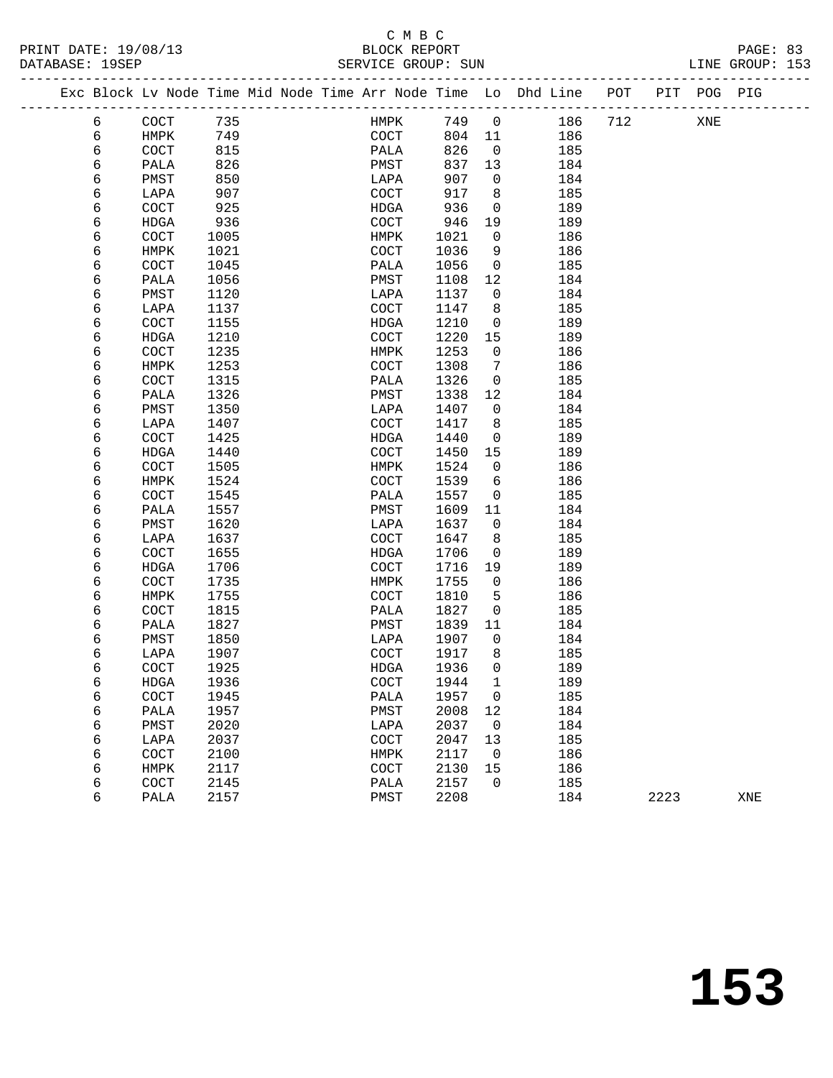#### C M B C<br>BLOCK REPORT PRINT DATE: 19/08/13 BLOCK REPORT PAGE: 83 SERVICE GROUP: SUN

|  |   | Exc Block Lv Node Time Mid Node Time Arr Node Time Lo Dhd Line |      |  |      |      |                |     | POT | PIT | POG | PIG |  |
|--|---|----------------------------------------------------------------|------|--|------|------|----------------|-----|-----|-----|-----|-----|--|
|  | 6 | <b>COCT</b>                                                    | 735  |  | HMPK | 749  | $\overline{0}$ | 186 | 712 |     | XNE |     |  |
|  | 6 | HMPK                                                           | 749  |  | COCT | 804  | 11             | 186 |     |     |     |     |  |
|  | 6 | <b>COCT</b>                                                    | 815  |  | PALA | 826  | $\mathbf 0$    | 185 |     |     |     |     |  |
|  | 6 | PALA                                                           | 826  |  | PMST | 837  | 13             | 184 |     |     |     |     |  |
|  | 6 | PMST                                                           | 850  |  | LAPA | 907  | 0              | 184 |     |     |     |     |  |
|  | 6 | LAPA                                                           | 907  |  | COCT | 917  | 8              | 185 |     |     |     |     |  |
|  | 6 | <b>COCT</b>                                                    | 925  |  | HDGA | 936  | $\mathbf 0$    | 189 |     |     |     |     |  |
|  | 6 | <b>HDGA</b>                                                    | 936  |  | COCT | 946  | 19             | 189 |     |     |     |     |  |
|  | 6 | <b>COCT</b>                                                    | 1005 |  | HMPK | 1021 | 0              | 186 |     |     |     |     |  |
|  | 6 | HMPK                                                           | 1021 |  | COCT | 1036 | 9              | 186 |     |     |     |     |  |
|  | 6 | <b>COCT</b>                                                    | 1045 |  | PALA | 1056 | $\mathbf 0$    | 185 |     |     |     |     |  |
|  | 6 | PALA                                                           | 1056 |  | PMST | 1108 | 12             | 184 |     |     |     |     |  |
|  | 6 | PMST                                                           | 1120 |  | LAPA | 1137 | $\mathbf 0$    | 184 |     |     |     |     |  |
|  | 6 | LAPA                                                           | 1137 |  | COCT | 1147 | 8              | 185 |     |     |     |     |  |
|  | 6 | <b>COCT</b>                                                    | 1155 |  | HDGA | 1210 | 0              | 189 |     |     |     |     |  |
|  | 6 | <b>HDGA</b>                                                    | 1210 |  | COCT | 1220 | 15             | 189 |     |     |     |     |  |
|  | 6 | <b>COCT</b>                                                    | 1235 |  | HMPK | 1253 | $\mathbf 0$    | 186 |     |     |     |     |  |
|  | 6 | HMPK                                                           | 1253 |  | COCT | 1308 | 7              | 186 |     |     |     |     |  |
|  | 6 | COCT                                                           | 1315 |  | PALA | 1326 | 0              | 185 |     |     |     |     |  |
|  | 6 | PALA                                                           | 1326 |  | PMST | 1338 | 12             | 184 |     |     |     |     |  |
|  |   |                                                                |      |  |      |      |                |     |     |     |     |     |  |

| O | HMFV        | دد∠⊥ | COC I       | 1308 | $\prime$    | TQD |      |     |
|---|-------------|------|-------------|------|-------------|-----|------|-----|
| 6 | COCT        | 1315 | PALA        | 1326 | $\mathbf 0$ | 185 |      |     |
| 6 | PALA        | 1326 | PMST        | 1338 | 12          | 184 |      |     |
| 6 | PMST        | 1350 | LAPA        | 1407 | 0           | 184 |      |     |
| 6 | LAPA        | 1407 | COCT        | 1417 | 8           | 185 |      |     |
| 6 | COCT        | 1425 | <b>HDGA</b> | 1440 | $\mathbf 0$ | 189 |      |     |
| 6 | <b>HDGA</b> | 1440 | COCT        | 1450 | 15          | 189 |      |     |
| 6 | COCT        | 1505 | <b>HMPK</b> | 1524 | $\mathbf 0$ | 186 |      |     |
| 6 | HMPK        | 1524 | COCT        | 1539 | 6           | 186 |      |     |
| б | COCT        | 1545 | PALA        | 1557 | $\mathbf 0$ | 185 |      |     |
| 6 | PALA        | 1557 | PMST        | 1609 | 11          | 184 |      |     |
| 6 | PMST        | 1620 | LAPA        | 1637 | 0           | 184 |      |     |
| 6 | LAPA        | 1637 | COCT        | 1647 | 8           | 185 |      |     |
| 6 | COCT        | 1655 | <b>HDGA</b> | 1706 | $\mathbf 0$ | 189 |      |     |
| 6 | <b>HDGA</b> | 1706 | COCT        | 1716 | 19          | 189 |      |     |
| 6 | COCT        | 1735 | <b>HMPK</b> | 1755 | $\mathbf 0$ | 186 |      |     |
| 6 | HMPK        | 1755 | COCT        | 1810 | 5           | 186 |      |     |
| 6 | COCT        | 1815 | PALA        | 1827 | $\mathbf 0$ | 185 |      |     |
| 6 | PALA        | 1827 | PMST        | 1839 | 11          | 184 |      |     |
| 6 | PMST        | 1850 | LAPA        | 1907 | $\mathbf 0$ | 184 |      |     |
| 6 | LAPA        | 1907 | COCT        | 1917 | 8           | 185 |      |     |
| 6 | COCT        | 1925 | <b>HDGA</b> | 1936 | $\mathbf 0$ | 189 |      |     |
| 6 | <b>HDGA</b> | 1936 | COCT        | 1944 | 1           | 189 |      |     |
| 6 | COCT        | 1945 | PALA        | 1957 | $\mathbf 0$ | 185 |      |     |
| 6 | PALA        | 1957 | PMST        | 2008 | 12          | 184 |      |     |
| 6 | PMST        | 2020 | LAPA        | 2037 | 0           | 184 |      |     |
| 6 | LAPA        | 2037 | COCT        | 2047 | 13          | 185 |      |     |
| 6 | COCT        | 2100 | <b>HMPK</b> | 2117 | 0           | 186 |      |     |
| 6 | HMPK        | 2117 | COCT        | 2130 | 15          | 186 |      |     |
| 6 | COCT        | 2145 | PALA        | 2157 | $\mathbf 0$ | 185 |      |     |
| б | PALA        | 2157 | PMST        | 2208 |             | 184 | 2223 | XNE |
|   |             |      |             |      |             |     |      |     |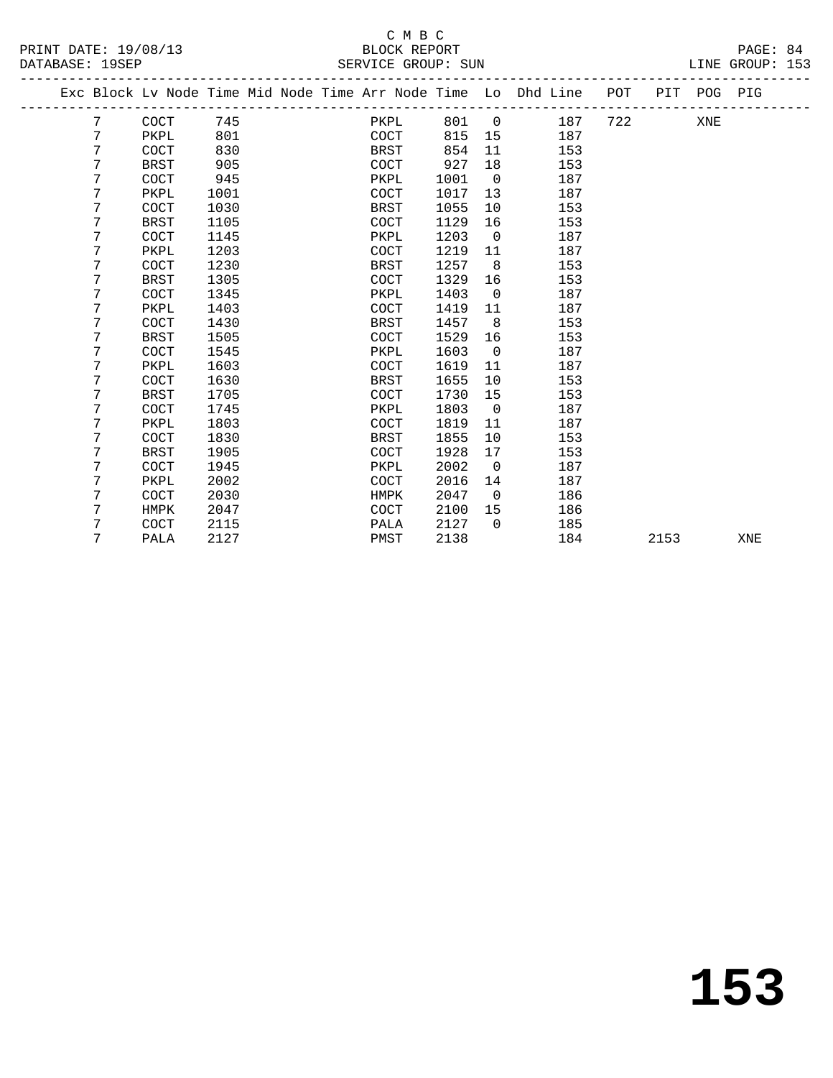#### C M B C<br>BLOCK REPORT PRINT DATE: 19/08/13 BLOCK REPORT PAGE: 84 SERVICE GROUP: SUN

-------------------------------------------------------------------------------------------------

| 26/19/11 יםי |  |
|--------------|--|

|  |   | Exc Block Lv Node Time Mid Node Time Arr Node Time Lo Dhd Line |      |  |             |      |                |     | POT | PIT  | POG PIG |     |  |
|--|---|----------------------------------------------------------------|------|--|-------------|------|----------------|-----|-----|------|---------|-----|--|
|  | 7 | COCT                                                           | 745  |  | PKPL        | 801  | $\overline{0}$ | 187 | 722 |      | XNE     |     |  |
|  | 7 | PKPL                                                           | 801  |  | <b>COCT</b> | 815  | 15             | 187 |     |      |         |     |  |
|  | 7 | <b>COCT</b>                                                    | 830  |  | <b>BRST</b> | 854  | 11             | 153 |     |      |         |     |  |
|  | 7 | <b>BRST</b>                                                    | 905  |  | <b>COCT</b> | 927  | 18             | 153 |     |      |         |     |  |
|  | 7 | COCT                                                           | 945  |  | PKPL        | 1001 | $\overline{0}$ | 187 |     |      |         |     |  |
|  | 7 | PKPL                                                           | 1001 |  | <b>COCT</b> | 1017 | 13             | 187 |     |      |         |     |  |
|  | 7 | <b>COCT</b>                                                    | 1030 |  | BRST        | 1055 | 10             | 153 |     |      |         |     |  |
|  | 7 | <b>BRST</b>                                                    | 1105 |  | COCT        | 1129 | 16             | 153 |     |      |         |     |  |
|  | 7 | <b>COCT</b>                                                    | 1145 |  | PKPL        | 1203 | $\mathbf 0$    | 187 |     |      |         |     |  |
|  | 7 | PKPL                                                           | 1203 |  | <b>COCT</b> | 1219 | 11             | 187 |     |      |         |     |  |
|  | 7 | COCT                                                           | 1230 |  | BRST        | 1257 | 8              | 153 |     |      |         |     |  |
|  | 7 | <b>BRST</b>                                                    | 1305 |  | COCT        | 1329 | 16             | 153 |     |      |         |     |  |
|  | 7 | <b>COCT</b>                                                    | 1345 |  | PKPL        | 1403 | $\overline{0}$ | 187 |     |      |         |     |  |
|  | 7 | PKPL                                                           | 1403 |  | <b>COCT</b> | 1419 | 11             | 187 |     |      |         |     |  |
|  | 7 | <b>COCT</b>                                                    | 1430 |  | <b>BRST</b> | 1457 | 8              | 153 |     |      |         |     |  |
|  | 7 | <b>BRST</b>                                                    | 1505 |  | <b>COCT</b> | 1529 | 16             | 153 |     |      |         |     |  |
|  | 7 | COCT                                                           | 1545 |  | PKPL        | 1603 | $\overline{0}$ | 187 |     |      |         |     |  |
|  | 7 | PKPL                                                           | 1603 |  | <b>COCT</b> | 1619 | 11             | 187 |     |      |         |     |  |
|  | 7 | <b>COCT</b>                                                    | 1630 |  | <b>BRST</b> | 1655 | 10             | 153 |     |      |         |     |  |
|  | 7 | <b>BRST</b>                                                    | 1705 |  | COCT        | 1730 | 15             | 153 |     |      |         |     |  |
|  | 7 | <b>COCT</b>                                                    | 1745 |  | PKPL        | 1803 | $\mathbf 0$    | 187 |     |      |         |     |  |
|  | 7 | PKPL                                                           | 1803 |  | <b>COCT</b> | 1819 | 11             | 187 |     |      |         |     |  |
|  | 7 | COCT                                                           | 1830 |  | <b>BRST</b> | 1855 | 10             | 153 |     |      |         |     |  |
|  | 7 | <b>BRST</b>                                                    | 1905 |  | COCT        | 1928 | 17             | 153 |     |      |         |     |  |
|  | 7 | <b>COCT</b>                                                    | 1945 |  | PKPL        | 2002 | $\mathbf 0$    | 187 |     |      |         |     |  |
|  | 7 | PKPL                                                           | 2002 |  | <b>COCT</b> | 2016 | 14             | 187 |     |      |         |     |  |
|  | 7 | COCT                                                           | 2030 |  | HMPK        | 2047 | $\mathbf 0$    | 186 |     |      |         |     |  |
|  | 7 | HMPK                                                           | 2047 |  | <b>COCT</b> | 2100 | 15             | 186 |     |      |         |     |  |
|  | 7 | COCT                                                           | 2115 |  | PALA        | 2127 | $\Omega$       | 185 |     |      |         |     |  |
|  | 7 | PALA                                                           | 2127 |  | PMST        | 2138 |                | 184 |     | 2153 |         | XNE |  |
|  |   |                                                                |      |  |             |      |                |     |     |      |         |     |  |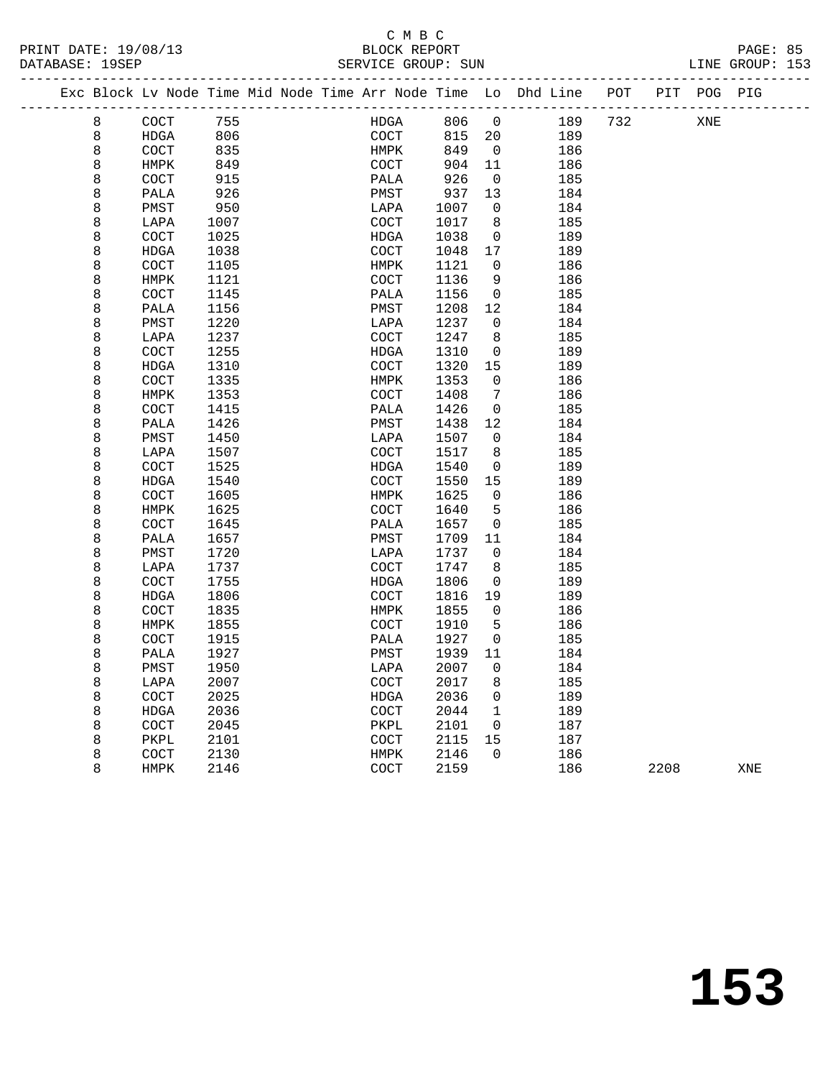|        | Exc Block Lv Node Time Mid Node Time Arr Node Time Lo Dhd Line |              |  |              |              |                          | _____________________ | POT | PIT  | POG PIG |     |
|--------|----------------------------------------------------------------|--------------|--|--------------|--------------|--------------------------|-----------------------|-----|------|---------|-----|
| 8      | COCT                                                           | 755          |  | HDGA         | 806          | 0                        | 189                   | 732 |      | XNE     |     |
| 8      | HDGA                                                           | 806          |  | COCT         | 815          | 20                       | 189                   |     |      |         |     |
| 8      | COCT                                                           | 835          |  | HMPK         | 849          | $\overline{\phantom{0}}$ | 186                   |     |      |         |     |
| 8      | HMPK                                                           | 849          |  | COCT         | 904          | 11                       | 186                   |     |      |         |     |
| 8      | COCT                                                           | 915          |  | PALA         | 926          | $\overline{0}$           | 185                   |     |      |         |     |
| 8      | PALA                                                           | 926          |  | PMST         | 937          | 13                       | 184                   |     |      |         |     |
| 8      | PMST                                                           | 950          |  | LAPA         | 1007         | 0                        | 184                   |     |      |         |     |
| 8      | LAPA                                                           | 1007         |  | COCT         | 1017         | 8                        | 185                   |     |      |         |     |
| 8      | COCT                                                           | 1025         |  | <b>HDGA</b>  | 1038         | $\mathbf 0$              | 189                   |     |      |         |     |
| 8      | HDGA                                                           | 1038         |  | COCT         | 1048         | 17                       | 189                   |     |      |         |     |
| 8      | COCT                                                           | 1105         |  | HMPK         | 1121         | 0                        | 186                   |     |      |         |     |
| 8      | HMPK                                                           | 1121         |  | COCT         | 1136         | 9                        | 186                   |     |      |         |     |
| 8      | COCT                                                           | 1145         |  | PALA         | 1156         | 0                        | 185                   |     |      |         |     |
| 8      | PALA                                                           | 1156         |  | PMST         | 1208         | 12                       | 184                   |     |      |         |     |
| 8      | PMST                                                           | 1220         |  | LAPA         | 1237         | $\mathbf 0$              | 184                   |     |      |         |     |
| 8      | LAPA                                                           | 1237         |  | COCT         | 1247         | 8                        | 185                   |     |      |         |     |
| 8      | COCT                                                           | 1255         |  | HDGA         | 1310         | $\mathbf 0$              | 189                   |     |      |         |     |
| 8      | HDGA                                                           | 1310         |  | COCT         | 1320         | 15                       | 189                   |     |      |         |     |
| 8      | COCT                                                           | 1335         |  | HMPK         | 1353         | 0                        | 186                   |     |      |         |     |
| 8      | HMPK                                                           | 1353         |  | COCT         | 1408         | 7                        | 186                   |     |      |         |     |
| 8      | COCT                                                           | 1415         |  | PALA         | 1426         | $\mathbf 0$              | 185                   |     |      |         |     |
| 8      | PALA                                                           | 1426         |  | PMST         | 1438         | 12                       | 184                   |     |      |         |     |
| 8      | PMST                                                           | 1450         |  | LAPA         | 1507         | $\Omega$                 | 184                   |     |      |         |     |
| 8      | LAPA                                                           | 1507         |  | COCT         | 1517         | 8                        | 185                   |     |      |         |     |
| 8      | COCT                                                           | 1525         |  | HDGA         | 1540         | $\mathbf 0$              | 189                   |     |      |         |     |
| 8      | HDGA                                                           | 1540         |  | COCT         | 1550         | 15                       | 189                   |     |      |         |     |
| 8      | COCT                                                           | 1605         |  | HMPK         | 1625         | $\mathbf 0$              | 186                   |     |      |         |     |
| 8      | HMPK                                                           | 1625         |  | COCT         | 1640         | 5                        | 186                   |     |      |         |     |
| 8      | COCT                                                           | 1645         |  | PALA         | 1657         | 0                        | 185                   |     |      |         |     |
| 8      | PALA                                                           | 1657         |  | PMST         | 1709         | 11                       | 184                   |     |      |         |     |
| 8      | PMST                                                           | 1720         |  | LAPA         | 1737         | $\mathbf 0$              | 184                   |     |      |         |     |
| 8      | LAPA                                                           | 1737         |  | COCT         | 1747         | 8                        | 185                   |     |      |         |     |
| 8      | COCT                                                           | 1755         |  | HDGA         | 1806         | $\mathbf 0$              | 189                   |     |      |         |     |
| 8      | <b>HDGA</b>                                                    | 1806         |  | COCT         | 1816         | 19                       | 189                   |     |      |         |     |
| 8      | COCT                                                           | 1835         |  | HMPK         | 1855         | $\mathbf 0$              | 186                   |     |      |         |     |
| 8      | HMPK                                                           | 1855         |  | COCT         | 1910         | 5                        | 186                   |     |      |         |     |
| 8<br>8 | COCT                                                           | 1915         |  | PALA         | 1927         | $\mathbf 0$              | 185                   |     |      |         |     |
| 8      | PALA                                                           | 1927         |  | PMST         | 1939         | 11<br>$\mathbf 0$        | 184                   |     |      |         |     |
|        | PMST                                                           | 1950         |  | LAPA         | 2007         |                          | 184                   |     |      |         |     |
| 8      | LAPA                                                           | 2007         |  | COCT         | 2017         | 8                        | 185                   |     |      |         |     |
| 8      | COCT                                                           | 2025         |  | HDGA         | 2036         | 0<br>$\mathbf{1}$        | 189                   |     |      |         |     |
| 8      | HDGA                                                           | 2036         |  | COCT         | 2044         | 0                        | 189<br>187            |     |      |         |     |
| 8<br>8 | COCT<br>PKPL                                                   | 2045<br>2101 |  | PKPL<br>COCT | 2101<br>2115 | 15                       | 187                   |     |      |         |     |
| 8      | COCT                                                           | 2130         |  | HMPK         | 2146         | $\Omega$                 | 186                   |     |      |         |     |
| 8      | <b>HMPK</b>                                                    | 2146         |  | COCT         | 2159         |                          | 186                   |     | 2208 |         | XNE |
|        |                                                                |              |  |              |              |                          |                       |     |      |         |     |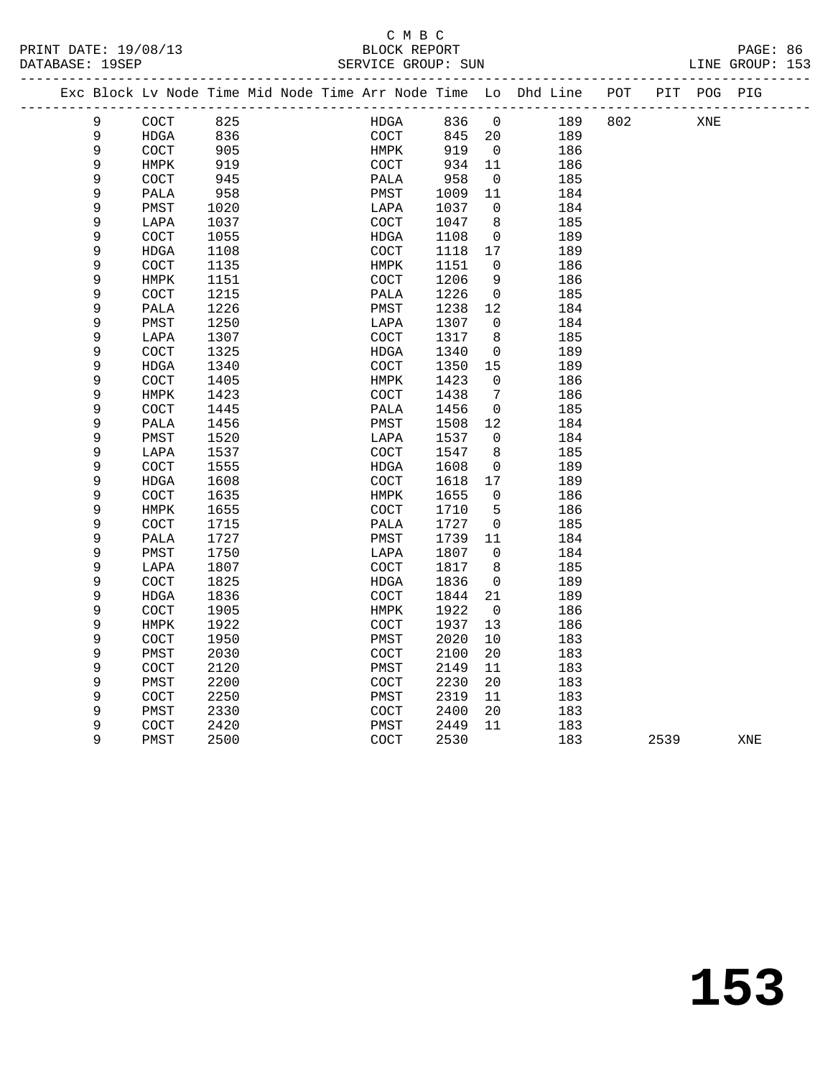# C M B C

|  | DATABASE: 19SEP |              |              |  | SERVICE GROUP: SUN                                                 |              |                |            |     |      |             | LINE GROUP: 153 |  |
|--|-----------------|--------------|--------------|--|--------------------------------------------------------------------|--------------|----------------|------------|-----|------|-------------|-----------------|--|
|  |                 |              |              |  | Exc Block Lv Node Time Mid Node Time Arr Node Time Lo Dhd Line POT |              |                |            |     |      | PIT POG PIG |                 |  |
|  | 9               | COCT         | 825          |  | HDGA                                                               | 836          | $\overline{0}$ | 189        | 802 |      | XNE         |                 |  |
|  | 9               | HDGA         | 836          |  | COCT                                                               | 845          | 20             | 189        |     |      |             |                 |  |
|  | 9               | COCT         | 905          |  | HMPK                                                               | 919          | $\overline{0}$ | 186        |     |      |             |                 |  |
|  | 9               | HMPK         | 919          |  | <b>COCT</b>                                                        | 934          | 11             | 186        |     |      |             |                 |  |
|  | 9               | COCT         | 945          |  | PALA                                                               | 958          | $\overline{0}$ | 185        |     |      |             |                 |  |
|  | 9               | PALA         | 958          |  | PMST                                                               | 1009         | 11             | 184        |     |      |             |                 |  |
|  | 9               | PMST         | 1020         |  | LAPA                                                               | 1037         | $\mathbf 0$    | 184        |     |      |             |                 |  |
|  | 9               | LAPA         | 1037         |  | COCT                                                               | 1047         | 8              | 185        |     |      |             |                 |  |
|  | 9               | COCT         | 1055         |  | HDGA                                                               | 1108         | 0              | 189        |     |      |             |                 |  |
|  | 9               | HDGA         | 1108         |  | COCT                                                               | 1118         | 17             | 189        |     |      |             |                 |  |
|  | 9               | COCT         | 1135         |  | HMPK                                                               | 1151         | 0              | 186        |     |      |             |                 |  |
|  | 9               | HMPK         | 1151         |  | COCT                                                               | 1206         | 9              | 186        |     |      |             |                 |  |
|  | 9               | COCT         | 1215         |  | PALA                                                               | 1226         | 0              | 185        |     |      |             |                 |  |
|  | 9               | PALA         | 1226         |  | PMST                                                               | 1238         | 12             | 184        |     |      |             |                 |  |
|  | 9               | PMST         | 1250         |  | LAPA                                                               | 1307         | $\mathbf 0$    | 184        |     |      |             |                 |  |
|  | 9<br>9          | LAPA         | 1307<br>1325 |  | COCT                                                               | 1317         | 8              | 185        |     |      |             |                 |  |
|  | 9               | COCT         | 1340         |  | HDGA<br>COCT                                                       | 1340<br>1350 | 0<br>15        | 189<br>189 |     |      |             |                 |  |
|  | 9               | HDGA<br>COCT | 1405         |  | HMPK                                                               | 1423         | 0              | 186        |     |      |             |                 |  |
|  | 9               | HMPK         | 1423         |  | COCT                                                               | 1438         | 7              | 186        |     |      |             |                 |  |
|  | 9               | COCT         | 1445         |  | PALA                                                               | 1456         | 0              | 185        |     |      |             |                 |  |
|  | 9               | PALA         | 1456         |  | PMST                                                               | 1508         | 12             | 184        |     |      |             |                 |  |
|  | 9               | PMST         | 1520         |  | LAPA                                                               | 1537         | $\mathbf 0$    | 184        |     |      |             |                 |  |
|  | 9               | LAPA         | 1537         |  | COCT                                                               | 1547         | 8              | 185        |     |      |             |                 |  |
|  | 9               | COCT         | 1555         |  | HDGA                                                               | 1608         | 0              | 189        |     |      |             |                 |  |
|  | 9               | HDGA         | 1608         |  | COCT                                                               | 1618         | 17             | 189        |     |      |             |                 |  |
|  | 9               | COCT         | 1635         |  | HMPK                                                               | 1655         | $\mathbf 0$    | 186        |     |      |             |                 |  |
|  | 9               | HMPK         | 1655         |  | COCT                                                               | 1710         | 5              | 186        |     |      |             |                 |  |
|  | 9               | COCT         | 1715         |  | PALA                                                               | 1727         | 0              | 185        |     |      |             |                 |  |
|  | 9               | PALA         | 1727         |  | PMST                                                               | 1739         | 11             | 184        |     |      |             |                 |  |
|  | 9               | PMST         | 1750         |  | LAPA                                                               | 1807         | $\mathbf 0$    | 184        |     |      |             |                 |  |
|  | 9               | LAPA         | 1807         |  | COCT                                                               | 1817         | 8              | 185        |     |      |             |                 |  |
|  | 9               | COCT         | 1825         |  | HDGA                                                               | 1836         | 0              | 189        |     |      |             |                 |  |
|  | 9               | <b>HDGA</b>  | 1836         |  | COCT                                                               | 1844         | 21             | 189        |     |      |             |                 |  |
|  | 9               | COCT         | 1905         |  | HMPK                                                               | 1922         | $\overline{0}$ | 186        |     |      |             |                 |  |
|  | 9               | HMPK         | 1922         |  | <b>COCT</b>                                                        | 1937         | 13             | 186        |     |      |             |                 |  |
|  | 9               | COCT         | 1950         |  | PMST                                                               | 2020         | 10             | 183        |     |      |             |                 |  |
|  | 9               | PMST         | 2030         |  | COCT                                                               | 2100         | 20             | 183        |     |      |             |                 |  |
|  | 9               | COCT         | 2120         |  | PMST                                                               | 2149         | 11             | 183        |     |      |             |                 |  |
|  | 9               | PMST         | 2200         |  | COCT                                                               | 2230         | 20             | 183        |     |      |             |                 |  |
|  | 9               | COCT         | 2250         |  | PMST                                                               | 2319         | 11             | 183        |     |      |             |                 |  |
|  | 9               | PMST         | 2330         |  | COCT                                                               | 2400         | 20             | 183        |     |      |             |                 |  |
|  | 9               | COCT         | 2420         |  | PMST                                                               | 2449         | 11             | 183        |     |      |             |                 |  |
|  | 9               | PMST         | 2500         |  | COCT                                                               | 2530         |                | 183        |     | 2539 |             | XNE             |  |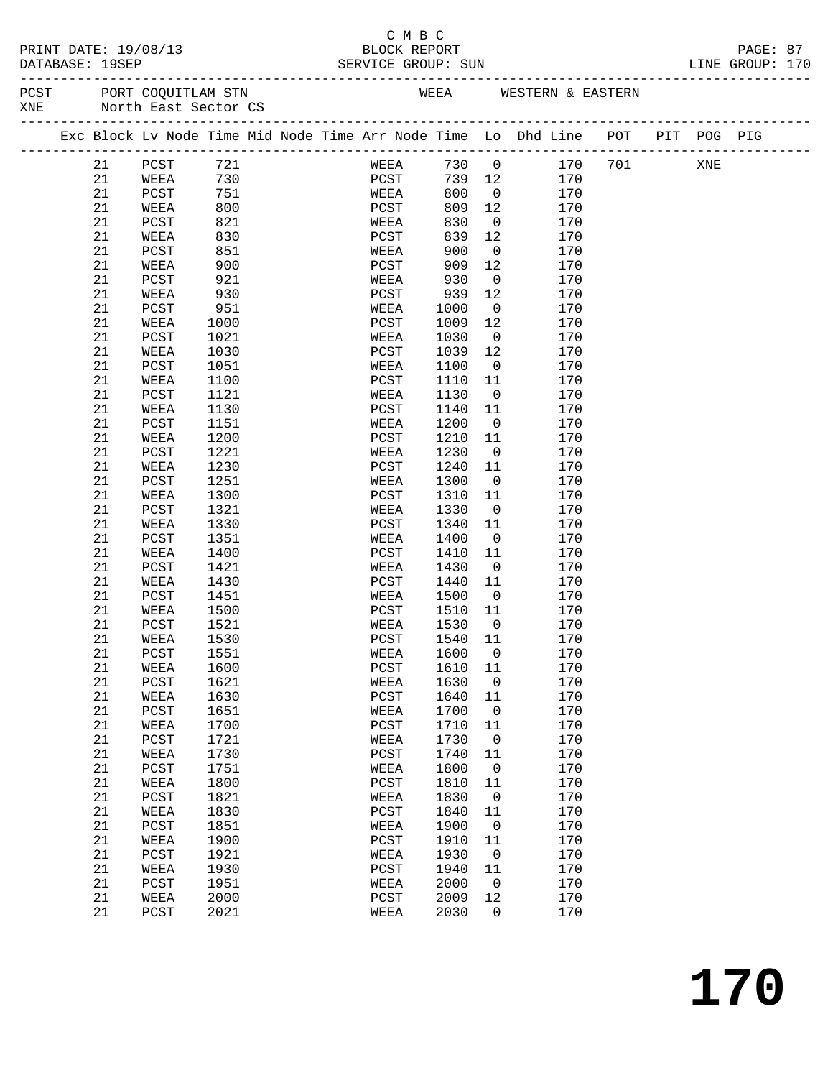|     | PRINT DATE: 19/08/13<br>DATABASE: 19SEP         |          |            |  | C M B C<br>BLOCK REPORT                  |      |                         | BLOCK REPORT<br>SERVICE GROUP: SUN LINE GROUP: 170                             |  |  |  |
|-----|-------------------------------------------------|----------|------------|--|------------------------------------------|------|-------------------------|--------------------------------------------------------------------------------|--|--|--|
| XNE | PCST PORT COQUITLAM STN<br>North East Sector CS |          |            |  |                                          |      |                         | WEEA WESTERN & EASTERN                                                         |  |  |  |
|     |                                                 |          |            |  |                                          |      |                         | Exc Block Lv Node Time Mid Node Time Arr Node Time Lo Dhd Line POT PIT POG PIG |  |  |  |
|     | 21                                              | PCST 721 |            |  |                                          |      |                         | WEEA 730 0 170 701 XNE                                                         |  |  |  |
|     | 21                                              | WEEA 730 |            |  |                                          |      |                         | 170                                                                            |  |  |  |
|     | 21                                              | PCST     |            |  | PCST 739 12<br>WEEA 800 0<br>PCST 809 12 |      |                         | 170                                                                            |  |  |  |
|     | 21                                              | WEEA     | 751<br>800 |  |                                          |      |                         | 170                                                                            |  |  |  |
|     | 21                                              | PCST     | 821        |  | WEEA                                     | 830  |                         | $\overline{0}$<br>170                                                          |  |  |  |
|     | 21                                              | WEEA     | 830        |  | PCST                                     | 839  | 12                      | 170                                                                            |  |  |  |
|     | 21                                              | PCST     | 851        |  | WEEA                                     | 900  | $\overline{0}$          | 170                                                                            |  |  |  |
|     | 21                                              | WEEA     | 900        |  | PCST                                     | 909  | 12                      | 170                                                                            |  |  |  |
|     | 21                                              | PCST     | 921        |  | WEEA                                     | 930  |                         | $\overline{0}$<br>170                                                          |  |  |  |
|     | 21                                              |          |            |  | PCST                                     | 939  | 12                      |                                                                                |  |  |  |
|     |                                                 | WEEA     | 930        |  |                                          |      |                         | 170<br>170                                                                     |  |  |  |
|     | 21                                              | PCST     | 951        |  | WEEA                                     | 1000 | $\overline{0}$          |                                                                                |  |  |  |
|     | 21                                              | WEEA     | 1000       |  | PCST                                     | 1009 | 12                      | 170<br>$\overline{0}$                                                          |  |  |  |
|     | 21                                              | PCST     | 1021       |  | WEEA                                     | 1030 |                         | 170                                                                            |  |  |  |
|     | 21                                              | WEEA     | 1030       |  | PCST                                     | 1039 | 12                      | 170                                                                            |  |  |  |
|     | 21                                              | PCST     | 1051       |  | WEEA                                     | 1100 | $\overline{\mathbf{0}}$ | 170                                                                            |  |  |  |
|     | 21                                              | WEEA     | 1100       |  | PCST                                     | 1110 | 11                      | 170                                                                            |  |  |  |
|     | 21                                              | PCST     | 1121       |  | WEEA                                     | 1130 |                         | $\overline{0}$<br>170                                                          |  |  |  |
|     | 21                                              | WEEA     | 1130       |  | PCST                                     | 1140 | 11                      | 170                                                                            |  |  |  |
|     | 21                                              | PCST     | 1151       |  | WEEA                                     | 1200 | $\overline{0}$          | 170                                                                            |  |  |  |
|     | 21                                              | WEEA     | 1200       |  | PCST                                     | 1210 | 11                      | 170                                                                            |  |  |  |
|     | 21                                              | PCST     | 1221       |  | WEEA                                     | 1230 | $\overline{0}$          | 170                                                                            |  |  |  |
|     | 21                                              | WEEA     | 1230       |  | PCST                                     | 1240 | 11                      | 170                                                                            |  |  |  |
|     | 21                                              | PCST     | 1251       |  | WEEA                                     | 1300 | $\overline{0}$          | 170                                                                            |  |  |  |
|     | 21                                              | WEEA     | 1300       |  | PCST                                     | 1310 | 11                      | 170                                                                            |  |  |  |
|     | 21                                              | PCST     | 1321       |  | WEEA                                     | 1330 | $\overline{0}$          | 170                                                                            |  |  |  |
|     | 21                                              | WEEA     | 1330       |  | PCST                                     | 1340 | 11                      | 170                                                                            |  |  |  |
|     | 21                                              | PCST     | 1351       |  | WEEA                                     | 1400 | $\overline{0}$          | 170                                                                            |  |  |  |
|     | 21                                              | WEEA     | 1400       |  | PCST                                     | 1410 | 11                      | 170                                                                            |  |  |  |
|     | 21                                              | PCST     | 1421       |  | WEEA                                     | 1430 | $\overline{0}$          | 170                                                                            |  |  |  |
|     | 21                                              | WEEA     | 1430       |  | PCST                                     | 1440 | 11                      | 170                                                                            |  |  |  |
|     | 21                                              | PCST     | 1451       |  | WEEA                                     | 1500 | $\overline{0}$          | 170                                                                            |  |  |  |
|     | 21                                              | WEEA     | 1500       |  | PCST                                     | 1510 | - 11                    | 170                                                                            |  |  |  |
|     | 21                                              | PCST     | 1521       |  | WEEA                                     | 1530 | 0                       | 170                                                                            |  |  |  |
|     | 21                                              | WEEA     | 1530       |  | PCST                                     | 1540 | 11                      | 170                                                                            |  |  |  |
|     | $2\sqrt{1}$                                     | PCST     | 1551       |  | WEEA                                     | 1600 | $\boldsymbol{0}$        | 170                                                                            |  |  |  |
|     | $2\sqrt{1}$                                     | WEEA     | 1600       |  | PCST                                     | 1610 | 11                      | 170                                                                            |  |  |  |
|     | 21                                              | PCST     | 1621       |  | WEEA                                     | 1630 | $\boldsymbol{0}$        | 170                                                                            |  |  |  |
|     | 21                                              | WEEA     | 1630       |  | PCST                                     | 1640 | 11                      | 170                                                                            |  |  |  |
|     | 21                                              |          |            |  |                                          | 1700 |                         | 170                                                                            |  |  |  |
|     |                                                 | PCST     | 1651       |  | WEEA                                     |      | $\boldsymbol{0}$        | 170                                                                            |  |  |  |
|     | $2\sqrt{1}$                                     | WEEA     | 1700       |  | PCST                                     | 1710 | 11                      |                                                                                |  |  |  |
|     | 21                                              | PCST     | 1721       |  | WEEA                                     | 1730 | $\boldsymbol{0}$        | 170                                                                            |  |  |  |
|     | 21                                              | WEEA     | 1730       |  | $_{\rm PCST}$                            | 1740 | 11                      | 170                                                                            |  |  |  |
|     | 21                                              | PCST     | 1751       |  | WEEA                                     | 1800 | 0                       | 170                                                                            |  |  |  |
|     | 21                                              | WEEA     | 1800       |  | $_{\rm PCST}$                            | 1810 | 11                      | 170                                                                            |  |  |  |
|     | 21                                              | PCST     | 1821       |  | WEEA                                     | 1830 | $\boldsymbol{0}$        | 170                                                                            |  |  |  |
|     | 21                                              | WEEA     | 1830       |  | $_{\rm PCST}$                            | 1840 | 11                      | 170                                                                            |  |  |  |

 21 PCST 1851 WEEA 1900 0 170 21 WEEA 1900 PCST 1910 11 170 21 PCST 1921 WEEA 1930 0 170 21 WEEA 1930 PCST 1940 11 170 21 PCST 1951 WEEA 2000 0 170 21 WEEA 2000 PCST 2009 12 170 21 PCST 2021 WEEA 2030 0 170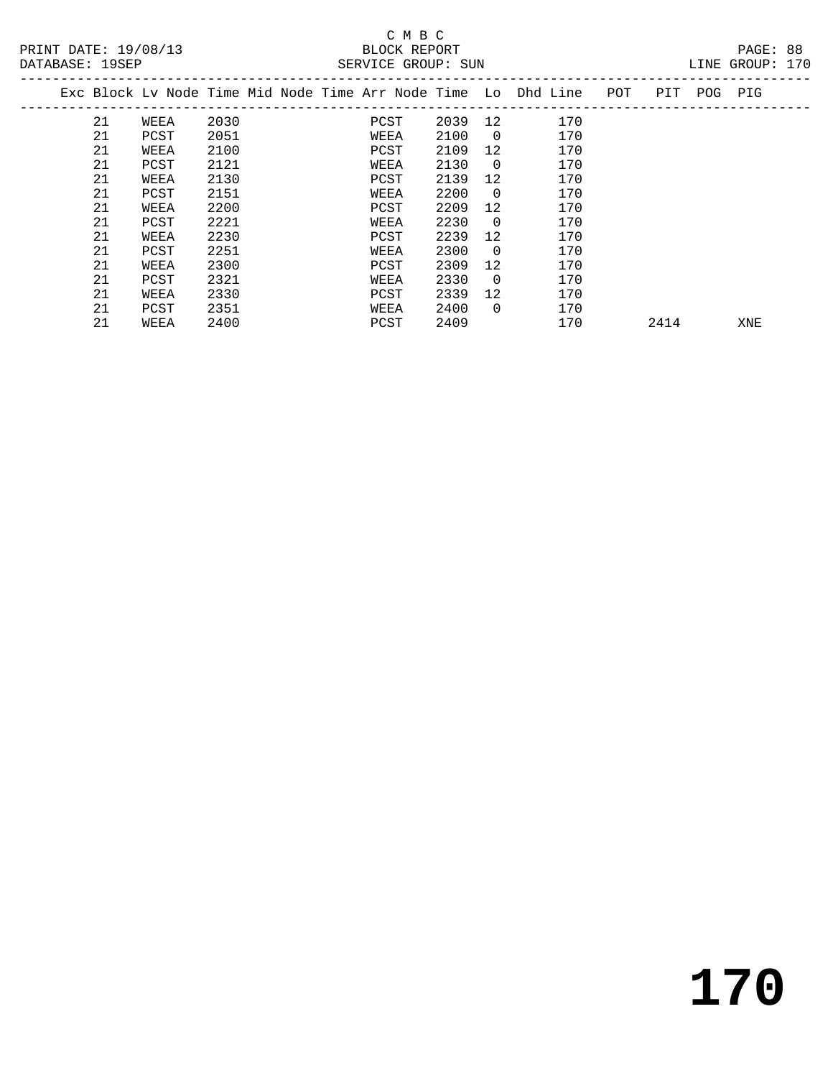# C M B C<br>BLOCK REPORT

PAGE: 88<br>LINE GROUP: 170

| DAIADAOL · IJOLF |    |      |      |  | SERVICE GROUP. SUN |         |                |                                                                |     |      |             | TIME GUOOL. TIO |  |
|------------------|----|------|------|--|--------------------|---------|----------------|----------------------------------------------------------------|-----|------|-------------|-----------------|--|
|                  |    |      |      |  |                    |         |                | Exc Block Lv Node Time Mid Node Time Arr Node Time Lo Dhd Line | POT |      | PIT POG PIG |                 |  |
|                  | 21 | WEEA | 2030 |  | PCST               | 2039 12 |                | 170                                                            |     |      |             |                 |  |
|                  | 21 | PCST | 2051 |  | WEEA               | 2100    | $\overline{0}$ | 170                                                            |     |      |             |                 |  |
|                  | 21 | WEEA | 2100 |  | PCST               | 2109    | 12             | 170                                                            |     |      |             |                 |  |
|                  | 21 | PCST | 2121 |  | WEEA               | 2130    | $\Omega$       | 170                                                            |     |      |             |                 |  |
|                  | 21 | WEEA | 2130 |  | PCST               | 2139    | 12             | 170                                                            |     |      |             |                 |  |
|                  | 21 | PCST | 2151 |  | WEEA               | 2200    | $\Omega$       | 170                                                            |     |      |             |                 |  |
|                  | 21 | WEEA | 2200 |  | PCST               | 2209    | 12             | 170                                                            |     |      |             |                 |  |
|                  | 21 | PCST | 2221 |  | WEEA               | 2230    | $\Omega$       | 170                                                            |     |      |             |                 |  |
|                  | 21 | WEEA | 2230 |  | PCST               | 2239    | 12             | 170                                                            |     |      |             |                 |  |
|                  | 21 | PCST | 2251 |  | WEEA               | 2300    | $\Omega$       | 170                                                            |     |      |             |                 |  |
|                  | 21 | WEEA | 2300 |  | PCST               | 2309    | 12             | 170                                                            |     |      |             |                 |  |
|                  | 21 | PCST | 2321 |  | WEEA               | 2330    | $\Omega$       | 170                                                            |     |      |             |                 |  |
|                  | 21 | WEEA | 2330 |  | PCST               | 2339    | 12             | 170                                                            |     |      |             |                 |  |
|                  | 21 | PCST | 2351 |  | WEEA               | 2400    | $\Omega$       | 170                                                            |     |      |             |                 |  |
|                  | 21 | WEEA | 2400 |  | PCST               | 2409    |                | 170                                                            |     | 2414 |             | XNE             |  |
|                  |    |      |      |  |                    |         |                |                                                                |     |      |             |                 |  |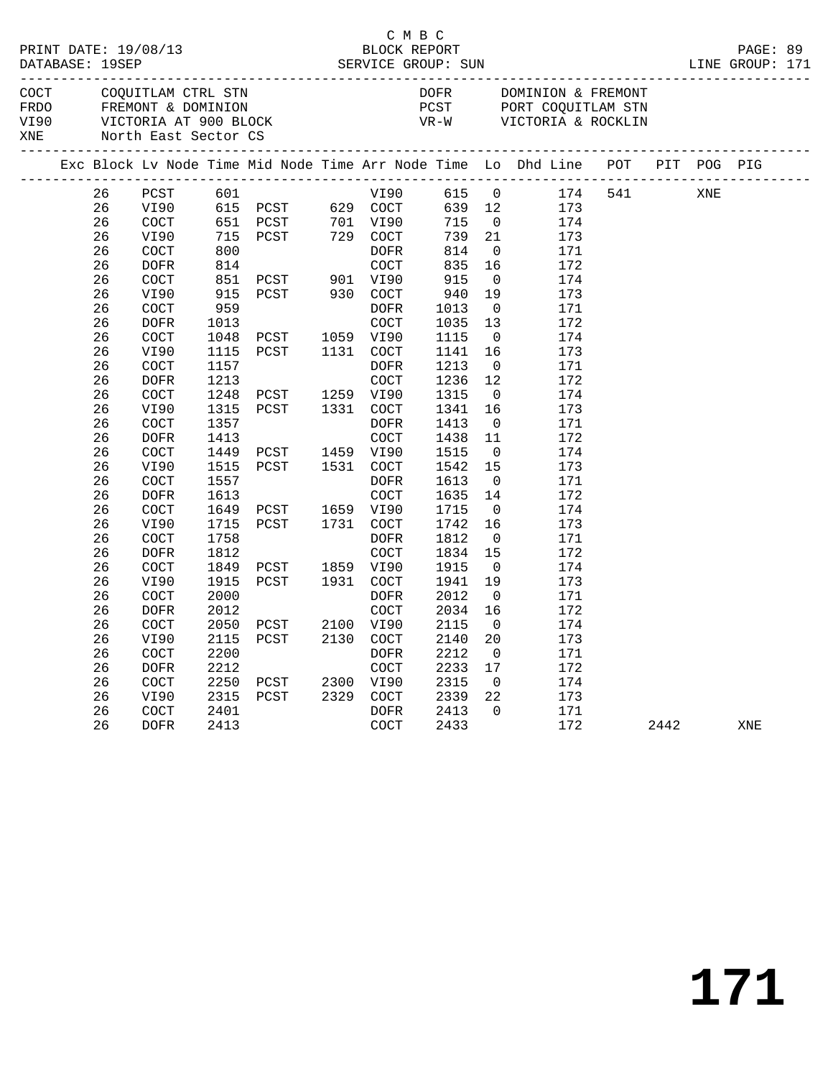|                             |          |                                          |              |                                  |                               | C M B C              |                         |                                                                                |     |      |     | PAGE: 89<br>LINE GROUP: 171 |  |
|-----------------------------|----------|------------------------------------------|--------------|----------------------------------|-------------------------------|----------------------|-------------------------|--------------------------------------------------------------------------------|-----|------|-----|-----------------------------|--|
| COCT<br>FRDO<br>VI90<br>XNE |          | COOUITLAM CTRL STN<br>FREMONT & DOMINION |              |                                  |                               |                      |                         | VICTORIA AT 900 BLOCK<br>North East Sector CS                                  |     |      |     |                             |  |
|                             |          |                                          |              |                                  |                               |                      |                         | Exc Block Lv Node Time Mid Node Time Arr Node Time Lo Dhd Line POT PIT POG PIG |     |      |     |                             |  |
|                             | 26       | PCST                                     | 601          |                                  |                               | VI90 615 0           |                         | 174                                                                            | 541 |      | XNE |                             |  |
|                             | 26       | VI90                                     |              |                                  |                               | 639 12               |                         | 173                                                                            |     |      |     |                             |  |
|                             | 26       | COCT                                     |              |                                  |                               | 715                  | $\overline{0}$          | 174                                                                            |     |      |     |                             |  |
|                             | 26       | VI90                                     |              | 715 PCST 729 COCT<br>800 DOFP    |                               | 739                  | 21                      | 173                                                                            |     |      |     |                             |  |
|                             | 26       | COCT                                     |              |                                  |                               | 814                  | $\overline{0}$          | 171                                                                            |     |      |     |                             |  |
|                             | 26       | <b>DOFR</b>                              |              | 814 COCT<br>851 PCST 901 VI90    |                               |                      | 16                      | 172                                                                            |     |      |     |                             |  |
|                             | 26       | COCT                                     |              |                                  |                               | $0 -$<br>915<br>- 10 | $\overline{0}$          | 174                                                                            |     |      |     |                             |  |
|                             | 26       | VI90                                     | 915          | PCST 930 COCT                    |                               | $940\n\n1013$        | 19                      | 173                                                                            |     |      |     |                             |  |
|                             | 26       | COCT                                     | 959          |                                  | DOFR                          | 1013                 | $\overline{0}$          | 171                                                                            |     |      |     |                             |  |
|                             | 26       | <b>DOFR</b>                              | 1013         |                                  | COCT                          | 1035                 | 13                      | 172                                                                            |     |      |     |                             |  |
|                             | 26       | COCT                                     |              | 1048 PCST 1059 VI90              |                               | 1115                 | $\overline{0}$          | 174                                                                            |     |      |     |                             |  |
|                             | 26       | VI90                                     | 1115         | PCST 1131 COCT                   |                               | 1141                 | 16                      | 173                                                                            |     |      |     |                             |  |
|                             | 26       | COCT                                     | 1157         |                                  | DOFR                          | 1213                 | $\overline{0}$          | 171                                                                            |     |      |     |                             |  |
|                             | 26       | <b>DOFR</b>                              | 1213         |                                  | COCT                          | 1236                 | 12                      | 172                                                                            |     |      |     |                             |  |
|                             | 26       | COCT                                     |              | 1248 PCST 1259 VI90              |                               | 1315                 | $\overline{\mathbf{0}}$ | 174                                                                            |     |      |     |                             |  |
|                             | 26       | VI90                                     | 1315         | PCST 1331 COCT                   |                               | 1341                 | 16                      | 173                                                                            |     |      |     |                             |  |
|                             | 26       | COCT                                     | 1357         |                                  | DOFR                          | 1413                 | $\overline{0}$          | 171                                                                            |     |      |     |                             |  |
|                             | 26       | <b>DOFR</b>                              | 1413         |                                  | COCT                          | 1438                 | 11                      | 172                                                                            |     |      |     |                             |  |
|                             | 26       | COCT                                     | 1449         | PCST 1459 VI90                   |                               | 1515                 | $\overline{\mathbf{0}}$ | 174                                                                            |     |      |     |                             |  |
|                             | 26       | VI90                                     | 1515         | PCST 1531 COCT                   |                               | 1542                 | 15                      | 173                                                                            |     |      |     |                             |  |
|                             | 26       | COCT                                     | 1557         |                                  | DOFR                          | 1613                 | $\overline{0}$          | 171                                                                            |     |      |     |                             |  |
|                             | 26       | <b>DOFR</b>                              | 1613         |                                  | COCT                          | 1635                 | 14                      | 172                                                                            |     |      |     |                             |  |
|                             | 26       | COCT                                     | 1649         | PCST 1659 VI90<br>PCST 1731 COCT |                               | 1715                 | $\overline{0}$          | 174                                                                            |     |      |     |                             |  |
|                             | 26       | VI90                                     | 1715         |                                  |                               | 1742                 | 16                      | 173                                                                            |     |      |     |                             |  |
|                             | 26       | COCT                                     | 1758         |                                  | <b>DOFR</b>                   | 1812                 | $\overline{\mathbf{0}}$ | 171                                                                            |     |      |     |                             |  |
|                             | 26       | <b>DOFR</b>                              | 1812         |                                  | COCT                          | 1834                 | 15                      | 172                                                                            |     |      |     |                             |  |
|                             | 26       | COCT                                     | 1849         | PCST 1859 VI90<br>PCST 1931 COCT |                               | 1915                 | $\overline{\mathbf{0}}$ | 174                                                                            |     |      |     |                             |  |
|                             | 26       | VI90                                     | 1915         |                                  |                               | 1941                 | 19                      | 173                                                                            |     |      |     |                             |  |
|                             | 26       | COCT                                     | 2000         |                                  | DOFR                          | 2012                 | $\overline{0}$          | 171                                                                            |     |      |     |                             |  |
|                             | 26       | <b>DOFR</b>                              | 2012         |                                  | COCT                          | 2034                 | 16                      | 172                                                                            |     |      |     |                             |  |
|                             | 26       | COCT                                     | 2050         | PCST 2100 VI90<br>PCST 2130 COCT |                               | 2115                 | $\overline{0}$          | 174                                                                            |     |      |     |                             |  |
|                             | 26<br>26 | VI90                                     | 2115         |                                  |                               | 2140                 | 20<br>$\overline{0}$    | 173                                                                            |     |      |     |                             |  |
|                             | 26       | COCT<br><b>DOFR</b>                      | 2200<br>2212 |                                  | DOFR<br>$\operatorname{COCT}$ | 2212<br>2233         | 17                      | 171<br>172                                                                     |     |      |     |                             |  |
|                             | 26       |                                          | 2250         |                                  |                               | 2315                 | $\overline{0}$          | 174                                                                            |     |      |     |                             |  |
|                             | 26       | COCT                                     | 2315         | PCST 2300 VI90<br>PCST 2329 COCT |                               |                      | 22                      | 173                                                                            |     |      |     |                             |  |
|                             | 26       | VI90<br>COCT                             | 2401         |                                  | DOFR                          | 2339<br>2413         | $\overline{0}$          | 171                                                                            |     |      |     |                             |  |
|                             | 26       | DOFR                                     | 2413         |                                  | COCT                          | 2433                 |                         | 172                                                                            |     | 2442 |     | XNE                         |  |
|                             |          |                                          |              |                                  |                               |                      |                         |                                                                                |     |      |     |                             |  |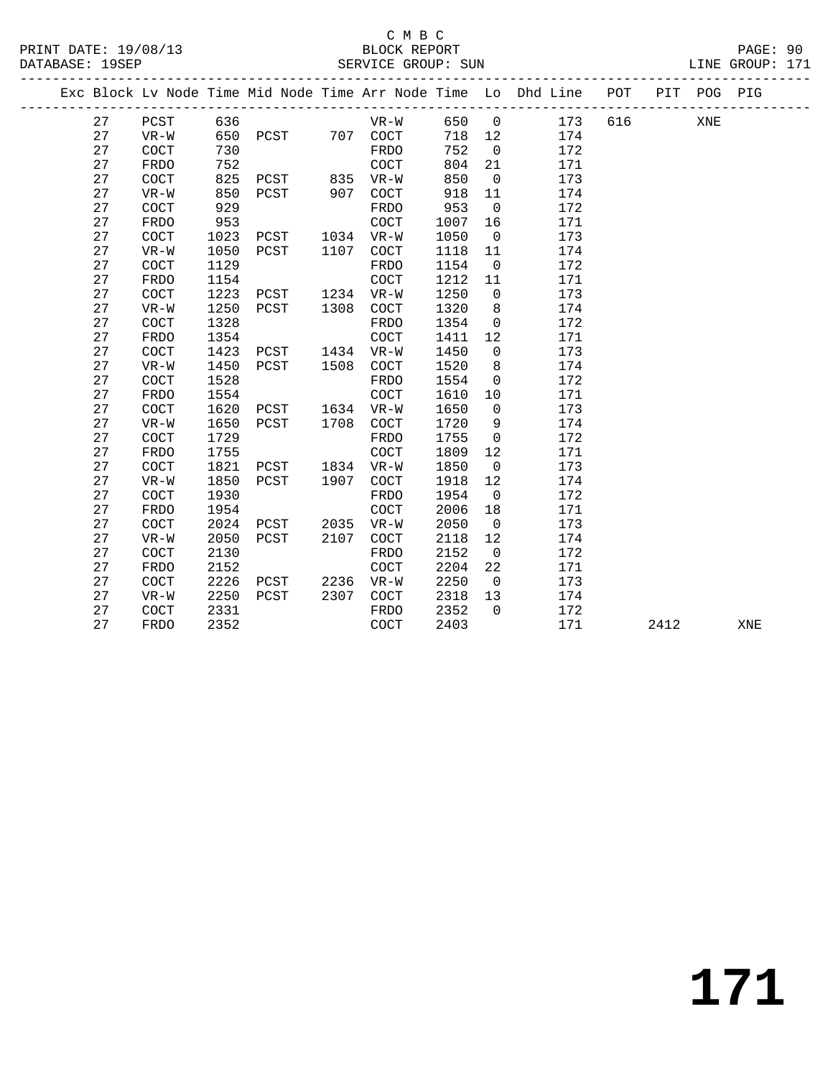### C M B C

DATABASE: 19SEP SERVICE GROUP: SUN LINE GROUP: 171 ------------------------------------------------------------------------------------------------- Exc Block Lv Node Time Mid Node Time Arr Node Time Lo Dhd Line POT PIT POG PIG ------------------------------------------------------------------------------------------------- 27 PCST 636 VR-W 650 0 173 616 XNE 27 VR-W 650 PCST 707 COCT 718 12 174 27 COCT 730 FRDO 752 0 172 27 FRDO 752 COCT 804 21 171

| 27 | COCT        | 825  | PCST | 835  | $VR-W$      | 850  | 0              | 173 |      |     |
|----|-------------|------|------|------|-------------|------|----------------|-----|------|-----|
| 27 | $VR-W$      | 850  | PCST | 907  | <b>COCT</b> | 918  | 11             | 174 |      |     |
| 27 | COCT        | 929  |      |      | <b>FRDO</b> | 953  | $\overline{0}$ | 172 |      |     |
| 27 | FRDO        | 953  |      |      | <b>COCT</b> | 1007 | 16             | 171 |      |     |
| 27 | COCT        | 1023 | PCST | 1034 | $VR-W$      | 1050 | $\mathbf 0$    | 173 |      |     |
| 27 | $VR-W$      | 1050 | PCST | 1107 | <b>COCT</b> | 1118 | 11             | 174 |      |     |
| 27 | COCT        | 1129 |      |      | FRDO        | 1154 | $\overline{0}$ | 172 |      |     |
| 27 | FRDO        | 1154 |      |      | COCT        | 1212 | 11             | 171 |      |     |
| 27 | <b>COCT</b> | 1223 | PCST | 1234 | $VR-W$      | 1250 | $\mathbf 0$    | 173 |      |     |
| 27 | $VR-W$      | 1250 | PCST | 1308 | <b>COCT</b> | 1320 | 8              | 174 |      |     |
| 27 | COCT        | 1328 |      |      | <b>FRDO</b> | 1354 | $\mathbf 0$    | 172 |      |     |
| 27 | FRDO        | 1354 |      |      | <b>COCT</b> | 1411 | 12             | 171 |      |     |
| 27 | <b>COCT</b> | 1423 | PCST | 1434 | $VR-W$      | 1450 | $\mathbf 0$    | 173 |      |     |
| 27 | $VR-W$      | 1450 | PCST | 1508 | COCT        | 1520 | 8              | 174 |      |     |
| 27 | COCT        | 1528 |      |      | <b>FRDO</b> | 1554 | $\mathbf 0$    | 172 |      |     |
| 27 | FRDO        | 1554 |      |      | <b>COCT</b> | 1610 | 10             | 171 |      |     |
| 27 | <b>COCT</b> | 1620 | PCST | 1634 | $VR-W$      | 1650 | $\mathbf 0$    | 173 |      |     |
| 27 | $VR-W$      | 1650 | PCST | 1708 | COCT        | 1720 | 9              | 174 |      |     |
| 27 | <b>COCT</b> | 1729 |      |      | FRDO        | 1755 | $\mathbf 0$    | 172 |      |     |
| 27 | FRDO        | 1755 |      |      | COCT        | 1809 | 12             | 171 |      |     |
| 27 | COCT        | 1821 | PCST | 1834 | $VR-W$      | 1850 | $\overline{0}$ | 173 |      |     |
| 27 | $VR-W$      | 1850 | PCST | 1907 | COCT        | 1918 | 12             | 174 |      |     |
| 27 | <b>COCT</b> | 1930 |      |      | FRDO        | 1954 | $\overline{0}$ | 172 |      |     |
| 27 | FRDO        | 1954 |      |      | COCT        | 2006 | 18             | 171 |      |     |
| 27 | COCT        | 2024 | PCST | 2035 | $VR-W$      | 2050 | $\mathbf 0$    | 173 |      |     |
| 27 | $VR-W$      | 2050 | PCST | 2107 | COCT        | 2118 | 12             | 174 |      |     |
| 27 | COCT        | 2130 |      |      | <b>FRDO</b> | 2152 | $\overline{0}$ | 172 |      |     |
| 27 | <b>FRDO</b> | 2152 |      |      | COCT        | 2204 | 22             | 171 |      |     |
| 27 | <b>COCT</b> | 2226 | PCST | 2236 | $VR-W$      | 2250 | $\overline{0}$ | 173 |      |     |
| 27 | $VR-W$      | 2250 | PCST | 2307 | COCT        | 2318 | 13             | 174 |      |     |
| 27 | COCT        | 2331 |      |      | <b>FRDO</b> | 2352 | $\Omega$       | 172 |      |     |
| 27 | FRDO        | 2352 |      |      | <b>COCT</b> | 2403 |                | 171 | 2412 | XNE |
|    |             |      |      |      |             |      |                |     |      |     |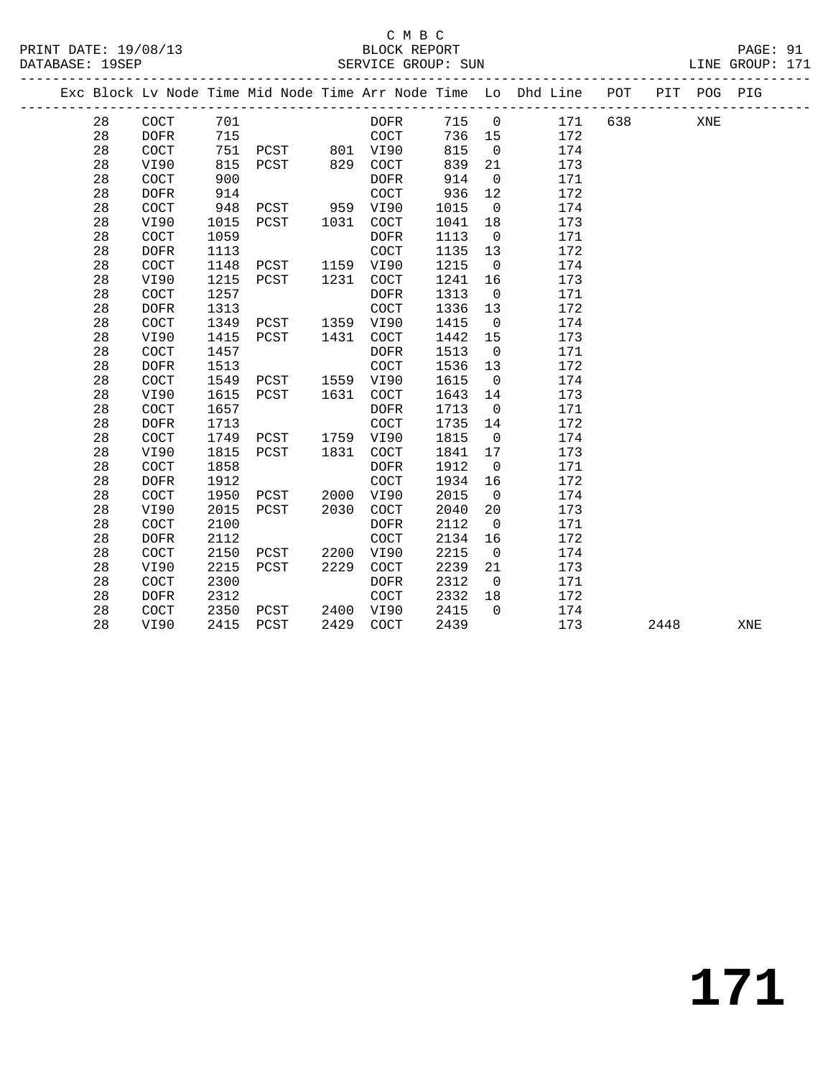|  |    |             |      |      |      |                      |      |                | Exc Block Lv Node Time Mid Node Time Arr Node Time Lo Dhd Line POT |     |      | PIT POG PIG |     |
|--|----|-------------|------|------|------|----------------------|------|----------------|--------------------------------------------------------------------|-----|------|-------------|-----|
|  | 28 | <b>COCT</b> | 701  |      |      | <b>DOFR</b>          | 715  | $\overline{0}$ | 171                                                                | 638 |      | XNE         |     |
|  | 28 | <b>DOFR</b> | 715  |      |      | COCT                 | 736  | 15             | 172                                                                |     |      |             |     |
|  | 28 | COCT        | 751  | PCST | 801  | VI90                 | 815  | $\mathbf 0$    | 174                                                                |     |      |             |     |
|  | 28 | VI90        | 815  | PCST | 829  | COCT                 | 839  | 21             | 173                                                                |     |      |             |     |
|  | 28 | COCT        | 900  |      |      | <b>DOFR</b>          | 914  | $\mathbf 0$    | 171                                                                |     |      |             |     |
|  | 28 | <b>DOFR</b> | 914  |      |      | COCT                 | 936  | 12             | 172                                                                |     |      |             |     |
|  | 28 | COCT        | 948  | PCST | 959  | VI90                 | 1015 | $\mathbf 0$    | 174                                                                |     |      |             |     |
|  | 28 | VI90        | 1015 | PCST | 1031 | $\operatorname{COT}$ | 1041 | 18             | 173                                                                |     |      |             |     |
|  | 28 | COCT        | 1059 |      |      | <b>DOFR</b>          | 1113 | $\mathbf 0$    | 171                                                                |     |      |             |     |
|  | 28 | <b>DOFR</b> | 1113 |      |      | COCT                 | 1135 | 13             | 172                                                                |     |      |             |     |
|  | 28 | COCT        | 1148 | PCST | 1159 | VI90                 | 1215 | $\overline{0}$ | 174                                                                |     |      |             |     |
|  | 28 | VI90        | 1215 | PCST | 1231 | $\operatorname{COT}$ | 1241 | 16             | 173                                                                |     |      |             |     |
|  | 28 | COCT        | 1257 |      |      | <b>DOFR</b>          | 1313 | $\mathbf 0$    | 171                                                                |     |      |             |     |
|  | 28 | <b>DOFR</b> | 1313 |      |      | COCT                 | 1336 | 13             | 172                                                                |     |      |             |     |
|  | 28 | COCT        | 1349 | PCST | 1359 | VI90                 | 1415 | $\mathbf 0$    | 174                                                                |     |      |             |     |
|  | 28 | VI90        | 1415 | PCST | 1431 | COCT                 | 1442 | 15             | 173                                                                |     |      |             |     |
|  | 28 | COCT        | 1457 |      |      | <b>DOFR</b>          | 1513 | $\mathbf 0$    | 171                                                                |     |      |             |     |
|  | 28 | <b>DOFR</b> | 1513 |      |      | COCT                 | 1536 | 13             | 172                                                                |     |      |             |     |
|  | 28 | COCT        | 1549 | PCST | 1559 | VI90                 | 1615 | $\mathbf 0$    | 174                                                                |     |      |             |     |
|  | 28 | VI90        | 1615 | PCST | 1631 | COCT                 | 1643 | 14             | 173                                                                |     |      |             |     |
|  | 28 | COCT        | 1657 |      |      | <b>DOFR</b>          | 1713 | $\mathbf 0$    | 171                                                                |     |      |             |     |
|  | 28 | <b>DOFR</b> | 1713 |      |      | COCT                 | 1735 | 14             | 172                                                                |     |      |             |     |
|  | 28 | COCT        | 1749 | PCST | 1759 | VI90                 | 1815 | $\mathbf 0$    | 174                                                                |     |      |             |     |
|  | 28 | VI90        | 1815 | PCST | 1831 | $\operatorname{COT}$ | 1841 | 17             | 173                                                                |     |      |             |     |
|  | 28 | COCT        | 1858 |      |      | <b>DOFR</b>          | 1912 | $\overline{0}$ | 171                                                                |     |      |             |     |
|  | 28 | <b>DOFR</b> | 1912 |      |      | COCT                 | 1934 | 16             | 172                                                                |     |      |             |     |
|  | 28 | COCT        | 1950 | PCST | 2000 | VI90                 | 2015 | $\mathbf 0$    | 174                                                                |     |      |             |     |
|  | 28 | VI90        | 2015 | PCST | 2030 | COCT                 | 2040 | 20             | 173                                                                |     |      |             |     |
|  | 28 | COCT        | 2100 |      |      | <b>DOFR</b>          | 2112 | $\mathbf 0$    | 171                                                                |     |      |             |     |
|  | 28 | <b>DOFR</b> | 2112 |      |      | COCT                 | 2134 | 16             | 172                                                                |     |      |             |     |
|  | 28 | COCT        | 2150 | PCST | 2200 | VI90                 | 2215 | $\overline{0}$ | 174                                                                |     |      |             |     |
|  | 28 | VI90        | 2215 | PCST | 2229 | $\operatorname{COT}$ | 2239 | 21             | 173                                                                |     |      |             |     |
|  | 28 | COCT        | 2300 |      |      | <b>DOFR</b>          | 2312 | $\overline{0}$ | 171                                                                |     |      |             |     |
|  | 28 | <b>DOFR</b> | 2312 |      |      | COCT                 | 2332 | 18             | 172                                                                |     |      |             |     |
|  | 28 | COCT        | 2350 | PCST | 2400 | VI90                 | 2415 | $\Omega$       | 174                                                                |     |      |             |     |
|  | 28 | VI90        | 2415 | PCST | 2429 | COCT                 | 2439 |                | 173                                                                |     | 2448 |             | XNE |
|  |    |             |      |      |      |                      |      |                |                                                                    |     |      |             |     |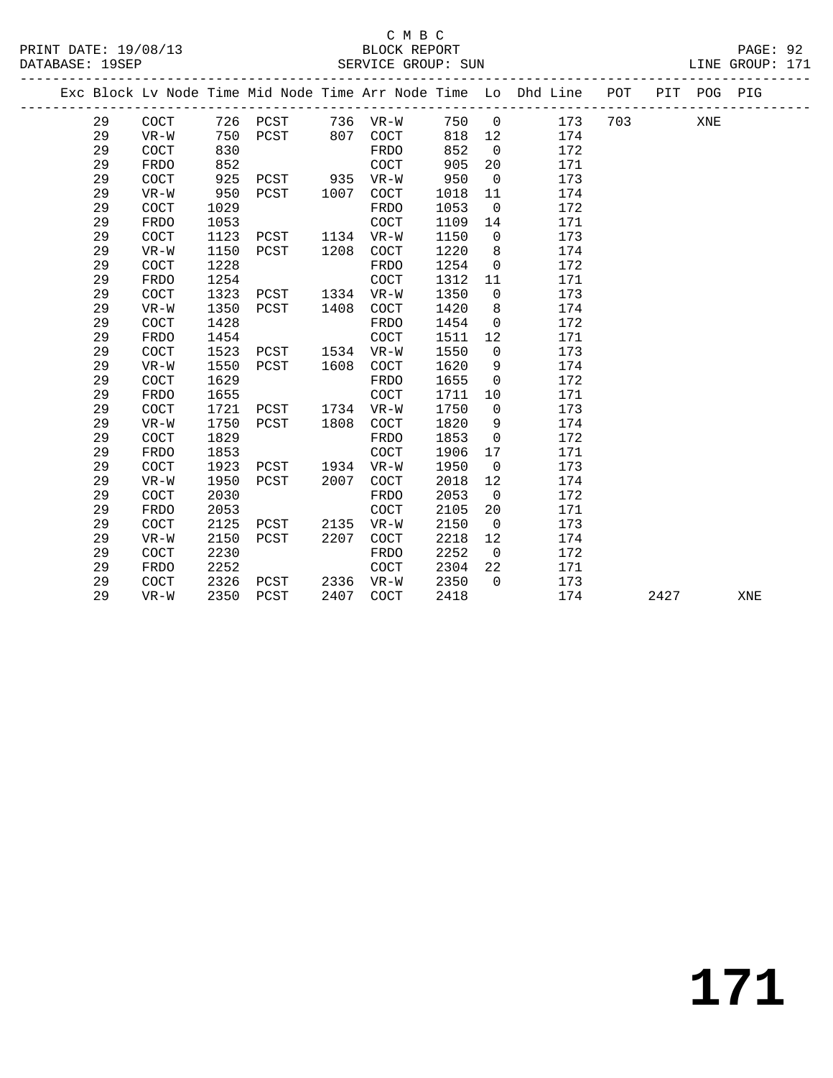|    |             |      |               |      |                      |      |                | Exc Block Lv Node Time Mid Node Time Arr Node Time Lo Dhd Line POT |     |      | PIT POG PIG |     |
|----|-------------|------|---------------|------|----------------------|------|----------------|--------------------------------------------------------------------|-----|------|-------------|-----|
| 29 | COCT        |      |               |      | 726 PCST 736 VR-W    | 750  | $\overline{0}$ | 173                                                                | 703 |      | XNE         |     |
| 29 | $VR-W$      | 750  | PCST 807 COCT |      |                      | 818  | 12             | 174                                                                |     |      |             |     |
| 29 | COCT        | 830  |               |      | FRDO                 | 852  | $\overline{0}$ | 172                                                                |     |      |             |     |
| 29 | <b>FRDO</b> | 852  |               |      | COCT                 | 905  | 20             | 171                                                                |     |      |             |     |
| 29 | COCT        | 925  | PCST 935 VR-W |      |                      | 950  | $\overline{0}$ | 173                                                                |     |      |             |     |
| 29 | $VR-W$      | 950  | PCST          | 1007 | COCT                 | 1018 | 11             | 174                                                                |     |      |             |     |
| 29 | COCT        | 1029 |               |      | FRDO                 | 1053 | $\overline{0}$ | 172                                                                |     |      |             |     |
| 29 | FRDO        | 1053 |               |      | COCT                 | 1109 | 14             | 171                                                                |     |      |             |     |
| 29 | COCT        | 1123 | PCST          |      | 1134 VR-W            | 1150 | $\overline{0}$ | 173                                                                |     |      |             |     |
| 29 | $VR-W$      | 1150 | PCST          | 1208 | COCT                 | 1220 | 8              | 174                                                                |     |      |             |     |
| 29 | COCT        | 1228 |               |      | FRDO                 | 1254 | $\overline{0}$ | 172                                                                |     |      |             |     |
| 29 | FRDO        | 1254 |               |      | COCT                 | 1312 | 11             | 171                                                                |     |      |             |     |
| 29 | COCT        | 1323 | PCST          |      | 1334 VR-W            | 1350 | $\overline{0}$ | 173                                                                |     |      |             |     |
| 29 | $VR-W$      | 1350 | PCST          | 1408 | COCT                 | 1420 | 8              | 174                                                                |     |      |             |     |
| 29 | COCT        | 1428 |               |      | FRDO                 | 1454 | $\overline{0}$ | 172                                                                |     |      |             |     |
| 29 | <b>FRDO</b> | 1454 |               |      | COCT                 | 1511 | 12             | 171                                                                |     |      |             |     |
| 29 | COCT        | 1523 | PCST          |      | 1534 VR-W            | 1550 | $\overline{0}$ | 173                                                                |     |      |             |     |
| 29 | $VR-W$      | 1550 | PCST          | 1608 | COCT                 | 1620 | 9              | 174                                                                |     |      |             |     |
| 29 | COCT        | 1629 |               |      | FRDO                 | 1655 | $\overline{0}$ | 172                                                                |     |      |             |     |
| 29 | FRDO        | 1655 |               |      | COCT                 | 1711 | 10             | 171                                                                |     |      |             |     |
| 29 | COCT        | 1721 | PCST          | 1734 | $VR-W$               | 1750 | $\mathbf 0$    | 173                                                                |     |      |             |     |
| 29 | $VR-W$      | 1750 | PCST          | 1808 | COCT                 | 1820 | 9              | 174                                                                |     |      |             |     |
| 29 | COCT        | 1829 |               |      | FRDO                 | 1853 | $\overline{0}$ | 172                                                                |     |      |             |     |
| 29 | <b>FRDO</b> | 1853 |               |      | COCT                 | 1906 | 17             | 171                                                                |     |      |             |     |
| 29 | COCT        | 1923 | PCST          | 1934 | $VR-W$               | 1950 | $\overline{0}$ | 173                                                                |     |      |             |     |
| 29 | $VR-W$      | 1950 | PCST          | 2007 | COCT                 | 2018 | 12             | 174                                                                |     |      |             |     |
| 29 | COCT        | 2030 |               |      | FRDO                 | 2053 | $\overline{0}$ | 172                                                                |     |      |             |     |
| 29 | <b>FRDO</b> | 2053 |               |      | COCT                 | 2105 | 20             | 171                                                                |     |      |             |     |
| 29 | COCT        | 2125 | PCST          | 2135 | $VR-W$               | 2150 | $\overline{0}$ | 173                                                                |     |      |             |     |
| 29 | $VR-W$      | 2150 | PCST          | 2207 | COCT                 | 2218 | 12             | 174                                                                |     |      |             |     |
| 29 | COCT        | 2230 |               |      | FRDO                 | 2252 | $\overline{0}$ | 172                                                                |     |      |             |     |
| 29 | <b>FRDO</b> | 2252 |               |      | $\operatorname{COT}$ | 2304 | 22             | 171                                                                |     |      |             |     |
| 29 | COCT        | 2326 | PCST          | 2336 | $VR-W$               | 2350 | $\Omega$       | 173                                                                |     |      |             |     |
| 29 | $VR-W$      | 2350 | PCST          | 2407 | COCT                 | 2418 |                | 174                                                                |     | 2427 |             | XNE |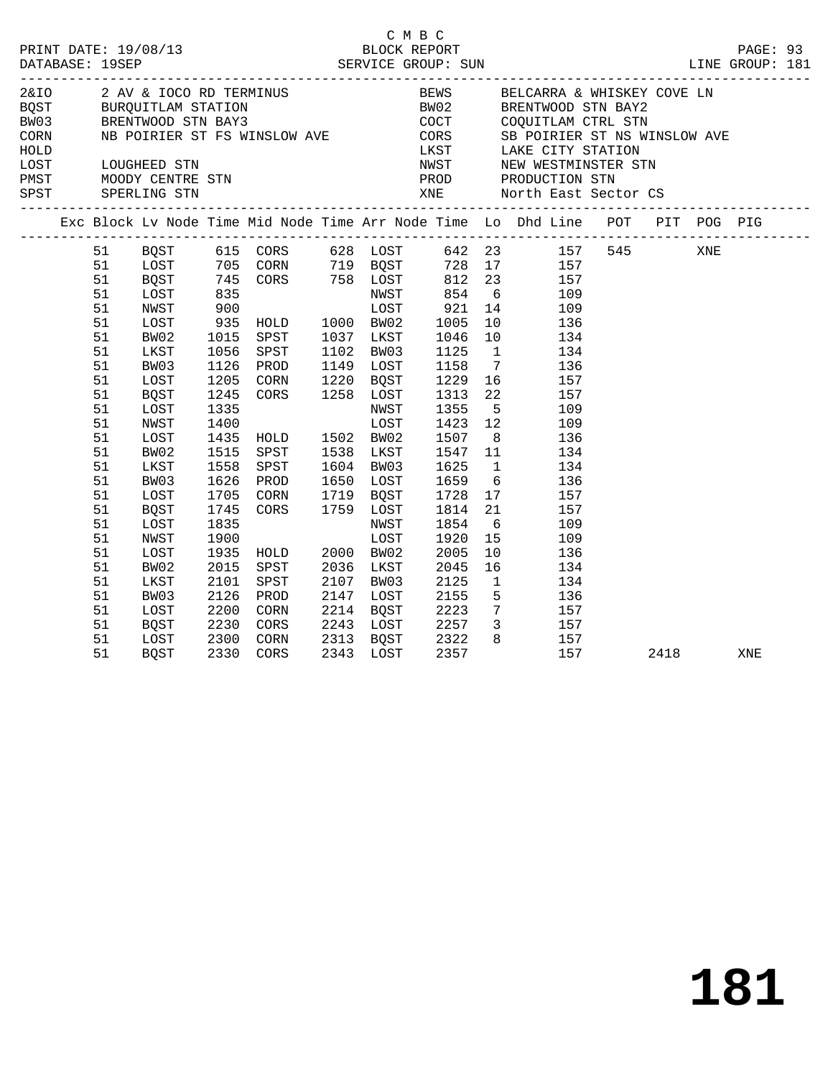|                                                                                        |                                                                                              |                                                                                      |                                                                                                                                                 |                                                                                                         | C M B C                                                                                              |                                                           |                                                                                                                                                                                                                                                                                                                                                                                                                                                                                                                                                                                                      |      |     |     |  |
|----------------------------------------------------------------------------------------|----------------------------------------------------------------------------------------------|--------------------------------------------------------------------------------------|-------------------------------------------------------------------------------------------------------------------------------------------------|---------------------------------------------------------------------------------------------------------|------------------------------------------------------------------------------------------------------|-----------------------------------------------------------|------------------------------------------------------------------------------------------------------------------------------------------------------------------------------------------------------------------------------------------------------------------------------------------------------------------------------------------------------------------------------------------------------------------------------------------------------------------------------------------------------------------------------------------------------------------------------------------------------|------|-----|-----|--|
|                                                                                        |                                                                                              |                                                                                      |                                                                                                                                                 |                                                                                                         |                                                                                                      |                                                           | ${\small \begin{tabular}{lllllllllllllllllllll@{~~}c} \multicolumn{3}{c }{\multicolumn{3}{c }{\multicolumn{3}{c }{\multicolumn{3}{c }{\multicolumn{3}{c }{\multicolumn{3}{c }{\multicolumn{3}{c }{\multicolumn{3}{c }{\multicolumn{3}{c }{\multicolumn{3}{c }{\multicolumn{3}{c }{\multicolumn{3}{c }{\multicolumn{3}{c }{\multicolumn{3}{c }{\multicolumn{3}{c }{\multicolumn{3}{c }{\multicolumn{3}{c }{\multicolumn{3}{c }{\multicolumn{3}{c }{\multicolumn{3$<br>LOST LOUGHEED STN NEW NEW WESTMINSTER STN<br>PMST MOODY CENTRE STN PRODUCTION STN<br>SPST SPERLING STN XNE North East Sector CS |      |     |     |  |
|                                                                                        |                                                                                              |                                                                                      |                                                                                                                                                 |                                                                                                         |                                                                                                      |                                                           | Exc Block Lv Node Time Mid Node Time Arr Node Time Lo Dhd Line POT PIT POG PIG                                                                                                                                                                                                                                                                                                                                                                                                                                                                                                                       |      |     |     |  |
| 51<br>51<br>51<br>51<br>51<br>51<br>51<br>51<br>51<br>51<br>51<br>51<br>51<br>51<br>51 | BW02<br>LKST<br>BW03<br>LOST<br>BQST<br>LOST<br>NWST<br>LOST<br>BW02<br>LKST                 | 1015<br>1056<br>1126<br>1245<br>1335<br>1400<br>1435<br>1515<br>1558                 | SPST<br>SPST<br>PROD<br>1205 CORN<br>CORS 1258 LOST<br>HOLD<br>SPST<br>SPST                                                                     | 1037 LKST<br>1102 BW03<br>1149 LOST<br>1220 BQST<br>NWST<br>LOST<br>1502 BW02<br>1538 LKST<br>1604 BW03 | 1046<br>1125<br>1158<br>1229<br>1313<br>1355<br>1423<br>1507<br>1547<br>1625                         | $\overline{1}$<br>$7\overline{ }$<br>22<br>8 <sup>8</sup> | 51 BQST 615 CORS 628 LOST 642 23 157 545<br>1995<br>1997 705 CORN 719 BOST 728 17<br>1997 745 CORN 758 LOST 812 23<br>1997 835 MWST 854 6<br>1998 105 1060 BOST 921 14<br>1999 105 1065 1005 1005 1005<br>1998 105 1005 1005 1005 1005 1005 136<br>$\begin{array}{c} 10 \\ 134 \end{array}$<br>134<br>136<br>$\overline{16}$ $\overline{157}$<br>157<br>$\frac{5}{12}$<br>109<br>109<br>136<br>$\begin{array}{c} 11 \\ 1 \end{array}$<br>134<br>134                                                                                                                                                  |      | XNE |     |  |
| 51<br>51<br>51<br>51<br>51<br>51<br>51<br>51<br>51<br>51<br>51<br>51                   | BW03<br>LOST<br>BQST<br>LOST<br>NWST<br>LOST<br>BW02<br>LKST<br>BW03<br>LOST<br>BQST<br>LOST | 1626<br>1705<br>1745<br>1835<br>1900<br>1935<br>2015<br>2101<br>2126<br>2200<br>2230 | PROD<br>CORN 1719 BOST<br>CORS 1759 LOST<br>NWST LOST<br>WOST<br>HOLD<br>SPST<br>SPST<br>PROD<br>CORN<br>CORS<br>2300 CORN<br>2330 CORS<br>CORN | 1650 LOST<br>2000 BW02<br>2036 LKST<br>2107 BW03<br>2147 LOST<br>2214 BQST<br>2243 LOST<br>2313 BQST    | 1659<br>1728<br>1814<br>1854<br>1920<br>2005<br>2045<br>2125<br>2155<br>2223<br>2257<br>2322<br>2357 | 15<br>10<br>$\overline{1}$                                | $6\overline{6}$<br>136<br>$\begin{array}{cc} 17 & \hspace{1.5cm} 157 \\ 21 & \hspace{1.5cm} 157 \end{array}$<br>$6\overline{6}$<br>109<br>109<br>136<br>16<br>134<br>134<br>$\begin{array}{ccc} 5 & \hspace{1.5cm} 136 \\ 7 & \hspace{1.5cm} 157 \end{array}$<br>3 157<br>$\begin{array}{cc} 8 & \hspace{1.5mm} 157 \\ 157 \end{array}$                                                                                                                                                                                                                                                              |      |     |     |  |
| 51                                                                                     | BQST                                                                                         |                                                                                      |                                                                                                                                                 | 2343 LOST                                                                                               | 2357                                                                                                 |                                                           | 157                                                                                                                                                                                                                                                                                                                                                                                                                                                                                                                                                                                                  | 2418 |     | XNE |  |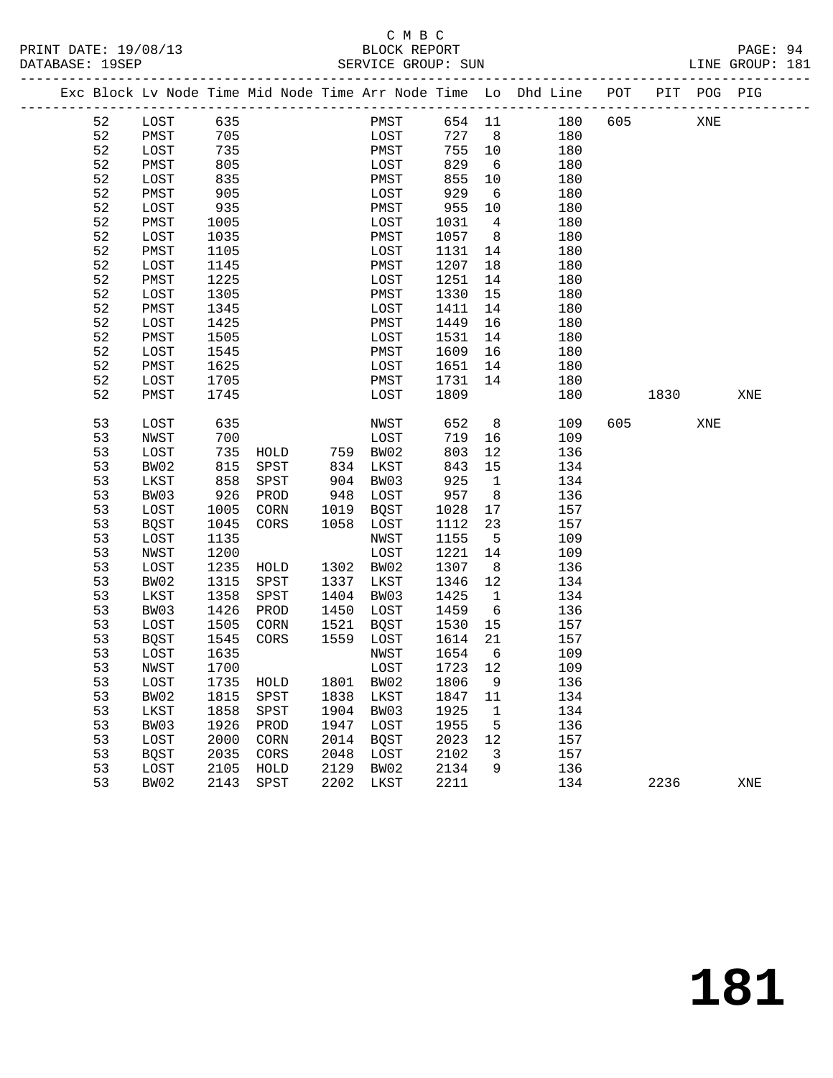#### C M B C<br>BLOCK REPORT PRINT DATE: 19/08/13 BLOCK REPORT PAGE: 94 SERVICE GROUP: SUN

|  |          | Exc Block Lv Node Time Mid Node Time Arr Node Time Lo Dhd Line POT |              |              |                   |              |      |                            |                    |            |     |      | PIT POG PIG |     |
|--|----------|--------------------------------------------------------------------|--------------|--------------|-------------------|--------------|------|----------------------------|--------------------|------------|-----|------|-------------|-----|
|  | 52       | LOST                                                               | 635          |              |                   |              | PMST |                            |                    | 654 11 180 | 605 |      | XNE         |     |
|  | 52       | PMST                                                               | 705          |              |                   |              | LOST | 727 8                      |                    | 180        |     |      |             |     |
|  | 52       | LOST                                                               | 735          |              |                   | PMST         |      | 755 10                     |                    | 180        |     |      |             |     |
|  | 52       | PMST                                                               | 805          |              |                   | LOST         |      | 829                        | $6\overline{6}$    | 180        |     |      |             |     |
|  | 52       | LOST                                                               | 835          |              |                   | PMST         |      | 855                        | 10                 | 180        |     |      |             |     |
|  | 52       | PMST                                                               | 905          |              |                   | LOST         |      | 929                        | 6                  | 180        |     |      |             |     |
|  | 52       | LOST                                                               | 935          |              |                   | PMST         |      | 955                        | 10                 | 180        |     |      |             |     |
|  | 52       | PMST                                                               | 1005         |              |                   | LOST         |      | 1031                       | $\overline{4}$     | 180        |     |      |             |     |
|  | 52       | LOST                                                               | 1035         |              |                   | PMST         |      | 1057                       | 8 <sup>8</sup>     | 180        |     |      |             |     |
|  | 52       | PMST                                                               | 1105         |              |                   | LOST         |      | 1131                       | 14                 | 180        |     |      |             |     |
|  | 52       | LOST                                                               | 1145         |              |                   | PMST         |      | 1207                       | 18                 | 180        |     |      |             |     |
|  | 52       | PMST                                                               | 1225         |              |                   | LOST         |      | 1251                       | 14                 | 180        |     |      |             |     |
|  | 52       | LOST                                                               | 1305         |              |                   | PMST         |      | 1330                       | 15                 | 180        |     |      |             |     |
|  | 52       | PMST                                                               | 1345         |              |                   | LOST         |      | 1411                       | 14                 | 180        |     |      |             |     |
|  | 52       | LOST                                                               | 1425         |              |                   | PMST         |      | 1449                       | 16                 | 180        |     |      |             |     |
|  | 52       | PMST                                                               | 1505         |              |                   | LOST         |      | 1531                       | 14                 | 180        |     |      |             |     |
|  | 52       | LOST                                                               | 1545         |              |                   | PMST         |      | 1609                       | 16                 | 180        |     |      |             |     |
|  | 52       | PMST                                                               | 1625         |              |                   | LOST         |      | 1651                       | 14                 | 180        |     |      |             |     |
|  | 52       | LOST                                                               | 1705         |              |                   | PMST         |      | 1731                       | 14                 | 180        |     |      |             |     |
|  | 52       | PMST                                                               | 1745         |              |                   | LOST         |      | 1809                       |                    | 180        |     | 1830 |             | XNE |
|  | 53       | LOST                                                               | 635          |              |                   | NWST         |      | 652                        | 8 <sup>8</sup>     | 109        | 605 |      | XNE         |     |
|  | 53       | NWST                                                               | 700          |              |                   | LOST         |      | 719                        | 16                 | 109        |     |      |             |     |
|  | 53       | LOST                                                               | 735          | HOLD         | 759 BW02          |              |      | 803                        | 12                 | 136        |     |      |             |     |
|  | 53       | BW02                                                               | 815          | SPST         | 834               | LKST         |      | 843                        | 15                 | 134        |     |      |             |     |
|  | 53       | LKST                                                               | 858          | SPST         | 904               | BW03         |      | 925                        | $\overline{1}$     | 134        |     |      |             |     |
|  | 53       | BW03                                                               | 926          | PROD         | 948               | LOST         |      | 957                        | 8                  | 136        |     |      |             |     |
|  | 53       | LOST                                                               | 1005         | CORN         | 1019              | BQST         |      | 1028                       | 17                 | 157        |     |      |             |     |
|  | 53       | BQST                                                               | 1045         | CORS         | 1058              | LOST         |      | 1112                       | 23                 | 157        |     |      |             |     |
|  | 53       | LOST                                                               | 1135         |              |                   | NWST         |      | 1155                       | $5^{\circ}$        | 109        |     |      |             |     |
|  | 53       | NWST                                                               | 1200         |              |                   | LOST         |      | 1221                       | 14                 | 109        |     |      |             |     |
|  | 53       | LOST                                                               | 1235         | HOLD         | 1302 BW02<br>1337 |              |      | 1307                       | 8                  | 136        |     |      |             |     |
|  | 53<br>53 | BW02                                                               | 1315<br>1358 | SPST         | 1404              | LKST         |      | 1346<br>1425               | 12<br>$\mathbf{1}$ | 134        |     |      |             |     |
|  | 53       | LKST                                                               | 1426         | SPST         | 1450              | BW03         |      | 1459                       | 6                  | 134        |     |      |             |     |
|  | 53       | BW03<br>LOST                                                       | 1505         | PROD<br>CORN | 1521              | LOST<br>BQST |      | 1530                       | 15                 | 136<br>157 |     |      |             |     |
|  | 53       | BQST                                                               | 1545         | CORS         | 1559              | LOST         |      | 1614                       | 21                 | 157        |     |      |             |     |
|  | 53       | LOST                                                               | 1635         |              |                   | NWST         |      | 1654                       | 6                  | 109        |     |      |             |     |
|  | 53       | NWST                                                               | 1700         |              |                   | LOST         |      | 1723 12                    |                    | 109        |     |      |             |     |
|  | 53       | LOST                                                               |              |              |                   |              |      | 1735 HOLD 1801 BW02 1806 9 |                    | 136        |     |      |             |     |
|  | 53       | BW02                                                               | 1815         | SPST         | 1838              | LKST         |      | 1847 11                    |                    | 134        |     |      |             |     |
|  | 53       | LKST                                                               | 1858         | SPST         | 1904              | BW03         |      | 1925                       | $\mathbf{1}$       | 134        |     |      |             |     |
|  | 53       | BW03                                                               | 1926         | PROD         | 1947              | LOST         |      | 1955                       | 5                  | 136        |     |      |             |     |
|  | 53       | LOST                                                               | 2000         | CORN         | 2014              | <b>BQST</b>  |      | 2023                       | 12                 | 157        |     |      |             |     |
|  | 53       | <b>BQST</b>                                                        | 2035         | CORS         | 2048              | LOST         |      | 2102                       | 3                  | 157        |     |      |             |     |
|  | 53       | LOST                                                               | 2105         | HOLD         | 2129              | BW02         |      | 2134                       | 9                  | 136        |     |      |             |     |
|  | 53       | BW02                                                               | 2143         | SPST         | 2202              | LKST         |      | 2211                       |                    | 134        |     | 2236 |             | XNE |
|  |          |                                                                    |              |              |                   |              |      |                            |                    |            |     |      |             |     |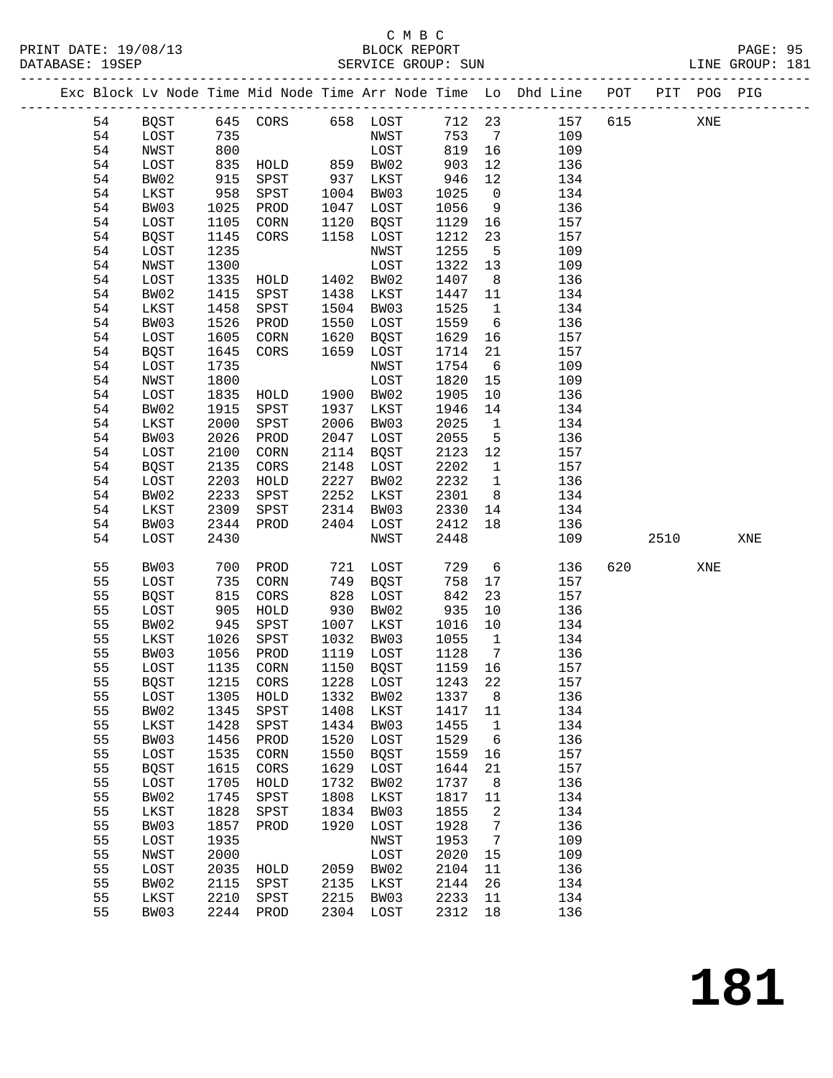### C M B C<br>BLOCK REPORT

------------------------------------------------------------------------------------------------- Exc Block Lv Node Time Mid Node Time Arr Node Time Lo Dhd Line POT PIT POG PIG

LINE GROUP: 181

| BQST<br>645<br>CORS 658 LOST<br>712 23<br>157<br>615<br>54<br>XNE<br>54<br>LOST<br>735<br>NWST<br>753<br>109<br>$\overline{7}$<br>800<br>819<br>54<br>NWST<br>LOST<br>16<br>109<br>859 BW02<br>54<br>LOST<br>835<br>903<br>12<br>136<br>HOLD<br>BW02<br>915<br>SPST<br>937<br>946<br>12<br>54<br>LKST<br>134<br>958<br>54<br>SPST<br>1004<br>1025<br>LKST<br>BW03<br>$\overline{0}$<br>134<br>54<br>BW03<br>1025<br>1047<br>LOST<br>1056<br>9<br>136<br>PROD<br>54<br>LOST<br>1105<br>1120<br>1129<br>157<br>CORN<br>BQST<br>16<br>54<br>1145<br>1158<br>1212<br>157<br>BQST<br>CORS<br>LOST<br>23<br>54<br>1235<br>1255<br>LOST<br>NWST<br>5<br>109<br>1322<br>54<br>1300<br>LOST<br>13<br>109<br>NWST<br>54<br>1335<br>1402 BW02<br>1407<br>8 <sup>8</sup><br>136<br>LOST<br>HOLD<br>1415<br>1438<br>54<br>BW02<br>SPST<br>LKST<br>1447<br>134<br>11<br>1458<br>1504<br>1525<br>54<br>LKST<br>SPST<br>BW03<br>$\mathbf{1}$<br>134<br>54<br>BW03<br>1526<br>1550<br>LOST<br>1559<br>$6\overline{6}$<br>136<br>PROD<br>54<br>LOST<br>1605<br>1620<br>BQST<br>1629<br>157<br>CORN<br>16<br>54<br>1645<br>1659<br>1714<br>157<br><b>BQST</b><br>CORS<br>LOST<br>21<br>1735<br>1754<br>$6\overline{6}$<br>54<br>LOST<br>NWST<br>109<br>1800<br>LOST<br>1820<br>54<br>NWST<br>15<br>109<br>54<br>1835<br>1900 BW02<br>1905<br>136<br>LOST<br>HOLD<br>10<br>54<br>BW02<br>1915<br>SPST<br>1937<br>LKST<br>1946<br>134<br>14<br>2000<br>SPST<br>2006<br>BW03<br>2025<br>54<br>LKST<br>$\overline{1}$<br>134<br>54<br>BW03<br>2026<br>2047<br>LOST<br>2055<br>$5\overline{)}$<br>136<br>PROD<br>54<br>LOST<br>2100<br>2114<br>BQST<br>2123<br>12<br>157<br>CORN<br>54<br><b>BQST</b><br>2135<br>$\rm{CORS}$<br>2148<br>LOST<br>2202<br>157<br>$\mathbf{1}$<br>2203<br>2227<br>BW02<br>2232<br>$\overline{1}$<br>136<br>54<br>LOST<br>HOLD<br>2233<br>54<br>BW02<br>SPST<br>2252<br>LKST<br>2301<br>8 <sup>8</sup><br>134<br>54<br>2309<br>2314<br>BW03<br>2330<br>LKST<br>SPST<br>14<br>134<br>54<br>2344<br>2404<br>2412<br>18<br>136<br>BW03<br>PROD<br>LOST<br>2430<br>2448<br>54<br>LOST<br>NWST<br>109<br>2510<br>XNE<br>55<br>BW03<br>721 LOST<br>729<br>$6\overline{6}$<br>136<br>620<br>700<br>PROD<br>XNE<br>55<br>735<br>LOST<br>CORN<br>749<br>BQST<br>758<br>17<br>157<br>815<br>828<br>842<br>55<br>CORS<br>LOST<br>23<br>157<br><b>BQST</b><br>55<br>930<br>935<br>136<br>LOST<br>905<br>HOLD<br>BW02<br>10<br>55<br>945<br>1007<br>10<br>BW02<br>SPST<br>LKST<br>1016<br>134<br>55<br>1026<br>1032<br>1055<br>$\overline{1}$<br>134<br>LKST<br>SPST<br>BW03<br>55<br>1056<br>1119<br>1128<br>BW03<br>PROD<br>LOST<br>$7\phantom{.0}\phantom{.0}7$<br>136<br>55<br>LOST<br>1135<br>CORN<br>1150<br>BQST<br>1159<br>16<br>157<br>55<br><b>BQST</b><br>1215<br>1228<br>LOST<br>1243<br>22<br>157<br>CORS<br>55<br>1305<br>1332<br>BW02<br>1337<br>8<br>136<br>LOST<br>HOLD<br>55<br>1345 SPST<br>1408 LKST 1417 11<br>BW02<br>134<br>55<br>1428<br>SPST<br>1434<br>1455<br>LKST<br>BW03<br>1<br>134<br>55<br>1456<br>1520<br>1529<br>136<br>BW03<br>PROD<br>LOST<br>$6\overline{6}$<br>55<br>1535<br>1550<br>1559<br>157<br>LOST<br>BQST<br>16<br>CORN<br>55<br><b>BQST</b><br>1615<br>1629<br>1644<br>157<br>CORS<br>LOST<br>21<br>55<br>1705<br>1732<br>BW02<br>136<br>LOST<br>HOLD<br>1737<br>8<br>55<br>BW02<br>1745<br>1808<br>1817<br>SPST<br>LKST<br>11<br>134<br>55<br>1828<br>1834<br>1855<br>$\overline{2}$<br>134<br>LKST<br>SPST<br>BW03<br>55<br>1857<br>1920<br>1928<br>136<br>BW03<br>PROD<br>LOST<br>$\overline{7}$<br>55<br>LOST<br>1935<br>NWST<br>1953<br>7<br>109<br>55<br>NWST<br>2000<br>LOST<br>2020<br>109<br>15<br>55<br>LOST<br>2035<br>2059 BW02<br>2104<br>136<br>11<br>HOLD<br>55<br>2115<br>2135<br>2144<br>26<br>134<br>BW02<br>SPST<br>LKST<br>55<br>2210<br>2215<br>2233<br>LKST<br>SPST<br>BW03<br>11<br>134<br>55<br>2244<br>2304 LOST<br>2312<br>BW03<br>PROD<br>18<br>136 |  |  |  |  |  |  |  |
|---------------------------------------------------------------------------------------------------------------------------------------------------------------------------------------------------------------------------------------------------------------------------------------------------------------------------------------------------------------------------------------------------------------------------------------------------------------------------------------------------------------------------------------------------------------------------------------------------------------------------------------------------------------------------------------------------------------------------------------------------------------------------------------------------------------------------------------------------------------------------------------------------------------------------------------------------------------------------------------------------------------------------------------------------------------------------------------------------------------------------------------------------------------------------------------------------------------------------------------------------------------------------------------------------------------------------------------------------------------------------------------------------------------------------------------------------------------------------------------------------------------------------------------------------------------------------------------------------------------------------------------------------------------------------------------------------------------------------------------------------------------------------------------------------------------------------------------------------------------------------------------------------------------------------------------------------------------------------------------------------------------------------------------------------------------------------------------------------------------------------------------------------------------------------------------------------------------------------------------------------------------------------------------------------------------------------------------------------------------------------------------------------------------------------------------------------------------------------------------------------------------------------------------------------------------------------------------------------------------------------------------------------------------------------------------------------------------------------------------------------------------------------------------------------------------------------------------------------------------------------------------------------------------------------------------------------------------------------------------------------------------------------------------------------------------------------------------------------------------------------------------------------------------------------------------------------------------------------------------------------------------------------------------------------------------------------------------------------------------------------------------------------------------------------------------------------------------------------------------------------------------------------------------------------------------------------------------------------------------------------------------------------------------------------------------------------------------------------------------------------------------------------------------------------------------------------------------------------------------------------------------------------------------------|--|--|--|--|--|--|--|
|                                                                                                                                                                                                                                                                                                                                                                                                                                                                                                                                                                                                                                                                                                                                                                                                                                                                                                                                                                                                                                                                                                                                                                                                                                                                                                                                                                                                                                                                                                                                                                                                                                                                                                                                                                                                                                                                                                                                                                                                                                                                                                                                                                                                                                                                                                                                                                                                                                                                                                                                                                                                                                                                                                                                                                                                                                                                                                                                                                                                                                                                                                                                                                                                                                                                                                                                                                                                                                                                                                                                                                                                                                                                                                                                                                                                                                                                                                                     |  |  |  |  |  |  |  |
|                                                                                                                                                                                                                                                                                                                                                                                                                                                                                                                                                                                                                                                                                                                                                                                                                                                                                                                                                                                                                                                                                                                                                                                                                                                                                                                                                                                                                                                                                                                                                                                                                                                                                                                                                                                                                                                                                                                                                                                                                                                                                                                                                                                                                                                                                                                                                                                                                                                                                                                                                                                                                                                                                                                                                                                                                                                                                                                                                                                                                                                                                                                                                                                                                                                                                                                                                                                                                                                                                                                                                                                                                                                                                                                                                                                                                                                                                                                     |  |  |  |  |  |  |  |
|                                                                                                                                                                                                                                                                                                                                                                                                                                                                                                                                                                                                                                                                                                                                                                                                                                                                                                                                                                                                                                                                                                                                                                                                                                                                                                                                                                                                                                                                                                                                                                                                                                                                                                                                                                                                                                                                                                                                                                                                                                                                                                                                                                                                                                                                                                                                                                                                                                                                                                                                                                                                                                                                                                                                                                                                                                                                                                                                                                                                                                                                                                                                                                                                                                                                                                                                                                                                                                                                                                                                                                                                                                                                                                                                                                                                                                                                                                                     |  |  |  |  |  |  |  |
|                                                                                                                                                                                                                                                                                                                                                                                                                                                                                                                                                                                                                                                                                                                                                                                                                                                                                                                                                                                                                                                                                                                                                                                                                                                                                                                                                                                                                                                                                                                                                                                                                                                                                                                                                                                                                                                                                                                                                                                                                                                                                                                                                                                                                                                                                                                                                                                                                                                                                                                                                                                                                                                                                                                                                                                                                                                                                                                                                                                                                                                                                                                                                                                                                                                                                                                                                                                                                                                                                                                                                                                                                                                                                                                                                                                                                                                                                                                     |  |  |  |  |  |  |  |
|                                                                                                                                                                                                                                                                                                                                                                                                                                                                                                                                                                                                                                                                                                                                                                                                                                                                                                                                                                                                                                                                                                                                                                                                                                                                                                                                                                                                                                                                                                                                                                                                                                                                                                                                                                                                                                                                                                                                                                                                                                                                                                                                                                                                                                                                                                                                                                                                                                                                                                                                                                                                                                                                                                                                                                                                                                                                                                                                                                                                                                                                                                                                                                                                                                                                                                                                                                                                                                                                                                                                                                                                                                                                                                                                                                                                                                                                                                                     |  |  |  |  |  |  |  |
|                                                                                                                                                                                                                                                                                                                                                                                                                                                                                                                                                                                                                                                                                                                                                                                                                                                                                                                                                                                                                                                                                                                                                                                                                                                                                                                                                                                                                                                                                                                                                                                                                                                                                                                                                                                                                                                                                                                                                                                                                                                                                                                                                                                                                                                                                                                                                                                                                                                                                                                                                                                                                                                                                                                                                                                                                                                                                                                                                                                                                                                                                                                                                                                                                                                                                                                                                                                                                                                                                                                                                                                                                                                                                                                                                                                                                                                                                                                     |  |  |  |  |  |  |  |
|                                                                                                                                                                                                                                                                                                                                                                                                                                                                                                                                                                                                                                                                                                                                                                                                                                                                                                                                                                                                                                                                                                                                                                                                                                                                                                                                                                                                                                                                                                                                                                                                                                                                                                                                                                                                                                                                                                                                                                                                                                                                                                                                                                                                                                                                                                                                                                                                                                                                                                                                                                                                                                                                                                                                                                                                                                                                                                                                                                                                                                                                                                                                                                                                                                                                                                                                                                                                                                                                                                                                                                                                                                                                                                                                                                                                                                                                                                                     |  |  |  |  |  |  |  |
|                                                                                                                                                                                                                                                                                                                                                                                                                                                                                                                                                                                                                                                                                                                                                                                                                                                                                                                                                                                                                                                                                                                                                                                                                                                                                                                                                                                                                                                                                                                                                                                                                                                                                                                                                                                                                                                                                                                                                                                                                                                                                                                                                                                                                                                                                                                                                                                                                                                                                                                                                                                                                                                                                                                                                                                                                                                                                                                                                                                                                                                                                                                                                                                                                                                                                                                                                                                                                                                                                                                                                                                                                                                                                                                                                                                                                                                                                                                     |  |  |  |  |  |  |  |
|                                                                                                                                                                                                                                                                                                                                                                                                                                                                                                                                                                                                                                                                                                                                                                                                                                                                                                                                                                                                                                                                                                                                                                                                                                                                                                                                                                                                                                                                                                                                                                                                                                                                                                                                                                                                                                                                                                                                                                                                                                                                                                                                                                                                                                                                                                                                                                                                                                                                                                                                                                                                                                                                                                                                                                                                                                                                                                                                                                                                                                                                                                                                                                                                                                                                                                                                                                                                                                                                                                                                                                                                                                                                                                                                                                                                                                                                                                                     |  |  |  |  |  |  |  |
|                                                                                                                                                                                                                                                                                                                                                                                                                                                                                                                                                                                                                                                                                                                                                                                                                                                                                                                                                                                                                                                                                                                                                                                                                                                                                                                                                                                                                                                                                                                                                                                                                                                                                                                                                                                                                                                                                                                                                                                                                                                                                                                                                                                                                                                                                                                                                                                                                                                                                                                                                                                                                                                                                                                                                                                                                                                                                                                                                                                                                                                                                                                                                                                                                                                                                                                                                                                                                                                                                                                                                                                                                                                                                                                                                                                                                                                                                                                     |  |  |  |  |  |  |  |
|                                                                                                                                                                                                                                                                                                                                                                                                                                                                                                                                                                                                                                                                                                                                                                                                                                                                                                                                                                                                                                                                                                                                                                                                                                                                                                                                                                                                                                                                                                                                                                                                                                                                                                                                                                                                                                                                                                                                                                                                                                                                                                                                                                                                                                                                                                                                                                                                                                                                                                                                                                                                                                                                                                                                                                                                                                                                                                                                                                                                                                                                                                                                                                                                                                                                                                                                                                                                                                                                                                                                                                                                                                                                                                                                                                                                                                                                                                                     |  |  |  |  |  |  |  |
|                                                                                                                                                                                                                                                                                                                                                                                                                                                                                                                                                                                                                                                                                                                                                                                                                                                                                                                                                                                                                                                                                                                                                                                                                                                                                                                                                                                                                                                                                                                                                                                                                                                                                                                                                                                                                                                                                                                                                                                                                                                                                                                                                                                                                                                                                                                                                                                                                                                                                                                                                                                                                                                                                                                                                                                                                                                                                                                                                                                                                                                                                                                                                                                                                                                                                                                                                                                                                                                                                                                                                                                                                                                                                                                                                                                                                                                                                                                     |  |  |  |  |  |  |  |
|                                                                                                                                                                                                                                                                                                                                                                                                                                                                                                                                                                                                                                                                                                                                                                                                                                                                                                                                                                                                                                                                                                                                                                                                                                                                                                                                                                                                                                                                                                                                                                                                                                                                                                                                                                                                                                                                                                                                                                                                                                                                                                                                                                                                                                                                                                                                                                                                                                                                                                                                                                                                                                                                                                                                                                                                                                                                                                                                                                                                                                                                                                                                                                                                                                                                                                                                                                                                                                                                                                                                                                                                                                                                                                                                                                                                                                                                                                                     |  |  |  |  |  |  |  |
|                                                                                                                                                                                                                                                                                                                                                                                                                                                                                                                                                                                                                                                                                                                                                                                                                                                                                                                                                                                                                                                                                                                                                                                                                                                                                                                                                                                                                                                                                                                                                                                                                                                                                                                                                                                                                                                                                                                                                                                                                                                                                                                                                                                                                                                                                                                                                                                                                                                                                                                                                                                                                                                                                                                                                                                                                                                                                                                                                                                                                                                                                                                                                                                                                                                                                                                                                                                                                                                                                                                                                                                                                                                                                                                                                                                                                                                                                                                     |  |  |  |  |  |  |  |
|                                                                                                                                                                                                                                                                                                                                                                                                                                                                                                                                                                                                                                                                                                                                                                                                                                                                                                                                                                                                                                                                                                                                                                                                                                                                                                                                                                                                                                                                                                                                                                                                                                                                                                                                                                                                                                                                                                                                                                                                                                                                                                                                                                                                                                                                                                                                                                                                                                                                                                                                                                                                                                                                                                                                                                                                                                                                                                                                                                                                                                                                                                                                                                                                                                                                                                                                                                                                                                                                                                                                                                                                                                                                                                                                                                                                                                                                                                                     |  |  |  |  |  |  |  |
|                                                                                                                                                                                                                                                                                                                                                                                                                                                                                                                                                                                                                                                                                                                                                                                                                                                                                                                                                                                                                                                                                                                                                                                                                                                                                                                                                                                                                                                                                                                                                                                                                                                                                                                                                                                                                                                                                                                                                                                                                                                                                                                                                                                                                                                                                                                                                                                                                                                                                                                                                                                                                                                                                                                                                                                                                                                                                                                                                                                                                                                                                                                                                                                                                                                                                                                                                                                                                                                                                                                                                                                                                                                                                                                                                                                                                                                                                                                     |  |  |  |  |  |  |  |
|                                                                                                                                                                                                                                                                                                                                                                                                                                                                                                                                                                                                                                                                                                                                                                                                                                                                                                                                                                                                                                                                                                                                                                                                                                                                                                                                                                                                                                                                                                                                                                                                                                                                                                                                                                                                                                                                                                                                                                                                                                                                                                                                                                                                                                                                                                                                                                                                                                                                                                                                                                                                                                                                                                                                                                                                                                                                                                                                                                                                                                                                                                                                                                                                                                                                                                                                                                                                                                                                                                                                                                                                                                                                                                                                                                                                                                                                                                                     |  |  |  |  |  |  |  |
|                                                                                                                                                                                                                                                                                                                                                                                                                                                                                                                                                                                                                                                                                                                                                                                                                                                                                                                                                                                                                                                                                                                                                                                                                                                                                                                                                                                                                                                                                                                                                                                                                                                                                                                                                                                                                                                                                                                                                                                                                                                                                                                                                                                                                                                                                                                                                                                                                                                                                                                                                                                                                                                                                                                                                                                                                                                                                                                                                                                                                                                                                                                                                                                                                                                                                                                                                                                                                                                                                                                                                                                                                                                                                                                                                                                                                                                                                                                     |  |  |  |  |  |  |  |
|                                                                                                                                                                                                                                                                                                                                                                                                                                                                                                                                                                                                                                                                                                                                                                                                                                                                                                                                                                                                                                                                                                                                                                                                                                                                                                                                                                                                                                                                                                                                                                                                                                                                                                                                                                                                                                                                                                                                                                                                                                                                                                                                                                                                                                                                                                                                                                                                                                                                                                                                                                                                                                                                                                                                                                                                                                                                                                                                                                                                                                                                                                                                                                                                                                                                                                                                                                                                                                                                                                                                                                                                                                                                                                                                                                                                                                                                                                                     |  |  |  |  |  |  |  |
|                                                                                                                                                                                                                                                                                                                                                                                                                                                                                                                                                                                                                                                                                                                                                                                                                                                                                                                                                                                                                                                                                                                                                                                                                                                                                                                                                                                                                                                                                                                                                                                                                                                                                                                                                                                                                                                                                                                                                                                                                                                                                                                                                                                                                                                                                                                                                                                                                                                                                                                                                                                                                                                                                                                                                                                                                                                                                                                                                                                                                                                                                                                                                                                                                                                                                                                                                                                                                                                                                                                                                                                                                                                                                                                                                                                                                                                                                                                     |  |  |  |  |  |  |  |
|                                                                                                                                                                                                                                                                                                                                                                                                                                                                                                                                                                                                                                                                                                                                                                                                                                                                                                                                                                                                                                                                                                                                                                                                                                                                                                                                                                                                                                                                                                                                                                                                                                                                                                                                                                                                                                                                                                                                                                                                                                                                                                                                                                                                                                                                                                                                                                                                                                                                                                                                                                                                                                                                                                                                                                                                                                                                                                                                                                                                                                                                                                                                                                                                                                                                                                                                                                                                                                                                                                                                                                                                                                                                                                                                                                                                                                                                                                                     |  |  |  |  |  |  |  |
|                                                                                                                                                                                                                                                                                                                                                                                                                                                                                                                                                                                                                                                                                                                                                                                                                                                                                                                                                                                                                                                                                                                                                                                                                                                                                                                                                                                                                                                                                                                                                                                                                                                                                                                                                                                                                                                                                                                                                                                                                                                                                                                                                                                                                                                                                                                                                                                                                                                                                                                                                                                                                                                                                                                                                                                                                                                                                                                                                                                                                                                                                                                                                                                                                                                                                                                                                                                                                                                                                                                                                                                                                                                                                                                                                                                                                                                                                                                     |  |  |  |  |  |  |  |
|                                                                                                                                                                                                                                                                                                                                                                                                                                                                                                                                                                                                                                                                                                                                                                                                                                                                                                                                                                                                                                                                                                                                                                                                                                                                                                                                                                                                                                                                                                                                                                                                                                                                                                                                                                                                                                                                                                                                                                                                                                                                                                                                                                                                                                                                                                                                                                                                                                                                                                                                                                                                                                                                                                                                                                                                                                                                                                                                                                                                                                                                                                                                                                                                                                                                                                                                                                                                                                                                                                                                                                                                                                                                                                                                                                                                                                                                                                                     |  |  |  |  |  |  |  |
|                                                                                                                                                                                                                                                                                                                                                                                                                                                                                                                                                                                                                                                                                                                                                                                                                                                                                                                                                                                                                                                                                                                                                                                                                                                                                                                                                                                                                                                                                                                                                                                                                                                                                                                                                                                                                                                                                                                                                                                                                                                                                                                                                                                                                                                                                                                                                                                                                                                                                                                                                                                                                                                                                                                                                                                                                                                                                                                                                                                                                                                                                                                                                                                                                                                                                                                                                                                                                                                                                                                                                                                                                                                                                                                                                                                                                                                                                                                     |  |  |  |  |  |  |  |
|                                                                                                                                                                                                                                                                                                                                                                                                                                                                                                                                                                                                                                                                                                                                                                                                                                                                                                                                                                                                                                                                                                                                                                                                                                                                                                                                                                                                                                                                                                                                                                                                                                                                                                                                                                                                                                                                                                                                                                                                                                                                                                                                                                                                                                                                                                                                                                                                                                                                                                                                                                                                                                                                                                                                                                                                                                                                                                                                                                                                                                                                                                                                                                                                                                                                                                                                                                                                                                                                                                                                                                                                                                                                                                                                                                                                                                                                                                                     |  |  |  |  |  |  |  |
|                                                                                                                                                                                                                                                                                                                                                                                                                                                                                                                                                                                                                                                                                                                                                                                                                                                                                                                                                                                                                                                                                                                                                                                                                                                                                                                                                                                                                                                                                                                                                                                                                                                                                                                                                                                                                                                                                                                                                                                                                                                                                                                                                                                                                                                                                                                                                                                                                                                                                                                                                                                                                                                                                                                                                                                                                                                                                                                                                                                                                                                                                                                                                                                                                                                                                                                                                                                                                                                                                                                                                                                                                                                                                                                                                                                                                                                                                                                     |  |  |  |  |  |  |  |
|                                                                                                                                                                                                                                                                                                                                                                                                                                                                                                                                                                                                                                                                                                                                                                                                                                                                                                                                                                                                                                                                                                                                                                                                                                                                                                                                                                                                                                                                                                                                                                                                                                                                                                                                                                                                                                                                                                                                                                                                                                                                                                                                                                                                                                                                                                                                                                                                                                                                                                                                                                                                                                                                                                                                                                                                                                                                                                                                                                                                                                                                                                                                                                                                                                                                                                                                                                                                                                                                                                                                                                                                                                                                                                                                                                                                                                                                                                                     |  |  |  |  |  |  |  |
|                                                                                                                                                                                                                                                                                                                                                                                                                                                                                                                                                                                                                                                                                                                                                                                                                                                                                                                                                                                                                                                                                                                                                                                                                                                                                                                                                                                                                                                                                                                                                                                                                                                                                                                                                                                                                                                                                                                                                                                                                                                                                                                                                                                                                                                                                                                                                                                                                                                                                                                                                                                                                                                                                                                                                                                                                                                                                                                                                                                                                                                                                                                                                                                                                                                                                                                                                                                                                                                                                                                                                                                                                                                                                                                                                                                                                                                                                                                     |  |  |  |  |  |  |  |
|                                                                                                                                                                                                                                                                                                                                                                                                                                                                                                                                                                                                                                                                                                                                                                                                                                                                                                                                                                                                                                                                                                                                                                                                                                                                                                                                                                                                                                                                                                                                                                                                                                                                                                                                                                                                                                                                                                                                                                                                                                                                                                                                                                                                                                                                                                                                                                                                                                                                                                                                                                                                                                                                                                                                                                                                                                                                                                                                                                                                                                                                                                                                                                                                                                                                                                                                                                                                                                                                                                                                                                                                                                                                                                                                                                                                                                                                                                                     |  |  |  |  |  |  |  |
|                                                                                                                                                                                                                                                                                                                                                                                                                                                                                                                                                                                                                                                                                                                                                                                                                                                                                                                                                                                                                                                                                                                                                                                                                                                                                                                                                                                                                                                                                                                                                                                                                                                                                                                                                                                                                                                                                                                                                                                                                                                                                                                                                                                                                                                                                                                                                                                                                                                                                                                                                                                                                                                                                                                                                                                                                                                                                                                                                                                                                                                                                                                                                                                                                                                                                                                                                                                                                                                                                                                                                                                                                                                                                                                                                                                                                                                                                                                     |  |  |  |  |  |  |  |
|                                                                                                                                                                                                                                                                                                                                                                                                                                                                                                                                                                                                                                                                                                                                                                                                                                                                                                                                                                                                                                                                                                                                                                                                                                                                                                                                                                                                                                                                                                                                                                                                                                                                                                                                                                                                                                                                                                                                                                                                                                                                                                                                                                                                                                                                                                                                                                                                                                                                                                                                                                                                                                                                                                                                                                                                                                                                                                                                                                                                                                                                                                                                                                                                                                                                                                                                                                                                                                                                                                                                                                                                                                                                                                                                                                                                                                                                                                                     |  |  |  |  |  |  |  |
|                                                                                                                                                                                                                                                                                                                                                                                                                                                                                                                                                                                                                                                                                                                                                                                                                                                                                                                                                                                                                                                                                                                                                                                                                                                                                                                                                                                                                                                                                                                                                                                                                                                                                                                                                                                                                                                                                                                                                                                                                                                                                                                                                                                                                                                                                                                                                                                                                                                                                                                                                                                                                                                                                                                                                                                                                                                                                                                                                                                                                                                                                                                                                                                                                                                                                                                                                                                                                                                                                                                                                                                                                                                                                                                                                                                                                                                                                                                     |  |  |  |  |  |  |  |
|                                                                                                                                                                                                                                                                                                                                                                                                                                                                                                                                                                                                                                                                                                                                                                                                                                                                                                                                                                                                                                                                                                                                                                                                                                                                                                                                                                                                                                                                                                                                                                                                                                                                                                                                                                                                                                                                                                                                                                                                                                                                                                                                                                                                                                                                                                                                                                                                                                                                                                                                                                                                                                                                                                                                                                                                                                                                                                                                                                                                                                                                                                                                                                                                                                                                                                                                                                                                                                                                                                                                                                                                                                                                                                                                                                                                                                                                                                                     |  |  |  |  |  |  |  |
|                                                                                                                                                                                                                                                                                                                                                                                                                                                                                                                                                                                                                                                                                                                                                                                                                                                                                                                                                                                                                                                                                                                                                                                                                                                                                                                                                                                                                                                                                                                                                                                                                                                                                                                                                                                                                                                                                                                                                                                                                                                                                                                                                                                                                                                                                                                                                                                                                                                                                                                                                                                                                                                                                                                                                                                                                                                                                                                                                                                                                                                                                                                                                                                                                                                                                                                                                                                                                                                                                                                                                                                                                                                                                                                                                                                                                                                                                                                     |  |  |  |  |  |  |  |
|                                                                                                                                                                                                                                                                                                                                                                                                                                                                                                                                                                                                                                                                                                                                                                                                                                                                                                                                                                                                                                                                                                                                                                                                                                                                                                                                                                                                                                                                                                                                                                                                                                                                                                                                                                                                                                                                                                                                                                                                                                                                                                                                                                                                                                                                                                                                                                                                                                                                                                                                                                                                                                                                                                                                                                                                                                                                                                                                                                                                                                                                                                                                                                                                                                                                                                                                                                                                                                                                                                                                                                                                                                                                                                                                                                                                                                                                                                                     |  |  |  |  |  |  |  |
|                                                                                                                                                                                                                                                                                                                                                                                                                                                                                                                                                                                                                                                                                                                                                                                                                                                                                                                                                                                                                                                                                                                                                                                                                                                                                                                                                                                                                                                                                                                                                                                                                                                                                                                                                                                                                                                                                                                                                                                                                                                                                                                                                                                                                                                                                                                                                                                                                                                                                                                                                                                                                                                                                                                                                                                                                                                                                                                                                                                                                                                                                                                                                                                                                                                                                                                                                                                                                                                                                                                                                                                                                                                                                                                                                                                                                                                                                                                     |  |  |  |  |  |  |  |
|                                                                                                                                                                                                                                                                                                                                                                                                                                                                                                                                                                                                                                                                                                                                                                                                                                                                                                                                                                                                                                                                                                                                                                                                                                                                                                                                                                                                                                                                                                                                                                                                                                                                                                                                                                                                                                                                                                                                                                                                                                                                                                                                                                                                                                                                                                                                                                                                                                                                                                                                                                                                                                                                                                                                                                                                                                                                                                                                                                                                                                                                                                                                                                                                                                                                                                                                                                                                                                                                                                                                                                                                                                                                                                                                                                                                                                                                                                                     |  |  |  |  |  |  |  |
|                                                                                                                                                                                                                                                                                                                                                                                                                                                                                                                                                                                                                                                                                                                                                                                                                                                                                                                                                                                                                                                                                                                                                                                                                                                                                                                                                                                                                                                                                                                                                                                                                                                                                                                                                                                                                                                                                                                                                                                                                                                                                                                                                                                                                                                                                                                                                                                                                                                                                                                                                                                                                                                                                                                                                                                                                                                                                                                                                                                                                                                                                                                                                                                                                                                                                                                                                                                                                                                                                                                                                                                                                                                                                                                                                                                                                                                                                                                     |  |  |  |  |  |  |  |
|                                                                                                                                                                                                                                                                                                                                                                                                                                                                                                                                                                                                                                                                                                                                                                                                                                                                                                                                                                                                                                                                                                                                                                                                                                                                                                                                                                                                                                                                                                                                                                                                                                                                                                                                                                                                                                                                                                                                                                                                                                                                                                                                                                                                                                                                                                                                                                                                                                                                                                                                                                                                                                                                                                                                                                                                                                                                                                                                                                                                                                                                                                                                                                                                                                                                                                                                                                                                                                                                                                                                                                                                                                                                                                                                                                                                                                                                                                                     |  |  |  |  |  |  |  |
|                                                                                                                                                                                                                                                                                                                                                                                                                                                                                                                                                                                                                                                                                                                                                                                                                                                                                                                                                                                                                                                                                                                                                                                                                                                                                                                                                                                                                                                                                                                                                                                                                                                                                                                                                                                                                                                                                                                                                                                                                                                                                                                                                                                                                                                                                                                                                                                                                                                                                                                                                                                                                                                                                                                                                                                                                                                                                                                                                                                                                                                                                                                                                                                                                                                                                                                                                                                                                                                                                                                                                                                                                                                                                                                                                                                                                                                                                                                     |  |  |  |  |  |  |  |
|                                                                                                                                                                                                                                                                                                                                                                                                                                                                                                                                                                                                                                                                                                                                                                                                                                                                                                                                                                                                                                                                                                                                                                                                                                                                                                                                                                                                                                                                                                                                                                                                                                                                                                                                                                                                                                                                                                                                                                                                                                                                                                                                                                                                                                                                                                                                                                                                                                                                                                                                                                                                                                                                                                                                                                                                                                                                                                                                                                                                                                                                                                                                                                                                                                                                                                                                                                                                                                                                                                                                                                                                                                                                                                                                                                                                                                                                                                                     |  |  |  |  |  |  |  |
|                                                                                                                                                                                                                                                                                                                                                                                                                                                                                                                                                                                                                                                                                                                                                                                                                                                                                                                                                                                                                                                                                                                                                                                                                                                                                                                                                                                                                                                                                                                                                                                                                                                                                                                                                                                                                                                                                                                                                                                                                                                                                                                                                                                                                                                                                                                                                                                                                                                                                                                                                                                                                                                                                                                                                                                                                                                                                                                                                                                                                                                                                                                                                                                                                                                                                                                                                                                                                                                                                                                                                                                                                                                                                                                                                                                                                                                                                                                     |  |  |  |  |  |  |  |
|                                                                                                                                                                                                                                                                                                                                                                                                                                                                                                                                                                                                                                                                                                                                                                                                                                                                                                                                                                                                                                                                                                                                                                                                                                                                                                                                                                                                                                                                                                                                                                                                                                                                                                                                                                                                                                                                                                                                                                                                                                                                                                                                                                                                                                                                                                                                                                                                                                                                                                                                                                                                                                                                                                                                                                                                                                                                                                                                                                                                                                                                                                                                                                                                                                                                                                                                                                                                                                                                                                                                                                                                                                                                                                                                                                                                                                                                                                                     |  |  |  |  |  |  |  |
|                                                                                                                                                                                                                                                                                                                                                                                                                                                                                                                                                                                                                                                                                                                                                                                                                                                                                                                                                                                                                                                                                                                                                                                                                                                                                                                                                                                                                                                                                                                                                                                                                                                                                                                                                                                                                                                                                                                                                                                                                                                                                                                                                                                                                                                                                                                                                                                                                                                                                                                                                                                                                                                                                                                                                                                                                                                                                                                                                                                                                                                                                                                                                                                                                                                                                                                                                                                                                                                                                                                                                                                                                                                                                                                                                                                                                                                                                                                     |  |  |  |  |  |  |  |
|                                                                                                                                                                                                                                                                                                                                                                                                                                                                                                                                                                                                                                                                                                                                                                                                                                                                                                                                                                                                                                                                                                                                                                                                                                                                                                                                                                                                                                                                                                                                                                                                                                                                                                                                                                                                                                                                                                                                                                                                                                                                                                                                                                                                                                                                                                                                                                                                                                                                                                                                                                                                                                                                                                                                                                                                                                                                                                                                                                                                                                                                                                                                                                                                                                                                                                                                                                                                                                                                                                                                                                                                                                                                                                                                                                                                                                                                                                                     |  |  |  |  |  |  |  |
|                                                                                                                                                                                                                                                                                                                                                                                                                                                                                                                                                                                                                                                                                                                                                                                                                                                                                                                                                                                                                                                                                                                                                                                                                                                                                                                                                                                                                                                                                                                                                                                                                                                                                                                                                                                                                                                                                                                                                                                                                                                                                                                                                                                                                                                                                                                                                                                                                                                                                                                                                                                                                                                                                                                                                                                                                                                                                                                                                                                                                                                                                                                                                                                                                                                                                                                                                                                                                                                                                                                                                                                                                                                                                                                                                                                                                                                                                                                     |  |  |  |  |  |  |  |
|                                                                                                                                                                                                                                                                                                                                                                                                                                                                                                                                                                                                                                                                                                                                                                                                                                                                                                                                                                                                                                                                                                                                                                                                                                                                                                                                                                                                                                                                                                                                                                                                                                                                                                                                                                                                                                                                                                                                                                                                                                                                                                                                                                                                                                                                                                                                                                                                                                                                                                                                                                                                                                                                                                                                                                                                                                                                                                                                                                                                                                                                                                                                                                                                                                                                                                                                                                                                                                                                                                                                                                                                                                                                                                                                                                                                                                                                                                                     |  |  |  |  |  |  |  |
|                                                                                                                                                                                                                                                                                                                                                                                                                                                                                                                                                                                                                                                                                                                                                                                                                                                                                                                                                                                                                                                                                                                                                                                                                                                                                                                                                                                                                                                                                                                                                                                                                                                                                                                                                                                                                                                                                                                                                                                                                                                                                                                                                                                                                                                                                                                                                                                                                                                                                                                                                                                                                                                                                                                                                                                                                                                                                                                                                                                                                                                                                                                                                                                                                                                                                                                                                                                                                                                                                                                                                                                                                                                                                                                                                                                                                                                                                                                     |  |  |  |  |  |  |  |
|                                                                                                                                                                                                                                                                                                                                                                                                                                                                                                                                                                                                                                                                                                                                                                                                                                                                                                                                                                                                                                                                                                                                                                                                                                                                                                                                                                                                                                                                                                                                                                                                                                                                                                                                                                                                                                                                                                                                                                                                                                                                                                                                                                                                                                                                                                                                                                                                                                                                                                                                                                                                                                                                                                                                                                                                                                                                                                                                                                                                                                                                                                                                                                                                                                                                                                                                                                                                                                                                                                                                                                                                                                                                                                                                                                                                                                                                                                                     |  |  |  |  |  |  |  |
|                                                                                                                                                                                                                                                                                                                                                                                                                                                                                                                                                                                                                                                                                                                                                                                                                                                                                                                                                                                                                                                                                                                                                                                                                                                                                                                                                                                                                                                                                                                                                                                                                                                                                                                                                                                                                                                                                                                                                                                                                                                                                                                                                                                                                                                                                                                                                                                                                                                                                                                                                                                                                                                                                                                                                                                                                                                                                                                                                                                                                                                                                                                                                                                                                                                                                                                                                                                                                                                                                                                                                                                                                                                                                                                                                                                                                                                                                                                     |  |  |  |  |  |  |  |
|                                                                                                                                                                                                                                                                                                                                                                                                                                                                                                                                                                                                                                                                                                                                                                                                                                                                                                                                                                                                                                                                                                                                                                                                                                                                                                                                                                                                                                                                                                                                                                                                                                                                                                                                                                                                                                                                                                                                                                                                                                                                                                                                                                                                                                                                                                                                                                                                                                                                                                                                                                                                                                                                                                                                                                                                                                                                                                                                                                                                                                                                                                                                                                                                                                                                                                                                                                                                                                                                                                                                                                                                                                                                                                                                                                                                                                                                                                                     |  |  |  |  |  |  |  |
|                                                                                                                                                                                                                                                                                                                                                                                                                                                                                                                                                                                                                                                                                                                                                                                                                                                                                                                                                                                                                                                                                                                                                                                                                                                                                                                                                                                                                                                                                                                                                                                                                                                                                                                                                                                                                                                                                                                                                                                                                                                                                                                                                                                                                                                                                                                                                                                                                                                                                                                                                                                                                                                                                                                                                                                                                                                                                                                                                                                                                                                                                                                                                                                                                                                                                                                                                                                                                                                                                                                                                                                                                                                                                                                                                                                                                                                                                                                     |  |  |  |  |  |  |  |
|                                                                                                                                                                                                                                                                                                                                                                                                                                                                                                                                                                                                                                                                                                                                                                                                                                                                                                                                                                                                                                                                                                                                                                                                                                                                                                                                                                                                                                                                                                                                                                                                                                                                                                                                                                                                                                                                                                                                                                                                                                                                                                                                                                                                                                                                                                                                                                                                                                                                                                                                                                                                                                                                                                                                                                                                                                                                                                                                                                                                                                                                                                                                                                                                                                                                                                                                                                                                                                                                                                                                                                                                                                                                                                                                                                                                                                                                                                                     |  |  |  |  |  |  |  |
|                                                                                                                                                                                                                                                                                                                                                                                                                                                                                                                                                                                                                                                                                                                                                                                                                                                                                                                                                                                                                                                                                                                                                                                                                                                                                                                                                                                                                                                                                                                                                                                                                                                                                                                                                                                                                                                                                                                                                                                                                                                                                                                                                                                                                                                                                                                                                                                                                                                                                                                                                                                                                                                                                                                                                                                                                                                                                                                                                                                                                                                                                                                                                                                                                                                                                                                                                                                                                                                                                                                                                                                                                                                                                                                                                                                                                                                                                                                     |  |  |  |  |  |  |  |
|                                                                                                                                                                                                                                                                                                                                                                                                                                                                                                                                                                                                                                                                                                                                                                                                                                                                                                                                                                                                                                                                                                                                                                                                                                                                                                                                                                                                                                                                                                                                                                                                                                                                                                                                                                                                                                                                                                                                                                                                                                                                                                                                                                                                                                                                                                                                                                                                                                                                                                                                                                                                                                                                                                                                                                                                                                                                                                                                                                                                                                                                                                                                                                                                                                                                                                                                                                                                                                                                                                                                                                                                                                                                                                                                                                                                                                                                                                                     |  |  |  |  |  |  |  |
|                                                                                                                                                                                                                                                                                                                                                                                                                                                                                                                                                                                                                                                                                                                                                                                                                                                                                                                                                                                                                                                                                                                                                                                                                                                                                                                                                                                                                                                                                                                                                                                                                                                                                                                                                                                                                                                                                                                                                                                                                                                                                                                                                                                                                                                                                                                                                                                                                                                                                                                                                                                                                                                                                                                                                                                                                                                                                                                                                                                                                                                                                                                                                                                                                                                                                                                                                                                                                                                                                                                                                                                                                                                                                                                                                                                                                                                                                                                     |  |  |  |  |  |  |  |
|                                                                                                                                                                                                                                                                                                                                                                                                                                                                                                                                                                                                                                                                                                                                                                                                                                                                                                                                                                                                                                                                                                                                                                                                                                                                                                                                                                                                                                                                                                                                                                                                                                                                                                                                                                                                                                                                                                                                                                                                                                                                                                                                                                                                                                                                                                                                                                                                                                                                                                                                                                                                                                                                                                                                                                                                                                                                                                                                                                                                                                                                                                                                                                                                                                                                                                                                                                                                                                                                                                                                                                                                                                                                                                                                                                                                                                                                                                                     |  |  |  |  |  |  |  |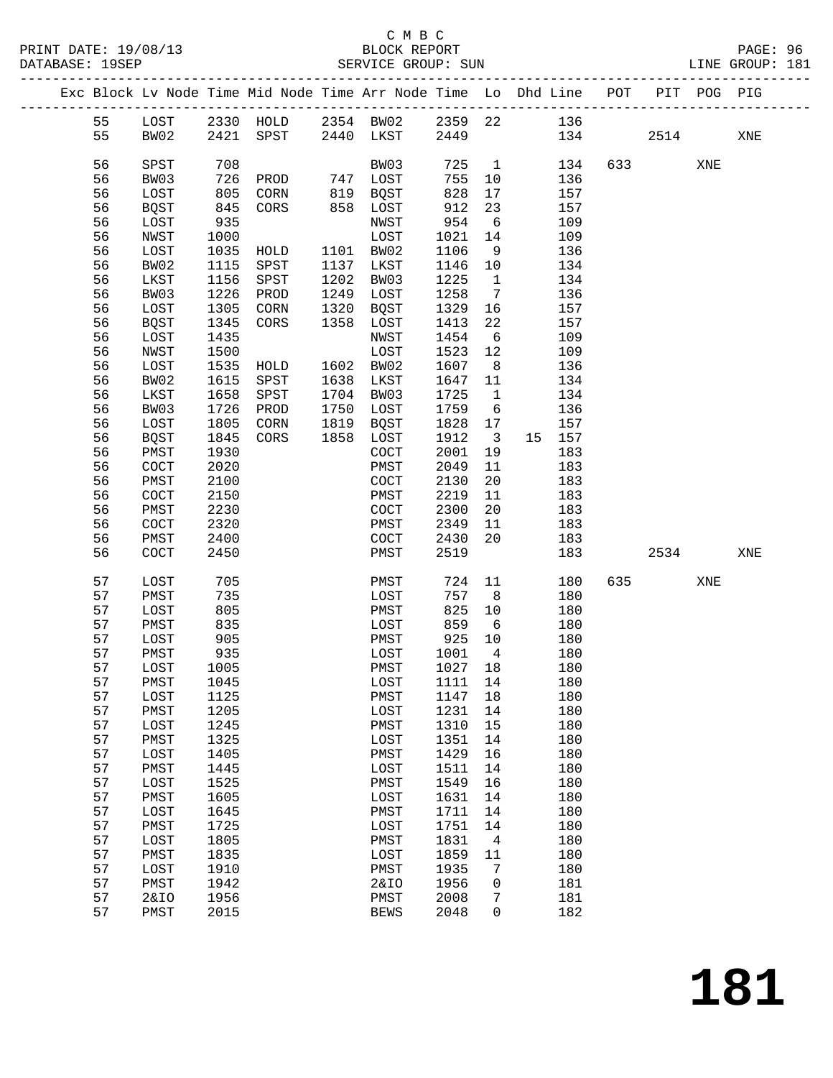### C M B C<br>BLOCK REPORT

PRINT DATE: 19/08/13 BLOCK REPORT PAGE: 96 SERVICE GROUP: SUN

|  |          |                      |              | Exc Block Lv Node Time Mid Node Time Arr Node Time Lo Dhd Line POT |      |              |              |                         |            |                        | PIT POG PIG |     |
|--|----------|----------------------|--------------|--------------------------------------------------------------------|------|--------------|--------------|-------------------------|------------|------------------------|-------------|-----|
|  | 55       | LOST                 |              | 2330 HOLD 2354 BW02 2359 22 136                                    |      |              |              |                         |            |                        |             |     |
|  | 55       | BW02                 |              | 2421 SPST 2440 LKST                                                |      |              | 2449         |                         | 134        | 2514                   |             | XNE |
|  |          |                      |              |                                                                    |      |              |              |                         |            |                        |             |     |
|  | 56       | SPST                 | 708          |                                                                    |      | BW03         | 725          | $\mathbf{1}$            | 134        | 633 and $\overline{a}$ | XNE         |     |
|  | 56       | BW03                 | 726          | PROD                                                               |      | 747 LOST     | 755          | 10                      | 136        |                        |             |     |
|  | 56       | LOST                 | 805          | CORN                                                               |      | 819 BQST     | 828          | 17                      | 157        |                        |             |     |
|  | 56       | <b>BQST</b>          | 845          | CORS                                                               |      | 858 LOST     | 912          | 23                      | 157        |                        |             |     |
|  | 56       | LOST                 | 935          |                                                                    |      | NWST         | 954          | 6                       | 109        |                        |             |     |
|  | 56       | NWST                 | 1000         |                                                                    |      | LOST         | 1021         | 14                      | 109        |                        |             |     |
|  | 56       | LOST                 | 1035         | HOLD                                                               |      | 1101 BW02    | 1106         | 9                       | 136        |                        |             |     |
|  | 56       | BW02                 | 1115         | SPST                                                               | 1137 | LKST         | 1146         | 10                      | 134        |                        |             |     |
|  | 56       | LKST                 | 1156         | SPST                                                               | 1202 | BW03         | 1225         | $\overline{1}$          | 134        |                        |             |     |
|  | 56       | BW03                 | 1226         | PROD                                                               | 1249 | LOST         | 1258         | $\overline{7}$          | 136        |                        |             |     |
|  | 56       | LOST                 | 1305         | CORN                                                               | 1320 | BQST         | 1329         | 16                      | 157        |                        |             |     |
|  | 56       | <b>BQST</b>          | 1345         | CORS                                                               | 1358 | LOST         | 1413         | 22                      | 157        |                        |             |     |
|  | 56       | LOST                 | 1435         |                                                                    |      | NWST         | 1454         | 6                       | 109        |                        |             |     |
|  | 56       | NWST                 | 1500         |                                                                    |      | LOST         | 1523         | 12                      | 109        |                        |             |     |
|  | 56       | LOST                 | 1535         | HOLD                                                               |      | 1602 BW02    | 1607         | 8 <sup>8</sup>          | 136        |                        |             |     |
|  | 56       | BW02                 | 1615         | SPST                                                               | 1638 | LKST         | 1647         | 11                      | 134        |                        |             |     |
|  | 56       | LKST                 | 1658         | SPST                                                               | 1704 | BW03         | 1725         | $\mathbf{1}$            | 134        |                        |             |     |
|  | 56       | BW03                 | 1726         | PROD                                                               | 1750 | LOST         | 1759         | 6                       | 136        |                        |             |     |
|  | 56       | LOST                 | 1805         | CORN                                                               | 1819 | BQST         | 1828         | 17                      | 157        |                        |             |     |
|  | 56       | <b>BQST</b>          | 1845         | CORS                                                               | 1858 | LOST         | 1912         | $\overline{\mathbf{3}}$ | 15 157     |                        |             |     |
|  | 56       | PMST                 | 1930         |                                                                    |      | COCT         | 2001         | 19                      | 183        |                        |             |     |
|  | 56       | $\operatorname{COT}$ | 2020         |                                                                    |      | PMST         | 2049         | 11                      | 183        |                        |             |     |
|  | 56       | PMST                 | 2100         |                                                                    |      | COCT         | 2130         | 20                      | 183        |                        |             |     |
|  | 56       | COCT                 | 2150         |                                                                    |      | PMST         | 2219         | 11                      | 183        |                        |             |     |
|  | 56       | PMST                 | 2230         |                                                                    |      | COCT         | 2300         | 20                      | 183        |                        |             |     |
|  | 56       | COCT                 | 2320         |                                                                    |      | PMST         | 2349         | 11                      | 183        |                        |             |     |
|  | 56       | PMST                 | 2400         |                                                                    |      | COCT         | 2430         | 20                      | 183        |                        |             |     |
|  | 56       | COCT                 | 2450         |                                                                    |      | PMST         | 2519         |                         | 183        | 2534                   |             | XNE |
|  |          |                      |              |                                                                    |      |              |              |                         |            |                        |             |     |
|  | 57       | LOST                 | 705          |                                                                    |      | PMST         | 724          | 11                      | 180        | 635 7                  | XNE         |     |
|  | 57       | PMST                 | 735          |                                                                    |      | LOST         | 757          | 8 <sup>8</sup>          | 180        |                        |             |     |
|  | 57       | LOST                 | 805          |                                                                    |      | PMST         | 825          | 10                      | 180        |                        |             |     |
|  | 57       | PMST                 | 835          |                                                                    |      | LOST         | 859          | 6                       | 180        |                        |             |     |
|  | 57       | LOST                 | 905          |                                                                    |      | PMST         | 925          | 10                      | 180        |                        |             |     |
|  | 57       | PMST                 | 935          |                                                                    |      | LOST         | 1001         | $\overline{4}$          | 180        |                        |             |     |
|  | 57       | LOST                 | 1005         |                                                                    |      | PMST         | 1027 18      |                         | 180        |                        |             |     |
|  | 57       | PMST                 | 1045         |                                                                    |      | LOST 1111 14 |              |                         | 180        |                        |             |     |
|  | 57       | LOST                 | 1125         |                                                                    |      | PMST         | 1147         | 18                      | 180        |                        |             |     |
|  | 57<br>57 | PMST                 | 1205<br>1245 |                                                                    |      | LOST         | 1231<br>1310 | 14                      | 180<br>180 |                        |             |     |
|  | 57       | LOST                 | 1325         |                                                                    |      | PMST         |              | 15<br>14                | 180        |                        |             |     |
|  | 57       | PMST<br>LOST         | 1405         |                                                                    |      | LOST<br>PMST | 1351<br>1429 | 16                      | 180        |                        |             |     |
|  | 57       | PMST                 | 1445         |                                                                    |      | LOST         | 1511         | 14                      | 180        |                        |             |     |
|  | 57       | LOST                 | 1525         |                                                                    |      | PMST         | 1549         | 16                      | 180        |                        |             |     |
|  | 57       | PMST                 | 1605         |                                                                    |      | LOST         | 1631         | 14                      | 180        |                        |             |     |
|  | 57       | LOST                 | 1645         |                                                                    |      | PMST         | 1711         | 14                      | 180        |                        |             |     |
|  | 57       | PMST                 | 1725         |                                                                    |      | LOST         | 1751         | 14                      | 180        |                        |             |     |
|  | 57       | LOST                 | 1805         |                                                                    |      | PMST         | 1831         | $\overline{4}$          | 180        |                        |             |     |
|  | 57       | PMST                 | 1835         |                                                                    |      | LOST         | 1859         | 11                      | 180        |                        |             |     |
|  | 57       | LOST                 | 1910         |                                                                    |      | PMST         | 1935         | 7                       | 180        |                        |             |     |
|  | 57       | PMST                 | 1942         |                                                                    |      | 2&10         | 1956         | 0                       | 181        |                        |             |     |
|  | 57       | <b>2&amp;IO</b>      | 1956         |                                                                    |      | PMST         | 2008         | 7                       | 181        |                        |             |     |
|  | 57       | PMST                 | 2015         |                                                                    |      | <b>BEWS</b>  | 2048         | $\Omega$                | 182        |                        |             |     |
|  |          |                      |              |                                                                    |      |              |              |                         |            |                        |             |     |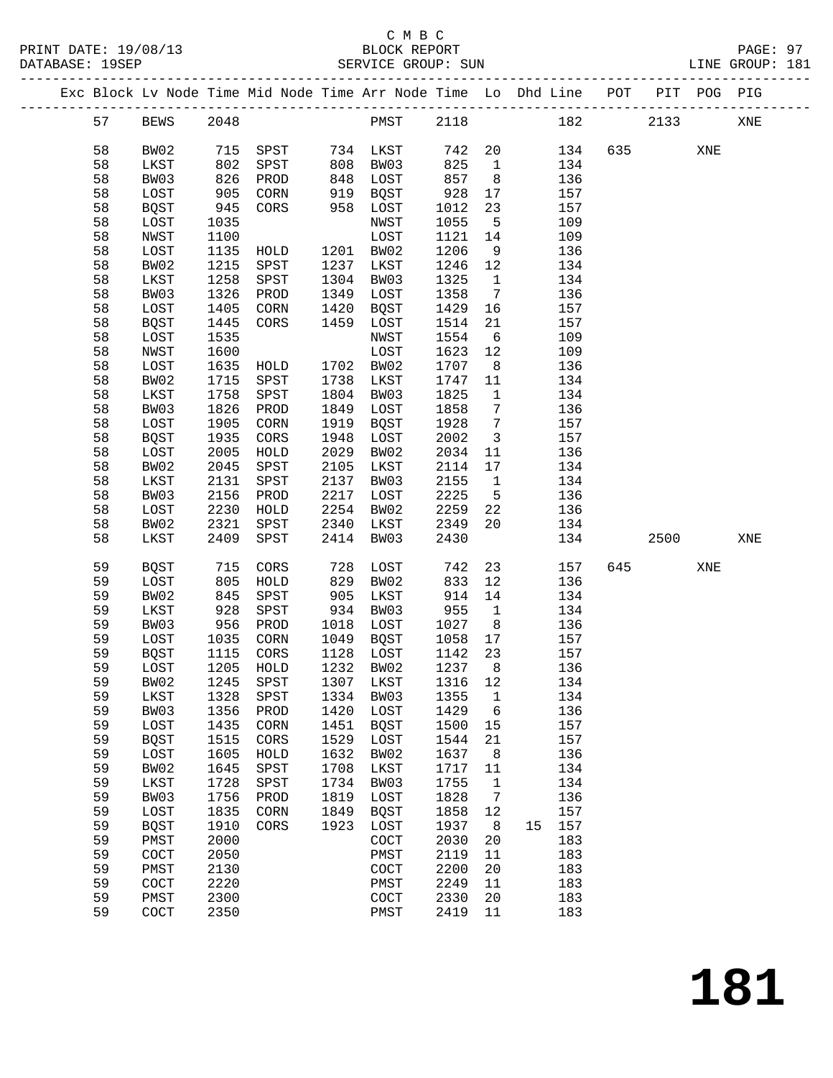|  |    |                       |      | Exc Block Lv Node Time Mid Node Time Arr Node Time Lo Dhd Line POT PIT POG PIG |      |                   |        |                 |    |     |         |     |     |
|--|----|-----------------------|------|--------------------------------------------------------------------------------|------|-------------------|--------|-----------------|----|-----|---------|-----|-----|
|  | 57 | BEWS                  | 2048 |                                                                                |      | PMST 2118         |        |                 |    | 182 | 2133    |     | XNE |
|  | 58 | BW02                  |      | 715 SPST                                                                       |      | 734 LKST          | 742 20 |                 |    | 134 | 635 000 | XNE |     |
|  | 58 | LKST                  | 802  | SPST                                                                           | 808  | BW03              | 825    | $\overline{1}$  |    | 134 |         |     |     |
|  | 58 | BW03                  | 826  | PROD                                                                           | 848  | LOST              | 857    | 8 <sup>8</sup>  |    | 136 |         |     |     |
|  | 58 | LOST                  | 905  | CORN                                                                           | 919  | BQST              | 928    | 17              |    | 157 |         |     |     |
|  | 58 | <b>BQST</b>           | 945  | CORS                                                                           | 958  | LOST              | 1012   | 23              |    | 157 |         |     |     |
|  | 58 | LOST                  | 1035 |                                                                                |      | NWST              | 1055   | $5^{\circ}$     |    | 109 |         |     |     |
|  | 58 | NWST                  | 1100 |                                                                                |      | LOST              | 1121   | 14              |    | 109 |         |     |     |
|  | 58 | LOST                  | 1135 | HOLD                                                                           |      | 1201 BW02         | 1206   | 9               |    | 136 |         |     |     |
|  | 58 | BW02                  | 1215 | SPST                                                                           | 1237 | LKST              | 1246   | 12              |    | 134 |         |     |     |
|  | 58 | LKST                  | 1258 | SPST                                                                           | 1304 | BW03              | 1325   | $\mathbf{1}$    |    | 134 |         |     |     |
|  | 58 | BW03                  | 1326 | PROD                                                                           | 1349 | LOST              | 1358   | $\overline{7}$  |    | 136 |         |     |     |
|  | 58 |                       |      |                                                                                |      |                   |        |                 |    | 157 |         |     |     |
|  |    | LOST                  | 1405 | CORN                                                                           | 1420 | BQST              | 1429   | 16              |    |     |         |     |     |
|  | 58 | <b>BQST</b>           | 1445 | CORS                                                                           | 1459 | LOST              | 1514   | 21              |    | 157 |         |     |     |
|  | 58 | LOST                  | 1535 |                                                                                |      | NWST              | 1554   | 6               |    | 109 |         |     |     |
|  | 58 | NWST                  | 1600 |                                                                                |      | LOST              | 1623   | 12              |    | 109 |         |     |     |
|  | 58 | LOST                  | 1635 | HOLD                                                                           |      | 1702 BW02         | 1707   | 8 <sup>8</sup>  |    | 136 |         |     |     |
|  | 58 | BW02                  | 1715 | SPST                                                                           | 1738 | LKST              | 1747   | 11              |    | 134 |         |     |     |
|  | 58 | LKST                  | 1758 | SPST                                                                           | 1804 | BW03              | 1825   | $\overline{1}$  |    | 134 |         |     |     |
|  | 58 | BW03                  | 1826 | PROD                                                                           | 1849 | LOST              | 1858   | $7\phantom{.0}$ |    | 136 |         |     |     |
|  | 58 | LOST                  | 1905 | CORN                                                                           | 1919 | BQST              | 1928   | $7\phantom{.0}$ |    | 157 |         |     |     |
|  | 58 | <b>BQST</b>           | 1935 | CORS                                                                           | 1948 | LOST              | 2002   | $\overline{3}$  |    | 157 |         |     |     |
|  | 58 | LOST                  | 2005 | HOLD                                                                           | 2029 | BW02              | 2034   | 11              |    | 136 |         |     |     |
|  | 58 | BW02                  | 2045 | SPST                                                                           | 2105 | LKST              | 2114   | 17              |    | 134 |         |     |     |
|  | 58 | LKST                  | 2131 | SPST                                                                           | 2137 | BW03              | 2155   | $\overline{1}$  |    | 134 |         |     |     |
|  | 58 | BW03                  | 2156 | PROD                                                                           | 2217 | LOST              | 2225   | $5^{\circ}$     |    | 136 |         |     |     |
|  | 58 | LOST                  | 2230 | HOLD                                                                           | 2254 | BW02              | 2259   | 22              |    | 136 |         |     |     |
|  | 58 | BW02                  | 2321 | SPST                                                                           | 2340 | LKST              | 2349   | 20              |    | 134 |         |     |     |
|  | 58 | LKST                  | 2409 | SPST                                                                           | 2414 | BW03              | 2430   |                 |    | 134 | 2500    |     | XNE |
|  | 59 | BOST                  | 715  | CORS                                                                           | 728  | LOST              | 742    | 23              |    | 157 | 645     | XNE |     |
|  | 59 | LOST                  | 805  | HOLD                                                                           | 829  | BW02              | 833    | 12              |    | 136 |         |     |     |
|  | 59 | BW02                  | 845  | SPST                                                                           | 905  | LKST              | 914    | 14              |    | 134 |         |     |     |
|  | 59 | LKST                  | 928  | SPST                                                                           | 934  | BW03              | 955    | $\mathbf{1}$    |    | 134 |         |     |     |
|  | 59 | BW03                  | 956  | PROD                                                                           | 1018 | LOST              | 1027   | 8 <sup>8</sup>  |    | 136 |         |     |     |
|  | 59 | LOST                  | 1035 | CORN                                                                           | 1049 | BQST              | 1058   | 17              |    | 157 |         |     |     |
|  | 59 | <b>BQST</b>           | 1115 | CORS                                                                           | 1128 | LOST              | 1142   | 23              |    | 157 |         |     |     |
|  | 59 | LOST                  | 1205 | HOLD                                                                           |      | 1232 BW02         | 1237   | 8 <sup>8</sup>  |    | 136 |         |     |     |
|  | 59 | BW02                  |      | 1245 SPST                                                                      |      | 1307 LKST 1316 12 |        |                 |    | 134 |         |     |     |
|  | 59 | LKST                  | 1328 | SPST                                                                           | 1334 | BW03              | 1355   | $\mathbf 1$     |    | 134 |         |     |     |
|  | 59 | BW03                  | 1356 | PROD                                                                           | 1420 | LOST              | 1429   | 6               |    | 136 |         |     |     |
|  | 59 | LOST                  | 1435 | CORN                                                                           | 1451 | <b>BQST</b>       | 1500   | 15              |    | 157 |         |     |     |
|  | 59 | <b>BQST</b>           | 1515 | CORS                                                                           | 1529 | LOST              | 1544   | 21              |    | 157 |         |     |     |
|  | 59 | LOST                  | 1605 | HOLD                                                                           | 1632 | BW02              | 1637   | 8               |    | 136 |         |     |     |
|  | 59 | BW02                  | 1645 | SPST                                                                           | 1708 | LKST              | 1717   | 11              |    | 134 |         |     |     |
|  | 59 | LKST                  | 1728 | SPST                                                                           | 1734 | BW03              | 1755   | $\mathbf 1$     |    | 134 |         |     |     |
|  | 59 | BW03                  | 1756 | PROD                                                                           | 1819 | LOST              | 1828   | 7               |    | 136 |         |     |     |
|  | 59 | LOST                  | 1835 | CORN                                                                           | 1849 | <b>BQST</b>       | 1858   | 12              |    | 157 |         |     |     |
|  | 59 | <b>BQST</b>           | 1910 | CORS                                                                           | 1923 | LOST              | 1937   | 8               | 15 | 157 |         |     |     |
|  | 59 | PMST                  | 2000 |                                                                                |      | COCT              | 2030   | 20              |    | 183 |         |     |     |
|  | 59 | COCT                  | 2050 |                                                                                |      | PMST              | 2119   | 11              |    | 183 |         |     |     |
|  | 59 | PMST                  | 2130 |                                                                                |      | COCT              | 2200   | 20              |    | 183 |         |     |     |
|  | 59 | COCT                  | 2220 |                                                                                |      | PMST              | 2249   | 11              |    | 183 |         |     |     |
|  | 59 | PMST                  | 2300 |                                                                                |      | COCT              | 2330   | 20              |    | 183 |         |     |     |
|  | 59 | $\operatorname{COCT}$ | 2350 |                                                                                |      | PMST              | 2419   | 11              |    | 183 |         |     |     |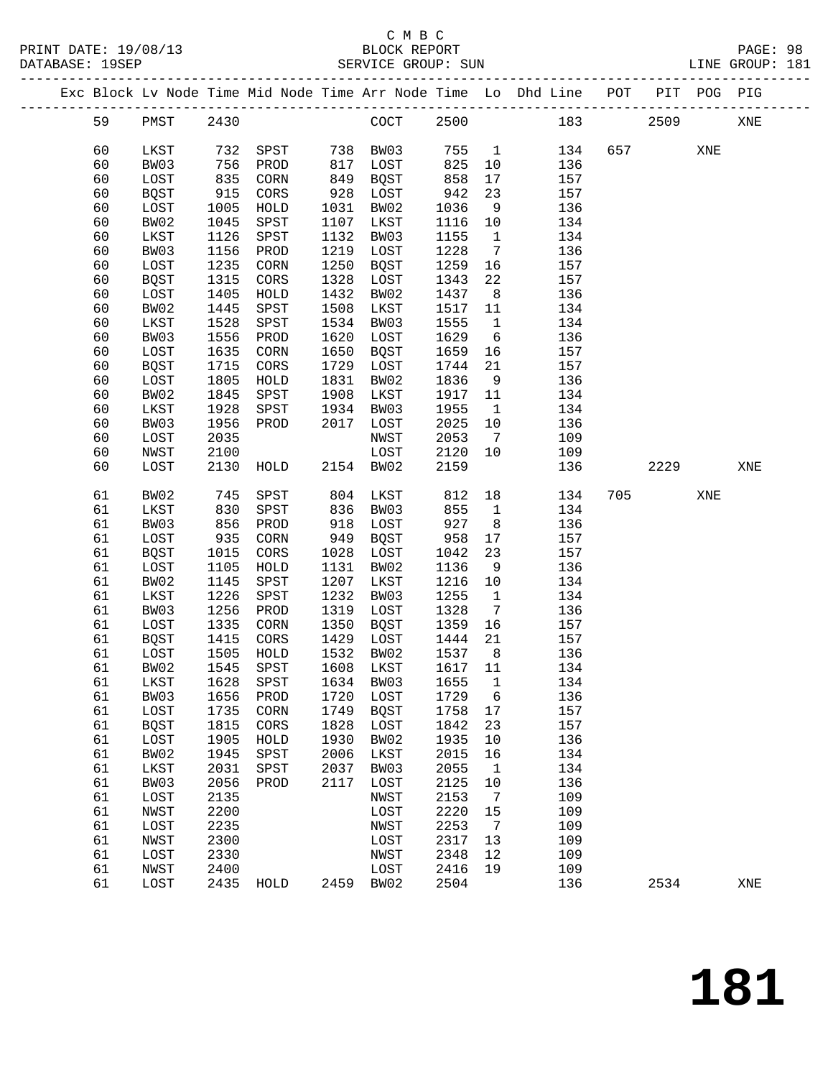|  |    |                |      |      |      |                  |         |                 | Exc Block Lv Node Time Mid Node Time Arr Node Time Lo Dhd Line POT PIT POG PIG |     |      |     |     |
|--|----|----------------|------|------|------|------------------|---------|-----------------|--------------------------------------------------------------------------------|-----|------|-----|-----|
|  | 59 | PMST           | 2430 |      |      | COCT 2500        |         |                 | 183                                                                            |     | 2509 |     | XNE |
|  | 60 | LKST           | 732  | SPST |      | 738 BW03         | 755     | $\overline{1}$  | 134                                                                            |     | 657  | XNE |     |
|  | 60 | BW03           | 756  | PROD | 817  | LOST             | 825     | 10              | 136                                                                            |     |      |     |     |
|  | 60 | LOST           | 835  | CORN | 849  | BQST             | 858     | 17              | 157                                                                            |     |      |     |     |
|  | 60 | <b>BQST</b>    | 915  | CORS |      | 928 LOST         | 942     | 23              | 157                                                                            |     |      |     |     |
|  | 60 | LOST           | 1005 | HOLD | 1031 | BW02             | 1036    | 9               | 136                                                                            |     |      |     |     |
|  | 60 | BW02           | 1045 | SPST | 1107 | LKST             | 1116    | 10              | 134                                                                            |     |      |     |     |
|  | 60 | LKST           | 1126 | SPST | 1132 | BW03             | 1155    | $\overline{1}$  | 134                                                                            |     |      |     |     |
|  | 60 |                | 1156 |      | 1219 |                  | 1228    | $7\overline{ }$ | 136                                                                            |     |      |     |     |
|  |    | BW03           | 1235 | PROD | 1250 | LOST             | 1259    |                 |                                                                                |     |      |     |     |
|  | 60 | LOST           |      | CORN |      | BQST             |         | 16              | 157                                                                            |     |      |     |     |
|  | 60 | BQST           | 1315 | CORS | 1328 | LOST             | 1343    | 22              | 157                                                                            |     |      |     |     |
|  | 60 | LOST           | 1405 | HOLD | 1432 | BW02             | 1437    | 8 <sup>8</sup>  | 136                                                                            |     |      |     |     |
|  | 60 | BW02           | 1445 | SPST | 1508 | LKST             | 1517    | 11              | 134                                                                            |     |      |     |     |
|  | 60 | LKST           | 1528 | SPST | 1534 | BW03             | 1555    | $\overline{1}$  | 134                                                                            |     |      |     |     |
|  | 60 | BW03           | 1556 | PROD | 1620 | LOST             | 1629    | 6               | 136                                                                            |     |      |     |     |
|  | 60 | LOST           | 1635 | CORN | 1650 | BQST             | 1659    | 16              | 157                                                                            |     |      |     |     |
|  | 60 | BQST           | 1715 | CORS | 1729 | LOST             | 1744    | 21              | 157                                                                            |     |      |     |     |
|  | 60 | LOST           | 1805 | HOLD | 1831 | BW02             | 1836    | 9               | 136                                                                            |     |      |     |     |
|  | 60 | BW02           | 1845 | SPST | 1908 | LKST             | 1917    | 11              | 134                                                                            |     |      |     |     |
|  | 60 | LKST           | 1928 | SPST | 1934 | BW03             | 1955    | $\overline{1}$  | 134                                                                            |     |      |     |     |
|  | 60 | BW03           | 1956 | PROD | 2017 | LOST             | 2025    | 10              | 136                                                                            |     |      |     |     |
|  | 60 | LOST           | 2035 |      |      | NWST             | 2053    | 7               | 109                                                                            |     |      |     |     |
|  | 60 | NWST           | 2100 |      |      | LOST             | 2120    | 10              | 109                                                                            |     |      |     |     |
|  | 60 | LOST           | 2130 | HOLD |      | 2154 BW02        | 2159    |                 | 136                                                                            |     | 2229 |     | XNE |
|  |    |                |      |      |      |                  |         |                 |                                                                                |     |      |     |     |
|  | 61 | BW02           | 745  | SPST | 804  | LKST             | 812     | 18              | 134                                                                            | 705 |      | XNE |     |
|  | 61 | LKST           | 830  | SPST | 836  | BW03             | 855     | $\mathbf{1}$    | 134                                                                            |     |      |     |     |
|  | 61 | BW03           | 856  | PROD | 918  | LOST             | 927     | 8 <sup>8</sup>  | 136                                                                            |     |      |     |     |
|  | 61 | LOST           | 935  | CORN | 949  | BQST             | 958     | 17              | 157                                                                            |     |      |     |     |
|  | 61 | BQST           | 1015 | CORS | 1028 | LOST             | 1042    | 23              | 157                                                                            |     |      |     |     |
|  | 61 | LOST           | 1105 | HOLD | 1131 | BW02             | 1136    | 9               | 136                                                                            |     |      |     |     |
|  | 61 | BW02           | 1145 | SPST | 1207 | LKST             | 1216    | 10              | 134                                                                            |     |      |     |     |
|  | 61 | LKST           | 1226 | SPST | 1232 | BW03             | 1255    | $\overline{1}$  | 134                                                                            |     |      |     |     |
|  | 61 | BW03           | 1256 | PROD | 1319 | LOST             | 1328    | $\overline{7}$  | 136                                                                            |     |      |     |     |
|  | 61 | LOST           | 1335 | CORN | 1350 | BQST             | 1359    | 16              | 157                                                                            |     |      |     |     |
|  | 61 | <b>BQST</b>    | 1415 | CORS | 1429 | LOST             | 1444    | 21              | 157                                                                            |     |      |     |     |
|  | 61 | LOST           | 1505 | HOLD | 1532 | BW02             | 1537    | 8 <sup>8</sup>  | 136                                                                            |     |      |     |     |
|  | 61 | BW02           | 1545 | SPST | 1608 | LKST             | 1617 11 |                 | 134                                                                            |     |      |     |     |
|  | 61 | LKST 1628 SPST |      |      |      | 1634 BW03 1655 1 |         |                 | 134                                                                            |     |      |     |     |
|  | 61 | BW03           | 1656 | PROD | 1720 | LOST             | 1729    | 6               | 136                                                                            |     |      |     |     |
|  | 61 | LOST           | 1735 | CORN | 1749 | BQST             | 1758    | 17              | 157                                                                            |     |      |     |     |
|  | 61 | <b>BQST</b>    | 1815 | CORS | 1828 | LOST             | 1842    | 23              | 157                                                                            |     |      |     |     |
|  | 61 | LOST           | 1905 | HOLD | 1930 | BW02             | 1935    | 10              | 136                                                                            |     |      |     |     |
|  | 61 | BW02           | 1945 | SPST | 2006 | LKST             | 2015    | 16              | 134                                                                            |     |      |     |     |
|  | 61 | LKST           | 2031 | SPST | 2037 | BW03             | 2055    | $\mathbf{1}$    | 134                                                                            |     |      |     |     |
|  | 61 | BW03           | 2056 | PROD | 2117 | LOST             | 2125    | 10              | 136                                                                            |     |      |     |     |
|  | 61 | LOST           | 2135 |      |      | NWST             | 2153    | $\overline{7}$  | 109                                                                            |     |      |     |     |
|  |    |                | 2200 |      |      |                  | 2220    |                 | 109                                                                            |     |      |     |     |
|  | 61 | NWST           |      |      |      | LOST             |         | 15              |                                                                                |     |      |     |     |
|  | 61 | LOST           | 2235 |      |      | NWST             | 2253    | $\overline{7}$  | 109                                                                            |     |      |     |     |
|  | 61 | NWST           | 2300 |      |      | LOST             | 2317    | 13              | 109                                                                            |     |      |     |     |
|  | 61 | LOST           | 2330 |      |      | NWST             | 2348    | 12              | 109                                                                            |     |      |     |     |
|  | 61 | NWST           | 2400 |      |      | LOST             | 2416    | 19              | 109                                                                            |     |      |     |     |
|  | 61 | LOST           | 2435 | HOLD | 2459 | BW02             | 2504    |                 | 136                                                                            |     | 2534 |     | XNE |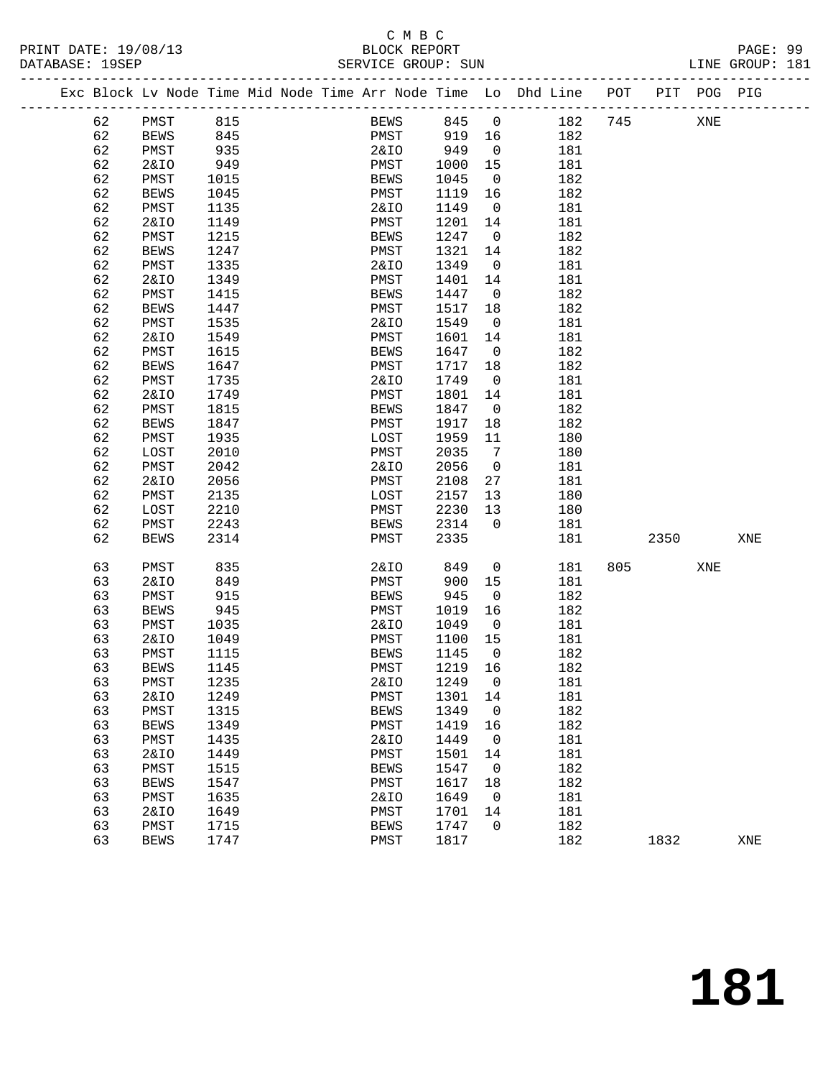### C M B C<br>BLOCK REPORT

LINE GROUP: 181

|  |          | Exc Block Lv Node Time Mid Node Time Arr Node Time Lo Dhd Line POT |              |  |                 |             |              |                               |            |     |          | PIT POG PIG |     |
|--|----------|--------------------------------------------------------------------|--------------|--|-----------------|-------------|--------------|-------------------------------|------------|-----|----------|-------------|-----|
|  |          |                                                                    |              |  |                 |             |              |                               |            |     |          |             |     |
|  | 62       | PMST                                                               | 815          |  |                 | <b>BEWS</b> | 845 0        |                               | 182        | 745 |          | XNE         |     |
|  | 62       | BEWS                                                               | 845          |  | PMST            |             | 919 16       |                               | 182        |     |          |             |     |
|  | 62       | PMST                                                               | 935          |  | 2&IO            |             | 949          | $\overline{0}$                | 181        |     |          |             |     |
|  | 62       | <b>2&amp;IO</b>                                                    | 949          |  | PMST            |             | 1000         | 15                            | 181        |     |          |             |     |
|  | 62       | PMST                                                               | 1015         |  | BEWS            |             | 1045         | $\overline{0}$                | 182        |     |          |             |     |
|  | 62       | <b>BEWS</b>                                                        | 1045         |  | PMST            |             | 1119         | 16                            | 182        |     |          |             |     |
|  | 62       | PMST                                                               | 1135         |  | 2&IO            |             | 1149         | $\overline{\mathbf{0}}$       | 181        |     |          |             |     |
|  | 62       | <b>2&amp;IO</b>                                                    | 1149         |  | PMST            |             | 1201         | 14                            | 181        |     |          |             |     |
|  | 62       | PMST                                                               | 1215         |  | BEWS            |             | 1247         | $\overline{0}$                | 182        |     |          |             |     |
|  | 62<br>62 | <b>BEWS</b>                                                        | 1247         |  | PMST            |             | 1321         | 14                            | 182        |     |          |             |     |
|  | 62       | PMST<br><b>2&amp;IO</b>                                            | 1335<br>1349 |  | 2&IO<br>PMST    |             | 1349<br>1401 | $\overline{\mathbf{0}}$<br>14 | 181<br>181 |     |          |             |     |
|  | 62       | PMST                                                               | 1415         |  | BEWS            |             | 1447         | $\overline{0}$                | 182        |     |          |             |     |
|  | 62       | <b>BEWS</b>                                                        | 1447         |  | PMST            |             | 1517         | 18                            | 182        |     |          |             |     |
|  | 62       | PMST                                                               | 1535         |  | 2&IO            |             | 1549         | $\overline{0}$                | 181        |     |          |             |     |
|  | 62       | <b>2&amp;IO</b>                                                    | 1549         |  | PMST            |             | 1601         | 14                            | 181        |     |          |             |     |
|  | 62       | PMST                                                               | 1615         |  | BEWS            |             | 1647         | $\overline{0}$                | 182        |     |          |             |     |
|  | 62       | <b>BEWS</b>                                                        | 1647         |  | PMST            |             | 1717         | 18                            | 182        |     |          |             |     |
|  | 62       | PMST                                                               | 1735         |  | 2&IO            |             | 1749         | $\overline{0}$                | 181        |     |          |             |     |
|  | 62       | <b>2&amp;IO</b>                                                    | 1749         |  | PMST            |             | 1801         | 14                            | 181        |     |          |             |     |
|  | 62       | PMST                                                               | 1815         |  | <b>BEWS</b>     |             | 1847         | $\overline{\mathbf{0}}$       | 182        |     |          |             |     |
|  | 62       | <b>BEWS</b>                                                        | 1847         |  | PMST            |             | 1917         | 18                            | 182        |     |          |             |     |
|  | 62       | PMST                                                               | 1935         |  | LOST            |             | 1959         | 11                            | 180        |     |          |             |     |
|  | 62       | LOST                                                               | 2010         |  | PMST            |             | 2035         | $\overline{7}$                | 180        |     |          |             |     |
|  | 62       | PMST                                                               | 2042         |  | 2&IO            |             | 2056         | $\overline{0}$                | 181        |     |          |             |     |
|  | 62       | <b>2&amp;IO</b>                                                    | 2056         |  | PMST            |             | 2108         | 27                            | 181        |     |          |             |     |
|  | 62       | PMST                                                               | 2135         |  | LOST            |             | 2157         | 13                            | 180        |     |          |             |     |
|  | 62       | LOST                                                               | 2210         |  | PMST            |             | 2230         | 13                            | 180        |     |          |             |     |
|  | 62       | PMST                                                               | 2243         |  | BEWS            |             | 2314         | $\overline{0}$                | 181        |     |          |             |     |
|  | 62       | <b>BEWS</b>                                                        | 2314         |  | PMST            |             | 2335         |                               | 181        |     | 2350 236 |             | XNE |
|  | 63       | PMST                                                               | 835          |  | 2&IO            |             | 849          | $\overline{\mathbf{0}}$       | 181        |     | 805 700  | XNE         |     |
|  | 63       | <b>2&amp;IO</b>                                                    | 849          |  | PMST            |             | 900          | 15                            | 181        |     |          |             |     |
|  | 63       | PMST                                                               | 915          |  | BEWS            |             | 945          | $\overline{0}$                | 182        |     |          |             |     |
|  | 63       | <b>BEWS</b>                                                        | 945          |  | PMST            |             | 1019         | 16                            | 182        |     |          |             |     |
|  | 63       | PMST                                                               | 1035         |  | 2&IO            |             | 1049         | $\overline{0}$                | 181        |     |          |             |     |
|  | 63       | <b>2&amp;IO</b>                                                    | 1049         |  | PMST            |             | 1100         | 15                            | 181        |     |          |             |     |
|  | 63       | PMST                                                               | 1115         |  | BEWS            |             | 1145         | $\overline{0}$                | 182        |     |          |             |     |
|  | 63       | <b>BEWS</b>                                                        | 1145         |  | PMST            |             | 1219 16      |                               | 182        |     |          |             |     |
|  | 63       | PMST                                                               | 1235         |  |                 |             | 2&IO 1249 0  |                               | 181        |     |          |             |     |
|  | 63       | 2&IO                                                               | 1249         |  | PMST            |             | 1301         | 14                            | 181        |     |          |             |     |
|  | 63       | PMST                                                               | 1315         |  | BEWS            |             | 1349         | $\overline{0}$                | 182        |     |          |             |     |
|  | 63       | <b>BEWS</b>                                                        | 1349         |  | PMST            |             | 1419         | 16                            | 182        |     |          |             |     |
|  | 63       | PMST                                                               | 1435         |  | 2&IO            |             | 1449         | $\overline{0}$                | 181        |     |          |             |     |
|  | 63       | <b>2&amp;IO</b>                                                    | 1449         |  | PMST            |             | 1501         | 14                            | 181        |     |          |             |     |
|  | 63       | PMST                                                               | 1515         |  | <b>BEWS</b>     |             | 1547         | $\overline{0}$                | 182        |     |          |             |     |
|  | 63       | <b>BEWS</b>                                                        | 1547         |  | PMST            |             | 1617         | 18                            | 182        |     |          |             |     |
|  | 63       | PMST                                                               | 1635         |  | <b>2&amp;IO</b> |             | 1649         | $\overline{0}$                | 181        |     |          |             |     |
|  | 63       | <b>2&amp;IO</b>                                                    | 1649         |  | PMST            |             | 1701         | 14                            | 181        |     |          |             |     |
|  | 63       | PMST                                                               | 1715         |  | <b>BEWS</b>     |             | 1747         | $\mathbf 0$                   | 182        |     |          |             |     |
|  | 63       | <b>BEWS</b>                                                        | 1747         |  | PMST            |             | 1817         |                               | 182        |     | 1832     |             | XNE |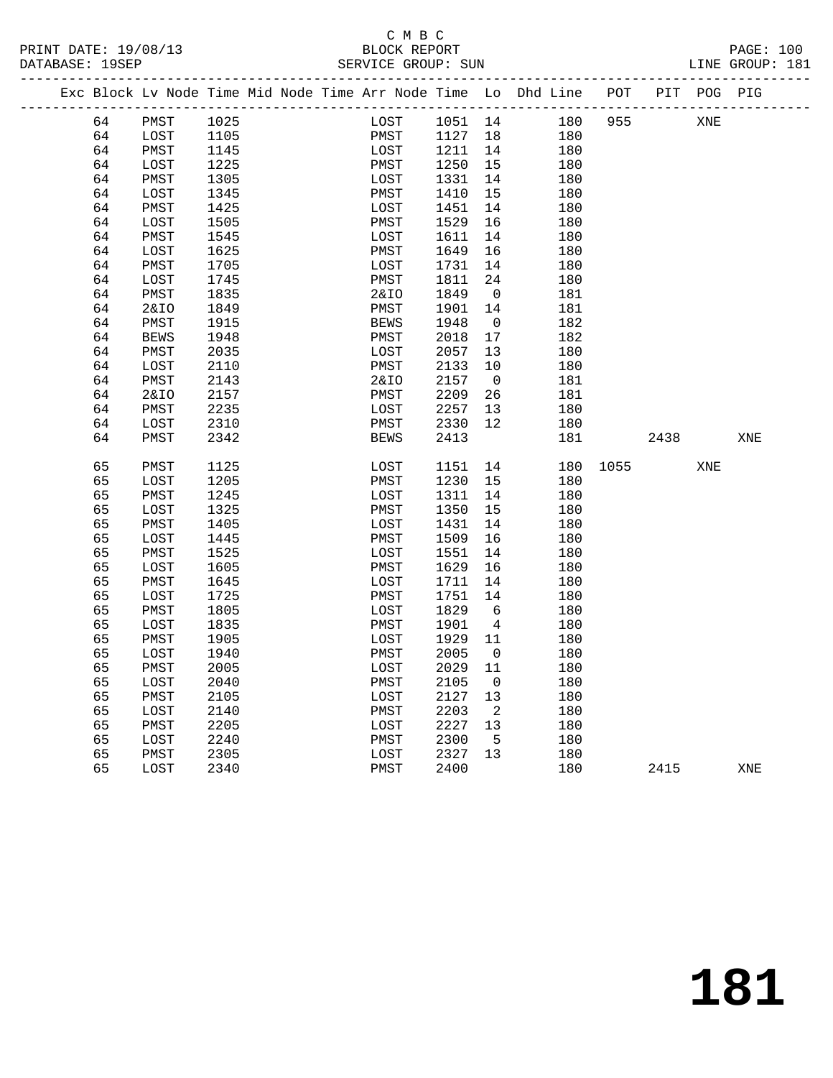## C M B C<br>BLOCK REPORT

| PRINT DATE: 19/08/13<br>DATABASE: 19SEP |    | 8/13 BLOCK REPORT BLOCK REPORT                                                 |      |  |      |                  |                 |     |            |                      |      |     | <b>PAGE: 100</b><br>LINE GROUP: 181 |
|-----------------------------------------|----|--------------------------------------------------------------------------------|------|--|------|------------------|-----------------|-----|------------|----------------------|------|-----|-------------------------------------|
|                                         |    | Exc Block Lv Node Time Mid Node Time Arr Node Time Lo Dhd Line POT PIT POG PIG |      |  |      |                  |                 |     |            |                      |      |     |                                     |
|                                         | 64 | PMST                                                                           | 1025 |  |      |                  |                 |     |            | LOST 1051 14 180 955 |      | XNE |                                     |
|                                         | 64 | LOST                                                                           | 1105 |  |      | PMST 1127 18 180 |                 |     |            |                      |      |     |                                     |
|                                         | 64 | PMST                                                                           | 1145 |  |      | LOST 1211        | 14              | 180 |            |                      |      |     |                                     |
|                                         | 64 | LOST                                                                           | 1225 |  | PMST | 1250             | 15              |     | 180        |                      |      |     |                                     |
|                                         | 64 | PMST                                                                           | 1305 |  | LOST | 1331             | 14              |     | 180        |                      |      |     |                                     |
|                                         | 64 | LOST                                                                           | 1345 |  | PMST | 1410             | 15              |     | 180        |                      |      |     |                                     |
|                                         | 64 | PMST                                                                           | 1425 |  | LOST | 1451             | 14              |     | 180        |                      |      |     |                                     |
|                                         | 64 | LOST                                                                           | 1505 |  | PMST | 1529             | 16              |     | 180        |                      |      |     |                                     |
|                                         | 64 | PMST                                                                           | 1545 |  | LOST | 1611             | 14              |     | 180        |                      |      |     |                                     |
|                                         | 64 | LOST                                                                           | 1625 |  | PMST | 1649             | 16              |     | 180        |                      |      |     |                                     |
|                                         | 64 | PMST                                                                           | 1705 |  | LOST | 1731             | 14              |     | 180        |                      |      |     |                                     |
|                                         | 64 | LOST                                                                           | 1745 |  | PMST | 1811             | 24              |     | 180        |                      |      |     |                                     |
|                                         | 64 | PMST                                                                           | 1835 |  | 2&IO | 1849             | $\overline{0}$  |     | 181        |                      |      |     |                                     |
|                                         | 64 | 2&IO                                                                           | 1849 |  | PMST | 1901             | 14              |     | 181        |                      |      |     |                                     |
|                                         | 64 | PMST                                                                           | 1915 |  | BEWS | 1948             | $\overline{0}$  |     | 182        |                      |      |     |                                     |
|                                         | 64 | <b>BEWS</b>                                                                    | 1948 |  | PMST | 2018             | 17              |     | 182        |                      |      |     |                                     |
|                                         | 64 | PMST                                                                           | 2035 |  | LOST | 2057             | 13              |     | 180        |                      |      |     |                                     |
|                                         | 64 | LOST                                                                           | 2110 |  | PMST | 2133             | 10              |     | 180        |                      |      |     |                                     |
|                                         | 64 | PMST                                                                           | 2143 |  | 2&IO | 2157             | $\overline{0}$  |     | 181        |                      |      |     |                                     |
|                                         | 64 | 2&IO                                                                           | 2157 |  | PMST | 2209             | 26              |     | 181        |                      |      |     |                                     |
|                                         | 64 | PMST                                                                           | 2235 |  | LOST | 2257             | 13              |     | 180        |                      |      |     |                                     |
|                                         | 64 | LOST                                                                           | 2310 |  | PMST | 2330             | 12              |     | 180        |                      |      |     |                                     |
|                                         | 64 | PMST                                                                           | 2342 |  | BEWS | 2413             |                 |     | 181        |                      | 2438 |     | XNE                                 |
|                                         | 65 | PMST                                                                           | 1125 |  | LOST | 1151             |                 |     | $14$ $180$ | 1055 000             |      | XNE |                                     |
|                                         | 65 | LOST                                                                           | 1205 |  | PMST | 1230             | 15              |     | 180        |                      |      |     |                                     |
|                                         | 65 | PMST                                                                           | 1245 |  | LOST | 1311             | 14              |     | 180        |                      |      |     |                                     |
|                                         | 65 | LOST                                                                           | 1325 |  | PMST | 1350             | 15              |     | 180        |                      |      |     |                                     |
|                                         | 65 | PMST                                                                           | 1405 |  | LOST | 1431             | 14              |     | 180        |                      |      |     |                                     |
|                                         | 65 | LOST                                                                           | 1445 |  | PMST | 1509             | 16              |     | 180        |                      |      |     |                                     |
|                                         | 65 | PMST                                                                           | 1525 |  | LOST | 1551             | 14              |     | 180        |                      |      |     |                                     |
|                                         | 65 | LOST                                                                           | 1605 |  | PMST | 1629             | 16              |     | 180        |                      |      |     |                                     |
|                                         | 65 | PMST                                                                           | 1645 |  | LOST | 1711             | 14              |     | 180        |                      |      |     |                                     |
|                                         | 65 | LOST                                                                           | 1725 |  | PMST | 1751             | 14              |     | 180        |                      |      |     |                                     |
|                                         | 65 | PMST                                                                           | 1805 |  | LOST | 1829 6           |                 |     | 180        |                      |      |     |                                     |
|                                         | 65 | LOST                                                                           | 1835 |  | PMST | 1901             | $4\overline{4}$ |     | 180        |                      |      |     |                                     |
|                                         | 65 | PMST                                                                           | 1905 |  | LOST | 1929 11          |                 |     | 180        |                      |      |     |                                     |
|                                         | 65 | LOST                                                                           | 1940 |  |      | PMST 2005 0      |                 |     | 180        |                      |      |     |                                     |
|                                         | 65 | PMST                                                                           | 2005 |  | LOST | 2029             | 11              |     | 180        |                      |      |     |                                     |
|                                         | 65 | LOST                                                                           | 2040 |  | PMST | 2105             | 0               |     | 180        |                      |      |     |                                     |
|                                         | 65 | PMST                                                                           | 2105 |  | LOST | 2127             | 13              |     | 180        |                      |      |     |                                     |
|                                         | 65 | LOST                                                                           | 2140 |  | PMST | 2203             | 2               |     | 180        |                      |      |     |                                     |
|                                         | 65 | PMST                                                                           | 2205 |  | LOST | 2227             | 13              |     | 180        |                      |      |     |                                     |
|                                         | 65 | LOST                                                                           | 2240 |  | PMST | 2300             | 5               |     | 180        |                      |      |     |                                     |
|                                         | 65 | ${\tt PMST}$                                                                   | 2305 |  | LOST | 2327             | 13              |     | 180        |                      |      |     |                                     |
|                                         | 65 | LOST                                                                           | 2340 |  | PMST | 2400             |                 |     | 180        |                      | 2415 |     | XNE                                 |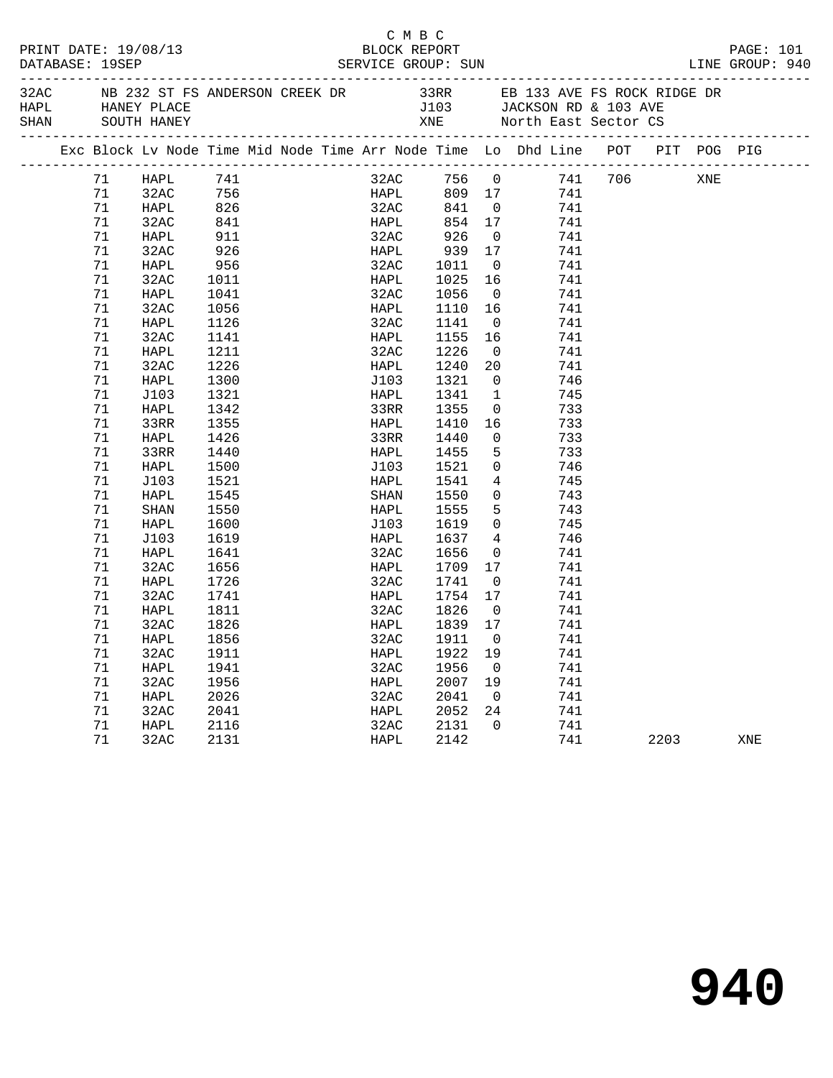|  |    |                                      |      |             | BLOCK REPORT     |                          |                                                                                                                               |      |     |     | PAGE: 101 |
|--|----|--------------------------------------|------|-------------|------------------|--------------------------|-------------------------------------------------------------------------------------------------------------------------------|------|-----|-----|-----------|
|  |    | HAPL HANEY PLACE<br>SHAN SOUTH HANEY |      |             |                  |                          | 32AC NB 232 ST FS ANDERSON CREEK DR 33RR EB 133 AVE FS ROCK RIDGE DR<br>J103 JACKSON RD & 103 AVE<br>XNE North East Sector CS |      |     |     |           |
|  |    |                                      |      |             |                  |                          | Exc Block Lv Node Time Mid Node Time Arr Node Time Lo Dhd Line POT PIT POG PIG                                                |      |     |     |           |
|  | 71 | HAPL                                 | 741  |             |                  |                          | 32AC 756 0 741 706                                                                                                            |      | XNE |     |           |
|  | 71 | 32AC                                 |      |             |                  |                          | 741                                                                                                                           |      |     |     |           |
|  | 71 | HAPL                                 |      |             |                  |                          | 741                                                                                                                           |      |     |     |           |
|  | 71 | 32AC                                 |      |             |                  |                          | 741                                                                                                                           |      |     |     |           |
|  | 71 | HAPL                                 | 911  | 32AC        | 926              | $\overline{0}$           | 741                                                                                                                           |      |     |     |           |
|  | 71 | 32AC                                 | 926  | HAPL        |                  |                          | 741                                                                                                                           |      |     |     |           |
|  | 71 | HAPL                                 | 956  | 32AC        | 939 17<br>1011 0 | $\overline{0}$           | 741                                                                                                                           |      |     |     |           |
|  | 71 | 32AC                                 | 1011 | <b>HAPL</b> | 1025             | 16                       | 741                                                                                                                           |      |     |     |           |
|  | 71 | HAPL                                 | 1041 | 32AC        | 1056             | $\overline{0}$           | 741                                                                                                                           |      |     |     |           |
|  | 71 | 32AC                                 | 1056 | HAPL        | 1110 16          |                          | 741                                                                                                                           |      |     |     |           |
|  | 71 | HAPL                                 | 1126 | 32AC        | 1141             | $\overline{0}$           | 741                                                                                                                           |      |     |     |           |
|  | 71 | 32AC                                 | 1141 | HAPL        | 1155             | 16                       | 741                                                                                                                           |      |     |     |           |
|  | 71 | HAPL                                 | 1211 | 32AC        | 1226             | $\overline{\mathbf{0}}$  | 741                                                                                                                           |      |     |     |           |
|  | 71 | 32AC                                 | 1226 | HAPL        | 1240             | 20                       | 741                                                                                                                           |      |     |     |           |
|  | 71 | HAPL                                 | 1300 | J103        | 1321             | $\overline{0}$           | 746                                                                                                                           |      |     |     |           |
|  | 71 | J103                                 | 1321 | HAPL        | 1341             |                          | $\mathbf{1}$<br>745                                                                                                           |      |     |     |           |
|  | 71 | HAPL                                 | 1342 | 33RR        | 1355             |                          | $\overline{0}$<br>733                                                                                                         |      |     |     |           |
|  | 71 | 33RR                                 | 1355 | HAPL        | 1410             | 16                       | 733                                                                                                                           |      |     |     |           |
|  | 71 | HAPL                                 | 1426 | 33RR        | 1440             | $\overline{0}$           | 733                                                                                                                           |      |     |     |           |
|  | 71 | 33RR                                 | 1440 | HAPL        | 1455             | 5 <sup>5</sup>           | 733                                                                                                                           |      |     |     |           |
|  | 71 | HAPL                                 | 1500 | J103        | 1521             |                          | $\overline{0}$<br>746                                                                                                         |      |     |     |           |
|  | 71 | J103                                 | 1521 | HAPL        | 1541             | $4\overline{ }$          | 745                                                                                                                           |      |     |     |           |
|  | 71 | HAPL                                 | 1545 | SHAN        | 1550             |                          | $\overline{0}$<br>743                                                                                                         |      |     |     |           |
|  | 71 | SHAN                                 | 1550 | HAPL        | 1555             |                          | 5 <sub>5</sub><br>743                                                                                                         |      |     |     |           |
|  | 71 | HAPL                                 | 1600 | J103        | 1619             |                          | $\overline{0}$<br>745                                                                                                         |      |     |     |           |
|  | 71 | J103                                 | 1619 | HAPL        | 1637             | $\overline{4}$           | 746                                                                                                                           |      |     |     |           |
|  | 71 | HAPL                                 | 1641 | 32AC        | 1656             | $\overline{0}$           | 741                                                                                                                           |      |     |     |           |
|  | 71 | 32AC                                 | 1656 | HAPL        | 1709             | 17                       | 741                                                                                                                           |      |     |     |           |
|  | 71 | HAPL                                 | 1726 | 32AC        | 1741             | $\overline{\mathbf{0}}$  | 741                                                                                                                           |      |     |     |           |
|  | 71 | 32AC                                 | 1741 | HAPL        | 1754 17          |                          | 741                                                                                                                           |      |     |     |           |
|  | 71 | HAPL                                 | 1811 | 32AC        | 1826             | $\overline{0}$           | 741                                                                                                                           |      |     |     |           |
|  | 71 | 32AC                                 | 1826 | HAPL        | 1839 17          |                          | 741                                                                                                                           |      |     |     |           |
|  | 71 | HAPL 1856                            |      |             | 32AC 1911 0      |                          | 741                                                                                                                           |      |     |     |           |
|  | 71 | 32AC                                 | 1911 | HAPL        | 1922 19          |                          | 741                                                                                                                           |      |     |     |           |
|  | 71 | HAPL                                 | 1941 | 32AC        | 1956             | $\overline{\phantom{0}}$ | 741                                                                                                                           |      |     |     |           |
|  | 71 | 32AC                                 | 1956 | HAPL        | 2007             | 19                       | 741                                                                                                                           |      |     |     |           |
|  | 71 | HAPL                                 | 2026 | 32AC        | 2041             | $\overline{0}$           | 741                                                                                                                           |      |     |     |           |
|  | 71 | 32AC                                 | 2041 | HAPL        | 2052             | 24                       | 741                                                                                                                           |      |     |     |           |
|  | 71 | HAPL                                 | 2116 | 32AC        | 2131             | $\mathbf 0$              | 741                                                                                                                           |      |     |     |           |
|  | 71 | 32AC                                 | 2131 | HAPL        | 2142             |                          | 741                                                                                                                           | 2203 |     | XNE |           |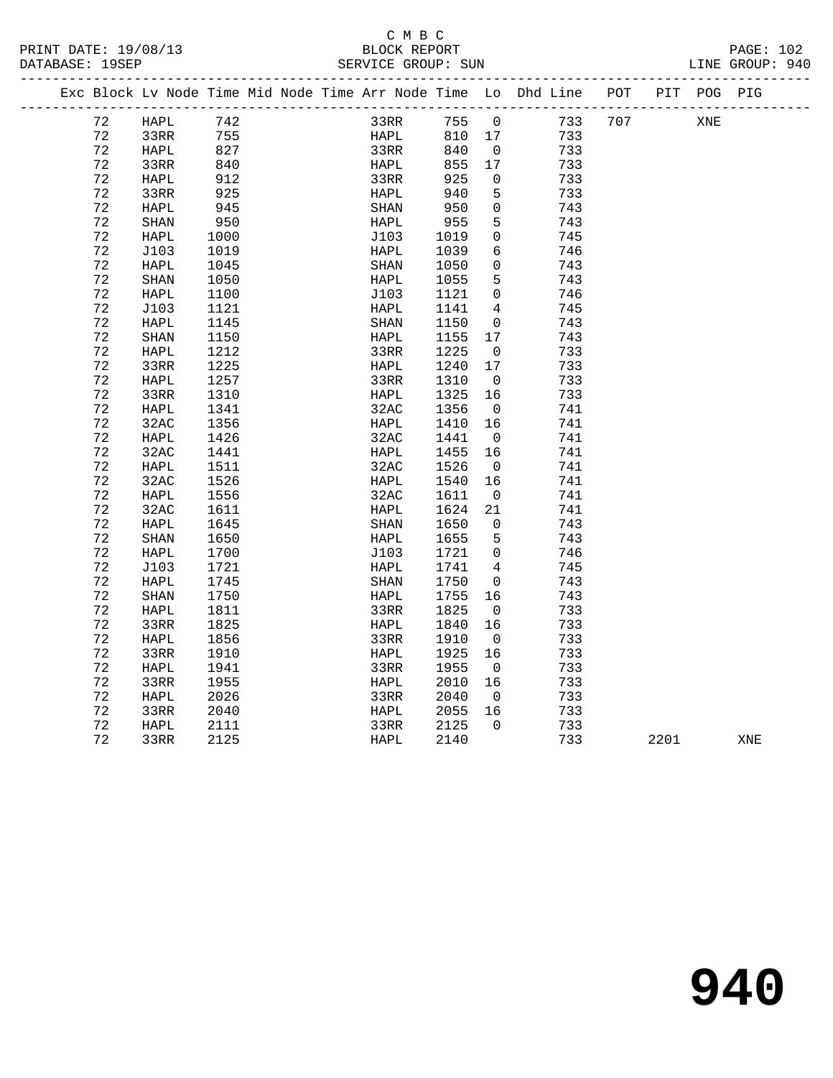|  |    | Exc Block Lv Node Time Mid Node Time Arr Node Time Lo Dhd Line POT |      |  |                       |             |        |                 |     |     |      | PIT POG PIG |     |  |
|--|----|--------------------------------------------------------------------|------|--|-----------------------|-------------|--------|-----------------|-----|-----|------|-------------|-----|--|
|  | 72 | HAPL                                                               | 742  |  |                       | 33RR        | 755    | $\overline{0}$  | 733 | 707 |      | XNE         |     |  |
|  | 72 | 33RR                                                               | 755  |  |                       | <b>HAPL</b> | 810 17 |                 | 733 |     |      |             |     |  |
|  | 72 | HAPL                                                               | 827  |  | 33RR                  |             | 840    | $\overline{0}$  | 733 |     |      |             |     |  |
|  | 72 | 33RR                                                               | 840  |  | HAPL                  |             | 855    | 17              | 733 |     |      |             |     |  |
|  | 72 | HAPL                                                               | 912  |  | 33RR                  |             | 925    | $\overline{0}$  | 733 |     |      |             |     |  |
|  | 72 | 33RR                                                               | 925  |  | HAPL                  |             | 940    | 5               | 733 |     |      |             |     |  |
|  | 72 | HAPL                                                               | 945  |  | $\operatorname{SHAN}$ |             | 950    | $\overline{0}$  | 743 |     |      |             |     |  |
|  | 72 | SHAN                                                               | 950  |  | HAPL                  |             | 955    | 5               | 743 |     |      |             |     |  |
|  | 72 | HAPL                                                               | 1000 |  | J103                  |             | 1019   | $\mathbf 0$     | 745 |     |      |             |     |  |
|  | 72 | J103                                                               | 1019 |  | HAPL                  |             | 1039   | $6\overline{6}$ | 746 |     |      |             |     |  |
|  | 72 | HAPL                                                               | 1045 |  | SHAN                  |             | 1050   | $\mathsf{O}$    | 743 |     |      |             |     |  |
|  | 72 | <b>SHAN</b>                                                        | 1050 |  | HAPL                  |             | 1055   | 5               | 743 |     |      |             |     |  |
|  | 72 | HAPL                                                               | 1100 |  | J103                  |             | 1121   | $\overline{0}$  | 746 |     |      |             |     |  |
|  | 72 | J103                                                               | 1121 |  | HAPL                  |             | 1141   | 4               | 745 |     |      |             |     |  |
|  | 72 | HAPL                                                               | 1145 |  | SHAN                  |             | 1150   | $\overline{0}$  | 743 |     |      |             |     |  |
|  | 72 | SHAN                                                               | 1150 |  | HAPL                  |             | 1155   | 17              | 743 |     |      |             |     |  |
|  | 72 | HAPL                                                               | 1212 |  | 33RR                  |             | 1225   | $\overline{0}$  | 733 |     |      |             |     |  |
|  | 72 | 33RR                                                               | 1225 |  | HAPL                  |             | 1240   | 17              | 733 |     |      |             |     |  |
|  | 72 | HAPL                                                               | 1257 |  | 33RR                  |             | 1310   | $\overline{0}$  | 733 |     |      |             |     |  |
|  | 72 | 33RR                                                               | 1310 |  | HAPL                  |             | 1325   | 16              | 733 |     |      |             |     |  |
|  | 72 | HAPL                                                               | 1341 |  | 32AC                  |             | 1356   | $\overline{0}$  | 741 |     |      |             |     |  |
|  | 72 | 32AC                                                               | 1356 |  | HAPL                  |             | 1410   | 16              | 741 |     |      |             |     |  |
|  | 72 | HAPL                                                               | 1426 |  | 32AC                  |             | 1441   | $\overline{0}$  | 741 |     |      |             |     |  |
|  | 72 | 32AC                                                               | 1441 |  | HAPL                  |             | 1455   | 16              | 741 |     |      |             |     |  |
|  | 72 | HAPL                                                               | 1511 |  | 32AC                  |             | 1526   | $\overline{0}$  | 741 |     |      |             |     |  |
|  | 72 | 32AC                                                               | 1526 |  | HAPL                  |             | 1540   | 16              | 741 |     |      |             |     |  |
|  | 72 | HAPL                                                               | 1556 |  | 32AC                  |             | 1611   | $\overline{0}$  | 741 |     |      |             |     |  |
|  | 72 | 32AC                                                               | 1611 |  | HAPL                  |             | 1624   | 21              | 741 |     |      |             |     |  |
|  | 72 | HAPL                                                               | 1645 |  | SHAN                  |             | 1650   | $\overline{0}$  | 743 |     |      |             |     |  |
|  | 72 | SHAN                                                               | 1650 |  | HAPL                  |             | 1655   | $-5$            | 743 |     |      |             |     |  |
|  | 72 | HAPL                                                               | 1700 |  | J103                  |             | 1721   | $\overline{0}$  | 746 |     |      |             |     |  |
|  | 72 | J103                                                               | 1721 |  | HAPL                  |             | 1741   | $\overline{4}$  | 745 |     |      |             |     |  |
|  | 72 | HAPL                                                               | 1745 |  | SHAN                  |             | 1750   | $\overline{0}$  | 743 |     |      |             |     |  |
|  | 72 | <b>SHAN</b>                                                        | 1750 |  | HAPL                  |             | 1755   | 16              | 743 |     |      |             |     |  |
|  | 72 | HAPL                                                               | 1811 |  | 33RR                  |             | 1825   | $\overline{0}$  | 733 |     |      |             |     |  |
|  | 72 | 33RR                                                               | 1825 |  | HAPL                  |             | 1840   | 16              | 733 |     |      |             |     |  |
|  | 72 | HAPL                                                               | 1856 |  | 33RR                  |             | 1910   | $\overline{0}$  | 733 |     |      |             |     |  |
|  | 72 | 33RR                                                               | 1910 |  | HAPL                  |             | 1925   | 16              | 733 |     |      |             |     |  |
|  | 72 | HAPL                                                               | 1941 |  | 33RR                  |             | 1955   | $\overline{0}$  | 733 |     |      |             |     |  |
|  | 72 | 33RR                                                               | 1955 |  | HAPL                  |             | 2010   | 16              | 733 |     |      |             |     |  |
|  | 72 | HAPL                                                               | 2026 |  | 33RR                  |             | 2040   | $\overline{0}$  | 733 |     |      |             |     |  |
|  | 72 | 33RR                                                               | 2040 |  | HAPL                  |             | 2055   | 16              | 733 |     |      |             |     |  |
|  | 72 | HAPL                                                               | 2111 |  | 33RR                  |             | 2125   | $\Omega$        | 733 |     |      |             |     |  |
|  | 72 | 33RR                                                               | 2125 |  | <b>HAPL</b>           |             | 2140   |                 | 733 |     | 2201 |             | XNE |  |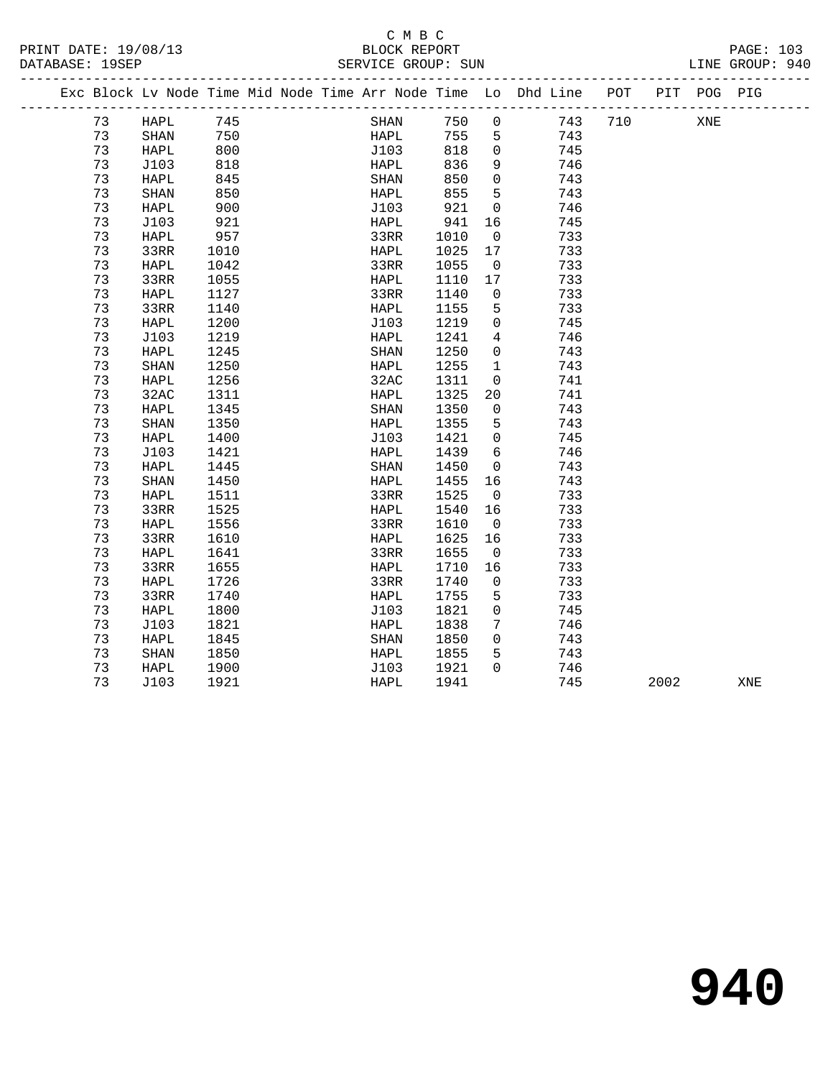# C M B C<br>BLOCK REPORT

| PRINT DATE: 19/08/13 | BLOCK REPORT       |        | PAGE:      |  |
|----------------------|--------------------|--------|------------|--|
| 9.SEP<br>DATARASE:   | SERVICE GROUP: SUN | T.TNE. | GROUP: 940 |  |
|                      |                    |        |            |  |

|  |    | Exc Block Lv Node Time Mid Node Time Arr Node Time Lo Dhd Line |      |  |                       |      |                |     | POT | PIT  | POG PIG |     |
|--|----|----------------------------------------------------------------|------|--|-----------------------|------|----------------|-----|-----|------|---------|-----|
|  | 73 | HAPL                                                           | 745  |  | SHAN                  | 750  | 0              | 743 | 710 |      | XNE     |     |
|  | 73 | <b>SHAN</b>                                                    | 750  |  | HAPL                  | 755  | 5              | 743 |     |      |         |     |
|  | 73 | <b>HAPL</b>                                                    | 800  |  | J103                  | 818  | $\mathbf 0$    | 745 |     |      |         |     |
|  | 73 | J103                                                           | 818  |  | HAPL                  | 836  | 9              | 746 |     |      |         |     |
|  | 73 | HAPL                                                           | 845  |  | SHAN                  | 850  | 0              | 743 |     |      |         |     |
|  | 73 | SHAN                                                           | 850  |  | <b>HAPL</b>           | 855  | 5              | 743 |     |      |         |     |
|  | 73 | <b>HAPL</b>                                                    | 900  |  | J103                  | 921  | $\overline{0}$ | 746 |     |      |         |     |
|  | 73 | J103                                                           | 921  |  | HAPL                  | 941  | 16             | 745 |     |      |         |     |
|  | 73 | HAPL                                                           | 957  |  | 33RR                  | 1010 | $\overline{0}$ | 733 |     |      |         |     |
|  | 73 | 33RR                                                           | 1010 |  | HAPL                  | 1025 | 17             | 733 |     |      |         |     |
|  | 73 | <b>HAPL</b>                                                    | 1042 |  | 33RR                  | 1055 | $\mathbf 0$    | 733 |     |      |         |     |
|  | 73 | 33RR                                                           | 1055 |  | HAPL                  | 1110 | 17             | 733 |     |      |         |     |
|  | 73 | <b>HAPL</b>                                                    | 1127 |  | 33RR                  | 1140 | $\mathbf 0$    | 733 |     |      |         |     |
|  | 73 | 33RR                                                           | 1140 |  | HAPL                  | 1155 | 5              | 733 |     |      |         |     |
|  | 73 | HAPL                                                           | 1200 |  | J103                  | 1219 | $\mathbf 0$    | 745 |     |      |         |     |
|  | 73 | J103                                                           | 1219 |  | HAPL                  | 1241 | 4              | 746 |     |      |         |     |
|  | 73 | HAPL                                                           | 1245 |  | $\operatorname{SHAN}$ | 1250 | $\mathbf 0$    | 743 |     |      |         |     |
|  | 73 | <b>SHAN</b>                                                    | 1250 |  | HAPL                  | 1255 | 1              | 743 |     |      |         |     |
|  | 73 | HAPL                                                           | 1256 |  | 32AC                  | 1311 | $\mathbf 0$    | 741 |     |      |         |     |
|  | 73 | 32AC                                                           | 1311 |  | HAPL                  | 1325 | 20             | 741 |     |      |         |     |
|  | 73 | <b>HAPL</b>                                                    | 1345 |  | SHAN                  | 1350 | $\overline{0}$ | 743 |     |      |         |     |
|  | 73 | <b>SHAN</b>                                                    | 1350 |  | HAPL                  | 1355 | 5              | 743 |     |      |         |     |
|  | 73 | HAPL                                                           | 1400 |  | J103                  | 1421 | $\Omega$       | 745 |     |      |         |     |
|  | 73 | J103                                                           | 1421 |  | HAPL                  | 1439 | 6              | 746 |     |      |         |     |
|  | 73 | HAPL                                                           | 1445 |  | SHAN                  | 1450 | $\mathbf 0$    | 743 |     |      |         |     |
|  | 73 | SHAN                                                           | 1450 |  | HAPL                  | 1455 | 16             | 743 |     |      |         |     |
|  | 73 | HAPL                                                           | 1511 |  | 33RR                  | 1525 | $\overline{0}$ | 733 |     |      |         |     |
|  | 73 | 33RR                                                           | 1525 |  | HAPL                  | 1540 | 16             | 733 |     |      |         |     |
|  | 73 | HAPL                                                           | 1556 |  | 33RR                  | 1610 | $\overline{0}$ | 733 |     |      |         |     |
|  | 73 | 33RR                                                           | 1610 |  | HAPL                  | 1625 | 16             | 733 |     |      |         |     |
|  | 73 | <b>HAPL</b>                                                    | 1641 |  | 33RR                  | 1655 | $\mathbf 0$    | 733 |     |      |         |     |
|  | 73 | 33RR                                                           | 1655 |  | HAPL                  | 1710 | 16             | 733 |     |      |         |     |
|  | 73 | HAPL                                                           | 1726 |  | 33RR                  | 1740 | 0              | 733 |     |      |         |     |
|  | 73 | 33RR                                                           | 1740 |  | HAPL                  | 1755 | 5              | 733 |     |      |         |     |
|  | 73 | HAPL                                                           | 1800 |  | J103                  | 1821 | $\mathbf 0$    | 745 |     |      |         |     |
|  | 73 | J103                                                           | 1821 |  | HAPL                  | 1838 | 7              | 746 |     |      |         |     |
|  | 73 | HAPL                                                           | 1845 |  | SHAN                  | 1850 | 0              | 743 |     |      |         |     |
|  | 73 | <b>SHAN</b>                                                    | 1850 |  | HAPL                  | 1855 | 5              | 743 |     |      |         |     |
|  | 73 | HAPL                                                           | 1900 |  | J103                  | 1921 | $\Omega$       | 746 |     |      |         |     |
|  | 73 | J103                                                           | 1921 |  | HAPL                  | 1941 |                | 745 |     | 2002 |         | XNE |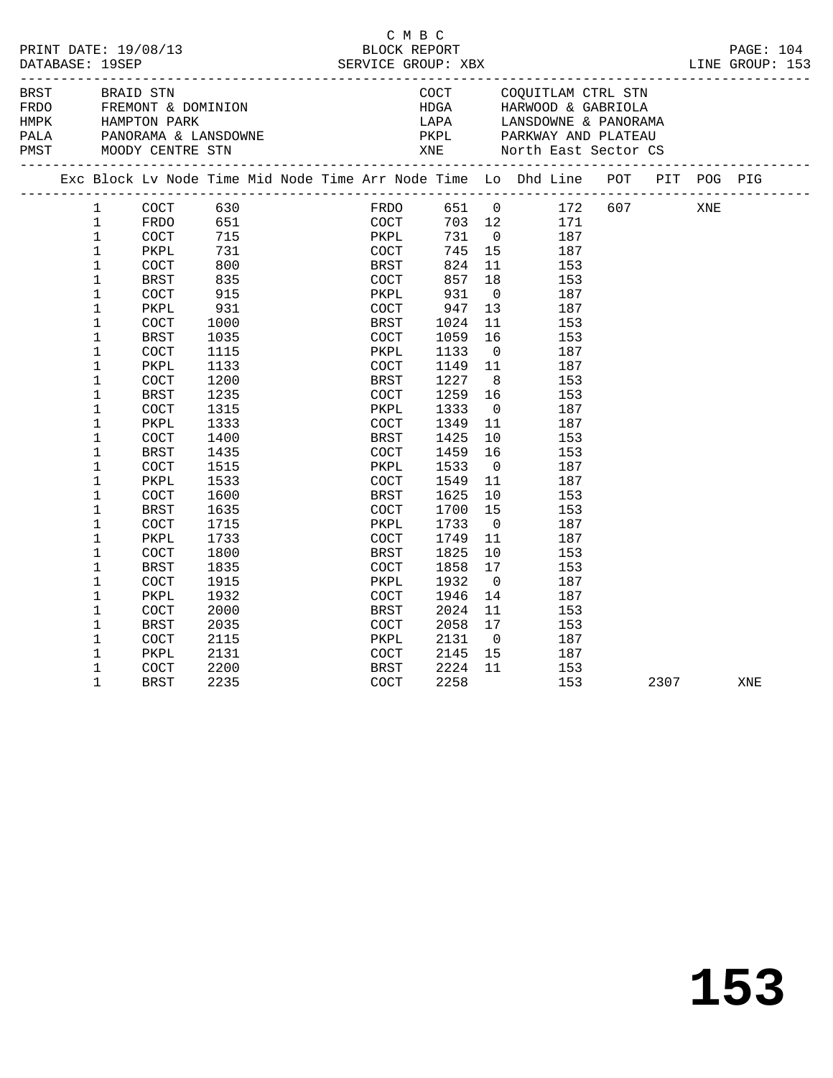| PRINT DATE: 19/08/13<br>DATABASE: 19SEP |                                                                                                                                                                                                                                                                        |                                                                                                                                                                                                          |                                                                                                                                                        | C M B C                                                                                                                                                     |      |                                                                                                                                                |                                                                                                                                                                                 |                                                                                                                                                                                                                                                                    |      |     |     |  |
|-----------------------------------------|------------------------------------------------------------------------------------------------------------------------------------------------------------------------------------------------------------------------------------------------------------------------|----------------------------------------------------------------------------------------------------------------------------------------------------------------------------------------------------------|--------------------------------------------------------------------------------------------------------------------------------------------------------|-------------------------------------------------------------------------------------------------------------------------------------------------------------|------|------------------------------------------------------------------------------------------------------------------------------------------------|---------------------------------------------------------------------------------------------------------------------------------------------------------------------------------|--------------------------------------------------------------------------------------------------------------------------------------------------------------------------------------------------------------------------------------------------------------------|------|-----|-----|--|
| <b>BRST</b>                             |                                                                                                                                                                                                                                                                        | BRAID STN                                                                                                                                                                                                |                                                                                                                                                        |                                                                                                                                                             |      |                                                                                                                                                |                                                                                                                                                                                 | COCT COQUITLAM CTRL STN<br>FREMONT & DOMINION<br>FREMONT & DOMINION<br>HARE COOL BOOT CONTRAGE HARE CONTRAGE CONTRAGE CONTRAGE CONTRAGE CONTRAGE CONTRAGE CONTRA<br>PARKWAY AND PLATEAU<br>PAST MOODY CENTRE STN TANE North East Sector CS<br>THE MOODY CENTRE STN |      |     |     |  |
|                                         |                                                                                                                                                                                                                                                                        |                                                                                                                                                                                                          |                                                                                                                                                        |                                                                                                                                                             |      |                                                                                                                                                |                                                                                                                                                                                 | Exc Block Lv Node Time Mid Node Time Arr Node Time Lo Dhd Line POT PIT POG PIG                                                                                                                                                                                     |      |     |     |  |
|                                         | 1<br>$\mathbf{1}$<br>$\mathbf{1}$<br>$\mathbf{1}$<br>$\mathbf{1}$<br>1<br>$\mathbf 1$<br>$\mathbf 1$<br>$\mathbf 1$<br>$\mathbf 1$<br>$\mathbf{1}$<br>1<br>$\mathbf 1$<br>$\mathbf 1$<br>$\mathbf{1}$<br>1<br>$\mathbf 1$<br>$\mathbf 1$<br>1<br>1<br>$\mathbf 1$<br>1 | COCT<br>FRDO<br><b>COCT</b><br>PKPL<br>COCT<br>BRST<br><b>COCT</b><br>PKPL<br><b>COCT</b><br>BRST<br>COCT<br>PKPL<br>COCT<br>BRST<br><b>COCT</b><br>PKPL<br>COCT<br>BRST<br>COCT<br>PKPL<br>COCT<br>BRST | 630<br>731<br>800<br>835<br>915<br>931<br>1000<br>1035<br>1115<br>1133<br>1200<br>1235<br>1315<br>1333<br>1400<br>1435<br>1515<br>1533<br>1600<br>1635 | COCT<br>BRST<br>COCT<br>PKPL<br>COCT<br>BRST<br>COCT<br>PKPL<br>COCT<br>BRST<br>COCT<br>PKPL<br>COCT<br><b>BRST</b><br>COCT<br>PKPL<br>COCT<br>BRST<br>COCT | 1333 | 731<br>745<br>824<br>857<br>931<br>947<br>1024<br>1059<br>1133<br>1149<br>1227<br>1259<br>1349<br>1425<br>1459<br>1533<br>1549<br>1625<br>1700 | 15<br>11<br>18<br>$\overline{0}$<br>13<br>11<br>16<br>$\overline{0}$<br>11<br>8 <sup>8</sup><br>16<br>$\overline{0}$<br>11<br>$10 \,$<br>16<br>$\overline{0}$<br>11<br>10<br>15 | FRDO 651 0 172 607<br>703 12 171<br>$0$ 187<br>187<br>153<br>153<br>187<br>187<br>153<br>153<br>187<br>187<br>153<br>153<br>187<br>187<br>153<br>153<br>187<br>187<br>153<br>153                                                                                   |      | XNE |     |  |
|                                         | $\mathbf 1$<br>$\mathbf 1$<br>1<br>$\mathbf 1$<br>1<br>1<br>1<br>$\mathbf 1$<br>1<br>$\mathbf 1$<br>1<br>$\mathbf{1}$                                                                                                                                                  | <b>COCT</b><br>PKPL<br>COCT<br><b>BRST</b><br>COCT<br>PKPL<br>COCT<br>BRST<br><b>COCT</b><br>PKPL<br>COCT<br><b>BRST</b>                                                                                 | 1715<br>1733<br>1800<br>1835<br>1915<br>1932<br>2000<br>2035<br>2115<br>2131<br>2200<br>2235                                                           | PKPL<br>COCT<br>BRST<br>COCT<br>PKPL<br>COCT<br>BRST<br>COCT<br>PKPL<br>COCT<br><b>BRST</b><br>COCT                                                         |      | 1733<br>1749<br>1825<br>1858<br>1932<br>1946<br>2024<br>2058<br>2131<br>2145<br>2224<br>2258                                                   | $\overline{0}$<br>11<br>10<br>17<br>$\overline{0}$<br>14<br>11<br>17<br>$\overline{0}$<br>15<br>11                                                                              | 187<br>187<br>153<br>153<br>187<br>187<br>153<br>153<br>187<br>187<br>153<br>153                                                                                                                                                                                   | 2307 |     | XNE |  |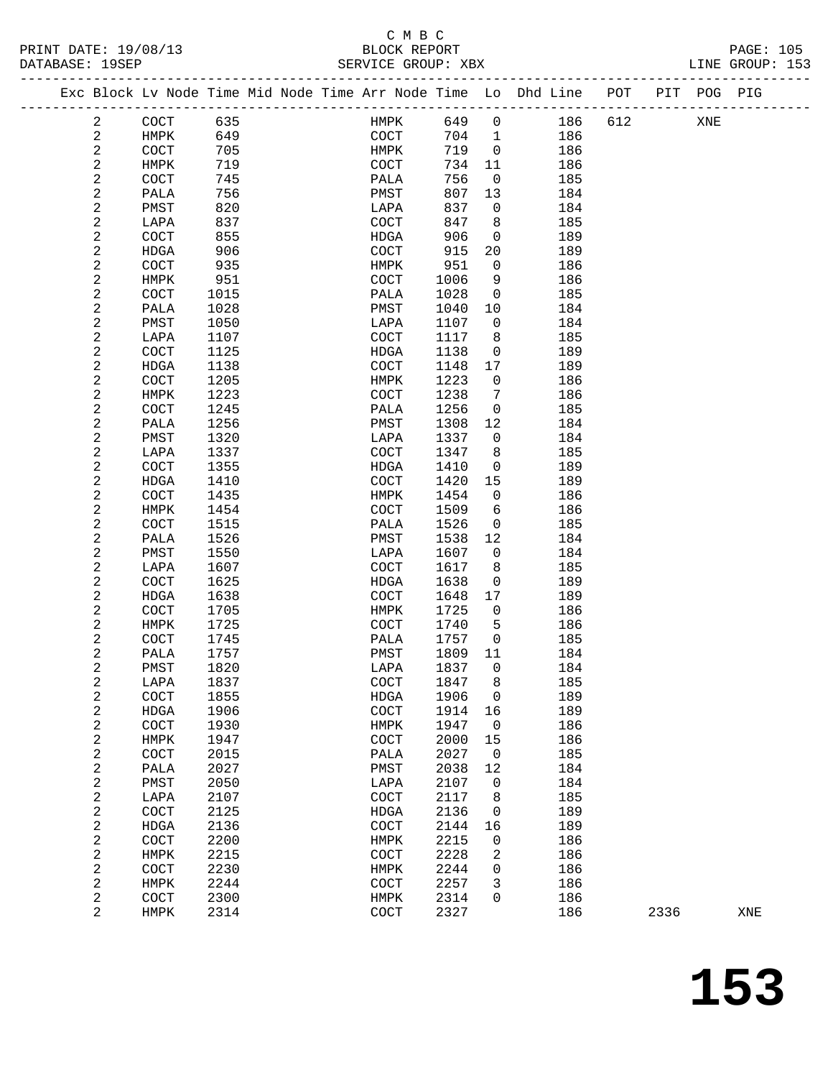| PRINT DATE: 19/08/13 | BLOCK REPORT       | <b>PAGE: 105</b> |
|----------------------|--------------------|------------------|
| DATABASE: 19SEP      | SERVICE GROUP: XBX | LINE GROUP: 153  |

|  |                         | Exc Block Lv Node Time Mid Node Time Arr Node Time Lo Dhd Line |      |  |                       |              |                |     | POT | PIT  | POG PIG |     |
|--|-------------------------|----------------------------------------------------------------|------|--|-----------------------|--------------|----------------|-----|-----|------|---------|-----|
|  | 2                       | COCT                                                           | 635  |  | HMPK                  | 649          | $\mathbf 0$    | 186 | 612 |      | XNE     |     |
|  | $\overline{c}$          | HMPK                                                           | 649  |  | COCT                  | 704          | $\mathbf 1$    | 186 |     |      |         |     |
|  | $\overline{c}$          | COCT                                                           | 705  |  | HMPK                  | 719          | $\overline{0}$ | 186 |     |      |         |     |
|  | 2                       | HMPK                                                           | 719  |  | COCT                  | 734          | 11             | 186 |     |      |         |     |
|  | $\overline{c}$          | COCT                                                           | 745  |  | PALA                  | 756          | $\overline{0}$ | 185 |     |      |         |     |
|  | 2                       | PALA                                                           | 756  |  | PMST                  | 807          | 13             | 184 |     |      |         |     |
|  | $\sqrt{2}$              | PMST                                                           | 820  |  | LAPA                  | 837          | 0              | 184 |     |      |         |     |
|  |                         |                                                                |      |  | <b>COCT</b>           |              |                |     |     |      |         |     |
|  | 2                       | LAPA                                                           | 837  |  |                       | 847          | 8              | 185 |     |      |         |     |
|  | $\sqrt{2}$              | COCT                                                           | 855  |  | <b>HDGA</b>           | 906          | 0              | 189 |     |      |         |     |
|  | $\sqrt{2}$              | HDGA                                                           | 906  |  | COCT                  | 915          | 20             | 189 |     |      |         |     |
|  | 2                       | COCT                                                           | 935  |  | HMPK                  | 951          | $\overline{0}$ | 186 |     |      |         |     |
|  | 2                       | HMPK                                                           | 951  |  | COCT                  | 1006         | 9              | 186 |     |      |         |     |
|  | $\sqrt{2}$              | COCT                                                           | 1015 |  | PALA                  | 1028         | 0              | 185 |     |      |         |     |
|  | $\sqrt{2}$              | PALA                                                           | 1028 |  | PMST                  | 1040         | 10             | 184 |     |      |         |     |
|  | 2                       | PMST                                                           | 1050 |  | LAPA                  | 1107         | $\overline{0}$ | 184 |     |      |         |     |
|  | 2                       | LAPA                                                           | 1107 |  | COCT                  | 1117         | 8              | 185 |     |      |         |     |
|  | 2                       | COCT                                                           | 1125 |  | HDGA                  | 1138         | 0              | 189 |     |      |         |     |
|  | $\sqrt{2}$              | HDGA                                                           | 1138 |  | COCT                  | 1148         | 17             | 189 |     |      |         |     |
|  | 2                       | COCT                                                           | 1205 |  | HMPK                  | 1223         | $\mathbf 0$    | 186 |     |      |         |     |
|  | 2                       | HMPK                                                           | 1223 |  | COCT                  | 1238         | 7              | 186 |     |      |         |     |
|  | 2                       | COCT                                                           | 1245 |  | PALA                  | 1256         | 0              | 185 |     |      |         |     |
|  | $\sqrt{2}$              | PALA                                                           | 1256 |  | PMST                  | 1308         | 12             | 184 |     |      |         |     |
|  | 2                       | PMST                                                           | 1320 |  | LAPA                  | 1337         | $\mathbf 0$    | 184 |     |      |         |     |
|  | 2                       | LAPA                                                           | 1337 |  | COCT                  | 1347         | 8              | 185 |     |      |         |     |
|  | 2                       | COCT                                                           | 1355 |  | HDGA                  | 1410         | 0              | 189 |     |      |         |     |
|  | $\sqrt{2}$              | HDGA                                                           | 1410 |  | COCT                  | 1420         | 15             | 189 |     |      |         |     |
|  | $\overline{c}$          | COCT                                                           | 1435 |  | HMPK                  | 1454         | $\overline{0}$ | 186 |     |      |         |     |
|  | $\sqrt{2}$              | HMPK                                                           | 1454 |  | COCT                  | 1509         | 6              | 186 |     |      |         |     |
|  | 2                       | COCT                                                           | 1515 |  | PALA                  | 1526         | 0              | 185 |     |      |         |     |
|  | $\sqrt{2}$              | PALA                                                           | 1526 |  | PMST                  | 1538         | 12             | 184 |     |      |         |     |
|  | 2                       | PMST                                                           | 1550 |  | LAPA                  | 1607         | $\overline{0}$ | 184 |     |      |         |     |
|  | 2                       | LAPA                                                           | 1607 |  | COCT                  | 1617         | 8              | 185 |     |      |         |     |
|  | 2                       | COCT                                                           | 1625 |  | HDGA                  | 1638         | 0              | 189 |     |      |         |     |
|  | $\sqrt{2}$              | HDGA                                                           | 1638 |  | COCT                  | 1648         | 17             | 189 |     |      |         |     |
|  | $\sqrt{2}$              | COCT                                                           | 1705 |  | HMPK                  | 1725         | $\mathbf 0$    | 186 |     |      |         |     |
|  | 2                       | HMPK                                                           | 1725 |  | COCT                  | 1740         | 5              | 186 |     |      |         |     |
|  | 2                       | COCT                                                           | 1745 |  | PALA                  | 1757         | 0              | 185 |     |      |         |     |
|  | $\sqrt{2}$              | PALA                                                           | 1757 |  | PMST                  | 1809         | 11             | 184 |     |      |         |     |
|  | $\sqrt{2}$              | PMST                                                           | 1820 |  | LAPA                  | 1837         | $\mathbf 0$    | 184 |     |      |         |     |
|  | 2                       | LAPA                                                           | 1837 |  | $\operatorname{COCT}$ | 1847         | 8              | 185 |     |      |         |     |
|  | 2                       | COCT                                                           | 1855 |  | HDGA                  | 1906         | $\mathsf{O}$   | 189 |     |      |         |     |
|  | 2                       | HDGA                                                           | 1906 |  | $\operatorname{COT}$  | 1914         | 16             | 189 |     |      |         |     |
|  | $\boldsymbol{2}$        | COCT                                                           | 1930 |  | HMPK                  | 1947         | $\mathsf{O}$   | 186 |     |      |         |     |
|  | 2                       | HMPK                                                           | 1947 |  | COCT                  | 2000         | 15             | 186 |     |      |         |     |
|  | 2                       | COCT                                                           | 2015 |  | PALA                  | 2027         | $\mathbf 0$    | 185 |     |      |         |     |
|  | $\sqrt{2}$              | PALA                                                           | 2027 |  | PMST                  | 2038         | 12             | 184 |     |      |         |     |
|  | $\sqrt{2}$              | PMST                                                           | 2050 |  | LAPA                  | 2107         | 0              | 184 |     |      |         |     |
|  | $\sqrt{2}$              | LAPA                                                           | 2107 |  | COCT                  | 2117         | 8              | 185 |     |      |         |     |
|  |                         |                                                                | 2125 |  |                       | 2136         |                | 189 |     |      |         |     |
|  | $\sqrt{2}$              | COCT                                                           | 2136 |  | HDGA                  |              | 0<br>16        | 189 |     |      |         |     |
|  | 2                       | HDGA                                                           | 2200 |  | COCT                  | 2144<br>2215 |                | 186 |     |      |         |     |
|  | $\sqrt{2}$              | COCT                                                           |      |  | HMPK                  |              | 0              |     |     |      |         |     |
|  | $\boldsymbol{2}$        | HMPK                                                           | 2215 |  | COCT                  | 2228         | 2              | 186 |     |      |         |     |
|  | $\boldsymbol{2}$        | COCT                                                           | 2230 |  | HMPK                  | 2244         | 0              | 186 |     |      |         |     |
|  | $\overline{\mathbf{c}}$ | HMPK                                                           | 2244 |  | COCT                  | 2257         | 3              | 186 |     |      |         |     |
|  | $\overline{c}$          | COCT                                                           | 2300 |  | HMPK                  | 2314         | 0              | 186 |     |      |         |     |
|  | $\overline{a}$          | HMPK                                                           | 2314 |  | COCT                  | 2327         |                | 186 |     | 2336 |         | XNE |
|  |                         |                                                                |      |  |                       |              |                |     |     |      |         |     |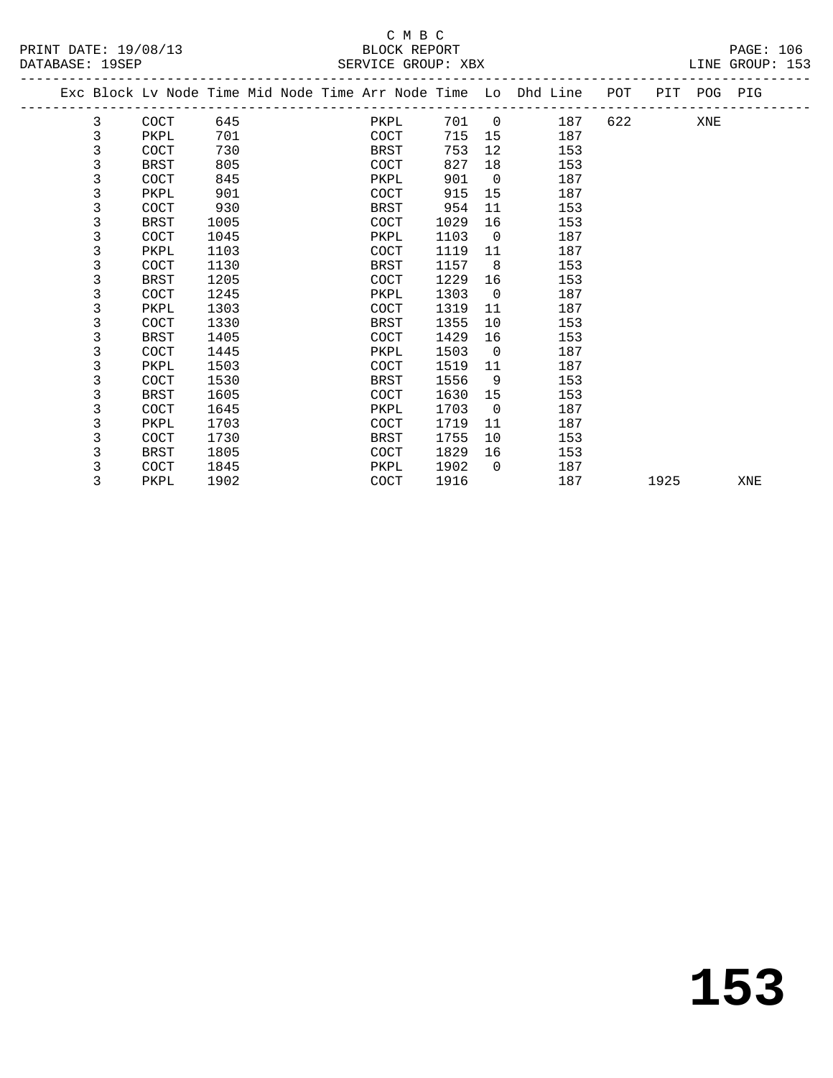## C M B C

DATABASE: 153

| DAIABASL 195LF |             |      |  | DEKATCE GKOOL. VRV |      |                |                                                                |     |         | PTNE GKOOR. TOP |  |
|----------------|-------------|------|--|--------------------|------|----------------|----------------------------------------------------------------|-----|---------|-----------------|--|
|                |             |      |  |                    |      |                | Exc Block Lv Node Time Mid Node Time Arr Node Time Lo Dhd Line | POT | PIT POG | PIG             |  |
| 3              | COCT        | 645  |  | PKPL               | 701  | $\overline{0}$ | 187                                                            | 622 | XNE     |                 |  |
|                | PKPL        | 701  |  | COCT               | 715  | 15             | 187                                                            |     |         |                 |  |
|                | COCT        | 730  |  | BRST               | 753  | 12             | 153                                                            |     |         |                 |  |
|                | <b>BRST</b> | 805  |  | COCT               | 827  | 18             | 153                                                            |     |         |                 |  |
|                | COCT        | 845  |  | PKPL               | 901  | $\overline{0}$ | 187                                                            |     |         |                 |  |
|                | PKPL        | 901  |  | COCT               | 915  | 15             | 187                                                            |     |         |                 |  |
|                | COCT        | 930  |  | BRST               | 954  | 11             | 153                                                            |     |         |                 |  |
|                | BRST        | 1005 |  | COCT               | 1029 | 16             | 153                                                            |     |         |                 |  |
|                | COCT        | 1045 |  | PKPL               | 1103 | $\overline{0}$ | 187                                                            |     |         |                 |  |
|                | PKPL        | 1103 |  | COCT               | 1119 | 11             | 187                                                            |     |         |                 |  |
|                | COCT        | 1130 |  | BRST               | 1157 | -8             | 153                                                            |     |         |                 |  |
|                | BRST        | 1205 |  | COCT               | 1229 | 16             | 153                                                            |     |         |                 |  |
|                | COCT        | 1245 |  | PKPL               | 1303 | $\Omega$       | 187                                                            |     |         |                 |  |
|                |             |      |  |                    |      |                |                                                                |     |         |                 |  |

 3 PKPL 1303 COCT 1319 11 187 3 COCT 1330 BRST 1355 10 153 3 BRST 1405 COCT 1429 16 153 3 COCT 1445 PKPL 1503 0 187 3 PKPL 1503 COCT 1519 11 187 3 COCT 1530 BRST 1556 9 153 3 BRST 1605 COCT 1630 15 153 3 COCT 1645 PKPL 1703 0 187 3 PKPL 1703 COCT 1719 11 187 3 COCT 1730 BRST 1755 10 153

> 3 BRST 1805 COCT 1829 16 153 3 COCT 1845 PKPL 1902 0 187

3 PKPL 1902 COCT 1916 187 1925 XNE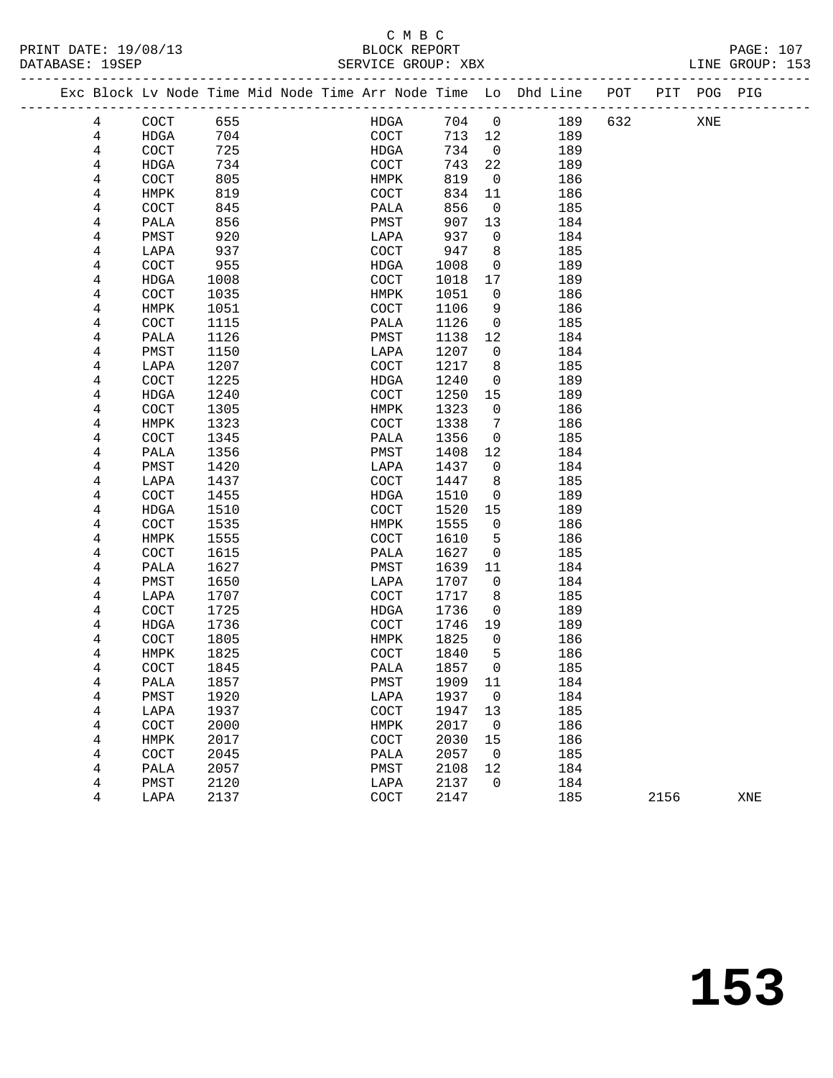### C M B C<br>BLOCK REPORT

| PRINT DATE: 19/08/13<br>DATABASE: 19SEP | BLOCK REPORT<br>SERVICE GROUP: XBX                                             |  | <b>PAGE: 107</b><br>LINE GROUP: 153 |
|-----------------------------------------|--------------------------------------------------------------------------------|--|-------------------------------------|
|                                         | Exc Block Ly Node Time Mid Node Time Arr Node Time Lo Dhd Line POT PIT POG PIG |  |                                     |

|  |        |              |              | Exc Block Lv Node Time Mid Node Time Arr Node Time Lo Dhd Line |                      |              |                   |            | POT | PIT  | POG | PIG |
|--|--------|--------------|--------------|----------------------------------------------------------------|----------------------|--------------|-------------------|------------|-----|------|-----|-----|
|  | 4      | COCT         | 655          |                                                                | HDGA                 | 704          | $\mathsf{O}$      | 189        | 632 |      | XNE |     |
|  | 4      | <b>HDGA</b>  | 704          |                                                                | $\operatorname{COT}$ | 713          | 12                | 189        |     |      |     |     |
|  | 4      | COCT         | 725          |                                                                | HDGA                 | 734          | 0                 | 189        |     |      |     |     |
|  | 4      | HDGA         | 734          |                                                                | COCT                 | 743          | 22                | 189        |     |      |     |     |
|  | 4      | COCT         | 805          |                                                                | HMPK                 | 819          | $\mathsf{O}$      | 186        |     |      |     |     |
|  | 4      | HMPK         | 819          |                                                                | COCT                 | 834          | 11                | 186        |     |      |     |     |
|  | 4      | COCT         | 845          |                                                                | PALA                 | 856          | 0                 | 185        |     |      |     |     |
|  | 4      | PALA         | 856          |                                                                | PMST                 | 907          | 13                | 184        |     |      |     |     |
|  | 4      | PMST         | 920          |                                                                | LAPA                 | 937          | 0                 | 184        |     |      |     |     |
|  | 4      | LAPA         | 937          |                                                                | COCT                 | 947          | 8                 | 185        |     |      |     |     |
|  | 4      | COCT         | 955          |                                                                | HDGA                 | 1008         | 0                 | 189        |     |      |     |     |
|  | 4      | HDGA         | 1008         |                                                                | COCT                 | 1018         | 17                | 189        |     |      |     |     |
|  | 4      | COCT         | 1035         |                                                                | HMPK                 | 1051         | 0                 | 186        |     |      |     |     |
|  | 4      | HMPK         | 1051         |                                                                | COCT                 | 1106         | 9                 | 186        |     |      |     |     |
|  | 4      | COCT         | 1115         |                                                                | PALA                 | 1126         | 0                 | 185        |     |      |     |     |
|  | 4      | PALA         | 1126         |                                                                | PMST                 | 1138         | 12                | 184        |     |      |     |     |
|  | 4      | PMST         | 1150         |                                                                | LAPA                 | 1207         | 0                 | 184        |     |      |     |     |
|  | 4      | LAPA         | 1207         |                                                                | COCT                 | 1217         | 8                 | 185        |     |      |     |     |
|  | 4      | COCT         | 1225         |                                                                | <b>HDGA</b>          | 1240         | 0                 | 189        |     |      |     |     |
|  | 4      | HDGA         | 1240         |                                                                | COCT                 | 1250         | 15                | 189        |     |      |     |     |
|  | 4      | COCT         | 1305         |                                                                | HMPK                 | 1323         | 0                 | 186        |     |      |     |     |
|  | 4      | HMPK         | 1323         |                                                                | COCT                 | 1338         | 7                 | 186        |     |      |     |     |
|  | 4      | COCT         | 1345         |                                                                | PALA                 | 1356         | 0                 | 185        |     |      |     |     |
|  | 4      | PALA         | 1356         |                                                                | PMST                 | 1408         | 12                | 184        |     |      |     |     |
|  | 4      | PMST         | 1420         |                                                                | LAPA                 | 1437         | 0                 | 184        |     |      |     |     |
|  | 4      | LAPA         | 1437         |                                                                | COCT                 | 1447         | 8                 | 185        |     |      |     |     |
|  | 4      | COCT         | 1455         |                                                                | HDGA                 | 1510         | 0                 | 189        |     |      |     |     |
|  | 4      | HDGA         | 1510         |                                                                | COCT                 | 1520         | 15                | 189        |     |      |     |     |
|  | 4      | COCT         | 1535         |                                                                | HMPK                 | 1555         | 0                 | 186        |     |      |     |     |
|  | 4      | HMPK         | 1555         |                                                                | COCT                 | 1610         | 5                 | 186        |     |      |     |     |
|  | 4      | COCT         | 1615         |                                                                | PALA                 | 1627         | 0                 | 185        |     |      |     |     |
|  | 4      | PALA         | 1627         |                                                                | PMST                 | 1639         | 11                | 184        |     |      |     |     |
|  | 4      | PMST         | 1650         |                                                                | LAPA                 | 1707         | 0                 | 184        |     |      |     |     |
|  | 4      | LAPA         | 1707         |                                                                | COCT                 | 1717         | 8                 | 185        |     |      |     |     |
|  | 4      | COCT         | 1725         |                                                                | HDGA                 | 1736         | 0                 | 189        |     |      |     |     |
|  | 4      | HDGA         | 1736         |                                                                | COCT                 | 1746         | 19                | 189        |     |      |     |     |
|  | 4      | COCT         | 1805         |                                                                | HMPK                 | 1825         | $\mathsf{O}$<br>5 | 186        |     |      |     |     |
|  | 4<br>4 | HMPK<br>COCT | 1825<br>1845 |                                                                | COCT<br>PALA         | 1840<br>1857 | 0                 | 186<br>185 |     |      |     |     |
|  | 4      | PALA         | 1857         |                                                                | PMST                 | 1909         | 11                | 184        |     |      |     |     |
|  |        | ${\tt PMST}$ | 1920         |                                                                | $_{\rm LAPA}$        | 1937 0       |                   | 184        |     |      |     |     |
|  | 4<br>4 | LAPA         | 1937         |                                                                | COCT                 | 1947         | 13                | 185        |     |      |     |     |
|  | 4      | COCT         | 2000         |                                                                | <b>HMPK</b>          | 2017         | 0                 | 186        |     |      |     |     |
|  | 4      | HMPK         | 2017         |                                                                | COCT                 | 2030         | 15                | 186        |     |      |     |     |
|  | 4      | COCT         | 2045         |                                                                | PALA                 | 2057         | 0                 | 185        |     |      |     |     |
|  | 4      | PALA         | 2057         |                                                                | PMST                 | 2108         | 12                | 184        |     |      |     |     |
|  | 4      | PMST         | 2120         |                                                                | LAPA                 | 2137         | 0                 | 184        |     |      |     |     |
|  | 4      | LAPA         | 2137         |                                                                | COCT                 | 2147         |                   | 185        |     | 2156 |     | XNE |
|  |        |              |              |                                                                |                      |              |                   |            |     |      |     |     |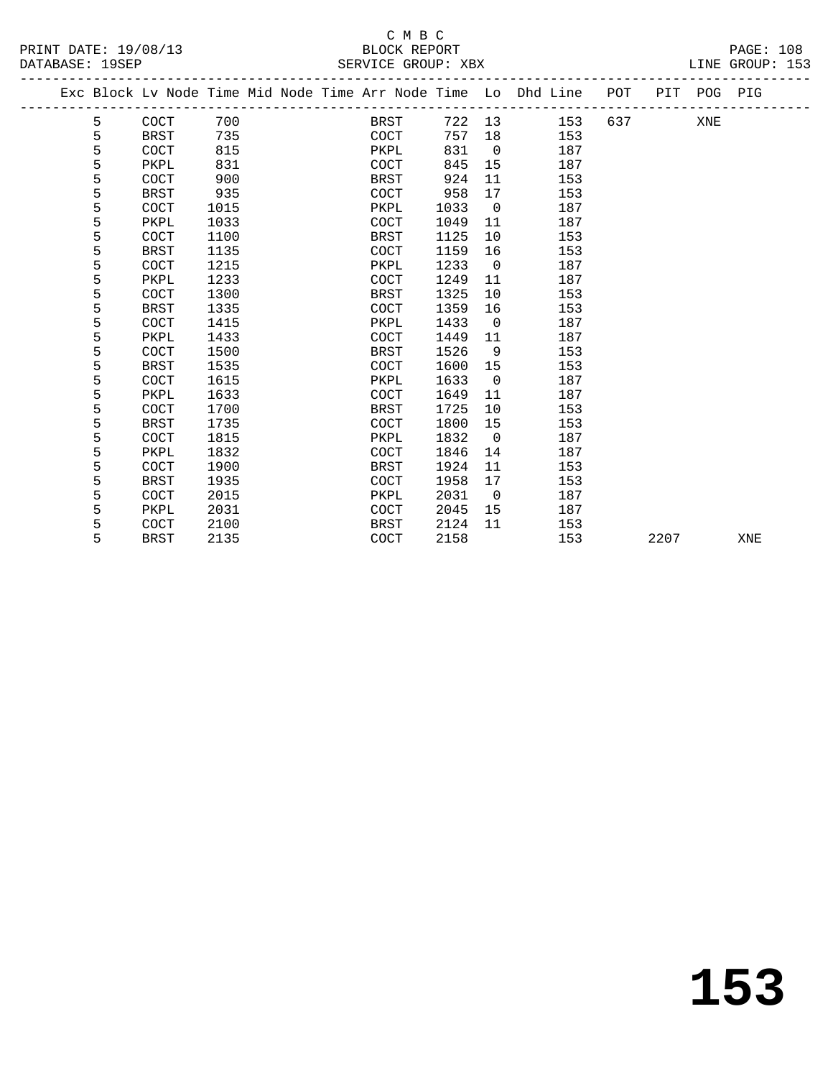|  |   |             |      |  |             |      |                | Exc Block Lv Node Time Mid Node Time Arr Node Time Lo Dhd Line POT |     |      | PIT POG PIG |     |  |
|--|---|-------------|------|--|-------------|------|----------------|--------------------------------------------------------------------|-----|------|-------------|-----|--|
|  | 5 | COCT        | 700  |  | BRST        |      |                | 722 13<br>153                                                      | 637 |      | XNE         |     |  |
|  | 5 | <b>BRST</b> | 735  |  | COCT        | 757  | 18             | 153                                                                |     |      |             |     |  |
|  | 5 | <b>COCT</b> | 815  |  | PKPL        | 831  | $\overline{0}$ | 187                                                                |     |      |             |     |  |
|  | 5 | PKPL        | 831  |  | COCT        | 845  | 15             | 187                                                                |     |      |             |     |  |
|  | 5 | COCT        | 900  |  | BRST        | 924  | 11             | 153                                                                |     |      |             |     |  |
|  | 5 | <b>BRST</b> | 935  |  | COCT        | 958  | 17             | 153                                                                |     |      |             |     |  |
|  | 5 | <b>COCT</b> | 1015 |  | PKPL        | 1033 | $\overline{0}$ | 187                                                                |     |      |             |     |  |
|  | 5 | PKPL        | 1033 |  | COCT        | 1049 | 11             | 187                                                                |     |      |             |     |  |
|  | 5 | COCT        | 1100 |  | BRST        | 1125 | 10             | 153                                                                |     |      |             |     |  |
|  | 5 | BRST        | 1135 |  | <b>COCT</b> | 1159 | 16             | 153                                                                |     |      |             |     |  |
|  | 5 | <b>COCT</b> | 1215 |  | PKPL        | 1233 | $\overline{0}$ | 187                                                                |     |      |             |     |  |
|  | 5 | PKPL        | 1233 |  | COCT        | 1249 | 11             | 187                                                                |     |      |             |     |  |
|  | 5 | COCT        | 1300 |  | BRST        | 1325 | 10             | 153                                                                |     |      |             |     |  |
|  | 5 | <b>BRST</b> | 1335 |  | <b>COCT</b> | 1359 | 16             | 153                                                                |     |      |             |     |  |
|  | 5 | COCT        | 1415 |  | PKPL        | 1433 | $\overline{0}$ | 187                                                                |     |      |             |     |  |
|  | 5 | PKPL        | 1433 |  | COCT        | 1449 | 11             | 187                                                                |     |      |             |     |  |
|  | 5 | COCT        | 1500 |  | <b>BRST</b> | 1526 | 9              | 153                                                                |     |      |             |     |  |
|  | 5 | <b>BRST</b> | 1535 |  | <b>COCT</b> | 1600 | 15             | 153                                                                |     |      |             |     |  |
|  | 5 | COCT        | 1615 |  | PKPL        | 1633 | $\overline{0}$ | 187                                                                |     |      |             |     |  |
|  | 5 | PKPL        | 1633 |  | COCT        | 1649 | 11             | 187                                                                |     |      |             |     |  |
|  | 5 | COCT        | 1700 |  | <b>BRST</b> | 1725 | 10             | 153                                                                |     |      |             |     |  |
|  | 5 | <b>BRST</b> | 1735 |  | <b>COCT</b> | 1800 | 15             | 153                                                                |     |      |             |     |  |
|  | 5 | COCT        | 1815 |  | PKPL        | 1832 | $\overline{0}$ | 187                                                                |     |      |             |     |  |
|  | 5 | PKPL        | 1832 |  | COCT        | 1846 | 14             | 187                                                                |     |      |             |     |  |
|  | 5 | COCT        | 1900 |  | BRST        | 1924 | 11             | 153                                                                |     |      |             |     |  |
|  | 5 | BRST        | 1935 |  | COCT        | 1958 | 17             | 153                                                                |     |      |             |     |  |
|  | 5 | COCT        | 2015 |  | PKPL        | 2031 | $\overline{0}$ | 187                                                                |     |      |             |     |  |
|  | 5 | PKPL        | 2031 |  | COCT        | 2045 | 15             | 187                                                                |     |      |             |     |  |
|  | 5 | COCT        | 2100 |  | BRST        | 2124 | 11             | 153                                                                |     |      |             |     |  |
|  | 5 | <b>BRST</b> | 2135 |  | COCT        | 2158 |                | 153                                                                |     | 2207 |             | XNE |  |
|  |   |             |      |  |             |      |                |                                                                    |     |      |             |     |  |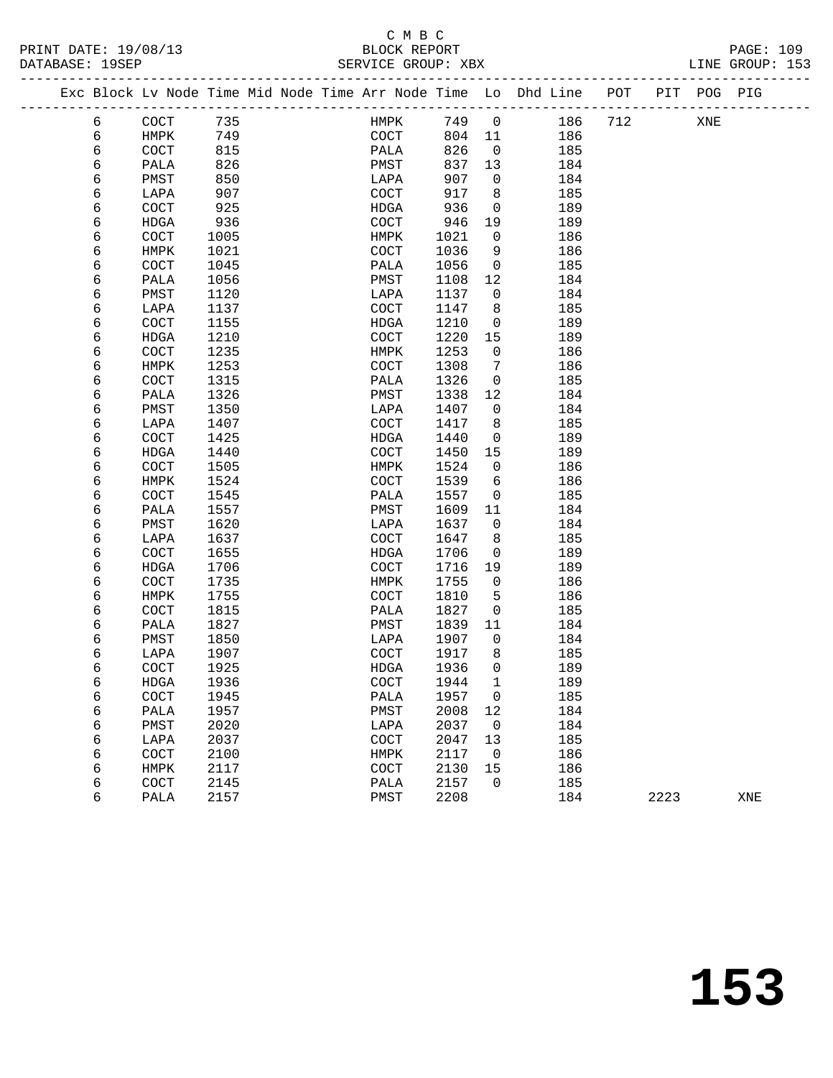### C M B C<br>BLOCK REPORT SERVICE GROUP: XBX

|   |              |      |  |                       |        |                          | Exc Block Lv Node Time Mid Node Time Arr Node Time Lo Dhd Line POT |     |      | PIT POG PIG |     |
|---|--------------|------|--|-----------------------|--------|--------------------------|--------------------------------------------------------------------|-----|------|-------------|-----|
| 6 | COCT         | 735  |  | HMPK                  | 749    | $\overline{0}$           | 186                                                                | 712 |      | XNE         |     |
| 6 | HMPK         | 749  |  | COCT                  | 804 11 |                          | 186                                                                |     |      |             |     |
| 6 | COCT         | 815  |  | PALA                  | 826    | $\overline{0}$           | 185                                                                |     |      |             |     |
| 6 | PALA         | 826  |  | PMST                  | 837    | 13                       | 184                                                                |     |      |             |     |
| 6 | PMST         | 850  |  | LAPA                  | 907    | $\overline{0}$           | 184                                                                |     |      |             |     |
| 6 | LAPA         | 907  |  | COCT                  | 917    | 8                        | 185                                                                |     |      |             |     |
| 6 | COCT         | 925  |  | HDGA                  | 936    | $\overline{\mathbf{0}}$  | 189                                                                |     |      |             |     |
| 6 | HDGA         | 936  |  | COCT                  | 946    | 19                       | 189                                                                |     |      |             |     |
| 6 | COCT         | 1005 |  | HMPK                  | 1021   | $\overline{0}$           | 186                                                                |     |      |             |     |
| 6 | HMPK         | 1021 |  | COCT                  | 1036   | 9                        | 186                                                                |     |      |             |     |
| 6 | COCT         | 1045 |  | PALA                  | 1056   | $\overline{0}$           | 185                                                                |     |      |             |     |
| 6 | PALA         | 1056 |  | PMST                  | 1108   | 12                       | 184                                                                |     |      |             |     |
| 6 | PMST         | 1120 |  | LAPA                  | 1137   | $\mathbf{0}$             | 184                                                                |     |      |             |     |
| 6 | LAPA         | 1137 |  | COCT                  | 1147   | 8                        | 185                                                                |     |      |             |     |
| 6 | COCT         | 1155 |  | HDGA                  | 1210   | $\overline{0}$           | 189                                                                |     |      |             |     |
| 6 | HDGA         | 1210 |  | COCT                  | 1220   | 15                       | 189                                                                |     |      |             |     |
| 6 | COCT         | 1235 |  | HMPK                  | 1253   | $\mathbf 0$              | 186                                                                |     |      |             |     |
| 6 | HMPK         | 1253 |  | COCT                  | 1308   | $7\phantom{.0}$          | 186                                                                |     |      |             |     |
| 6 | COCT         | 1315 |  | PALA                  | 1326   | $\overline{0}$           | 185                                                                |     |      |             |     |
| 6 | PALA         | 1326 |  | PMST                  | 1338   | 12                       | 184                                                                |     |      |             |     |
| 6 | PMST         | 1350 |  | LAPA                  | 1407   | $\mathbf{0}$             | 184                                                                |     |      |             |     |
| 6 | LAPA         | 1407 |  | COCT                  | 1417   | 8                        | 185                                                                |     |      |             |     |
| б | COCT         | 1425 |  | HDGA                  | 1440   | $\mathbf{0}$             | 189                                                                |     |      |             |     |
| 6 | HDGA         | 1440 |  | COCT                  | 1450   | 15                       | 189                                                                |     |      |             |     |
| 6 | COCT         | 1505 |  | HMPK                  | 1524   | 0                        | 186                                                                |     |      |             |     |
| 6 | HMPK         | 1524 |  | COCT                  | 1539   | 6                        | 186                                                                |     |      |             |     |
| 6 | COCT         | 1545 |  | PALA                  | 1557   | $\overline{0}$           | 185                                                                |     |      |             |     |
| 6 | PALA         | 1557 |  | PMST                  | 1609   | 11                       | 184                                                                |     |      |             |     |
| 6 | PMST         | 1620 |  | LAPA                  | 1637   | $\mathbf{0}$             | 184                                                                |     |      |             |     |
| 6 | LAPA         | 1637 |  | COCT                  | 1647   | 8                        | 185                                                                |     |      |             |     |
| 6 | COCT         | 1655 |  | HDGA                  | 1706   | $\overline{0}$           | 189                                                                |     |      |             |     |
| 6 | HDGA         | 1706 |  | COCT                  | 1716   | 19                       | 189                                                                |     |      |             |     |
| 6 | COCT         | 1735 |  | HMPK                  | 1755   | 0                        | 186                                                                |     |      |             |     |
| 6 | HMPK         | 1755 |  | COCT                  | 1810   | 5                        | 186                                                                |     |      |             |     |
| 6 | COCT         | 1815 |  | PALA                  | 1827   | $\overline{0}$           | 185                                                                |     |      |             |     |
| 6 | PALA         | 1827 |  | PMST                  | 1839   | 11                       | 184                                                                |     |      |             |     |
| 6 | PMST         | 1850 |  | LAPA                  | 1907   | $\overline{0}$           | 184                                                                |     |      |             |     |
| 6 | LAPA         | 1907 |  | COCT                  | 1917   | 8                        | 185                                                                |     |      |             |     |
| 6 | COCT         | 1925 |  | <b>HDGA</b>           | 1936   | $\mathbf 0$              | 189                                                                |     |      |             |     |
| 6 | ${\tt HDGA}$ | 1936 |  | $\operatorname{COCT}$ | 1944 1 |                          | 189                                                                |     |      |             |     |
| 6 | COCT         | 1945 |  | PALA                  | 1957 0 |                          | 185                                                                |     |      |             |     |
| 6 | PALA         | 1957 |  | ${\tt PMST}$          | 2008   | 12                       | 184                                                                |     |      |             |     |
| 6 | PMST         | 2020 |  | LAPA                  | 2037   | $\overline{\phantom{0}}$ | 184                                                                |     |      |             |     |
| 6 | LAPA         | 2037 |  | COCT                  | 2047   | 13                       | 185                                                                |     |      |             |     |
| 6 | COCT         | 2100 |  | HMPK                  | 2117   | $\overline{\mathbf{0}}$  | 186                                                                |     |      |             |     |
| 6 | HMPK         | 2117 |  | $\operatorname{COT}$  | 2130   | 15                       | 186                                                                |     |      |             |     |
| 6 | COCT         | 2145 |  | PALA                  | 2157   | $\mathsf{O}$             | 185                                                                |     |      |             |     |
| 6 | PALA         | 2157 |  | PMST                  | 2208   |                          | 184                                                                |     | 2223 |             | XNE |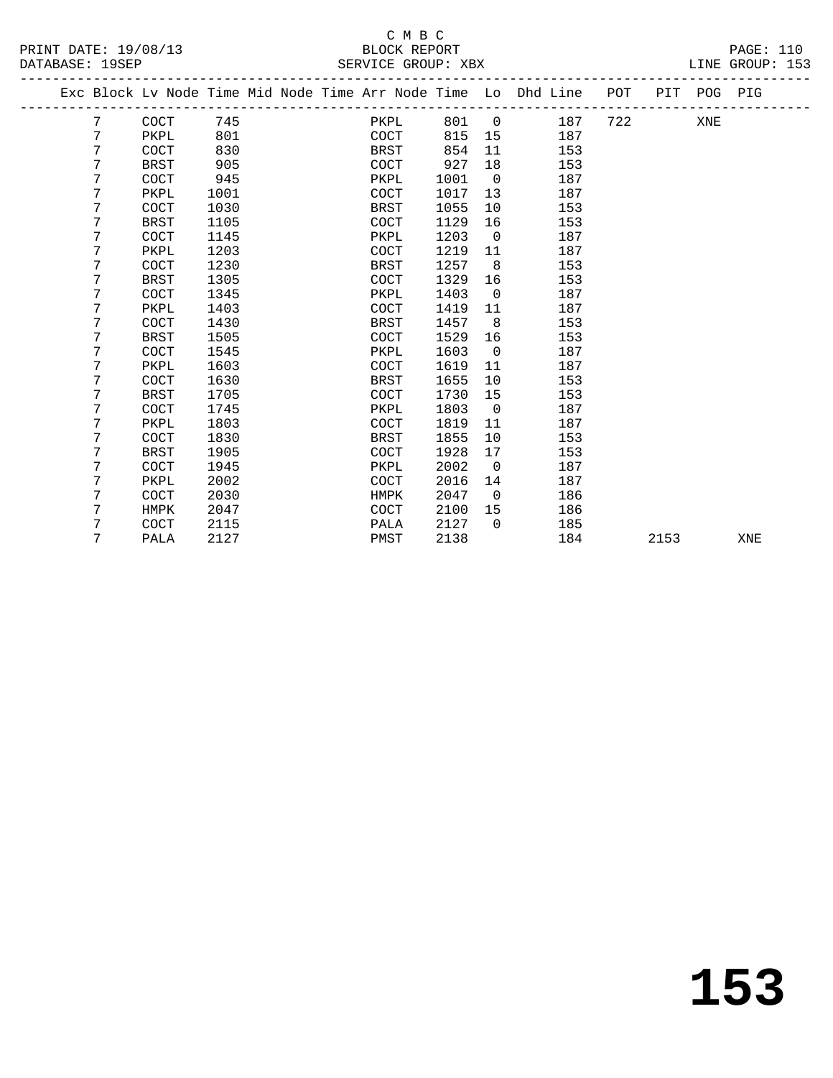### C M B C<br>BLOCK REPORT SERVICE GROUP: XBX

|  |   | Exc Block Lv Node Time Mid Node Time Arr Node Time Lo Dhd Line POT |      |  |             |       |                |     |     | PIT POG PIG |  |
|--|---|--------------------------------------------------------------------|------|--|-------------|-------|----------------|-----|-----|-------------|--|
|  | 7 | COCT                                                               | 745  |  | PKPL        | 801 0 |                | 187 | 722 | XNE         |  |
|  | 7 | PKPL                                                               | 801  |  | COCT        | 815   | 15             | 187 |     |             |  |
|  | 7 | COCT                                                               | 830  |  | BRST        | 854   | 11             | 153 |     |             |  |
|  | 7 | <b>BRST</b>                                                        | 905  |  | COCT        | 927   | 18             | 153 |     |             |  |
|  | 7 | COCT                                                               | 945  |  | PKPL        | 1001  | $\overline{0}$ | 187 |     |             |  |
|  | 7 | PKPL                                                               | 1001 |  | <b>COCT</b> | 1017  | 13             | 187 |     |             |  |
|  | 7 | COCT                                                               | 1030 |  | BRST        | 1055  | 10             | 153 |     |             |  |
|  | 7 | BRST                                                               | 1105 |  | <b>COCT</b> | 1129  | 16             | 153 |     |             |  |
|  | 7 | COCT                                                               | 1145 |  | PKPL        | 1203  | $\overline{0}$ | 187 |     |             |  |
|  | 7 | PKPL                                                               | 1203 |  | COCT        | 1219  | 11             | 187 |     |             |  |
|  | 7 | COCT                                                               | 1230 |  | BRST        | 1257  | 8              | 153 |     |             |  |
|  | 7 | <b>BRST</b>                                                        | 1305 |  | <b>COCT</b> | 1329  | 16             | 153 |     |             |  |
|  | 7 | COCT                                                               | 1345 |  | PKPL        | 1403  | $\overline{0}$ | 187 |     |             |  |
|  | 7 | PKPL                                                               | 1403 |  | <b>COCT</b> | 1419  | 11             | 187 |     |             |  |
|  | 7 | COCT                                                               | 1430 |  | BRST        | 1457  | 8              | 153 |     |             |  |
|  | 7 | <b>BRST</b>                                                        | 1505 |  | COCT        | 1529  | 16             | 153 |     |             |  |
|  | 7 | COCT                                                               | 1545 |  | PKPL        | 1603  | $\overline{0}$ | 187 |     |             |  |
|  | 7 | PKPL                                                               | 1603 |  | <b>COCT</b> | 1619  | 11             | 187 |     |             |  |
|  | 7 | COCT                                                               | 1630 |  | <b>BRST</b> | 1655  | 10             | 153 |     |             |  |
|  | 7 | BRST                                                               | 1705 |  | <b>COCT</b> | 1730  | 15             | 153 |     |             |  |
|  | 7 | COCT                                                               | 1745 |  | PKPL        | 1803  | $\overline{0}$ | 187 |     |             |  |
|  | 7 | PKPL                                                               | 1803 |  | COCT        | 1819  | 11             | 187 |     |             |  |
|  | 7 | COCT                                                               | 1830 |  | BRST        | 1855  | 10             | 153 |     |             |  |
|  | 7 | <b>BRST</b>                                                        | 1905 |  | COCT        | 1928  | 17             | 153 |     |             |  |
|  | 7 | COCT                                                               | 1945 |  | PKPL        | 2002  | $\Omega$       | 187 |     |             |  |
|  | 7 | PKPL                                                               | 2002 |  | COCT        | 2016  | 14             | 187 |     |             |  |
|  | 7 | COCT                                                               | 2030 |  | HMPK        | 2047  | $\overline{0}$ | 186 |     |             |  |
|  | 7 | HMPK                                                               | 2047 |  | <b>COCT</b> | 2100  | 15             | 186 |     |             |  |
|  | 7 | COCT                                                               | 2115 |  | PALA        | 2127  | $\Omega$       | 185 |     |             |  |
|  |   |                                                                    |      |  |             |       |                |     |     |             |  |

7 PALA 2127 PMST 2138 184 2153 XNE

**153**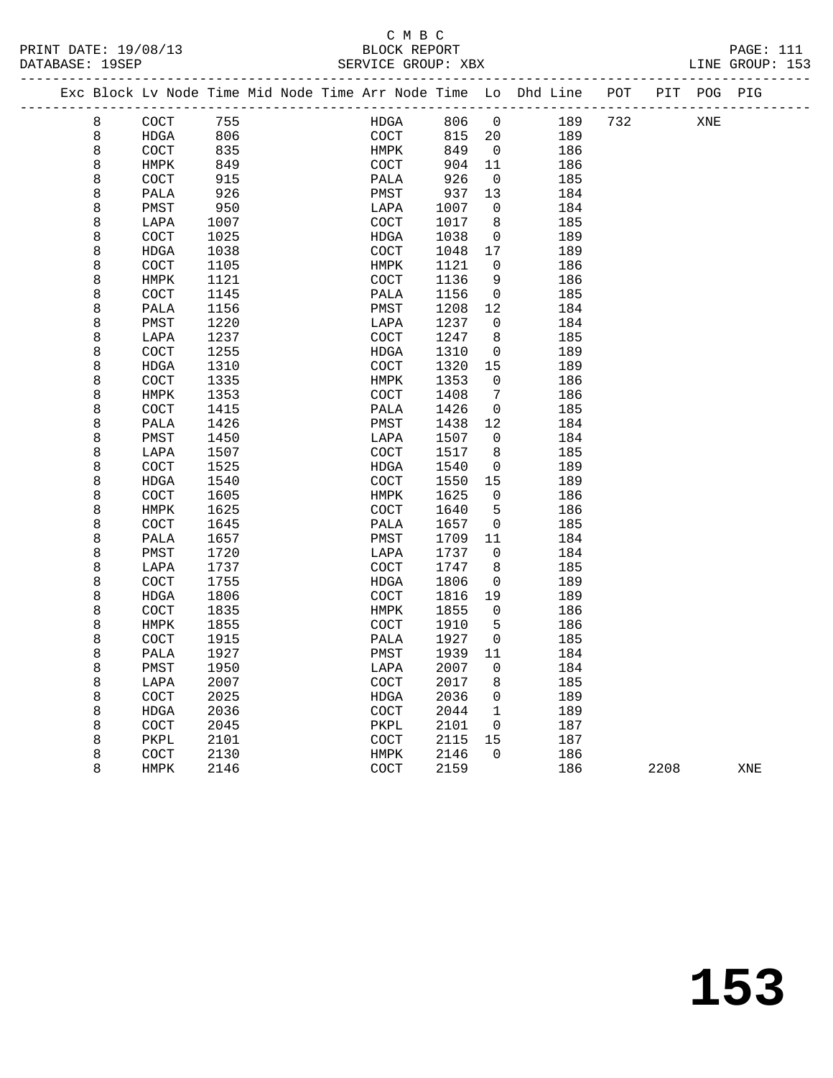### C M B C<br>BLOCK REPORT

| PRINT DATE: 19/08/13<br>DATABASE: 19SEP |   |                                                                    |      |  |             | <b>BLOCK REPORT</b> | SERVICE GROUP: XBX |                |     |                           |     |            | PAGE: 111<br>LINE GROUP: 153 |  |
|-----------------------------------------|---|--------------------------------------------------------------------|------|--|-------------|---------------------|--------------------|----------------|-----|---------------------------|-----|------------|------------------------------|--|
|                                         |   |                                                                    |      |  |             |                     |                    |                |     | ------------------------- |     |            |                              |  |
|                                         |   | Exc Block Lv Node Time Mid Node Time Arr Node Time Lo Dhd Line 90T |      |  |             |                     |                    |                |     |                           | PIT | <b>POG</b> | PIG                          |  |
|                                         | 8 | COCT                                                               | 755  |  | <b>HDGA</b> |                     | 806                | $\mathbf 0$    | 189 | 732                       |     | XNE        |                              |  |
|                                         | 8 | <b>HDGA</b>                                                        | 806  |  | COCT        |                     | 815                | 20             | 189 |                           |     |            |                              |  |
|                                         | 8 | COCT                                                               | 835  |  | HMPK        |                     | 849                | $\overline{0}$ | 186 |                           |     |            |                              |  |
|                                         | 8 | HMPK                                                               | 849  |  | COCT        |                     | 904                | 11             | 186 |                           |     |            |                              |  |
|                                         | 8 | COCT                                                               | 915  |  | PALA        |                     | 926                | $\mathbf 0$    | 185 |                           |     |            |                              |  |
|                                         | 8 | PALA                                                               | 926  |  | PMST        |                     | 937                | 13             | 184 |                           |     |            |                              |  |
|                                         | 8 | PMST                                                               | 950  |  | LAPA        |                     | 1007               | $\mathbf 0$    | 184 |                           |     |            |                              |  |
|                                         | 8 | LAPA                                                               | 1007 |  | COCT        |                     | 1017               | 8              | 185 |                           |     |            |                              |  |
|                                         | 8 | COCT                                                               | 1025 |  | HDGA        |                     | 1038               | $\mathbf 0$    | 189 |                           |     |            |                              |  |
|                                         | 8 | <b>HDGA</b>                                                        | 1038 |  | COCT        |                     | 1048               | 17             | 189 |                           |     |            |                              |  |
|                                         | 8 | COCT                                                               | 1105 |  | HMPK        |                     | 1121               | $\mathbf 0$    | 186 |                           |     |            |                              |  |
|                                         | 8 | HMPK                                                               | 1121 |  | COCT        |                     | 1136               | 9              | 186 |                           |     |            |                              |  |
|                                         | 8 | COCT                                                               | 1145 |  | PALA        |                     | 1156               | $\mathbf 0$    | 185 |                           |     |            |                              |  |
|                                         | 8 | PALA                                                               | 1156 |  | PMST        |                     | 1208               | 12             | 184 |                           |     |            |                              |  |
|                                         | 8 | PMST                                                               | 1220 |  | LAPA        |                     | 1237               | $\mathbf 0$    | 184 |                           |     |            |                              |  |
|                                         | 8 | LAPA                                                               | 1237 |  | COCT        |                     | 1247               | 8              | 185 |                           |     |            |                              |  |
|                                         | 8 | COCT                                                               | 1255 |  | HDGA        |                     | 1310               | $\mathbf 0$    | 189 |                           |     |            |                              |  |
|                                         | 8 | <b>HDGA</b>                                                        | 1310 |  | COCT        |                     | 1320               | 15             | 189 |                           |     |            |                              |  |
|                                         | 8 | COCT                                                               | 1335 |  | HMPK        |                     | 1353               | $\Omega$       | 186 |                           |     |            |                              |  |
|                                         | 8 | HMPK                                                               | 1353 |  | COCT        |                     | 1408               | 7              | 186 |                           |     |            |                              |  |
|                                         | 8 | COCT                                                               | 1415 |  | PALA        |                     | 1426               | 0              | 185 |                           |     |            |                              |  |
|                                         | 8 | PALA                                                               | 1426 |  | PMST        |                     | 1438               | 12             | 184 |                           |     |            |                              |  |
|                                         | 8 | PMST                                                               | 1450 |  | LAPA        |                     | 1507               | $\mathbf 0$    | 184 |                           |     |            |                              |  |
|                                         | 8 | LAPA                                                               | 1507 |  | COCT        |                     | 1517               | 8              | 185 |                           |     |            |                              |  |
|                                         | 8 | COCT                                                               | 1525 |  | <b>HDGA</b> |                     | 1540               | 0              | 189 |                           |     |            |                              |  |
|                                         | 8 | <b>HDGA</b>                                                        | 1540 |  | COCT        |                     | 1550               | 15             | 189 |                           |     |            |                              |  |
|                                         | 8 | COCT                                                               | 1605 |  | HMPK        |                     | 1625               | 0              | 186 |                           |     |            |                              |  |
|                                         | 8 | HMPK                                                               | 1625 |  | COCT        |                     | 1640               | 5              | 186 |                           |     |            |                              |  |
|                                         | 8 | COCT                                                               | 1645 |  | PALA        |                     | 1657               | $\mathbf 0$    | 185 |                           |     |            |                              |  |
|                                         | 8 | PALA                                                               | 1657 |  | PMST        |                     | 1709               | 11             | 184 |                           |     |            |                              |  |
|                                         | 8 | PMST                                                               | 1720 |  | LAPA        |                     | 1737               | $\mathbf 0$    | 184 |                           |     |            |                              |  |
|                                         | 8 | LAPA                                                               | 1737 |  | COCT        |                     | 1747               | 8              | 185 |                           |     |            |                              |  |
|                                         | 8 | COCT                                                               | 1755 |  | HDGA        |                     | 1806               | $\mathbf 0$    | 189 |                           |     |            |                              |  |
|                                         | 8 | <b>HDGA</b>                                                        | 1806 |  | COCT        |                     | 1816               | 19             | 189 |                           |     |            |                              |  |
|                                         | 8 | COCT                                                               | 1835 |  | HMPK        |                     | 1855               | 0              | 186 |                           |     |            |                              |  |
|                                         | 8 | <b>HMPK</b>                                                        | 1855 |  | COCT        |                     | 1910               | 5              | 186 |                           |     |            |                              |  |
|                                         | 8 | COCT                                                               | 1915 |  | PALA        |                     | 1927               | 0              | 185 |                           |     |            |                              |  |
|                                         | 8 | PALA                                                               | 1927 |  | PMST        |                     | 1939               | 11             | 184 |                           |     |            |                              |  |
|                                         | 8 | PMST                                                               | 1950 |  | LAPA        |                     | 2007               | $\mathbf 0$    | 184 |                           |     |            |                              |  |
|                                         | 8 | LAPA                                                               | 2007 |  | COCT        |                     | 2017               | 8              | 185 |                           |     |            |                              |  |
|                                         | 8 | COCT                                                               | 2025 |  | HDGA        |                     | 2036               | $\Omega$       | 189 |                           |     |            |                              |  |
|                                         | 8 | <b>HDGA</b>                                                        | 2036 |  | COCT        |                     | 2044               | $\mathbf{1}$   | 189 |                           |     |            |                              |  |

 8 COCT 2045 PKPL 2101 0 187 8 PKPL 2101 COCT 2115 15 187 8 COCT 2130 HMPK 2146 0 186

8 HMPK 2146 COCT 2159 186 2208 XNE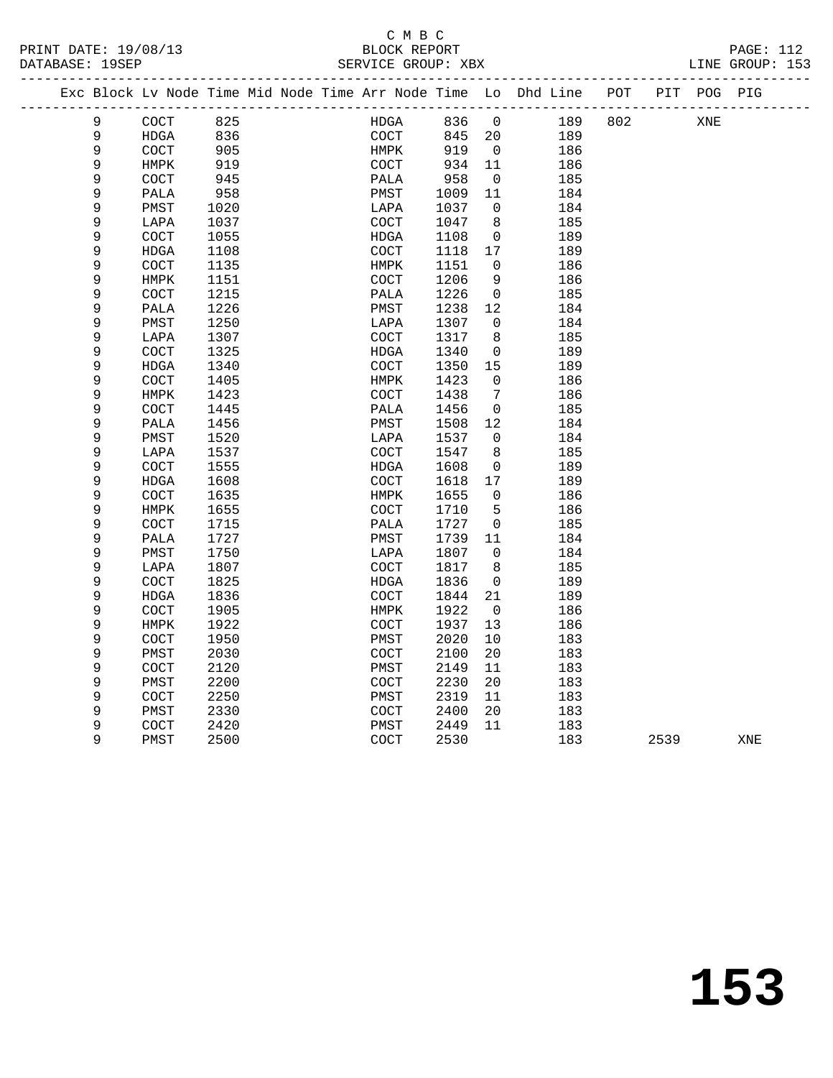| PRINT DATE: 19/08/13 | BLOCK REPORT       | <b>PAGE: 112</b> |
|----------------------|--------------------|------------------|
| DATABASE: 19SEP      | SERVICE GROUP: XBX | LINE GROUP: 153  |

|  |             |                      |              |  |              |              |                      | Exc Block Lv Node Time Mid Node Time Arr Node Time Lo Dhd Line POT |     |      | PIT POG PIG |     |  |
|--|-------------|----------------------|--------------|--|--------------|--------------|----------------------|--------------------------------------------------------------------|-----|------|-------------|-----|--|
|  | $\mathsf 9$ | $\operatorname{COT}$ | 825          |  | HDGA         | 836          | $\overline{0}$       | 189                                                                | 802 |      | XNE         |     |  |
|  | 9           | HDGA                 | 836          |  | COCT         | 845          | 20                   | 189                                                                |     |      |             |     |  |
|  | 9           | COCT                 | 905          |  | HMPK         | 919          | $\overline{0}$       | 186                                                                |     |      |             |     |  |
|  | 9           | HMPK                 | 919          |  | <b>COCT</b>  | 934          | 11                   | 186                                                                |     |      |             |     |  |
|  | 9           | $\operatorname{COT}$ | 945          |  | PALA         | 958          | $\overline{0}$       | 185                                                                |     |      |             |     |  |
|  | 9           | PALA                 | 958          |  | PMST         | 1009         | 11                   | 184                                                                |     |      |             |     |  |
|  | 9           | PMST                 | 1020         |  | LAPA         | 1037         | $\overline{0}$       | 184                                                                |     |      |             |     |  |
|  | 9           | LAPA                 | 1037         |  | COCT         | 1047         | 8                    | 185                                                                |     |      |             |     |  |
|  | 9           | <b>COCT</b>          | 1055         |  | <b>HDGA</b>  | 1108         | $\mathsf{O}$         | 189                                                                |     |      |             |     |  |
|  | 9           | HDGA                 | 1108         |  | COCT         | 1118         | 17                   | 189                                                                |     |      |             |     |  |
|  | 9           | COCT                 | 1135         |  | HMPK         | 1151         | 0                    | 186                                                                |     |      |             |     |  |
|  | 9           | HMPK                 | 1151         |  | COCT         | 1206         | 9                    | 186                                                                |     |      |             |     |  |
|  | 9           | COCT                 | 1215         |  | PALA         | 1226         | $\overline{0}$       | 185                                                                |     |      |             |     |  |
|  | 9           | PALA                 | 1226         |  | PMST         | 1238         | 12                   | 184                                                                |     |      |             |     |  |
|  | 9           | PMST                 | 1250         |  | LAPA         | 1307         | $\mathbf 0$          | 184                                                                |     |      |             |     |  |
|  | 9           | LAPA                 | 1307         |  | <b>COCT</b>  | 1317         | 8                    | 185                                                                |     |      |             |     |  |
|  | 9           | COCT                 | 1325         |  | HDGA         | 1340         | $\mathsf{O}$         | 189                                                                |     |      |             |     |  |
|  | 9           | HDGA                 | 1340         |  | COCT         | 1350         | 15                   | 189                                                                |     |      |             |     |  |
|  | 9           | COCT                 | 1405         |  | HMPK         | 1423         | $\mathbf 0$          | 186                                                                |     |      |             |     |  |
|  | 9           | HMPK                 | 1423         |  | COCT         | 1438         | $7\phantom{.0}$      | 186                                                                |     |      |             |     |  |
|  | 9           | COCT                 | 1445         |  | PALA         | 1456         | 0                    | 185                                                                |     |      |             |     |  |
|  | 9           | PALA                 | 1456         |  | PMST         | 1508         | 12                   | 184                                                                |     |      |             |     |  |
|  | 9           | PMST                 | 1520         |  | LAPA         | 1537         | $\mathbf{0}$         | 184                                                                |     |      |             |     |  |
|  | 9           | LAPA                 | 1537         |  | COCT         | 1547         | 8                    | 185                                                                |     |      |             |     |  |
|  | 9           | COCT                 | 1555         |  | HDGA         | 1608         | $\overline{0}$       | 189                                                                |     |      |             |     |  |
|  | 9           | HDGA                 | 1608         |  | COCT         | 1618         | 17                   | 189                                                                |     |      |             |     |  |
|  | 9           | COCT                 | 1635         |  | HMPK         | 1655         | $\overline{0}$       | 186                                                                |     |      |             |     |  |
|  | 9           | HMPK                 | 1655         |  | <b>COCT</b>  | 1710         | 5                    | 186                                                                |     |      |             |     |  |
|  | 9<br>9      | COCT                 | 1715         |  | PALA         | 1727         | 0                    | 185                                                                |     |      |             |     |  |
|  | 9           | PALA<br>PMST         | 1727<br>1750 |  | PMST<br>LAPA | 1739<br>1807 | 11<br>$\overline{0}$ | 184<br>184                                                         |     |      |             |     |  |
|  | 9           | LAPA                 | 1807         |  | COCT         | 1817         | 8                    | 185                                                                |     |      |             |     |  |
|  | 9           | COCT                 | 1825         |  | HDGA         | 1836         | $\overline{0}$       | 189                                                                |     |      |             |     |  |
|  | 9           | HDGA                 | 1836         |  | COCT         | 1844         | 21                   | 189                                                                |     |      |             |     |  |
|  | 9           | <b>COCT</b>          | 1905         |  | HMPK         | 1922         | $\overline{0}$       | 186                                                                |     |      |             |     |  |
|  | 9           | HMPK                 | 1922         |  | COCT         | 1937         | 13                   | 186                                                                |     |      |             |     |  |
|  | 9           | COCT                 | 1950         |  | PMST         | 2020         | 10                   | 183                                                                |     |      |             |     |  |
|  | 9           | PMST                 | 2030         |  | COCT         | 2100         | 20                   | 183                                                                |     |      |             |     |  |
|  | 9           | COCT                 | 2120         |  | PMST         | 2149         | 11                   | 183                                                                |     |      |             |     |  |
|  | 9           | PMST                 | 2200         |  | COCT         | 2230         | 20                   | 183                                                                |     |      |             |     |  |
|  | 9           | COCT                 | 2250         |  | PMST         | 2319         | 11                   | 183                                                                |     |      |             |     |  |
|  | 9           | PMST                 | 2330         |  | COCT         | 2400         | 20                   | 183                                                                |     |      |             |     |  |
|  | 9           | COCT                 | 2420         |  | PMST         | 2449         | 11                   | 183                                                                |     |      |             |     |  |
|  | 9           | PMST                 | 2500         |  | COCT         | 2530         |                      | 183                                                                |     | 2539 |             | XNE |  |
|  |             |                      |              |  |              |              |                      |                                                                    |     |      |             |     |  |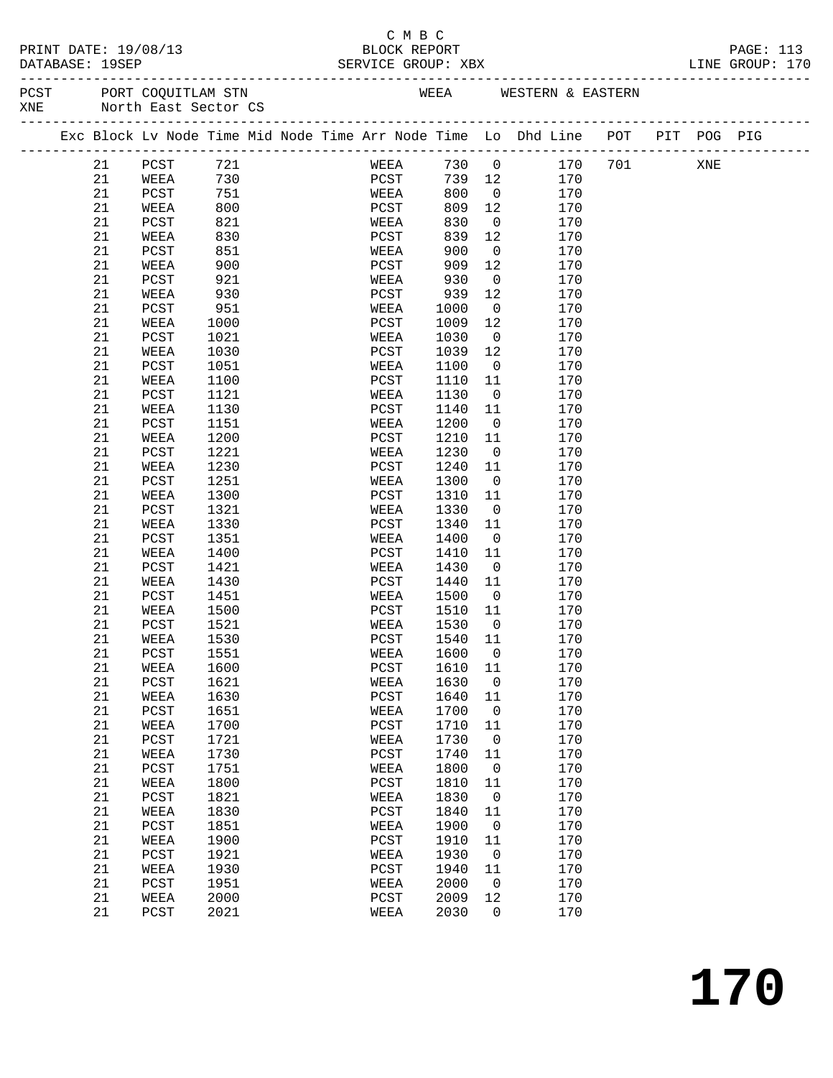# C M B C<br>BLOCK REPORT

|  | DATABASE: 19SEP | PRINT DATE: 19/08/13                                                           |              |  |               | ب سیسب       | BLOCK REPORT<br>SERVICE GROUP: XBX |                               |                |            |                        |  | PAGE: 113<br>LINE GROUP: 170 |  |
|--|-----------------|--------------------------------------------------------------------------------|--------------|--|---------------|--------------|------------------------------------|-------------------------------|----------------|------------|------------------------|--|------------------------------|--|
|  |                 | PCST PORT COQUITLAM STN<br>XNE North East Sector CS                            |              |  |               |              |                                    |                               |                |            | WEEA WESTERN & EASTERN |  |                              |  |
|  |                 | Exc Block Lv Node Time Mid Node Time Arr Node Time Lo Dhd Line POT PIT POG PIG |              |  |               |              |                                    |                               |                |            |                        |  |                              |  |
|  | 21              | PCST 721                                                                       |              |  |               |              |                                    |                               |                |            | WEEA 730 0 170 701 XNE |  |                              |  |
|  | 21              | WEEA 730                                                                       |              |  |               |              | PCST 739 12 170                    |                               |                |            |                        |  |                              |  |
|  | 21              | PCST                                                                           | 751          |  |               | WEEA<br>PCST |                                    |                               | 800 0          | 170        |                        |  |                              |  |
|  | 21              | WEEA                                                                           | 800          |  | PCST          |              |                                    | 809 12                        |                | 170        |                        |  |                              |  |
|  | 21              | PCST                                                                           | 821          |  | WEEA          |              | 830                                |                               | $\overline{0}$ | 170        |                        |  |                              |  |
|  | 21              | WEEA                                                                           | 830          |  | PCST          |              | 839                                | 12                            |                | 170        |                        |  |                              |  |
|  | 21              | PCST                                                                           | 851          |  | WEEA          |              | 900                                | $\overline{0}$                |                | 170        |                        |  |                              |  |
|  | 21              | WEEA                                                                           | 900          |  | PCST          |              | 909                                | 12                            | $\overline{0}$ | 170        |                        |  |                              |  |
|  | 21              | PCST                                                                           | 921          |  | WEEA          |              | 930                                |                               |                | 170        |                        |  |                              |  |
|  | 21              | WEEA                                                                           | 930          |  | PCST          |              | 939                                | 12                            |                | 170        |                        |  |                              |  |
|  | 21<br>21        | PCST<br>WEEA                                                                   | 951          |  | WEEA<br>PCST  |              | 1000                               | $\overline{\mathbf{0}}$<br>12 |                | 170<br>170 |                        |  |                              |  |
|  | 21              | PCST                                                                           | 1000<br>1021 |  | WEEA          |              | 1009<br>1030                       | $\overline{0}$                |                | 170        |                        |  |                              |  |
|  | 21              | WEEA                                                                           | 1030         |  | PCST          |              | 1039                               | 12                            |                | 170        |                        |  |                              |  |
|  | 21              | PCST                                                                           | 1051         |  | WEEA          |              | 1100                               | $\overline{0}$                |                | 170        |                        |  |                              |  |
|  | 21              | WEEA                                                                           | 1100         |  | PCST          |              | 1110                               | 11                            |                | 170        |                        |  |                              |  |
|  | 21              | PCST                                                                           | 1121         |  | WEEA          |              | 1130                               | $\overline{0}$                |                | 170        |                        |  |                              |  |
|  | 21              | WEEA                                                                           | 1130         |  | PCST          |              | 1140                               | 11                            |                | 170        |                        |  |                              |  |
|  | 21              | PCST                                                                           | 1151         |  | WEEA          |              | 1200                               | $\overline{0}$                |                | 170        |                        |  |                              |  |
|  | 21              | WEEA                                                                           | 1200         |  | PCST          |              | 1210                               | 11                            |                | 170        |                        |  |                              |  |
|  | 21              | PCST                                                                           | 1221         |  | WEEA          |              | 1230                               | $\overline{0}$                |                | 170        |                        |  |                              |  |
|  | 21              | WEEA                                                                           | 1230         |  | PCST          |              | 1240                               | 11                            |                | 170        |                        |  |                              |  |
|  | 21              | PCST                                                                           | 1251         |  | WEEA          |              | 1300                               | $\overline{0}$                |                | 170        |                        |  |                              |  |
|  | 21              | WEEA                                                                           | 1300         |  | PCST          |              | 1310                               | 11                            |                | 170        |                        |  |                              |  |
|  | 21              | PCST                                                                           | 1321         |  | WEEA          |              | 1330                               | $\overline{0}$                |                | 170        |                        |  |                              |  |
|  | 21              | WEEA                                                                           | 1330         |  | PCST          |              | 1340                               | 11                            |                | 170        |                        |  |                              |  |
|  | 21              | PCST                                                                           | 1351         |  | WEEA          |              | 1400                               | $\overline{0}$                |                | 170        |                        |  |                              |  |
|  | 21              | WEEA                                                                           | 1400         |  | PCST          |              | 1410                               | 11                            |                | 170        |                        |  |                              |  |
|  | 21              | PCST                                                                           | 1421         |  | WEEA          |              | 1430                               | $\overline{0}$                |                | 170        |                        |  |                              |  |
|  | 21              | WEEA                                                                           | 1430         |  | PCST          |              | 1440                               | 11                            |                | 170        |                        |  |                              |  |
|  | 21              | PCST                                                                           | 1451         |  | WEEA          |              | 1500                               | $\overline{0}$                |                | 170        |                        |  |                              |  |
|  | 21              | WEEA                                                                           | 1500         |  | PCST          |              | 1510                               | 11                            |                | 170        |                        |  |                              |  |
|  | 21              | PCST                                                                           | 1521         |  | WEEA          |              | 1530                               | $\overline{0}$                |                | 170        |                        |  |                              |  |
|  | 21<br>21        | WEEA                                                                           | 1530         |  | PCST<br>WEEA  |              | 1540 11                            |                               |                | 170<br>170 |                        |  |                              |  |
|  | 21              | PCST<br>WEEA                                                                   | 1551<br>1600 |  | PCST          |              | 1600<br>1610                       | 0<br>11                       |                | 170        |                        |  |                              |  |
|  | 21              | PCST                                                                           | 1621         |  | WEEA          |              | 1630                               | 0                             |                | 170        |                        |  |                              |  |
|  | 21              | WEEA                                                                           | 1630         |  | PCST          |              | 1640                               | 11                            |                | 170        |                        |  |                              |  |
|  | 21              | PCST                                                                           | 1651         |  | WEEA          |              | 1700                               | 0                             |                | 170        |                        |  |                              |  |
|  | 21              | WEEA                                                                           | 1700         |  | PCST          |              | 1710                               | 11                            |                | 170        |                        |  |                              |  |
|  | 21              | PCST                                                                           | 1721         |  | WEEA          |              | 1730                               | $\mathsf{O}$                  |                | 170        |                        |  |                              |  |
|  | 21              | WEEA                                                                           | 1730         |  | PCST          |              | 1740                               | 11                            |                | 170        |                        |  |                              |  |
|  | 21              | PCST                                                                           | 1751         |  | WEEA          |              | 1800                               | 0                             |                | 170        |                        |  |                              |  |
|  | 21              | WEEA                                                                           | 1800         |  | PCST          |              | 1810                               | 11                            |                | 170        |                        |  |                              |  |
|  | 21              | PCST                                                                           | 1821         |  | WEEA          |              | 1830                               | 0                             |                | 170        |                        |  |                              |  |
|  | 21              | WEEA                                                                           | 1830         |  | PCST          |              | 1840                               | 11                            |                | 170        |                        |  |                              |  |
|  | 21              | PCST                                                                           | 1851         |  | WEEA          |              | 1900                               | 0                             |                | 170        |                        |  |                              |  |
|  | 21              | WEEA                                                                           | 1900         |  | PCST          |              | 1910                               | 11                            |                | 170        |                        |  |                              |  |
|  | $2\sqrt{1}$     | PCST                                                                           | 1921         |  | WEEA          |              | 1930                               | 0                             |                | 170        |                        |  |                              |  |
|  | 21              | WEEA                                                                           | 1930         |  | $_{\rm PCST}$ |              | 1940                               | 11                            |                | 170        |                        |  |                              |  |
|  | 21              | PCST                                                                           | 1951         |  | WEEA          |              | 2000                               | 0                             |                | 170        |                        |  |                              |  |
|  | 21              | WEEA                                                                           | 2000         |  | $_{\rm PCST}$ |              | 2009                               | 12                            |                | 170        |                        |  |                              |  |
|  | 21              | PCST                                                                           | 2021         |  | WEEA          |              | 2030                               | 0                             |                | 170        |                        |  |                              |  |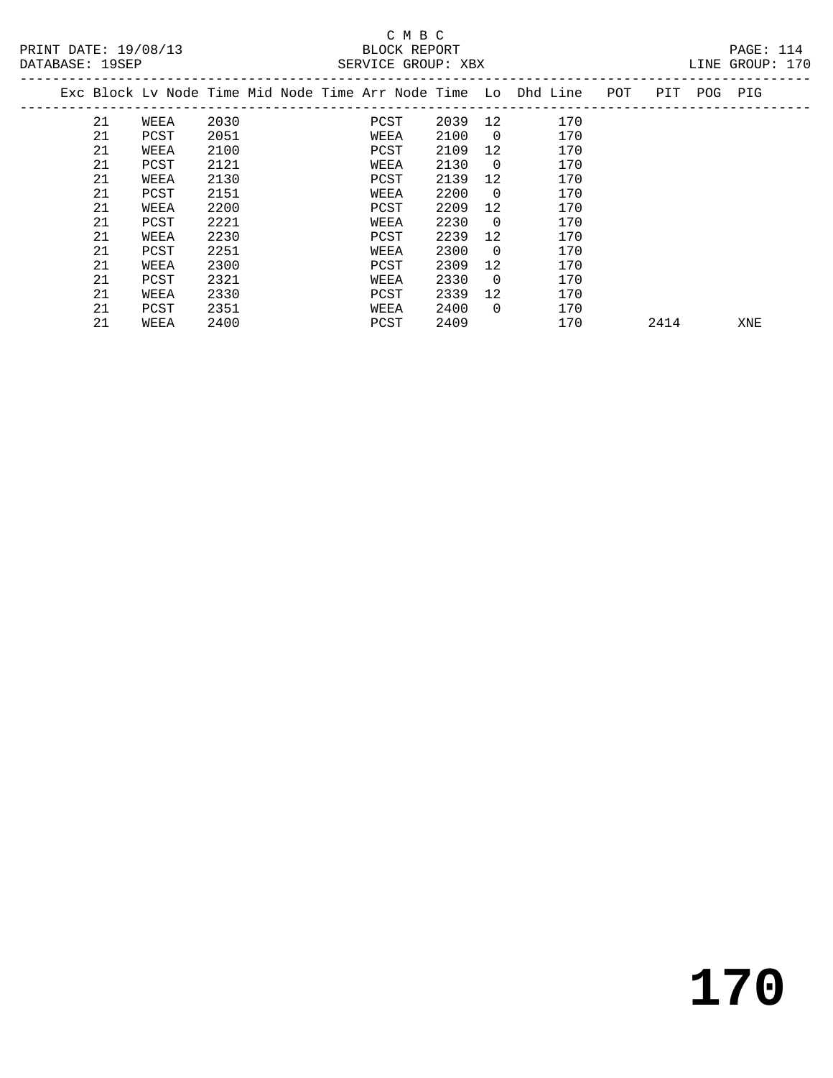### C M B C<br>BLOCK REPORT SERVICE GROUP: XBX

|    |      |      | Exc Block Lv Node Time Mid Node Time Arr Node Time Lo Dhd Line |      |          |     | POT | PIT  | POG | PIG |  |
|----|------|------|----------------------------------------------------------------|------|----------|-----|-----|------|-----|-----|--|
| 21 | WEEA | 2030 | PCST                                                           | 2039 | 12       | 170 |     |      |     |     |  |
| 21 | PCST | 2051 | WEEA                                                           | 2100 | $\Omega$ | 170 |     |      |     |     |  |
| 21 | WEEA | 2100 | PCST                                                           | 2109 | 12       | 170 |     |      |     |     |  |
| 21 | PCST | 2121 | WEEA                                                           | 2130 | $\Omega$ | 170 |     |      |     |     |  |
| 21 | WEEA | 2130 | PCST                                                           | 2139 | 12       | 170 |     |      |     |     |  |
| 21 | PCST | 2151 | WEEA                                                           | 2200 | $\Omega$ | 170 |     |      |     |     |  |
| 21 | WEEA | 2200 | PCST                                                           | 2209 | 12       | 170 |     |      |     |     |  |
| 21 | PCST | 2221 | WEEA                                                           | 2230 | $\Omega$ | 170 |     |      |     |     |  |
| 21 | WEEA | 2230 | PCST                                                           | 2239 | 12       | 170 |     |      |     |     |  |
| 21 | PCST | 2251 | WEEA                                                           | 2300 | $\Omega$ | 170 |     |      |     |     |  |
| 21 | WEEA | 2300 | PCST                                                           | 2309 | 12       | 170 |     |      |     |     |  |
| 21 | PCST | 2321 | WEEA                                                           | 2330 | $\Omega$ | 170 |     |      |     |     |  |
| 21 | WEEA | 2330 | PCST                                                           | 2339 | 12       | 170 |     |      |     |     |  |
| 21 | PCST | 2351 | WEEA                                                           | 2400 | $\Omega$ | 170 |     |      |     |     |  |
| 21 | WEEA | 2400 | PCST                                                           | 2409 |          | 170 |     | 2414 |     | XNE |  |
|    |      |      |                                                                |      |          |     |     |      |     |     |  |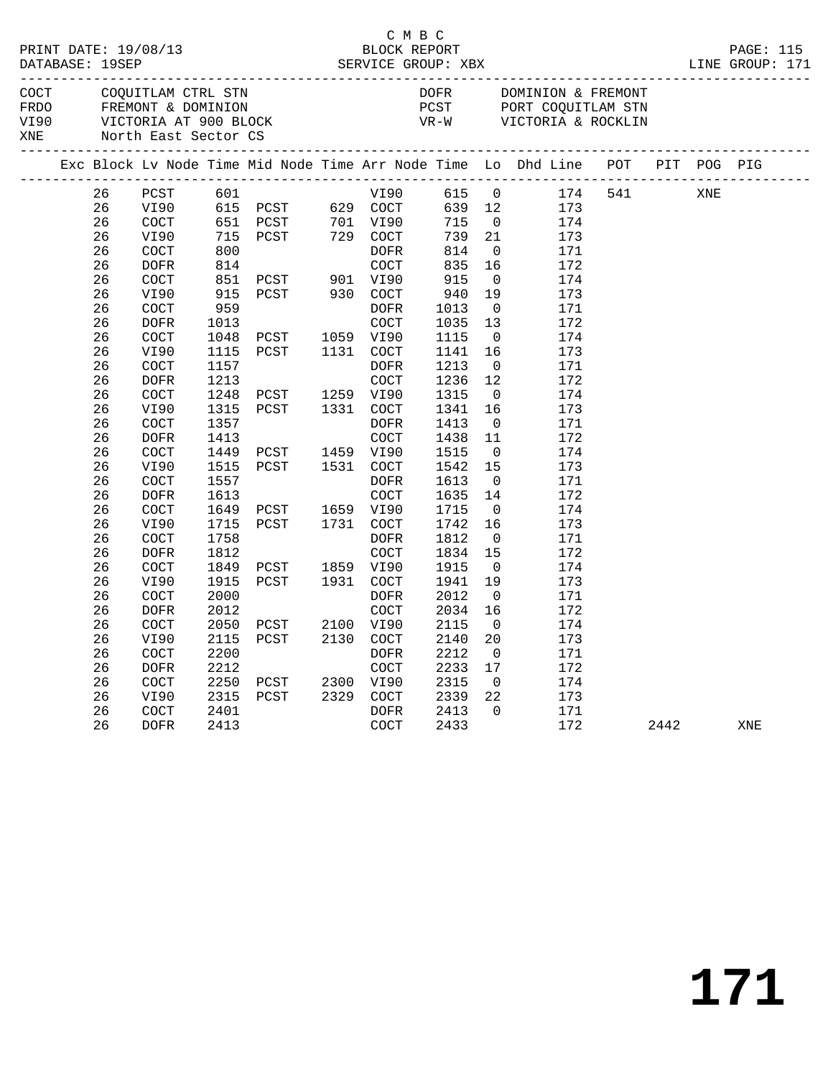|                             | DATABASE: 19SEP | PRINT DATE: 19/08/13                                                                      |      | BLOCK REPORT<br>SERVICE GROUP: XBX     | C M B C     |                      |                         |                                                                    |     |      | ______________ | PAGE: 115<br>LINE GROUP: 171 |
|-----------------------------|-----------------|-------------------------------------------------------------------------------------------|------|----------------------------------------|-------------|----------------------|-------------------------|--------------------------------------------------------------------|-----|------|----------------|------------------------------|
| COCT<br>FRDO<br>VI90<br>XNE |                 | COQUITLAM CTRL STN<br>FREMONT & DOMINION<br>VICTORIA AT 900 BLOCK<br>North East Sector CS |      |                                        |             | DOFR<br>PCST<br>VR-W |                         | DOMINION & FREMONT<br>PORT COQUITLAM STN<br>VICTORIA & ROCKLIN     |     |      |                |                              |
|                             |                 |                                                                                           |      |                                        |             |                      |                         | Exc Block Lv Node Time Mid Node Time Arr Node Time Lo Dhd Line POT |     |      |                | PIT POG PIG                  |
|                             | 26              | PCST                                                                                      | 601  |                                        | VI90        | 615 0                |                         | 174                                                                | 541 |      | XNE            |                              |
|                             | 26              | VI90                                                                                      |      | 615 PCST 629 COCT                      |             | 639 12               |                         | 173                                                                |     |      |                |                              |
|                             | 26              | COCT                                                                                      |      | 651 PCST 701 V190<br>715 PCST 729 COCT |             | 715                  | $\overline{0}$          | 174                                                                |     |      |                |                              |
|                             | 26              | VI90                                                                                      |      |                                        |             | 739                  | 21                      | 173                                                                |     |      |                |                              |
|                             | 26              | COCT                                                                                      | 800  |                                        | DOFR        | 814                  | $\overline{\mathbf{0}}$ | 171                                                                |     |      |                |                              |
|                             | 26              | <b>DOFR</b>                                                                               | 814  |                                        | COCT        | 835                  | 16                      | 172                                                                |     |      |                |                              |
|                             | 26              | COCT                                                                                      | 851  | PCST 901 VI90                          |             | 915                  | $\overline{0}$          | 174                                                                |     |      |                |                              |
|                             | 26              | VI90                                                                                      | 915  | PCST 930 COCT                          |             | 940                  | 19                      | 173                                                                |     |      |                |                              |
|                             | 26              | COCT                                                                                      | 959  |                                        | DOFR        | 1013                 | $\overline{\mathbf{0}}$ | 171                                                                |     |      |                |                              |
|                             | 26              | <b>DOFR</b>                                                                               | 1013 |                                        | COCT        | 1035                 | 13                      | 172                                                                |     |      |                |                              |
|                             | 26              | COCT                                                                                      | 1048 | PCST                                   | 1059 VI90   | 1115                 | $\overline{0}$          | 174                                                                |     |      |                |                              |
|                             | 26              | VI90                                                                                      | 1115 | PCST                                   | 1131 COCT   | 1141                 | 16                      | 173                                                                |     |      |                |                              |
|                             | 26              | COCT                                                                                      | 1157 |                                        | DOFR        | 1213                 | $\overline{0}$          | 171                                                                |     |      |                |                              |
|                             | 26              | <b>DOFR</b>                                                                               | 1213 |                                        | <b>COCT</b> | 1236                 | 12                      | 172                                                                |     |      |                |                              |
|                             | 26              | COCT                                                                                      | 1248 | PCST                                   | 1259 VI90   | 1315                 | $\overline{0}$          | 174                                                                |     |      |                |                              |
|                             | 26              | VI90                                                                                      | 1315 | PCST                                   | 1331 COCT   | 1341                 | 16                      | 173                                                                |     |      |                |                              |
|                             | 26              | COCT                                                                                      | 1357 |                                        | DOFR        | 1413                 | $\overline{0}$          | 171                                                                |     |      |                |                              |
|                             | 26              | <b>DOFR</b>                                                                               | 1413 |                                        | COCT        | 1438                 | 11                      | 172                                                                |     |      |                |                              |
|                             | 26              | COCT                                                                                      | 1449 | PCST                                   | 1459 VI90   | 1515                 | $\overline{0}$          | 174                                                                |     |      |                |                              |
|                             | 26              | VI90                                                                                      | 1515 | PCST                                   | 1531 COCT   | 1542                 | 15                      | 173                                                                |     |      |                |                              |
|                             | 26              | COCT                                                                                      | 1557 |                                        | DOFR        | 1613                 | $\overline{0}$          | 171                                                                |     |      |                |                              |
|                             | 26              | <b>DOFR</b>                                                                               | 1613 |                                        | COCT        | 1635                 | 14                      | 172                                                                |     |      |                |                              |
|                             | 26              | COCT                                                                                      | 1649 | PCST                                   | 1659 VI90   | 1715                 | $\overline{0}$          | 174                                                                |     |      |                |                              |
|                             | 26              | VI90                                                                                      | 1715 | PCST                                   | 1731 COCT   | 1742                 | 16                      | 173                                                                |     |      |                |                              |
|                             | 26              | COCT                                                                                      | 1758 |                                        | DOFR        | 1812                 | $\overline{0}$          | 171                                                                |     |      |                |                              |
|                             | 26              | <b>DOFR</b>                                                                               | 1812 |                                        | COCT        | 1834                 | 15                      | 172                                                                |     |      |                |                              |
|                             | 26              | COCT                                                                                      | 1849 | PCST                                   | 1859 VI90   | 1915                 | $\overline{0}$          | 174                                                                |     |      |                |                              |
|                             | 26              | VI90                                                                                      | 1915 | PCST                                   | 1931 COCT   | 1941                 | 19                      | 173                                                                |     |      |                |                              |
|                             | 26              | COCT                                                                                      | 2000 |                                        | <b>DOFR</b> | 2012                 | $\overline{0}$          | 171                                                                |     |      |                |                              |
|                             | 26              | <b>DOFR</b>                                                                               | 2012 |                                        | COCT        | 2034                 | 16                      | 172                                                                |     |      |                |                              |
|                             | 26              | COCT                                                                                      | 2050 | PCST                                   | 2100 VI90   | 2115                 | $\overline{0}$          | 174                                                                |     |      |                |                              |
|                             | 26              | VI90                                                                                      | 2115 | PCST                                   | 2130 COCT   | 2140                 | 20                      | 173                                                                |     |      |                |                              |
|                             | 26              | COCT                                                                                      | 2200 |                                        | <b>DOFR</b> | 2212                 | $\overline{0}$          | 171                                                                |     |      |                |                              |
|                             | 26              | <b>DOFR</b>                                                                               | 2212 |                                        | COCT        | 2233                 | 17                      | 172                                                                |     |      |                |                              |
|                             | 26              | COCT                                                                                      | 2250 | PCST                                   | 2300 VI90   | 2315                 | $\overline{0}$          | 174                                                                |     |      |                |                              |
|                             | 26              | VI90                                                                                      | 2315 | PCST                                   | 2329 COCT   | 2339                 | 22                      | 173                                                                |     |      |                |                              |
|                             | 26              | COCT                                                                                      | 2401 |                                        | DOFR        | 2413                 | $\Omega$                | 171                                                                |     |      |                |                              |
|                             | 26              | DOFR                                                                                      | 2413 |                                        | COCT        | 2433                 |                         | 172                                                                |     | 2442 |                | XNE                          |
|                             |                 |                                                                                           |      |                                        |             |                      |                         |                                                                    |     |      |                |                              |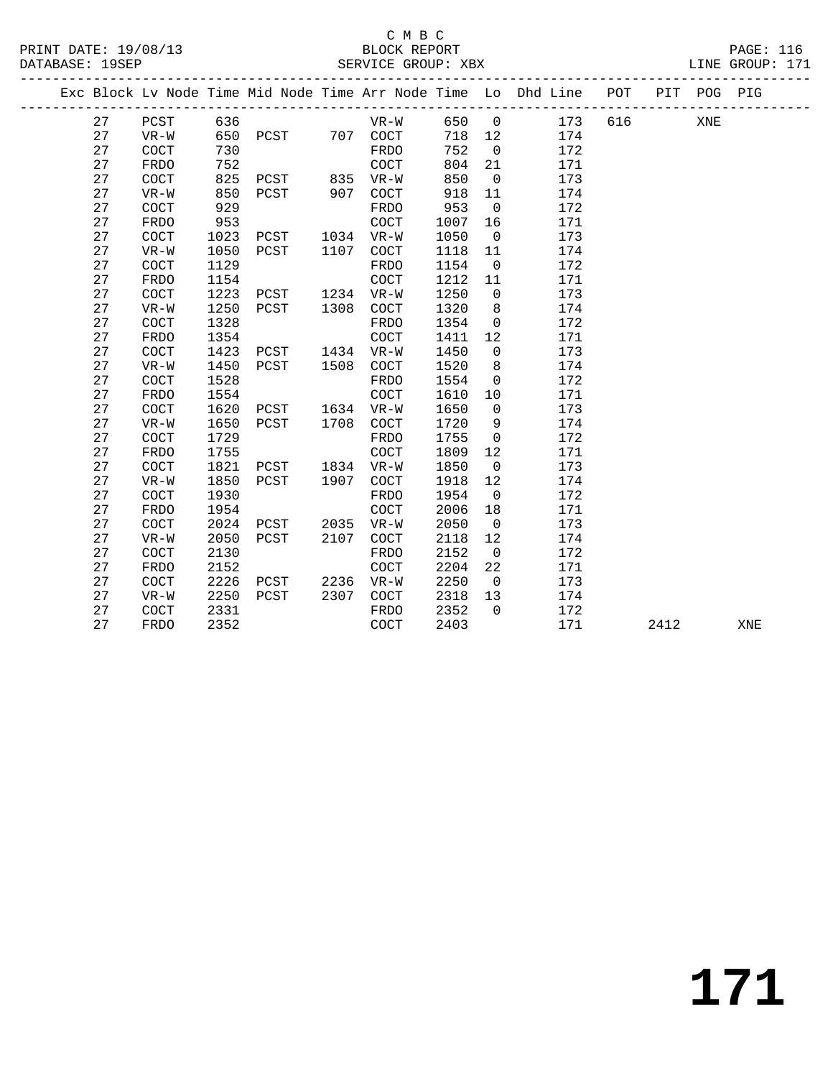|  |    |                      |      |           |      |             |      |                | Exc Block Lv Node Time Mid Node Time Arr Node Time Lo Dhd Line POT |     |      | PIT POG PIG |     |
|--|----|----------------------|------|-----------|------|-------------|------|----------------|--------------------------------------------------------------------|-----|------|-------------|-----|
|  | 27 | PCST                 | 636  |           |      | VR-W        | 650  | $\overline{0}$ | 173                                                                | 616 |      | XNE         |     |
|  | 27 | $VR-W$               | 650  | PCST      |      | 707 COCT    | 718  | 12             | 174                                                                |     |      |             |     |
|  | 27 | COCT                 | 730  |           |      | FRDO        | 752  | $\overline{0}$ | 172                                                                |     |      |             |     |
|  | 27 | FRDO                 | 752  |           |      | <b>COCT</b> | 804  | 21             | 171                                                                |     |      |             |     |
|  | 27 | COCT                 | 825  | PCST      |      | 835 VR-W    | 850  | $\overline{0}$ | 173                                                                |     |      |             |     |
|  | 27 | $VR-W$               | 850  | PCST      | 907  | COCT        | 918  | 11             | 174                                                                |     |      |             |     |
|  | 27 | <b>COCT</b>          | 929  |           |      | FRDO        | 953  | $\overline{0}$ | 172                                                                |     |      |             |     |
|  | 27 | FRDO                 | 953  |           |      | COCT        | 1007 | 16             | 171                                                                |     |      |             |     |
|  | 27 | $\operatorname{COT}$ | 1023 | PCST      |      | 1034 VR-W   | 1050 | $\overline{0}$ | 173                                                                |     |      |             |     |
|  | 27 | $VR-W$               | 1050 | PCST      | 1107 | COCT        | 1118 | 11             | 174                                                                |     |      |             |     |
|  | 27 | COCT                 | 1129 |           |      | FRDO        | 1154 | $\overline{0}$ | 172                                                                |     |      |             |     |
|  | 27 | FRDO                 | 1154 |           |      | COCT        | 1212 | 11             | 171                                                                |     |      |             |     |
|  | 27 | <b>COCT</b>          | 1223 | PCST 1234 |      | VR-W        | 1250 | $\overline{0}$ | 173                                                                |     |      |             |     |
|  | 27 | $VR-W$               | 1250 | PCST      | 1308 | COCT        | 1320 | 8              | 174                                                                |     |      |             |     |
|  | 27 | COCT                 | 1328 |           |      | FRDO        | 1354 | $\mathsf{O}$   | 172                                                                |     |      |             |     |
|  | 27 | <b>FRDO</b>          | 1354 |           |      | COCT        | 1411 | 12             | 171                                                                |     |      |             |     |
|  | 27 | COCT                 | 1423 | PCST      |      | 1434 VR-W   | 1450 | $\mathbf 0$    | 173                                                                |     |      |             |     |
|  | 27 | $VR-W$               | 1450 | PCST      | 1508 | COCT        | 1520 | 8              | 174                                                                |     |      |             |     |
|  | 27 | COCT                 | 1528 |           |      | FRDO        | 1554 | $\overline{0}$ | 172                                                                |     |      |             |     |
|  | 27 | <b>FRDO</b>          | 1554 |           |      | <b>COCT</b> | 1610 | 10             | 171                                                                |     |      |             |     |
|  | 27 | $\operatorname{COT}$ | 1620 | PCST      |      | 1634 VR-W   | 1650 | $\overline{0}$ | 173                                                                |     |      |             |     |
|  | 27 | $VR-W$               | 1650 | PCST      | 1708 | COCT        | 1720 | 9              | 174                                                                |     |      |             |     |
|  | 27 | COCT                 | 1729 |           |      | FRDO        | 1755 | $\overline{0}$ | 172                                                                |     |      |             |     |
|  | 27 | FRDO                 | 1755 |           |      | COCT        | 1809 | 12             | 171                                                                |     |      |             |     |
|  | 27 | <b>COCT</b>          | 1821 | PCST      | 1834 | VR-W        | 1850 | $\overline{0}$ | 173                                                                |     |      |             |     |
|  | 27 | $VR-W$               | 1850 | PCST      | 1907 | COCT        | 1918 | 12             | 174                                                                |     |      |             |     |
|  | 27 | COCT                 | 1930 |           |      | FRDO        | 1954 | $\overline{0}$ | 172                                                                |     |      |             |     |
|  | 27 | <b>FRDO</b>          | 1954 |           |      | COCT        | 2006 | 18             | 171                                                                |     |      |             |     |
|  | 27 | COCT                 | 2024 | PCST      | 2035 | $VR-W$      | 2050 | $\overline{0}$ | 173                                                                |     |      |             |     |
|  | 27 | $VR-W$               | 2050 | PCST      | 2107 | COCT        | 2118 | 12             | 174                                                                |     |      |             |     |
|  | 27 | $\operatorname{COT}$ | 2130 |           |      | FRDO        | 2152 | $\overline{0}$ | 172                                                                |     |      |             |     |
|  | 27 | <b>FRDO</b>          | 2152 |           |      | COCT        | 2204 | 22             | 171                                                                |     |      |             |     |
|  | 27 | COCT                 | 2226 | PCST 2236 |      | VR-W        | 2250 | $\overline{0}$ | 173                                                                |     |      |             |     |
|  | 27 | $VR-W$               | 2250 | PCST      | 2307 | <b>COCT</b> | 2318 | 13             | 174                                                                |     |      |             |     |
|  | 27 | <b>COCT</b>          | 2331 |           |      | FRDO        | 2352 | $\Omega$       | 172                                                                |     |      |             |     |
|  | 27 | FRDO                 | 2352 |           |      | COCT        | 2403 |                | 171                                                                |     | 2412 |             | XNE |
|  |    |                      |      |           |      |             |      |                |                                                                    |     |      |             |     |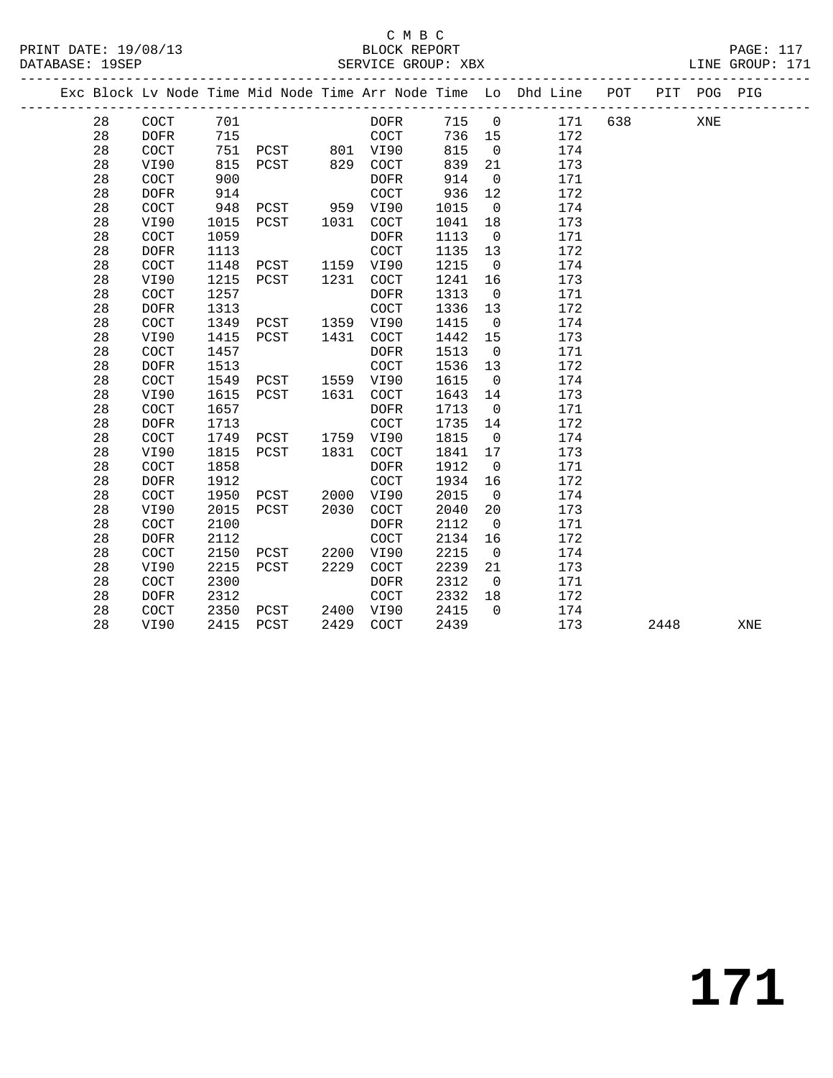|  |        |                      |      |                |      |                      |       |                | Exc Block Lv Node Time Mid Node Time Arr Node Time Lo Dhd Line POT |     |      | PIT POG PIG |     |
|--|--------|----------------------|------|----------------|------|----------------------|-------|----------------|--------------------------------------------------------------------|-----|------|-------------|-----|
|  | 28     | COCT                 | 701  |                |      | DOFR                 | 715 0 |                | 171                                                                | 638 |      | XNE         |     |
|  | 28     | <b>DOFR</b>          | 715  |                |      | COCT                 | 736   | 15             | 172                                                                |     |      |             |     |
|  | 28     | $\operatorname{COT}$ | 751  | PCST 801 VI90  |      |                      | 815   | $\overline{0}$ | 174                                                                |     |      |             |     |
|  | 28     | VI90                 | 815  | PCST           | 829  | COCT                 | 839   | 21             | 173                                                                |     |      |             |     |
|  | $2\,8$ | COCT                 | 900  |                |      | DOFR                 | 914   | $\overline{0}$ | 171                                                                |     |      |             |     |
|  | 28     | <b>DOFR</b>          | 914  |                |      | COCT                 | 936   | 12             | 172                                                                |     |      |             |     |
|  | 28     | COCT                 | 948  | PCST 959 VI90  |      |                      | 1015  | $\overline{0}$ | 174                                                                |     |      |             |     |
|  | 28     | VI90                 | 1015 | PCST 1031      |      | COCT                 | 1041  | 18             | 173                                                                |     |      |             |     |
|  | 28     | COCT                 | 1059 |                |      | <b>DOFR</b>          | 1113  | $\overline{0}$ | 171                                                                |     |      |             |     |
|  | 28     | <b>DOFR</b>          | 1113 |                |      | <b>COCT</b>          | 1135  | 13             | 172                                                                |     |      |             |     |
|  | 28     | COCT                 | 1148 | PCST 1159 VI90 |      |                      | 1215  | $\overline{0}$ | 174                                                                |     |      |             |     |
|  | 28     | VI90                 | 1215 | PCST 1231      |      | COCT                 | 1241  | 16             | 173                                                                |     |      |             |     |
|  | 28     | COCT                 | 1257 |                |      | DOFR                 | 1313  | $\overline{0}$ | 171                                                                |     |      |             |     |
|  | 28     | <b>DOFR</b>          | 1313 |                |      | $\operatorname{COT}$ | 1336  | 13             | 172                                                                |     |      |             |     |
|  | 28     | COCT                 | 1349 | PCST           |      | 1359 VI90            | 1415  | $\overline{0}$ | 174                                                                |     |      |             |     |
|  | 28     | VI90                 | 1415 | PCST           | 1431 | COCT                 | 1442  | 15             | 173                                                                |     |      |             |     |
|  | 28     | COCT                 | 1457 |                |      | <b>DOFR</b>          | 1513  | $\overline{0}$ | 171                                                                |     |      |             |     |
|  | 28     | <b>DOFR</b>          | 1513 |                |      | COCT                 | 1536  | 13             | 172                                                                |     |      |             |     |
|  | 28     | COCT                 | 1549 | PCST           |      | 1559 VI90            | 1615  | $\overline{0}$ | 174                                                                |     |      |             |     |
|  | 28     | VI90                 | 1615 | PCST           | 1631 | COCT                 | 1643  | 14             | 173                                                                |     |      |             |     |
|  | 28     | COCT                 | 1657 |                |      | DOFR                 | 1713  | $\overline{0}$ | 171                                                                |     |      |             |     |
|  | 28     | <b>DOFR</b>          | 1713 |                |      | COCT                 | 1735  | 14             | 172                                                                |     |      |             |     |
|  | 28     | COCT                 | 1749 | PCST 1759 VI90 |      |                      | 1815  | $\overline{0}$ | 174                                                                |     |      |             |     |
|  | 28     | VI90                 | 1815 | PCST           | 1831 | COCT                 | 1841  | 17             | 173                                                                |     |      |             |     |
|  | 28     | COCT                 | 1858 |                |      | <b>DOFR</b>          | 1912  | $\overline{0}$ | 171                                                                |     |      |             |     |
|  | 28     | <b>DOFR</b>          | 1912 |                |      | COCT                 | 1934  | 16             | 172                                                                |     |      |             |     |
|  | 28     | COCT                 | 1950 | PCST           |      | 2000 VI90            | 2015  | $\overline{0}$ | 174                                                                |     |      |             |     |
|  | 28     | VI90                 | 2015 | PCST           | 2030 | COCT                 | 2040  | 20             | 173                                                                |     |      |             |     |
|  | 28     | COCT                 | 2100 |                |      | <b>DOFR</b>          | 2112  | $\overline{0}$ | 171                                                                |     |      |             |     |
|  | 28     | <b>DOFR</b>          | 2112 |                |      | COCT                 | 2134  | 16             | 172                                                                |     |      |             |     |
|  | 28     | <b>COCT</b>          | 2150 | PCST 2200      |      | VI90                 | 2215  | $\overline{0}$ | 174                                                                |     |      |             |     |
|  | 28     | VI90                 | 2215 | PCST           | 2229 | <b>COCT</b>          | 2239  | 21             | 173                                                                |     |      |             |     |
|  | 28     | <b>COCT</b>          | 2300 |                |      | DOFR                 | 2312  | $\overline{0}$ | 171                                                                |     |      |             |     |
|  | 28     | <b>DOFR</b>          | 2312 |                |      | COCT                 | 2332  | 18             | 172                                                                |     |      |             |     |
|  | 28     | COCT                 | 2350 | PCST           |      | 2400 VI90            | 2415  | $\Omega$       | 174                                                                |     |      |             |     |
|  | 28     | VI90                 | 2415 | PCST           | 2429 | COCT                 | 2439  |                | 173                                                                |     | 2448 |             | XNE |
|  |        |                      |      |                |      |                      |       |                |                                                                    |     |      |             |     |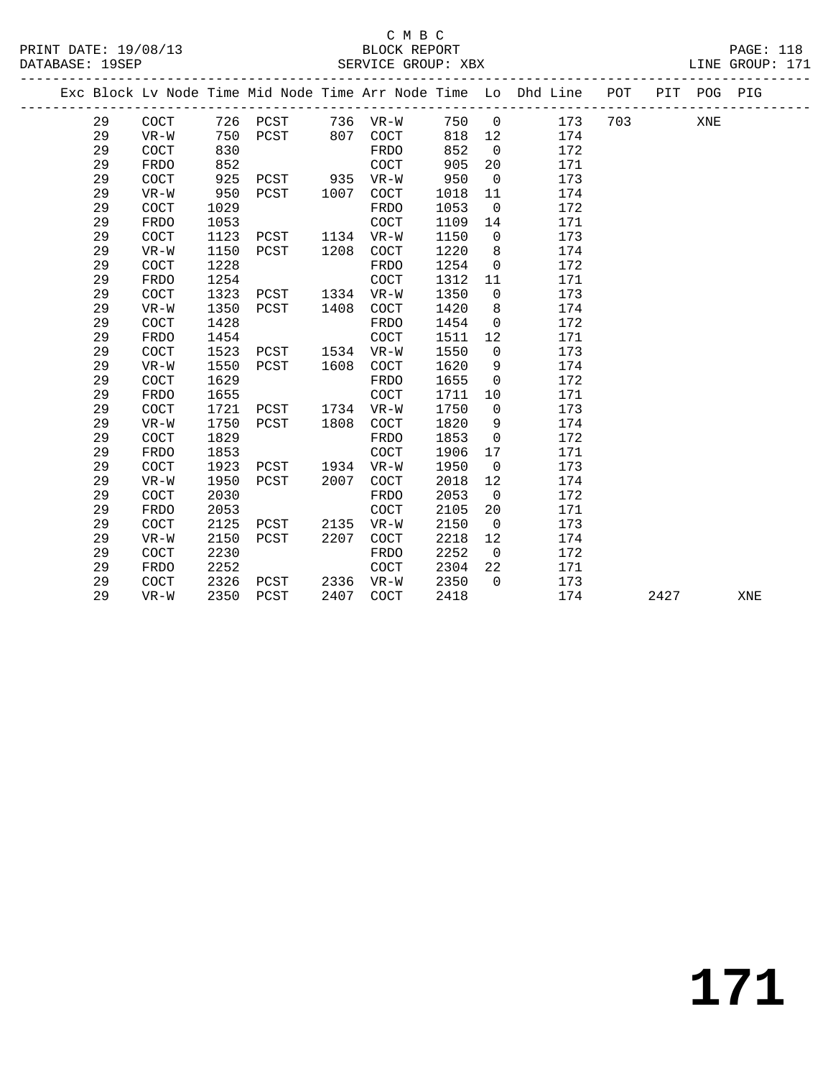|  |    |             |      |                   |      |             |      |                | Exc Block Lv Node Time Mid Node Time Arr Node Time Lo Dhd Line POT PIT POG PIG<br>------------------------------- |     |      |     |     |
|--|----|-------------|------|-------------------|------|-------------|------|----------------|-------------------------------------------------------------------------------------------------------------------|-----|------|-----|-----|
|  | 29 | COCT        |      | 726 PCST 736 VR-W |      |             | 750  | $\overline{0}$ | 173                                                                                                               | 703 |      | XNE |     |
|  | 29 | $VR-W$      | 750  | PCST              |      | 807 COCT    | 818  | 12             | 174                                                                                                               |     |      |     |     |
|  | 29 | COCT        | 830  |                   |      | FRDO        | 852  | $\overline{0}$ | 172                                                                                                               |     |      |     |     |
|  | 29 | <b>FRDO</b> | 852  |                   |      | COCT        | 905  | 20             | 171                                                                                                               |     |      |     |     |
|  | 29 | <b>COCT</b> | 925  | PCST              | 935  | VR-W        | 950  | $\overline{0}$ | 173                                                                                                               |     |      |     |     |
|  | 29 | $VR-W$      | 950  | PCST              | 1007 | COCT        | 1018 | 11             | 174                                                                                                               |     |      |     |     |
|  | 29 | COCT        | 1029 |                   |      | FRDO        | 1053 | $\overline{0}$ | 172                                                                                                               |     |      |     |     |
|  | 29 | <b>FRDO</b> | 1053 |                   |      | COCT        | 1109 | 14             | 171                                                                                                               |     |      |     |     |
|  | 29 | COCT        | 1123 | PCST              |      | 1134 VR-W   | 1150 | $\overline{0}$ | 173                                                                                                               |     |      |     |     |
|  | 29 | $VR-W$      | 1150 | PCST              | 1208 | COCT        | 1220 | 8              | 174                                                                                                               |     |      |     |     |
|  | 29 | COCT        | 1228 |                   |      | FRDO        | 1254 | $\mathbf 0$    | 172                                                                                                               |     |      |     |     |
|  | 29 | <b>FRDO</b> | 1254 |                   |      | COCT        | 1312 | 11             | 171                                                                                                               |     |      |     |     |
|  | 29 | COCT        | 1323 | PCST              | 1334 | $VR-W$      | 1350 | $\mathbf 0$    | 173                                                                                                               |     |      |     |     |
|  | 29 | $VR-W$      | 1350 | PCST              | 1408 | COCT        | 1420 | 8              | 174                                                                                                               |     |      |     |     |
|  | 29 | COCT        | 1428 |                   |      | FRDO        | 1454 | $\mathsf{O}$   | 172                                                                                                               |     |      |     |     |
|  | 29 | FRDO        | 1454 |                   |      | COCT        | 1511 | 12             | 171                                                                                                               |     |      |     |     |
|  | 29 | COCT        | 1523 | PCST              | 1534 | $VR-W$      | 1550 | $\mathbf 0$    | 173                                                                                                               |     |      |     |     |
|  | 29 | $VR-W$      | 1550 | PCST              | 1608 | COCT        | 1620 | 9              | 174                                                                                                               |     |      |     |     |
|  | 29 | COCT        | 1629 |                   |      | FRDO        | 1655 | $\mathbf{0}$   | 172                                                                                                               |     |      |     |     |
|  | 29 | FRDO        | 1655 |                   |      | COCT        | 1711 | $10\,$         | 171                                                                                                               |     |      |     |     |
|  | 29 | COCT        | 1721 | PCST              | 1734 | $VR-W$      | 1750 | $\mathbf 0$    | 173                                                                                                               |     |      |     |     |
|  | 29 | $VR-W$      | 1750 | PCST              | 1808 | <b>COCT</b> | 1820 | 9              | 174                                                                                                               |     |      |     |     |
|  | 29 | <b>COCT</b> | 1829 |                   |      | FRDO        | 1853 | $\mathbf 0$    | 172                                                                                                               |     |      |     |     |
|  | 29 | FRDO        | 1853 |                   |      | <b>COCT</b> | 1906 | 17             | 171                                                                                                               |     |      |     |     |
|  | 29 | <b>COCT</b> | 1923 | PCST              | 1934 | $VR-W$      | 1950 | $\overline{0}$ | 173                                                                                                               |     |      |     |     |
|  | 29 | $VR-W$      | 1950 | PCST              | 2007 | <b>COCT</b> | 2018 | 12             | 174                                                                                                               |     |      |     |     |
|  | 29 | COCT        | 2030 |                   |      | FRDO        | 2053 | $\overline{0}$ | 172                                                                                                               |     |      |     |     |
|  | 29 | <b>FRDO</b> | 2053 |                   |      | COCT        | 2105 | 20             | 171                                                                                                               |     |      |     |     |
|  | 29 | COCT        | 2125 | PCST              | 2135 | VR-W        | 2150 | $\overline{0}$ | 173                                                                                                               |     |      |     |     |
|  | 29 | $VR-W$      | 2150 | PCST              | 2207 | COCT        | 2218 | 12             | 174                                                                                                               |     |      |     |     |
|  | 29 | COCT        | 2230 |                   |      | FRDO        | 2252 | $\overline{0}$ | 172                                                                                                               |     |      |     |     |
|  | 29 | <b>FRDO</b> | 2252 |                   |      | COCT        | 2304 | 22             | 171                                                                                                               |     |      |     |     |
|  | 29 | <b>COCT</b> | 2326 | PCST              | 2336 | VR-W        | 2350 | $\Omega$       | 173                                                                                                               |     |      |     |     |
|  | 29 | VR-W        | 2350 | PCST              | 2407 | <b>COCT</b> | 2418 |                | 174                                                                                                               |     | 2427 |     | XNE |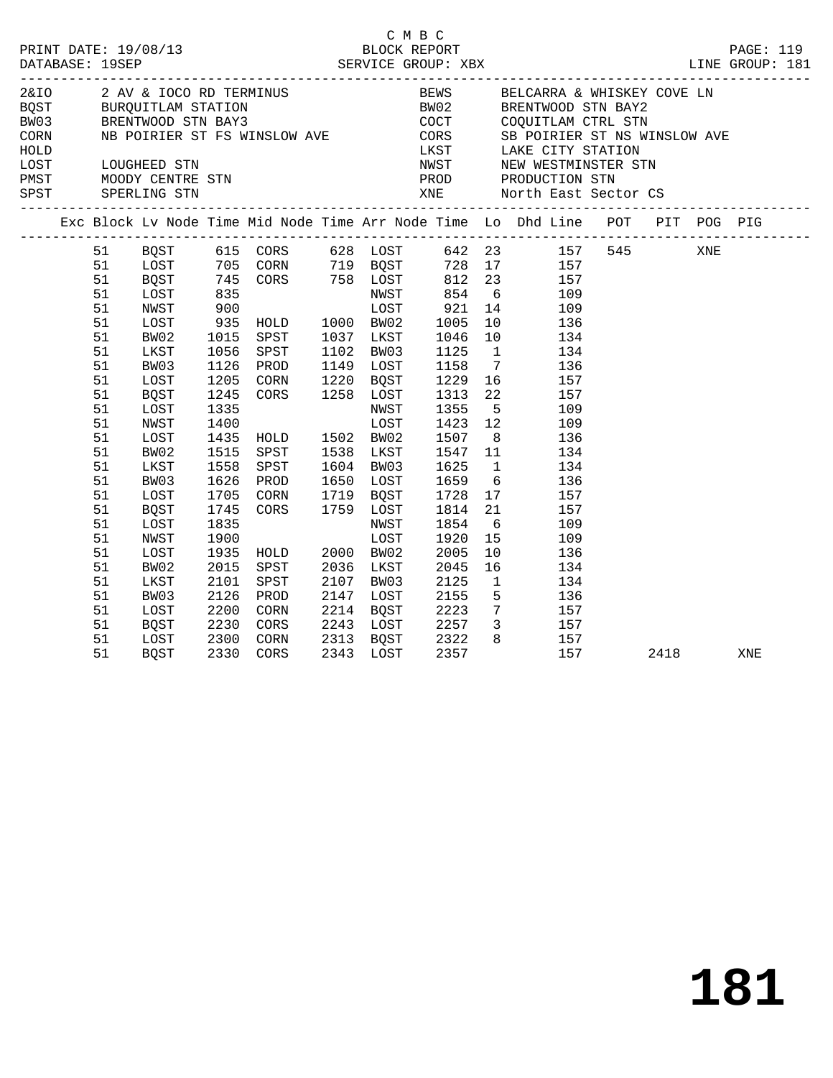|                                                                                                          |                                                                                                      |                                                                                              |                                                                                                                                                        |                                                                                                         | C M B C                                                                                              |                                         |                                                                                                                                                                                                                                                                                                                                                                                                                                                                                                                                                                                                                                                                                            |      |     |     |
|----------------------------------------------------------------------------------------------------------|------------------------------------------------------------------------------------------------------|----------------------------------------------------------------------------------------------|--------------------------------------------------------------------------------------------------------------------------------------------------------|---------------------------------------------------------------------------------------------------------|------------------------------------------------------------------------------------------------------|-----------------------------------------|--------------------------------------------------------------------------------------------------------------------------------------------------------------------------------------------------------------------------------------------------------------------------------------------------------------------------------------------------------------------------------------------------------------------------------------------------------------------------------------------------------------------------------------------------------------------------------------------------------------------------------------------------------------------------------------------|------|-----|-----|
|                                                                                                          |                                                                                                      |                                                                                              |                                                                                                                                                        |                                                                                                         |                                                                                                      |                                         | 2 AV & IOCO RD TERMINUS<br>BEWS BELCARRA & WHISKEY COVE LN<br>BOST BURQUITLAM STATION BWO2 BRENTWOOD STN BAY2<br>CORN NB POIRIER ST FS WINSLOW AVE LAKE CITY STATION<br>HOLD<br>HOLD<br>LOST LOUGHEED STN NEW NEW WESTMINSTER STN<br>PMST MOODY CENTRE STN PRODUCTION STN<br>SPST SPERLING STN XNE North East Sector CS                                                                                                                                                                                                                                                                                                                                                                    |      |     |     |
|                                                                                                          |                                                                                                      |                                                                                              |                                                                                                                                                        |                                                                                                         |                                                                                                      |                                         | Exc Block Lv Node Time Mid Node Time Arr Node Time Lo Dhd Line POT PIT POG PIG                                                                                                                                                                                                                                                                                                                                                                                                                                                                                                                                                                                                             |      |     |     |
| 51<br>51<br>51<br>51<br>51<br>51<br>51<br>51<br>51<br>51<br>51<br>51<br>51<br>51<br>51<br>51<br>51<br>51 | BW02<br>LKST<br>BW03<br>LOST<br>BQST<br>LOST<br>NWST<br>LOST<br>BW02<br>LKST<br>BW03<br>LOST<br>BQST | 1015<br>1056<br>1126<br>1245<br>1335<br>1400<br>1435<br>1515<br>1558<br>1626<br>1705<br>1745 | SPST<br>SPST<br>PROD<br>1205 CORN<br>CORS 1258 LOST<br>HOLD 1502 BW02<br>SPST<br>SPST<br>PROD<br>CORN 1719 BOST<br>CORS 1759 LOST<br>NWST LOST<br>WOST | 1037 LKST<br>1102 BW03<br>1149 LOST<br>1220 BQST<br>NWST<br>LOST<br>1538 LKST<br>1604 BW03<br>1650 LOST | 1046<br>1125<br>1158<br>1229<br>1313<br>1355<br>1423<br>1507<br>1547<br>1625<br>1659<br>1728<br>1814 | $7\overline{ }$<br>22<br>8 <sup>8</sup> | 51 BQST 615 CORS 628 LOST 642 23 157 545<br>1993<br>1993<br>1993<br>1993<br>1993<br>1993<br>1993<br>1993<br>1993<br>1993<br>1993<br>1993<br>1993<br>1996<br>1996<br>1996<br>1996<br>1996<br>1996<br>1997<br>1997<br>1997<br>1998<br>1997<br>1998<br>1998<br>1998<br>1998<br>1998<br>1998<br>1998<br>1998<br>1998<br>1998<br>1998<br>1998<br>1998<br><br>$\begin{array}{c} 10 \\ 134 \end{array}$<br>$1 \qquad \qquad 134$<br>136<br>$\overline{16}$ $\overline{157}$<br>157<br>$\frac{5}{12}$<br>109<br>109<br>136<br>$\begin{array}{c} 11 \\ 1 \end{array}$<br>134<br>134<br>$6\overline{6}$<br>136<br>$\begin{array}{cc} 17 & \hspace{1.5cm} 157 \\ 21 & \hspace{1.5cm} 157 \end{array}$ |      | XNE |     |
| 51<br>51<br>51<br>51<br>51<br>51<br>51<br>51<br>51                                                       | LOST<br>NWST<br>LOST<br>BW02<br>LKST<br>BW03<br>LOST<br>BQST<br>LOST                                 | 1835<br>1900<br>1935<br>2015<br>2101<br>2126<br>2200<br>2230                                 | HOLD<br>SPST<br>SPST<br>PROD<br>CORN<br>CORS<br>2300 CORN<br>2330 CORS<br>CORN                                                                         | 2000 BW02<br>2036 LKST<br>2107 BW03<br>2147 LOST<br>2214 BQST<br>2243 LOST<br>2313 BQST                 | 1854<br>1920<br>2005<br>2045<br>2125<br>2155<br>2223<br>2257<br>2322<br>2357                         | 15                                      | $6\overline{6}$<br>109<br>109<br>10<br>136<br>16<br>134<br>$\mathbf{1}$<br>134<br>$\begin{array}{ccc} 5 & \hspace{1.5cm} 136 \\ 7 & \hspace{1.5cm} 157 \end{array}$<br>3 157<br>$\begin{array}{cc} 8 & \hspace{1.5mm} 157 \\ 157 \end{array}$                                                                                                                                                                                                                                                                                                                                                                                                                                              |      |     |     |
| 51                                                                                                       | BQST                                                                                                 |                                                                                              |                                                                                                                                                        | 2343 LOST                                                                                               | 2357                                                                                                 |                                         | 157                                                                                                                                                                                                                                                                                                                                                                                                                                                                                                                                                                                                                                                                                        | 2418 |     | XNE |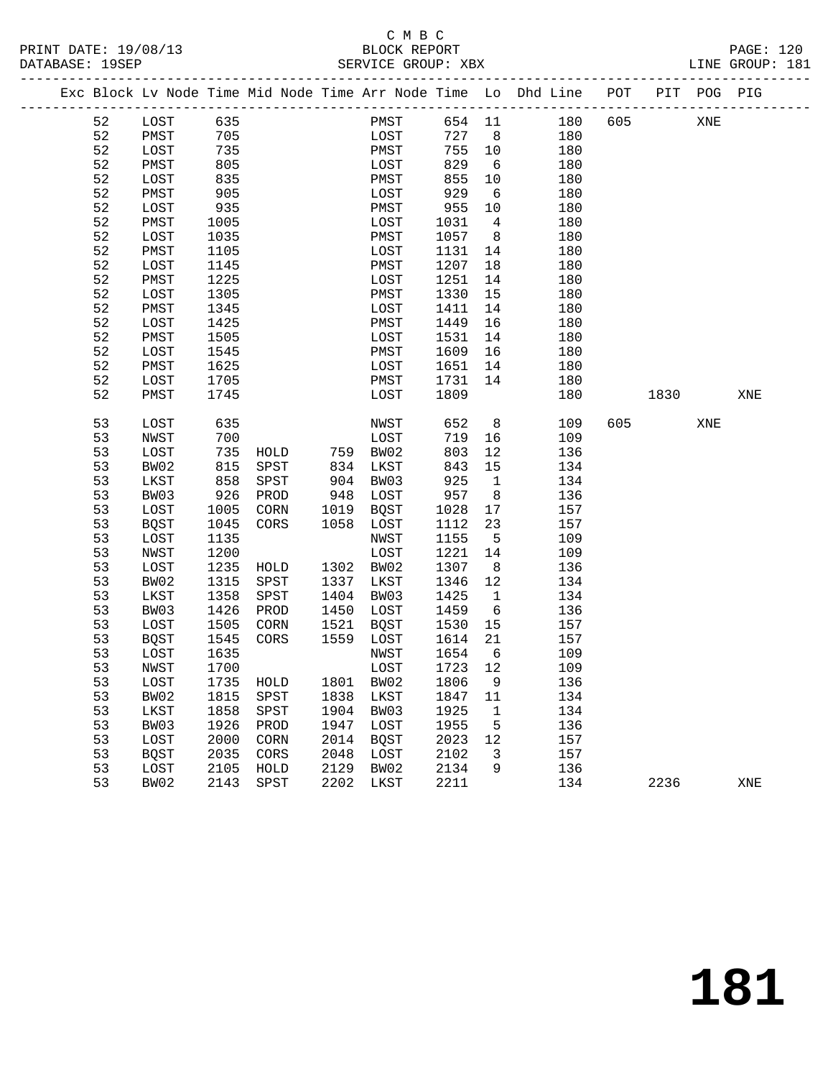#### C M B C<br>BLOCK REPORT PRINT DATE: 19/08/13 BLOCK REPORT PAGE: 120 SERVICE GROUP: XBX

|  |    | Exc Block Lv Node Time Mid Node Time Arr Node Time Lo Dhd Line POT PIT POG PIG |           |      |           |          |      |                            |                |            |     |      |     |     |
|--|----|--------------------------------------------------------------------------------|-----------|------|-----------|----------|------|----------------------------|----------------|------------|-----|------|-----|-----|
|  | 52 | LOST 635                                                                       |           |      |           |          | PMST |                            |                | 654 11 180 | 605 |      | XNE |     |
|  | 52 | PMST                                                                           | 705       |      |           |          | LOST | 727 8                      |                | 180        |     |      |     |     |
|  | 52 | LOST                                                                           | 735       |      |           | PMST     |      | 755 10                     |                | 180        |     |      |     |     |
|  | 52 | PMST                                                                           | 805       |      |           | LOST     |      | 829                        | 6              | 180        |     |      |     |     |
|  | 52 | LOST                                                                           | 835       |      |           | PMST     |      | 855                        | 10             | 180        |     |      |     |     |
|  | 52 | PMST                                                                           | 905       |      |           | LOST     |      | 929                        | 6              | 180        |     |      |     |     |
|  | 52 | LOST                                                                           | 935       |      |           | PMST     |      | 955                        | 10             | 180        |     |      |     |     |
|  | 52 | PMST                                                                           | 1005      |      |           | LOST     |      | 1031                       | $\overline{4}$ | 180        |     |      |     |     |
|  | 52 | LOST                                                                           | 1035      |      |           | PMST     |      | 1057                       | 8 <sup>8</sup> | 180        |     |      |     |     |
|  | 52 | PMST                                                                           | 1105      |      |           | LOST     |      | 1131                       | 14             | 180        |     |      |     |     |
|  | 52 | LOST                                                                           | 1145      |      |           | PMST     |      | 1207                       | 18             | 180        |     |      |     |     |
|  | 52 | PMST                                                                           | 1225      |      |           | LOST     |      | 1251                       | 14             | 180        |     |      |     |     |
|  | 52 | LOST                                                                           | 1305      |      |           | PMST     |      | 1330                       | 15             | 180        |     |      |     |     |
|  | 52 | PMST                                                                           | 1345      |      |           | LOST     |      | 1411                       | 14             | 180        |     |      |     |     |
|  | 52 | LOST                                                                           | 1425      |      |           | PMST     |      | 1449                       | 16             | 180        |     |      |     |     |
|  | 52 | PMST                                                                           | 1505      |      |           | LOST     |      | 1531                       | 14             | 180        |     |      |     |     |
|  | 52 | LOST                                                                           | 1545      |      |           | PMST     |      | 1609                       | 16             | 180        |     |      |     |     |
|  | 52 | PMST                                                                           | 1625      |      |           | LOST     |      | 1651                       | 14             | 180        |     |      |     |     |
|  | 52 | LOST                                                                           | 1705      |      |           | PMST     |      | 1731                       | 14             | 180        |     |      |     |     |
|  | 52 | PMST                                                                           | 1745      |      |           | LOST     |      | 1809                       |                | 180        |     | 1830 |     | XNE |
|  | 53 | LOST                                                                           | 635       |      |           | NWST     |      | 652                        | 8 <sup>8</sup> | 109        | 605 |      | XNE |     |
|  | 53 | NWST                                                                           | 700       |      |           | LOST     |      | 719                        | 16             | 109        |     |      |     |     |
|  | 53 | LOST                                                                           | 735       | HOLD | 759 BW02  |          |      | 803                        | 12             | 136        |     |      |     |     |
|  | 53 | BW02                                                                           | 815       | SPST | 834       | LKST     |      | 843                        | 15             | 134        |     |      |     |     |
|  | 53 | LKST                                                                           | 858       | SPST |           | 904 BW03 |      | 925                        | $\overline{1}$ | 134        |     |      |     |     |
|  | 53 | BW03                                                                           | 926       | PROD | 948 LOST  |          |      | 957                        | 8 <sup>8</sup> | 136        |     |      |     |     |
|  | 53 | LOST                                                                           | 1005      | CORN | 1019      | BQST     |      | 1028                       | 17             | 157        |     |      |     |     |
|  | 53 | BQST                                                                           | 1045      | CORS | 1058      | LOST     |      | 1112                       | 23             | 157        |     |      |     |     |
|  | 53 | LOST                                                                           | 1135      |      |           | NWST     |      | 1155                       | $5^{\circ}$    | 109        |     |      |     |     |
|  | 53 | NWST                                                                           | 1200      |      |           | LOST     |      | 1221                       | 14             | 109        |     |      |     |     |
|  | 53 | LOST                                                                           | 1235      | HOLD | 1302 BW02 |          |      | 1307                       | 8 <sup>8</sup> | 136        |     |      |     |     |
|  | 53 | BW02                                                                           | 1315      | SPST | 1337      | LKST     |      | 1346                       | 12             | 134        |     |      |     |     |
|  | 53 | LKST                                                                           | 1358      | SPST | 1404      | BW03     |      | 1425                       | $\mathbf{1}$   | 134        |     |      |     |     |
|  | 53 | BW03                                                                           | 1426      | PROD | 1450      | LOST     |      | 1459                       | 6              | 136        |     |      |     |     |
|  | 53 | LOST                                                                           | 1505      | CORN | 1521      | BQST     |      | 1530                       | 15             | 157        |     |      |     |     |
|  | 53 | BQST                                                                           | 1545      | CORS | 1559      | LOST     |      | 1614                       | 21             | 157        |     |      |     |     |
|  | 53 | LOST                                                                           | 1635      |      |           | NWST     |      | 1654                       | 6              | 109        |     |      |     |     |
|  | 53 | NWST                                                                           | 1700      |      |           | LOST     |      | 1723 12                    |                | 109        |     |      |     |     |
|  | 53 | LOST                                                                           |           |      |           |          |      | 1735 HOLD 1801 BW02 1806 9 |                | 136        |     |      |     |     |
|  | 53 | BW02                                                                           | 1815      | SPST | 1838 LKST |          |      | 1847 11                    |                | 134        |     |      |     |     |
|  | 53 | LKST                                                                           | 1858      | SPST | 1904 BW03 |          |      | 1925                       | $\mathbf{1}$   | 134        |     |      |     |     |
|  | 53 | BW03                                                                           | 1926      | PROD | 1947      | LOST     |      | 1955                       | 5              | 136        |     |      |     |     |
|  | 53 | LOST                                                                           | 2000      | CORN | 2014      | BQST     |      | 2023                       | 12             | 157        |     |      |     |     |
|  | 53 | <b>BQST</b>                                                                    | 2035      | CORS | 2048      | LOST     |      | 2102                       | 3              | 157        |     |      |     |     |
|  | 53 | LOST                                                                           | 2105      | HOLD | 2129      | BW02     |      | 2134                       | 9              | 136        |     |      |     |     |
|  | 53 | BW02                                                                           | 2143 SPST |      | 2202      | LKST     |      | 2211                       |                | 134        |     | 2236 |     | XNE |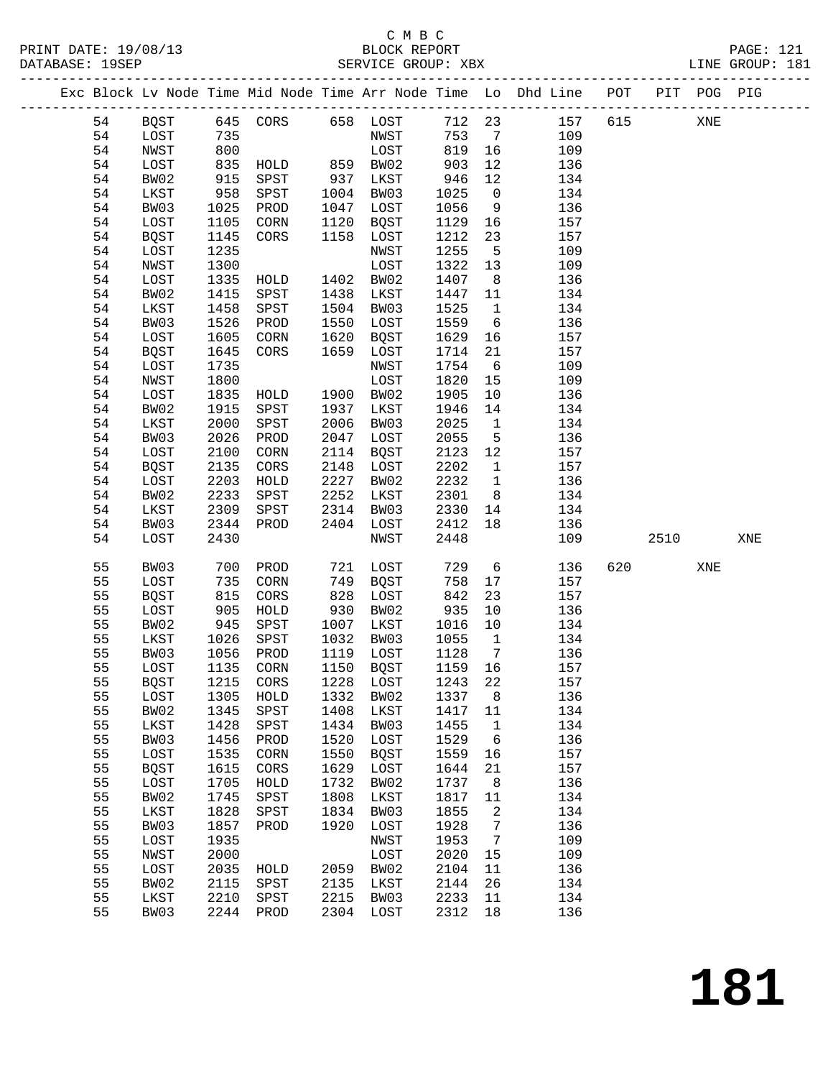|  |    |             |            |                        |      |                   |         |                         | Exc Block Lv Node Time Mid Node Time Arr Node Time Lo Dhd Line POT PIT POG PIG |     |      |     |     |
|--|----|-------------|------------|------------------------|------|-------------------|---------|-------------------------|--------------------------------------------------------------------------------|-----|------|-----|-----|
|  | 54 |             |            | BQST 645 CORS 658 LOST |      |                   |         |                         | 712 23 157                                                                     | 615 |      | XNE |     |
|  | 54 | LOST        | 735        |                        |      | NWST              | 753     | $7\overline{ }$         | 109                                                                            |     |      |     |     |
|  | 54 | NWST        | 800        |                        |      | LOST              | 819 16  |                         | 109                                                                            |     |      |     |     |
|  | 54 | LOST        | 835        | HOLD 859 BW02          |      |                   | 903     | 12                      | 136                                                                            |     |      |     |     |
|  | 54 | BW02        | 915        | SPST                   |      | 937 LKST          | 946     | 12                      | 134                                                                            |     |      |     |     |
|  | 54 | LKST        | 958        | SPST                   |      | 1004 BW03         | 1025    | $\overline{0}$          | 134                                                                            |     |      |     |     |
|  | 54 | BW03        | 1025       | PROD                   |      | 1047 LOST         | 1056    | 9                       | 136                                                                            |     |      |     |     |
|  | 54 | LOST        | 1105       | CORN                   |      | 1120 BQST         | 1129    | 16                      | 157                                                                            |     |      |     |     |
|  | 54 | <b>BQST</b> | 1145       | CORS                   |      | 1158 LOST         | 1212    | 23                      | 157                                                                            |     |      |     |     |
|  | 54 | LOST        | 1235       |                        |      | NWST              | 1255    | $5^{\circ}$             | 109                                                                            |     |      |     |     |
|  | 54 | NWST        | 1300       |                        |      | LOST              | 1322    | 13                      | 109                                                                            |     |      |     |     |
|  | 54 | LOST        | 1335       | HOLD 1402 BW02         |      |                   | 1407    | 8 <sup>8</sup>          | 136                                                                            |     |      |     |     |
|  | 54 | BW02        | 1415       | SPST                   | 1438 | LKST              | 1447    | 11                      | 134                                                                            |     |      |     |     |
|  | 54 | LKST        | 1458       | SPST                   |      | 1504 BW03         | 1525    | $\overline{1}$          | 134                                                                            |     |      |     |     |
|  |    |             |            |                        |      |                   |         |                         |                                                                                |     |      |     |     |
|  | 54 | BW03        | 1526       | PROD                   | 1550 | LOST              | 1559    | 6                       | 136                                                                            |     |      |     |     |
|  | 54 | LOST        | 1605       | CORN                   | 1620 | BQST              | 1629    | 16                      | 157                                                                            |     |      |     |     |
|  | 54 | BQST        | 1645       | CORS                   | 1659 | LOST              | 1714    | 21                      | 157                                                                            |     |      |     |     |
|  | 54 | LOST        | 1735       |                        |      | NWST              | 1754    | 6                       | 109                                                                            |     |      |     |     |
|  | 54 | NWST        | 1800       |                        |      | LOST              | 1820    | 15                      | 109                                                                            |     |      |     |     |
|  | 54 | LOST        | 1835       | HOLD 1900              |      | BW02              | 1905    | 10                      | 136                                                                            |     |      |     |     |
|  | 54 | BW02        | 1915       | SPST                   | 1937 | LKST              | 1946    | 14                      | 134                                                                            |     |      |     |     |
|  | 54 | LKST        | 2000       | SPST                   |      | 2006 BW03         | 2025    | $\overline{1}$          | 134                                                                            |     |      |     |     |
|  | 54 | BW03        | 2026       | PROD                   | 2047 | LOST              | 2055    | $5^{\circ}$             | 136                                                                            |     |      |     |     |
|  | 54 | LOST        | 2100       | CORN                   |      | 2114 BQST         | 2123    | 12                      | 157                                                                            |     |      |     |     |
|  | 54 | BQST        | 2135       | CORS                   | 2148 | LOST              | 2202    | $\overline{1}$          | 157                                                                            |     |      |     |     |
|  | 54 | LOST        | 2203       | HOLD                   | 2227 | BW02              | 2232    | $\overline{\mathbf{1}}$ | 136                                                                            |     |      |     |     |
|  | 54 | BW02        | 2233       | SPST                   | 2252 | LKST              | 2301    | 8 <sup>8</sup>          | 134                                                                            |     |      |     |     |
|  | 54 | LKST        | 2309       | SPST                   | 2314 | BW03              | 2330    | 14                      | 134                                                                            |     |      |     |     |
|  | 54 | BW03        | 2344       | PROD                   | 2404 | LOST              | 2412    | 18                      | 136                                                                            |     |      |     |     |
|  | 54 | LOST        | 2430       |                        |      | NWST              | 2448    |                         | 109                                                                            |     | 2510 |     | XNE |
|  | 55 | BW03        | 700        | PROD                   | 721  | LOST              | 729     | $6\overline{6}$         | 136                                                                            | 620 |      | XNE |     |
|  | 55 | LOST        | 735        | CORN                   |      | 749 BQST          | 758     | 17                      | 157                                                                            |     |      |     |     |
|  | 55 | <b>BQST</b> |            | CORS                   | 828  | LOST              | 842     | 23                      | 157                                                                            |     |      |     |     |
|  | 55 | LOST        | 815<br>905 | HOLD                   |      | 930 BW02          | 935     | 10                      | 136                                                                            |     |      |     |     |
|  | 55 | BW02        | 945        | SPST                   | 1007 | LKST              | 1016    | 10                      | 134                                                                            |     |      |     |     |
|  | 55 | LKST        | 1026       | SPST                   | 1032 | BW03              | 1055    | $\overline{1}$          | 134                                                                            |     |      |     |     |
|  | 55 | BW03        | 1056       | PROD                   |      | 1119 LOST         | 1128    | $\overline{7}$          | 136                                                                            |     |      |     |     |
|  | 55 | LOST        | 1135       | CORN                   |      | 1150 BQST         | 1159 16 |                         | 157                                                                            |     |      |     |     |
|  | 55 | BQST        |            | 1215 CORS              |      | 1228 LOST 1243 22 |         |                         | 157                                                                            |     |      |     |     |
|  | 55 | LOST        | 1305       | HOLD                   | 1332 | BW02              | 1337    | 8                       | 136                                                                            |     |      |     |     |
|  | 55 | BW02        | 1345       | SPST                   | 1408 | LKST              | 1417    | 11                      | 134                                                                            |     |      |     |     |
|  | 55 | LKST        | 1428       | SPST                   | 1434 | BW03              | 1455    | $\mathbf{1}$            | 134                                                                            |     |      |     |     |
|  | 55 | BW03        | 1456       | PROD                   | 1520 | LOST              | 1529    | 6                       | 136                                                                            |     |      |     |     |
|  | 55 | LOST        | 1535       | CORN                   | 1550 | <b>BQST</b>       | 1559    | 16                      | 157                                                                            |     |      |     |     |
|  | 55 | <b>BQST</b> | 1615       | CORS                   | 1629 | LOST              | 1644    | 21                      | 157                                                                            |     |      |     |     |
|  | 55 | LOST        | 1705       | HOLD                   | 1732 | BW02              | 1737    | 8                       | 136                                                                            |     |      |     |     |
|  | 55 | BW02        | 1745       | SPST                   | 1808 | LKST              | 1817    | 11                      | 134                                                                            |     |      |     |     |
|  | 55 | LKST        | 1828       | SPST                   | 1834 | BW03              | 1855    | 2                       | 134                                                                            |     |      |     |     |
|  | 55 | BW03        | 1857       | PROD                   | 1920 | LOST              | 1928    | 7                       | 136                                                                            |     |      |     |     |
|  | 55 | LOST        | 1935       |                        |      | NWST              | 1953    | $7\phantom{.0}$         | 109                                                                            |     |      |     |     |
|  | 55 | NWST        | 2000       |                        |      | LOST              | 2020    | 15                      | 109                                                                            |     |      |     |     |
|  | 55 | LOST        | 2035       | HOLD                   | 2059 | BW02              | 2104    | 11                      | 136                                                                            |     |      |     |     |
|  | 55 | BW02        | 2115       | SPST                   | 2135 | LKST              | 2144    | 26                      | 134                                                                            |     |      |     |     |
|  | 55 | LKST        | 2210       | SPST                   | 2215 | BW03              | 2233    | 11                      | 134                                                                            |     |      |     |     |
|  | 55 | BW03        |            | 2244 PROD              |      | 2304 LOST         | 2312    | 18                      | 136                                                                            |     |      |     |     |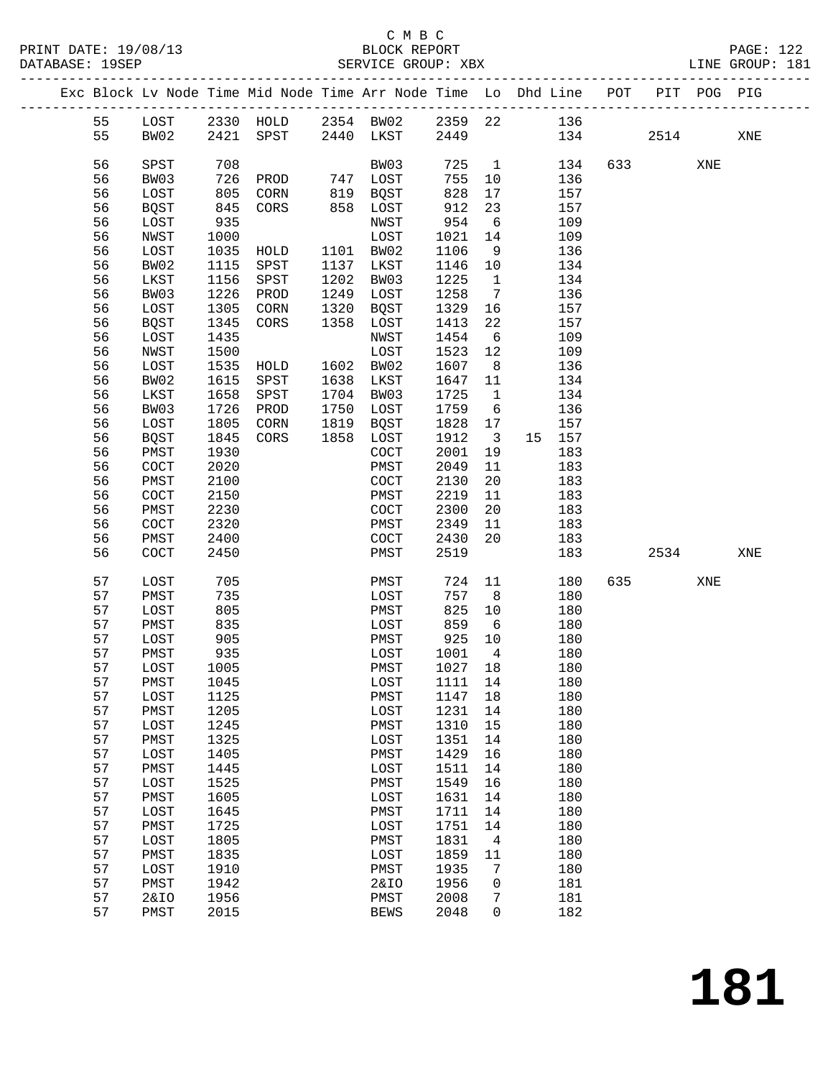### C M B C

PRINT DATE: 19/08/13 BLOCK REPORT PAGE: 122 DATABASE: 19SEP SERVICE GROUP: XBX LINE GROUP: 181 ------------------------------------------------------------------------------------------------- Exc Block Lv Node Time Mid Node Time Arr Node Time Lo Dhd Line POT PIT POG PIG ------------------------------------------------------------------------------------------------- 55 LOST 2330 HOLD 2354 BW02 2359 22 136 55 BW02 2421 SPST 2440 LKST 2449 134 2514 XNE 56 SPST 708 BW03 725 1 134 633 XNE 56 BW03 726 PROD 747 LOST 755 10 136 56 LOST 805 CORN 819 BQST 828 17 157 56 BQST 845 CORS 858 LOST 912 23 157 56 LOST 935 NWST 954 6 109 56 NWST 1000 LOST 1021 14 109 56 LOST 1035 HOLD 1101 BW02 1106 9 136 56 BW02 1115 SPST 1137 LKST 1146 10 134 56 LKST 1156 SPST 1202 BW03 1225 1 134 56 BW03 1226 PROD 1249 LOST 1258 7 136 56 LOST 1305 CORN 1320 BQST 1329 16 157 56 BQST 1345 CORS 1358 LOST 1413 22 157 56 LOST 1435 NWST 1454 6 109 56 NWST 1500 LOST 1523 12 109 56 LOST 1535 HOLD 1602 BW02 1607 8 136 56 BW02 1615 SPST 1638 LKST 1647 11 134 56 LKST 1658 SPST 1704 BW03 1725 1 134 56 BW03 1726 PROD 1750 LOST 1759 6 136 56 LOST 1805 CORN 1819 BQST 1828 17 157 56 BQST 1845 CORS 1858 LOST 1912 3 15 157 56 PMST 1930 COCT 2001 19 183 56 COCT 2020 PMST 2049 11 183<br>56 PMST 2100 COCT 2130 20 183 56 PMST 2100 COCT 2130 20 183 56 COCT 2150 PMST 2219 11 183 56 PMST 2230 COCT 2300 20 183

| 56 | PM2.T. | 2230 | COC.T.          | 2300 | ZU          | 183 |     |      |     |     |
|----|--------|------|-----------------|------|-------------|-----|-----|------|-----|-----|
| 56 | COCT   | 2320 | PMST            | 2349 | 11          | 183 |     |      |     |     |
| 56 | PMST   | 2400 | COCT            | 2430 | 20          | 183 |     |      |     |     |
| 56 | COCT   | 2450 | PMST            | 2519 |             | 183 |     | 2534 |     | XNE |
|    |        |      |                 |      |             |     |     |      |     |     |
| 57 | LOST   | 705  | PMST            | 724  | 11          | 180 | 635 |      | XNE |     |
| 57 | PMST   | 735  | LOST            | 757  | 8           | 180 |     |      |     |     |
| 57 | LOST   | 805  | PMST            | 825  | 10          | 180 |     |      |     |     |
| 57 | PMST   | 835  | LOST            | 859  | 6           | 180 |     |      |     |     |
| 57 | LOST   | 905  | PMST            | 925  | 10          | 180 |     |      |     |     |
| 57 | PMST   | 935  | LOST            | 1001 | 4           | 180 |     |      |     |     |
| 57 | LOST   | 1005 | PMST            | 1027 | 18          | 180 |     |      |     |     |
| 57 | PMST   | 1045 | LOST            | 1111 | 14          | 180 |     |      |     |     |
| 57 | LOST   | 1125 | PMST            | 1147 | 18          | 180 |     |      |     |     |
| 57 | PMST   | 1205 | LOST            | 1231 | 14          | 180 |     |      |     |     |
| 57 | LOST   | 1245 | PMST            | 1310 | 15          | 180 |     |      |     |     |
| 57 | PMST   | 1325 | LOST            | 1351 | 14          | 180 |     |      |     |     |
| 57 | LOST   | 1405 | PMST            | 1429 | 16          | 180 |     |      |     |     |
| 57 | PMST   | 1445 | LOST            | 1511 | 14          | 180 |     |      |     |     |
| 57 | LOST   | 1525 | PMST            | 1549 | 16          | 180 |     |      |     |     |
| 57 | PMST   | 1605 | LOST            | 1631 | 14          | 180 |     |      |     |     |
| 57 | LOST   | 1645 | PMST            | 1711 | 14          | 180 |     |      |     |     |
| 57 | PMST   | 1725 | LOST            | 1751 | 14          | 180 |     |      |     |     |
| 57 | LOST   | 1805 | PMST            | 1831 | 4           | 180 |     |      |     |     |
| 57 | PMST   | 1835 | LOST            | 1859 | 11          | 180 |     |      |     |     |
| 57 | LOST   | 1910 | PMST            | 1935 | 7           | 180 |     |      |     |     |
| 57 | PMST   | 1942 | <b>2&amp;IO</b> | 1956 | $\mathbf 0$ | 181 |     |      |     |     |
| 57 | 2&IO   | 1956 | PMST            | 2008 | 7           | 181 |     |      |     |     |
| 57 | PMST   | 2015 | <b>BEWS</b>     | 2048 | $\Omega$    | 182 |     |      |     |     |
|    |        |      |                 |      |             |     |     |      |     |     |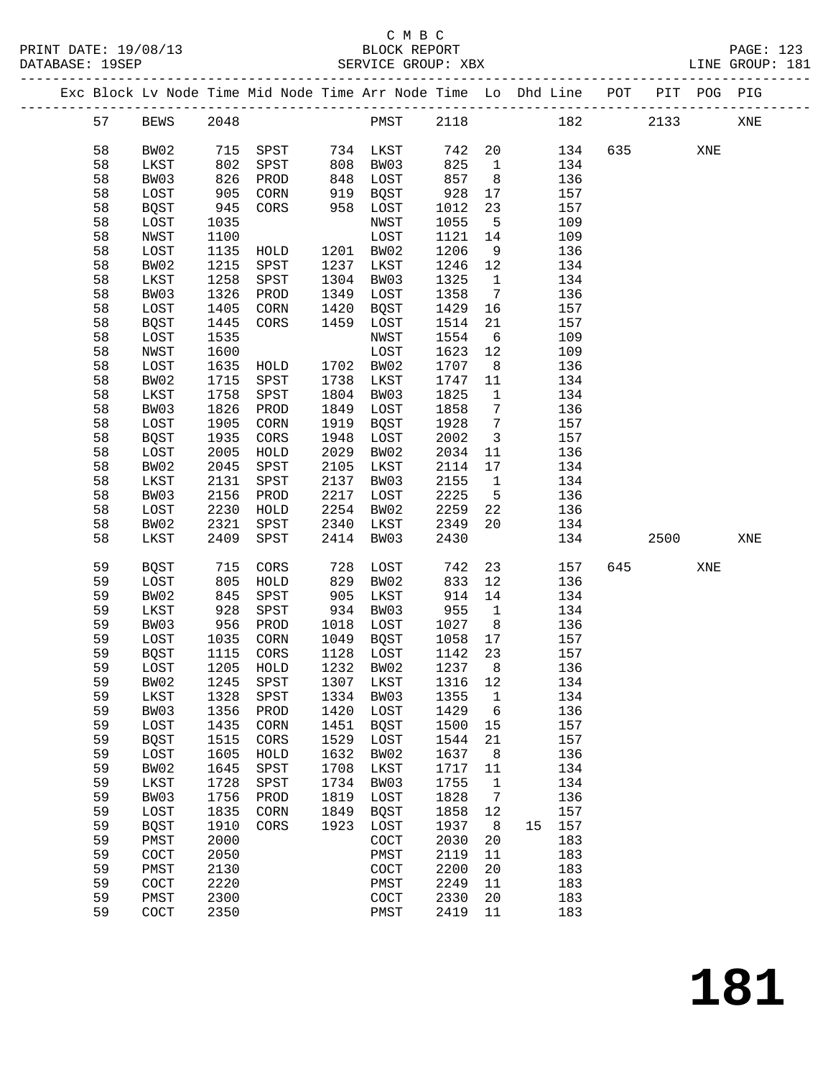### C M B C<br>BLOCK REPORT SERVICE GROUP: XBX

|  |    |                |      | Exc Block Lv Node Time Mid Node Time Arr Node Time Lo Dhd Line POT |      |                       |         |                         |    |     |     |          | PIT POG PIG |     |
|--|----|----------------|------|--------------------------------------------------------------------|------|-----------------------|---------|-------------------------|----|-----|-----|----------|-------------|-----|
|  | 57 | <b>BEWS</b>    | 2048 |                                                                    |      | PMST                  | 2118    |                         |    | 182 |     | 2133     |             | XNE |
|  | 58 | BW02           | 715  | SPST                                                               |      | 734 LKST              | 742     | 20                      |    | 134 |     | 635 — 10 | XNE         |     |
|  | 58 | LKST           | 802  | SPST                                                               | 808  | BW03                  | 825     | $\overline{1}$          |    | 134 |     |          |             |     |
|  | 58 | BW03           | 826  | PROD                                                               | 848  | LOST                  | 857     | 8 <sup>8</sup>          |    | 136 |     |          |             |     |
|  | 58 | LOST           | 905  |                                                                    | 919  |                       | 928     |                         |    | 157 |     |          |             |     |
|  |    |                |      | CORN                                                               |      | BQST                  |         | 17                      |    |     |     |          |             |     |
|  | 58 | <b>BQST</b>    | 945  | CORS                                                               | 958  | LOST                  | 1012    | 23                      |    | 157 |     |          |             |     |
|  | 58 | LOST           | 1035 |                                                                    |      | NWST                  | 1055    | $5^{\circ}$             |    | 109 |     |          |             |     |
|  | 58 | NWST           | 1100 |                                                                    |      | LOST                  | 1121    | 14                      |    | 109 |     |          |             |     |
|  | 58 | LOST           | 1135 | HOLD                                                               | 1201 | BW02                  | 1206    | 9                       |    | 136 |     |          |             |     |
|  | 58 | BW02           | 1215 | SPST                                                               | 1237 | LKST                  | 1246    | 12                      |    | 134 |     |          |             |     |
|  | 58 | LKST           | 1258 | SPST                                                               | 1304 | BW03                  | 1325    | $\overline{1}$          |    | 134 |     |          |             |     |
|  | 58 | BW03           | 1326 | PROD                                                               | 1349 | LOST                  | 1358    | $\overline{7}$          |    | 136 |     |          |             |     |
|  | 58 | LOST           | 1405 | CORN                                                               | 1420 | BQST                  | 1429    | 16                      |    | 157 |     |          |             |     |
|  | 58 | <b>BQST</b>    | 1445 | CORS                                                               | 1459 | LOST                  | 1514    | 21                      |    | 157 |     |          |             |     |
|  | 58 | LOST           | 1535 |                                                                    |      | NWST                  | 1554    | 6                       |    | 109 |     |          |             |     |
|  | 58 | NWST           | 1600 |                                                                    |      | LOST                  | 1623    | 12                      |    | 109 |     |          |             |     |
|  | 58 | LOST           | 1635 | HOLD                                                               | 1702 | BW02                  | 1707    | 8 <sup>8</sup>          |    | 136 |     |          |             |     |
|  | 58 | BW02           | 1715 | SPST                                                               | 1738 | LKST                  | 1747    | 11                      |    | 134 |     |          |             |     |
|  |    |                |      |                                                                    |      |                       |         |                         |    |     |     |          |             |     |
|  | 58 | LKST           | 1758 | SPST                                                               | 1804 | BW03                  | 1825    | $\mathbf{1}$            |    | 134 |     |          |             |     |
|  | 58 | BW03           | 1826 | PROD                                                               | 1849 | LOST                  | 1858    | 7                       |    | 136 |     |          |             |     |
|  | 58 | LOST           | 1905 | CORN                                                               | 1919 | BQST                  | 1928    | 7                       |    | 157 |     |          |             |     |
|  | 58 | <b>BQST</b>    | 1935 | CORS                                                               | 1948 | LOST                  | 2002    | $\overline{\mathbf{3}}$ |    | 157 |     |          |             |     |
|  | 58 | LOST           | 2005 | HOLD                                                               | 2029 | BW02                  | 2034    | 11                      |    | 136 |     |          |             |     |
|  | 58 | BW02           | 2045 | SPST                                                               | 2105 | LKST                  | 2114    | 17                      |    | 134 |     |          |             |     |
|  | 58 | LKST           | 2131 | SPST                                                               | 2137 | BW03                  | 2155    | $\mathbf{1}$            |    | 134 |     |          |             |     |
|  | 58 | BW03           | 2156 | PROD                                                               | 2217 | LOST                  | 2225    | $5^{\circ}$             |    | 136 |     |          |             |     |
|  | 58 | LOST           | 2230 | HOLD                                                               | 2254 | BW02                  | 2259    | 22                      |    | 136 |     |          |             |     |
|  | 58 | BW02           | 2321 | SPST                                                               | 2340 | LKST                  | 2349    | 20                      |    | 134 |     |          |             |     |
|  | 58 | LKST           | 2409 | SPST                                                               | 2414 | BW03                  | 2430    |                         |    | 134 |     | 2500     |             | XNE |
|  | 59 | <b>BQST</b>    | 715  | CORS                                                               | 728  | LOST                  | 742     | 23                      |    | 157 | 645 |          | XNE         |     |
|  | 59 | LOST           | 805  | HOLD                                                               | 829  | BW02                  | 833     | 12                      |    | 136 |     |          |             |     |
|  | 59 | BW02           | 845  | SPST                                                               | 905  | LKST                  | 914     | 14                      |    | 134 |     |          |             |     |
|  | 59 | LKST           | 928  | SPST                                                               | 934  | BW03                  | 955     | $\mathbf{1}$            |    | 134 |     |          |             |     |
|  | 59 | BW03           | 956  | PROD                                                               | 1018 | LOST                  | 1027    | 8 <sup>8</sup>          |    | 136 |     |          |             |     |
|  |    |                |      |                                                                    |      |                       |         |                         |    |     |     |          |             |     |
|  | 59 | LOST           | 1035 | CORN                                                               | 1049 | BQST                  | 1058    | 17                      |    | 157 |     |          |             |     |
|  | 59 | <b>BQST</b>    | 1115 | CORS                                                               | 1128 | LOST                  | 1142    | 23                      |    | 157 |     |          |             |     |
|  | 59 | LOST           | 1205 | HOLD                                                               |      | 1232 BW02             | 1237    | 8                       |    | 136 |     |          |             |     |
|  | 59 | BW02 1245 SPST |      |                                                                    |      | 1307 LKST             | 1316 12 |                         |    | 134 |     |          |             |     |
|  | 59 | LKST           | 1328 | SPST                                                               | 1334 | BW03                  | 1355    | $\mathbf{1}$            |    | 134 |     |          |             |     |
|  | 59 | BW03           | 1356 | PROD                                                               | 1420 | LOST                  | 1429    | 6                       |    | 136 |     |          |             |     |
|  | 59 | LOST           | 1435 | CORN                                                               | 1451 | <b>BQST</b>           | 1500    | 15                      |    | 157 |     |          |             |     |
|  | 59 | <b>BQST</b>    | 1515 | CORS                                                               | 1529 | LOST                  | 1544    | 21                      |    | 157 |     |          |             |     |
|  | 59 | LOST           | 1605 | HOLD                                                               | 1632 | BW02                  | 1637    | 8                       |    | 136 |     |          |             |     |
|  | 59 | BW02           | 1645 | SPST                                                               | 1708 | LKST                  | 1717    | 11                      |    | 134 |     |          |             |     |
|  | 59 | LKST           | 1728 | SPST                                                               | 1734 | BW03                  | 1755    | $\mathbf{1}$            |    | 134 |     |          |             |     |
|  | 59 | BW03           | 1756 | PROD                                                               | 1819 | LOST                  | 1828    | $\overline{7}$          |    | 136 |     |          |             |     |
|  | 59 | LOST           | 1835 | CORN                                                               | 1849 | <b>BQST</b>           | 1858    | 12                      |    | 157 |     |          |             |     |
|  | 59 | <b>BQST</b>    | 1910 | CORS                                                               | 1923 | LOST                  | 1937    | 8                       | 15 | 157 |     |          |             |     |
|  | 59 | PMST           | 2000 |                                                                    |      | COCT                  | 2030    | 20                      |    | 183 |     |          |             |     |
|  | 59 | COCT           | 2050 |                                                                    |      | PMST                  | 2119    | 11                      |    | 183 |     |          |             |     |
|  | 59 | PMST           | 2130 |                                                                    |      | COCT                  | 2200    | 20                      |    | 183 |     |          |             |     |
|  | 59 | COCT           | 2220 |                                                                    |      | PMST                  | 2249    | 11                      |    | 183 |     |          |             |     |
|  | 59 | PMST           | 2300 |                                                                    |      | $\operatorname{COCT}$ | 2330    | 20                      |    | 183 |     |          |             |     |
|  | 59 | COCT           | 2350 |                                                                    |      | PMST                  | 2419    | 11                      |    | 183 |     |          |             |     |
|  |    |                |      |                                                                    |      |                       |         |                         |    |     |     |          |             |     |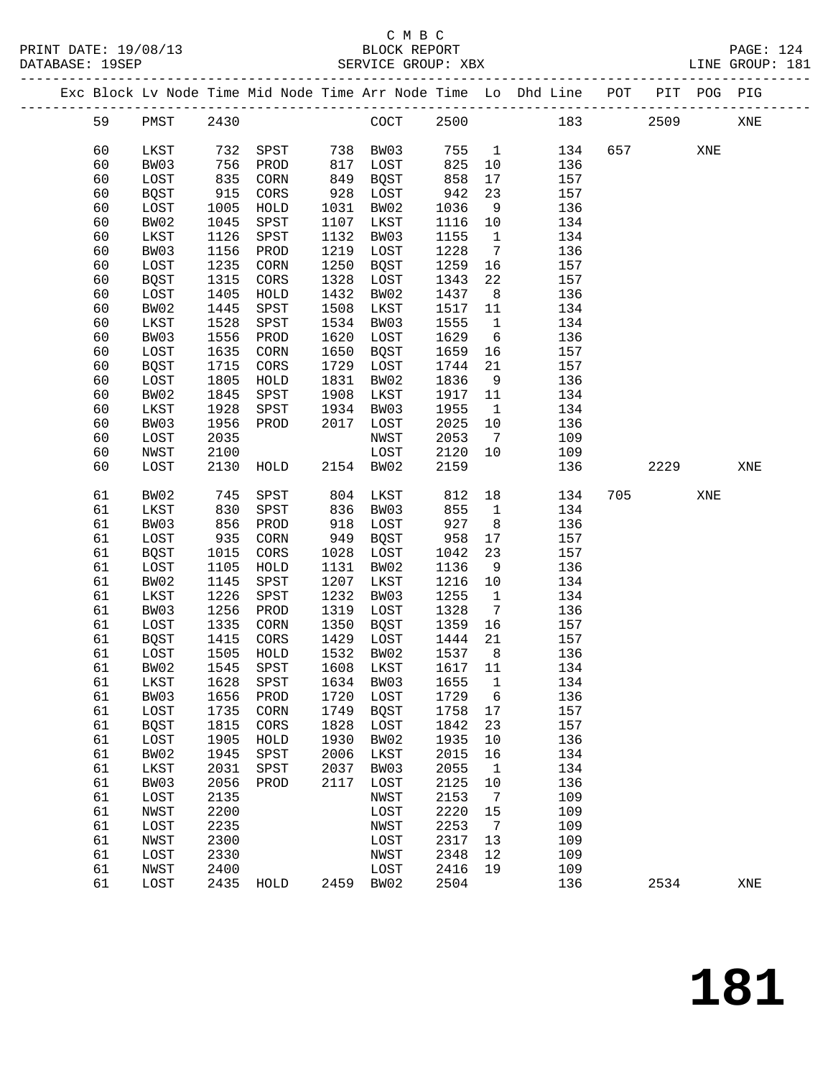#### C M B C<br>BLOCK REPORT SERVICE GROUP: XBX

|  |          |                     |              |              |              |              |              |                 | Exc Block Lv Node Time Mid Node Time Arr Node Time Lo Dhd Line POT |     |      | PIT POG PIG |     |
|--|----------|---------------------|--------------|--------------|--------------|--------------|--------------|-----------------|--------------------------------------------------------------------|-----|------|-------------|-----|
|  | 59       | PMST                | 2430         |              |              | COCT         | 2500         |                 | 183                                                                |     | 2509 |             | XNE |
|  | 60       | LKST                | 732          | SPST         | 738          | BW03         | 755          | $\overline{1}$  | 134                                                                | 657 |      | XNE         |     |
|  | 60       | BW03                | 756          | PROD         | 817          | LOST         | 825          | 10              | 136                                                                |     |      |             |     |
|  | 60       | LOST                | 835          | CORN         | 849          | BQST         | 858          | 17              | 157                                                                |     |      |             |     |
|  | 60       | <b>BQST</b>         | 915          | CORS         | 928          | LOST         | 942          | 23              | 157                                                                |     |      |             |     |
|  | 60       | LOST                | 1005         | HOLD         | 1031         | BW02         | 1036         | 9               | 136                                                                |     |      |             |     |
|  | 60       | BW02                | 1045         | SPST         | 1107         | LKST         | 1116         | 10              | 134                                                                |     |      |             |     |
|  | 60       | LKST                | 1126         | SPST         | 1132         | BW03         | 1155         | $\mathbf{1}$    | 134                                                                |     |      |             |     |
|  | 60       | BW03                | 1156         | PROD         | 1219         | LOST         | 1228         | $7\phantom{.0}$ | 136                                                                |     |      |             |     |
|  | 60       | LOST                | 1235         | CORN         | 1250         | <b>BQST</b>  | 1259         | 16              | 157                                                                |     |      |             |     |
|  | 60       | <b>BQST</b>         | 1315         | CORS         | 1328         | LOST         | 1343         | 22              | 157                                                                |     |      |             |     |
|  | 60       | LOST                | 1405         | HOLD         | 1432         | BW02         | 1437         | 8               | 136                                                                |     |      |             |     |
|  | 60       | BW02                | 1445         | SPST         | 1508         | LKST         | 1517         | 11              | 134                                                                |     |      |             |     |
|  | 60       | LKST                | 1528         | SPST         | 1534         | BW03         | 1555         | $\mathbf{1}$    | 134                                                                |     |      |             |     |
|  | 60       | BW03                | 1556         | PROD         | 1620         | LOST         | 1629         | 6               | 136                                                                |     |      |             |     |
|  | 60       | LOST                | 1635         | CORN         | 1650         | <b>BQST</b>  | 1659         | 16              | 157                                                                |     |      |             |     |
|  | 60       | <b>BOST</b>         | 1715         | CORS         | 1729         | LOST         | 1744         | 21              | 157                                                                |     |      |             |     |
|  | 60       | LOST                | 1805         | HOLD         | 1831         | BW02         | 1836         | 9               | 136                                                                |     |      |             |     |
|  | 60       | BW02                | 1845         | SPST         | 1908         | LKST         | 1917         | 11              | 134                                                                |     |      |             |     |
|  | 60       | LKST                | 1928         | SPST         | 1934         | BW03         | 1955         | $\mathbf{1}$    | 134                                                                |     |      |             |     |
|  | 60       | BW03                | 1956         | PROD         | 2017         | LOST         | 2025         | 10              | 136                                                                |     |      |             |     |
|  | 60       | LOST                | 2035         |              |              | NWST         | 2053         | 7               | 109                                                                |     |      |             |     |
|  | 60       | <b>NWST</b>         | 2100         |              |              | LOST         | 2120         | 10              | 109                                                                |     |      |             |     |
|  | 60       | LOST                | 2130         | HOLD         |              | 2154 BW02    | 2159         |                 | 136                                                                |     | 2229 |             | XNE |
|  | 61       | BW02                | 745          | SPST         | 804          | LKST         | 812          | 18              | 134                                                                | 705 |      | XNE         |     |
|  | 61       | LKST                | 830          | SPST         | 836          | BW03         | 855          | $\mathbf{1}$    | 134                                                                |     |      |             |     |
|  | 61       | BW03                | 856          | PROD         | 918          | LOST         | 927          | 8               | 136                                                                |     |      |             |     |
|  | 61       | LOST                | 935          | CORN         | 949          | BQST         | 958          | 17              | 157                                                                |     |      |             |     |
|  | 61       | <b>BQST</b>         | 1015         | CORS         | 1028         | LOST         | 1042         | 23              | 157                                                                |     |      |             |     |
|  | 61       | LOST                | 1105         | HOLD         | 1131         | BW02         | 1136         | 9               | 136                                                                |     |      |             |     |
|  | 61       | BW02                | 1145         | SPST         | 1207         | LKST         | 1216         | 10              | 134                                                                |     |      |             |     |
|  | 61       | LKST                | 1226         | SPST         | 1232         | BW03         | 1255         | $\mathbf{1}$    | 134                                                                |     |      |             |     |
|  | 61       | BW03                | 1256         | PROD         | 1319         | LOST         | 1328         | $7\phantom{.0}$ | 136                                                                |     |      |             |     |
|  | 61       | LOST                | 1335         | CORN<br>CORS | 1350<br>1429 | BQST<br>LOST | 1359         | 16<br>21        | 157                                                                |     |      |             |     |
|  | 61<br>61 | <b>BQST</b><br>LOST | 1415<br>1505 | HOLD         | 1532         | BW02         | 1444<br>1537 | 8 <sup>8</sup>  | 157<br>136                                                         |     |      |             |     |
|  | 61       | BW02                | 1545         | SPST         | 1608         | LKST         | 1617 11      |                 | 134                                                                |     |      |             |     |
|  | 61       | LKST                | 1628         | ${\tt SPST}$ |              | 1634 BW03    | 1655         | 1               | 134                                                                |     |      |             |     |
|  | 61       | BW03                | 1656         | PROD         | 1720         | LOST         | 1729         | 6               | 136                                                                |     |      |             |     |
|  | 61       | LOST                | 1735         | CORN         | 1749         | <b>BQST</b>  | 1758         | 17              | 157                                                                |     |      |             |     |
|  | 61       | <b>BQST</b>         | 1815         | CORS         | 1828         | LOST         | 1842         | 23              | 157                                                                |     |      |             |     |
|  | 61       | LOST                | 1905         | HOLD         | 1930         | BW02         | 1935         | 10              | 136                                                                |     |      |             |     |
|  | 61       | BW02                | 1945         | SPST         | 2006         | LKST         | 2015         | 16              | 134                                                                |     |      |             |     |
|  | 61       | LKST                | 2031         | SPST         | 2037         | BW03         | 2055         | $\mathbf 1$     | 134                                                                |     |      |             |     |
|  | 61       | BW03                | 2056         | PROD         | 2117         | LOST         | 2125         | 10              | 136                                                                |     |      |             |     |
|  | 61       | LOST                | 2135         |              |              | NWST         | 2153         | 7               | 109                                                                |     |      |             |     |
|  | 61       | NWST                | 2200         |              |              | LOST         | 2220         | 15              | 109                                                                |     |      |             |     |
|  | 61       | LOST                | 2235         |              |              | NWST         | 2253         | 7               | 109                                                                |     |      |             |     |
|  | 61       | NWST                | 2300         |              |              | LOST         | 2317         | 13              | 109                                                                |     |      |             |     |
|  | 61       | LOST                | 2330         |              |              | NWST         | 2348         | 12              | 109                                                                |     |      |             |     |
|  | 61       | NWST                | 2400         |              |              | LOST         | 2416         | 19              | 109                                                                |     |      |             |     |
|  | 61       | LOST                | 2435         | HOLD         | 2459         | BW02         | 2504         |                 | 136                                                                |     | 2534 |             | XNE |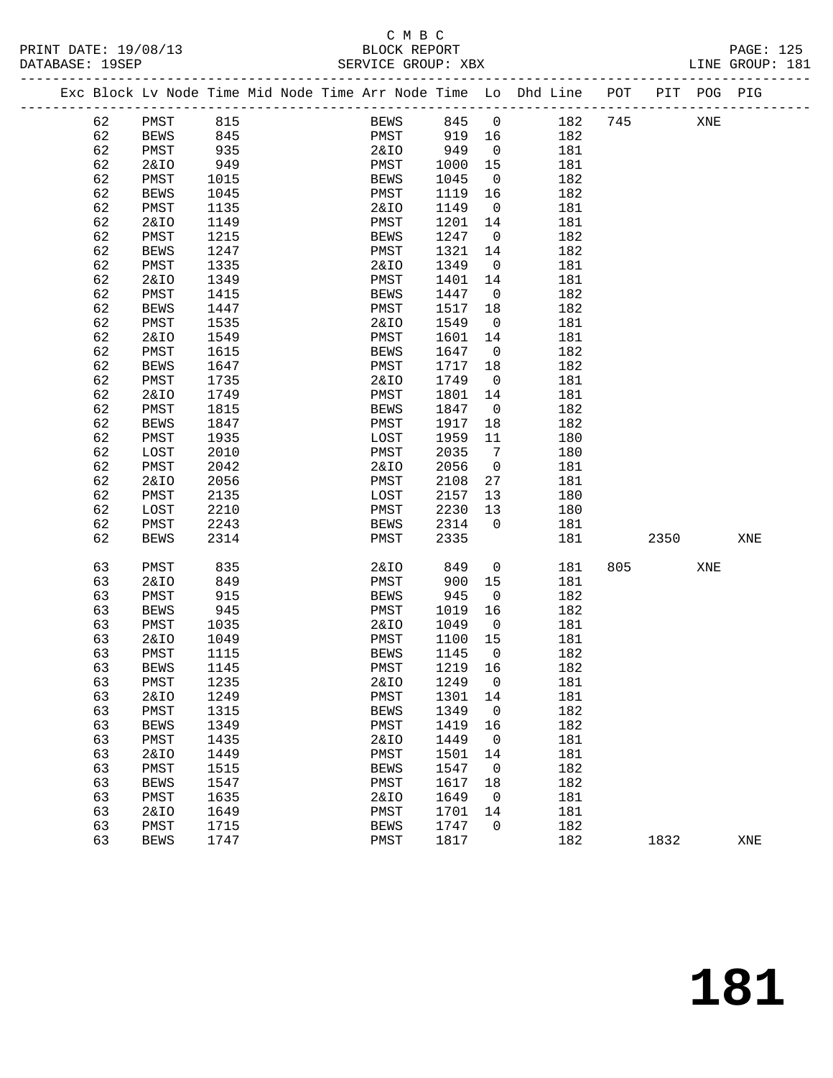### C M B C<br>BLOCK REPORT DATABASE: 19SEP SERVICE GROUP: XBX

------------------------------------------------------------------------------------------------- Exc Block Lv Node Time Mid Node Time Arr Node Time Lo Dhd Line POT PIT POG PIG -------------------------------------------------------------------------------------------------

| 62 | PMST            | 815  | <b>BEWS</b>     | 845     | 0  | 182 | 745 |      | XNE |     |
|----|-----------------|------|-----------------|---------|----|-----|-----|------|-----|-----|
| 62 | <b>BEWS</b>     | 845  | PMST            | 919     | 16 | 182 |     |      |     |     |
| 62 | PMST            | 935  | <b>2&amp;IO</b> | 949     | 0  | 181 |     |      |     |     |
| 62 | <b>2&amp;IO</b> | 949  | PMST            | 1000    | 15 | 181 |     |      |     |     |
| 62 | PMST            | 1015 | <b>BEWS</b>     | 1045    | 0  | 182 |     |      |     |     |
| 62 | <b>BEWS</b>     | 1045 | PMST            | 1119    | 16 | 182 |     |      |     |     |
| 62 | PMST            | 1135 | <b>2&amp;IO</b> | 1149    | 0  | 181 |     |      |     |     |
| 62 | <b>2&amp;IO</b> | 1149 | PMST            | 1201    | 14 | 181 |     |      |     |     |
| 62 | PMST            | 1215 | <b>BEWS</b>     | 1247    | 0  | 182 |     |      |     |     |
| 62 | <b>BEWS</b>     | 1247 | PMST            | 1321    | 14 | 182 |     |      |     |     |
| 62 | PMST            | 1335 | <b>2&amp;IO</b> | 1349    | 0  | 181 |     |      |     |     |
| 62 | <b>2&amp;IO</b> | 1349 | PMST            | 1401    | 14 | 181 |     |      |     |     |
| 62 | PMST            | 1415 | <b>BEWS</b>     | 1447    | 0  | 182 |     |      |     |     |
| 62 | <b>BEWS</b>     | 1447 | PMST            | 1517    | 18 | 182 |     |      |     |     |
| 62 | PMST            | 1535 | <b>2&amp;IO</b> | 1549    | 0  | 181 |     |      |     |     |
| 62 | <b>2&amp;IO</b> | 1549 | PMST            | 1601    | 14 | 181 |     |      |     |     |
| 62 | PMST            | 1615 | <b>BEWS</b>     | 1647    | 0  | 182 |     |      |     |     |
| 62 | <b>BEWS</b>     | 1647 | PMST            | 1717    | 18 | 182 |     |      |     |     |
| 62 | PMST            | 1735 | <b>2&amp;IO</b> | 1749    | 0  | 181 |     |      |     |     |
| 62 | <b>2&amp;IO</b> | 1749 | PMST            | 1801    | 14 | 181 |     |      |     |     |
| 62 | PMST            | 1815 | <b>BEWS</b>     | 1847    | 0  | 182 |     |      |     |     |
| 62 | <b>BEWS</b>     | 1847 | PMST            | 1917    | 18 | 182 |     |      |     |     |
| 62 | PMST            | 1935 | LOST            | 1959    | 11 | 180 |     |      |     |     |
| 62 | LOST            | 2010 | PMST            | 2035    | 7  | 180 |     |      |     |     |
| 62 | PMST            | 2042 | <b>2&amp;IO</b> | 2056    | 0  | 181 |     |      |     |     |
| 62 | 2&IO            | 2056 | PMST            | 2108    | 27 | 181 |     |      |     |     |
| 62 | PMST            | 2135 | LOST            | 2157    | 13 | 180 |     |      |     |     |
| 62 | LOST            | 2210 | PMST            | 2230    | 13 | 180 |     |      |     |     |
| 62 | PMST            | 2243 | <b>BEWS</b>     | 2314    | 0  | 181 |     |      |     |     |
| 62 | <b>BEWS</b>     | 2314 | PMST            | 2335    |    | 181 |     | 2350 |     | XNE |
|    |                 |      |                 |         |    |     |     |      |     |     |
| 63 | PMST            | 835  | <b>2&amp;IO</b> | 849     | 0  | 181 | 805 |      | XNE |     |
| 63 | 2&IO            | 849  | PMST            | 900     | 15 | 181 |     |      |     |     |
| 63 | PMST            | 915  | <b>BEWS</b>     | 945     | 0  | 182 |     |      |     |     |
| 63 | <b>BEWS</b>     | 945  | PMST            | 1019    | 16 | 182 |     |      |     |     |
| 63 | PMST            | 1035 | <b>2&amp;IO</b> | 1049    | 0  | 181 |     |      |     |     |
| 63 | <b>2&amp;IO</b> | 1049 | PMST            | 1100    | 15 | 181 |     |      |     |     |
| 63 | PMST            | 1115 | <b>BEWS</b>     | 1145    | 0  | 182 |     |      |     |     |
| 63 | <b>BEWS</b>     | 1145 | PMST            | 1219    | 16 | 182 |     |      |     |     |
| 63 | PMST            | 1235 | <b>2&amp;IO</b> | 1249    | 0  | 181 |     |      |     |     |
| 63 | <b>2&amp;IO</b> | 1249 | PMST            | 1301    | 14 | 181 |     |      |     |     |
| 63 | PMST            | 1315 | <b>BEWS</b>     | 1349    | 0  | 182 |     |      |     |     |
| 63 | <b>BEWS</b>     | 1349 | ${\tt PMST}$    | 1419 16 |    | 182 |     |      |     |     |
| 63 | PMST            | 1435 | 2&IO            | 1449    | 0  | 181 |     |      |     |     |
| 63 | <b>2&amp;IO</b> | 1449 | PMST            | 1501    | 14 | 181 |     |      |     |     |
| 63 | PMST            | 1515 | <b>BEWS</b>     | 1547    | 0  | 182 |     |      |     |     |
| 63 | <b>BEWS</b>     | 1547 | PMST            | 1617    | 18 | 182 |     |      |     |     |
| 63 | PMST            | 1635 | <b>2&amp;IO</b> | 1649    | 0  | 181 |     |      |     |     |
| 63 | <b>2&amp;IO</b> | 1649 | PMST            | 1701    | 14 | 181 |     |      |     |     |
| 63 | PMST            | 1715 | <b>BEWS</b>     | 1747    | 0  | 182 |     |      |     |     |
| 63 | <b>BEWS</b>     | 1747 | PMST            | 1817    |    | 182 |     | 1832 |     | XNE |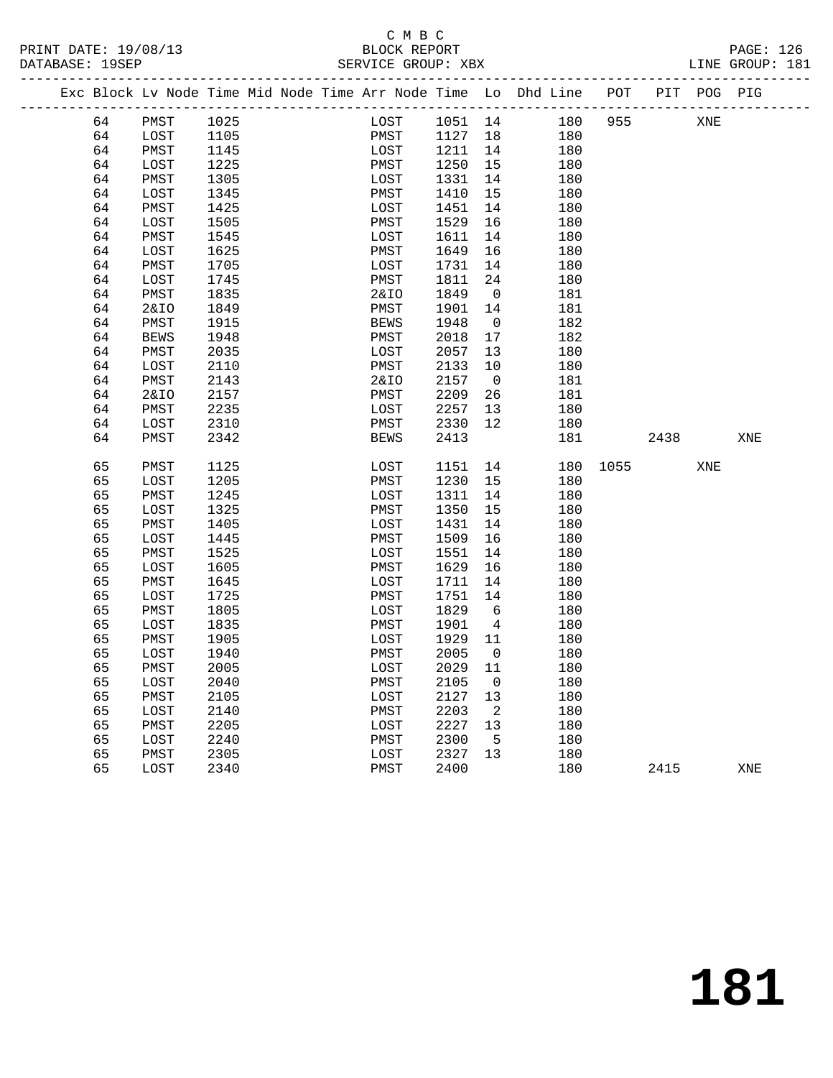### C M B C<br>BLOCK REPORT SERVICE GROUP: XBX

|  |    | Exc Block Lv Node Time Mid Node Time Arr Node Time Lo Dhd Line |      |  |              |         |                |     | POT  |      | PIT POG PIG |     |
|--|----|----------------------------------------------------------------|------|--|--------------|---------|----------------|-----|------|------|-------------|-----|
|  | 64 | PMST                                                           | 1025 |  | LOST         | 1051 14 |                | 180 | 955  |      | XNE         |     |
|  | 64 | LOST                                                           | 1105 |  | PMST         | 1127    | 18             | 180 |      |      |             |     |
|  | 64 | PMST                                                           | 1145 |  | LOST         | 1211    | 14             | 180 |      |      |             |     |
|  | 64 | LOST                                                           | 1225 |  | PMST         | 1250    | 15             | 180 |      |      |             |     |
|  | 64 | PMST                                                           | 1305 |  | LOST         | 1331    | 14             | 180 |      |      |             |     |
|  | 64 | LOST                                                           | 1345 |  | PMST         | 1410    | 15             | 180 |      |      |             |     |
|  | 64 | PMST                                                           | 1425 |  | LOST         | 1451    | 14             | 180 |      |      |             |     |
|  | 64 | LOST                                                           | 1505 |  | PMST         | 1529    | 16             | 180 |      |      |             |     |
|  | 64 | PMST                                                           | 1545 |  | LOST         | 1611    | 14             | 180 |      |      |             |     |
|  | 64 | LOST                                                           | 1625 |  | PMST         | 1649    | 16             | 180 |      |      |             |     |
|  | 64 | PMST                                                           | 1705 |  | LOST         | 1731    | 14             | 180 |      |      |             |     |
|  | 64 | LOST                                                           | 1745 |  | PMST         | 1811    | 24             | 180 |      |      |             |     |
|  | 64 | PMST                                                           | 1835 |  | 2&IO         | 1849    | $\overline{0}$ | 181 |      |      |             |     |
|  | 64 | <b>2&amp;IO</b>                                                | 1849 |  | PMST         | 1901    | 14             | 181 |      |      |             |     |
|  | 64 | PMST                                                           | 1915 |  | <b>BEWS</b>  | 1948    | $\overline{0}$ | 182 |      |      |             |     |
|  | 64 | <b>BEWS</b>                                                    | 1948 |  | PMST         | 2018    | 17             | 182 |      |      |             |     |
|  | 64 | PMST                                                           | 2035 |  | LOST         | 2057    | 13             | 180 |      |      |             |     |
|  | 64 | LOST                                                           | 2110 |  | PMST         | 2133    | 10             | 180 |      |      |             |     |
|  | 64 | PMST                                                           | 2143 |  | 2&IO         | 2157    | $\overline{0}$ | 181 |      |      |             |     |
|  | 64 | 2&IO                                                           | 2157 |  | PMST         | 2209    | 26             | 181 |      |      |             |     |
|  | 64 | PMST                                                           | 2235 |  | LOST         | 2257    | 13             | 180 |      |      |             |     |
|  | 64 | LOST                                                           | 2310 |  | PMST         | 2330    | 12             | 180 |      |      |             |     |
|  | 64 | PMST                                                           | 2342 |  | <b>BEWS</b>  | 2413    |                | 181 |      | 2438 |             | XNE |
|  |    |                                                                |      |  |              |         |                |     |      |      |             |     |
|  | 65 | PMST                                                           | 1125 |  | LOST         | 1151    | 14             | 180 | 1055 |      | XNE         |     |
|  | 65 | LOST                                                           | 1205 |  | PMST         | 1230    | 15             | 180 |      |      |             |     |
|  | 65 | PMST                                                           | 1245 |  | LOST         | 1311    | 14             | 180 |      |      |             |     |
|  | 65 | LOST                                                           | 1325 |  | PMST         | 1350    | 15             | 180 |      |      |             |     |
|  | 65 | PMST                                                           | 1405 |  | LOST         | 1431    | 14             | 180 |      |      |             |     |
|  | 65 | LOST                                                           | 1445 |  | PMST         | 1509    | 16             | 180 |      |      |             |     |
|  | 65 | PMST                                                           | 1525 |  | LOST         | 1551    | 14             | 180 |      |      |             |     |
|  | 65 | LOST                                                           | 1605 |  | PMST         | 1629    | 16             | 180 |      |      |             |     |
|  | 65 | PMST                                                           | 1645 |  | LOST         | 1711    | 14             | 180 |      |      |             |     |
|  | 65 | LOST                                                           | 1725 |  | PMST         | 1751    | 14             | 180 |      |      |             |     |
|  | 65 | PMST                                                           | 1805 |  | LOST         | 1829    | 6              | 180 |      |      |             |     |
|  | 65 | LOST                                                           | 1835 |  | PMST         | 1901    | $\overline{4}$ | 180 |      |      |             |     |
|  | 65 | PMST                                                           | 1905 |  | LOST         | 1929    | 11             | 180 |      |      |             |     |
|  | 65 | LOST                                                           | 1940 |  | PMST         | 2005    | $\overline{0}$ | 180 |      |      |             |     |
|  | 65 | PMST                                                           | 2005 |  | LOST         | 2029    | 11             | 180 |      |      |             |     |
|  | 65 | LOST                                                           | 2040 |  | ${\tt PMST}$ | 2105    | $\overline{0}$ | 180 |      |      |             |     |
|  | 65 | PMST                                                           | 2105 |  | LOST         | 2127    | 13             | 180 |      |      |             |     |
|  | 65 | LOST                                                           | 2140 |  | PMST         | 2203    | $\overline{2}$ | 180 |      |      |             |     |
|  | 65 | PMST                                                           | 2205 |  | LOST         | 2227    | 13             | 180 |      |      |             |     |
|  | 65 | LOST                                                           | 2240 |  | PMST         | 2300    | $-5$           | 180 |      |      |             |     |
|  | 65 | PMST                                                           | 2305 |  | LOST         | 2327    | 13             | 180 |      |      |             |     |
|  | 65 | LOST                                                           | 2340 |  | PMST         | 2400    |                | 180 |      | 2415 |             | XNE |
|  |    |                                                                |      |  |              |         |                |     |      |      |             |     |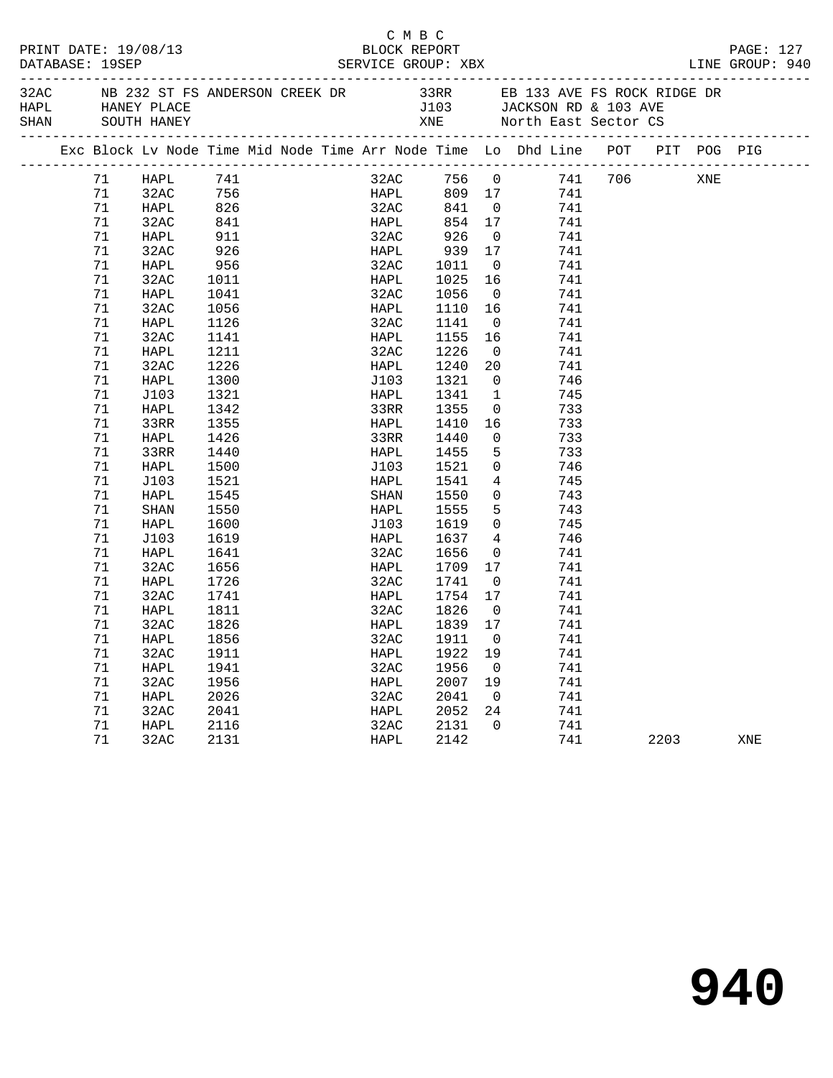| PRINT DATE: 19/08/13<br>DATABASE: 19SEP |    |             |                   |  | C M B C<br>BLOCK REPORT |                                                      |                         |                                                                                                                               |      |     | PAGE: 127 |  |
|-----------------------------------------|----|-------------|-------------------|--|-------------------------|------------------------------------------------------|-------------------------|-------------------------------------------------------------------------------------------------------------------------------|------|-----|-----------|--|
| HAPL HANEY PLACE<br>SHAN                |    | SOUTH HANEY |                   |  |                         |                                                      |                         | 32AC NB 232 ST FS ANDERSON CREEK DR 33RR EB 133 AVE FS ROCK RIDGE DR<br>J103 JACKSON RD & 103 AVE<br>XNE North East Sector CS |      |     |           |  |
|                                         |    |             |                   |  |                         |                                                      |                         | Exc Block Lv Node Time Mid Node Time Arr Node Time Lo Dhd Line POT PIT POG PIG                                                |      |     |           |  |
|                                         | 71 | HAPL        | 741               |  |                         |                                                      |                         | 32AC 756 0 741 706                                                                                                            |      | XNE |           |  |
|                                         | 71 | 32AC        |                   |  |                         |                                                      |                         | 741                                                                                                                           |      |     |           |  |
|                                         | 71 | HAPL        |                   |  |                         | HAPL           809    17<br>32AC          841      0 |                         | 741                                                                                                                           |      |     |           |  |
|                                         | 71 | 32AC        | 756<br>826<br>841 |  |                         | HAPL 854 17                                          |                         | 741                                                                                                                           |      |     |           |  |
|                                         | 71 | HAPL        | 911               |  | 32AC                    | 926                                                  | $\overline{0}$          | 741                                                                                                                           |      |     |           |  |
|                                         | 71 | 32AC        | 926               |  | HAPL                    |                                                      |                         | 741                                                                                                                           |      |     |           |  |
|                                         | 71 | HAPL        | 956               |  | 32AC                    | 939 17<br>1011 0                                     |                         | 741                                                                                                                           |      |     |           |  |
|                                         | 71 | 32AC        | 1011              |  | <b>HAPL</b>             | 1025 16                                              |                         | 741                                                                                                                           |      |     |           |  |
|                                         | 71 | HAPL        | 1041              |  | 32AC                    | 1056                                                 | $\overline{\mathbf{0}}$ | 741                                                                                                                           |      |     |           |  |
|                                         | 71 | 32AC        | 1056              |  | HAPL                    | 1110 16                                              |                         | 741                                                                                                                           |      |     |           |  |
|                                         | 71 | HAPL        | 1126              |  | 32AC                    | 1141                                                 | $\overline{0}$          | 741                                                                                                                           |      |     |           |  |
|                                         | 71 | 32AC        | 1141              |  | HAPL                    | 1155 16                                              |                         | 741                                                                                                                           |      |     |           |  |
|                                         | 71 | HAPL        | 1211              |  | 32AC                    | 1226                                                 | $\overline{\mathbf{0}}$ | 741                                                                                                                           |      |     |           |  |
|                                         | 71 | 32AC        | 1226              |  | HAPL                    | 1240                                                 | 20                      | 741                                                                                                                           |      |     |           |  |
|                                         | 71 | HAPL        | 1300              |  | J103                    | 1321                                                 | $\overline{0}$          | 746                                                                                                                           |      |     |           |  |
|                                         | 71 | J103        | 1321              |  | HAPL                    | 1341                                                 | $\mathbf{1}$            | 745                                                                                                                           |      |     |           |  |
|                                         | 71 | HAPL        | 1342              |  | 33RR                    | 1355                                                 |                         | $\overline{0}$<br>733                                                                                                         |      |     |           |  |
|                                         | 71 | 33RR        | 1355              |  | HAPL                    | 1410                                                 | 16                      | 733                                                                                                                           |      |     |           |  |
|                                         | 71 | HAPL        | 1426              |  | 33RR                    | 1440                                                 | $\overline{0}$          | 733                                                                                                                           |      |     |           |  |
|                                         | 71 | 33RR        | 1440              |  | HAPL                    | 1455                                                 | 5 <sub>5</sub>          | 733                                                                                                                           |      |     |           |  |
|                                         | 71 | HAPL        | 1500              |  | J103                    | 1521                                                 |                         | $\overline{0}$<br>746                                                                                                         |      |     |           |  |
|                                         | 71 | J103        | 1521              |  | HAPL                    | 1541                                                 | $4\overline{ }$         | 745                                                                                                                           |      |     |           |  |
|                                         | 71 | HAPL        | 1545              |  | SHAN                    | 1550                                                 |                         | 0<br>743                                                                                                                      |      |     |           |  |
|                                         | 71 | SHAN        | 1550              |  | HAPL                    | 1555                                                 |                         | 5 <sub>5</sub><br>743                                                                                                         |      |     |           |  |
|                                         | 71 | HAPL        | 1600              |  | J103                    | 1619                                                 |                         | $\overline{0}$<br>745                                                                                                         |      |     |           |  |
|                                         | 71 | J103        | 1619              |  | HAPL                    | 1637                                                 | $4\overline{4}$         | 746                                                                                                                           |      |     |           |  |
|                                         | 71 | HAPL        | 1641              |  | 32AC                    | 1656                                                 | $\overline{\mathbf{0}}$ | 741                                                                                                                           |      |     |           |  |
|                                         | 71 | 32AC        | 1656              |  | HAPL                    | 1709 17                                              |                         | 741                                                                                                                           |      |     |           |  |
|                                         | 71 | HAPL        | 1726              |  | 32AC                    | 1741                                                 | $\overline{\mathbf{0}}$ | 741                                                                                                                           |      |     |           |  |
|                                         | 71 | 32AC        | 1741              |  | HAPL                    | 1754 17                                              |                         | 741                                                                                                                           |      |     |           |  |
|                                         | 71 | HAPL        | 1811              |  | 32AC                    | 1826                                                 | $\overline{0}$          | 741                                                                                                                           |      |     |           |  |
|                                         | 71 | 32AC        | 1826              |  | HAPL                    | 1839 17                                              |                         | 741                                                                                                                           |      |     |           |  |
|                                         | 71 | HAPL 1856   |                   |  |                         | 32AC 1911 0                                          |                         | 741                                                                                                                           |      |     |           |  |
|                                         | 71 | 32AC        | 1911              |  | HAPL                    | 1922 19                                              |                         | 741                                                                                                                           |      |     |           |  |
|                                         | 71 | HAPL        | 1941              |  | 32AC                    | 1956                                                 | $\overline{0}$          | 741                                                                                                                           |      |     |           |  |
|                                         | 71 | 32AC        | 1956              |  | HAPL                    | 2007                                                 | 19                      | 741                                                                                                                           |      |     |           |  |
|                                         | 71 | HAPL        | 2026              |  | 32AC                    | 2041                                                 | $\mathbf 0$             | 741                                                                                                                           |      |     |           |  |
|                                         | 71 | 32AC        | 2041              |  | HAPL                    | 2052                                                 | 24                      | 741                                                                                                                           |      |     |           |  |
|                                         | 71 | HAPL        | 2116              |  | 32AC                    | 2131                                                 | 0                       | 741                                                                                                                           |      |     |           |  |
|                                         | 71 | 32AC        | 2131              |  | HAPL                    | 2142                                                 |                         | 741                                                                                                                           | 2203 |     | XNE       |  |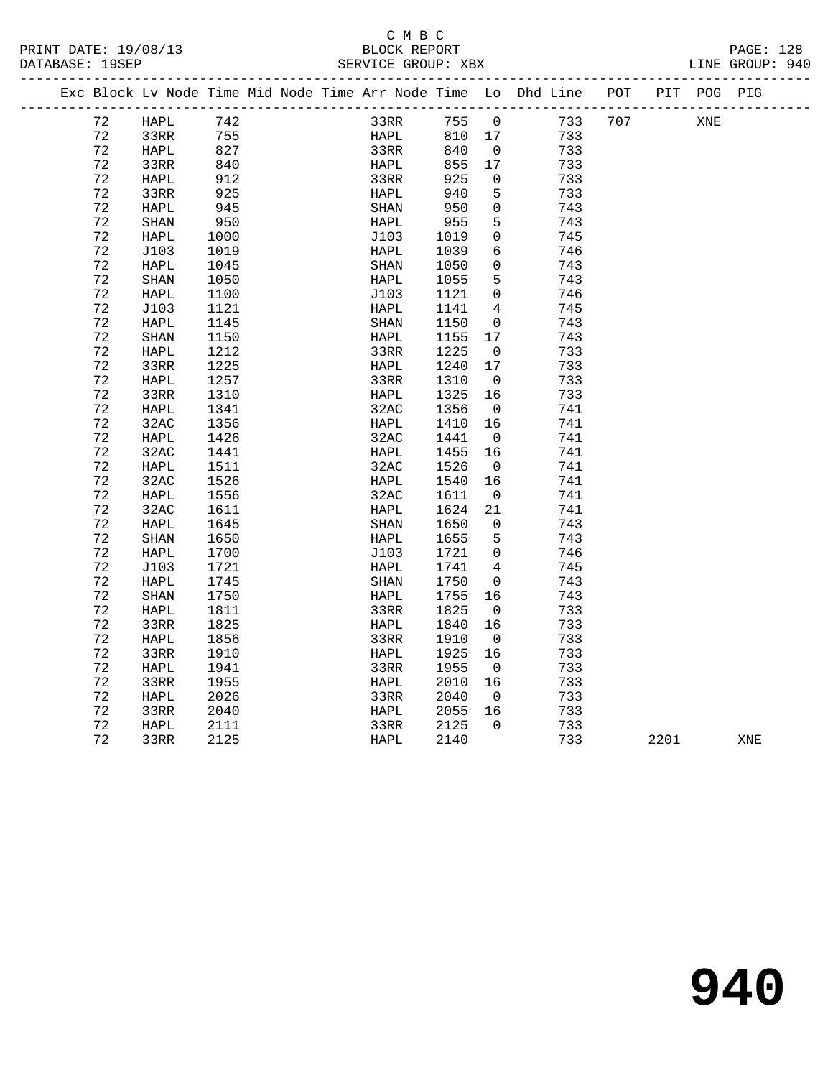### C M B C<br>BLOCK REPORT SERVICE GROUP: XBX

|  |    |             |                                                                       |  |                           |                   |                         | Exc Block Lv Node Time Mid Node Time Arr Node Time Lo Dhd Line POT PIT POG PIG |     |     |  |
|--|----|-------------|-----------------------------------------------------------------------|--|---------------------------|-------------------|-------------------------|--------------------------------------------------------------------------------|-----|-----|--|
|  | 72 | HAPL        | $\begin{array}{c} \n \sqrt{2} \\  755 \\  \hline\n 227\n \end{array}$ |  | 33RR 755 0<br>HAPL 810 17 |                   |                         | 733                                                                            | 707 | XNE |  |
|  | 72 | 33RR        |                                                                       |  |                           |                   |                         | 733                                                                            |     |     |  |
|  | 72 | HAPL        | 827                                                                   |  | 33RR                      | 840               | $\overline{\mathbf{0}}$ | 733                                                                            |     |     |  |
|  | 72 | 33RR        | 840                                                                   |  | HAPL                      | 855               | 17                      | 733                                                                            |     |     |  |
|  | 72 | HAPL        | 912                                                                   |  | 33RR                      | 925               | $\overline{0}$          | 733                                                                            |     |     |  |
|  | 72 | 33RR        | 925                                                                   |  | HAPL                      | 940               | 5                       | 733                                                                            |     |     |  |
|  | 72 | HAPL        | 945                                                                   |  | SHAN                      | ر بر<br>955<br>10 | $\overline{0}$          | 743                                                                            |     |     |  |
|  | 72 | SHAN        | 950                                                                   |  | HAPL                      |                   | 5                       | 743                                                                            |     |     |  |
|  | 72 | HAPL        | 1000                                                                  |  | J103                      | 1019              | $\mathbf 0$             | 745                                                                            |     |     |  |
|  | 72 | J103        | 1019                                                                  |  | HAPL                      | 1039              | 6                       | 746                                                                            |     |     |  |
|  | 72 | HAPL        | 1045                                                                  |  | SHAN                      | 1050              | $\overline{0}$          | 743                                                                            |     |     |  |
|  | 72 | SHAN        | 1050                                                                  |  | HAPL                      | 1055              | 5                       | 743                                                                            |     |     |  |
|  | 72 | HAPL        | 1100                                                                  |  | J103                      | 1121              | $\overline{0}$          | 746                                                                            |     |     |  |
|  | 72 | J103        | 1121                                                                  |  | HAPL                      | 1141              | $\overline{4}$          | 745                                                                            |     |     |  |
|  | 72 | HAPL        | 1145                                                                  |  | $\operatorname{SHAN}$     | 1150              | $\overline{0}$          | 743                                                                            |     |     |  |
|  | 72 | SHAN        | 1150                                                                  |  | HAPL                      | 1155              | 17                      | 743                                                                            |     |     |  |
|  | 72 | HAPL        | 1212                                                                  |  | 33RR                      | 1225              | $\overline{0}$          | 733                                                                            |     |     |  |
|  | 72 | 33RR        | 1225                                                                  |  | HAPL                      | 1240              | 17                      | 733                                                                            |     |     |  |
|  | 72 | HAPL        | 1257                                                                  |  | 33RR                      | 1310              | $\overline{0}$          | 733                                                                            |     |     |  |
|  | 72 | 33RR        | 1310                                                                  |  | HAPL                      | 1325 16           |                         | 733                                                                            |     |     |  |
|  | 72 | HAPL        | 1341                                                                  |  | 32AC                      | 1356              | $\overline{0}$          | 741                                                                            |     |     |  |
|  | 72 | 32AC        | 1356                                                                  |  | HAPL                      | 1410              | 16                      | 741                                                                            |     |     |  |
|  | 72 | HAPL        | 1426                                                                  |  | 32AC                      | 1441              | $\overline{0}$          | 741                                                                            |     |     |  |
|  | 72 | 32AC        | 1441                                                                  |  | HAPL                      | 1455              | 16                      | 741                                                                            |     |     |  |
|  | 72 | HAPL        | 1511                                                                  |  | 32AC                      | 1526              | $\overline{0}$          | 741                                                                            |     |     |  |
|  | 72 | 32AC        | 1526                                                                  |  | HAPL                      | 1540              | 16                      | 741                                                                            |     |     |  |
|  | 72 | HAPL        | 1556                                                                  |  | 32AC                      | 1611              | $\overline{0}$          | 741                                                                            |     |     |  |
|  | 72 | 32AC        | 1611                                                                  |  | HAPL                      | 1624              | 21                      | 741                                                                            |     |     |  |
|  | 72 | HAPL        | 1645                                                                  |  | SHAN                      | 1650              | $\overline{0}$          | 743                                                                            |     |     |  |
|  | 72 | <b>SHAN</b> | 1650                                                                  |  | HAPL                      | 1655              | $5^{\circ}$             | 743                                                                            |     |     |  |
|  | 72 | HAPL        | 1700                                                                  |  | J103                      | 1721              | $\overline{0}$          | 746                                                                            |     |     |  |
|  | 72 | J103        | 1721                                                                  |  | HAPL                      | 1741              | 4                       | 745                                                                            |     |     |  |
|  | 72 | HAPL        | 1745                                                                  |  | SHAN                      | 1750              | $\overline{0}$          | 743                                                                            |     |     |  |
|  | 72 | SHAN        | 1750                                                                  |  | HAPL                      | 1755              | 16                      | 743                                                                            |     |     |  |
|  | 72 | HAPL        | 1811                                                                  |  | 33RR                      | 1825              | $\overline{0}$          | 733                                                                            |     |     |  |
|  | 72 | 33RR        | 1825                                                                  |  | HAPL                      | 1840              | 16                      | 733                                                                            |     |     |  |
|  | 72 | HAPL        | 1856                                                                  |  | 33RR                      | 1910              | $\overline{0}$          | 733                                                                            |     |     |  |
|  | 72 | 33RR        | 1910                                                                  |  | HAPL                      | 1925              | 16                      | 733                                                                            |     |     |  |
|  | 72 | HAPL        | 1941                                                                  |  | 33RR                      | 1955              | $\overline{0}$          | 733                                                                            |     |     |  |
|  | 72 | 33RR        | 1955                                                                  |  | HAPL                      | 2010              | 16                      | 733                                                                            |     |     |  |
|  | 72 | HAPL        | 2026                                                                  |  | 33RR                      | 2040              | $\overline{0}$          | 733                                                                            |     |     |  |
|  | 72 | 33RR        | 2040                                                                  |  | HAPL                      | 2055              | 16                      | 733                                                                            |     |     |  |
|  |    |             |                                                                       |  |                           |                   |                         |                                                                                |     |     |  |

72 HAPL 2111 33RR 2125 0 733

72 33RR 2125 HAPL 2140 733 2201 XNE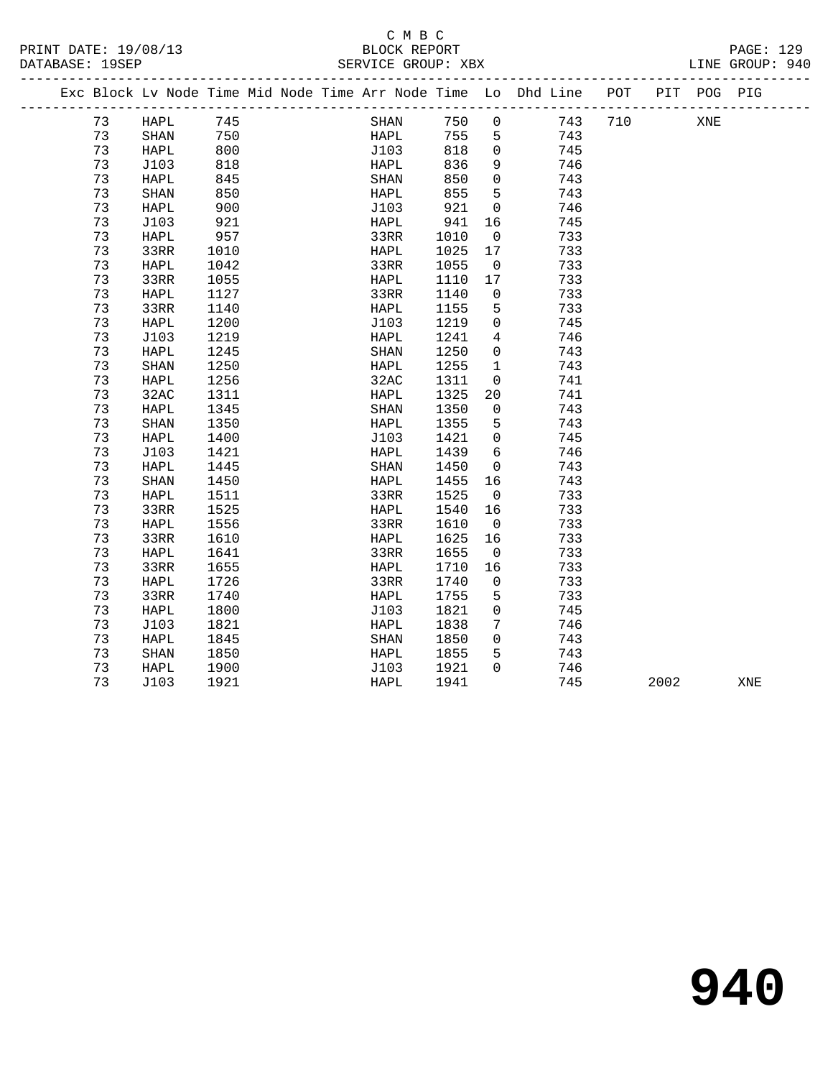# C M B C<br>BLOCK REPORT

| PRINT DATE: 19/08/13<br>DATABASE: 19SEP |    |                       |      |  |      | U M D U     |       |                         | ----------------------------                                       |     |      |             | PAGE: 129<br>LINE GROUP: 940 |
|-----------------------------------------|----|-----------------------|------|--|------|-------------|-------|-------------------------|--------------------------------------------------------------------|-----|------|-------------|------------------------------|
|                                         |    |                       |      |  |      |             |       |                         | Exc Block Lv Node Time Mid Node Time Arr Node Time Lo Dhd Line POT |     |      | PIT POG PIG |                              |
|                                         | 73 | HAPL                  | 745  |  |      | SHAN        | 750   | $\mathsf{O}$            | 743                                                                | 710 |      | XNE         |                              |
|                                         | 73 | SHAN                  | 750  |  |      | <b>HAPL</b> | 755 5 |                         | 743                                                                |     |      |             |                              |
|                                         | 73 | HAPL                  | 800  |  | J103 |             | 818   | $\overline{0}$          | 745                                                                |     |      |             |                              |
|                                         | 73 | J103                  | 818  |  | HAPL |             | 836   | 9                       | 746                                                                |     |      |             |                              |
|                                         | 73 | HAPL                  | 845  |  | SHAN |             | 850   | $\overline{0}$          | 743                                                                |     |      |             |                              |
|                                         | 73 | SHAN                  | 850  |  | HAPL |             | 855   | 5 <sup>5</sup>          | 743                                                                |     |      |             |                              |
|                                         | 73 | HAPL                  | 900  |  | J103 |             | 921   | $\overline{\mathbf{0}}$ | 746                                                                |     |      |             |                              |
|                                         | 73 | J103                  | 921  |  | HAPL |             | 941   | 16                      | 745                                                                |     |      |             |                              |
|                                         | 73 | HAPL                  | 957  |  | 33RR |             | 1010  | $\overline{0}$          | 733                                                                |     |      |             |                              |
|                                         | 73 | 33RR                  | 1010 |  | HAPL |             | 1025  | 17                      | 733                                                                |     |      |             |                              |
|                                         | 73 | HAPL                  | 1042 |  | 33RR |             | 1055  | $\overline{0}$          | 733                                                                |     |      |             |                              |
|                                         | 73 | 33RR                  | 1055 |  | HAPL |             | 1110  | 17                      | 733                                                                |     |      |             |                              |
|                                         | 73 | HAPL                  | 1127 |  | 33RR |             | 1140  | $\overline{0}$          | 733                                                                |     |      |             |                              |
|                                         | 73 | 33RR                  | 1140 |  | HAPL |             | 1155  | 5                       | 733                                                                |     |      |             |                              |
|                                         | 73 | HAPL                  | 1200 |  | J103 |             | 1219  | $\overline{0}$          | 745                                                                |     |      |             |                              |
|                                         | 73 | J103                  | 1219 |  | HAPL |             | 1241  | $\overline{4}$          | 746                                                                |     |      |             |                              |
|                                         | 73 | HAPL                  | 1245 |  | SHAN |             | 1250  | $\overline{0}$          | 743                                                                |     |      |             |                              |
|                                         | 73 | $\operatorname{SHAN}$ | 1250 |  | HAPL |             | 1255  | $\mathbf{1}$            | 743                                                                |     |      |             |                              |
|                                         | 73 | HAPL                  | 1256 |  | 32AC |             | 1311  | $\overline{0}$          | 741                                                                |     |      |             |                              |
|                                         | 73 | 32AC                  | 1311 |  | HAPL |             | 1325  | 20                      | 741                                                                |     |      |             |                              |
|                                         | 73 | HAPL                  | 1345 |  | SHAN |             | 1350  | $\overline{0}$          | 743                                                                |     |      |             |                              |
|                                         | 73 | SHAN                  | 1350 |  | HAPL |             | 1355  | $5^{\circ}$             | 743                                                                |     |      |             |                              |
|                                         | 73 | HAPL                  | 1400 |  | J103 |             | 1421  | $\overline{0}$          | 745                                                                |     |      |             |                              |
|                                         | 73 | J103                  | 1421 |  | HAPL |             | 1439  | 6                       | 746                                                                |     |      |             |                              |
|                                         | 73 | HAPL                  | 1445 |  | SHAN |             | 1450  | $\overline{0}$          | 743                                                                |     |      |             |                              |
|                                         | 73 | SHAN                  | 1450 |  | HAPL |             | 1455  | 16                      | 743                                                                |     |      |             |                              |
|                                         | 73 | HAPL                  | 1511 |  | 33RR |             | 1525  | $\overline{0}$          | 733                                                                |     |      |             |                              |
|                                         | 73 | 33RR                  | 1525 |  | HAPL |             | 1540  | 16                      | 733                                                                |     |      |             |                              |
|                                         | 73 | HAPL                  | 1556 |  | 33RR |             | 1610  | $\overline{0}$          | 733                                                                |     |      |             |                              |
|                                         | 73 | 33RR                  | 1610 |  | HAPL |             | 1625  | 16                      | 733                                                                |     |      |             |                              |
|                                         | 73 | HAPL                  | 1641 |  | 33RR |             | 1655  | $\overline{0}$          | 733                                                                |     |      |             |                              |
|                                         | 73 | 33RR                  | 1655 |  | HAPL |             | 1710  | 16                      | 733                                                                |     |      |             |                              |
|                                         | 73 | HAPL                  | 1726 |  | 33RR |             | 1740  | $\overline{0}$          | 733                                                                |     |      |             |                              |
|                                         | 73 | 33RR                  | 1740 |  | HAPL |             | 1755  | 5                       | 733                                                                |     |      |             |                              |
|                                         | 73 | HAPL                  | 1800 |  | J103 |             | 1821  | $\overline{0}$          | 745                                                                |     |      |             |                              |
|                                         | 73 | J103                  | 1821 |  | HAPL |             | 1838  | $7\overline{ }$         | 746                                                                |     |      |             |                              |
|                                         | 73 | HAPL                  | 1845 |  | SHAN |             | 1850  | $\mathsf{O}$            | 743                                                                |     |      |             |                              |
|                                         | 73 | SHAN                  | 1850 |  | HAPL |             | 1855  | 5                       | 743                                                                |     |      |             |                              |
|                                         | 73 | HAPL                  | 1900 |  | J103 |             | 1921  | $\Omega$                | 746                                                                |     |      |             |                              |
|                                         | 73 | J103                  | 1921 |  | HAPL |             | 1941  |                         | 745                                                                |     | 2002 |             | XNE                          |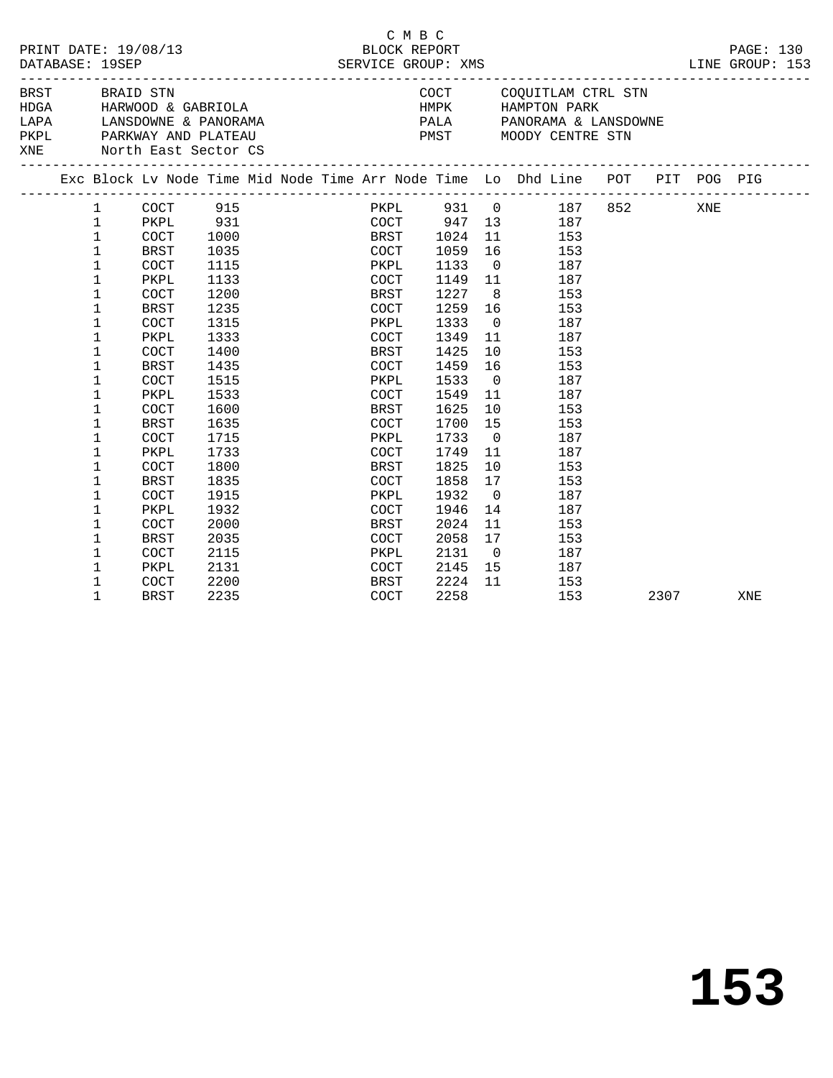| DATABASE: 19SEP       |                                                      |                                                                            | PRINT DATE: 19/08/13                                                                                                                                                    |                                                                                                                                      |  | C M B C<br>BLOCK REPORT<br>SERVICE GROUP: XMS                                                                                                                                                                                                                                                                                                                                                                                       |                                                                                                                                      |                                                                                                                            |                              |                                                                                                              |      | PAGE: 130<br>LINE GROUP: 153 |
|-----------------------|------------------------------------------------------|----------------------------------------------------------------------------|-------------------------------------------------------------------------------------------------------------------------------------------------------------------------|--------------------------------------------------------------------------------------------------------------------------------------|--|-------------------------------------------------------------------------------------------------------------------------------------------------------------------------------------------------------------------------------------------------------------------------------------------------------------------------------------------------------------------------------------------------------------------------------------|--------------------------------------------------------------------------------------------------------------------------------------|----------------------------------------------------------------------------------------------------------------------------|------------------------------|--------------------------------------------------------------------------------------------------------------|------|------------------------------|
| BRST BRAID STN<br>XNE |                                                      |                                                                            | HDGA HARWOOD & GABRIOLA<br>PKPL PARKWAY AND PLATEAU<br>North East Sector CS                                                                                             |                                                                                                                                      |  | $\verb LAPA  = \verb LANSDOWNE & PANORAMA  = \verb LAPA  = \verb PALA  = \verb PANORAMA & LANSDOWNE  = \verb LAPA  = \verb LAPA  = \verb LAPA  = \verb LAPA  = \verb LAPA  = \verb LAPA  = \verb LAPA  = \verb LAPA  = \verb LAPA  = \verb LAPA  = \verb LAPA  = \verb LAPA  = \verb LAPA  = \verb LAPA  = \verb LAPA  = \verb LAPA  = \verb LAPA  = \verb LAPA  = \verb LAPA  = \verb LAPA  = \verb LAPA$<br>PMST MOODY CENTRE STN | COCT COQUITLAM CTRL STN<br>HMPK HAMPTON PARK                                                                                         |                                                                                                                            |                              |                                                                                                              |      |                              |
|                       |                                                      |                                                                            |                                                                                                                                                                         |                                                                                                                                      |  | Exc Block Lv Node Time Mid Node Time Arr Node Time Lo Dhd Line POT PIT POG PIG                                                                                                                                                                                                                                                                                                                                                      |                                                                                                                                      |                                                                                                                            |                              |                                                                                                              |      |                              |
|                       | 1<br>1<br>$\mathbf 1$                                | $\mathbf{1}$<br>$\mathbf{1}$<br>$\mathbf{1}$<br>$\mathbf 1$<br>1<br>1<br>1 | PKPL<br>COCT<br>BRST<br>COCT<br>PKPL<br>COCT<br><b>BRST</b><br>COCT<br>PKPL<br>COCT                                                                                     | 931 931<br>1000<br>1035<br>1115<br>1133<br>1200<br>1235<br>1315<br>1333<br>1400                                                      |  | PKPL 931 0 187 852 XNE<br>COCT 947 13 187<br>BRST 1024<br>COCT 1059<br>PKPL<br>COCT<br>BRST<br>COCT<br>PKPL<br>COCT<br>BRST                                                                                                                                                                                                                                                                                                         | 1133<br>1149 11<br>1227<br>1259<br>1333<br>1349<br>1425                                                                              | 16<br>$\overline{0}$<br>8 <sup>8</sup><br>$\overline{0}$                                                                   | 11 7 1<br>16 153<br>11<br>10 | 153<br>153<br>187<br>187<br>153<br>187<br>187<br>153                                                         |      |                              |
|                       | 1<br>$\mathbf 1$<br>$\mathbf{1}$<br>1<br>1<br>1<br>1 | 1<br>1<br>1<br>1<br>1<br>1<br>1<br>1<br>1<br>1                             | <b>BRST</b><br><b>COCT</b><br>PKPL<br>COCT<br><b>BRST</b><br>COCT<br>PKPL<br>COCT<br><b>BRST</b><br>COCT<br>PKPL<br>COCT<br>BRST<br>COCT<br>PKPL<br>COCT<br><b>BRST</b> | 1435<br>1515<br>1533<br>1600<br>1635<br>1715<br>1733<br>1800<br>1835<br>1915<br>1932<br>2000<br>2035<br>2115<br>2131<br>2200<br>2235 |  | COCT<br>PKPL<br>COCT<br>BRST<br>COCT<br>PKPL<br>COCT<br>BRST<br>COCT<br>PKPL<br>COCT<br>BRST<br>COCT<br>PKPL<br>COCT<br>BRST<br>COCT                                                                                                                                                                                                                                                                                                | 1459<br>1533<br>1549<br>1625<br>1700<br>1733<br>1749<br>1825<br>1858<br>1932<br>1946<br>2024<br>2058<br>2131<br>2145<br>2224<br>2258 | 16<br>$\overline{0}$<br>11<br>15<br>$\overline{0}$<br>11<br>10<br>17<br>$\overline{0}$<br>14<br>11<br>17<br>$\overline{0}$ | 10<br>15 187<br>11           | 153<br>187<br>187<br>153<br>153<br>187<br>187<br>153<br>153<br>187<br>187<br>153<br>153<br>187<br>153<br>153 | 2307 | XNE                          |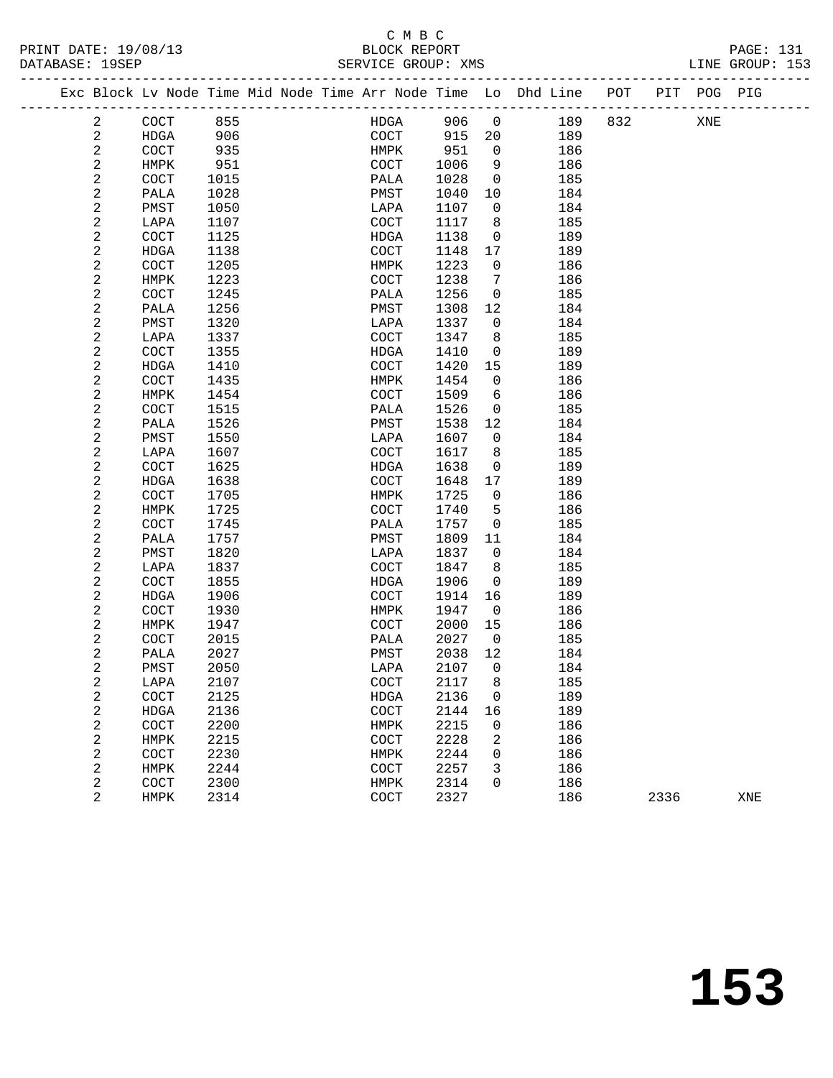|  |              | Exc Block Lv Node Time Mid Node Time Arr Node Time Lo Dhd Line |      |  |                       |      |                          |     | POT |      | PIT POG PIG |     |  |
|--|--------------|----------------------------------------------------------------|------|--|-----------------------|------|--------------------------|-----|-----|------|-------------|-----|--|
|  | 2            | COCT                                                           | 855  |  | HDGA                  | 906  | $\overline{0}$           | 189 | 832 |      | XNE         |     |  |
|  | 2            | HDGA                                                           | 906  |  | COCT                  | 915  | 20                       | 189 |     |      |             |     |  |
|  | $\sqrt{2}$   | COCT                                                           | 935  |  | HMPK                  | 951  | $\overline{0}$           | 186 |     |      |             |     |  |
|  | 2            | HMPK                                                           | 951  |  | COCT                  | 1006 | 9                        | 186 |     |      |             |     |  |
|  | $\sqrt{2}$   | COCT                                                           | 1015 |  | PALA                  | 1028 | $\overline{0}$           | 185 |     |      |             |     |  |
|  | 2            | PALA                                                           | 1028 |  | PMST                  | 1040 | 10                       | 184 |     |      |             |     |  |
|  | $\sqrt{2}$   | PMST                                                           | 1050 |  | LAPA                  | 1107 | $\overline{0}$           | 184 |     |      |             |     |  |
|  | 2            | LAPA                                                           | 1107 |  | COCT                  | 1117 | 8                        | 185 |     |      |             |     |  |
|  | $\sqrt{2}$   | COCT                                                           | 1125 |  | HDGA                  | 1138 | $\overline{0}$           | 189 |     |      |             |     |  |
|  | 2            | HDGA                                                           | 1138 |  | COCT                  | 1148 | 17                       | 189 |     |      |             |     |  |
|  | $\sqrt{2}$   | COCT                                                           | 1205 |  | HMPK                  | 1223 | $\overline{0}$           | 186 |     |      |             |     |  |
|  | 2            | HMPK                                                           | 1223 |  | COCT                  | 1238 | 7                        | 186 |     |      |             |     |  |
|  | $\sqrt{2}$   | $\operatorname{COCT}$                                          | 1245 |  | PALA                  | 1256 | $\overline{0}$           | 185 |     |      |             |     |  |
|  | $\sqrt{2}$   | PALA                                                           | 1256 |  | PMST                  | 1308 | 12                       | 184 |     |      |             |     |  |
|  | 2            | PMST                                                           | 1320 |  | LAPA                  | 1337 | $\overline{0}$           | 184 |     |      |             |     |  |
|  | $\sqrt{2}$   | LAPA                                                           | 1337 |  | COCT                  | 1347 | 8                        | 185 |     |      |             |     |  |
|  | $\sqrt{2}$   | COCT                                                           | 1355 |  | HDGA                  | 1410 | $\mathsf{O}$             | 189 |     |      |             |     |  |
|  | $\sqrt{2}$   | HDGA                                                           | 1410 |  | COCT                  | 1420 | 15                       | 189 |     |      |             |     |  |
|  | $\sqrt{2}$   | $\operatorname{COCT}$                                          | 1435 |  | HMPK                  | 1454 | $\overline{0}$           | 186 |     |      |             |     |  |
|  | $\sqrt{2}$   | HMPK                                                           | 1454 |  | COCT                  | 1509 | 6                        | 186 |     |      |             |     |  |
|  | $\sqrt{2}$   | COCT                                                           | 1515 |  | PALA                  | 1526 | $\mathsf{O}$             | 185 |     |      |             |     |  |
|  | $\sqrt{2}$   | PALA                                                           | 1526 |  | PMST                  | 1538 | 12                       | 184 |     |      |             |     |  |
|  | 2            | PMST                                                           | 1550 |  | LAPA                  | 1607 | $\overline{0}$           | 184 |     |      |             |     |  |
|  | $\sqrt{2}$   | LAPA                                                           | 1607 |  | COCT                  | 1617 | 8                        | 185 |     |      |             |     |  |
|  | 2            | COCT                                                           | 1625 |  | HDGA                  | 1638 | $\overline{0}$           | 189 |     |      |             |     |  |
|  | $\sqrt{2}$   | HDGA                                                           | 1638 |  | COCT                  | 1648 | 17                       | 189 |     |      |             |     |  |
|  | $\sqrt{2}$   | COCT                                                           | 1705 |  | HMPK                  | 1725 | $\overline{0}$           | 186 |     |      |             |     |  |
|  | $\sqrt{2}$   | HMPK                                                           | 1725 |  | COCT                  | 1740 | 5                        | 186 |     |      |             |     |  |
|  | 2            | COCT                                                           | 1745 |  | PALA                  | 1757 | $\overline{0}$           | 185 |     |      |             |     |  |
|  | $\sqrt{2}$   | PALA                                                           | 1757 |  | PMST                  | 1809 | 11                       | 184 |     |      |             |     |  |
|  | 2            | PMST                                                           | 1820 |  | LAPA                  | 1837 | $\overline{0}$           | 184 |     |      |             |     |  |
|  | $\sqrt{2}$   | LAPA                                                           | 1837 |  | COCT                  | 1847 | 8                        | 185 |     |      |             |     |  |
|  | 2            | COCT                                                           | 1855 |  | HDGA                  | 1906 | 0                        | 189 |     |      |             |     |  |
|  | $\sqrt{2}$   | HDGA                                                           | 1906 |  | COCT                  | 1914 | 16                       | 189 |     |      |             |     |  |
|  | $\sqrt{2}$   | $\operatorname{COCT}$                                          | 1930 |  | HMPK                  | 1947 | $\overline{0}$           | 186 |     |      |             |     |  |
|  | 2            | HMPK                                                           | 1947 |  | COCT                  | 2000 | 15                       | 186 |     |      |             |     |  |
|  | 2            | COCT                                                           | 2015 |  | PALA                  | 2027 | $\overline{\phantom{0}}$ | 185 |     |      |             |     |  |
|  | $\sqrt{2}$   | PALA                                                           | 2027 |  | PMST                  | 2038 | 12                       | 184 |     |      |             |     |  |
|  | 2            | PMST                                                           | 2050 |  | LAPA                  | 2107 | $\overline{0}$           | 184 |     |      |             |     |  |
|  | 2            | LAPA                                                           | 2107 |  | $\operatorname{COCT}$ | 2117 | 8                        | 185 |     |      |             |     |  |
|  | 2            | COCT                                                           | 2125 |  | HDGA                  | 2136 | 0                        | 189 |     |      |             |     |  |
|  | 2            | HDGA                                                           | 2136 |  | COCT                  | 2144 | 16                       | 189 |     |      |             |     |  |
|  | $\sqrt{2}$   | COCT                                                           | 2200 |  | HMPK                  | 2215 | $\mathsf{O}$             | 186 |     |      |             |     |  |
|  | 2            | HMPK                                                           | 2215 |  | COCT                  | 2228 | 2                        | 186 |     |      |             |     |  |
|  | $\mathbf{2}$ | COCT                                                           | 2230 |  | HMPK                  | 2244 | 0                        | 186 |     |      |             |     |  |
|  | 2            | HMPK                                                           | 2244 |  | COCT                  | 2257 | 3                        | 186 |     |      |             |     |  |
|  | $\sqrt{2}$   | COCT                                                           | 2300 |  | HMPK                  | 2314 | 0                        | 186 |     |      |             |     |  |
|  | 2            | HMPK                                                           | 2314 |  | COCT                  | 2327 |                          | 186 |     | 2336 |             | XNE |  |
|  |              |                                                                |      |  |                       |      |                          |     |     |      |             |     |  |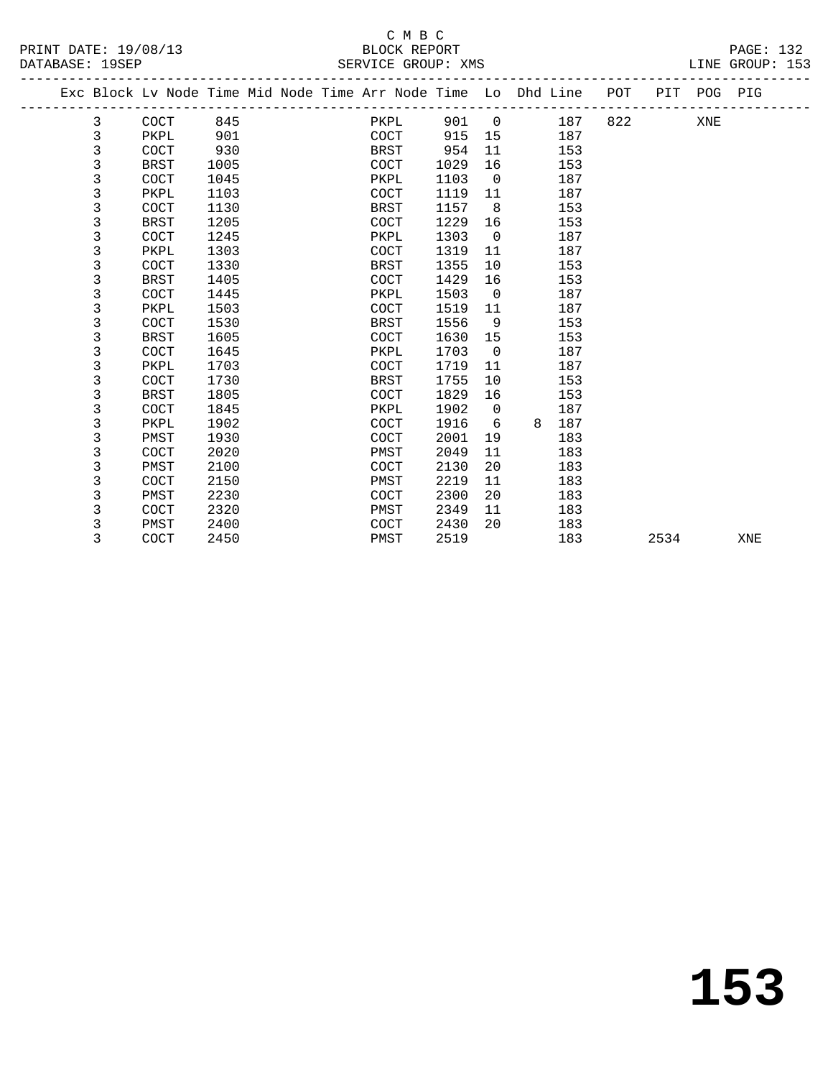|                      | C M B C            |                 |
|----------------------|--------------------|-----------------|
| PRINT DATE: 19/08/13 | BLOCK REPORT       | PAGE: 132       |
| DATABASE: 19SEP      | SERVICE GROUP: XMS | LINE GROUP: 153 |

|   | Exc Block Lv Node Time Mid Node Time Arr Node Time Lo Dhd Line POT |      |  |             |      |                |   |     |     |      | PIT POG PIG |     |
|---|--------------------------------------------------------------------|------|--|-------------|------|----------------|---|-----|-----|------|-------------|-----|
| 3 | COCT                                                               | 845  |  | PKPL        | 901  | $\overline{0}$ |   | 187 | 822 |      | XNE         |     |
| 3 | PKPL                                                               | 901  |  | COCT        | 915  | 15             |   | 187 |     |      |             |     |
| 3 | COCT                                                               | 930  |  | BRST        | 954  | 11             |   | 153 |     |      |             |     |
| 3 | <b>BRST</b>                                                        | 1005 |  | <b>COCT</b> | 1029 | 16             |   | 153 |     |      |             |     |
| 3 | COCT                                                               | 1045 |  | PKPL        | 1103 | $\overline{0}$ |   | 187 |     |      |             |     |
| 3 | PKPL                                                               | 1103 |  | COCT        | 1119 | 11             |   | 187 |     |      |             |     |
| 3 | COCT                                                               | 1130 |  | BRST        | 1157 | 8              |   | 153 |     |      |             |     |
| 3 | <b>BRST</b>                                                        | 1205 |  | <b>COCT</b> | 1229 | 16             |   | 153 |     |      |             |     |
| 3 | COCT                                                               | 1245 |  | PKPL        | 1303 | $\overline{0}$ |   | 187 |     |      |             |     |
| 3 | PKPL                                                               | 1303 |  | <b>COCT</b> | 1319 | 11             |   | 187 |     |      |             |     |
| 3 | COCT                                                               | 1330 |  | BRST        | 1355 | 10             |   | 153 |     |      |             |     |
| 3 | <b>BRST</b>                                                        | 1405 |  | <b>COCT</b> | 1429 | 16             |   | 153 |     |      |             |     |
| 3 | COCT                                                               | 1445 |  | PKPL        | 1503 | $\overline{0}$ |   | 187 |     |      |             |     |
| 3 | PKPL                                                               | 1503 |  | <b>COCT</b> | 1519 | 11             |   | 187 |     |      |             |     |
| 3 | COCT                                                               | 1530 |  | BRST        | 1556 | 9              |   | 153 |     |      |             |     |
| 3 | <b>BRST</b>                                                        | 1605 |  | COCT        | 1630 | 15             |   | 153 |     |      |             |     |
| 3 | COCT                                                               | 1645 |  | PKPL        | 1703 | $\overline{0}$ |   | 187 |     |      |             |     |
| 3 | PKPL                                                               | 1703 |  | <b>COCT</b> | 1719 | 11             |   | 187 |     |      |             |     |
| 3 | <b>COCT</b>                                                        | 1730 |  | BRST        | 1755 | 10             |   | 153 |     |      |             |     |
| 3 | <b>BRST</b>                                                        | 1805 |  | COCT        | 1829 | 16             |   | 153 |     |      |             |     |
| 3 | COCT                                                               | 1845 |  | PKPL        | 1902 | $\Omega$       |   | 187 |     |      |             |     |
| 3 | PKPL                                                               | 1902 |  | <b>COCT</b> | 1916 | 6              | 8 | 187 |     |      |             |     |
| 3 | PMST                                                               | 1930 |  | <b>COCT</b> | 2001 | 19             |   | 183 |     |      |             |     |
| 3 | COCT                                                               | 2020 |  | PMST        | 2049 | 11             |   | 183 |     |      |             |     |
| 3 | PMST                                                               | 2100 |  | <b>COCT</b> | 2130 | 20             |   | 183 |     |      |             |     |
| 3 | COCT                                                               | 2150 |  | PMST        | 2219 | 11             |   | 183 |     |      |             |     |
| 3 | PMST                                                               | 2230 |  | COCT        | 2300 | 20             |   | 183 |     |      |             |     |
| 3 | COCT                                                               | 2320 |  | PMST        | 2349 | 11             |   | 183 |     |      |             |     |
| 3 | PMST                                                               | 2400 |  | <b>COCT</b> | 2430 | 20             |   | 183 |     |      |             |     |
| 3 | COCT                                                               | 2450 |  | PMST        | 2519 |                |   | 183 |     | 2534 |             | XNE |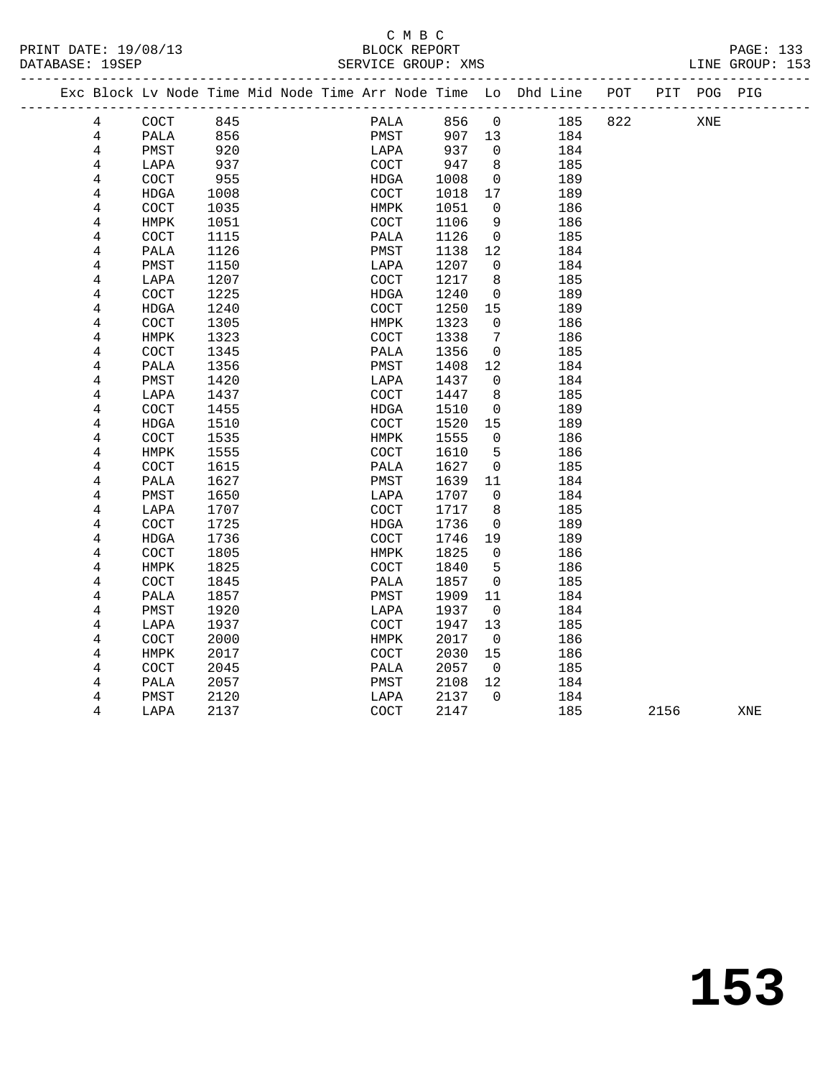### C M B C<br>BLOCK REPORT SERVICE GROUP: XMS

|  |                |                      |      |  |                      |      |                | Exc Block Lv Node Time Mid Node Time Arr Node Time Lo Dhd Line POT<br>------------------------------------ |     | PIT POG PIG |  |
|--|----------------|----------------------|------|--|----------------------|------|----------------|------------------------------------------------------------------------------------------------------------|-----|-------------|--|
|  | 4              | $\operatorname{COT}$ | 845  |  | PALA                 | 856  | $\overline{0}$ | 185                                                                                                        | 822 | XNE         |  |
|  | 4              | PALA                 | 856  |  | PMST                 | 907  | 13             | 184                                                                                                        |     |             |  |
|  | 4              | PMST                 | 920  |  | LAPA                 | 937  | $\Omega$       | 184                                                                                                        |     |             |  |
|  | 4              | LAPA                 | 937  |  | COCT                 | 947  | 8              | 185                                                                                                        |     |             |  |
|  | 4              | COCT                 | 955  |  | HDGA                 | 1008 | $\mathbf 0$    | 189                                                                                                        |     |             |  |
|  | 4              | HDGA                 | 1008 |  | COCT                 | 1018 | 17             | 189                                                                                                        |     |             |  |
|  | 4              | COCT                 | 1035 |  | HMPK                 | 1051 | $\mathbf 0$    | 186                                                                                                        |     |             |  |
|  | 4              | HMPK                 | 1051 |  | $\operatorname{COT}$ | 1106 | 9              | 186                                                                                                        |     |             |  |
|  | 4              | COCT                 | 1115 |  | PALA                 | 1126 | $\mathbf 0$    | 185                                                                                                        |     |             |  |
|  | 4              | PALA                 | 1126 |  | PMST                 | 1138 | 12             | 184                                                                                                        |     |             |  |
|  | 4              | PMST                 | 1150 |  | LAPA                 | 1207 | $\mathbf 0$    | 184                                                                                                        |     |             |  |
|  | 4              | LAPA                 | 1207 |  | COCT                 | 1217 | 8              | 185                                                                                                        |     |             |  |
|  | 4              | <b>COCT</b>          | 1225 |  | HDGA                 | 1240 | $\mathbf 0$    | 189                                                                                                        |     |             |  |
|  | 4              | <b>HDGA</b>          | 1240 |  | $\operatorname{COT}$ | 1250 | 15             | 189                                                                                                        |     |             |  |
|  | 4              | COCT                 | 1305 |  | HMPK                 | 1323 | $\mathsf{O}$   | 186                                                                                                        |     |             |  |
|  | 4              | HMPK                 | 1323 |  | <b>COCT</b>          | 1338 | 7              | 186                                                                                                        |     |             |  |
|  | 4              | COCT                 | 1345 |  | PALA                 | 1356 | $\mathbf 0$    | 185                                                                                                        |     |             |  |
|  | 4              | PALA                 | 1356 |  | PMST                 | 1408 | 12             | 184                                                                                                        |     |             |  |
|  | 4              | PMST                 | 1420 |  | LAPA                 | 1437 | $\mathbf 0$    | 184                                                                                                        |     |             |  |
|  | 4              | LAPA                 | 1437 |  | COCT                 | 1447 | 8              | 185                                                                                                        |     |             |  |
|  | 4              | COCT                 | 1455 |  | HDGA                 | 1510 | $\mathbf 0$    | 189                                                                                                        |     |             |  |
|  | 4              | <b>HDGA</b>          | 1510 |  | COCT                 | 1520 | 15             | 189                                                                                                        |     |             |  |
|  | 4              | COCT                 | 1535 |  | HMPK                 | 1555 | $\mathbf 0$    | 186                                                                                                        |     |             |  |
|  | 4              | HMPK                 | 1555 |  | COCT                 | 1610 | 5              | 186                                                                                                        |     |             |  |
|  | 4              | COCT                 | 1615 |  | PALA                 | 1627 | 0              | 185                                                                                                        |     |             |  |
|  | 4              | PALA                 | 1627 |  | PMST                 | 1639 | 11             | 184                                                                                                        |     |             |  |
|  | 4              | PMST                 | 1650 |  | LAPA                 | 1707 | $\mathbf 0$    | 184                                                                                                        |     |             |  |
|  | 4              | LAPA                 | 1707 |  | COCT                 | 1717 | 8              | 185                                                                                                        |     |             |  |
|  | 4              | COCT                 | 1725 |  | HDGA                 | 1736 | $\mathbf 0$    | 189                                                                                                        |     |             |  |
|  | 4              | <b>HDGA</b>          | 1736 |  | COCT                 | 1746 | 19             | 189                                                                                                        |     |             |  |
|  | $\overline{4}$ | COCT                 | 1805 |  | HMPK                 | 1825 | $\mathbf 0$    | 186                                                                                                        |     |             |  |
|  | 4              | HMPK                 | 1825 |  | COCT                 | 1840 | 5              | 186                                                                                                        |     |             |  |
|  | 4              | COCT                 | 1845 |  | PALA                 | 1857 | $\mathbf 0$    | 185                                                                                                        |     |             |  |
|  | 4              | PALA                 | 1857 |  | PMST                 | 1909 | 11             | 184                                                                                                        |     |             |  |
|  | 4              | PMST                 | 1920 |  | LAPA                 | 1937 | $\mathbf 0$    | 184                                                                                                        |     |             |  |
|  | 4              | LAPA                 | 1937 |  | $\operatorname{COT}$ | 1947 | 13             | 185                                                                                                        |     |             |  |
|  | 4              | COCT                 | 2000 |  | HMPK                 | 2017 | $\overline{0}$ | 186                                                                                                        |     |             |  |
|  | 4              | HMPK                 | 2017 |  | COCT                 | 2030 | 15             | 186                                                                                                        |     |             |  |
|  | 4              | <b>COCT</b>          | 2045 |  | PALA                 | 2057 | $\Omega$       | 185                                                                                                        |     |             |  |

 4 PALA 2057 PMST 2108 12 184 4 PMST 2120 184 2137 0 184<br>4 LAPA 2137 20CCT 2147 185

2156 XNE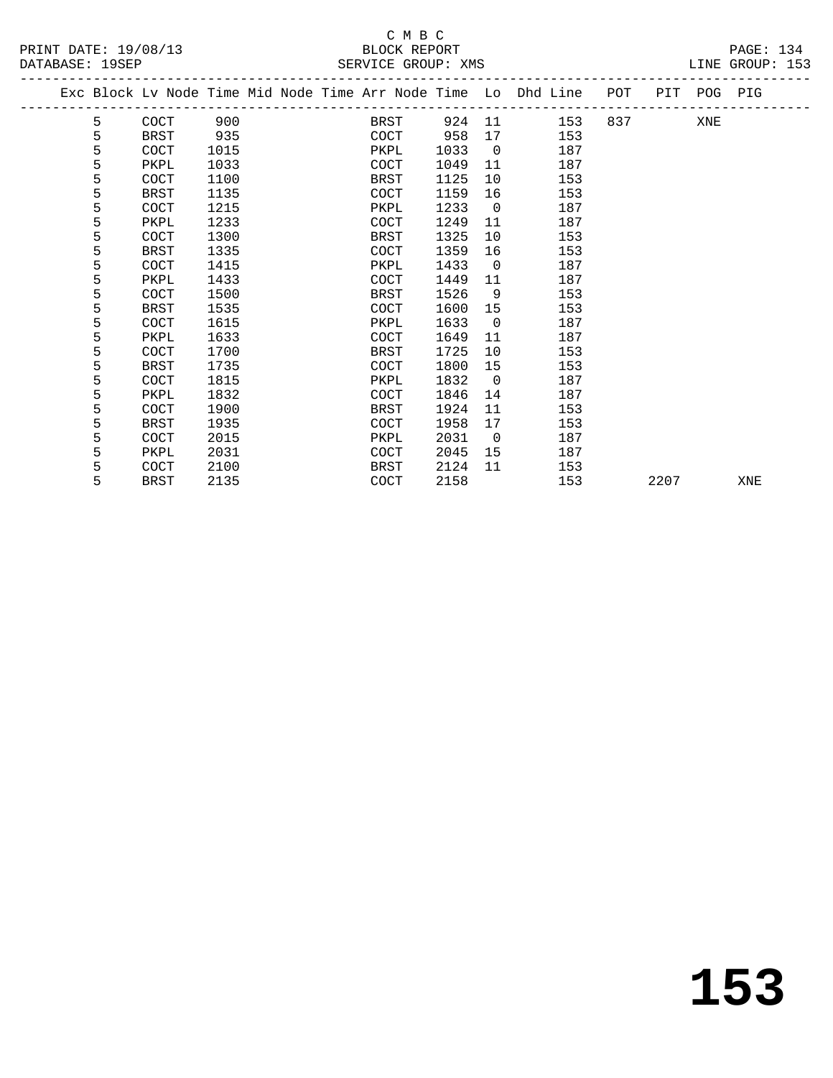### C M B C<br>BLOCK REPORT SERVICE GROUP: XMS

|  |   | Exc Block Lv Node Time Mid Node Time Arr Node Time Lo Dhd Line |      |  |             |      |                |     | POT | PIT POG PIG |  |
|--|---|----------------------------------------------------------------|------|--|-------------|------|----------------|-----|-----|-------------|--|
|  | 5 | <b>COCT</b>                                                    | 900  |  | BRST        | 924  | - 11           | 153 | 837 | XNE         |  |
|  | 5 | <b>BRST</b>                                                    | 935  |  | COCT        | 958  | 17             | 153 |     |             |  |
|  | 5 | COCT                                                           | 1015 |  | PKPL        | 1033 | $\overline{0}$ | 187 |     |             |  |
|  | 5 | PKPL                                                           | 1033 |  | <b>COCT</b> | 1049 | 11             | 187 |     |             |  |
|  | 5 | COCT                                                           | 1100 |  | BRST        | 1125 | 10             | 153 |     |             |  |
|  | 5 | BRST                                                           | 1135 |  | <b>COCT</b> | 1159 | 16             | 153 |     |             |  |
|  | 5 | <b>COCT</b>                                                    | 1215 |  | PKPL        | 1233 | $\overline{0}$ | 187 |     |             |  |
|  | 5 | PKPL                                                           | 1233 |  | COCT        | 1249 | 11             | 187 |     |             |  |
|  | 5 | <b>COCT</b>                                                    | 1300 |  | <b>BRST</b> | 1325 | 10             | 153 |     |             |  |
|  | 5 | <b>BRST</b>                                                    | 1335 |  | <b>COCT</b> | 1359 | 16             | 153 |     |             |  |
|  | 5 | COCT                                                           | 1415 |  | PKPL        | 1433 | $\overline{0}$ | 187 |     |             |  |
|  | 5 | PKPL                                                           | 1433 |  | <b>COCT</b> | 1449 | 11             | 187 |     |             |  |
|  | 5 | COCT                                                           | 1500 |  | BRST        | 1526 | 9              | 153 |     |             |  |
|  | 5 | BRST                                                           | 1535 |  | <b>COCT</b> | 1600 | 15             | 153 |     |             |  |
|  | 5 | <b>COCT</b>                                                    | 1615 |  | PKPL        | 1633 | $\overline{0}$ | 187 |     |             |  |
|  | 5 | PKPL                                                           | 1633 |  | COCT        | 1649 | 11             | 187 |     |             |  |
|  | 5 | <b>COCT</b>                                                    | 1700 |  | <b>BRST</b> | 1725 | 10             | 153 |     |             |  |
|  | 5 | BRST                                                           | 1735 |  | COCT        | 1800 | 15             | 153 |     |             |  |
|  | 5 | COCT                                                           | 1815 |  | PKPL        | 1832 | $\overline{0}$ | 187 |     |             |  |
|  | 5 | PKPL                                                           | 1832 |  | COCT        | 1846 | 14             | 187 |     |             |  |
|  | 5 | COCT                                                           | 1900 |  | <b>BRST</b> | 1924 | 11             | 153 |     |             |  |
|  | 5 | <b>BRST</b>                                                    | 1935 |  | COCT        | 1958 | 17             | 153 |     |             |  |
|  | 5 | COCT                                                           | 2015 |  | PKPL        | 2031 | $\overline{0}$ | 187 |     |             |  |
|  | 5 | PKPL                                                           | 2031 |  | COCT        | 2045 | 15             | 187 |     |             |  |
|  |   |                                                                |      |  |             |      |                |     |     |             |  |

5 BRST 2135 COCT 2158 153 2207 XNE

5 COCT 2100 BRST 2124 11 153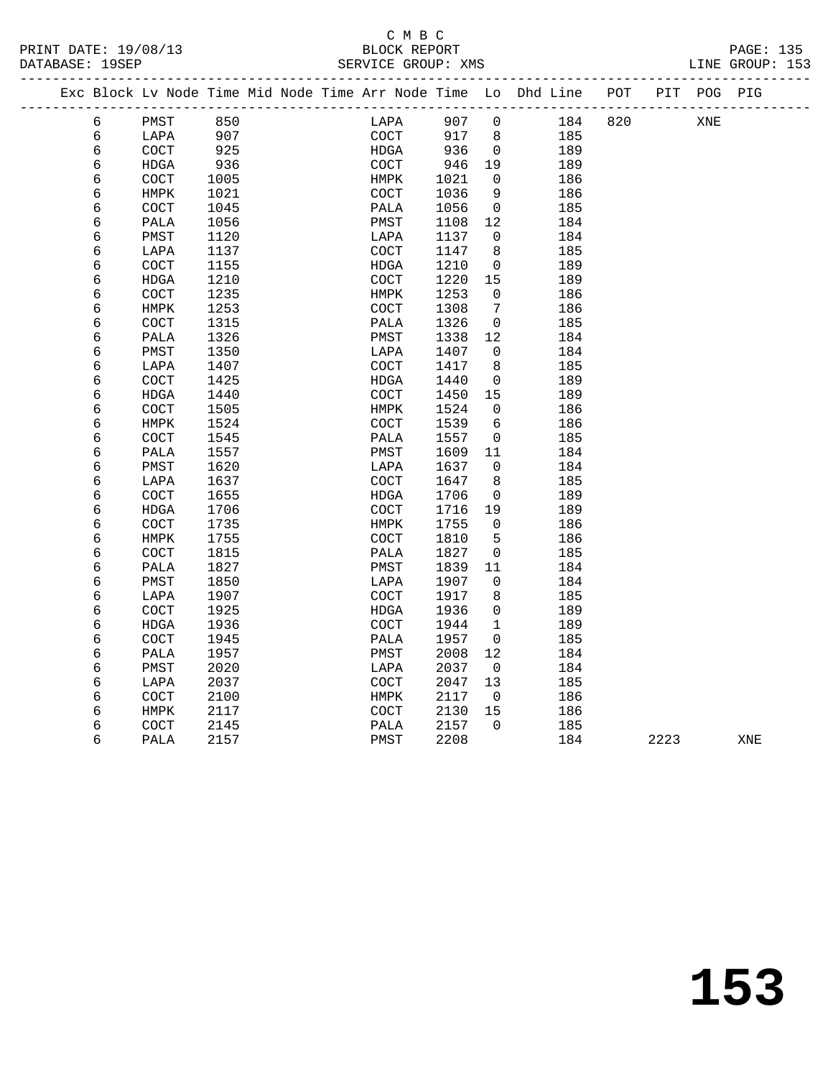PRINT DATE: 19/08/13 BLOCK REPORT PAGE: 135 DATABASE: 19SEP

## C M B C<br>BLOCK REPORT

|   |                      |      |  |                      |      |                 | Exc Block Lv Node Time Mid Node Time Arr Node Time Lo Dhd Line POT PIT POG PIG | ____________ |     |  |
|---|----------------------|------|--|----------------------|------|-----------------|--------------------------------------------------------------------------------|--------------|-----|--|
| 6 | PMST                 | 850  |  | LAPA                 | 907  | $\mathbf 0$     | 184                                                                            | 820          | XNE |  |
| 6 | LAPA                 | 907  |  | COCT                 | 917  | 8               | 185                                                                            |              |     |  |
| 6 | COCT                 | 925  |  | HDGA                 | 936  | $\overline{0}$  | 189                                                                            |              |     |  |
| 6 | HDGA                 | 936  |  | COCT                 | 946  | 19              | 189                                                                            |              |     |  |
| 6 | <b>COCT</b>          | 1005 |  | HMPK                 | 1021 | 0               | 186                                                                            |              |     |  |
| 6 | HMPK                 | 1021 |  | $\operatorname{COT}$ | 1036 | 9               | 186                                                                            |              |     |  |
| 6 | COCT                 | 1045 |  | PALA                 | 1056 | $\mathbf{0}$    | 185                                                                            |              |     |  |
| 6 | PALA                 | 1056 |  | PMST                 | 1108 | 12              | 184                                                                            |              |     |  |
| 6 | PMST                 | 1120 |  | LAPA                 | 1137 | $\mathbf{0}$    | 184                                                                            |              |     |  |
| 6 | LAPA                 | 1137 |  | $\operatorname{COT}$ | 1147 | 8               | 185                                                                            |              |     |  |
| 6 | COCT                 | 1155 |  | HDGA                 | 1210 | $\mathbf 0$     | 189                                                                            |              |     |  |
| 6 | HDGA                 | 1210 |  | <b>COCT</b>          | 1220 | 15              | 189                                                                            |              |     |  |
| 6 | COCT                 | 1235 |  | HMPK                 | 1253 | $\mathbf 0$     | 186                                                                            |              |     |  |
| 6 | HMPK                 | 1253 |  | $\operatorname{COT}$ | 1308 | $7\phantom{.0}$ | 186                                                                            |              |     |  |
| 6 | COCT                 | 1315 |  | PALA                 | 1326 | $\mathbf 0$     | 185                                                                            |              |     |  |
| 6 | PALA                 | 1326 |  | PMST                 | 1338 | 12              | 184                                                                            |              |     |  |
| 6 | PMST                 | 1350 |  | LAPA                 | 1407 | $\mathbf{0}$    | 184                                                                            |              |     |  |
| 6 | LAPA                 | 1407 |  | COCT                 | 1417 | 8               | 185                                                                            |              |     |  |
| 6 | COCT                 | 1425 |  | HDGA                 | 1440 | 0               | 189                                                                            |              |     |  |
| 6 | HDGA                 | 1440 |  | COCT                 | 1450 | 15              | 189                                                                            |              |     |  |
| 6 | COCT                 | 1505 |  | HMPK                 | 1524 | $\mathbf 0$     | 186                                                                            |              |     |  |
| 6 | HMPK                 | 1524 |  | COCT                 | 1539 | 6               | 186                                                                            |              |     |  |
| 6 | COCT                 | 1545 |  | PALA                 | 1557 | $\mathbf{0}$    | 185                                                                            |              |     |  |
| 6 | PALA                 | 1557 |  | PMST                 | 1609 | 11              | 184                                                                            |              |     |  |
| 6 | PMST                 | 1620 |  | LAPA                 | 1637 | $\mathbf 0$     | 184                                                                            |              |     |  |
| 6 | LAPA                 | 1637 |  | $\operatorname{COT}$ | 1647 | 8               | 185                                                                            |              |     |  |
| 6 | COCT                 | 1655 |  | HDGA                 | 1706 | $\mathbf 0$     | 189                                                                            |              |     |  |
| 6 | HDGA                 | 1706 |  | COCT                 | 1716 | 19              | 189                                                                            |              |     |  |
| 6 | $\operatorname{COT}$ | 1735 |  | HMPK                 | 1755 | $\mathbf 0$     | 186                                                                            |              |     |  |
| 6 | HMPK                 | 1755 |  | <b>COCT</b>          | 1810 | 5               | 186                                                                            |              |     |  |
| 6 | COCT                 | 1815 |  | PALA                 | 1827 | $\mathbf{0}$    | 185                                                                            |              |     |  |
| 6 | PALA                 | 1827 |  | PMST                 | 1839 | 11              | 184                                                                            |              |     |  |
| 6 | PMST                 | 1850 |  | LAPA                 | 1907 | 0               | 184                                                                            |              |     |  |
| 6 | LAPA                 | 1907 |  | COCT                 | 1917 | 8               | 185                                                                            |              |     |  |
| 6 | COCT                 | 1925 |  | HDGA                 | 1936 | $\mathbf 0$     | 189                                                                            |              |     |  |
| 6 | HDGA                 | 1936 |  | COCT                 | 1944 | $\mathbf{1}$    | 189                                                                            |              |     |  |
| 6 | COCT                 | 1945 |  | PALA                 | 1957 | $\Omega$        | 185                                                                            |              |     |  |
| 6 | PALA                 | 1957 |  | PMST                 | 2008 | 12              | 184                                                                            |              |     |  |
| 6 | PMST                 | 2020 |  | LAPA                 | 2037 | $\overline{0}$  | 184                                                                            |              |     |  |
| 6 | LAPA                 | 2037 |  | COCT                 | 2047 | 13              | 185                                                                            |              |     |  |
| 6 | COCT                 | 2100 |  | ${\tt HMPK}$         | 2117 | $\overline{0}$  | 186                                                                            |              |     |  |
| 6 | <b>HMPK</b>          | 2117 |  | <b>COCT</b>          | 2130 | 15              | 186                                                                            |              |     |  |
|   |                      |      |  |                      |      |                 |                                                                                |              |     |  |

6 PALA 2157 PMST 2208 184 2223 XNE

6 COCT 2145 PALA 2157 0 185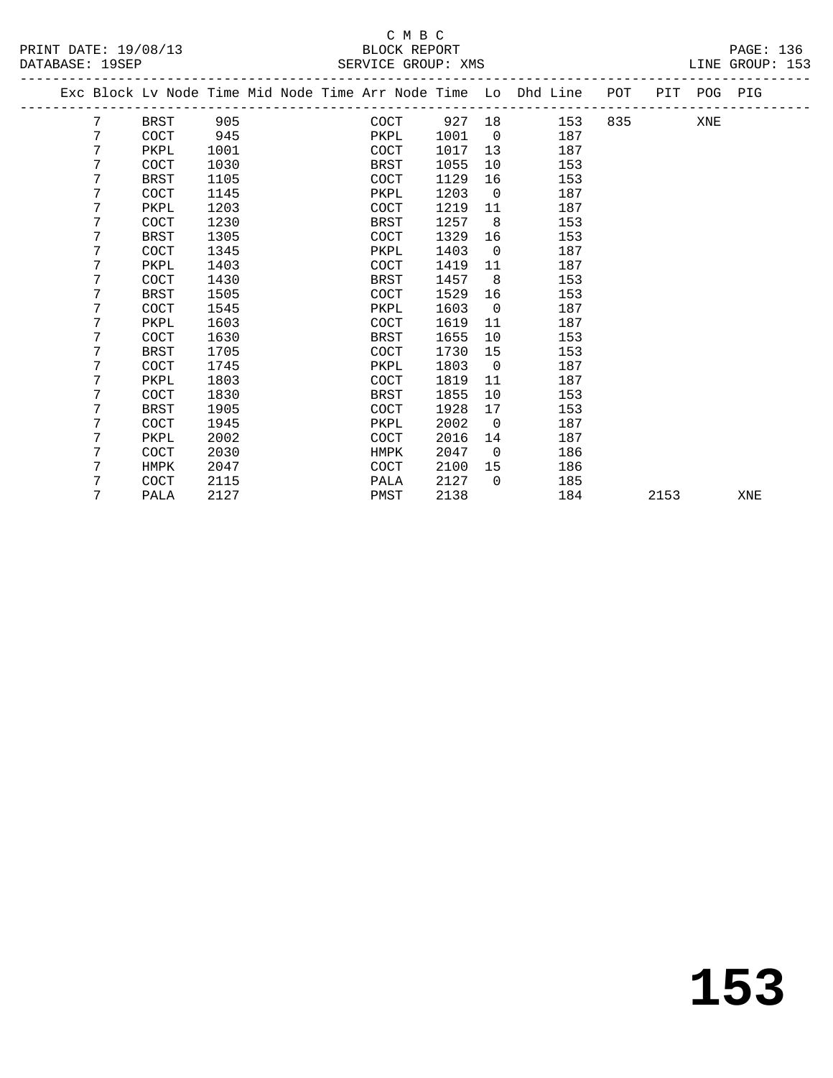### C M B C<br>BLOCK REPORT

PRINT DATE: 19/08/13 BLOCK REPORT PAGE: 136 LINE GROUP: 153 -------------------------------------------------------------------------------------------------

|  |   | Exc Block Lv Node Time Mid Node Time Arr Node Time Lo Dhd Line |      |  |             |      |        |                |     | POT |      | PIT POG PIG |     |  |
|--|---|----------------------------------------------------------------|------|--|-------------|------|--------|----------------|-----|-----|------|-------------|-----|--|
|  | 7 | BRST                                                           | 905  |  |             | COCT | 927 18 |                | 153 | 835 |      | XNE         |     |  |
|  | 7 | <b>COCT</b>                                                    | 945  |  | PKPL        |      | 1001   | $\overline{0}$ | 187 |     |      |             |     |  |
|  | 7 | PKPL                                                           | 1001 |  | <b>COCT</b> |      | 1017   | 13             | 187 |     |      |             |     |  |
|  | 7 | COCT                                                           | 1030 |  | <b>BRST</b> |      | 1055   | 10             | 153 |     |      |             |     |  |
|  | 7 | BRST                                                           | 1105 |  | <b>COCT</b> |      | 1129   | 16             | 153 |     |      |             |     |  |
|  | 7 | COCT                                                           | 1145 |  | PKPL        |      | 1203   | $\overline{0}$ | 187 |     |      |             |     |  |
|  | 7 | PKPL                                                           | 1203 |  | <b>COCT</b> |      | 1219   | 11             | 187 |     |      |             |     |  |
|  | 7 | COCT                                                           | 1230 |  | BRST        |      | 1257   | 8              | 153 |     |      |             |     |  |
|  | 7 | <b>BRST</b>                                                    | 1305 |  | <b>COCT</b> |      | 1329   | 16             | 153 |     |      |             |     |  |
|  | 7 | COCT                                                           | 1345 |  | PKPL        |      | 1403   | $\overline{0}$ | 187 |     |      |             |     |  |
|  | 7 | PKPL                                                           | 1403 |  | <b>COCT</b> |      | 1419   | 11             | 187 |     |      |             |     |  |
|  | 7 | COCT                                                           | 1430 |  | BRST        |      | 1457   | 8 <sup>8</sup> | 153 |     |      |             |     |  |
|  | 7 | BRST                                                           | 1505 |  | <b>COCT</b> |      | 1529   | 16             | 153 |     |      |             |     |  |
|  | 7 | COCT                                                           | 1545 |  | PKPL        |      | 1603   | $\overline{0}$ | 187 |     |      |             |     |  |
|  | 7 | PKPL                                                           | 1603 |  | <b>COCT</b> |      | 1619   | 11             | 187 |     |      |             |     |  |
|  | 7 | COCT                                                           | 1630 |  | <b>BRST</b> |      | 1655   | 10             | 153 |     |      |             |     |  |
|  | 7 | BRST                                                           | 1705 |  | COCT        |      | 1730   | 15             | 153 |     |      |             |     |  |
|  | 7 | <b>COCT</b>                                                    | 1745 |  | PKPL        |      | 1803   | $\overline{0}$ | 187 |     |      |             |     |  |
|  | 7 | PKPL                                                           | 1803 |  | <b>COCT</b> |      | 1819   | 11             | 187 |     |      |             |     |  |
|  | 7 | COCT                                                           | 1830 |  | BRST        |      | 1855   | 10             | 153 |     |      |             |     |  |
|  | 7 | <b>BRST</b>                                                    | 1905 |  | <b>COCT</b> |      | 1928   | 17             | 153 |     |      |             |     |  |
|  | 7 | COCT                                                           | 1945 |  | PKPL        |      | 2002   | $\overline{0}$ | 187 |     |      |             |     |  |
|  | 7 | PKPL                                                           | 2002 |  | <b>COCT</b> |      | 2016   | 14             | 187 |     |      |             |     |  |
|  | 7 | COCT                                                           | 2030 |  | HMPK        |      | 2047   | $\overline{0}$ | 186 |     |      |             |     |  |
|  | 7 | HMPK                                                           | 2047 |  | <b>COCT</b> |      | 2100   | 15             | 186 |     |      |             |     |  |
|  | 7 | COCT                                                           | 2115 |  | PALA        |      | 2127   | $\bigcap$      | 185 |     |      |             |     |  |
|  | 7 | PALA                                                           | 2127 |  | PMST        |      | 2138   |                | 184 |     | 2153 |             | XNE |  |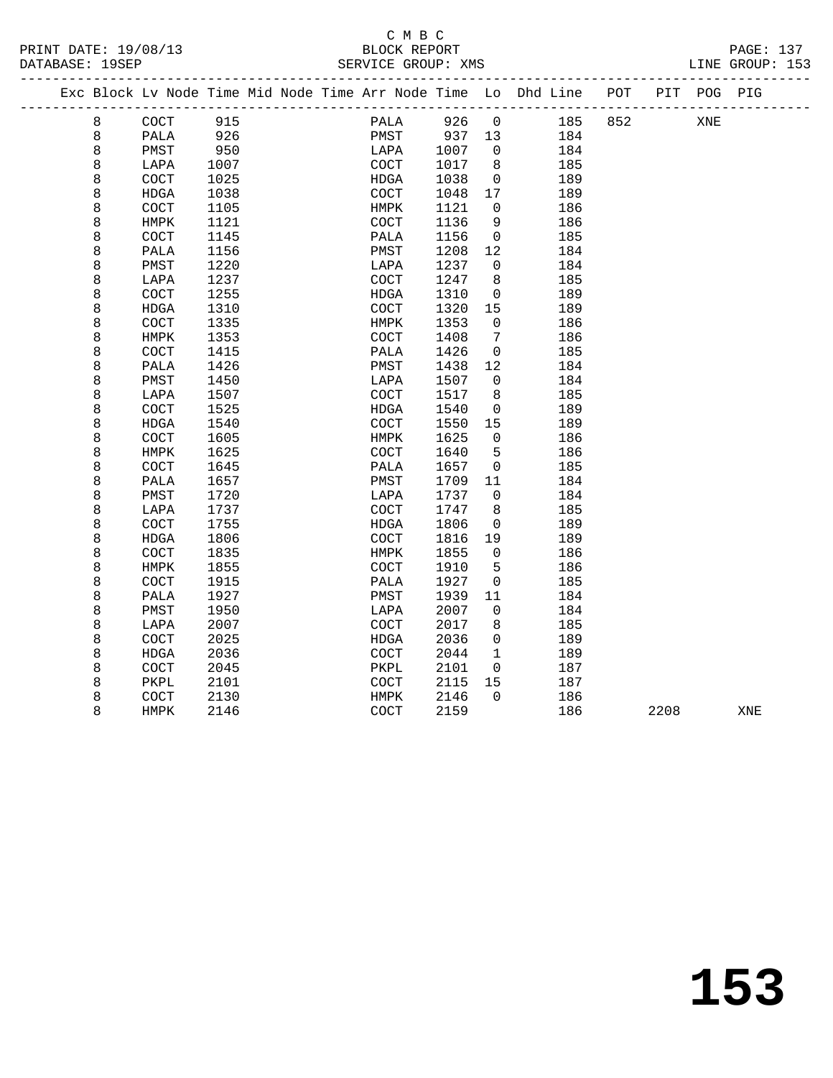### C M B C<br>BLOCK REPORT SERVICE GROUP: XMS

-------------------------------------------------------------------------------------------------

|  |   | Exc Block Lv Node Time Mid Node Time Arr Node Time Lo Dhd Line |      |  |                              |      |             |     | POT | PIT  | POG PIG |     |  |
|--|---|----------------------------------------------------------------|------|--|------------------------------|------|-------------|-----|-----|------|---------|-----|--|
|  | 8 | $\operatorname{COT}$                                           | 915  |  | PALA                         | 926  | 0           | 185 | 852 |      | XNE     |     |  |
|  | 8 | PALA                                                           | 926  |  | PMST                         | 937  | 13          | 184 |     |      |         |     |  |
|  | 8 | PMST                                                           | 950  |  | LAPA                         | 1007 | $\mathbf 0$ | 184 |     |      |         |     |  |
|  | 8 | LAPA                                                           | 1007 |  | <b>COCT</b>                  | 1017 | 8           | 185 |     |      |         |     |  |
|  | 8 | COCT                                                           | 1025 |  | HDGA                         | 1038 | $\mathbf 0$ | 189 |     |      |         |     |  |
|  | 8 | <b>HDGA</b>                                                    | 1038 |  | COCT                         | 1048 | 17          | 189 |     |      |         |     |  |
|  | 8 | COCT                                                           | 1105 |  | HMPK                         | 1121 | 0           | 186 |     |      |         |     |  |
|  | 8 | HMPK                                                           | 1121 |  | COCT                         | 1136 | 9           | 186 |     |      |         |     |  |
|  | 8 | COCT                                                           | 1145 |  | PALA                         | 1156 | $\mathbf 0$ | 185 |     |      |         |     |  |
|  | 8 | PALA                                                           | 1156 |  | PMST                         | 1208 | 12          | 184 |     |      |         |     |  |
|  | 8 | PMST                                                           | 1220 |  | LAPA                         | 1237 | $\mathbf 0$ | 184 |     |      |         |     |  |
|  | 8 | LAPA                                                           | 1237 |  | COCT                         | 1247 | 8           | 185 |     |      |         |     |  |
|  | 8 | COCT                                                           | 1255 |  | HDGA                         | 1310 | 0           | 189 |     |      |         |     |  |
|  | 8 | HDGA                                                           | 1310 |  | COCT                         | 1320 | 15          | 189 |     |      |         |     |  |
|  | 8 | COCT                                                           | 1335 |  | HMPK                         | 1353 | 0           | 186 |     |      |         |     |  |
|  | 8 | HMPK                                                           | 1353 |  | COCT                         | 1408 | 7           | 186 |     |      |         |     |  |
|  | 8 | COCT                                                           | 1415 |  | PALA                         | 1426 | 0           | 185 |     |      |         |     |  |
|  | 8 | PALA                                                           | 1426 |  | PMST                         | 1438 | 12          | 184 |     |      |         |     |  |
|  | 8 | PMST                                                           | 1450 |  | LAPA                         | 1507 | 0           | 184 |     |      |         |     |  |
|  | 8 | LAPA                                                           | 1507 |  | COCT                         | 1517 | 8           | 185 |     |      |         |     |  |
|  | 8 | COCT                                                           | 1525 |  | <b>HDGA</b>                  | 1540 | 0           | 189 |     |      |         |     |  |
|  | 8 | <b>HDGA</b>                                                    | 1540 |  | COCT                         | 1550 | 15          | 189 |     |      |         |     |  |
|  | 8 | COCT                                                           | 1605 |  | HMPK                         | 1625 | $\mathbf 0$ | 186 |     |      |         |     |  |
|  | 8 | HMPK                                                           | 1625 |  | COCT                         | 1640 | 5           | 186 |     |      |         |     |  |
|  | 8 | COCT                                                           | 1645 |  | $\ensuremath{\mathrm{PALA}}$ | 1657 | 0           | 185 |     |      |         |     |  |
|  | 8 | PALA                                                           | 1657 |  | PMST                         | 1709 | 11          | 184 |     |      |         |     |  |
|  | 8 | PMST                                                           | 1720 |  | LAPA                         | 1737 | $\mathbf 0$ | 184 |     |      |         |     |  |
|  | 8 | LAPA                                                           | 1737 |  | COCT                         | 1747 | 8           | 185 |     |      |         |     |  |
|  | 8 | COCT                                                           | 1755 |  | <b>HDGA</b>                  | 1806 | $\mathbf 0$ | 189 |     |      |         |     |  |
|  | 8 | HDGA                                                           | 1806 |  | COCT                         | 1816 | 19          | 189 |     |      |         |     |  |
|  | 8 | COCT                                                           | 1835 |  | HMPK                         | 1855 | 0           | 186 |     |      |         |     |  |
|  | 8 | HMPK                                                           | 1855 |  | COCT                         | 1910 | 5           | 186 |     |      |         |     |  |
|  | 8 | COCT                                                           | 1915 |  | PALA                         | 1927 | 0           | 185 |     |      |         |     |  |
|  | 8 | PALA                                                           | 1927 |  | PMST                         | 1939 | 11          | 184 |     |      |         |     |  |
|  | 8 | PMST                                                           | 1950 |  | LAPA                         | 2007 | 0           | 184 |     |      |         |     |  |
|  | 8 | LAPA                                                           | 2007 |  | COCT                         | 2017 | 8           | 185 |     |      |         |     |  |
|  | 8 | COCT                                                           | 2025 |  | <b>HDGA</b>                  | 2036 | 0           | 189 |     |      |         |     |  |
|  | 8 | HDGA                                                           | 2036 |  | COCT                         | 2044 | 1           | 189 |     |      |         |     |  |
|  | 8 | COCT                                                           | 2045 |  | PKPL                         | 2101 | $\mathbf 0$ | 187 |     |      |         |     |  |
|  | 8 | PKPL                                                           | 2101 |  | COCT                         | 2115 | 15          | 187 |     |      |         |     |  |
|  | 8 | COCT                                                           | 2130 |  | <b>HMPK</b>                  | 2146 | $\Omega$    | 186 |     |      |         |     |  |
|  | 8 | <b>HMPK</b>                                                    | 2146 |  | COCT                         | 2159 |             | 186 |     | 2208 |         | XNE |  |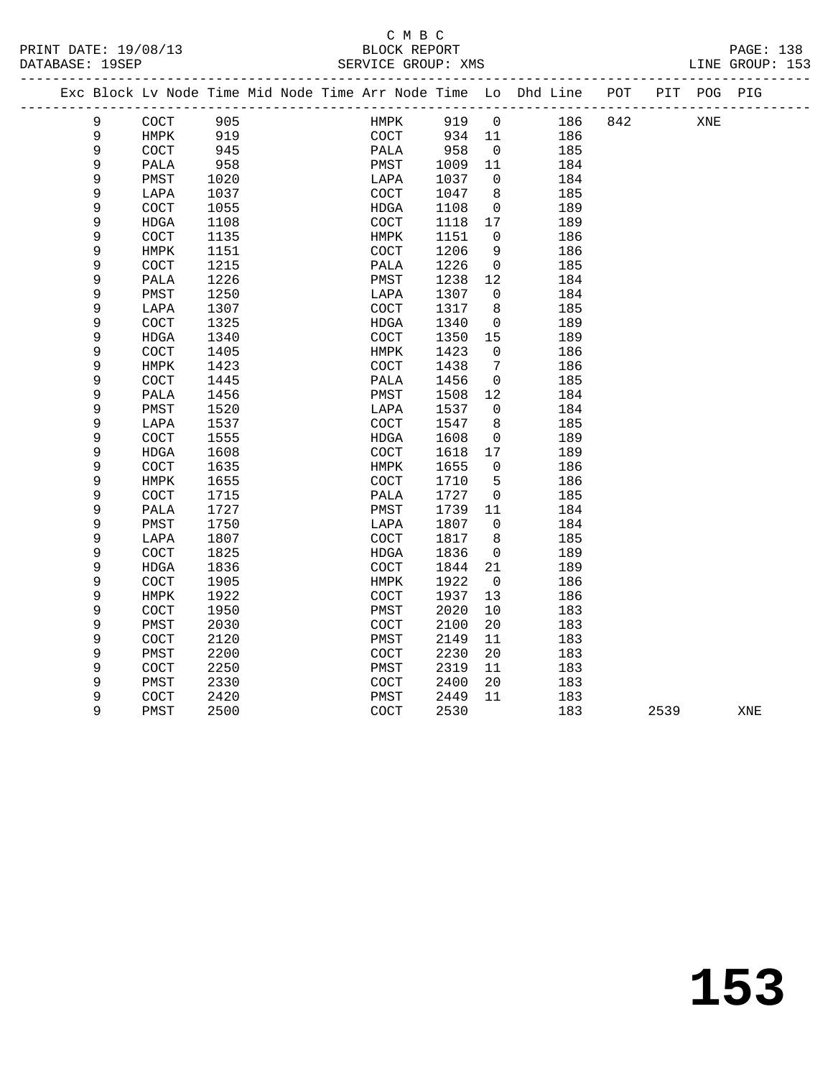## C M B C<br>BLOCK REPORT

| PRINT DATE: 19/08/13<br>DATABASE: 19SEP |                |              |              |  | U M D U<br>BLOCK REPORT<br>SERVICE GROUP: XMS |              |                 |                                                                    |     |      |             | PAGE: 138<br>LINE GROUP: 153 |
|-----------------------------------------|----------------|--------------|--------------|--|-----------------------------------------------|--------------|-----------------|--------------------------------------------------------------------|-----|------|-------------|------------------------------|
|                                         |                |              |              |  | -----------------------------------           |              |                 | --------------------------------                                   |     |      |             |                              |
|                                         |                |              |              |  |                                               |              |                 | Exc Block Lv Node Time Mid Node Time Arr Node Time Lo Dhd Line POT |     |      | PIT POG PIG |                              |
|                                         | 9              | COCT         | 905          |  | HMPK                                          | 919 0        |                 | 186                                                                | 842 |      | XNE         |                              |
|                                         | $\overline{9}$ | HMPK         | 919          |  | COCT                                          | 934 11       |                 | 186                                                                |     |      |             |                              |
|                                         | 9              | <b>COCT</b>  | 945          |  | PALA                                          | $-5.1$       | $\overline{0}$  | 185                                                                |     |      |             |                              |
|                                         | 9              | PALA         | 958          |  | PMST                                          | 1009         | 11              | 184                                                                |     |      |             |                              |
|                                         | 9              | PMST         | 1020         |  | LAPA                                          | 1037         | $\overline{0}$  | 184                                                                |     |      |             |                              |
|                                         | $\mathsf 9$    | LAPA         | 1037         |  | COCT                                          | 1047         | 8               | 185                                                                |     |      |             |                              |
|                                         | 9              | COCT         | 1055         |  | HDGA                                          | 1108         | $\overline{0}$  | 189                                                                |     |      |             |                              |
|                                         | 9              | <b>HDGA</b>  | 1108         |  | COCT                                          | 1118         | 17              | 189                                                                |     |      |             |                              |
|                                         | 9              | COCT         | 1135         |  | HMPK                                          | 1151         | $\Omega$        | 186                                                                |     |      |             |                              |
|                                         | 9              | HMPK         | 1151         |  | COCT                                          | 1206         | 9               | 186                                                                |     |      |             |                              |
|                                         | 9              | COCT         | 1215         |  | PALA                                          | 1226         | $\overline{0}$  | 185                                                                |     |      |             |                              |
|                                         | 9              | PALA         | 1226         |  | PMST                                          | 1238         | 12              | 184                                                                |     |      |             |                              |
|                                         | 9              | PMST         | 1250         |  | LAPA                                          | 1307         | $\mathbf{0}$    | 184                                                                |     |      |             |                              |
|                                         | 9              | LAPA         | 1307         |  | COCT                                          | 1317         | 8               | 185                                                                |     |      |             |                              |
|                                         | 9              | COCT         | 1325         |  | HDGA                                          | 1340         | 0               | 189                                                                |     |      |             |                              |
|                                         | $\mathsf 9$    | <b>HDGA</b>  | 1340         |  | COCT                                          | 1350         | 15              | 189                                                                |     |      |             |                              |
|                                         | 9              | COCT         | 1405         |  | HMPK                                          | 1423         | $\Omega$        | 186                                                                |     |      |             |                              |
|                                         | 9              | HMPK         | 1423         |  | COCT                                          | 1438         | 7               | 186                                                                |     |      |             |                              |
|                                         | 9              | COCT         | 1445         |  | PALA                                          | 1456         | $\overline{0}$  | 185                                                                |     |      |             |                              |
|                                         | 9              | PALA         | 1456         |  | PMST                                          | 1508         | 12              | 184                                                                |     |      |             |                              |
|                                         | 9              | PMST         | 1520         |  | LAPA                                          | 1537         | $\mathbf 0$     | 184                                                                |     |      |             |                              |
|                                         | 9              | LAPA         | 1537         |  | <b>COCT</b>                                   | 1547         | 8               | 185                                                                |     |      |             |                              |
|                                         | 9              | COCT         | 1555         |  | HDGA                                          | 1608         | 0               | 189                                                                |     |      |             |                              |
|                                         | 9<br>9         | HDGA         | 1608         |  | COCT                                          | 1618         | 17<br>$\Omega$  | 189                                                                |     |      |             |                              |
|                                         | 9              | COCT         | 1635         |  | HMPK                                          | 1655         | $5\phantom{.0}$ | 186                                                                |     |      |             |                              |
|                                         | 9              | HMPK         | 1655<br>1715 |  | COCT<br>PALA                                  | 1710<br>1727 | $\mathbf{0}$    | 186<br>185                                                         |     |      |             |                              |
|                                         | 9              | COCT<br>PALA | 1727         |  | PMST                                          | 1739         | 11              | 184                                                                |     |      |             |                              |
|                                         | 9              | PMST         | 1750         |  | LAPA                                          | 1807         | $\overline{0}$  | 184                                                                |     |      |             |                              |
|                                         | 9              | LAPA         | 1807         |  | COCT                                          | 1817         | 8               | 185                                                                |     |      |             |                              |
|                                         | 9              | COCT         | 1825         |  | HDGA                                          | 1836         | 0               | 189                                                                |     |      |             |                              |
|                                         | 9              | <b>HDGA</b>  | 1836         |  | COCT                                          | 1844         | 21              | 189                                                                |     |      |             |                              |
|                                         | 9              | COCT         | 1905         |  | HMPK                                          | 1922         | $\overline{0}$  | 186                                                                |     |      |             |                              |
|                                         | 9              | HMPK         | 1922         |  | <b>COCT</b>                                   | 1937         | 13              | 186                                                                |     |      |             |                              |
|                                         | 9              | COCT         | 1950         |  | PMST                                          | 2020         | 10              | 183                                                                |     |      |             |                              |
|                                         | 9              | PMST         | 2030         |  | COCT                                          | 2100         | 20              | 183                                                                |     |      |             |                              |
|                                         | 9              | COCT         | 2120         |  | PMST                                          | 2149         | 11              | 183                                                                |     |      |             |                              |
|                                         | 9              | PMST         | 2200         |  | <b>COCT</b>                                   | 2230         | 20              | 183                                                                |     |      |             |                              |
|                                         | 9              | COCT         | 2250         |  | PMST                                          | 2319         | 11              | 183                                                                |     |      |             |                              |
|                                         | 9              | PMST         | 2330         |  | <b>COCT</b>                                   | 2400         | 20              | 183                                                                |     |      |             |                              |
|                                         | 9              | COCT         | 2420         |  | PMST                                          | 2449         | 11              | 183                                                                |     |      |             |                              |
|                                         | 9              | PMST         | 2500         |  | COCT                                          | 2530         |                 | 183                                                                |     | 2539 |             | XNE                          |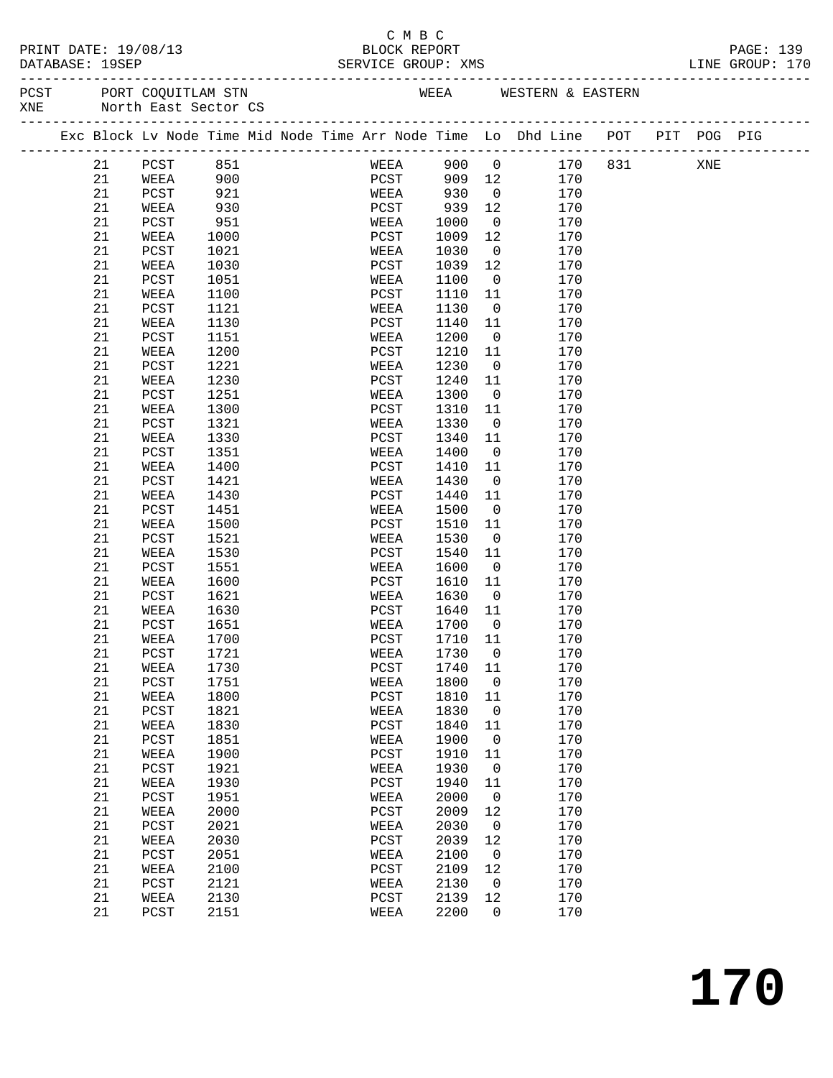#### C M B C<br>BLOCK REPORT PRINT DATE: 19/08/13 BLOCK REPORT PAGE: 139 SERVICE GROUP: XMS

------------------------------------------------------------------------------------------------- PCST PORT COQUITLAM STN NEER WEEA WESTERN & EASTERN XNE North East Sector CS

|  |             | Exc Block Lv Node Time Mid Node Time Arr Node Time Lo Dhd Line POT |      |  |               |         |                |     | _______________________________ | PIT POG PIG |  |
|--|-------------|--------------------------------------------------------------------|------|--|---------------|---------|----------------|-----|---------------------------------|-------------|--|
|  | 21          | PCST                                                               | 851  |  | WEEA          | 900     | $\overline{0}$ | 170 | 831                             | XNE         |  |
|  | 21          | WEEA                                                               | 900  |  | PCST          | 909     | 12             | 170 |                                 |             |  |
|  | 21          | PCST                                                               | 921  |  | WEEA          | 930     | $\overline{0}$ | 170 |                                 |             |  |
|  | 21          | WEEA                                                               | 930  |  | PCST          | 939     | 12             | 170 |                                 |             |  |
|  | 21          | PCST                                                               | 951  |  | WEEA          | 1000    | $\overline{0}$ | 170 |                                 |             |  |
|  | 21          | WEEA                                                               | 1000 |  | PCST          | 1009    | 12             | 170 |                                 |             |  |
|  | 21          | PCST                                                               | 1021 |  | WEEA          | 1030    | $\overline{0}$ | 170 |                                 |             |  |
|  | 21          | WEEA                                                               | 1030 |  | PCST          | 1039    | 12             | 170 |                                 |             |  |
|  | 21          | PCST                                                               | 1051 |  | WEEA          | 1100    | $\mathsf{O}$   | 170 |                                 |             |  |
|  | 21          | WEEA                                                               | 1100 |  | PCST          | 1110    | 11             | 170 |                                 |             |  |
|  | 21          | PCST                                                               | 1121 |  | WEEA          | 1130    | $\overline{0}$ | 170 |                                 |             |  |
|  | 21          | WEEA                                                               | 1130 |  | PCST          | 1140    | 11             | 170 |                                 |             |  |
|  | 21          | PCST                                                               | 1151 |  | WEEA          | 1200    | $\overline{0}$ | 170 |                                 |             |  |
|  | 21          | WEEA                                                               | 1200 |  | PCST          | 1210    | 11             | 170 |                                 |             |  |
|  | 21          | PCST                                                               | 1221 |  | WEEA          | 1230    | $\overline{0}$ | 170 |                                 |             |  |
|  | 21          | WEEA                                                               | 1230 |  | PCST          | 1240    | 11             | 170 |                                 |             |  |
|  | 21          | PCST                                                               | 1251 |  | WEEA          | 1300    | $\overline{0}$ | 170 |                                 |             |  |
|  | 21          | WEEA                                                               | 1300 |  | PCST          | 1310    | 11             | 170 |                                 |             |  |
|  | 21          | PCST                                                               | 1321 |  | WEEA          | 1330    | $\overline{0}$ | 170 |                                 |             |  |
|  | 21          | WEEA                                                               | 1330 |  | PCST          | 1340    | 11             | 170 |                                 |             |  |
|  | 21          | PCST                                                               | 1351 |  | WEEA          | 1400    | $\overline{0}$ | 170 |                                 |             |  |
|  | 21          | WEEA                                                               | 1400 |  | PCST          | 1410    | 11             | 170 |                                 |             |  |
|  | 21          | PCST                                                               | 1421 |  | WEEA          | 1430    | 0              | 170 |                                 |             |  |
|  | 21          | WEEA                                                               | 1430 |  | PCST          | 1440    | 11             | 170 |                                 |             |  |
|  | 21          | PCST                                                               | 1451 |  | WEEA          | 1500    | $\overline{0}$ | 170 |                                 |             |  |
|  | 21          | WEEA                                                               | 1500 |  | PCST          | 1510    | 11             | 170 |                                 |             |  |
|  | 21          | PCST                                                               | 1521 |  | WEEA          | 1530    | $\overline{0}$ | 170 |                                 |             |  |
|  | 21          | WEEA                                                               | 1530 |  | PCST          | 1540    | 11             | 170 |                                 |             |  |
|  | 21          | PCST                                                               | 1551 |  | WEEA          | 1600    | $\overline{0}$ | 170 |                                 |             |  |
|  | 21          | WEEA                                                               | 1600 |  | PCST          | 1610    | 11             | 170 |                                 |             |  |
|  | 21          | PCST                                                               | 1621 |  | WEEA          | 1630    | $\mathbf 0$    | 170 |                                 |             |  |
|  | 21          | WEEA                                                               | 1630 |  | PCST          | 1640    | 11             | 170 |                                 |             |  |
|  | 21          | PCST                                                               | 1651 |  | WEEA          | 1700    | $\overline{0}$ | 170 |                                 |             |  |
|  | 21          | WEEA                                                               | 1700 |  | PCST          | 1710    | 11             | 170 |                                 |             |  |
|  | 21          | PCST                                                               | 1721 |  | WEEA          | 1730    | $\overline{0}$ | 170 |                                 |             |  |
|  | 21          | WEEA                                                               | 1730 |  | PCST          | 1740    | 11             | 170 |                                 |             |  |
|  | 21          | PCST                                                               | 1751 |  | WEEA          | 1800    | $\overline{0}$ | 170 |                                 |             |  |
|  | 21          | WEEA                                                               | 1800 |  | PCST          | 1810    | 11             | 170 |                                 |             |  |
|  | 21          | PCST                                                               | 1821 |  | WEEA          | 1830    | $\mathbf 0$    | 170 |                                 |             |  |
|  | $2\sqrt{1}$ | WEEA                                                               | 1830 |  | PCST          | 1840 11 |                | 170 |                                 |             |  |
|  | 21          | PCST                                                               | 1851 |  | WEEA          | 1900    | 0              | 170 |                                 |             |  |
|  | 21          | WEEA                                                               | 1900 |  | $_{\rm PCST}$ | 1910    | 11             | 170 |                                 |             |  |
|  | 21          | PCST                                                               | 1921 |  | WEEA          | 1930    | 0              | 170 |                                 |             |  |
|  | 21          | WEEA                                                               | 1930 |  | PCST          | 1940    | 11             | 170 |                                 |             |  |
|  | 21          | PCST                                                               | 1951 |  | WEEA          | 2000    | $\mathbf 0$    | 170 |                                 |             |  |
|  | 21          | WEEA                                                               | 2000 |  | $_{\rm PCST}$ | 2009    | 12             | 170 |                                 |             |  |
|  | 21          | PCST                                                               | 2021 |  | WEEA          | 2030    | 0              | 170 |                                 |             |  |
|  | 21          | WEEA                                                               | 2030 |  | PCST          | 2039    | 12             | 170 |                                 |             |  |
|  | 21          | PCST                                                               | 2051 |  | WEEA          | 2100    | 0              | 170 |                                 |             |  |
|  | 21          | WEEA                                                               | 2100 |  | $_{\rm PCST}$ | 2109    | 12             | 170 |                                 |             |  |
|  | 21          | PCST                                                               | 2121 |  | WEEA          | 2130    | 0              | 170 |                                 |             |  |
|  | 21          | WEEA                                                               | 2130 |  | PCST          | 2139    | 12             | 170 |                                 |             |  |
|  | 21          | PCST                                                               | 2151 |  | WEEA          | 2200    | 0              | 170 |                                 |             |  |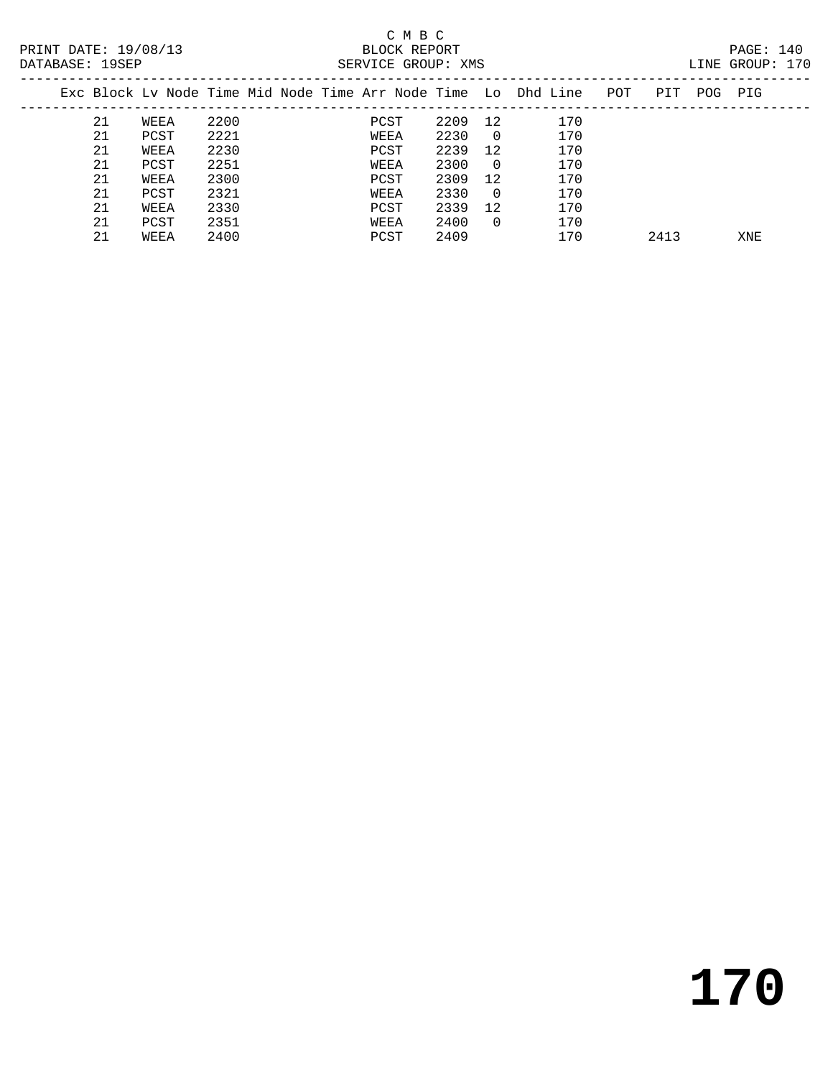### C M B C<br>BLOCK REPORT SERVICE GROUP: XMS

| PAIADAU I IJULI |    |      |      |  | DERVICE GROUP PRINT |      |          |                                                                |     |      |            | LINE CROOL . I'D |  |
|-----------------|----|------|------|--|---------------------|------|----------|----------------------------------------------------------------|-----|------|------------|------------------|--|
|                 |    |      |      |  |                     |      |          | Exc Block Ly Node Time Mid Node Time Arr Node Time Lo Dhd Line | POT | PIT  | <b>POG</b> | PIG              |  |
|                 | 21 | WEEA | 2200 |  | PCST                | 2209 | 12       | 170                                                            |     |      |            |                  |  |
|                 | 21 | PCST | 2221 |  | WEEA                | 2230 | $\Omega$ | 170                                                            |     |      |            |                  |  |
|                 | 21 | WEEA | 2230 |  | PCST                | 2239 | 12       | 170                                                            |     |      |            |                  |  |
|                 | 21 | PCST | 2251 |  | WEEA                | 2300 | $\Omega$ | 170                                                            |     |      |            |                  |  |
|                 | 21 | WEEA | 2300 |  | PCST                | 2309 | 12       | 170                                                            |     |      |            |                  |  |
|                 | 21 | PCST | 2321 |  | WEEA                | 2330 | $\Omega$ | 170                                                            |     |      |            |                  |  |
|                 | 21 | WEEA | 2330 |  | PCST                | 2339 | 12       | 170                                                            |     |      |            |                  |  |
|                 | 21 | PCST | 2351 |  | WEEA                | 2400 | $\Omega$ | 170                                                            |     |      |            |                  |  |
|                 | 21 | WEEA | 2400 |  | PCST                | 2409 |          | 170                                                            |     | 2413 |            | XNE              |  |
|                 |    |      |      |  |                     |      |          |                                                                |     |      |            |                  |  |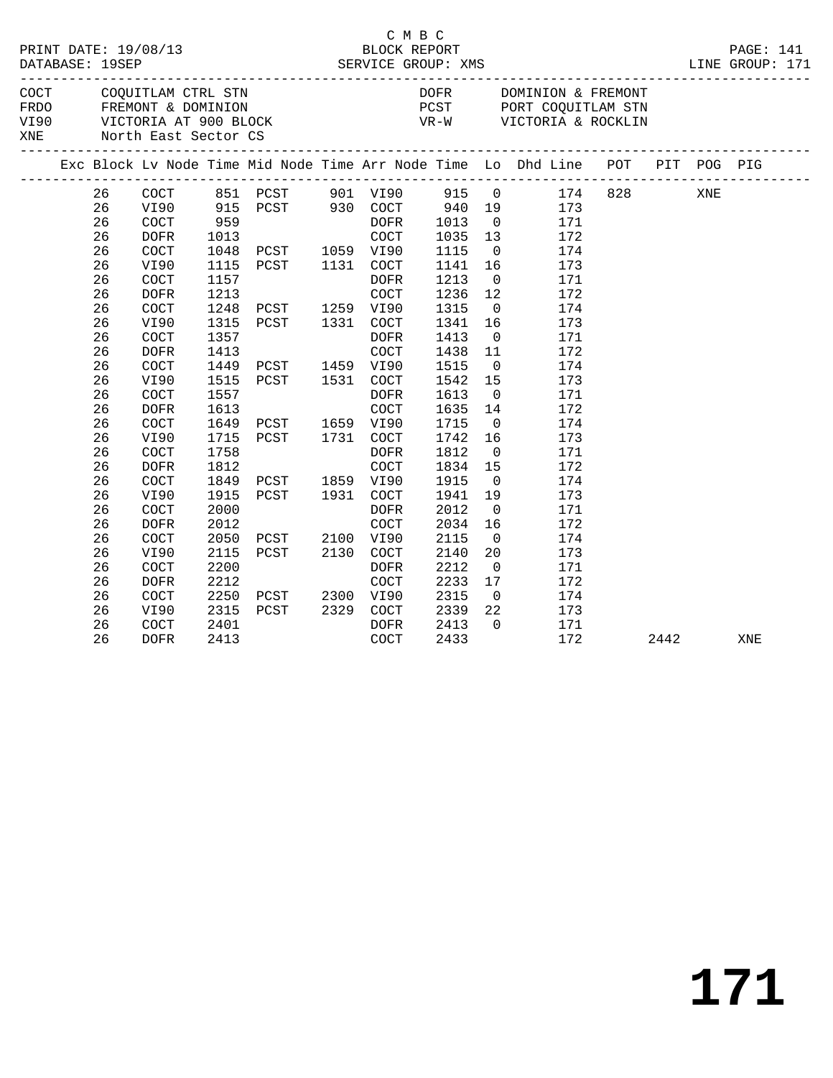|     | DATABASE: 19SEP |                            | PRINT DATE: 19/08/13                 |                              | 08/13                                      | C M B C<br>BLOCK REPORT<br>SERVICE GROUP: XMS |                              |                                                       |                                                                                |         |      |     | PAGE: 141<br>LINE GROUP: 171 |
|-----|-----------------|----------------------------|--------------------------------------|------------------------------|--------------------------------------------|-----------------------------------------------|------------------------------|-------------------------------------------------------|--------------------------------------------------------------------------------|---------|------|-----|------------------------------|
| XNE |                 |                            | North East Sector CS                 |                              |                                            |                                               |                              |                                                       |                                                                                |         |      |     |                              |
|     |                 |                            |                                      |                              |                                            |                                               |                              |                                                       | Exc Block Lv Node Time Mid Node Time Arr Node Time Lo Dhd Line POT PIT POG PIG |         |      |     |                              |
|     |                 | 26<br>26<br>26<br>26<br>26 | COCT<br>VI90<br>COCT<br>DOFR<br>COCT | 1013                         |                                            | COCT                                          | 1035 13                      | $\overline{0}$                                        | 173<br>$\overline{0}$<br>171<br>172<br>174                                     | 174 828 |      | XNE |                              |
|     |                 | 26<br>26<br>26             | VI90<br>COCT<br><b>DOFR</b>          | 1115<br>1157<br>1213         | 1048 PCST 1059 VI90<br>PCST 1131 COCT      | DOFR<br>COCT                                  | 1115<br>1141<br>1213<br>1236 | 12                                                    | 16<br>173<br>$\overline{0}$<br>171<br>172                                      |         |      |     |                              |
|     |                 | 26<br>26<br>26             | COCT<br>VI90<br>COCT                 | 1357                         | 1248 PCST 1259 VI90<br>1315 PCST 1331 COCT | DOFR                                          | 1315<br>1341<br>1413         | $\overline{0}$<br>16                                  | 174<br>173<br>$\overline{0}$<br>171                                            |         |      |     |                              |
|     |                 | 26<br>26<br>26<br>26       | <b>DOFR</b><br>COCT<br>VI90<br>COCT  | 1413<br>1557                 | 1449 PCST 1459 VI90<br>1515 PCST 1531 COCT | COCT<br>DOFR                                  | 1438<br>1515<br>1542<br>1613 | 11<br>$\overline{0}$<br>15<br>$\overline{\mathbf{0}}$ | 172<br>174<br>173<br>171                                                       |         |      |     |                              |
|     |                 | 26<br>26<br>26             | <b>DOFR</b><br>COCT<br>VI90          | 1613                         | 1649 PCST 1659 VI90<br>1715 PCST 1731 COCT | COCT                                          | 1635<br>1715<br>1742         | 14<br>$\overline{0}$<br>16                            | 172<br>174<br>173                                                              |         |      |     |                              |
|     |                 | 26<br>26<br>26             | COCT<br><b>DOFR</b><br>COCT          | 1758<br>1812                 | 1849 PCST 1859 VI90<br>1915 PCST 1931 COCT | DOFR<br>COCT                                  | 1812<br>1834<br>1915         | $\overline{0}$<br>15<br>$\overline{0}$                | 171<br>172<br>174                                                              |         |      |     |                              |
|     |                 | 26<br>26<br>26             | VI90<br>COCT<br><b>DOFR</b>          | 2000<br>2012                 |                                            | DOFR<br>COCT                                  | 1941<br>2012<br>2034         | 19<br>$\overline{0}$<br>16                            | 173<br>171<br>172                                                              |         |      |     |                              |
|     |                 | 26<br>26<br>26<br>26       | COCT<br>VI90<br>COCT<br>DOFR         | 2050<br>2115<br>2200<br>2212 | PCST 2100 VI90<br>PCST 2130 COCT           | DOFR<br>COCT                                  | 2115<br>2140<br>2212<br>2233 | $\overline{0}$<br>20<br>$\overline{0}$<br>17          | 174<br>173<br>171<br>172                                                       |         |      |     |                              |
|     |                 | 26<br>26<br>26             | COCT<br>VI90<br>COCT                 | 2315<br>2401                 | 2250 PCST 2300 VI90<br>PCST 2329 COCT      | DOFR                                          | 2315<br>2339<br>2413         | $\overline{0}$<br>22<br>$\overline{0}$                | 174<br>173<br>171                                                              |         |      |     |                              |
|     |                 | 26                         | <b>DOFR</b>                          | 2413                         |                                            | COCT                                          | 2433                         |                                                       | 172                                                                            |         | 2442 |     | XNE                          |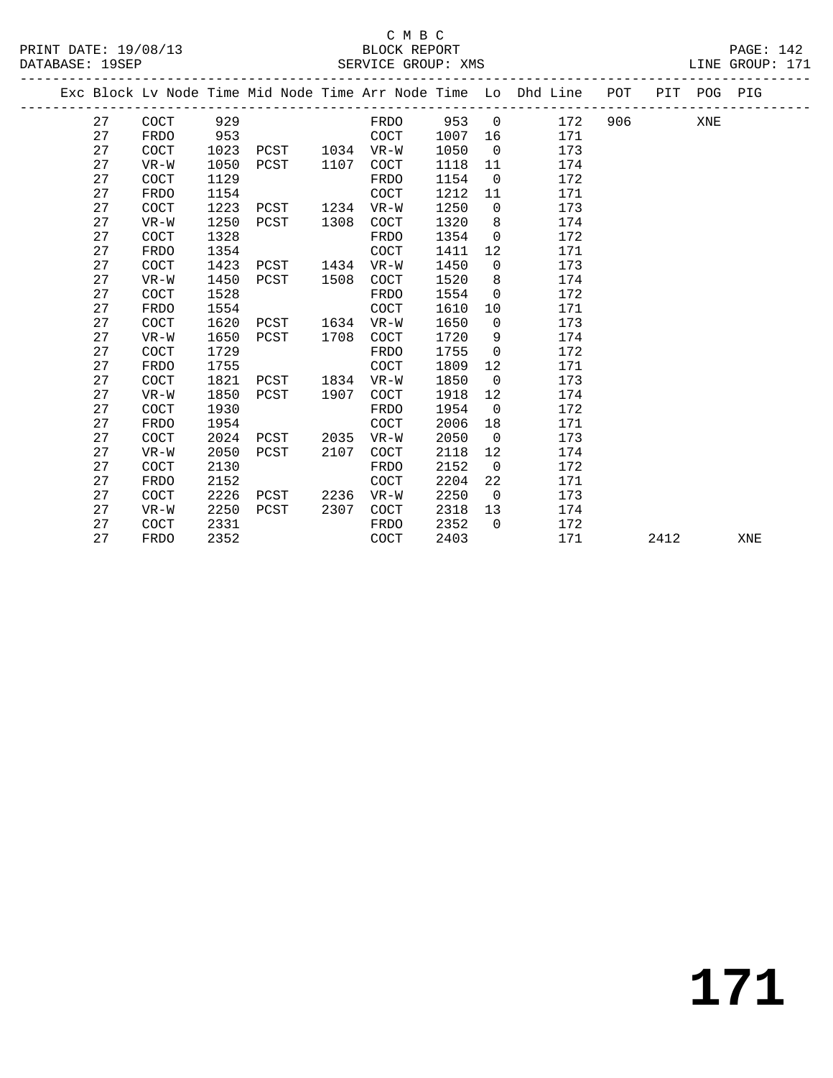### C M B C<br>BLOCK REPORT SERVICE GROUP: XMS

|  |    |             |      |      |      |                      |      |                | Exc Block Lv Node Time Mid Node Time Arr Node Time Lo Dhd Line | POT |      | PIT POG PIG |     |
|--|----|-------------|------|------|------|----------------------|------|----------------|----------------------------------------------------------------|-----|------|-------------|-----|
|  | 27 | COCT        | 929  |      |      | FRDO                 | 953  | $\overline{0}$ | 172                                                            | 906 |      | XNE         |     |
|  | 27 | <b>FRDO</b> | 953  |      |      | COCT                 | 1007 | 16             | 171                                                            |     |      |             |     |
|  | 27 | <b>COCT</b> | 1023 | PCST | 1034 | $VR-W$               | 1050 | $\overline{0}$ | 173                                                            |     |      |             |     |
|  | 27 | $VR-W$      | 1050 | PCST | 1107 | COCT                 | 1118 | 11             | 174                                                            |     |      |             |     |
|  | 27 | COCT        | 1129 |      |      | <b>FRDO</b>          | 1154 | $\overline{0}$ | 172                                                            |     |      |             |     |
|  | 27 | FRDO        | 1154 |      |      | COCT                 | 1212 | 11             | 171                                                            |     |      |             |     |
|  | 27 | COCT        | 1223 | PCST | 1234 | $VR-W$               | 1250 | $\mathbf 0$    | 173                                                            |     |      |             |     |
|  | 27 | VR-W        | 1250 | PCST | 1308 | COCT                 | 1320 | 8              | 174                                                            |     |      |             |     |
|  | 27 | COCT        | 1328 |      |      | FRDO                 | 1354 | $\overline{0}$ | 172                                                            |     |      |             |     |
|  | 27 | <b>FRDO</b> | 1354 |      |      | COCT                 | 1411 | 12             | 171                                                            |     |      |             |     |
|  | 27 | COCT        | 1423 | PCST | 1434 | $VR-W$               | 1450 | $\mathbf 0$    | 173                                                            |     |      |             |     |
|  | 27 | $VR-W$      | 1450 | PCST | 1508 | $\operatorname{COT}$ | 1520 | 8              | 174                                                            |     |      |             |     |
|  | 27 | COCT        | 1528 |      |      | <b>FRDO</b>          | 1554 | $\mathbf 0$    | 172                                                            |     |      |             |     |
|  | 27 | <b>FRDO</b> | 1554 |      |      | COCT                 | 1610 | 10             | 171                                                            |     |      |             |     |
|  | 27 | COCT        | 1620 | PCST | 1634 | $VR-W$               | 1650 | $\mathbf 0$    | 173                                                            |     |      |             |     |
|  | 27 | $VR-W$      | 1650 | PCST | 1708 | COCT                 | 1720 | 9              | 174                                                            |     |      |             |     |
|  | 27 | COCT        | 1729 |      |      | FRDO                 | 1755 | $\mathbf 0$    | 172                                                            |     |      |             |     |
|  | 27 | FRDO        | 1755 |      |      | COCT                 | 1809 | 12             | 171                                                            |     |      |             |     |
|  | 27 | COCT        | 1821 | PCST | 1834 | $VR-W$               | 1850 | $\mathbf 0$    | 173                                                            |     |      |             |     |
|  | 27 | $VR-W$      | 1850 | PCST | 1907 | <b>COCT</b>          | 1918 | 12             | 174                                                            |     |      |             |     |
|  | 27 | COCT        | 1930 |      |      | <b>FRDO</b>          | 1954 | $\overline{0}$ | 172                                                            |     |      |             |     |
|  | 27 | <b>FRDO</b> | 1954 |      |      | COCT                 | 2006 | 18             | 171                                                            |     |      |             |     |
|  | 27 | COCT        | 2024 | PCST | 2035 | $VR-W$               | 2050 | $\mathbf 0$    | 173                                                            |     |      |             |     |
|  | 27 | VR-W        | 2050 | PCST | 2107 | COCT                 | 2118 | 12             | 174                                                            |     |      |             |     |
|  | 27 | <b>COCT</b> | 2130 |      |      | FRDO                 | 2152 | $\overline{0}$ | 172                                                            |     |      |             |     |
|  | 27 | FRDO        | 2152 |      |      | COCT                 | 2204 | 22             | 171                                                            |     |      |             |     |
|  | 27 | COCT        | 2226 | PCST | 2236 | $VR-W$               | 2250 | $\overline{0}$ | 173                                                            |     |      |             |     |
|  | 27 | VR-W        | 2250 | PCST | 2307 | COCT                 | 2318 | 13             | 174                                                            |     |      |             |     |
|  | 27 | <b>COCT</b> | 2331 |      |      | <b>FRDO</b>          | 2352 | $\mathbf 0$    | 172                                                            |     |      |             |     |
|  | 27 | <b>FRDO</b> | 2352 |      |      | COCT                 | 2403 |                | 171                                                            |     | 2412 |             | XNE |
|  |    |             |      |      |      |                      |      |                |                                                                |     |      |             |     |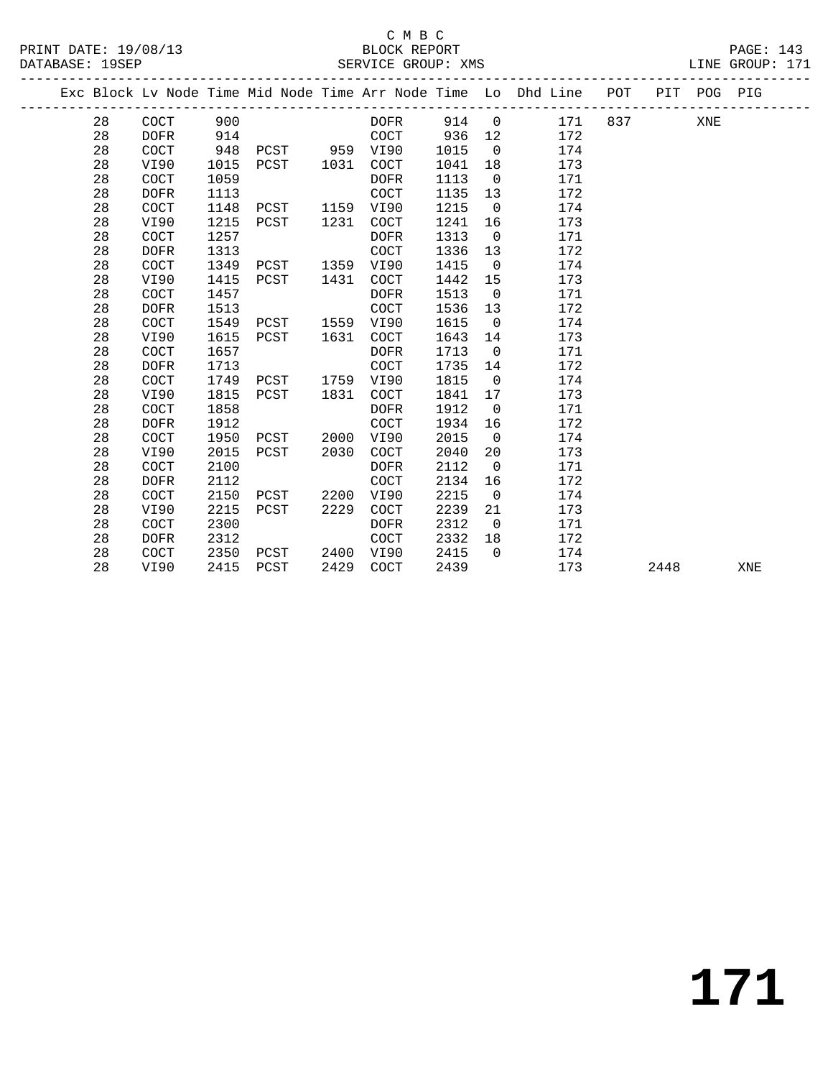|  |    |             |      |               |      |             |      |                | Exc Block Lv Node Time Mid Node Time Arr Node Time Lo Dhd Line POT |     |      | PIT POG PIG |     |
|--|----|-------------|------|---------------|------|-------------|------|----------------|--------------------------------------------------------------------|-----|------|-------------|-----|
|  | 28 | COCT        | 900  |               |      | DOFR        | 914  | $\overline{0}$ | 171                                                                | 837 |      | XNE         |     |
|  | 28 | <b>DOFR</b> | 914  |               |      | <b>COCT</b> | 936  | 12             | 172                                                                |     |      |             |     |
|  | 28 | COCT        | 948  | PCST 959 VI90 |      |             | 1015 | $\mathbf 0$    | 174                                                                |     |      |             |     |
|  | 28 | VI90        | 1015 | PCST          | 1031 | COCT        | 1041 | 18             | 173                                                                |     |      |             |     |
|  | 28 | COCT        | 1059 |               |      | <b>DOFR</b> | 1113 | $\overline{0}$ | 171                                                                |     |      |             |     |
|  | 28 | <b>DOFR</b> | 1113 |               |      | <b>COCT</b> | 1135 | 13             | 172                                                                |     |      |             |     |
|  | 28 | COCT        | 1148 | PCST          | 1159 | VI90        | 1215 | $\overline{0}$ | 174                                                                |     |      |             |     |
|  | 28 | VI90        | 1215 | PCST          | 1231 | COCT        | 1241 | 16             | 173                                                                |     |      |             |     |
|  | 28 | COCT        | 1257 |               |      | <b>DOFR</b> | 1313 | $\Omega$       | 171                                                                |     |      |             |     |
|  | 28 | <b>DOFR</b> | 1313 |               |      | <b>COCT</b> | 1336 | 13             | 172                                                                |     |      |             |     |
|  | 28 | COCT        | 1349 | PCST          | 1359 | VI90        | 1415 | $\Omega$       | 174                                                                |     |      |             |     |
|  | 28 | VI90        | 1415 | PCST          | 1431 | COCT        | 1442 | 15             | 173                                                                |     |      |             |     |
|  | 28 | COCT        | 1457 |               |      | <b>DOFR</b> | 1513 | $\overline{0}$ | 171                                                                |     |      |             |     |
|  | 28 | <b>DOFR</b> | 1513 |               |      | COCT        | 1536 | 13             | 172                                                                |     |      |             |     |
|  | 28 | COCT        | 1549 | PCST          | 1559 | VI90        | 1615 | $\overline{0}$ | 174                                                                |     |      |             |     |
|  | 28 | VI90        | 1615 | PCST          | 1631 | <b>COCT</b> | 1643 | 14             | 173                                                                |     |      |             |     |
|  | 28 | <b>COCT</b> | 1657 |               |      | <b>DOFR</b> | 1713 | $\overline{0}$ | 171                                                                |     |      |             |     |
|  | 28 | <b>DOFR</b> | 1713 |               |      | <b>COCT</b> | 1735 | 14             | 172                                                                |     |      |             |     |
|  | 28 | COCT        | 1749 | PCST          | 1759 | VI90        | 1815 | $\overline{0}$ | 174                                                                |     |      |             |     |
|  | 28 | VI90        | 1815 | PCST          | 1831 | COCT        | 1841 | 17             | 173                                                                |     |      |             |     |
|  | 28 | COCT        | 1858 |               |      | <b>DOFR</b> | 1912 | $\Omega$       | 171                                                                |     |      |             |     |
|  | 28 | <b>DOFR</b> | 1912 |               |      | <b>COCT</b> | 1934 | 16             | 172                                                                |     |      |             |     |
|  | 28 | COCT        | 1950 | PCST          | 2000 | VI90        | 2015 | $\Omega$       | 174                                                                |     |      |             |     |
|  | 28 | VI90        | 2015 | PCST          | 2030 | COCT        | 2040 | 20             | 173                                                                |     |      |             |     |
|  | 28 | COCT        | 2100 |               |      | <b>DOFR</b> | 2112 | $\Omega$       | 171                                                                |     |      |             |     |
|  | 28 | <b>DOFR</b> | 2112 |               |      | <b>COCT</b> | 2134 | 16             | 172                                                                |     |      |             |     |
|  | 28 | COCT        | 2150 | PCST          | 2200 | VI90        | 2215 | $\mathbf 0$    | 174                                                                |     |      |             |     |
|  | 28 | VI90        | 2215 | PCST          | 2229 | <b>COCT</b> | 2239 | 21             | 173                                                                |     |      |             |     |
|  | 28 | <b>COCT</b> | 2300 |               |      | <b>DOFR</b> | 2312 | $\mathbf 0$    | 171                                                                |     |      |             |     |
|  | 28 | <b>DOFR</b> | 2312 |               |      | <b>COCT</b> | 2332 | 18             | 172                                                                |     |      |             |     |
|  | 28 | COCT        | 2350 | PCST          | 2400 | VI90        | 2415 | $\Omega$       | 174                                                                |     |      |             |     |
|  | 28 | VI90        | 2415 | PCST          | 2429 | <b>COCT</b> | 2439 |                | 173                                                                |     | 2448 |             | XNE |
|  |    |             |      |               |      |             |      |                |                                                                    |     |      |             |     |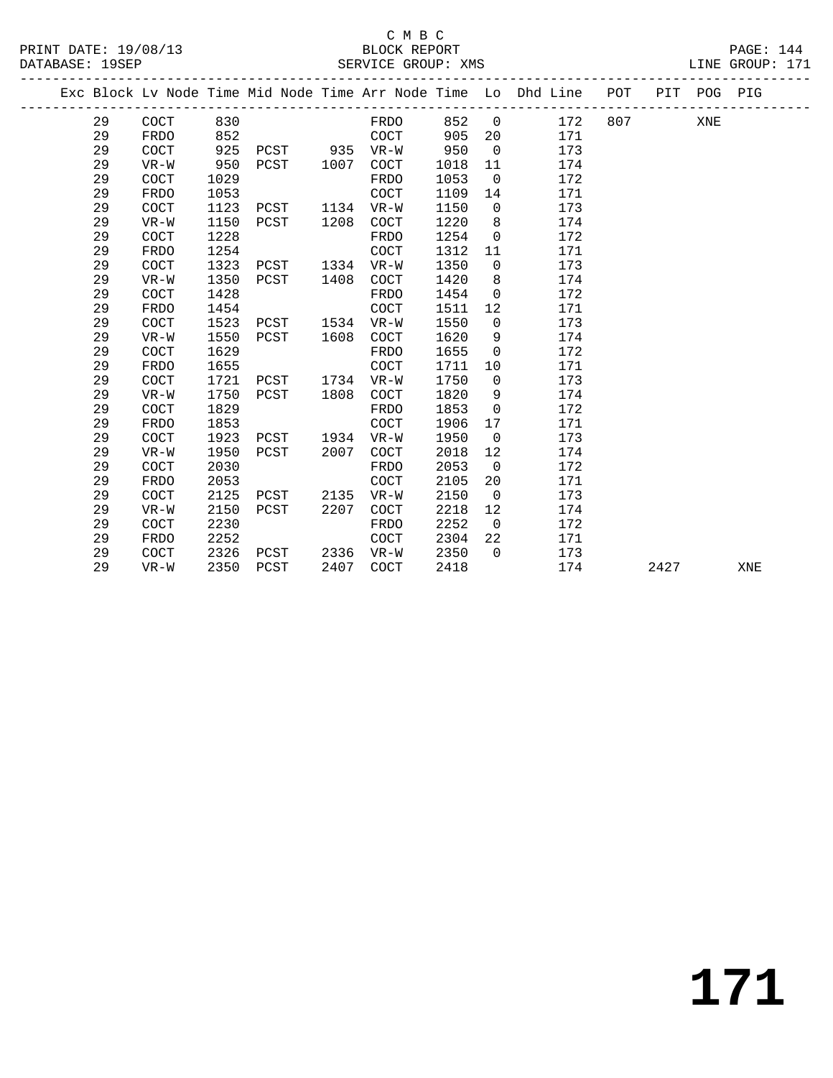|  |    |             |      |      |      |             |      |                | Exc Block Lv Node Time Mid Node Time Arr Node Time Lo Dhd Line POT |     |      | PIT POG PIG |     |
|--|----|-------------|------|------|------|-------------|------|----------------|--------------------------------------------------------------------|-----|------|-------------|-----|
|  | 29 | <b>COCT</b> | 830  |      |      | FRDO        | 852  | $\mathsf{O}$   | 172                                                                | 807 |      | XNE         |     |
|  | 29 | <b>FRDO</b> | 852  |      |      | <b>COCT</b> | 905  | 20             | 171                                                                |     |      |             |     |
|  | 29 | COCT        | 925  | PCST | 935  | $VR-W$      | 950  | $\mathbf 0$    | 173                                                                |     |      |             |     |
|  | 29 | $VR-W$      | 950  | PCST | 1007 | <b>COCT</b> | 1018 | 11             | 174                                                                |     |      |             |     |
|  | 29 | COCT        | 1029 |      |      | FRDO        | 1053 | $\overline{0}$ | 172                                                                |     |      |             |     |
|  | 29 | <b>FRDO</b> | 1053 |      |      | COCT        | 1109 | 14             | 171                                                                |     |      |             |     |
|  | 29 | COCT        | 1123 | PCST | 1134 | $VR-W$      | 1150 | $\Omega$       | 173                                                                |     |      |             |     |
|  | 29 | $VR-W$      | 1150 | PCST | 1208 | COCT        | 1220 | 8              | 174                                                                |     |      |             |     |
|  | 29 | COCT        | 1228 |      |      | FRDO        | 1254 | $\mathbf 0$    | 172                                                                |     |      |             |     |
|  | 29 | <b>FRDO</b> | 1254 |      |      | COCT        | 1312 | 11             | 171                                                                |     |      |             |     |
|  | 29 | COCT        | 1323 | PCST | 1334 | $VR-W$      | 1350 | $\mathbf 0$    | 173                                                                |     |      |             |     |
|  | 29 | $VR-W$      | 1350 | PCST | 1408 | COCT        | 1420 | 8              | 174                                                                |     |      |             |     |
|  | 29 | COCT        | 1428 |      |      | <b>FRDO</b> | 1454 | $\overline{0}$ | 172                                                                |     |      |             |     |
|  | 29 | <b>FRDO</b> | 1454 |      |      | COCT        | 1511 | 12             | 171                                                                |     |      |             |     |
|  | 29 | COCT        | 1523 | PCST | 1534 | $VR-W$      | 1550 | $\mathbf 0$    | 173                                                                |     |      |             |     |
|  | 29 | $VR-W$      | 1550 | PCST | 1608 | COCT        | 1620 | 9              | 174                                                                |     |      |             |     |
|  | 29 | COCT        | 1629 |      |      | FRDO        | 1655 | $\Omega$       | 172                                                                |     |      |             |     |
|  | 29 | FRDO        | 1655 |      |      | COCT        | 1711 | 10             | 171                                                                |     |      |             |     |
|  | 29 | COCT        | 1721 | PCST | 1734 | VR-W        | 1750 | 0              | 173                                                                |     |      |             |     |
|  | 29 | $VR-W$      | 1750 | PCST | 1808 | COCT        | 1820 | 9              | 174                                                                |     |      |             |     |
|  | 29 | COCT        | 1829 |      |      | <b>FRDO</b> | 1853 | $\mathbf 0$    | 172                                                                |     |      |             |     |
|  | 29 | <b>FRDO</b> | 1853 |      |      | COCT        | 1906 | 17             | 171                                                                |     |      |             |     |
|  | 29 | <b>COCT</b> | 1923 | PCST | 1934 | $VR-W$      | 1950 | $\overline{0}$ | 173                                                                |     |      |             |     |
|  | 29 | $VR-W$      | 1950 | PCST | 2007 | COCT        | 2018 | 12             | 174                                                                |     |      |             |     |
|  | 29 | COCT        | 2030 |      |      | FRDO        | 2053 | $\mathbf 0$    | 172                                                                |     |      |             |     |
|  | 29 | <b>FRDO</b> | 2053 |      |      | COCT        | 2105 | 20             | 171                                                                |     |      |             |     |
|  | 29 | COCT        | 2125 | PCST | 2135 | $VR-W$      | 2150 | $\overline{0}$ | 173                                                                |     |      |             |     |
|  | 29 | $VR-W$      | 2150 | PCST | 2207 | COCT        | 2218 | 12             | 174                                                                |     |      |             |     |
|  | 29 | COCT        | 2230 |      |      | <b>FRDO</b> | 2252 | $\overline{0}$ | 172                                                                |     |      |             |     |
|  | 29 | <b>FRDO</b> | 2252 |      |      | COCT        | 2304 | 22             | 171                                                                |     |      |             |     |
|  | 29 | <b>COCT</b> | 2326 | PCST | 2336 | $VR-W$      | 2350 | $\Omega$       | 173                                                                |     |      |             |     |
|  | 29 | $VR-W$      | 2350 | PCST | 2407 | COCT        | 2418 |                | 174                                                                |     | 2427 |             | XNE |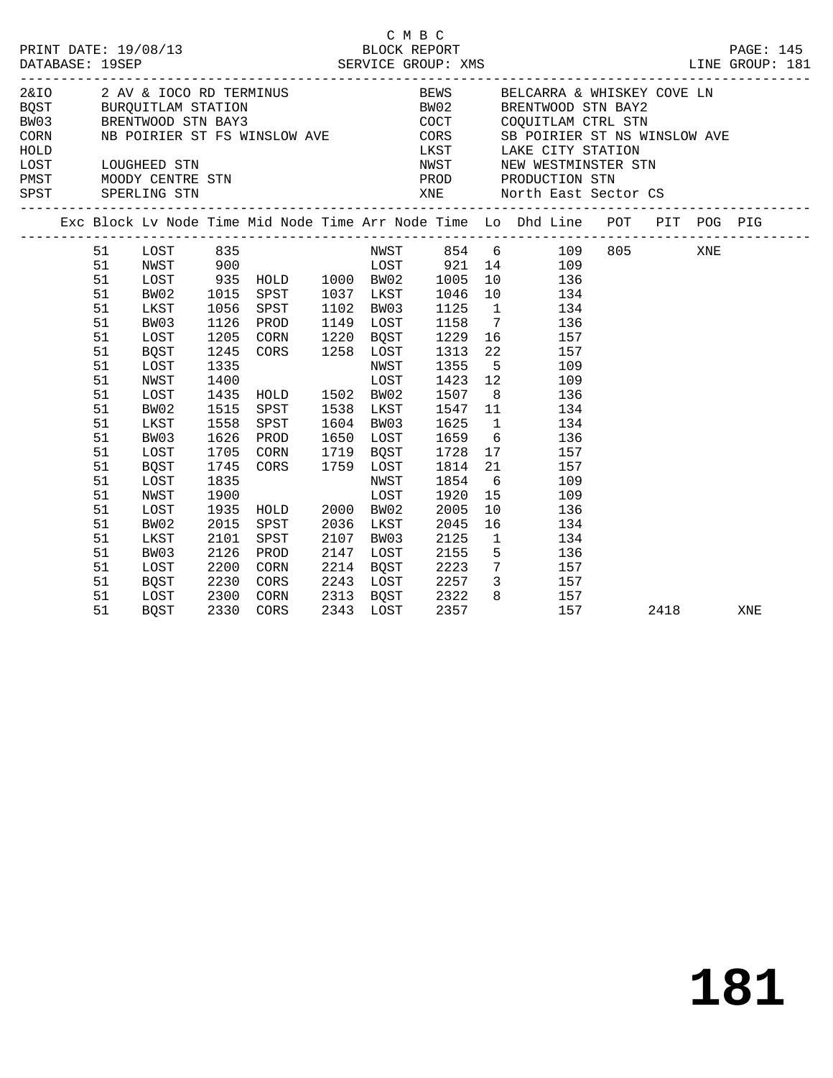|                                                                                                                                                    |                                                                                                                                                                              |                                                                                                                      |                                                                                                                                                                                                                                                                                                             |                                                                                                         | C M B C                                                                                                                                          |                    | 2&IO 2 AV & IOCO RD TERMINUS BEWS BELCARRA & WHISKEY COVE LN BQST BURQUITLAM STATION BOST BWO2 BRENTWOOD STN BAY2<br>BWO3 BRENTWOOD STN BAY3 COCT COQUITLAM CTRL STN                                                                                                                                                                                                                                                                                                                              |      |     |
|----------------------------------------------------------------------------------------------------------------------------------------------------|------------------------------------------------------------------------------------------------------------------------------------------------------------------------------|----------------------------------------------------------------------------------------------------------------------|-------------------------------------------------------------------------------------------------------------------------------------------------------------------------------------------------------------------------------------------------------------------------------------------------------------|---------------------------------------------------------------------------------------------------------|--------------------------------------------------------------------------------------------------------------------------------------------------|--------------------|---------------------------------------------------------------------------------------------------------------------------------------------------------------------------------------------------------------------------------------------------------------------------------------------------------------------------------------------------------------------------------------------------------------------------------------------------------------------------------------------------|------|-----|
|                                                                                                                                                    |                                                                                                                                                                              |                                                                                                                      |                                                                                                                                                                                                                                                                                                             |                                                                                                         |                                                                                                                                                  |                    | CORN WE POIRIER ST FS WINSLOW AVE CORS SE POIRIER ST NS WINSLOW AVE                                                                                                                                                                                                                                                                                                                                                                                                                               |      |     |
|                                                                                                                                                    |                                                                                                                                                                              |                                                                                                                      |                                                                                                                                                                                                                                                                                                             |                                                                                                         |                                                                                                                                                  |                    | Exc Block Lv Node Time Mid Node Time Arr Node Time Lo Dhd Line POT PIT POG PIG                                                                                                                                                                                                                                                                                                                                                                                                                    |      |     |
| 51<br>51<br>51<br>51<br>51<br>51<br>51<br>51<br>51<br>51<br>51<br>51<br>51<br>51<br>51<br>51<br>51<br>51<br>51<br>51<br>51<br>51<br>51<br>51<br>51 | BW02<br>LKST<br>BW03<br>LOST<br>BQST<br>LOST<br>NWST<br>LOST<br>BW02<br>LKST<br>BW03<br>LOST<br>BQST<br>LOST<br>NWST<br>LOST<br>BW02<br>LKST<br>BW03<br>LOST<br>BQST<br>LOST | 1056<br>1126<br>1558<br>1626<br>1705<br>1745<br>1835<br>1900<br>1935<br>2015<br>2101<br>2126<br>2200<br>2230<br>2300 | 1015 SPST 1037 LKST 1046<br>SPST<br>PROD<br>1205 CORN 1220 BOST<br>1245 CORS 1258 LOST<br>1335<br>1335<br>1400<br>1423<br>1435<br>HOLD 1502<br>1507<br>1515<br>SPST 1538<br>LKST 1547<br>SPST<br>PROD<br>CORN 1719 BQST<br>CORS 1759 LOST<br>HOLD 2000 BW02<br>SPST<br>SPST<br>PROD<br>CORN<br>CORS<br>CORN | 1102 BW03<br>1149 LOST<br>1604 BW03<br>NWST<br>LOST<br>2036 LKST<br>2107 BW03<br>2147 LOST<br>2214 BQST | 1125<br>1158<br>1229<br>1313<br>1625<br>1650 LOST 1659<br>1728<br>1814<br>1854<br>1920<br>2005<br>2045<br>2125<br>2155<br>2223<br>2313 BQST 2322 | 12<br>$\mathbf{1}$ | 10ST 835 NWST 854 6 109 805 XNE<br>NWST 900 10ST 921 14 109<br>10ST 935 HOLD 1000 BW02 1005 10 136<br>10 134<br>$1 \qquad \qquad 134$<br>$\begin{array}{ccc} & 7 & & 136 \\ 16 & & 157 \end{array}$<br>22 157<br>5 109<br>109<br>$\begin{array}{ccc} & 8 & & 136 \\ 11 & & 134 \end{array}$<br>$1$ $134$<br>$6\overline{6}$<br>136<br>17<br>157<br>21<br>157<br>6<br>109<br>15 109<br>10<br>136<br>16 134<br>134<br>5 <sup>5</sup><br>136<br>$\frac{130}{7}$ 157<br>2243 LOST 2257 3 157<br>8 157 |      |     |
| 51                                                                                                                                                 | BQST                                                                                                                                                                         |                                                                                                                      | 2330 CORS                                                                                                                                                                                                                                                                                                   |                                                                                                         | 2343 LOST 2357                                                                                                                                   |                    | 157                                                                                                                                                                                                                                                                                                                                                                                                                                                                                               | 2418 | XNE |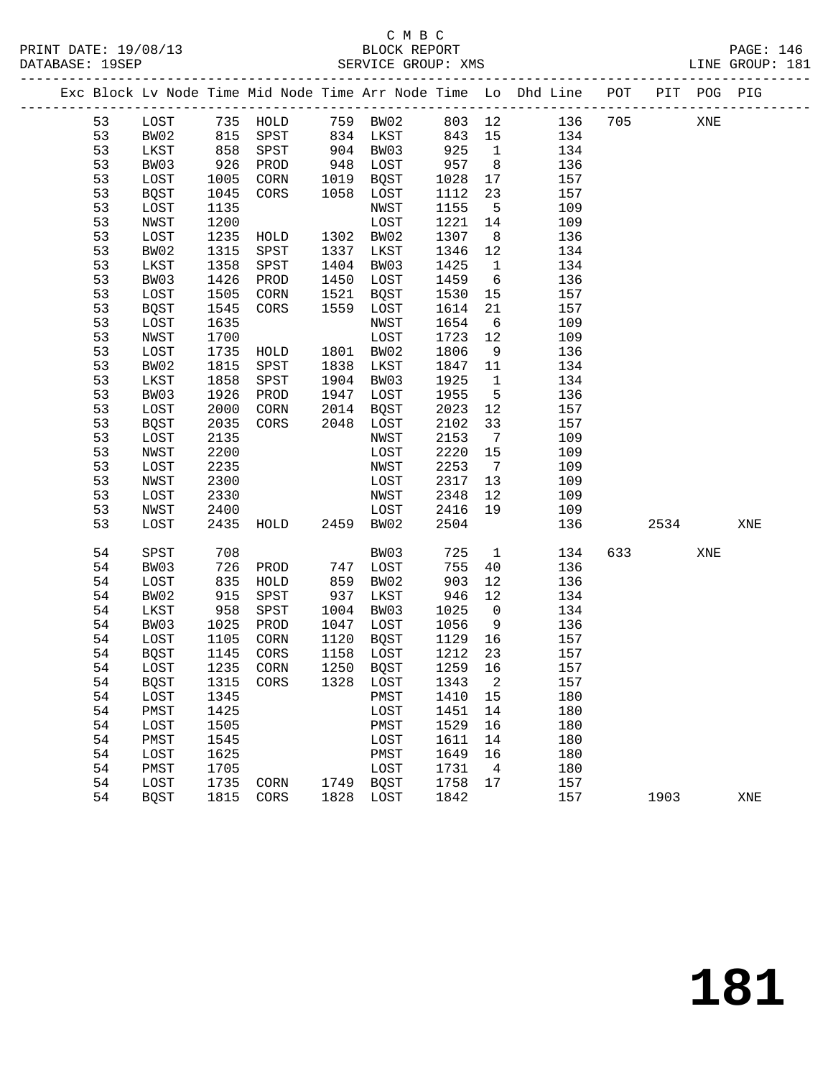#### C M B C PRINT DATE: 19/08/13 BLOCK REPORT PAGE: 146 SERVICE GROUP: XMS

|        | . .<br>◡<br>$-$ | N R | ____<br>$\sim$<br>$-$ |
|--------|-----------------|-----|-----------------------|
| ______ |                 |     |                       |

|  |    |             |      |           |      |           |         |                 | Exc Block Lv Node Time Mid Node Time Arr Node Time Lo Dhd Line POT PIT POG PIG |     |      |     |     |
|--|----|-------------|------|-----------|------|-----------|---------|-----------------|--------------------------------------------------------------------------------|-----|------|-----|-----|
|  | 53 | LOST        |      |           |      |           |         |                 | 735 HOLD 759 BW02 803 12 136                                                   | 705 |      | XNE |     |
|  | 53 | BW02        | 815  | SPST      |      | 834 LKST  | 843 15  |                 | 134                                                                            |     |      |     |     |
|  | 53 | LKST        | 858  | SPST      |      | 904 BW03  | 925     | $\overline{1}$  | 134                                                                            |     |      |     |     |
|  | 53 | BW03        | 926  | PROD      | 948  | LOST      | 957     | 8 <sup>8</sup>  | 136                                                                            |     |      |     |     |
|  | 53 | LOST        | 1005 | CORN      |      | 1019 BQST | 1028    | 17              | 157                                                                            |     |      |     |     |
|  | 53 | BQST        | 1045 | CORS      | 1058 | LOST      | 1112    | 23              | 157                                                                            |     |      |     |     |
|  | 53 | LOST        | 1135 |           |      | NWST      | 1155    | $5^{\circ}$     | 109                                                                            |     |      |     |     |
|  | 53 | NWST        | 1200 |           |      | LOST      | 1221    | 14              | 109                                                                            |     |      |     |     |
|  | 53 | LOST        | 1235 | HOLD      |      | 1302 BW02 | 1307    | 8 <sup>8</sup>  | 136                                                                            |     |      |     |     |
|  | 53 | BW02        | 1315 | SPST      | 1337 | LKST      | 1346    | 12              | 134                                                                            |     |      |     |     |
|  | 53 | LKST        | 1358 | SPST      |      | 1404 BW03 | 1425    | $\overline{1}$  | 134                                                                            |     |      |     |     |
|  | 53 | BW03        | 1426 | PROD      | 1450 | LOST      | 1459    | 6               | 136                                                                            |     |      |     |     |
|  | 53 | LOST        | 1505 | CORN      | 1521 | BQST      | 1530    | 15              | 157                                                                            |     |      |     |     |
|  | 53 | BQST        | 1545 | CORS      | 1559 | LOST      | 1614    | 21              | 157                                                                            |     |      |     |     |
|  | 53 | LOST        | 1635 |           |      | NWST      | 1654    | $6\overline{6}$ | 109                                                                            |     |      |     |     |
|  | 53 | NWST        | 1700 |           |      | LOST      | 1723    | 12              | 109                                                                            |     |      |     |     |
|  | 53 | LOST        | 1735 | HOLD      |      | 1801 BW02 | 1806    | 9               | 136                                                                            |     |      |     |     |
|  | 53 | BW02        | 1815 | SPST      | 1838 | LKST      | 1847    | 11              | 134                                                                            |     |      |     |     |
|  | 53 | LKST        | 1858 | SPST      |      | 1904 BW03 | 1925    | $\overline{1}$  | 134                                                                            |     |      |     |     |
|  | 53 | BW03        | 1926 | PROD      | 1947 | LOST      | 1955    | $5^{\circ}$     | 136                                                                            |     |      |     |     |
|  | 53 | LOST        | 2000 | CORN      |      | 2014 BQST | 2023    | 12              | 157                                                                            |     |      |     |     |
|  | 53 | <b>BQST</b> | 2035 | CORS      |      | 2048 LOST | 2102    | 33              | 157                                                                            |     |      |     |     |
|  | 53 | LOST        | 2135 |           |      | NWST      | 2153    | $7\overline{ }$ | 109                                                                            |     |      |     |     |
|  | 53 | NWST        | 2200 |           |      | LOST      | 2220    | 15              | 109                                                                            |     |      |     |     |
|  | 53 | LOST        | 2235 |           |      | NWST      | 2253    | $\overline{7}$  | 109                                                                            |     |      |     |     |
|  | 53 | NWST        | 2300 |           |      | LOST      | 2317    | 13              | 109                                                                            |     |      |     |     |
|  | 53 | LOST        | 2330 |           |      | NWST      | 2348    | 12              | 109                                                                            |     |      |     |     |
|  | 53 | NWST        | 2400 |           |      | LOST      | 2416    | 19              | 109                                                                            |     |      |     |     |
|  | 53 | LOST        | 2435 | HOLD      |      | 2459 BW02 | 2504    |                 | 136                                                                            |     | 2534 |     | XNE |
|  | 54 | SPST        | 708  |           |      | BW03      | 725     | $\mathbf{1}$    | 134                                                                            | 633 |      | XNE |     |
|  | 54 | BW03        | 726  | PROD      |      | 747 LOST  | 755     | 40              | 136                                                                            |     |      |     |     |
|  | 54 | LOST        | 835  | HOLD      | 859  | BW02      | 903     | 12              | 136                                                                            |     |      |     |     |
|  | 54 | BW02        | 915  | SPST      | 937  | LKST      | 946     | 12              | 134                                                                            |     |      |     |     |
|  | 54 | LKST        | 958  | SPST      |      | 1004 BW03 | 1025    | $\overline{0}$  | 134                                                                            |     |      |     |     |
|  | 54 | BW03        | 1025 | PROD      | 1047 | LOST      | 1056    | 9               | 136                                                                            |     |      |     |     |
|  | 54 | LOST        | 1105 | CORN      |      | 1120 BQST | 1129    | 16              | 157                                                                            |     |      |     |     |
|  | 54 | BQST        | 1145 | CORS      |      | 1158 LOST | 1212    | 23              | 157                                                                            |     |      |     |     |
|  | 54 | LOST        | 1235 | CORN      |      | 1250 BQST | 1259 16 |                 | 157                                                                            |     |      |     |     |
|  | 54 | BQST        |      | 1315 CORS |      | 1328 LOST | 1343 2  |                 | 157                                                                            |     |      |     |     |
|  | 54 | LOST        | 1345 |           |      | PMST      | 1410    | 15              | 180                                                                            |     |      |     |     |
|  | 54 | PMST        | 1425 |           |      | LOST      | 1451    | 14              | 180                                                                            |     |      |     |     |
|  | 54 | LOST        | 1505 |           |      | PMST      | 1529    | 16              | 180                                                                            |     |      |     |     |
|  | 54 | PMST        | 1545 |           |      | LOST      | 1611    | 14              | 180                                                                            |     |      |     |     |
|  | 54 | LOST        | 1625 |           |      | PMST      | 1649    | 16              | 180                                                                            |     |      |     |     |
|  | 54 | PMST        | 1705 |           |      | LOST      | 1731    | 4               | 180                                                                            |     |      |     |     |
|  | 54 | LOST        | 1735 | CORN      | 1749 | BQST      | 1758    | 17              | 157                                                                            |     |      |     |     |
|  | 54 | <b>BQST</b> | 1815 | CORS      | 1828 | LOST      | 1842    |                 | 157                                                                            |     | 1903 |     | XNE |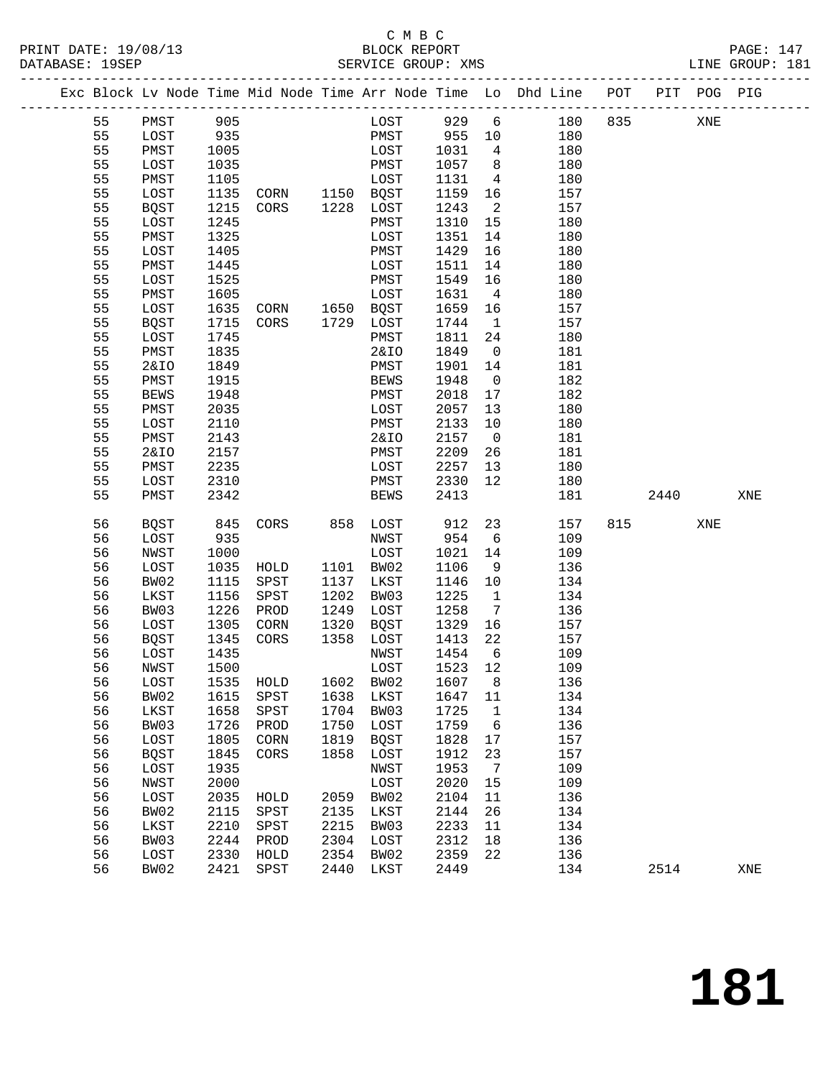### C M B C<br>BLOCK REPORT SERVICE GROUP: XMS

|  |    |                 |      |                |      |                  |      |                         | Exc Block Lv Node Time Mid Node Time Arr Node Time Lo Dhd Line POT |     |      | PIT POG PIG |     |
|--|----|-----------------|------|----------------|------|------------------|------|-------------------------|--------------------------------------------------------------------|-----|------|-------------|-----|
|  | 55 | PMST            | 905  |                |      | LOST             | 929  | $6\overline{6}$         | 180                                                                | 835 |      | XNE         |     |
|  | 55 | LOST            | 935  |                |      | PMST             | 955  | 10                      | 180                                                                |     |      |             |     |
|  | 55 | PMST            | 1005 |                |      | LOST             | 1031 | $4\overline{4}$         | 180                                                                |     |      |             |     |
|  | 55 | LOST            | 1035 |                |      | PMST             | 1057 | 8                       | 180                                                                |     |      |             |     |
|  | 55 | PMST            | 1105 |                |      | LOST             | 1131 | $\overline{4}$          | 180                                                                |     |      |             |     |
|  | 55 | LOST            | 1135 | CORN 1150 BQST |      |                  | 1159 | 16                      | 157                                                                |     |      |             |     |
|  | 55 | <b>BQST</b>     | 1215 | CORS           |      | 1228 LOST        | 1243 | $\overline{2}$          | 157                                                                |     |      |             |     |
|  | 55 | LOST            | 1245 |                |      | PMST             | 1310 | 15                      | 180                                                                |     |      |             |     |
|  | 55 | PMST            | 1325 |                |      | LOST             | 1351 | 14                      | 180                                                                |     |      |             |     |
|  | 55 | LOST            | 1405 |                |      | PMST             | 1429 | 16                      | 180                                                                |     |      |             |     |
|  | 55 | PMST            | 1445 |                |      | LOST             | 1511 | 14                      | 180                                                                |     |      |             |     |
|  | 55 | LOST            | 1525 |                |      | PMST             | 1549 | 16                      | 180                                                                |     |      |             |     |
|  | 55 | PMST            | 1605 |                |      | LOST             | 1631 | $\overline{4}$          | 180                                                                |     |      |             |     |
|  | 55 | LOST            | 1635 | CORN           |      | 1650 BQST        | 1659 | 16                      | 157                                                                |     |      |             |     |
|  | 55 | <b>BQST</b>     | 1715 | CORS           |      | 1729 LOST        | 1744 | $\mathbf{1}$            | 157                                                                |     |      |             |     |
|  | 55 | LOST            | 1745 |                |      | PMST             | 1811 | 24                      | 180                                                                |     |      |             |     |
|  | 55 | PMST            | 1835 |                |      | <b>2&amp;IO</b>  | 1849 | $\overline{0}$          | 181                                                                |     |      |             |     |
|  | 55 | <b>2&amp;IO</b> | 1849 |                |      | PMST             | 1901 | 14                      | 181                                                                |     |      |             |     |
|  | 55 | PMST            | 1915 |                |      | BEWS             | 1948 | $\overline{\mathbf{0}}$ | 182                                                                |     |      |             |     |
|  | 55 | <b>BEWS</b>     | 1948 |                |      | PMST             | 2018 | 17                      | 182                                                                |     |      |             |     |
|  | 55 | PMST            | 2035 |                |      | LOST             | 2057 | 13                      | 180                                                                |     |      |             |     |
|  | 55 |                 |      |                |      |                  |      |                         |                                                                    |     |      |             |     |
|  |    | LOST            | 2110 |                |      | PMST             | 2133 | 10                      | 180                                                                |     |      |             |     |
|  | 55 | PMST            | 2143 |                |      | 2&IO             | 2157 | $\overline{0}$          | 181                                                                |     |      |             |     |
|  | 55 | <b>2&amp;IO</b> | 2157 |                |      | PMST             | 2209 | 26                      | 181                                                                |     |      |             |     |
|  | 55 | PMST            | 2235 |                |      | LOST             | 2257 | 13                      | 180                                                                |     |      |             |     |
|  | 55 | LOST            | 2310 |                |      | PMST             | 2330 | 12                      | 180                                                                |     |      |             |     |
|  | 55 | PMST            | 2342 |                |      | BEWS             | 2413 |                         | 181                                                                |     | 2440 |             | XNE |
|  | 56 | <b>BQST</b>     | 845  | CORS           |      | 858 LOST         | 912  | 23                      | 157                                                                | 815 |      | XNE         |     |
|  | 56 | LOST            | 935  |                |      | NWST             | 954  | $6\overline{6}$         | 109                                                                |     |      |             |     |
|  | 56 | NWST            | 1000 |                |      | LOST             | 1021 | 14                      | 109                                                                |     |      |             |     |
|  | 56 | LOST            | 1035 | HOLD           |      | 1101 BW02        | 1106 | 9                       | 136                                                                |     |      |             |     |
|  | 56 | BW02            | 1115 | SPST           | 1137 | LKST             | 1146 | 10                      | 134                                                                |     |      |             |     |
|  | 56 | LKST            | 1156 | SPST           | 1202 | BW03             | 1225 | $\mathbf{1}$            | 134                                                                |     |      |             |     |
|  | 56 | BW03            | 1226 | PROD           | 1249 | LOST             | 1258 | 7                       | 136                                                                |     |      |             |     |
|  | 56 | LOST            | 1305 | CORN           | 1320 | BQST             | 1329 | 16                      | 157                                                                |     |      |             |     |
|  | 56 | <b>BQST</b>     | 1345 | CORS           | 1358 | LOST             | 1413 | 22                      | 157                                                                |     |      |             |     |
|  | 56 | LOST            | 1435 |                |      | NWST             | 1454 | 6                       | 109                                                                |     |      |             |     |
|  | 56 | NWST            | 1500 |                |      | LOST             | 1523 | 12                      | 109                                                                |     |      |             |     |
|  | 56 | LOST            |      | 1535 HOLD      |      | 1602 BW02 1607 8 |      |                         | 136                                                                |     |      |             |     |
|  | 56 | BW02            | 1615 | SPST           | 1638 | LKST             | 1647 | 11                      | 134                                                                |     |      |             |     |
|  | 56 | LKST            | 1658 | SPST           | 1704 | BW03             | 1725 | 1                       | 134                                                                |     |      |             |     |
|  | 56 | BW03            | 1726 | PROD           | 1750 | LOST             | 1759 | 6                       | 136                                                                |     |      |             |     |
|  | 56 | LOST            | 1805 | CORN           | 1819 | <b>BQST</b>      | 1828 | 17                      | 157                                                                |     |      |             |     |
|  | 56 | <b>BQST</b>     | 1845 | CORS           | 1858 | LOST             | 1912 | 23                      | 157                                                                |     |      |             |     |
|  | 56 | LOST            | 1935 |                |      | NWST             | 1953 | 7                       | 109                                                                |     |      |             |     |
|  | 56 | NWST            | 2000 |                |      | LOST             | 2020 | 15                      | 109                                                                |     |      |             |     |
|  | 56 | LOST            | 2035 | HOLD           | 2059 | BW02             | 2104 | 11                      | 136                                                                |     |      |             |     |
|  | 56 | BW02            | 2115 | SPST           | 2135 | LKST             | 2144 | 26                      | 134                                                                |     |      |             |     |
|  | 56 | LKST            | 2210 | SPST           | 2215 | BW03             | 2233 | 11                      | 134                                                                |     |      |             |     |
|  | 56 | BW03            | 2244 | PROD           | 2304 | LOST             | 2312 | 18                      | 136                                                                |     |      |             |     |
|  | 56 | LOST            | 2330 | HOLD           | 2354 | BW02             | 2359 | 22                      | 136                                                                |     |      |             |     |
|  |    |                 |      |                |      |                  |      |                         |                                                                    |     |      |             |     |

56 BW02 2421 SPST 2440 LKST 2449 134 2514 XNE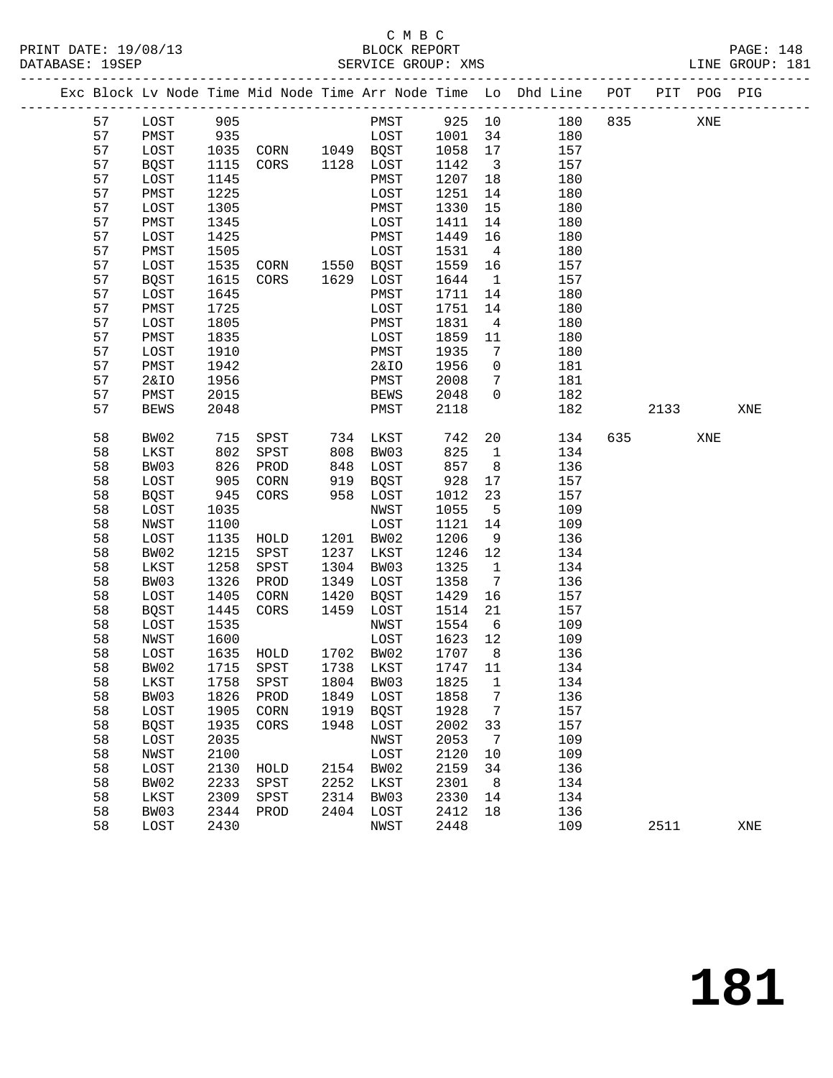PRINT DATE: 19/08/13 BLOCK REPORT PAGE: 148 DATABASE: 19SEP

## C M B C<br>BLOCK REPORT

| PAIADAOE. |                 |            |                                                                                                                      |                      |                               |                 |                                                                                |         |     |     |  |
|-----------|-----------------|------------|----------------------------------------------------------------------------------------------------------------------|----------------------|-------------------------------|-----------------|--------------------------------------------------------------------------------|---------|-----|-----|--|
|           |                 |            |                                                                                                                      |                      |                               |                 | Exc Block Lv Node Time Mid Node Time Arr Node Time Lo Dhd Line POT PIT POG PIG |         |     |     |  |
| 57        | LOST            | 905        |                                                                                                                      |                      |                               |                 | PMST 925 10 180 835                                                            |         | XNE |     |  |
| 57        | PMST            |            |                                                                                                                      |                      |                               |                 | 180                                                                            |         |     |     |  |
| 57        | LOST            |            |                                                                                                                      |                      |                               |                 | 157                                                                            |         |     |     |  |
| 57        | BQST            |            |                                                                                                                      |                      |                               |                 | 157                                                                            |         |     |     |  |
| 57        | LOST            |            | 935<br>1035 CORN 1049 BQST 1001 34<br>1035 CORN 1049 BQST 1058 17<br>1115 CORS 1128 LOST 1142 3<br>1145 PMST 1207 18 |                      |                               |                 | 180                                                                            |         |     |     |  |
| 57        | PMST            | 1225       |                                                                                                                      | LOST                 | 1251                          | 14              | 180                                                                            |         |     |     |  |
| 57        | LOST            | 1305       |                                                                                                                      | PMST                 | 1330                          | 15              | 180                                                                            |         |     |     |  |
| 57        | PMST            | 1345       |                                                                                                                      | LOST                 | 1411                          | 14              | 180                                                                            |         |     |     |  |
| 57        | LOST            | 1425       |                                                                                                                      | PMST                 | 1449                          | 16              | 180                                                                            |         |     |     |  |
| 57        | PMST            | 1505       |                                                                                                                      | LOST                 | 1531                          | $\overline{4}$  | 180                                                                            |         |     |     |  |
| 57        | LOST            | 1535       | LOST<br>CORN 1550 BQST<br>CORS 1629 LOST                                                                             |                      | 1559                          | 16              | 157                                                                            |         |     |     |  |
| 57        | BQST            | 1615       |                                                                                                                      |                      | 1644                          | $\overline{1}$  | 157                                                                            |         |     |     |  |
| 57        | LOST            | 1645       |                                                                                                                      | PMST                 | 1711                          | 14              | 180                                                                            |         |     |     |  |
| 57        | PMST            | 1725       |                                                                                                                      | LOST                 | 1751                          | 14              | 180                                                                            |         |     |     |  |
| 57        | LOST            | 1805       |                                                                                                                      | PMST                 | 1831                          | $\overline{4}$  | 180                                                                            |         |     |     |  |
| 57        | PMST            | 1835       |                                                                                                                      | LOST                 | 1859                          | 11              | 180                                                                            |         |     |     |  |
| 57        | LOST            | 1910       |                                                                                                                      | PMST                 | 1935                          | $7\phantom{0}$  | 180                                                                            |         |     |     |  |
| 57        | PMST            | 1942       |                                                                                                                      | 2&IO                 | 1956                          | $\overline{0}$  | 181                                                                            |         |     |     |  |
| 57        | <b>2&amp;IO</b> | 1956       |                                                                                                                      | PMST                 | 2008                          | $7\overline{ }$ | 181                                                                            |         |     |     |  |
| 57        | PMST            | 2015       |                                                                                                                      | BEWS                 | 2048                          | $\overline{0}$  | 182                                                                            |         |     |     |  |
| 57        | <b>BEWS</b>     | 2048       |                                                                                                                      | PMST                 | 2118                          |                 | 182                                                                            | 2133    |     | XNE |  |
|           |                 |            |                                                                                                                      |                      |                               |                 |                                                                                |         |     |     |  |
| 58        | BW02            | 715<br>802 | SPST 734 LKST<br>SPST 808 BW03                                                                                       |                      | 742<br>825                    | 20 <sub>o</sub> | 134                                                                            | 635 000 | XNE |     |  |
| 58        | LKST            |            |                                                                                                                      |                      | 825                           | $\mathbf{1}$    | 134                                                                            |         |     |     |  |
| 58        | BW03            | 826<br>905 | PROD                                                                                                                 | 848 LOST<br>919 BQST |                               | 8 <sup>8</sup>  | 136                                                                            |         |     |     |  |
| 58        | LOST            |            | CORN                                                                                                                 |                      | $8$ $>$ 928<br>- 928<br>- 012 | 17              | 157                                                                            |         |     |     |  |
| 58        | <b>BQST</b>     | 945        | CORS                                                                                                                 | 958 LOST             | 1012                          | 23              | 157                                                                            |         |     |     |  |
| 58        | LOST            | 1035       |                                                                                                                      | NWST                 | 1055                          | $5^{\circ}$     | 109                                                                            |         |     |     |  |
| 58        | NWST            | 1100       |                                                                                                                      | LOST                 | 1121                          | 14              | 109                                                                            |         |     |     |  |
| 58        | LOST            | 1135       | HOLD                                                                                                                 | 1201 BW02            | 1206                          | 9               | 136                                                                            |         |     |     |  |
| 58        | BW02            | 1215       | SPST                                                                                                                 | 1237 LKST            | 1246 12                       |                 | 134                                                                            |         |     |     |  |
| 58        | LKST            | 1258       | SPST                                                                                                                 | 1304 BW03            | 1325                          | $\overline{1}$  | 134                                                                            |         |     |     |  |
| 58        | BW03            | 1326       | PROD                                                                                                                 | 1349 LOST            | 1358                          | $\overline{7}$  | 136                                                                            |         |     |     |  |
| 58        | LOST            | 1405       | CORN                                                                                                                 | 1420 BQST            | 1429                          | 16              | 157                                                                            |         |     |     |  |
| 58        | BOST            | 1445       | CORS                                                                                                                 | 1459 LOST            | 1514                          | 21              | 157                                                                            |         |     |     |  |
| 58        | LOST            | 1535       |                                                                                                                      | NWST                 | 1554                          | 6               | 109                                                                            |         |     |     |  |
| 58        | NWST            | 1600       |                                                                                                                      | LOST                 | 1623                          | 12              | 109                                                                            |         |     |     |  |
| 58        | LOST            | 1635       | HOLD                                                                                                                 | 1702 BW02            | 1707                          | 8 <sup>8</sup>  | 136                                                                            |         |     |     |  |
| 58        | BW02            | 1715       | SPST                                                                                                                 | 1738 LKST            | 1747                          | 11              | 134                                                                            |         |     |     |  |
| 58        | LKST            | 1758       | SPST                                                                                                                 | 1804 BW03            | 1825                          | $\mathbf{1}$    | 134                                                                            |         |     |     |  |
| 58        | BW03            | 1826       | PROD                                                                                                                 | 1849 LOST            | 1858                          | $\overline{7}$  | 136                                                                            |         |     |     |  |
| 58        | LOST            | 1905       | CORN                                                                                                                 | 1919 BQST            | 1928                          | $\overline{7}$  | 157                                                                            |         |     |     |  |
| 58        | BOST            | 1935       | CORS                                                                                                                 | 1948 LOST            | 2002                          | 33              | 157                                                                            |         |     |     |  |
| 58        | LOST            | 2035       |                                                                                                                      | NWST                 | 2053                          | $\overline{7}$  | 109                                                                            |         |     |     |  |
| 58        | NWST            | 2100       |                                                                                                                      | LOST                 | 2120                          | 10              | 109                                                                            |         |     |     |  |
| 58        | LOST            | 2130       | HOLD                                                                                                                 | 2154 BW02            | 2159                          | 34              | 136                                                                            |         |     |     |  |

 58 BW02 2233 SPST 2252 LKST 2301 8 134 58 LKST 2309 SPST 2314 BW03 2330 14 134 58 BW03 2344 PROD 2404 LOST 2412 18 136

58 LOST 2430 NWST 2448 109 2511 XNE

**181**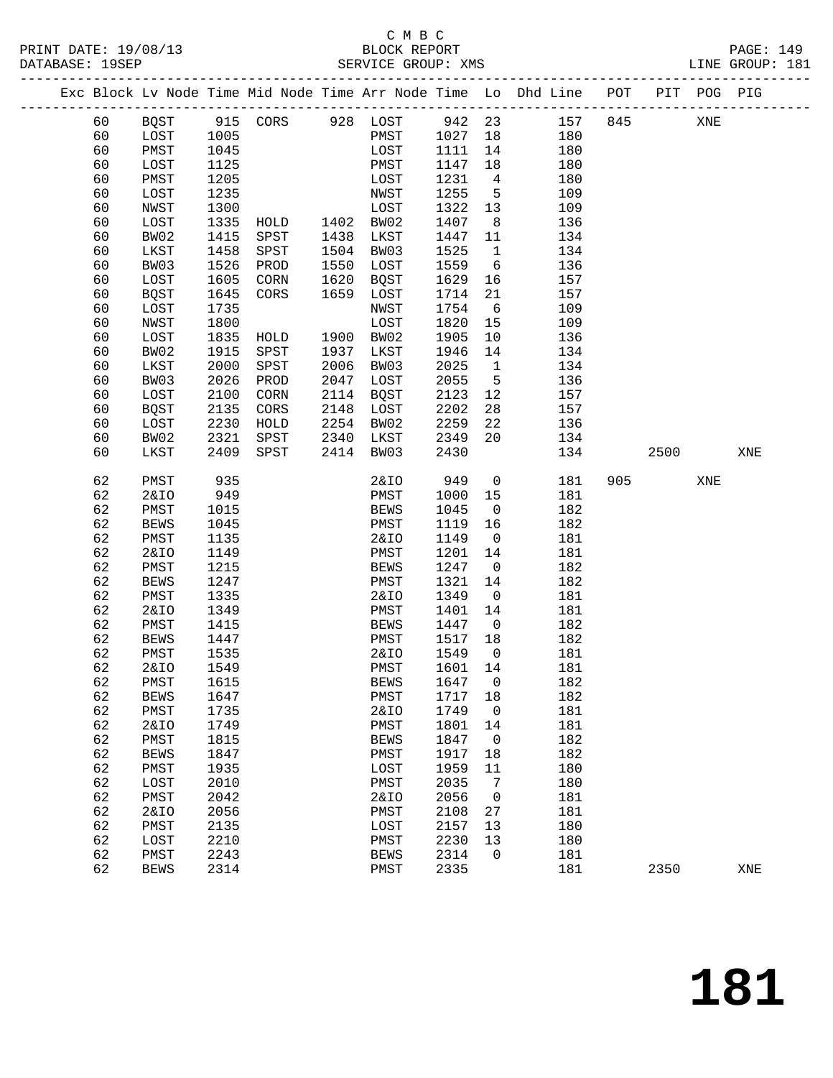### C M B C<br>BLOCK REPORT SERVICE GROUP: XMS

|  |    |                 |      |                   |      |                 |        |                 | Exc Block Lv Node Time Mid Node Time Arr Node Time Lo Dhd Line POT |     |      | PIT POG PIG |     |
|--|----|-----------------|------|-------------------|------|-----------------|--------|-----------------|--------------------------------------------------------------------|-----|------|-------------|-----|
|  | 60 | BQST            |      | 915 CORS 928 LOST |      |                 | 942 23 |                 | 157                                                                | 845 |      | XNE         |     |
|  | 60 | LOST            | 1005 |                   |      | PMST            | 1027   | 18              | 180                                                                |     |      |             |     |
|  | 60 | PMST            | 1045 |                   |      | LOST            | 1111   | 14              | 180                                                                |     |      |             |     |
|  | 60 | LOST            | 1125 |                   |      | PMST            | 1147   | 18              | 180                                                                |     |      |             |     |
|  | 60 | PMST            | 1205 |                   |      | LOST            | 1231   | $\overline{4}$  | 180                                                                |     |      |             |     |
|  | 60 | LOST            | 1235 |                   |      | NWST            | 1255   | $5^{\circ}$     | 109                                                                |     |      |             |     |
|  | 60 | NWST            | 1300 |                   |      | LOST            | 1322   | 13              | 109                                                                |     |      |             |     |
|  | 60 | LOST            | 1335 | HOLD              | 1402 | BW02            | 1407   | 8               | 136                                                                |     |      |             |     |
|  | 60 | BW02            | 1415 | SPST              | 1438 | LKST            | 1447   | 11              | 134                                                                |     |      |             |     |
|  | 60 | LKST            | 1458 | SPST              | 1504 | BW03            | 1525   | $\mathbf{1}$    | 134                                                                |     |      |             |     |
|  | 60 | BW03            | 1526 | PROD              | 1550 | LOST            | 1559   | 6               | 136                                                                |     |      |             |     |
|  | 60 | LOST            | 1605 | CORN              | 1620 | BQST            | 1629   | 16              | 157                                                                |     |      |             |     |
|  | 60 | BQST            | 1645 | CORS              | 1659 | LOST            | 1714   | 21              | 157                                                                |     |      |             |     |
|  | 60 | LOST            | 1735 |                   |      | NWST            | 1754   | 6               | 109                                                                |     |      |             |     |
|  | 60 | NWST            | 1800 |                   |      | LOST            | 1820   | 15              | 109                                                                |     |      |             |     |
|  | 60 | LOST            | 1835 | HOLD              | 1900 | BW02            | 1905   | 10              | 136                                                                |     |      |             |     |
|  | 60 | BW02            | 1915 | SPST              | 1937 | LKST            | 1946   | 14              | 134                                                                |     |      |             |     |
|  | 60 | LKST            | 2000 | SPST              | 2006 | BW03            | 2025   | $\mathbf{1}$    | 134                                                                |     |      |             |     |
|  | 60 | BW03            | 2026 | PROD              | 2047 | LOST            | 2055   | $5\overline{5}$ | 136                                                                |     |      |             |     |
|  | 60 | LOST            | 2100 | CORN              | 2114 | BQST            | 2123   | 12              | 157                                                                |     |      |             |     |
|  | 60 | <b>BQST</b>     | 2135 | CORS              | 2148 | LOST            | 2202   | 28              | 157                                                                |     |      |             |     |
|  | 60 | LOST            | 2230 | HOLD              | 2254 | BW02            | 2259   | 22              | 136                                                                |     |      |             |     |
|  | 60 | BW02            | 2321 | SPST              | 2340 | LKST            | 2349   | 20              | 134                                                                |     |      |             |     |
|  | 60 | LKST            | 2409 | SPST              | 2414 | BW03            | 2430   |                 | 134                                                                |     | 2500 |             | XNE |
|  |    |                 |      |                   |      |                 |        |                 |                                                                    |     |      |             |     |
|  | 62 | PMST            | 935  |                   |      | <b>2&amp;IO</b> | 949    | $\mathsf{O}$    | 181                                                                | 905 |      | XNE         |     |
|  | 62 | <b>2&amp;IO</b> | 949  |                   |      | PMST            | 1000   | 15              | 181                                                                |     |      |             |     |
|  | 62 | PMST            | 1015 |                   |      | BEWS            | 1045   | $\overline{0}$  | 182                                                                |     |      |             |     |
|  | 62 | <b>BEWS</b>     | 1045 |                   |      | PMST            | 1119   | 16              | 182                                                                |     |      |             |     |
|  | 62 | PMST            | 1135 |                   |      | <b>2&amp;IO</b> | 1149   | $\overline{0}$  | 181                                                                |     |      |             |     |
|  | 62 | <b>2&amp;IO</b> | 1149 |                   |      | PMST            | 1201   | 14              | 181                                                                |     |      |             |     |
|  | 62 | PMST            | 1215 |                   |      | <b>BEWS</b>     | 1247   | $\overline{0}$  | 182                                                                |     |      |             |     |
|  | 62 | <b>BEWS</b>     | 1247 |                   |      | PMST            | 1321   | 14              | 182                                                                |     |      |             |     |
|  | 62 | PMST            | 1335 |                   |      | <b>2&amp;IO</b> | 1349   | $\mathsf{O}$    | 181                                                                |     |      |             |     |
|  | 62 | <b>2&amp;IO</b> | 1349 |                   |      | PMST            | 1401   | 14              | 181                                                                |     |      |             |     |
|  | 62 | PMST            | 1415 |                   |      | BEWS            | 1447   | $\overline{0}$  | 182                                                                |     |      |             |     |
|  | 62 | <b>BEWS</b>     | 1447 |                   |      | PMST            | 1517   | 18              | 182                                                                |     |      |             |     |
|  | 62 | PMST            | 1535 |                   |      | 2&IO            | 1549   | $\overline{0}$  | 181                                                                |     |      |             |     |
|  | 62 | <b>2&amp;IO</b> | 1549 |                   |      | PMST            | 1601   | 14              | 181                                                                |     |      |             |     |
|  | 62 | PMST            | 1615 |                   |      | <b>BEWS</b>     | 1647 0 |                 | 182                                                                |     |      |             |     |
|  | 62 | <b>BEWS</b>     | 1647 |                   |      | PMST            | 1717   | 18              | 182                                                                |     |      |             |     |
|  | 62 | PMST            | 1735 |                   |      | <b>2&amp;IO</b> | 1749   | 0               | 181                                                                |     |      |             |     |
|  | 62 | <b>2&amp;IO</b> | 1749 |                   |      | PMST            | 1801   | 14              | 181                                                                |     |      |             |     |
|  | 62 | PMST            | 1815 |                   |      | <b>BEWS</b>     | 1847   | 0               | 182                                                                |     |      |             |     |
|  | 62 | <b>BEWS</b>     | 1847 |                   |      | PMST            | 1917   | 18              | 182                                                                |     |      |             |     |
|  | 62 | PMST            | 1935 |                   |      | LOST            | 1959   | 11              | 180                                                                |     |      |             |     |
|  | 62 | LOST            | 2010 |                   |      | PMST            | 2035   | 7               | 180                                                                |     |      |             |     |
|  | 62 | PMST            | 2042 |                   |      | 2&IO            | 2056   | 0               | 181                                                                |     |      |             |     |
|  | 62 | <b>2&amp;IO</b> | 2056 |                   |      | PMST            | 2108   | 27              | 181                                                                |     |      |             |     |
|  | 62 | PMST            | 2135 |                   |      | LOST            | 2157   | 13              | 180                                                                |     |      |             |     |
|  | 62 | LOST            | 2210 |                   |      | PMST            | 2230   | 13              | 180                                                                |     |      |             |     |
|  | 62 | PMST            | 2243 |                   |      | <b>BEWS</b>     | 2314   | 0               | 181                                                                |     |      |             |     |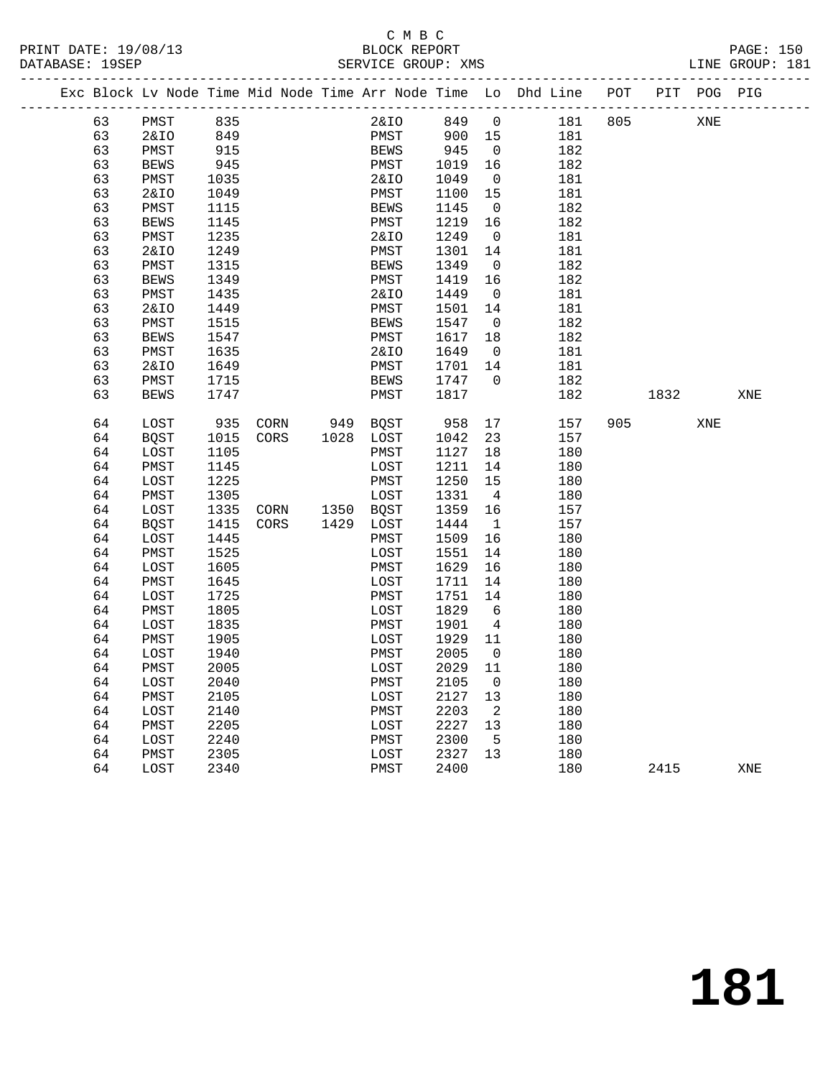### C M B C<br>BLOCK REPORT SERVICE GROUP: XMS

|  |    |             |            |      |                  |                       |             |                 |                | Exc Block Lv Node Time Mid Node Time Arr Node Time Lo Dhd Line POT |     |           | PIT POG PIG |     |
|--|----|-------------|------------|------|------------------|-----------------------|-------------|-----------------|----------------|--------------------------------------------------------------------|-----|-----------|-------------|-----|
|  | 63 | PMST        | 835        |      |                  |                       | 2&IO        | 849             | $\overline{0}$ | 181                                                                | 805 |           | XNE         |     |
|  | 63 | 2&IO        |            |      |                  |                       | PMST        |                 |                | 181                                                                |     |           |             |     |
|  | 63 | PMST        | 849<br>915 |      |                  |                       | <b>BEWS</b> | 900 15<br>945 0 |                | 182                                                                |     |           |             |     |
|  | 63 | <b>BEWS</b> | 945        |      |                  |                       | PMST        | 1019            | 16             | 182                                                                |     |           |             |     |
|  | 63 | PMST        | 1035       |      |                  |                       | 2&IO        | 1049            | $\overline{0}$ | 181                                                                |     |           |             |     |
|  | 63 | 2&IO        | 1049       |      |                  |                       | PMST        | 1100            | 15             | 181                                                                |     |           |             |     |
|  | 63 | PMST        | 1115       |      |                  |                       | <b>BEWS</b> | 1145            | $\overline{0}$ | 182                                                                |     |           |             |     |
|  | 63 | <b>BEWS</b> | 1145       |      |                  |                       | PMST        | 1219            | 16             | 182                                                                |     |           |             |     |
|  | 63 | PMST        | 1235       |      |                  |                       | 2&IO        | 1249            | $\overline{0}$ | 181                                                                |     |           |             |     |
|  | 63 | 2&IO        | 1249       |      |                  |                       | PMST        | 1301            | 14             | 181                                                                |     |           |             |     |
|  | 63 | PMST        | 1315       |      |                  |                       | <b>BEWS</b> | 1349            | $\overline{0}$ | 182                                                                |     |           |             |     |
|  | 63 | <b>BEWS</b> | 1349       |      |                  |                       | PMST        | 1419            | 16             | 182                                                                |     |           |             |     |
|  | 63 | PMST        | 1435       |      |                  |                       | 2&IO        | 1449            | $\overline{0}$ | 181                                                                |     |           |             |     |
|  | 63 | 2&IO        | 1449       |      |                  |                       | PMST        | 1501            | 14             | 181                                                                |     |           |             |     |
|  | 63 | PMST        | 1515       |      |                  |                       | <b>BEWS</b> | 1547            | $\overline{0}$ | 182                                                                |     |           |             |     |
|  | 63 | <b>BEWS</b> | 1547       |      |                  |                       | PMST        | 1617            | 18             | 182                                                                |     |           |             |     |
|  | 63 | PMST        | 1635       |      |                  |                       | 2&IO        | 1649            | $\overline{0}$ | 181                                                                |     |           |             |     |
|  | 63 | 2&IO        | 1649       |      |                  |                       | PMST        | 1701            | 14             | 181                                                                |     |           |             |     |
|  | 63 | PMST        | 1715       |      |                  |                       | BEWS        | 1747            | $\overline{0}$ | 182                                                                |     |           |             |     |
|  | 63 | <b>BEWS</b> | 1747       |      |                  |                       | PMST        | 1817            |                | 182                                                                |     | 1832      |             | XNE |
|  |    |             |            |      |                  |                       |             |                 |                |                                                                    |     |           |             |     |
|  | 64 | LOST        | 935        | CORN |                  | 949 BQST<br>1028 LOST |             | 958             | 17             | 157                                                                |     | 905 — 100 | XNE         |     |
|  | 64 | BQST        | 1015       | CORS |                  |                       |             | 1042            | 23             | 157                                                                |     |           |             |     |
|  | 64 | LOST        | 1105       |      |                  |                       | PMST        | 1127            | 18             | 180                                                                |     |           |             |     |
|  | 64 | PMST        | 1145       |      |                  |                       | LOST        | 1211            | 14             | 180                                                                |     |           |             |     |
|  | 64 | LOST        | 1225       |      |                  |                       | PMST        | 1250            | 15             | 180                                                                |     |           |             |     |
|  | 64 | PMST        | 1305       |      |                  |                       | LOST        | 1331            | $\overline{4}$ | 180                                                                |     |           |             |     |
|  | 64 | LOST        | 1335       |      | $CORN$ 1350 BQST |                       |             | 1359            | 16             | 157                                                                |     |           |             |     |
|  | 64 | BQST        | 1415       | CORS |                  | 1429 LOST             |             | 1444            | $\mathbf{1}$   | 157                                                                |     |           |             |     |
|  | 64 | LOST        | 1445       |      |                  |                       | PMST        | 1509            | 16             | 180                                                                |     |           |             |     |
|  | 64 | PMST        | 1525       |      |                  |                       | LOST        | 1551            | 14             | 180                                                                |     |           |             |     |
|  | 64 | LOST        | 1605       |      |                  |                       | PMST        | 1629            | 16             | 180                                                                |     |           |             |     |
|  | 64 | PMST        | 1645       |      |                  |                       | LOST        | 1711            | 14             | 180                                                                |     |           |             |     |
|  | 64 | LOST        | 1725       |      |                  |                       | PMST        | 1751            | 14             | 180                                                                |     |           |             |     |
|  | 64 | PMST        | 1805       |      |                  |                       | LOST        | 1829            | 6              | 180                                                                |     |           |             |     |
|  | 64 | LOST        | 1835       |      |                  |                       | PMST        | 1901            | $\overline{4}$ | 180                                                                |     |           |             |     |
|  | 64 | PMST        | 1905       |      |                  |                       | LOST        | 1929            | 11             | 180                                                                |     |           |             |     |
|  | 64 | LOST        | 1940       |      |                  |                       | PMST        | 2005            | $\overline{0}$ | 180                                                                |     |           |             |     |
|  | 64 | PMST        | 2005       |      |                  |                       | LOST        | 2029            | 11             | 180                                                                |     |           |             |     |
|  | 64 | LOST        | 2040       |      |                  |                       | PMST        | 2105            | $\overline{0}$ | 180                                                                |     |           |             |     |
|  | 64 | PMST        | 2105       |      |                  |                       | LOST        | 2127            | 13             | 180                                                                |     |           |             |     |
|  | 64 | LOST        | 2140       |      |                  |                       | PMST        | 2203            | $\overline{2}$ | 180                                                                |     |           |             |     |
|  | 64 | PMST        | 2205       |      |                  |                       | LOST        | 2227            | 13             | 180                                                                |     |           |             |     |
|  | 64 | LOST        | 2240       |      |                  |                       | PMST        | 2300            | $5^{\circ}$    | 180                                                                |     |           |             |     |
|  | 64 | PMST        | 2305       |      |                  |                       | LOST        | 2327            | 13             | 180                                                                |     |           |             |     |

64 LOST 2340 PMST 2400 180 2415 XNE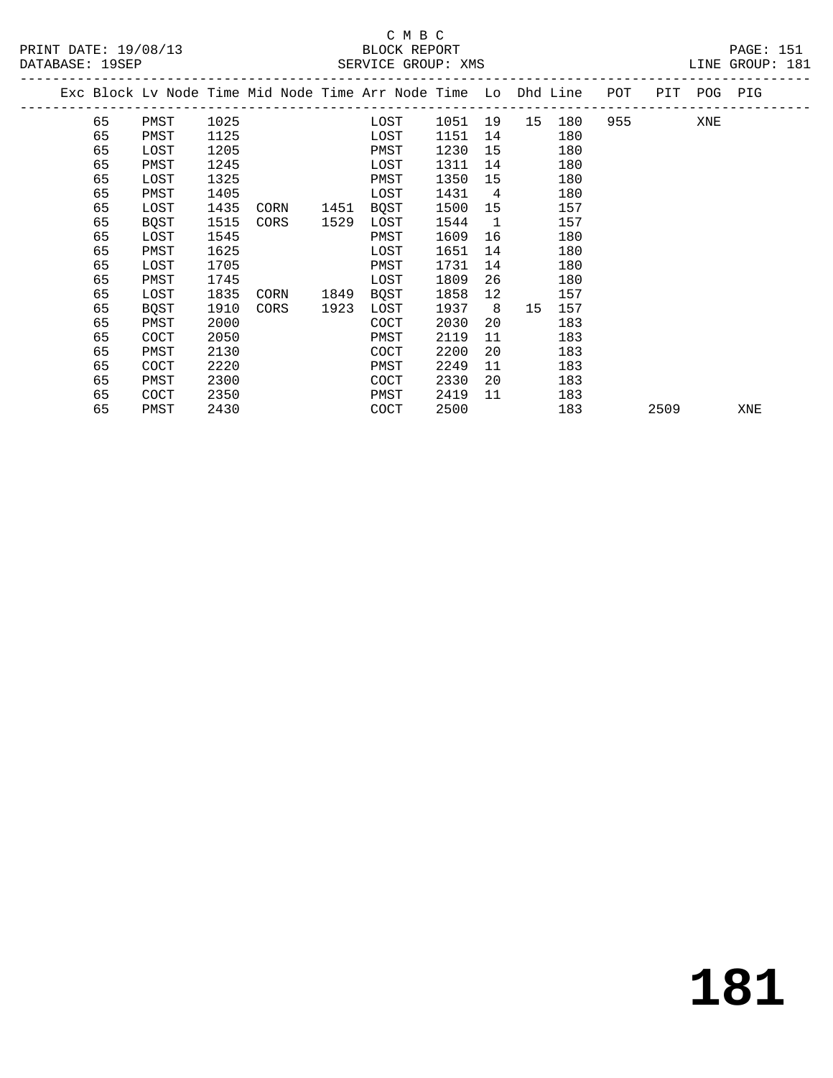#### C M B C<br>BLOCK REPORT SERVICE GROUP: XMS

|  |    |             |      |      |      | Exc Block Lv Node Time Mid Node Time Arr Node Time Lo Dhd Line |      |    |    |     | POT |      | PIT POG PIG |     |
|--|----|-------------|------|------|------|----------------------------------------------------------------|------|----|----|-----|-----|------|-------------|-----|
|  | 65 | PMST        | 1025 |      |      | LOST                                                           | 1051 | 19 | 15 | 180 | 955 |      | XNE         |     |
|  | 65 | PMST        | 1125 |      |      | LOST                                                           | 1151 | 14 |    | 180 |     |      |             |     |
|  | 65 | LOST        | 1205 |      |      | PMST                                                           | 1230 | 15 |    | 180 |     |      |             |     |
|  | 65 | PMST        | 1245 |      |      | LOST                                                           | 1311 | 14 |    | 180 |     |      |             |     |
|  | 65 | LOST        | 1325 |      |      | PMST                                                           | 1350 | 15 |    | 180 |     |      |             |     |
|  | 65 | PMST        | 1405 |      |      | LOST                                                           | 1431 | 4  |    | 180 |     |      |             |     |
|  | 65 | LOST        | 1435 | CORN | 1451 | BQST                                                           | 1500 | 15 |    | 157 |     |      |             |     |
|  | 65 | BQST        | 1515 | CORS | 1529 | LOST                                                           | 1544 | 1  |    | 157 |     |      |             |     |
|  | 65 | LOST        | 1545 |      |      | PMST                                                           | 1609 | 16 |    | 180 |     |      |             |     |
|  | 65 | PMST        | 1625 |      |      | LOST                                                           | 1651 | 14 |    | 180 |     |      |             |     |
|  | 65 | LOST        | 1705 |      |      | PMST                                                           | 1731 | 14 |    | 180 |     |      |             |     |
|  | 65 | PMST        | 1745 |      |      | LOST                                                           | 1809 | 26 |    | 180 |     |      |             |     |
|  | 65 | LOST        | 1835 | CORN | 1849 | BQST                                                           | 1858 | 12 |    | 157 |     |      |             |     |
|  | 65 | <b>BOST</b> | 1910 | CORS | 1923 | LOST                                                           | 1937 | 8  | 15 | 157 |     |      |             |     |
|  | 65 | PMST        | 2000 |      |      | COCT                                                           | 2030 | 20 |    | 183 |     |      |             |     |
|  | 65 | COCT        | 2050 |      |      | PMST                                                           | 2119 | 11 |    | 183 |     |      |             |     |
|  | 65 | PMST        | 2130 |      |      | COCT                                                           | 2200 | 20 |    | 183 |     |      |             |     |
|  | 65 | COCT        | 2220 |      |      | PMST                                                           | 2249 | 11 |    | 183 |     |      |             |     |
|  | 65 | PMST        | 2300 |      |      | COCT                                                           | 2330 | 20 |    | 183 |     |      |             |     |
|  | 65 | COCT        | 2350 |      |      | PMST                                                           | 2419 | 11 |    | 183 |     |      |             |     |
|  | 65 | PMST        | 2430 |      |      | COCT                                                           | 2500 |    |    | 183 |     | 2509 |             | XNE |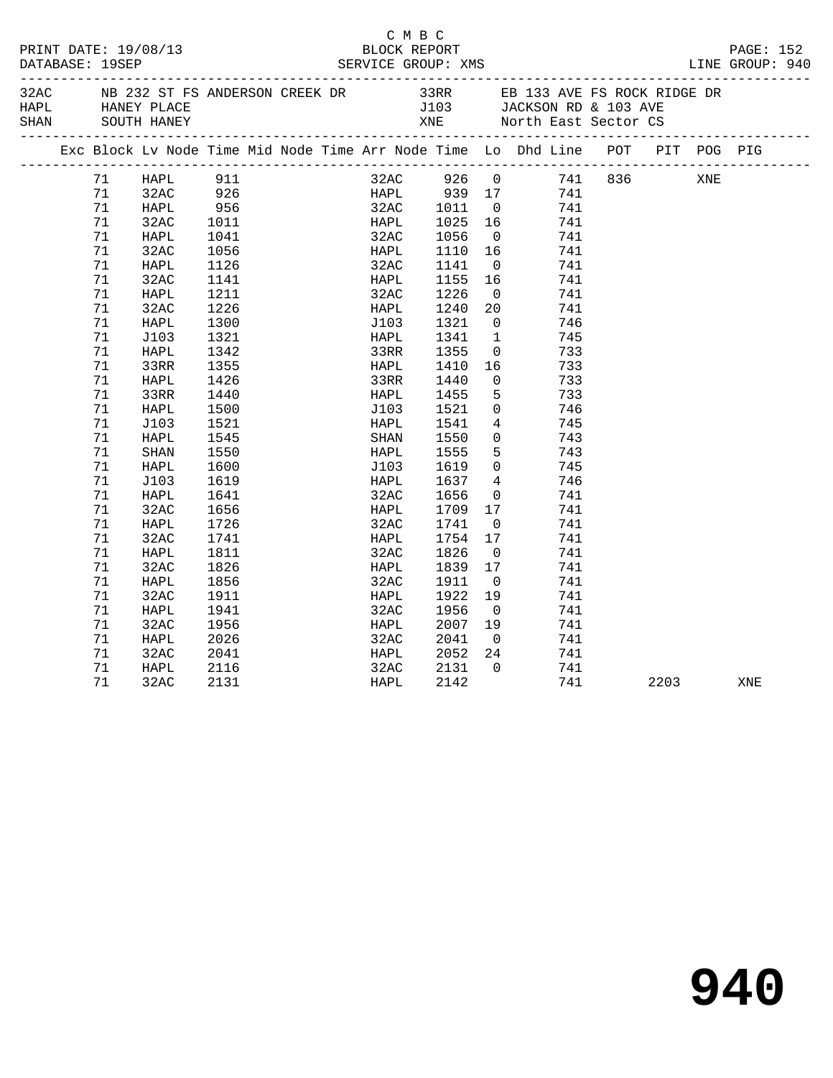| PRINT DATE: 19/08/13<br>DATABASE: 19SEP |                                                                                                                            |                                                                                                                                                                      |                                                                                                                                                                   | BLOCK REPORT<br>SERVICE GROUP: XMS | C M B C                                                                                                                                                                  |  |                                                                                                                                                              |                                                                                                                                                                                                                                |                                                                                                                                          |         |     | PAGE: 152<br>LINE GROUP: 940 |     |  |
|-----------------------------------------|----------------------------------------------------------------------------------------------------------------------------|----------------------------------------------------------------------------------------------------------------------------------------------------------------------|-------------------------------------------------------------------------------------------------------------------------------------------------------------------|------------------------------------|--------------------------------------------------------------------------------------------------------------------------------------------------------------------------|--|--------------------------------------------------------------------------------------------------------------------------------------------------------------|--------------------------------------------------------------------------------------------------------------------------------------------------------------------------------------------------------------------------------|------------------------------------------------------------------------------------------------------------------------------------------|---------|-----|------------------------------|-----|--|
| 32AC<br>HAPL<br>SHAN                    |                                                                                                                            | NB 232 ST FS ANDERSON CREEK DR<br>HANEY PLACE<br>SOUTH HANEY                                                                                                         |                                                                                                                                                                   |                                    |                                                                                                                                                                          |  | XNE                                                                                                                                                          |                                                                                                                                                                                                                                | North East Sector CS                                                                                                                     |         |     |                              |     |  |
|                                         |                                                                                                                            |                                                                                                                                                                      |                                                                                                                                                                   |                                    |                                                                                                                                                                          |  |                                                                                                                                                              |                                                                                                                                                                                                                                | Exc Block Lv Node Time Mid Node Time Arr Node Time Lo Dhd Line POT                                                                       |         | PIT | POG PIG                      |     |  |
|                                         | 71<br>71<br>71<br>71<br>71<br>71<br>71<br>71<br>71<br>71<br>71<br>71<br>71<br>71<br>71<br>71<br>71<br>71<br>71<br>71<br>71 | HAPL<br>32AC<br>HAPL<br>32AC<br>HAPL<br>32AC<br>HAPL<br>32AC<br>HAPL<br>32AC<br>HAPL<br>J103<br>HAPL<br>33RR<br>HAPL<br>33RR<br>HAPL<br>J103<br>HAPL<br>SHAN<br>HAPL | 911<br>926<br>956<br>1011<br>1041<br>1056<br>1126<br>1141<br>1211<br>1226<br>1300<br>1321<br>1342<br>1355<br>1426<br>1440<br>1500<br>1521<br>1545<br>1550<br>1600 |                                    | 32AC 1011 0<br>HAPL 1025 16<br>32AC<br>HAPL<br>32AC 1141<br>HAPL<br>32AC<br>HAPL<br>J103<br>HAPL<br>33RR<br>HAPL<br>33RR<br>HAPL<br>J103<br>HAPL<br>SHAN<br>HAPL<br>J103 |  | 32AC 926 0<br>HAPL 939 17<br>1056<br>1110 16<br>1155<br>1226<br>1240<br>1321<br>1341<br>1355<br>1410<br>1440<br>1455<br>1521<br>1541<br>1550<br>1555<br>1619 | $\overline{0}$<br>$\overline{0}$<br>16<br>$\overline{0}$<br>20<br>$\overline{0}$<br>$\overline{1}$<br>$\overline{0}$<br>16<br>$\overline{0}$<br>5<br>$\overline{0}$<br>$\overline{4}$<br>$\overline{0}$<br>5<br>$\overline{0}$ | 741<br>741<br>741<br>741<br>741<br>741<br>741<br>741<br>741<br>746<br>745<br>733<br>733<br>733<br>733<br>746<br>745<br>743<br>743<br>745 | 741 836 |     | XNE                          |     |  |
|                                         | 71<br>71<br>71<br>71<br>71<br>71<br>71<br>71<br>71<br>71<br>71<br>71<br>71<br>71<br>71                                     | J103<br>HAPL<br>32AC<br>HAPL<br>32AC<br>HAPL<br>32AC<br>HAPL<br>32AC<br>HAPL<br>32AC<br>HAPL<br>32AC<br>HAPL<br>32AC                                                 | 1619<br>1641<br>1656<br>1726<br>1741<br>1811<br>1826<br>1856<br>1911<br>1941<br>1956<br>2026<br>2041<br>2116<br>2131                                              |                                    | HAPL<br>32AC<br>HAPL<br>32AC<br>HAPL<br>32AC<br>HAPL<br>32AC<br>HAPL<br>32AC<br>HAPL<br>32AC<br>HAPL<br>32AC<br>HAPL                                                     |  | 1637<br>1656<br>1709<br>1741<br>1754<br>1826<br>1839<br>1911<br>1922<br>1956<br>2007<br>2041<br>2052<br>2131<br>2142                                         | $\overline{4}$<br>$\overline{0}$<br>17<br>$\overline{0}$<br>17<br>$\overline{0}$<br>17<br>$\overline{0}$<br>19<br>$\overline{0}$<br>19<br>$\overline{0}$<br>24<br>$\Omega$                                                     | 746<br>741<br>741<br>741<br>741<br>741<br>741<br>741<br>741<br>741<br>741<br>741<br>741<br>741<br>741                                    |         |     | 2203                         | XNE |  |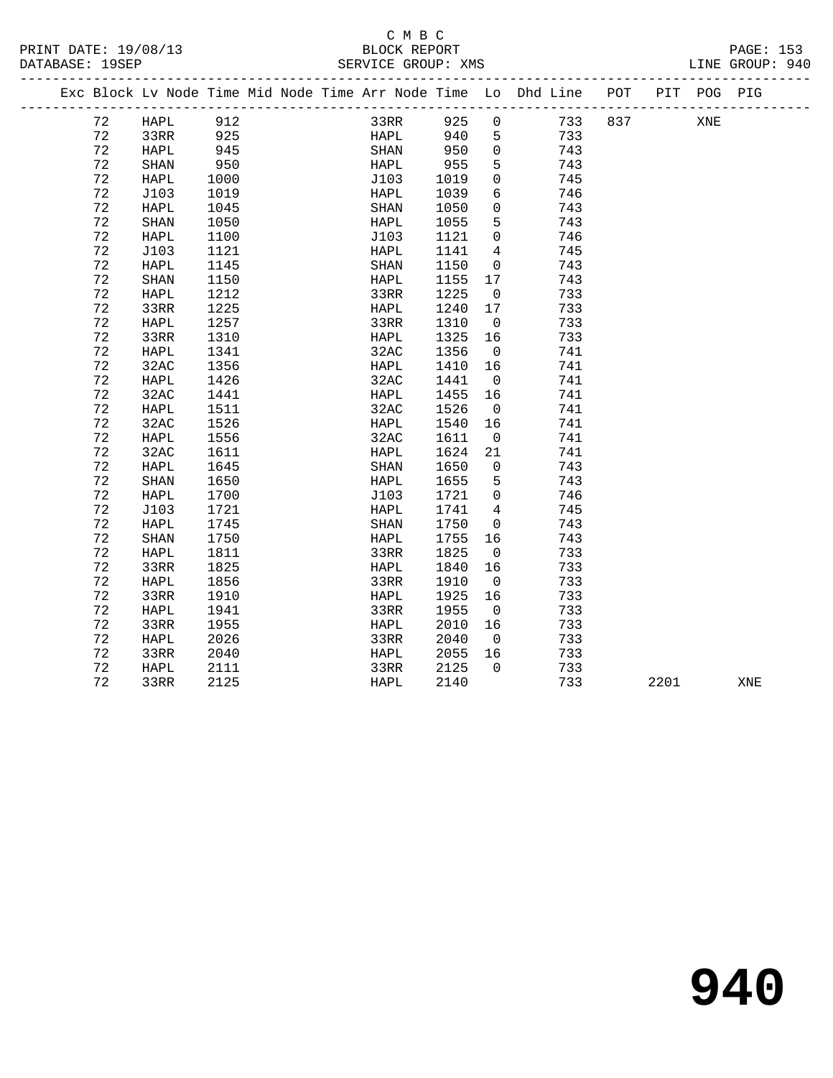# C M B C<br>BLOCK REPORT

| PRINT DATE: 19/08/13<br>DATABASE: 19SEP |    |                                                                                |                             |  | BLOCK REPORT |      | SERVICE GROUP: XMS |                         |     |     |      |     | PAGE: 153<br>LINE GROUP: 940 |  |
|-----------------------------------------|----|--------------------------------------------------------------------------------|-----------------------------|--|--------------|------|--------------------|-------------------------|-----|-----|------|-----|------------------------------|--|
|                                         |    | Exc Block Lv Node Time Mid Node Time Arr Node Time Lo Dhd Line POT PIT POG PIG |                             |  |              |      |                    |                         |     |     |      |     |                              |  |
|                                         | 72 | HAPL                                                                           | 912                         |  | 33RR         |      | 925                | $\overline{0}$          | 733 | 837 |      | XNE |                              |  |
|                                         | 72 | 33RR                                                                           | 925                         |  |              | HAPL | 940                | 5                       | 733 |     |      |     |                              |  |
|                                         | 72 | HAPL                                                                           | $945$<br>950<br>1000<br>945 |  | SHAN         |      | 950                | $\overline{0}$          | 743 |     |      |     |                              |  |
|                                         | 72 | SHAN                                                                           | 950                         |  | HAPL         |      | 955                | $5^{\circ}$             | 743 |     |      |     |                              |  |
|                                         | 72 | HAPL                                                                           |                             |  | J103         |      | 1019               | $\overline{0}$          | 745 |     |      |     |                              |  |
|                                         | 72 | J103                                                                           | 1019                        |  | HAPL         |      | 1039               | 6                       | 746 |     |      |     |                              |  |
|                                         | 72 | HAPL                                                                           | 1045                        |  | SHAN         |      | 1050               | $\overline{0}$          | 743 |     |      |     |                              |  |
|                                         | 72 | SHAN                                                                           | 1050                        |  | HAPL         |      | 1055               | 5                       | 743 |     |      |     |                              |  |
|                                         | 72 | HAPL                                                                           | 1100                        |  | J103         |      | 1121               | $\overline{0}$          | 746 |     |      |     |                              |  |
|                                         | 72 | J103                                                                           | 1121                        |  | HAPL         |      | 1141               | $\overline{4}$          | 745 |     |      |     |                              |  |
|                                         | 72 | HAPL                                                                           | 1145                        |  | SHAN         |      | 1150               | $\overline{0}$          | 743 |     |      |     |                              |  |
|                                         | 72 | <b>SHAN</b>                                                                    | 1150                        |  | HAPL         |      | 1155               | 17                      | 743 |     |      |     |                              |  |
|                                         | 72 | HAPL                                                                           | 1212                        |  | 33RR         |      | 1225               | $\overline{0}$          | 733 |     |      |     |                              |  |
|                                         | 72 | 33RR                                                                           | 1225                        |  | HAPL         |      | 1240               | 17                      | 733 |     |      |     |                              |  |
|                                         | 72 | HAPL                                                                           | 1257                        |  | 33RR         |      | 1310               | $\overline{0}$          | 733 |     |      |     |                              |  |
|                                         | 72 | 33RR                                                                           | 1310                        |  | HAPL         |      | 1325               | 16                      | 733 |     |      |     |                              |  |
|                                         | 72 | HAPL                                                                           | 1341                        |  | 32AC         |      | 1356               | $\overline{0}$          | 741 |     |      |     |                              |  |
|                                         | 72 | 32AC                                                                           | 1356                        |  | HAPL         |      | 1410               | 16                      | 741 |     |      |     |                              |  |
|                                         | 72 | HAPL                                                                           | 1426                        |  | 32AC         |      | 1441               | $\overline{0}$          | 741 |     |      |     |                              |  |
|                                         | 72 | 32AC                                                                           | 1441                        |  | HAPL         |      | 1455               | 16                      | 741 |     |      |     |                              |  |
|                                         | 72 | <b>HAPL</b>                                                                    | 1511                        |  | 32AC         |      | 1526               | $\overline{0}$          | 741 |     |      |     |                              |  |
|                                         | 72 | 32AC                                                                           | 1526                        |  | HAPL         |      | 1540               | 16                      | 741 |     |      |     |                              |  |
|                                         | 72 | <b>HAPL</b>                                                                    | 1556                        |  | 32AC         |      | 1611               | $\overline{0}$          | 741 |     |      |     |                              |  |
|                                         | 72 | 32AC                                                                           | 1611                        |  | HAPL         |      | 1624               | 21                      | 741 |     |      |     |                              |  |
|                                         | 72 | HAPL                                                                           | 1645                        |  | SHAN         |      | 1650               | $\overline{0}$          | 743 |     |      |     |                              |  |
|                                         | 72 | SHAN                                                                           | 1650                        |  | HAPL         |      | 1655               | $5^{\circ}$             | 743 |     |      |     |                              |  |
|                                         | 72 | HAPL                                                                           | 1700                        |  | J103         |      | 1721               | $\overline{0}$          | 746 |     |      |     |                              |  |
|                                         | 72 | J103                                                                           | 1721                        |  | HAPL         |      | 1741               | $\overline{4}$          | 745 |     |      |     |                              |  |
|                                         | 72 | HAPL                                                                           | 1745                        |  | SHAN         |      | 1750               | $\overline{0}$          | 743 |     |      |     |                              |  |
|                                         | 72 | SHAN                                                                           | 1750                        |  | HAPL         |      | 1755               | 16                      | 743 |     |      |     |                              |  |
|                                         | 72 | HAPL                                                                           | 1811                        |  | 33RR         |      | 1825               | $\overline{0}$          | 733 |     |      |     |                              |  |
|                                         | 72 | 33RR                                                                           | 1825                        |  | HAPL         |      | 1840               | 16                      | 733 |     |      |     |                              |  |
|                                         | 72 | HAPL                                                                           | 1856                        |  | 33RR         |      | 1910               | $\overline{0}$          | 733 |     |      |     |                              |  |
|                                         | 72 | 33RR                                                                           | 1910                        |  | HAPL         |      | 1925               | 16                      | 733 |     |      |     |                              |  |
|                                         | 72 | HAPL                                                                           | 1941                        |  | 33RR         |      | 1955               | $\overline{0}$          | 733 |     |      |     |                              |  |
|                                         | 72 | 33RR                                                                           | 1955                        |  | HAPL         |      | 2010               | 16                      | 733 |     |      |     |                              |  |
|                                         | 72 | HAPL                                                                           | 2026                        |  | 33RR         |      | 2040               | $\overline{\mathbf{0}}$ | 733 |     |      |     |                              |  |
|                                         | 72 | 33RR                                                                           | 2040                        |  | HAPL         |      | 2055               | 16                      | 733 |     |      |     |                              |  |
|                                         | 72 | HAPL                                                                           | 2111                        |  | 33RR         |      | 2125               | $\Omega$                | 733 |     |      |     |                              |  |
|                                         | 72 | 33RR                                                                           | 2125                        |  | HAPL         |      | 2140               |                         | 733 |     | 2201 |     | XNE                          |  |